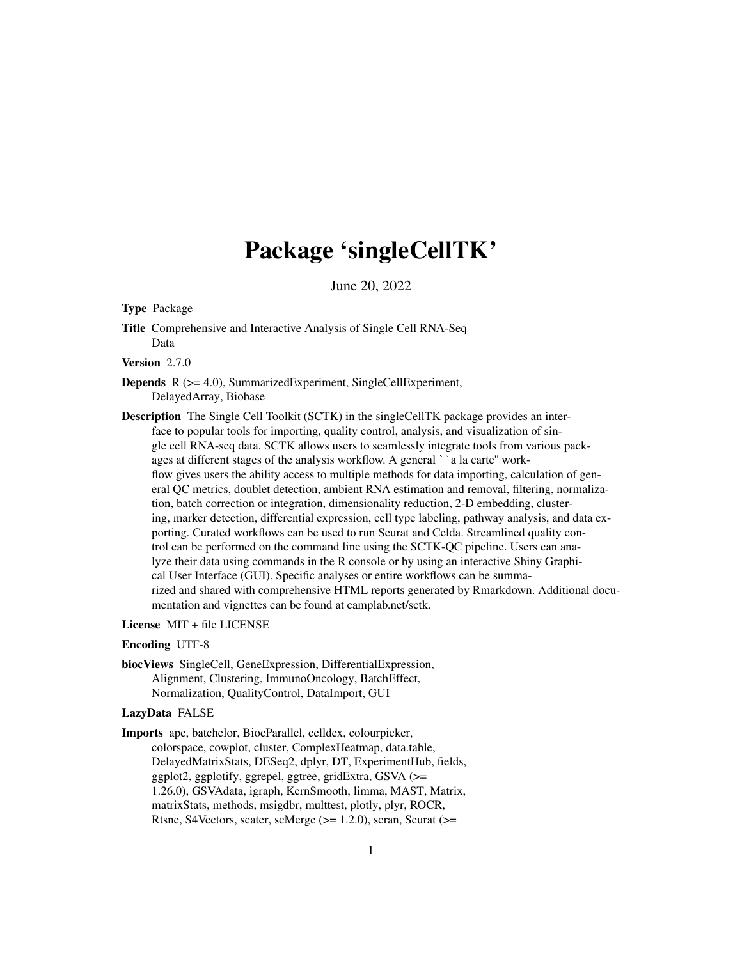# Package 'singleCellTK'

June 20, 2022

<span id="page-0-0"></span>Type Package

Title Comprehensive and Interactive Analysis of Single Cell RNA-Seq Data

Version 2.7.0

Depends R (>= 4.0), SummarizedExperiment, SingleCellExperiment, DelayedArray, Biobase

Description The Single Cell Toolkit (SCTK) in the singleCellTK package provides an interface to popular tools for importing, quality control, analysis, and visualization of single cell RNA-seq data. SCTK allows users to seamlessly integrate tools from various packproof The single Centrookht (SCTK) in the single Centric package provides<br>face to popular tools for importing, quality control, analysis, and visualization<br>gle cell RNA-seq data. SCTK allows users to seamlessly integrate t flow gives users the ability access to multiple methods for data importing, calculation of general QC metrics, doublet detection, ambient RNA estimation and removal, filtering, normalization, batch correction or integration, dimensionality reduction, 2-D embedding, clustering, marker detection, differential expression, cell type labeling, pathway analysis, and data exporting. Curated workflows can be used to run Seurat and Celda. Streamlined quality control can be performed on the command line using the SCTK-QC pipeline. Users can analyze their data using commands in the R console or by using an interactive Shiny Graphical User Interface (GUI). Specific analyses or entire workflows can be summarized and shared with comprehensive HTML reports generated by Rmarkdown. Additional documentation and vignettes can be found at camplab.net/sctk.

#### License MIT + file LICENSE

#### Encoding UTF-8

biocViews SingleCell, GeneExpression, DifferentialExpression, Alignment, Clustering, ImmunoOncology, BatchEffect, Normalization, QualityControl, DataImport, GUI

#### LazyData FALSE

Imports ape, batchelor, BiocParallel, celldex, colourpicker, colorspace, cowplot, cluster, ComplexHeatmap, data.table, DelayedMatrixStats, DESeq2, dplyr, DT, ExperimentHub, fields, ggplot2, ggplotify, ggrepel, ggtree, gridExtra, GSVA (>= 1.26.0), GSVAdata, igraph, KernSmooth, limma, MAST, Matrix, matrixStats, methods, msigdbr, multtest, plotly, plyr, ROCR, Rtsne, S4Vectors, scater, scMerge (>= 1.2.0), scran, Seurat (>=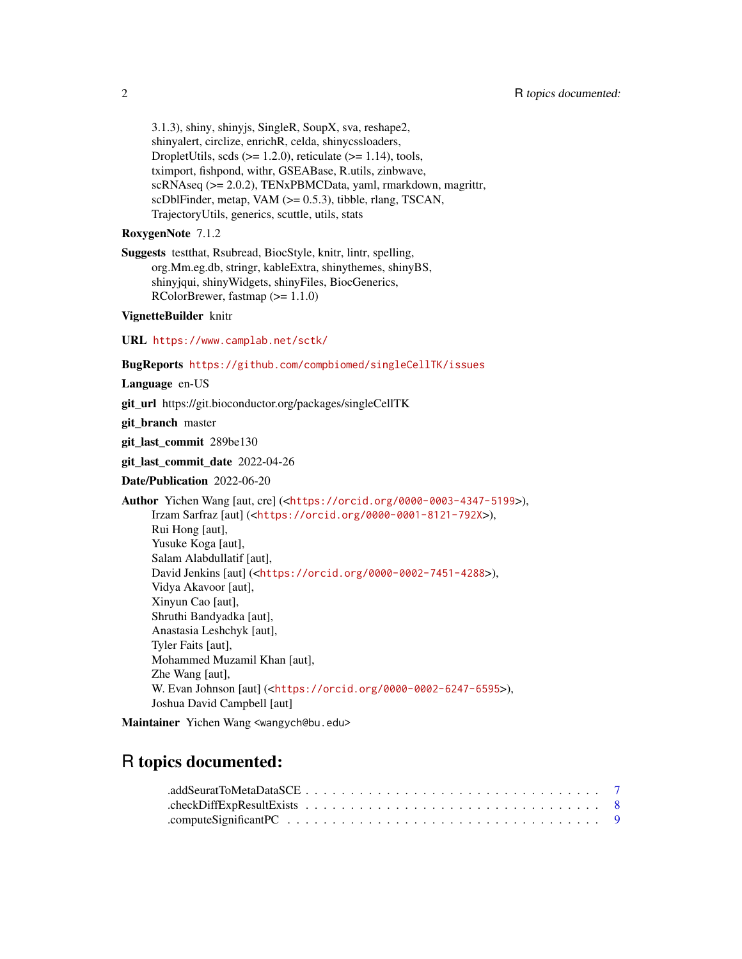3.1.3), shiny, shinyjs, SingleR, SoupX, sva, reshape2, shinyalert, circlize, enrichR, celda, shinycssloaders, DropletUtils, scds  $(>= 1.2.0)$ , reticulate  $(>= 1.14)$ , tools, tximport, fishpond, withr, GSEABase, R.utils, zinbwave, scRNAseq (>= 2.0.2), TENxPBMCData, yaml, rmarkdown, magrittr, scDblFinder, metap, VAM (>= 0.5.3), tibble, rlang, TSCAN, TrajectoryUtils, generics, scuttle, utils, stats

#### RoxygenNote 7.1.2

Suggests testthat, Rsubread, BiocStyle, knitr, lintr, spelling, org.Mm.eg.db, stringr, kableExtra, shinythemes, shinyBS, shinyjqui, shinyWidgets, shinyFiles, BiocGenerics, RColorBrewer, fastmap (>= 1.1.0)

#### VignetteBuilder knitr

URL <https://www.camplab.net/sctk/>

```
BugReports https://github.com/compbiomed/singleCellTK/issues
```
Language en-US

git\_url https://git.bioconductor.org/packages/singleCellTK

git branch master

git\_last\_commit 289be130

git\_last\_commit\_date 2022-04-26

Date/Publication 2022-06-20

```
Author Yichen Wang [aut, cre] (<https://orcid.org/0000-0003-4347-5199>),
     Irzam Sarfraz [aut] (<https://orcid.org/0000-0001-8121-792X>),
     Rui Hong [aut],
     Yusuke Koga [aut],
     Salam Alabdullatif [aut],
     David Jenkins [aut] (<https://orcid.org/0000-0002-7451-4288>),
     Vidya Akavoor [aut],
     Xinyun Cao [aut],
     Shruthi Bandyadka [aut],
     Anastasia Leshchyk [aut],
     Tyler Faits [aut],
     Mohammed Muzamil Khan [aut],
     Zhe Wang [aut],
     W. Evan Johnson [aut] (<https://orcid.org/0000-0002-6247-6595>),
     Joshua David Campbell [aut]
```
Maintainer Yichen Wang <wangych@bu.edu>

## R topics documented: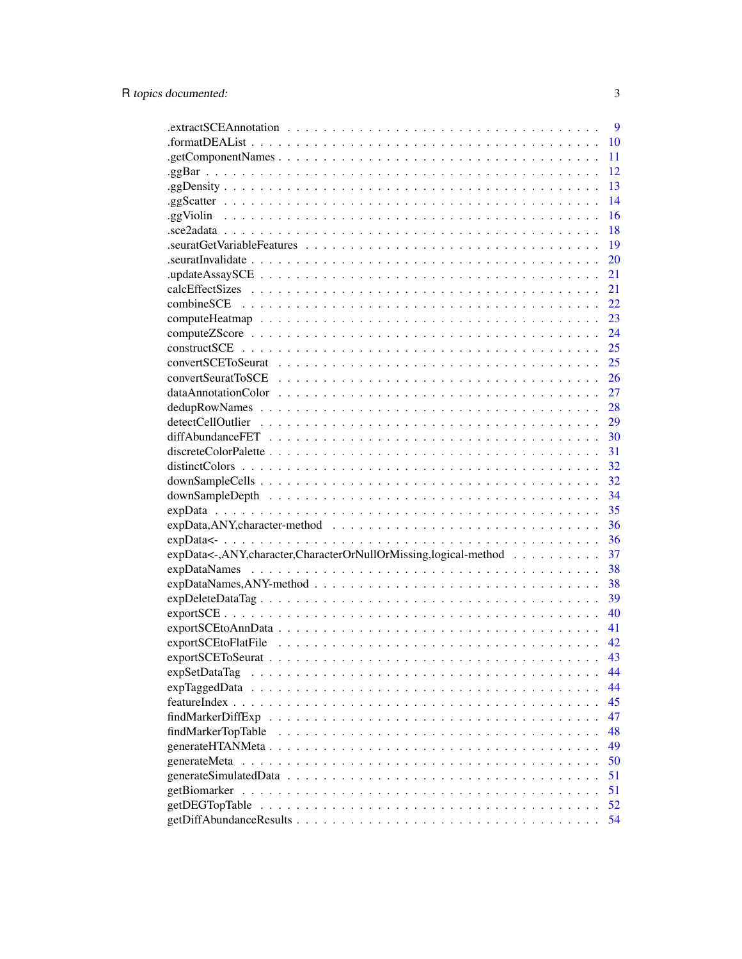|                                                                                                                                  | 9  |
|----------------------------------------------------------------------------------------------------------------------------------|----|
|                                                                                                                                  | 10 |
|                                                                                                                                  | 11 |
|                                                                                                                                  | 12 |
|                                                                                                                                  | 13 |
|                                                                                                                                  | 14 |
|                                                                                                                                  | 16 |
|                                                                                                                                  | 18 |
|                                                                                                                                  | 19 |
| $seurat \text{Invalidate} \dots \dots \dots \dots \dots \dots \dots \dots \dots \dots \dots \dots \dots \dots \dots \dots \dots$ | 20 |
|                                                                                                                                  | 21 |
|                                                                                                                                  | 21 |
|                                                                                                                                  | 22 |
|                                                                                                                                  | 23 |
|                                                                                                                                  | 24 |
|                                                                                                                                  | 25 |
|                                                                                                                                  | 25 |
|                                                                                                                                  | 26 |
| $dataAnnotationColor \dots \dots \dots \dots \dots \dots \dots \dots \dots \dots \dots \dots \dots \dots \dots \dots$            | 27 |
|                                                                                                                                  | 28 |
|                                                                                                                                  | 29 |
|                                                                                                                                  | 30 |
|                                                                                                                                  | 31 |
|                                                                                                                                  | 32 |
|                                                                                                                                  | 32 |
|                                                                                                                                  | 34 |
|                                                                                                                                  | 35 |
|                                                                                                                                  | 36 |
|                                                                                                                                  | 36 |
| expData<-,ANY,character,CharacterOrNullOrMissing,logical-method                                                                  | 37 |
|                                                                                                                                  | 38 |
|                                                                                                                                  | 38 |
|                                                                                                                                  | 39 |
|                                                                                                                                  | 40 |
|                                                                                                                                  | 41 |
|                                                                                                                                  | 42 |
|                                                                                                                                  | 43 |
| expSetDataTag                                                                                                                    | 44 |
| expTaggedData                                                                                                                    | 44 |
|                                                                                                                                  | 45 |
|                                                                                                                                  | 47 |
| findMarkerTopTable                                                                                                               | 48 |
|                                                                                                                                  | 49 |
| generateMeta                                                                                                                     | 50 |
|                                                                                                                                  | 51 |
| getBiomarker                                                                                                                     | 51 |
| getDEGTopTable                                                                                                                   | 52 |
|                                                                                                                                  | 54 |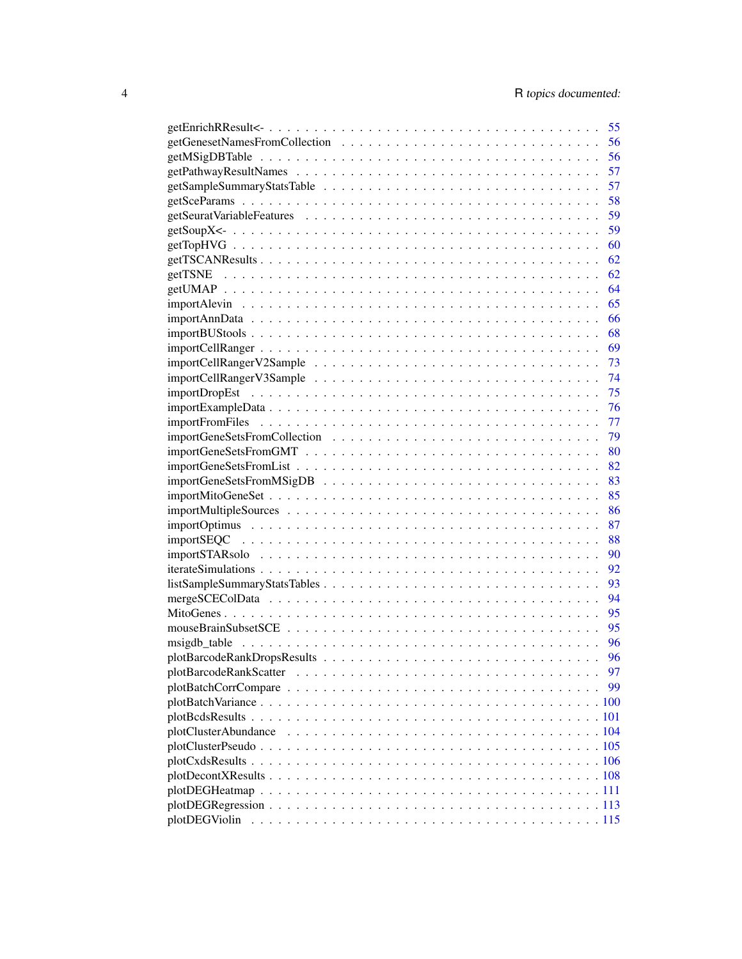|                                                                                                                    | 55       |
|--------------------------------------------------------------------------------------------------------------------|----------|
|                                                                                                                    | 56       |
|                                                                                                                    | 56       |
|                                                                                                                    | 57       |
|                                                                                                                    | 57       |
|                                                                                                                    | 58       |
|                                                                                                                    | 59       |
|                                                                                                                    | 59       |
|                                                                                                                    | 60       |
|                                                                                                                    | 62       |
|                                                                                                                    | 62       |
|                                                                                                                    | 64       |
|                                                                                                                    | 65       |
|                                                                                                                    | 66       |
|                                                                                                                    | 68       |
|                                                                                                                    | 69       |
|                                                                                                                    | 73       |
|                                                                                                                    | 74       |
|                                                                                                                    | 75       |
|                                                                                                                    | 76       |
|                                                                                                                    | 77       |
|                                                                                                                    | 79       |
|                                                                                                                    | 80       |
|                                                                                                                    | 82       |
|                                                                                                                    | 83       |
|                                                                                                                    | 85       |
|                                                                                                                    | 86       |
|                                                                                                                    | 87       |
|                                                                                                                    | 88       |
|                                                                                                                    | 90       |
|                                                                                                                    | 92       |
|                                                                                                                    | 93       |
|                                                                                                                    | 94       |
|                                                                                                                    | 95       |
|                                                                                                                    | 95       |
|                                                                                                                    |          |
|                                                                                                                    | 96<br>96 |
|                                                                                                                    |          |
|                                                                                                                    | 97       |
|                                                                                                                    | 99       |
|                                                                                                                    |          |
|                                                                                                                    |          |
| plotClusterAbundance                                                                                               |          |
|                                                                                                                    |          |
|                                                                                                                    |          |
|                                                                                                                    |          |
|                                                                                                                    |          |
| $plotDEGRegression \ldots \ldots \ldots \ldots \ldots \ldots \ldots \ldots \ldots \ldots \ldots \ldots \ldots 113$ |          |
|                                                                                                                    |          |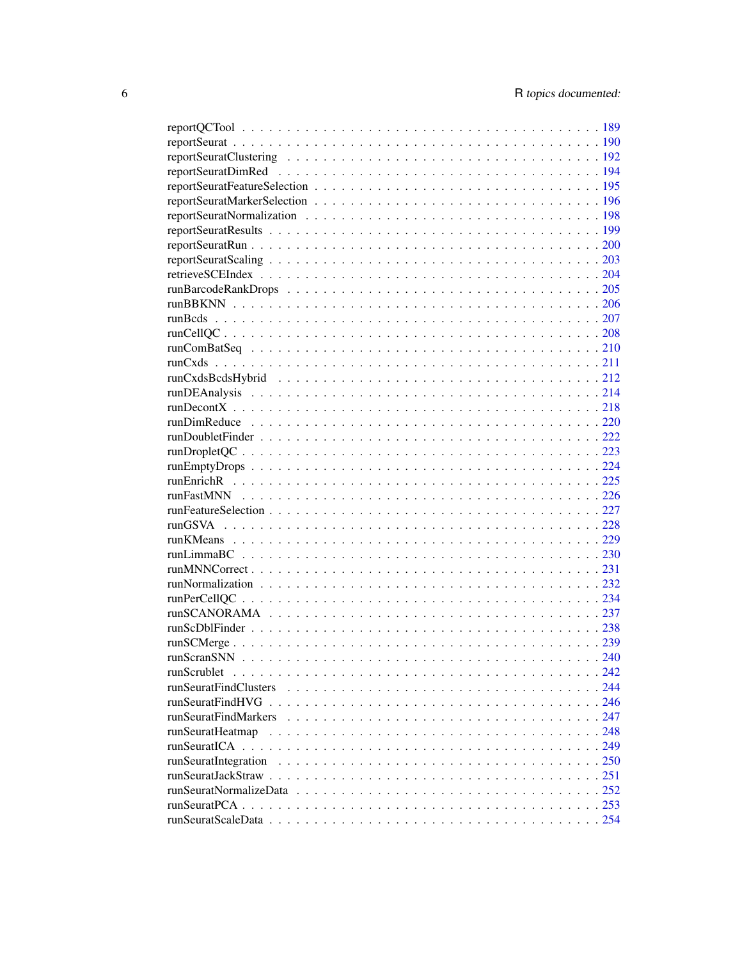| runScrublet |  |
|-------------|--|
|             |  |
|             |  |
|             |  |
|             |  |
|             |  |
|             |  |
|             |  |
|             |  |
|             |  |
|             |  |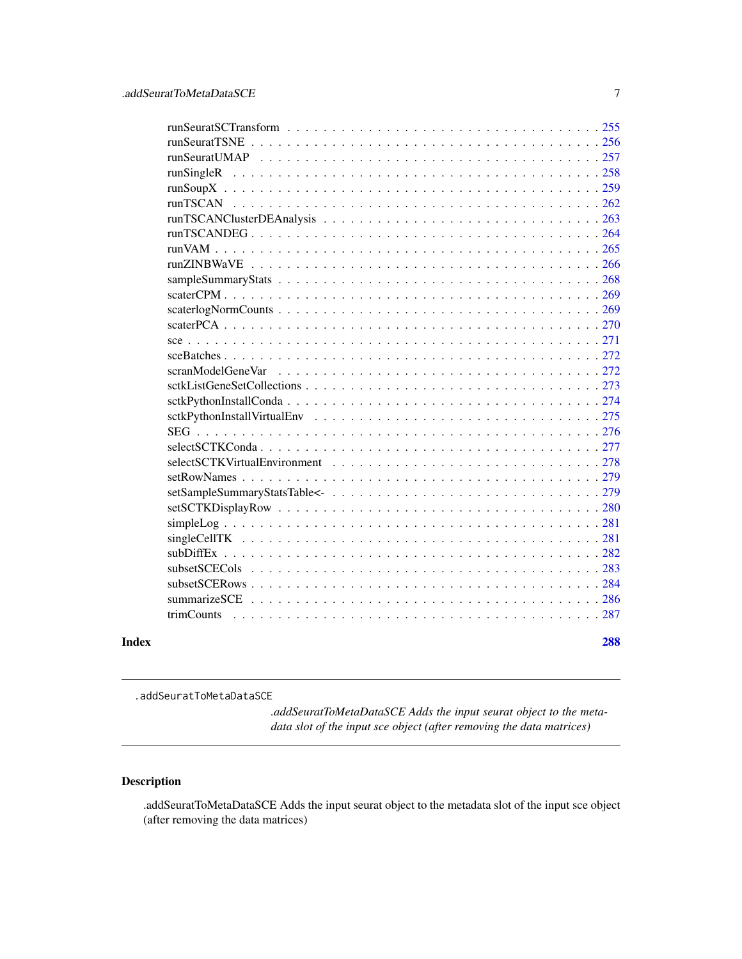<span id="page-6-0"></span>

|       | scranModelGeneVar |     |
|-------|-------------------|-----|
|       |                   |     |
|       |                   |     |
|       |                   |     |
|       |                   |     |
|       |                   |     |
|       |                   |     |
|       |                   |     |
|       |                   |     |
|       |                   |     |
|       |                   |     |
|       |                   |     |
|       |                   |     |
|       |                   |     |
|       |                   |     |
|       |                   |     |
|       |                   |     |
| Index |                   | 288 |
|       |                   |     |

.addSeuratToMetaDataSCE

*.addSeuratToMetaDataSCE Adds the input seurat object to the metadata slot of the input sce object (after removing the data matrices)*

## Description

.addSeuratToMetaDataSCE Adds the input seurat object to the metadata slot of the input sce object (after removing the data matrices)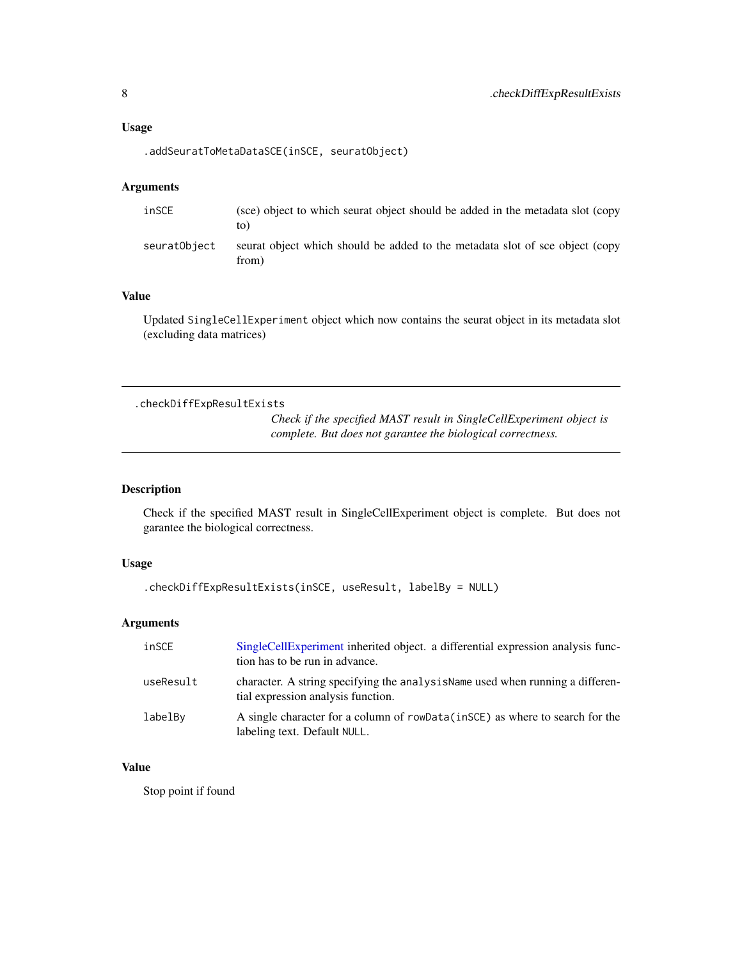#### <span id="page-7-0"></span>Usage

```
.addSeuratToMetaDataSCE(inSCE, seuratObject)
```
#### Arguments

| inSCE        | (see) object to which seurat object should be added in the metadata slot (copy)<br>to) |
|--------------|----------------------------------------------------------------------------------------|
| seuratObiect | seurat object which should be added to the metadata slot of sce object (copy<br>from)  |

## Value

Updated SingleCellExperiment object which now contains the seurat object in its metadata slot (excluding data matrices)

.checkDiffExpResultExists

*Check if the specified MAST result in SingleCellExperiment object is complete. But does not garantee the biological correctness.*

## Description

Check if the specified MAST result in SingleCellExperiment object is complete. But does not garantee the biological correctness.

## Usage

```
.checkDiffExpResultExists(inSCE, useResult, labelBy = NULL)
```
#### Arguments

| inSCE     | SingleCellExperiment inherited object. a differential expression analysis func-<br>tion has to be run in advance.    |
|-----------|----------------------------------------------------------------------------------------------------------------------|
| useResult | character. A string specifying the analysis Name used when running a differen-<br>tial expression analysis function. |
| labelBy   | A single character for a column of rowData(inSCE) as where to search for the<br>labeling text. Default NULL.         |

#### Value

Stop point if found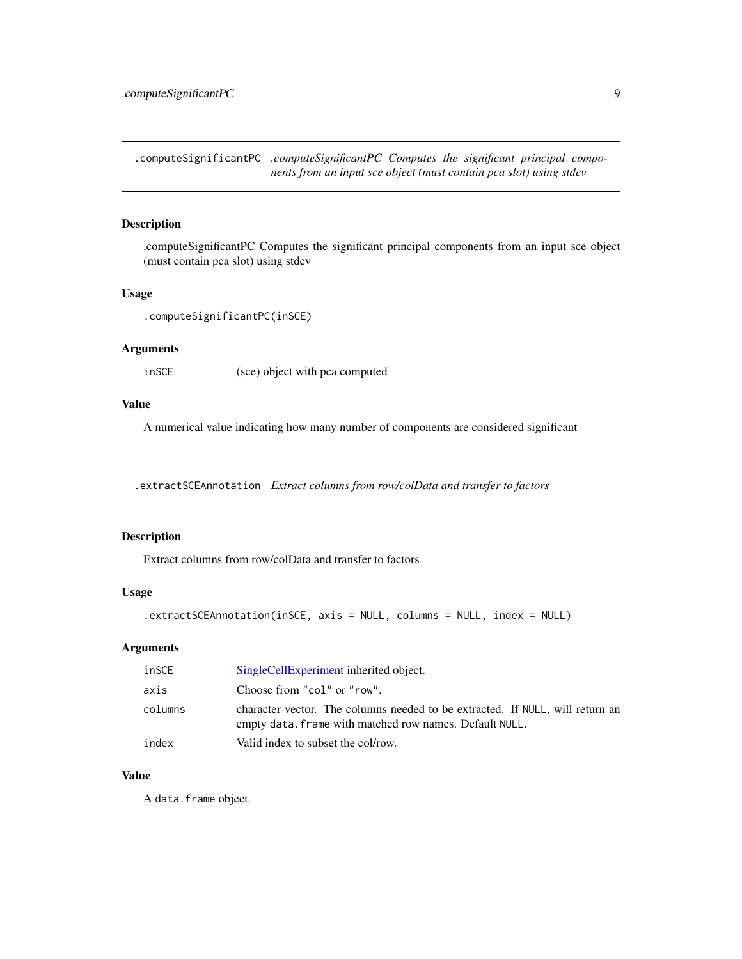<span id="page-8-0"></span>.computeSignificantPC *.computeSignificantPC Computes the significant principal components from an input sce object (must contain pca slot) using stdev*

#### Description

.computeSignificantPC Computes the significant principal components from an input sce object (must contain pca slot) using stdev

#### Usage

```
.computeSignificantPC(inSCE)
```
## Arguments

inSCE (sce) object with pca computed

## Value

A numerical value indicating how many number of components are considered significant

.extractSCEAnnotation *Extract columns from row/colData and transfer to factors*

#### Description

Extract columns from row/colData and transfer to factors

## Usage

```
.extractSCEAnnotation(inSCE, axis = NULL, columns = NULL, index = NULL)
```
## Arguments

| inSCE   | SingleCellExperiment inherited object.                                                                                                   |
|---------|------------------------------------------------------------------------------------------------------------------------------------------|
| axis    | Choose from "col" or "row".                                                                                                              |
| columns | character vector. The columns needed to be extracted. If NULL, will return an<br>empty data. frame with matched row names. Default NULL. |
| index   | Valid index to subset the col/row.                                                                                                       |

## Value

A data.frame object.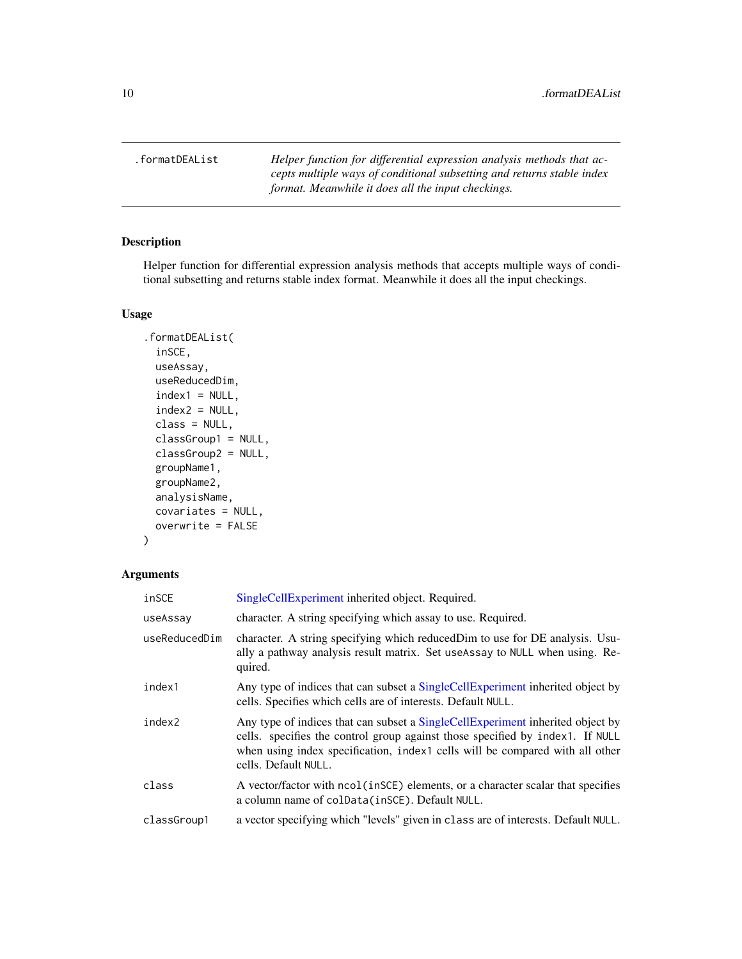<span id="page-9-0"></span>.formatDEAList *Helper function for differential expression analysis methods that accepts multiple ways of conditional subsetting and returns stable index format. Meanwhile it does all the input checkings.*

#### Description

Helper function for differential expression analysis methods that accepts multiple ways of conditional subsetting and returns stable index format. Meanwhile it does all the input checkings.

#### Usage

```
.formatDEAList(
  inSCE,
 useAssay,
 useReducedDim,
  index1 = NULL,index2 = NULL,class = NULL,
 classGroup1 = NULL,
  classGroup2 = NULL,
  groupName1,
  groupName2,
  analysisName,
 covariates = NULL,
 overwrite = FALSE
)
```

| inSCE         | SingleCellExperiment inherited object. Required.                                                                                                                                                                                                                        |
|---------------|-------------------------------------------------------------------------------------------------------------------------------------------------------------------------------------------------------------------------------------------------------------------------|
| useAssay      | character. A string specifying which assay to use. Required.                                                                                                                                                                                                            |
| useReducedDim | character. A string specifying which reducedDim to use for DE analysis. Usu-<br>ally a pathway analysis result matrix. Set useAssay to NULL when using. Re-<br>quired.                                                                                                  |
| index1        | Any type of indices that can subset a SingleCellExperiment inherited object by<br>cells. Specifies which cells are of interests. Default NULL.                                                                                                                          |
| index2        | Any type of indices that can subset a SingleCellExperiment inherited object by<br>cells. specifies the control group against those specified by index1. If NULL<br>when using index specification, index1 cells will be compared with all other<br>cells. Default NULL. |
| class         | A vector/factor with ncol (inSCE) elements, or a character scalar that specifies<br>a column name of colData(inSCE). Default NULL.                                                                                                                                      |
| classGroup1   | a vector specifying which "levels" given in class are of interests. Default NULL.                                                                                                                                                                                       |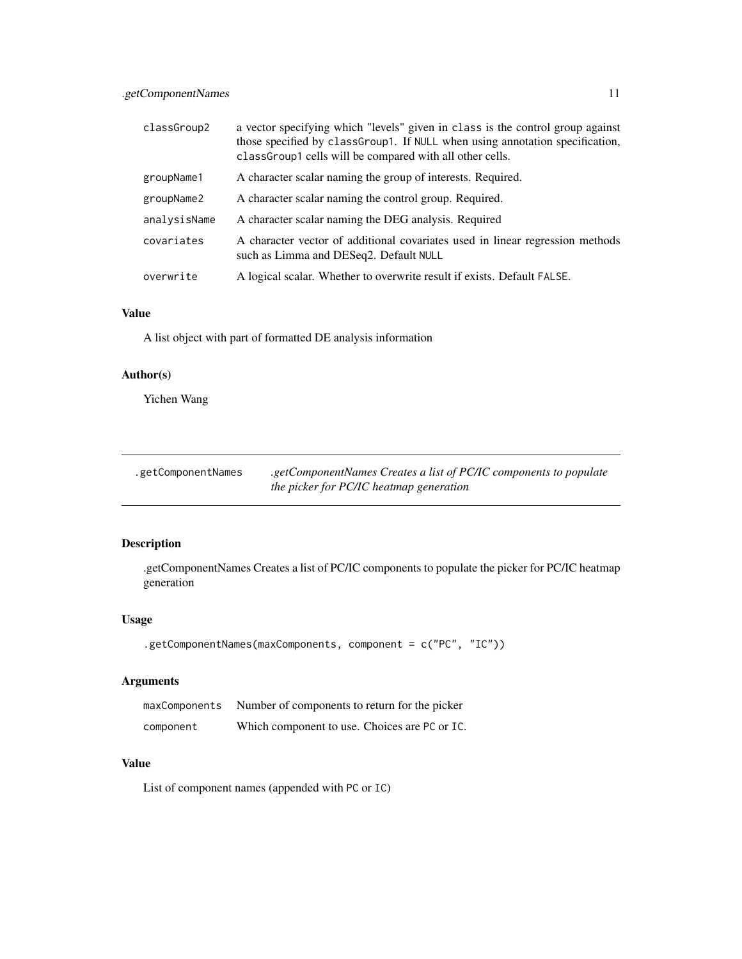<span id="page-10-0"></span>

| classGroup2  | a vector specifying which "levels" given in class is the control group against<br>those specified by classGroup1. If NULL when using annotation specification,<br>classGroup1 cells will be compared with all other cells. |
|--------------|----------------------------------------------------------------------------------------------------------------------------------------------------------------------------------------------------------------------------|
| groupName1   | A character scalar naming the group of interests. Required.                                                                                                                                                                |
| groupName2   | A character scalar naming the control group. Required.                                                                                                                                                                     |
| analysisName | A character scalar naming the DEG analysis. Required                                                                                                                                                                       |
| covariates   | A character vector of additional covariates used in linear regression methods<br>such as Limma and DESeq2. Default NULL                                                                                                    |
| overwrite    | A logical scalar. Whether to overwrite result if exists. Default FALSE.                                                                                                                                                    |

## Value

A list object with part of formatted DE analysis information

## Author(s)

Yichen Wang

| .getComponentNames | getComponentNames Creates a list of PC/IC components to populate |
|--------------------|------------------------------------------------------------------|
|                    | the picker for PC/IC heatmap generation                          |

## Description

.getComponentNames Creates a list of PC/IC components to populate the picker for PC/IC heatmap generation

#### Usage

```
.getComponentNames(maxComponents, component = c("PC", "IC"))
```
#### Arguments

|           | maxComponents Number of components to return for the picker |
|-----------|-------------------------------------------------------------|
| component | Which component to use. Choices are PC or IC.               |

#### Value

List of component names (appended with PC or IC)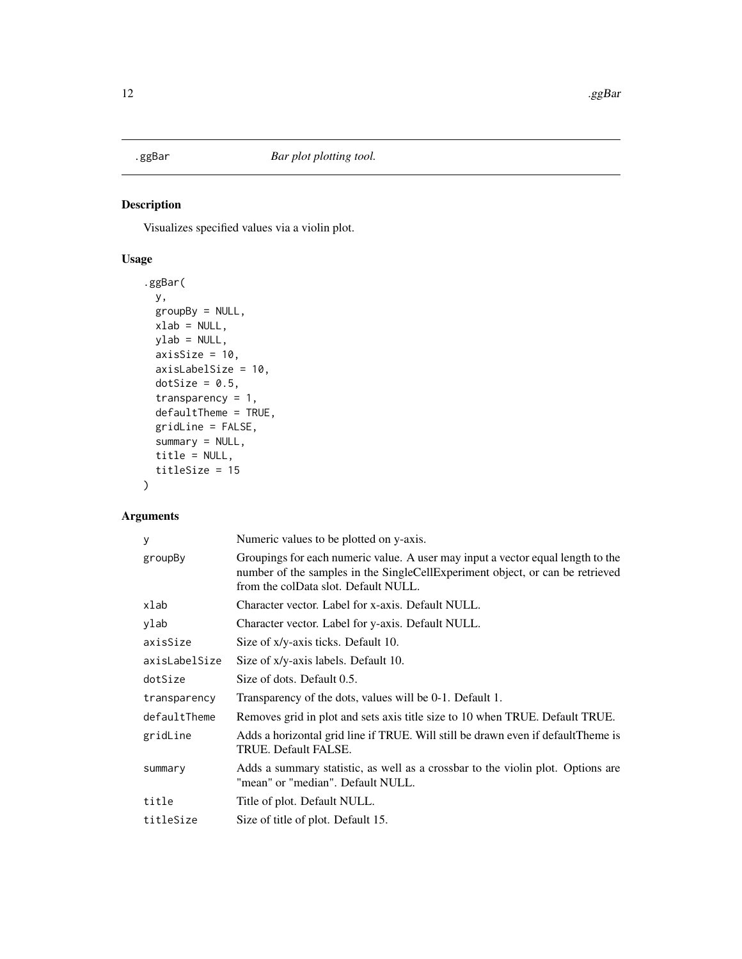<span id="page-11-0"></span>

## Description

Visualizes specified values via a violin plot.

## Usage

```
.ggBar(
 y,
 groupBy = NULL,
 xlab = NULL,
 ylab = NULL,
 axisSize = 10,
  axisLabelSize = 10,
 dotSize = 0.5,
  transparency = 1,
  defaultTheme = TRUE,
 gridLine = FALSE,
  summary = NULL,
  title = NULL,
  titleSize = 15
)
```

| y             | Numeric values to be plotted on y-axis.                                                                                                                                                                  |  |
|---------------|----------------------------------------------------------------------------------------------------------------------------------------------------------------------------------------------------------|--|
| groupBy       | Groupings for each numeric value. A user may input a vector equal length to the<br>number of the samples in the SingleCellExperiment object, or can be retrieved<br>from the colData slot. Default NULL. |  |
| xlab          | Character vector. Label for x-axis. Default NULL.                                                                                                                                                        |  |
| ylab          | Character vector. Label for y-axis. Default NULL.                                                                                                                                                        |  |
| axisSize      | Size of x/y-axis ticks. Default 10.                                                                                                                                                                      |  |
| axisLabelSize | Size of x/y-axis labels. Default 10.                                                                                                                                                                     |  |
| dotSize       | Size of dots. Default 0.5.                                                                                                                                                                               |  |
| transparency  | Transparency of the dots, values will be 0-1. Default 1.                                                                                                                                                 |  |
| defaultTheme  | Removes grid in plot and sets axis title size to 10 when TRUE. Default TRUE.                                                                                                                             |  |
| gridLine      | Adds a horizontal grid line if TRUE. Will still be drawn even if default Theme is<br>TRUE. Default FALSE.                                                                                                |  |
| summary       | Adds a summary statistic, as well as a crossbar to the violin plot. Options are<br>"mean" or "median". Default NULL.                                                                                     |  |
| title         | Title of plot. Default NULL.                                                                                                                                                                             |  |
| titleSize     | Size of title of plot. Default 15.                                                                                                                                                                       |  |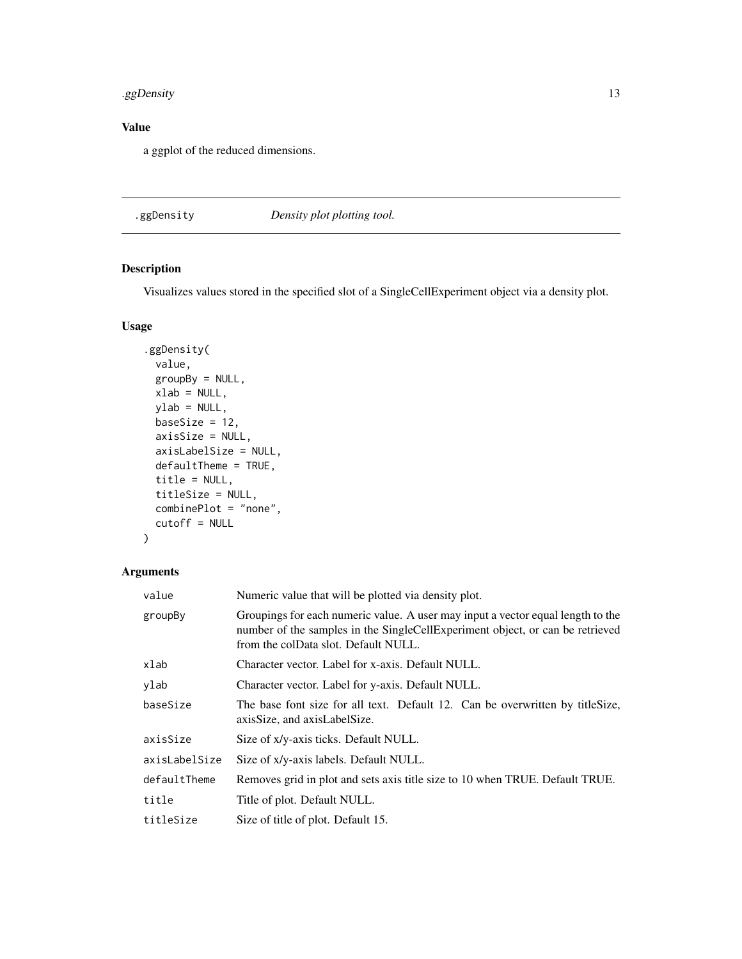## <span id="page-12-0"></span>.ggDensity 13

## Value

a ggplot of the reduced dimensions.

## .ggDensity *Density plot plotting tool.*

## Description

Visualizes values stored in the specified slot of a SingleCellExperiment object via a density plot.

## Usage

```
.ggDensity(
 value,
 groupBy = NULL,
 xlab = NULL,
 ylab = NULL,
 baseSize = 12,
 axisSize = NULL,
 axisLabelSize = NULL,
 defaultTheme = TRUE,
 title = NULL,
 titleSize = NULL,
 combinePlot = "none",
  cutoff = NULL
)
```

| value         | Numeric value that will be plotted via density plot.                                                                                                                                                     |  |
|---------------|----------------------------------------------------------------------------------------------------------------------------------------------------------------------------------------------------------|--|
| groupBy       | Groupings for each numeric value. A user may input a vector equal length to the<br>number of the samples in the SingleCellExperiment object, or can be retrieved<br>from the colData slot. Default NULL. |  |
| xlab          | Character vector. Label for x-axis. Default NULL.                                                                                                                                                        |  |
| ylab          | Character vector. Label for y-axis. Default NULL.                                                                                                                                                        |  |
| baseSize      | The base font size for all text. Default 12. Can be overwritten by title Size,<br>axisSize, and axisLabelSize.                                                                                           |  |
| axisSize      | Size of x/y-axis ticks. Default NULL.                                                                                                                                                                    |  |
| axisLabelSize | Size of x/y-axis labels. Default NULL.                                                                                                                                                                   |  |
| defaultTheme  | Removes grid in plot and sets axis title size to 10 when TRUE. Default TRUE.                                                                                                                             |  |
| title         | Title of plot. Default NULL.                                                                                                                                                                             |  |
| titleSize     | Size of title of plot. Default 15.                                                                                                                                                                       |  |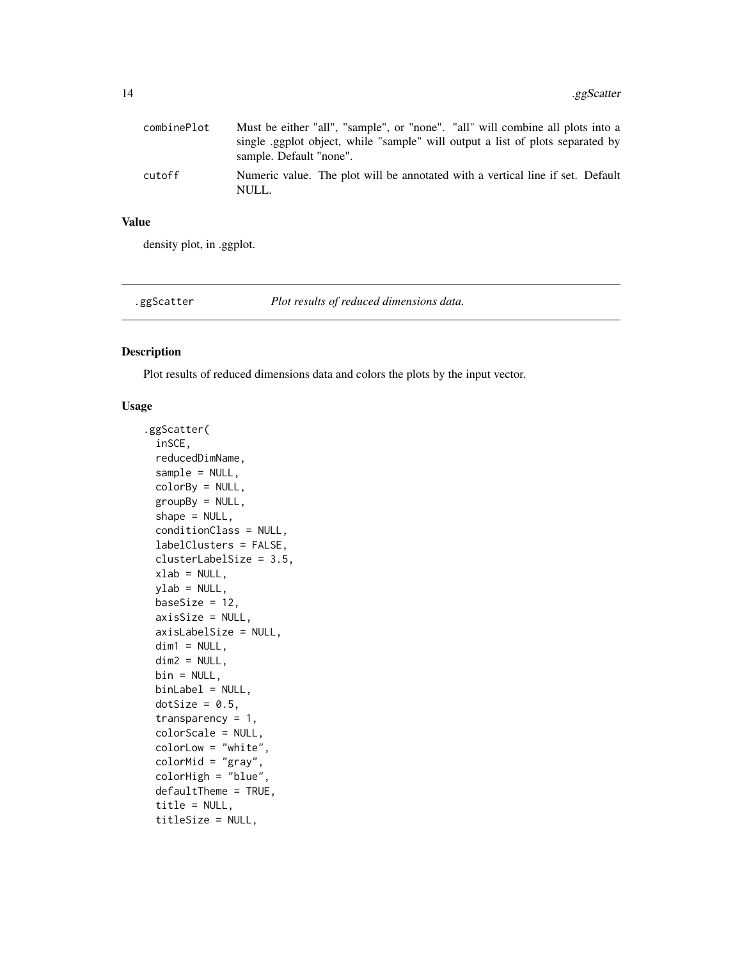<span id="page-13-0"></span>

| combinePlot | Must be either "all", "sample", or "none". "all" will combine all plots into a<br>single eggplot object, while "sample" will output a list of plots separated by |
|-------------|------------------------------------------------------------------------------------------------------------------------------------------------------------------|
|             | sample. Default "none".                                                                                                                                          |
| cutoff      | Numeric value. The plot will be annotated with a vertical line if set. Default<br>NULL.                                                                          |

#### Value

density plot, in .ggplot.

.ggScatter *Plot results of reduced dimensions data.*

## Description

Plot results of reduced dimensions data and colors the plots by the input vector.

## Usage

```
.ggScatter(
  inSCE,
  reducedDimName,
  sample = NULL,
 colorBy = NULL,
  groupBy = NULL,shape = NULL,
  conditionClass = NULL,
  labelClusters = FALSE,
  clusterLabelSize = 3.5,
 xlab = NULL,
 ylab = NULL,
 baseSize = 12,
  axisSize = NULL,
  axisLabelSize = NULL,
 dim1 = NULL,dim2 = NULL,bin = NULL,binLabel = NULL,
 dotSize = 0.5,
  transparency = 1,
  colorScale = NULL,
  colorLow = "white",
  colorMid = "gray",
  colorHigh = "blue",
  defaultTheme = TRUE,
  title = NULL,
  titleSize = NULL,
```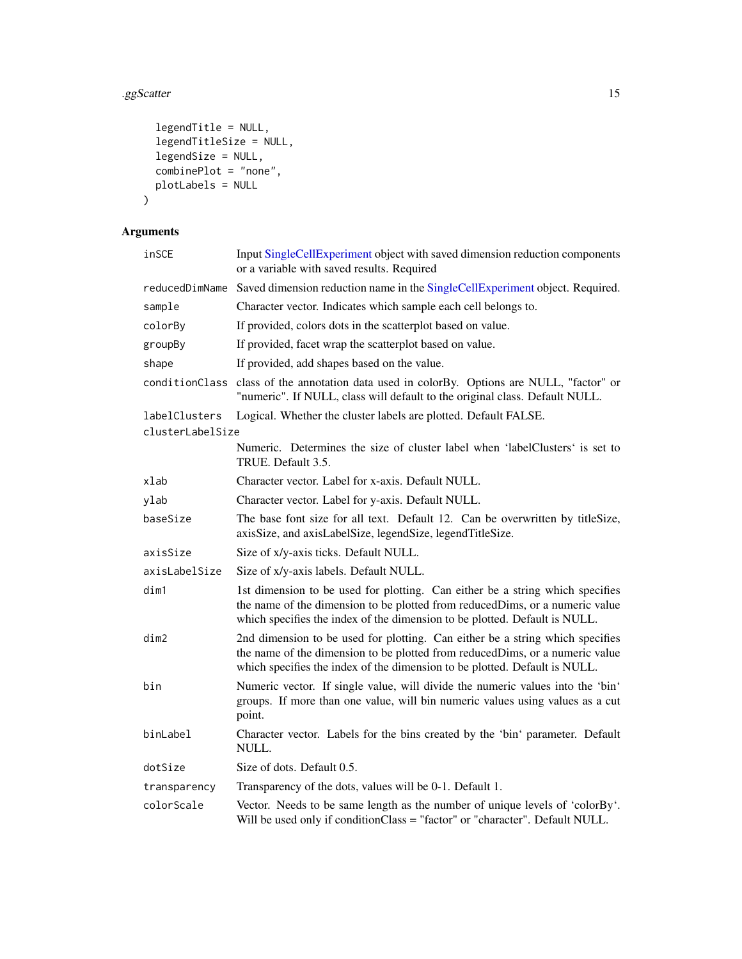## .ggScatter 15

```
legendTitle = NULL,
  legendTitleSize = NULL,
 legendSize = NULL,
 combinePlot = "none",
 plotLabels = NULL
\mathcal{L}
```

| inSCE            | Input SingleCellExperiment object with saved dimension reduction components<br>or a variable with saved results. Required                                                                                                                   |
|------------------|---------------------------------------------------------------------------------------------------------------------------------------------------------------------------------------------------------------------------------------------|
| reducedDimName   | Saved dimension reduction name in the SingleCellExperiment object. Required.                                                                                                                                                                |
| sample           | Character vector. Indicates which sample each cell belongs to.                                                                                                                                                                              |
| colorBy          | If provided, colors dots in the scatterplot based on value.                                                                                                                                                                                 |
| groupBy          | If provided, facet wrap the scatterplot based on value.                                                                                                                                                                                     |
| shape            | If provided, add shapes based on the value.                                                                                                                                                                                                 |
| conditionClass   | class of the annotation data used in colorBy. Options are NULL, "factor" or<br>"numeric". If NULL, class will default to the original class. Default NULL.                                                                                  |
| labelClusters    | Logical. Whether the cluster labels are plotted. Default FALSE.                                                                                                                                                                             |
| clusterLabelSize |                                                                                                                                                                                                                                             |
|                  | Numeric. Determines the size of cluster label when 'labelClusters' is set to<br>TRUE. Default 3.5.                                                                                                                                          |
| xlab             | Character vector. Label for x-axis. Default NULL.                                                                                                                                                                                           |
| ylab             | Character vector. Label for y-axis. Default NULL.                                                                                                                                                                                           |
| baseSize         | The base font size for all text. Default 12. Can be overwritten by titleSize,<br>axisSize, and axisLabelSize, legendSize, legendTitleSize.                                                                                                  |
| axisSize         | Size of x/y-axis ticks. Default NULL.                                                                                                                                                                                                       |
| axisLabelSize    | Size of x/y-axis labels. Default NULL.                                                                                                                                                                                                      |
| dim1             | 1st dimension to be used for plotting. Can either be a string which specifies<br>the name of the dimension to be plotted from reducedDims, or a numeric value<br>which specifies the index of the dimension to be plotted. Default is NULL. |
| dim2             | 2nd dimension to be used for plotting. Can either be a string which specifies<br>the name of the dimension to be plotted from reducedDims, or a numeric value<br>which specifies the index of the dimension to be plotted. Default is NULL. |
| bin              | Numeric vector. If single value, will divide the numeric values into the 'bin'<br>groups. If more than one value, will bin numeric values using values as a cut<br>point.                                                                   |
| binLabel         | Character vector. Labels for the bins created by the 'bin' parameter. Default<br>NULL.                                                                                                                                                      |
| dotSize          | Size of dots. Default 0.5.                                                                                                                                                                                                                  |
| transparency     | Transparency of the dots, values will be 0-1. Default 1.                                                                                                                                                                                    |
| colorScale       | Vector. Needs to be same length as the number of unique levels of 'colorBy'.<br>Will be used only if conditionClass = "factor" or "character". Default NULL.                                                                                |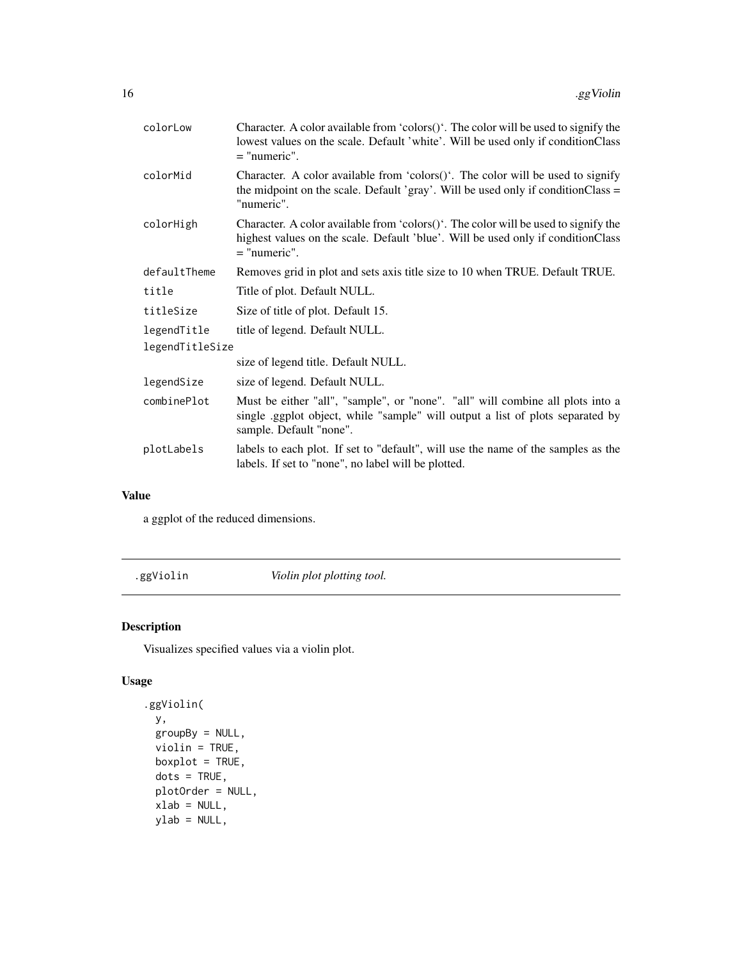<span id="page-15-0"></span>

| colorLow        | Character. A color available from 'colors()'. The color will be used to signify the<br>lowest values on the scale. Default 'white'. Will be used only if conditionClass<br>$=$ "numeric".  |  |
|-----------------|--------------------------------------------------------------------------------------------------------------------------------------------------------------------------------------------|--|
| colorMid        | Character. A color available from 'colors $()$ '. The color will be used to signify<br>the midpoint on the scale. Default 'gray'. Will be used only if conditionClass $=$<br>"numeric".    |  |
| colorHigh       | Character. A color available from 'colors()'. The color will be used to signify the<br>highest values on the scale. Default 'blue'. Will be used only if conditionClass<br>$=$ "numeric".  |  |
| defaultTheme    | Removes grid in plot and sets axis title size to 10 when TRUE. Default TRUE.                                                                                                               |  |
| title           | Title of plot. Default NULL.                                                                                                                                                               |  |
| titleSize       | Size of title of plot. Default 15.                                                                                                                                                         |  |
| legendTitle     | title of legend. Default NULL.                                                                                                                                                             |  |
| legendTitleSize |                                                                                                                                                                                            |  |
|                 | size of legend title. Default NULL.                                                                                                                                                        |  |
| legendSize      | size of legend. Default NULL.                                                                                                                                                              |  |
| combinePlot     | Must be either "all", "sample", or "none". "all" will combine all plots into a<br>single applot object, while "sample" will output a list of plots separated by<br>sample. Default "none". |  |
| plotLabels      | labels to each plot. If set to "default", will use the name of the samples as the<br>labels. If set to "none", no label will be plotted.                                                   |  |

#### Value

a ggplot of the reduced dimensions.

.ggViolin *Violin plot plotting tool.*

## Description

Visualizes specified values via a violin plot.

## Usage

```
.ggViolin(
 y,
 groupBy = NULL,
 violin = TRUE,
 boxplot = TRUE,
 dots = TRUE,plotOrder = NULL,
 xlab = NULL,ylab = NULL,
```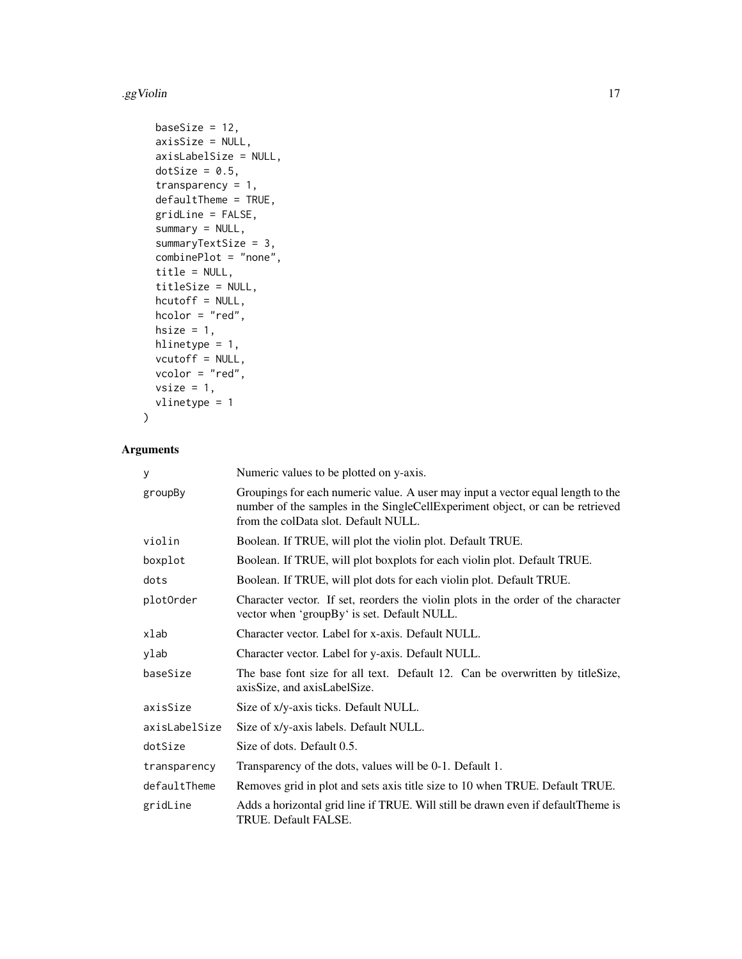#### .ggViolin 2008.com and 2008.com and 2008.com and 2008.com and 2008.com and 2008.com and 2008.com and 2008.com and 2008.com and 2008.com and 2008.com and 2008.com and 2008.com and 2008.com and 2008.com and 2008.com and 2008

```
baseSize = 12,
axisSize = NULL,
axisLabelSize = NULL,
dotSize = 0.5,
transparency = 1,
defaultTheme = TRUE,
gridLine = FALSE,
summary = NULL,
summaryTextSize = 3,
combinePlot = "none",
title = NULL,
titleSize = NULL,
hcutoff = NULL,
hcolor = "red",
hsize = 1,
hlinetype = 1,
vcutoff = NULL,
vcolor = "red",
vsize = 1,vlinetype = 1
```
## Arguments

)

| У             | Numeric values to be plotted on y-axis.                                                                                                                                                                  |
|---------------|----------------------------------------------------------------------------------------------------------------------------------------------------------------------------------------------------------|
| groupBy       | Groupings for each numeric value. A user may input a vector equal length to the<br>number of the samples in the SingleCellExperiment object, or can be retrieved<br>from the colData slot. Default NULL. |
| violin        | Boolean. If TRUE, will plot the violin plot. Default TRUE.                                                                                                                                               |
| boxplot       | Boolean. If TRUE, will plot boxplots for each violin plot. Default TRUE.                                                                                                                                 |
| dots          | Boolean. If TRUE, will plot dots for each violin plot. Default TRUE.                                                                                                                                     |
| plotOrder     | Character vector. If set, reorders the violin plots in the order of the character<br>vector when 'groupBy' is set. Default NULL.                                                                         |
| xlab          | Character vector. Label for x-axis. Default NULL.                                                                                                                                                        |
| ylab          | Character vector. Label for y-axis. Default NULL.                                                                                                                                                        |
| baseSize      | The base font size for all text. Default 12. Can be overwritten by titleSize,<br>axisSize, and axisLabelSize.                                                                                            |
| axisSize      | Size of x/y-axis ticks. Default NULL.                                                                                                                                                                    |
| axisLabelSize | Size of x/y-axis labels. Default NULL.                                                                                                                                                                   |
| dotSize       | Size of dots. Default 0.5.                                                                                                                                                                               |
| transparency  | Transparency of the dots, values will be 0-1. Default 1.                                                                                                                                                 |
| defaultTheme  | Removes grid in plot and sets axis title size to 10 when TRUE. Default TRUE.                                                                                                                             |
| gridLine      | Adds a horizontal grid line if TRUE. Will still be drawn even if default Theme is<br>TRUE. Default FALSE.                                                                                                |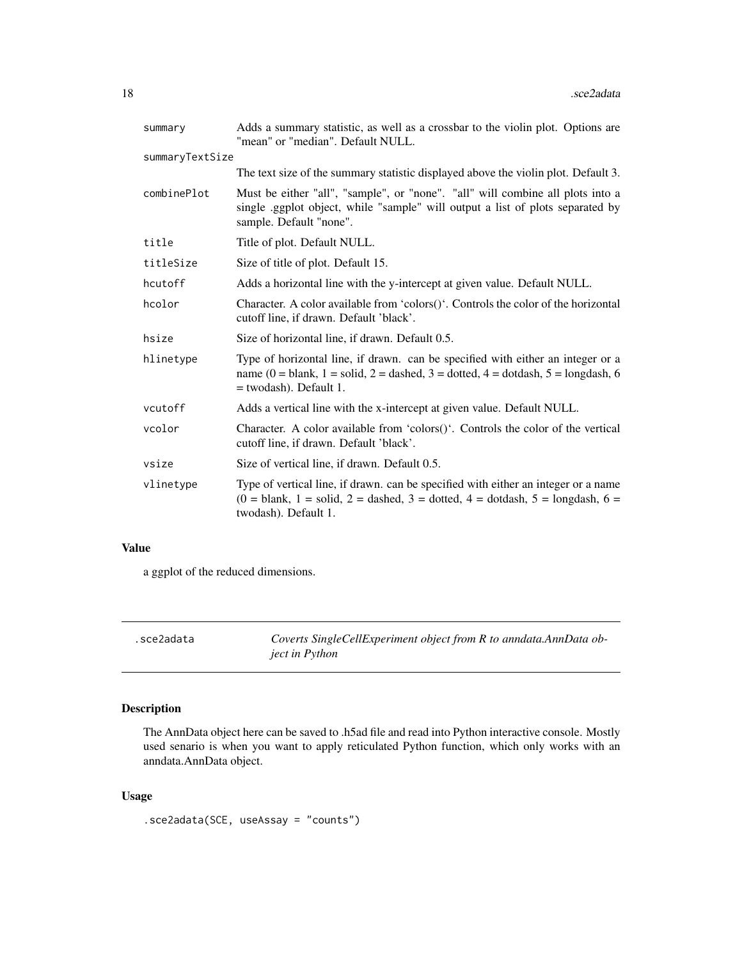<span id="page-17-0"></span>

| summary         | Adds a summary statistic, as well as a crossbar to the violin plot. Options are<br>"mean" or "median". Default NULL.                                                                            |  |
|-----------------|-------------------------------------------------------------------------------------------------------------------------------------------------------------------------------------------------|--|
| summaryTextSize |                                                                                                                                                                                                 |  |
|                 | The text size of the summary statistic displayed above the violin plot. Default 3.                                                                                                              |  |
| combinePlot     | Must be either "all", "sample", or "none". "all" will combine all plots into a<br>single ggplot object, while "sample" will output a list of plots separated by<br>sample. Default "none".      |  |
| title           | Title of plot. Default NULL.                                                                                                                                                                    |  |
| titleSize       | Size of title of plot. Default 15.                                                                                                                                                              |  |
| hcutoff         | Adds a horizontal line with the y-intercept at given value. Default NULL.                                                                                                                       |  |
| hcolor          | Character. A color available from 'colors()'. Controls the color of the horizontal<br>cutoff line, if drawn. Default 'black'.                                                                   |  |
| hsize           | Size of horizontal line, if drawn. Default 0.5.                                                                                                                                                 |  |
| hlinetype       | Type of horizontal line, if drawn. can be specified with either an integer or a<br>name (0 = blank, 1 = solid, 2 = dashed, 3 = dotted, 4 = dotdash, 5 = longdash, 6<br>$=$ twodash). Default 1. |  |
| vcutoff         | Adds a vertical line with the x-intercept at given value. Default NULL.                                                                                                                         |  |
| vcolor          | Character. A color available from 'colors()'. Controls the color of the vertical<br>cutoff line, if drawn. Default 'black'.                                                                     |  |
| vsize           | Size of vertical line, if drawn. Default 0.5.                                                                                                                                                   |  |
| vlinetype       | Type of vertical line, if drawn. can be specified with either an integer or a name<br>$(0 = blank, 1 = solid, 2 = dashed, 3 = dotted, 4 = dotdash, 5 = longdash, 6 =$<br>twodash). Default 1.   |  |

## Value

a ggplot of the reduced dimensions.

.sce2adata *Coverts SingleCellExperiment object from R to anndata.AnnData object in Python*

## Description

The AnnData object here can be saved to .h5ad file and read into Python interactive console. Mostly used senario is when you want to apply reticulated Python function, which only works with an anndata.AnnData object.

#### Usage

.sce2adata(SCE, useAssay = "counts")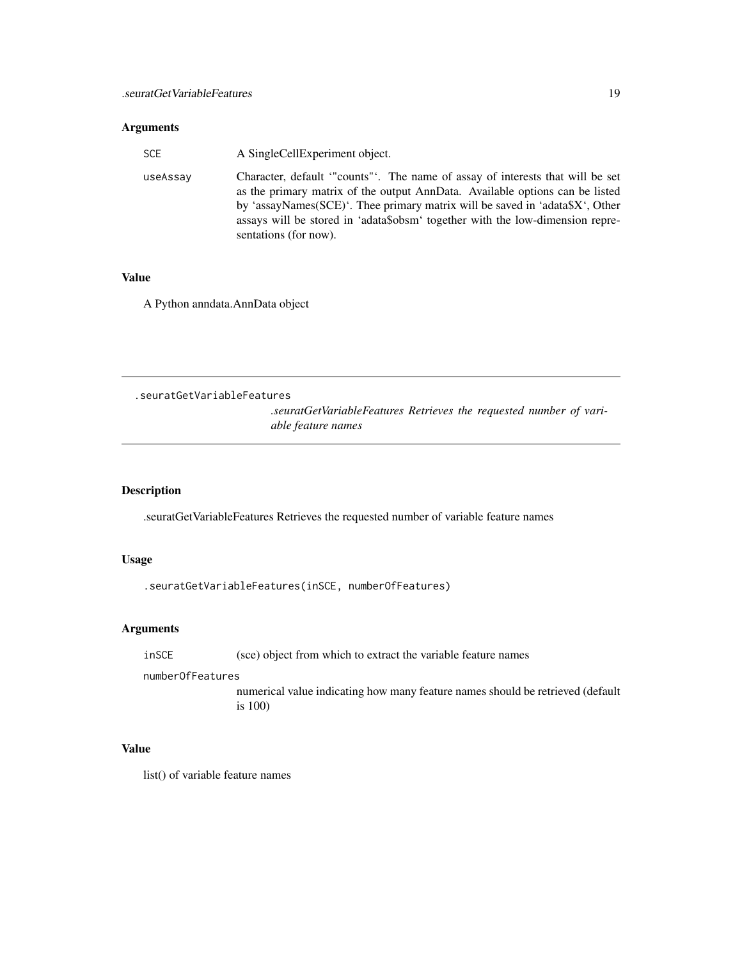#### <span id="page-18-0"></span>Arguments

| SCE      | A SingleCellExperiment object.                                                                                                                                                                                                                                                                                                                         |  |
|----------|--------------------------------------------------------------------------------------------------------------------------------------------------------------------------------------------------------------------------------------------------------------------------------------------------------------------------------------------------------|--|
| useAssay | Character, default "counts". The name of assay of interests that will be set<br>as the primary matrix of the output AnnData. Available options can be listed<br>by 'assayNames(SCE)'. Thee primary matrix will be saved in 'adata\$X', Other<br>assays will be stored in 'adata\$obsm' together with the low-dimension repre-<br>sentations (for now). |  |
|          |                                                                                                                                                                                                                                                                                                                                                        |  |

#### Value

A Python anndata.AnnData object

.seuratGetVariableFeatures

*.seuratGetVariableFeatures Retrieves the requested number of variable feature names*

## Description

.seuratGetVariableFeatures Retrieves the requested number of variable feature names

## Usage

.seuratGetVariableFeatures(inSCE, numberOfFeatures)

## Arguments

inSCE (sce) object from which to extract the variable feature names

numberOfFeatures

numerical value indicating how many feature names should be retrieved (default is 100)

#### Value

list() of variable feature names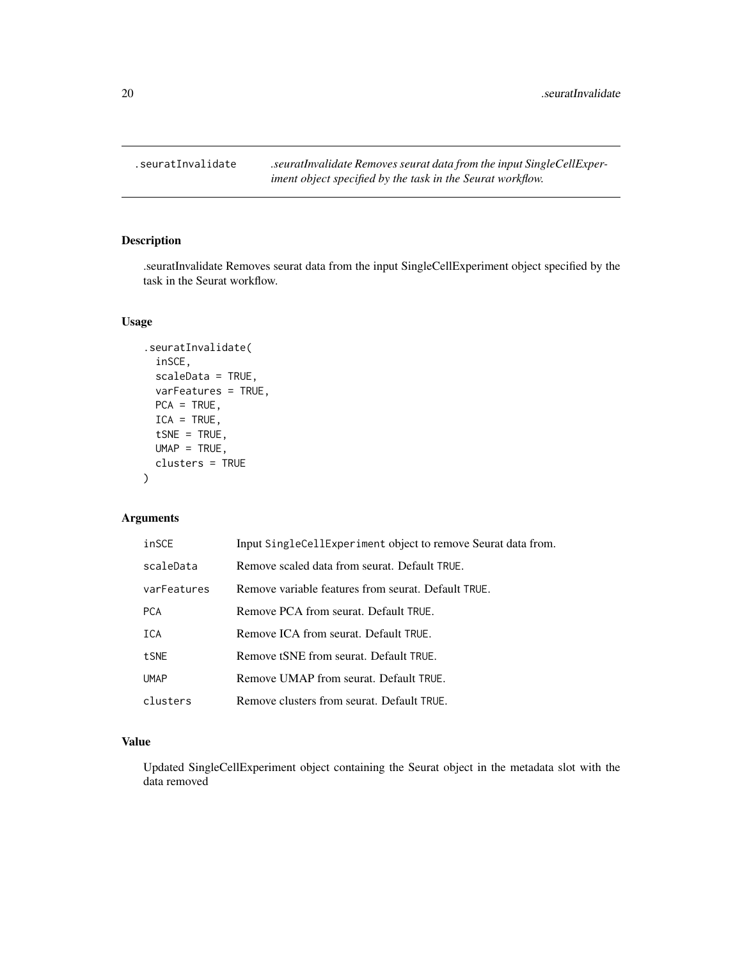<span id="page-19-0"></span>.seuratInvalidate *.seuratInvalidate Removes seurat data from the input SingleCellExperiment object specified by the task in the Seurat workflow.*

## Description

.seuratInvalidate Removes seurat data from the input SingleCellExperiment object specified by the task in the Seurat workflow.

#### Usage

```
.seuratInvalidate(
 inSCE,
 scaleData = TRUE,
 varFeatures = TRUE,
 PCA = TRUE,ICA = TRUE,tSNE = TRUE,
 UMAP = TRUE,clusters = TRUE
)
```
## Arguments

| inSCE       | Input SingleCellExperiment object to remove Seurat data from. |
|-------------|---------------------------------------------------------------|
| scaleData   | Remove scaled data from seurat. Default TRUE.                 |
| varFeatures | Remove variable features from seurat. Default TRUE.           |
| <b>PCA</b>  | Remove PCA from seurat. Default TRUE.                         |
| ICA         | Remove ICA from seurat. Default TRUE.                         |
| tSNE        | Remove tSNE from seurat. Default TRUE.                        |
| <b>UMAP</b> | Remove UMAP from seurat. Default TRUE.                        |
| clusters    | Remove clusters from seurat. Default TRUE.                    |

## Value

Updated SingleCellExperiment object containing the Seurat object in the metadata slot with the data removed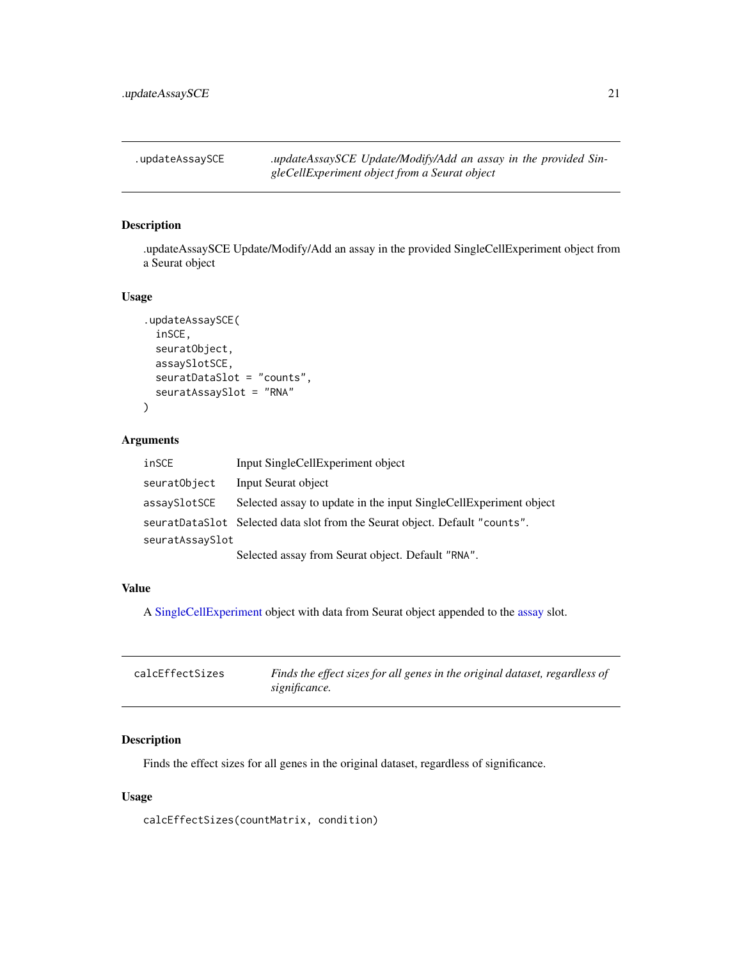<span id="page-20-0"></span>.updateAssaySCE *.updateAssaySCE Update/Modify/Add an assay in the provided SingleCellExperiment object from a Seurat object*

## Description

.updateAssaySCE Update/Modify/Add an assay in the provided SingleCellExperiment object from a Seurat object

#### Usage

```
.updateAssaySCE(
  inSCE,
  seuratObject,
 assaySlotSCE,
  seuratDataSlot = "counts",
 seuratAssaySlot = "RNA"
)
```
#### Arguments

| inSCE           | Input SingleCellExperiment object                                           |
|-----------------|-----------------------------------------------------------------------------|
| seuratObject    | Input Seurat object                                                         |
| assavSlotSCE    | Selected assay to update in the input SingleCellExperiment object           |
|                 | seuratDataSlot Selected data slot from the Seurat object. Default "counts". |
| seuratAssaySlot |                                                                             |
|                 | Selected assay from Seurat object. Default "RNA".                           |

## Value

A [SingleCellExperiment](#page-0-0) object with data from Seurat object appended to the [assay](#page-0-0) slot.

| calcEffectSizes | Finds the effect sizes for all genes in the original dataset, regardless of |
|-----------------|-----------------------------------------------------------------------------|
|                 | significance.                                                               |

## Description

Finds the effect sizes for all genes in the original dataset, regardless of significance.

## Usage

calcEffectSizes(countMatrix, condition)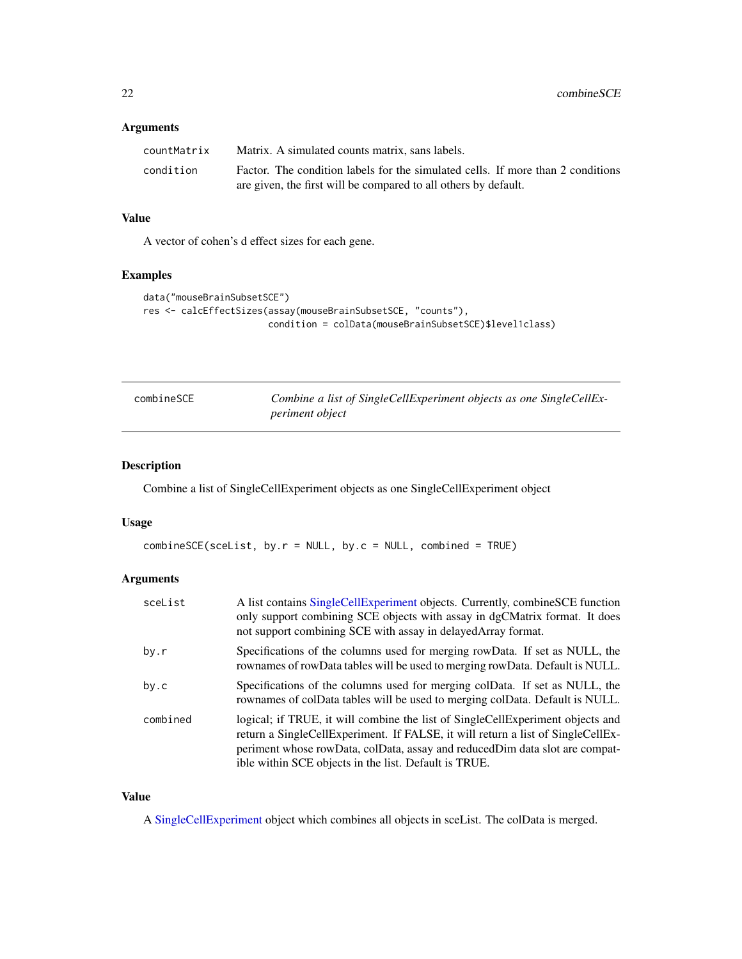#### <span id="page-21-0"></span>Arguments

| countMatrix | Matrix. A simulated counts matrix, sans labels.                                 |
|-------------|---------------------------------------------------------------------------------|
| condition   | Factor. The condition labels for the simulated cells. If more than 2 conditions |
|             | are given, the first will be compared to all others by default.                 |

#### Value

A vector of cohen's d effect sizes for each gene.

#### Examples

```
data("mouseBrainSubsetSCE")
res <- calcEffectSizes(assay(mouseBrainSubsetSCE, "counts"),
                       condition = colData(mouseBrainSubsetSCE)$level1class)
```

| combineSCE | Combine a list of SingleCellExperiment objects as one SingleCellEx- |
|------------|---------------------------------------------------------------------|
|            | <i>periment object</i>                                              |

## Description

Combine a list of SingleCellExperiment objects as one SingleCellExperiment object

#### Usage

```
combineSE(scelist, by.r = NULL, by.c = NULL, combined = TRUE)
```
## Arguments

| sceList  | A list contains SingleCellExperiment objects. Currently, combineSCE function<br>only support combining SCE objects with assay in dgCMatrix format. It does<br>not support combining SCE with assay in delayed Array format.                                                                               |
|----------|-----------------------------------------------------------------------------------------------------------------------------------------------------------------------------------------------------------------------------------------------------------------------------------------------------------|
| by.r     | Specifications of the columns used for merging rowData. If set as NULL, the<br>rownames of rowData tables will be used to merging rowData. Default is NULL.                                                                                                                                               |
| by.c     | Specifications of the columns used for merging colData. If set as NULL, the<br>rownames of colData tables will be used to merging colData. Default is NULL.                                                                                                                                               |
| combined | logical; if TRUE, it will combine the list of SingleCellExperiment objects and<br>return a SingleCellExperiment. If FALSE, it will return a list of SingleCellEx-<br>periment whose rowData, colData, assay and reducedDim data slot are compat-<br>ible within SCE objects in the list. Default is TRUE. |

#### Value

A [SingleCellExperiment](#page-0-0) object which combines all objects in sceList. The colData is merged.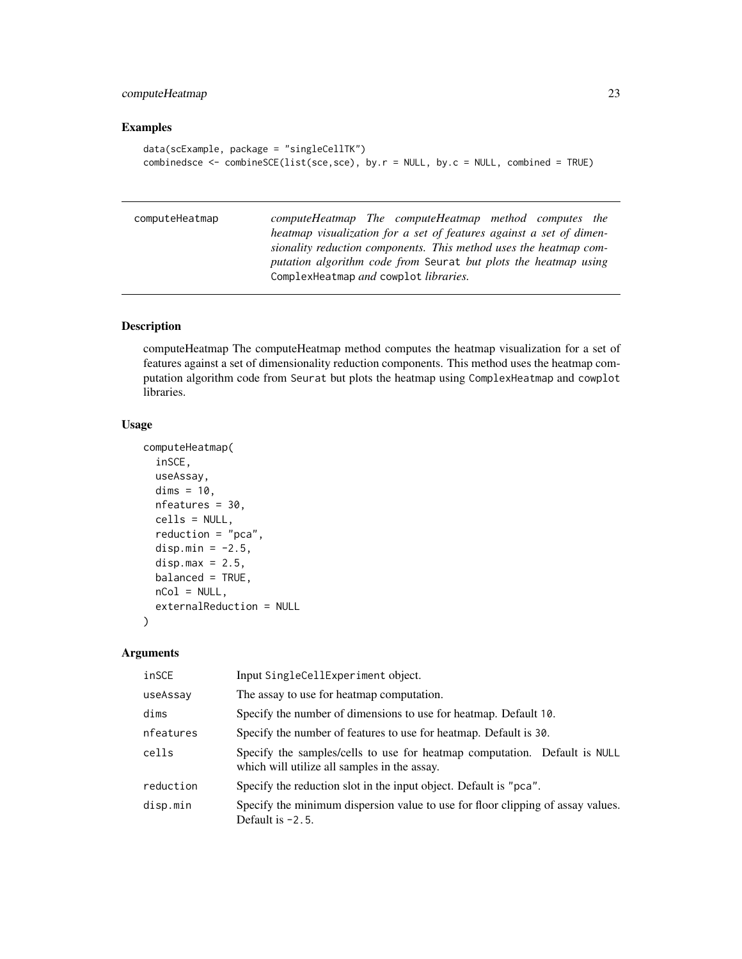## <span id="page-22-0"></span>computeHeatmap 23

## Examples

```
data(scExample, package = "singleCellTK")
combinedsce <- combineSCE(list(sce,sce), by.r = NULL, by.c = NULL, combined = TRUE)
```
computeHeatmap *computeHeatmap The computeHeatmap method computes the heatmap visualization for a set of features against a set of dimensionality reduction components. This method uses the heatmap computation algorithm code from* Seurat *but plots the heatmap using* ComplexHeatmap *and* cowplot *libraries.*

## Description

computeHeatmap The computeHeatmap method computes the heatmap visualization for a set of features against a set of dimensionality reduction components. This method uses the heatmap computation algorithm code from Seurat but plots the heatmap using ComplexHeatmap and cowplot libraries.

#### Usage

```
computeHeatmap(
  inSCE,
  useAssay,
  dims = 10,
  nfeatures = 30,
  cells = NULL,
  reduction = "pca",
  disp.min = -2.5,
  disp.max = 2.5,
  balanced = TRUE,nCol = NULL,externalReduction = NULL
)
```

| inSCE     | Input SingleCellExperiment object.                                                                                        |
|-----------|---------------------------------------------------------------------------------------------------------------------------|
| useAssay  | The assay to use for heatmap computation.                                                                                 |
| dims      | Specify the number of dimensions to use for heatmap. Default 10.                                                          |
| nfeatures | Specify the number of features to use for heatmap. Default is 30.                                                         |
| cells     | Specify the samples/cells to use for heatmap computation. Default is NULL<br>which will utilize all samples in the assay. |
| reduction | Specify the reduction slot in the input object. Default is "pca".                                                         |
| disp.min  | Specify the minimum dispersion value to use for floor clipping of assay values.<br>Default is $-2.5$ .                    |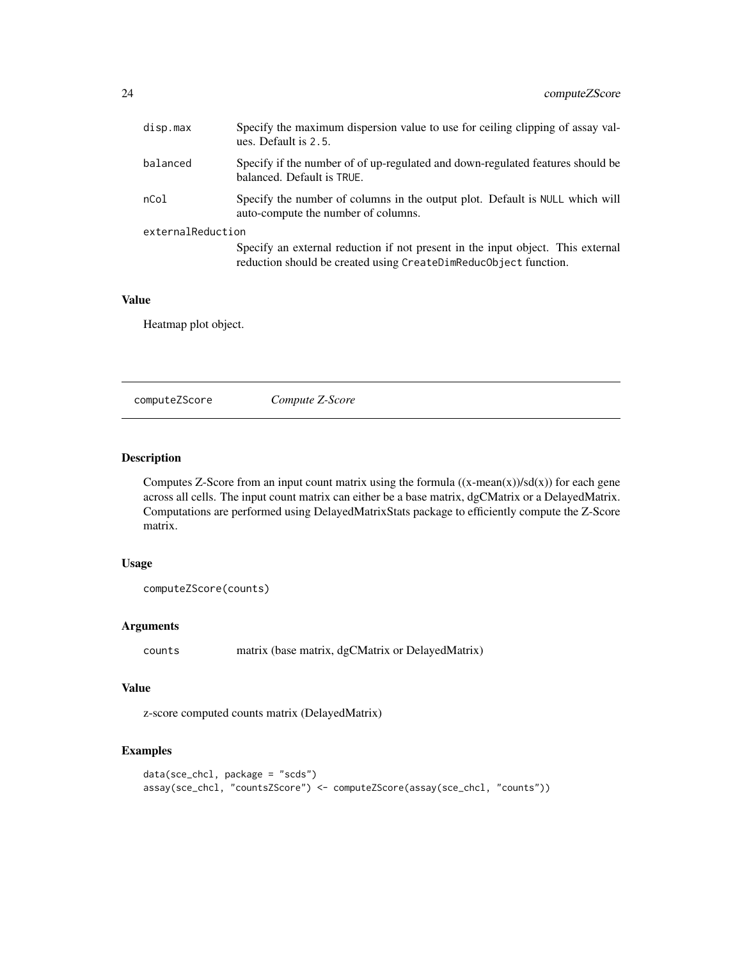<span id="page-23-0"></span>

| disp.max          | Specify the maximum dispersion value to use for ceiling clipping of assay val-<br>ues. Default is 2.5.                                              |
|-------------------|-----------------------------------------------------------------------------------------------------------------------------------------------------|
| balanced          | Specify if the number of of up-regulated and down-regulated features should be<br>balanced. Default is TRUE.                                        |
| nCol              | Specify the number of columns in the output plot. Default is NULL which will<br>auto-compute the number of columns.                                 |
| externalReduction |                                                                                                                                                     |
|                   | Specify an external reduction if not present in the input object. This external<br>reduction should be created using CreateDimReduc0bject function. |

#### Value

Heatmap plot object.

computeZScore *Compute Z-Score*

## Description

Computes Z-Score from an input count matrix using the formula  $((x-mean(x))/sd(x))$  for each gene across all cells. The input count matrix can either be a base matrix, dgCMatrix or a DelayedMatrix. Computations are performed using DelayedMatrixStats package to efficiently compute the Z-Score matrix.

#### Usage

```
computeZScore(counts)
```
## Arguments

counts matrix (base matrix, dgCMatrix or DelayedMatrix)

#### Value

z-score computed counts matrix (DelayedMatrix)

## Examples

```
data(sce_chcl, package = "scds")
assay(sce_chcl, "countsZScore") <- computeZScore(assay(sce_chcl, "counts"))
```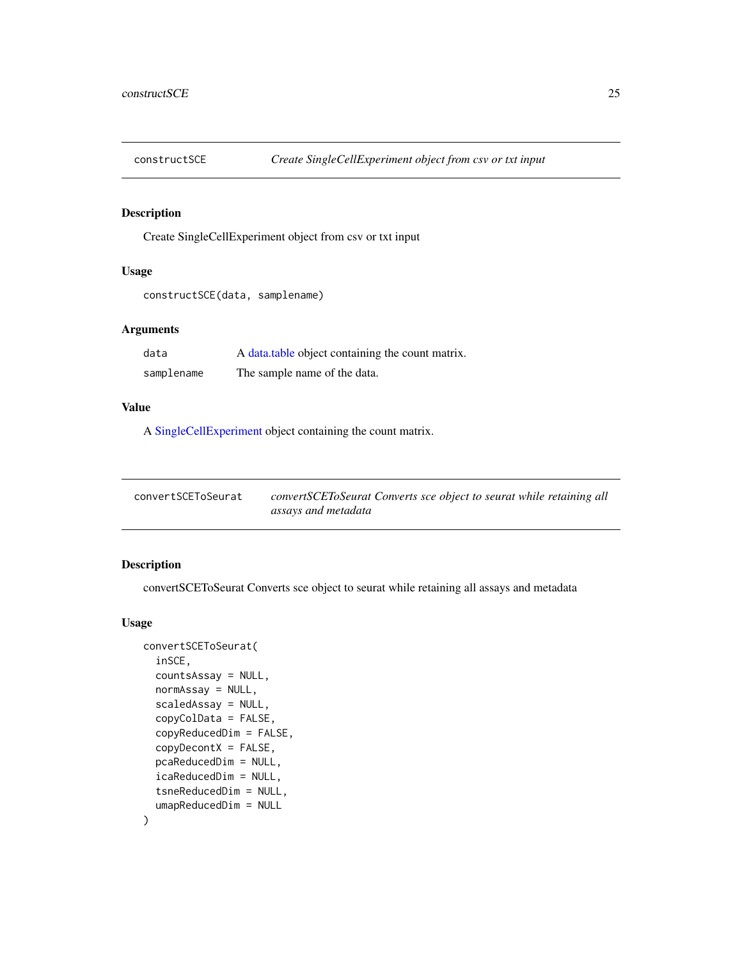<span id="page-24-0"></span>

## Description

Create SingleCellExperiment object from csv or txt input

#### Usage

```
constructSCE(data, samplename)
```
## Arguments

| data       | A data table object containing the count matrix. |
|------------|--------------------------------------------------|
| samplename | The sample name of the data.                     |

## Value

A [SingleCellExperiment](#page-0-0) object containing the count matrix.

| convertSCEToSeurat | convertSCEToSeurat Converts sce object to seurat while retaining all |
|--------------------|----------------------------------------------------------------------|
|                    | assays and metadata                                                  |

## Description

convertSCEToSeurat Converts sce object to seurat while retaining all assays and metadata

#### Usage

```
convertSCEToSeurat(
  inSCE,
  countsAssay = NULL,
  normAssay = NULL,
  scaledAssay = NULL,
  copyColData = FALSE,
  copyReducedDim = FALSE,
  copyDecontX = FALSE,
  pcaReducedDim = NULL,
  icaReducedDim = NULL,
  tsneReducedDim = NULL,
  umapReducedDim = NULL
\mathcal{E}
```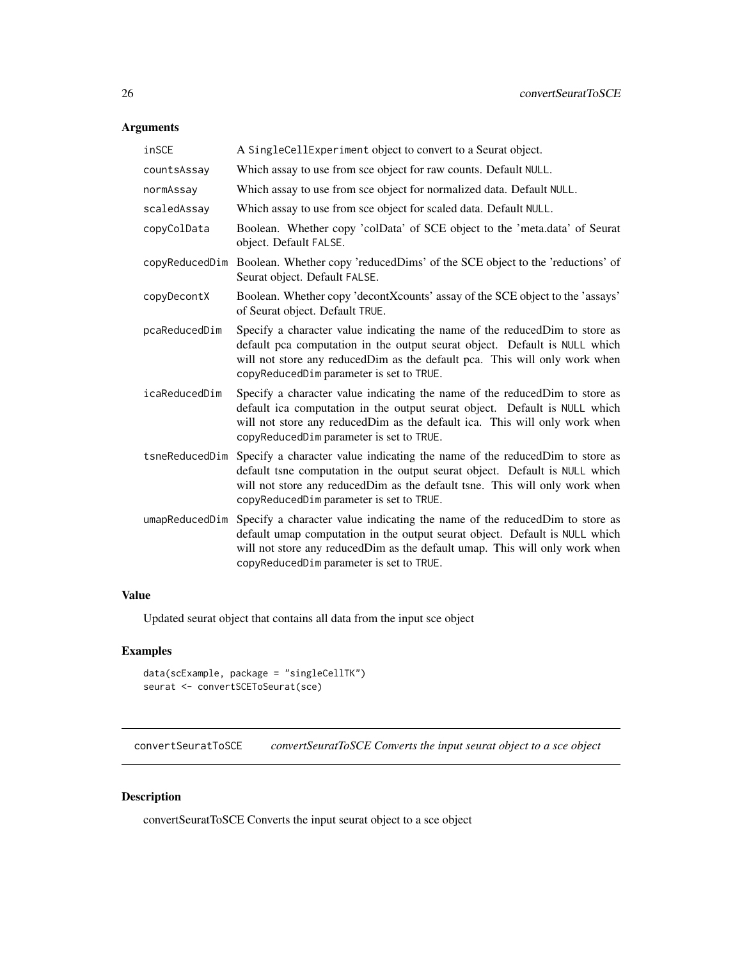## <span id="page-25-0"></span>Arguments

| inSCE          | A SingleCellExperiment object to convert to a Seurat object.                                                                                                                                                                                                                                         |
|----------------|------------------------------------------------------------------------------------------------------------------------------------------------------------------------------------------------------------------------------------------------------------------------------------------------------|
| countsAssay    | Which assay to use from sce object for raw counts. Default NULL.                                                                                                                                                                                                                                     |
| normAssay      | Which assay to use from sce object for normalized data. Default NULL.                                                                                                                                                                                                                                |
| scaledAssay    | Which assay to use from sce object for scaled data. Default NULL.                                                                                                                                                                                                                                    |
| copyColData    | Boolean. Whether copy 'colData' of SCE object to the 'meta.data' of Seurat<br>object. Default FALSE.                                                                                                                                                                                                 |
| copyReducedDim | Boolean. Whether copy 'reducedDims' of the SCE object to the 'reductions' of<br>Seurat object. Default FALSE.                                                                                                                                                                                        |
| copyDecontX    | Boolean. Whether copy 'decontXcounts' assay of the SCE object to the 'assays'<br>of Seurat object. Default TRUE.                                                                                                                                                                                     |
| pcaReducedDim  | Specify a character value indicating the name of the reduced Dim to store as<br>default pca computation in the output seurat object. Default is NULL which<br>will not store any reducedDim as the default pca. This will only work when<br>copyReducedDim parameter is set to TRUE.                 |
| icaReducedDim  | Specify a character value indicating the name of the reduced Dim to store as<br>default ica computation in the output seurat object. Default is NULL which<br>will not store any reducedDim as the default ica. This will only work when<br>copyReducedDim parameter is set to TRUE.                 |
| tsneReducedDim | Specify a character value indicating the name of the reduced Dim to store as<br>default tsne computation in the output seurat object. Default is NULL which<br>will not store any reducedDim as the default tsne. This will only work when<br>copyReducedDim parameter is set to TRUE.               |
|                | umapReducedDim Specify a character value indicating the name of the reducedDim to store as<br>default umap computation in the output seurat object. Default is NULL which<br>will not store any reducedDim as the default umap. This will only work when<br>copyReducedDim parameter is set to TRUE. |

## Value

Updated seurat object that contains all data from the input sce object

## Examples

```
data(scExample, package = "singleCellTK")
seurat <- convertSCEToSeurat(sce)
```
convertSeuratToSCE *convertSeuratToSCE Converts the input seurat object to a sce object*

## Description

convertSeuratToSCE Converts the input seurat object to a sce object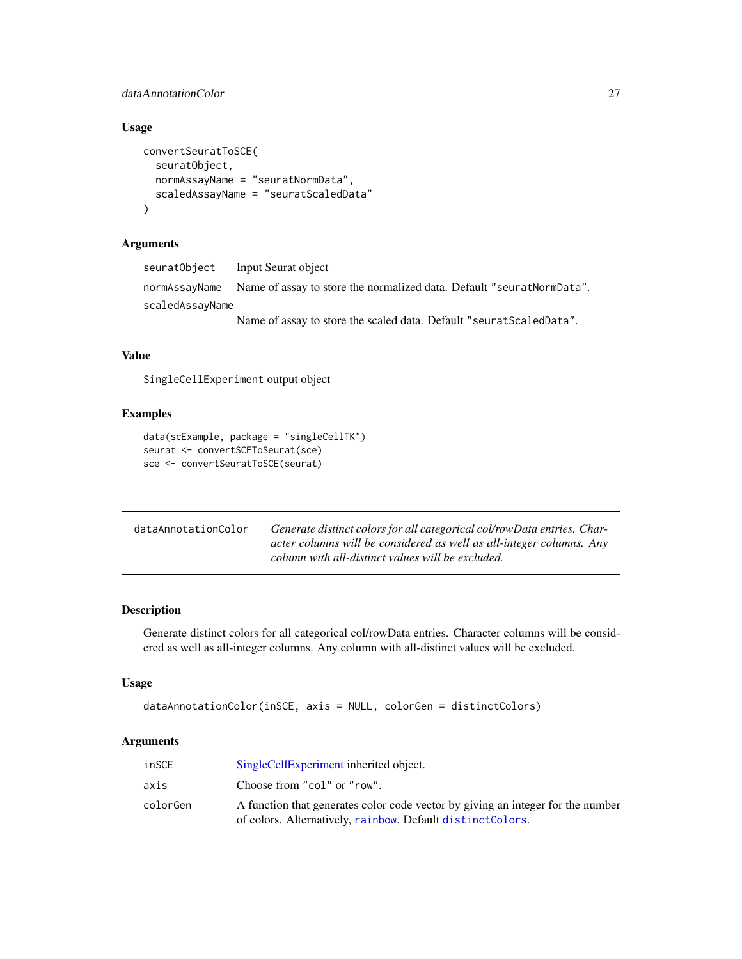## <span id="page-26-0"></span>dataAnnotationColor 27

## Usage

```
convertSeuratToSCE(
  seuratObject,
  normAssayName = "seuratNormData",
  scaledAssayName = "seuratScaledData"
)
```
## Arguments

| seuratObject    | Input Seurat object                                                                 |
|-----------------|-------------------------------------------------------------------------------------|
|                 | normAssayName Name of assay to store the normalized data. Default "seuratNormData". |
| scaledAssayName |                                                                                     |
|                 | Name of assay to store the scaled data. Default "seurat Scaled Data".               |

#### Value

SingleCellExperiment output object

## Examples

```
data(scExample, package = "singleCellTK")
seurat <- convertSCEToSeurat(sce)
sce <- convertSeuratToSCE(seurat)
```

| dataAnnotationColor | Generate distinct colors for all categorical col/rowData entries. Char- |
|---------------------|-------------------------------------------------------------------------|
|                     | acter columns will be considered as well as all-integer columns. Any    |
|                     | column with all-distinct values will be excluded.                       |

## Description

Generate distinct colors for all categorical col/rowData entries. Character columns will be considered as well as all-integer columns. Any column with all-distinct values will be excluded.

## Usage

```
dataAnnotationColor(inSCE, axis = NULL, colorGen = distinctColors)
```

| inSCE    | SingleCellExperiment inherited object.                                                                                                        |
|----------|-----------------------------------------------------------------------------------------------------------------------------------------------|
| axis     | Choose from "col" or "row".                                                                                                                   |
| colorGen | A function that generates color code vector by giving an integer for the number<br>of colors. Alternatively, rainbow. Default distinctColors. |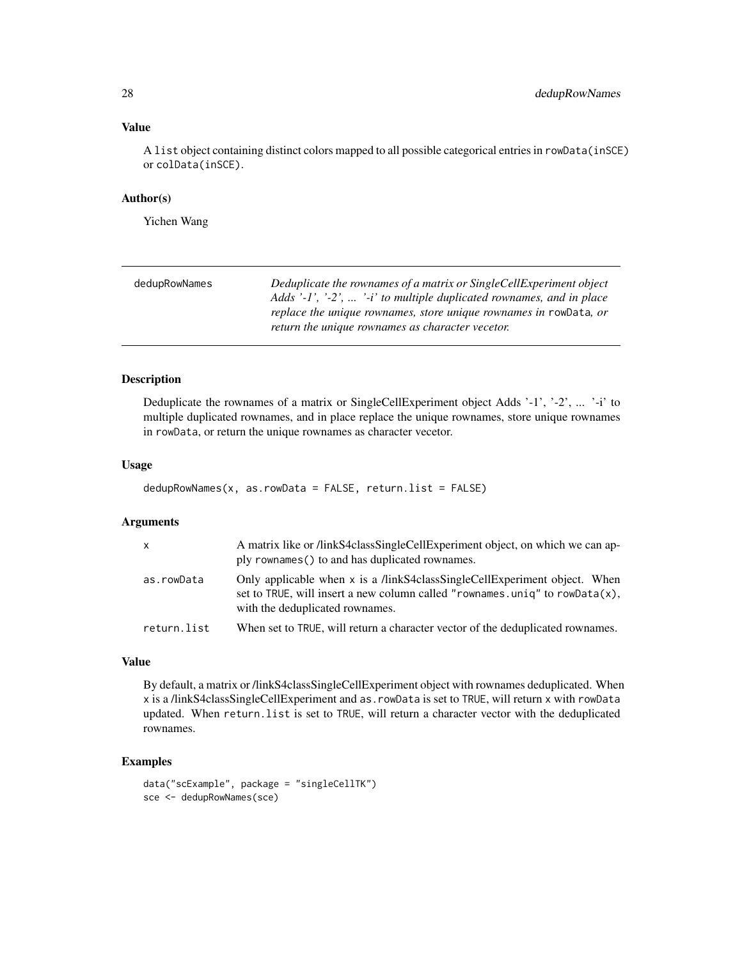#### Value

A list object containing distinct colors mapped to all possible categorical entries in rowData(inSCE) or colData(inSCE).

#### Author(s)

Yichen Wang

| dedupRowNames | Deduplicate the rownames of a matrix or SingleCellExperiment object<br>Adds '-1', '-2',  '-i' to multiple duplicated rownames, and in place |
|---------------|---------------------------------------------------------------------------------------------------------------------------------------------|
|               | replace the unique rownames, store unique rownames in rowData, or<br>return the unique rownames as character vecetor.                       |

## Description

Deduplicate the rownames of a matrix or SingleCellExperiment object Adds '-1', '-2', ... '-i' to multiple duplicated rownames, and in place replace the unique rownames, store unique rownames in rowData, or return the unique rownames as character vecetor.

#### Usage

```
dedupRowNames(x, asrowData = FALSE, return_list = FALSE)
```
#### Arguments

| $\mathsf{x}$ | A matrix like or /linkS4classSingleCellExperiment object, on which we can ap-<br>ply rownames () to and has duplicated rownames.                                                            |
|--------------|---------------------------------------------------------------------------------------------------------------------------------------------------------------------------------------------|
| as.rowData   | Only applicable when x is a /linkS4classSingleCellExperiment object. When<br>set to TRUE, will insert a new column called "rownames.uniq" to rowData(x),<br>with the deduplicated rownames. |
| return.list  | When set to TRUE, will return a character vector of the deduplicated rownames.                                                                                                              |

#### Value

By default, a matrix or /linkS4classSingleCellExperiment object with rownames deduplicated. When x is a /linkS4classSingleCellExperiment and as.rowData is set to TRUE, will return x with rowData updated. When return.list is set to TRUE, will return a character vector with the deduplicated rownames.

#### Examples

```
data("scExample", package = "singleCellTK")
sce <- dedupRowNames(sce)
```
<span id="page-27-0"></span>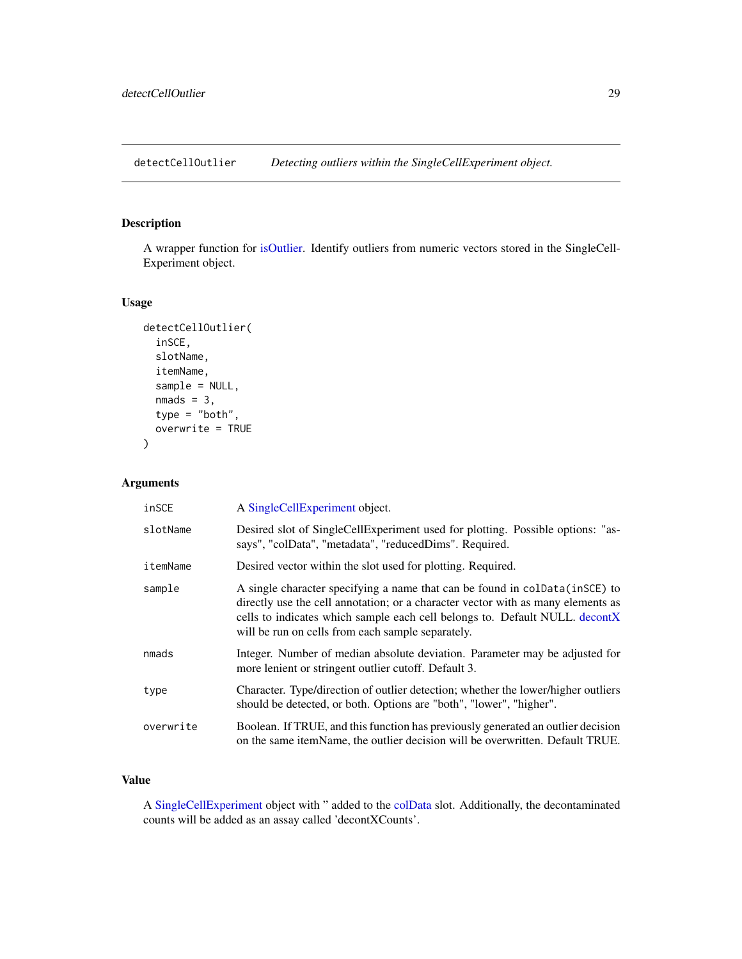<span id="page-28-0"></span>detectCellOutlier *Detecting outliers within the SingleCellExperiment object.*

## Description

A wrapper function for [isOutlier.](#page-0-0) Identify outliers from numeric vectors stored in the SingleCell-Experiment object.

#### Usage

```
detectCellOutlier(
  inSCE,
  slotName,
  itemName,
  sample = NULL,
  nmads = 3,
  type = "both",
  overwrite = TRUE
)
```
## Arguments

| inSCE     | A SingleCellExperiment object.                                                                                                                                                                                                                                                                        |
|-----------|-------------------------------------------------------------------------------------------------------------------------------------------------------------------------------------------------------------------------------------------------------------------------------------------------------|
| slotName  | Desired slot of SingleCellExperiment used for plotting. Possible options: "as-<br>says", "colData", "metadata", "reducedDims". Required.                                                                                                                                                              |
| itemName  | Desired vector within the slot used for plotting. Required.                                                                                                                                                                                                                                           |
| sample    | A single character specifying a name that can be found in coldata (in SCE) to<br>directly use the cell annotation; or a character vector with as many elements as<br>cells to indicates which sample each cell belongs to. Default NULL. decontX<br>will be run on cells from each sample separately. |
| nmads     | Integer. Number of median absolute deviation. Parameter may be adjusted for<br>more lenient or stringent outlier cutoff. Default 3.                                                                                                                                                                   |
| type      | Character. Type/direction of outlier detection; whether the lower/higher outliers<br>should be detected, or both. Options are "both", "lower", "higher".                                                                                                                                              |
| overwrite | Boolean. If TRUE, and this function has previously generated an outlier decision<br>on the same itemName, the outlier decision will be overwritten. Default TRUE.                                                                                                                                     |

#### Value

A [SingleCellExperiment](#page-0-0) object with " added to the [colData](#page-0-0) slot. Additionally, the decontaminated counts will be added as an assay called 'decontXCounts'.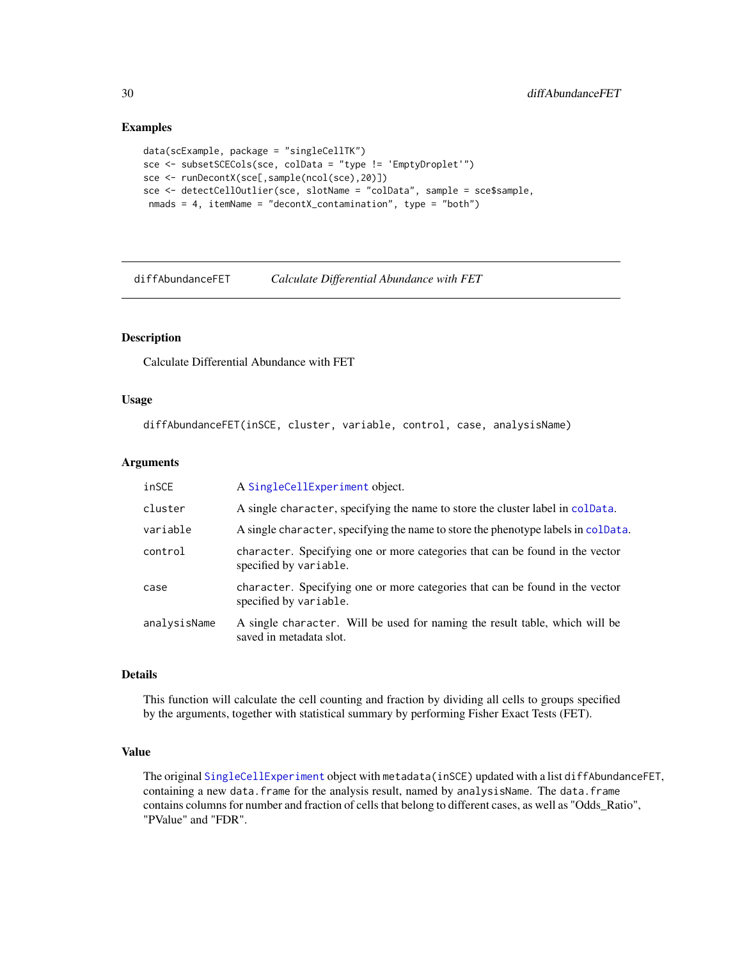#### Examples

```
data(scExample, package = "singleCellTK")
sce <- subsetSCECols(sce, colData = "type != 'EmptyDroplet'")
sce <- runDecontX(sce[,sample(ncol(sce),20)])
sce <- detectCellOutlier(sce, slotName = "colData", sample = sce$sample,
 nmads = 4, itemName = "decontX_contamination", type = "both")
```
diffAbundanceFET *Calculate Differential Abundance with FET*

#### Description

Calculate Differential Abundance with FET

#### Usage

diffAbundanceFET(inSCE, cluster, variable, control, case, analysisName)

#### Arguments

| inSCE        | A SingleCellExperiment object.                                                                         |
|--------------|--------------------------------------------------------------------------------------------------------|
| cluster      | A single character, specifying the name to store the cluster label in colData.                         |
| variable     | A single character, specifying the name to store the phenotype labels in colData.                      |
| control      | character. Specifying one or more categories that can be found in the vector<br>specified by variable. |
| case         | character. Specifying one or more categories that can be found in the vector<br>specified by variable. |
| analysisName | A single character. Will be used for naming the result table, which will be<br>saved in metadata slot. |

#### Details

This function will calculate the cell counting and fraction by dividing all cells to groups specified by the arguments, together with statistical summary by performing Fisher Exact Tests (FET).

#### Value

The original [SingleCellExperiment](#page-0-0) object with metadata(inSCE) updated with a list diffAbundanceFET, containing a new data.frame for the analysis result, named by analysisName. The data.frame contains columns for number and fraction of cells that belong to different cases, as well as "Odds\_Ratio", "PValue" and "FDR".

<span id="page-29-0"></span>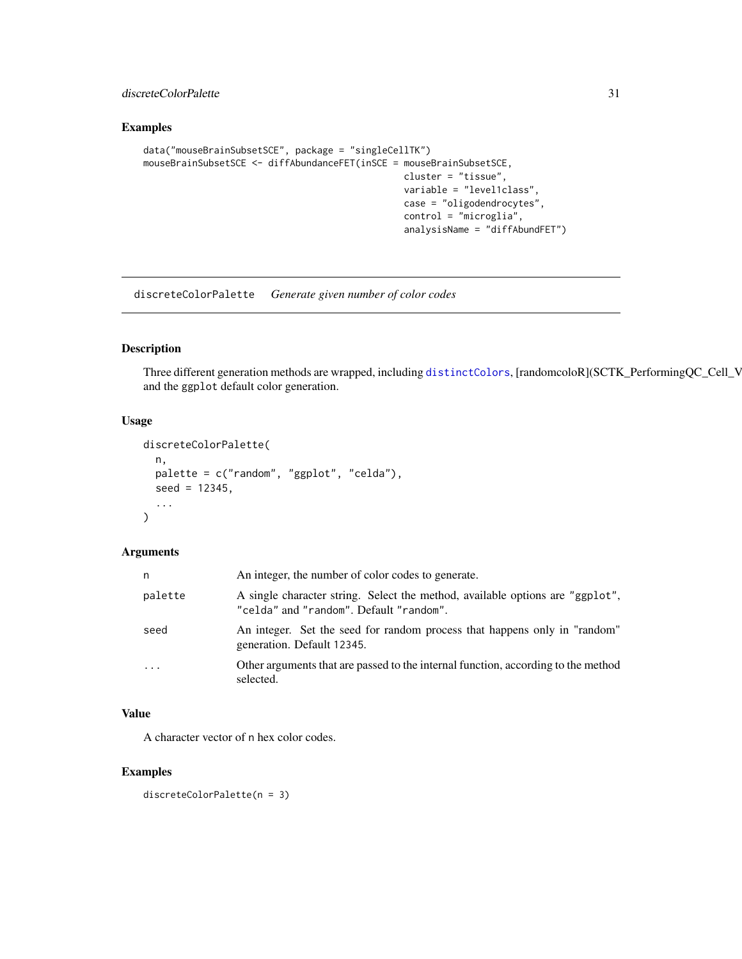## <span id="page-30-0"></span>discreteColorPalette 31

#### Examples

```
data("mouseBrainSubsetSCE", package = "singleCellTK")
mouseBrainSubsetSCE <- diffAbundanceFET(inSCE = mouseBrainSubsetSCE,
                                                cluster = "tissue",
                                                variable = "level1class",
                                                case = "oligodendrocytes",
                                                control = "microglia",
                                                analysisName = "diffAbundFET")
```
discreteColorPalette *Generate given number of color codes*

## Description

Three different generation methods are wrapped, including [distinctColors](#page-31-1), [randomcoloR](SCTK\_PerformingQC\_Cell\_V and the ggplot default color generation.

## Usage

```
discreteColorPalette(
  n,
 palette = c("random", "ggplot", "celda"),
 seed = 12345,
  ...
)
```
#### Arguments

| n        | An integer, the number of color codes to generate.                                                                       |
|----------|--------------------------------------------------------------------------------------------------------------------------|
| palette  | A single character string. Select the method, available options are "ggplot",<br>"celda" and "random". Default "random". |
| seed     | An integer. Set the seed for random process that happens only in "random"<br>generation. Default 12345.                  |
| $\ddots$ | Other arguments that are passed to the internal function, according to the method<br>selected.                           |

#### Value

A character vector of n hex color codes.

## Examples

```
discreteColorPalette(n = 3)
```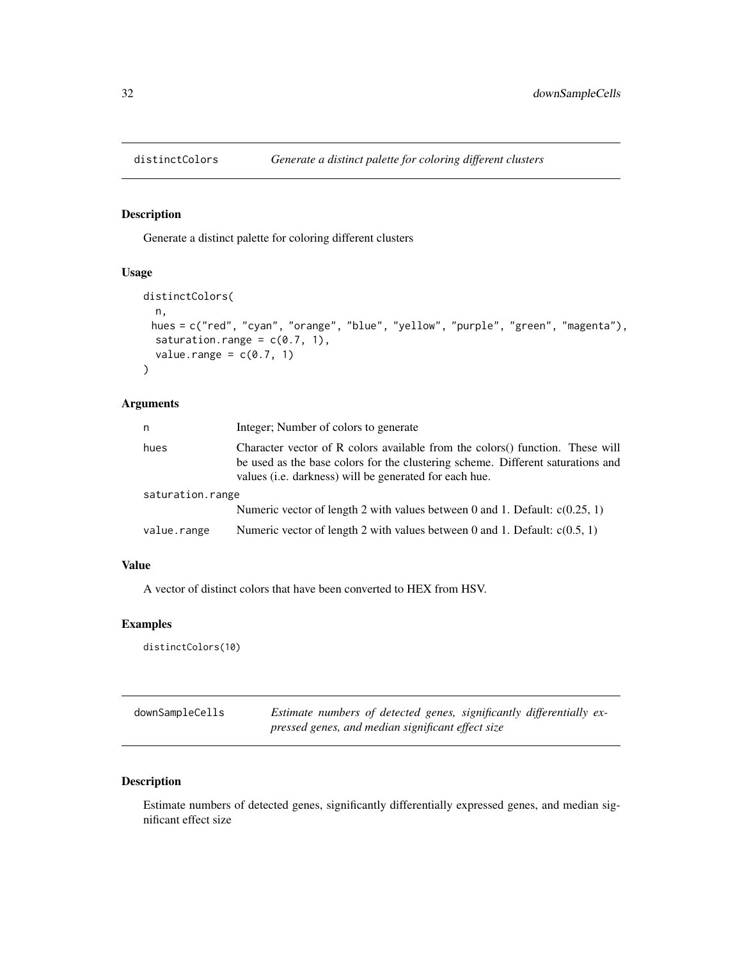<span id="page-31-1"></span><span id="page-31-0"></span>

#### Description

Generate a distinct palette for coloring different clusters

## Usage

```
distinctColors(
 n,
 hues = c("red", "cyan", "orange", "blue", "yellow", "purple", "green", "magenta"),
  saturation.range = c(0.7, 1),
  value.range = c(0.7, 1)\mathcal{L}
```
## Arguments

| n                | Integer; Number of colors to generate                                                                                                                                                                                               |  |
|------------------|-------------------------------------------------------------------------------------------------------------------------------------------------------------------------------------------------------------------------------------|--|
| hues             | Character vector of R colors available from the colors () function. These will<br>be used as the base colors for the clustering scheme. Different saturations and<br>values ( <i>i.e.</i> darkness) will be generated for each hue. |  |
| saturation.range |                                                                                                                                                                                                                                     |  |
|                  | Numeric vector of length 2 with values between 0 and 1. Default: $c(0.25, 1)$                                                                                                                                                       |  |
| value.range      | Numeric vector of length 2 with values between 0 and 1. Default: $c(0.5, 1)$                                                                                                                                                        |  |

## Value

A vector of distinct colors that have been converted to HEX from HSV.

## Examples

distinctColors(10)

| downSampleCells | Estimate numbers of detected genes, significantly differentially ex- |
|-----------------|----------------------------------------------------------------------|
|                 | pressed genes, and median significant effect size                    |

## Description

Estimate numbers of detected genes, significantly differentially expressed genes, and median significant effect size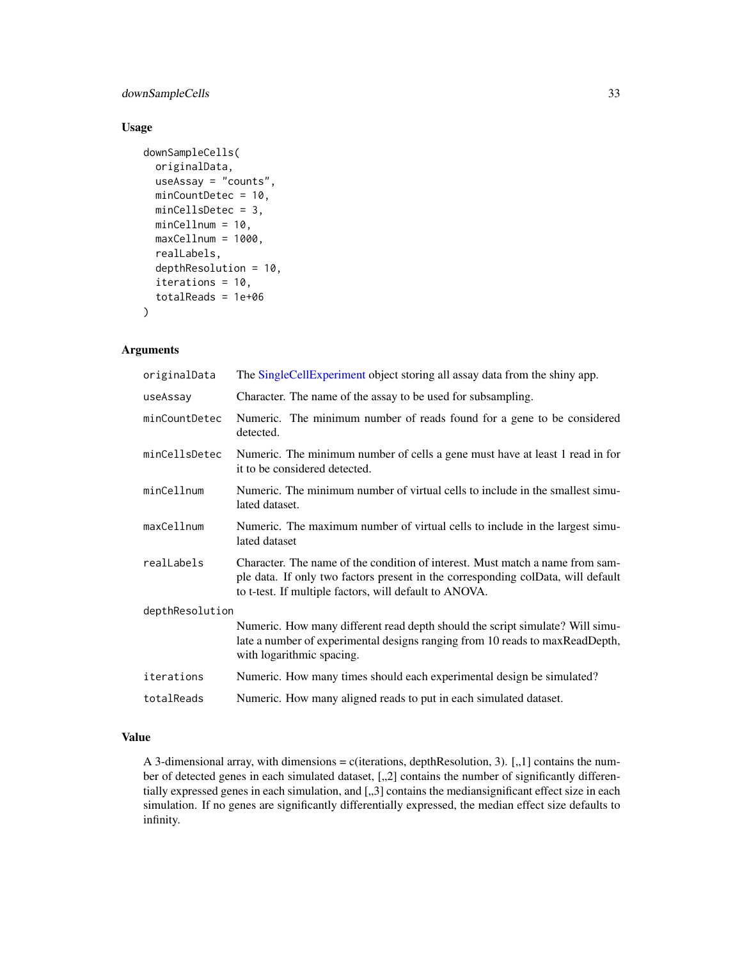## downSampleCells 33

#### Usage

```
downSampleCells(
 originalData,
 useAssay = "counts",
 minCountDetec = 10,
 minCellsDetec = 3,
 minCellnum = 10,
 maxCellnum = 1000,
  realLabels,
  depthResolution = 10,
  iterations = 10,
  totalReads = 1e+06)
```
## Arguments

| originalData    | The SingleCellExperiment object storing all assay data from the shiny app.                                                                                                                                                  |  |
|-----------------|-----------------------------------------------------------------------------------------------------------------------------------------------------------------------------------------------------------------------------|--|
| useAssay        | Character. The name of the assay to be used for subsampling.                                                                                                                                                                |  |
| minCountDetec   | Numeric. The minimum number of reads found for a gene to be considered<br>detected.                                                                                                                                         |  |
| minCellsDetec   | Numeric. The minimum number of cells a gene must have at least 1 read in for<br>it to be considered detected.                                                                                                               |  |
| minCellnum      | Numeric. The minimum number of virtual cells to include in the smallest simu-<br>lated dataset.                                                                                                                             |  |
| maxCellnum      | Numeric. The maximum number of virtual cells to include in the largest simu-<br>lated dataset                                                                                                                               |  |
| realLabels      | Character. The name of the condition of interest. Must match a name from sam-<br>ple data. If only two factors present in the corresponding colData, will default<br>to t-test. If multiple factors, will default to ANOVA. |  |
| depthResolution |                                                                                                                                                                                                                             |  |
|                 | Numeric. How many different read depth should the script simulate? Will simu-<br>late a number of experimental designs ranging from 10 reads to maxReadDepth,<br>with logarithmic spacing.                                  |  |
| iterations      | Numeric. How many times should each experimental design be simulated?                                                                                                                                                       |  |
| totalReads      | Numeric. How many aligned reads to put in each simulated dataset.                                                                                                                                                           |  |

#### Value

A 3-dimensional array, with dimensions = c(iterations, depthResolution, 3).  $[.,1]$  contains the number of detected genes in each simulated dataset,  $[,$  2] contains the number of significantly differentially expressed genes in each simulation, and [,,3] contains the mediansignificant effect size in each simulation. If no genes are significantly differentially expressed, the median effect size defaults to infinity.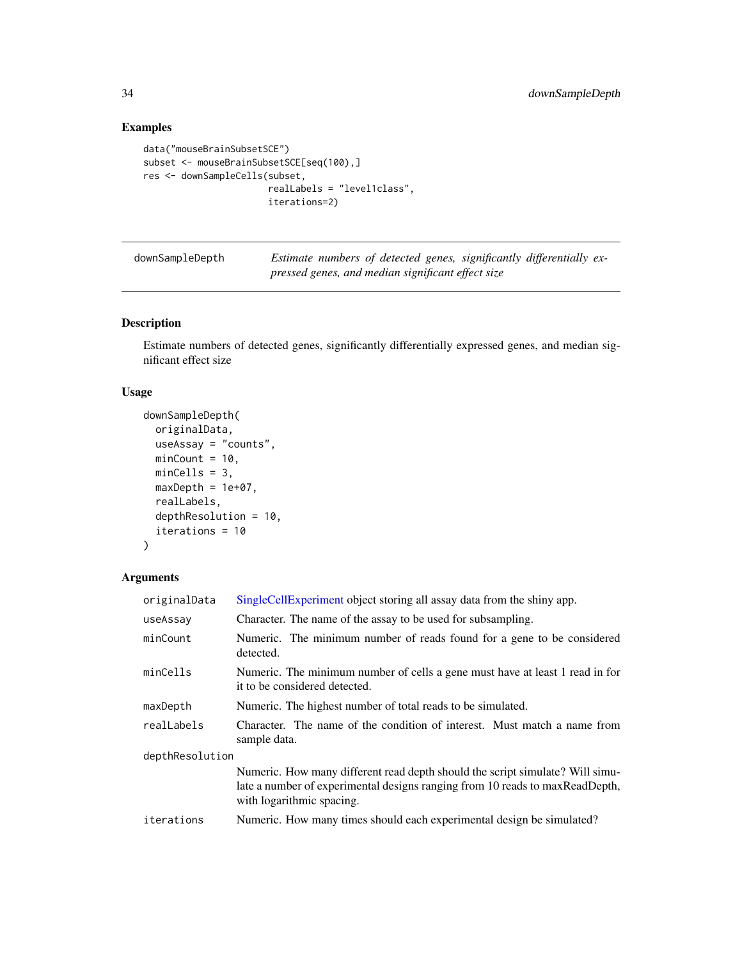## Examples

```
data("mouseBrainSubsetSCE")
subset <- mouseBrainSubsetSCE[seq(100),]
res <- downSampleCells(subset,
                       realLabels = "level1class",
                       iterations=2)
```

| downSampleDepth | Estimate numbers of detected genes, significantly differentially ex- |
|-----------------|----------------------------------------------------------------------|
|                 | pressed genes, and median significant effect size                    |

## Description

Estimate numbers of detected genes, significantly differentially expressed genes, and median significant effect size

## Usage

```
downSampleDepth(
 originalData,
 useAssay = "counts",
 minCount = 10,
 minCells = 3,
 maxDepth = 1e+07,
  realLabels,
  depthResolution = 10,
  iterations = 10
)
```

| originalData    | SingleCellExperiment object storing all assay data from the shiny app.                                                                                                                     |  |
|-----------------|--------------------------------------------------------------------------------------------------------------------------------------------------------------------------------------------|--|
| useAssay        | Character. The name of the assay to be used for subsampling.                                                                                                                               |  |
| minCount        | Numeric. The minimum number of reads found for a gene to be considered<br>detected.                                                                                                        |  |
| minCells        | Numeric. The minimum number of cells a gene must have at least 1 read in for<br>it to be considered detected.                                                                              |  |
| maxDepth        | Numeric. The highest number of total reads to be simulated.                                                                                                                                |  |
| realLabels      | Character. The name of the condition of interest. Must match a name from<br>sample data.                                                                                                   |  |
| depthResolution |                                                                                                                                                                                            |  |
|                 | Numeric. How many different read depth should the script simulate? Will simu-<br>late a number of experimental designs ranging from 10 reads to maxReadDepth,<br>with logarithmic spacing. |  |
| iterations      | Numeric. How many times should each experimental design be simulated?                                                                                                                      |  |

<span id="page-33-0"></span>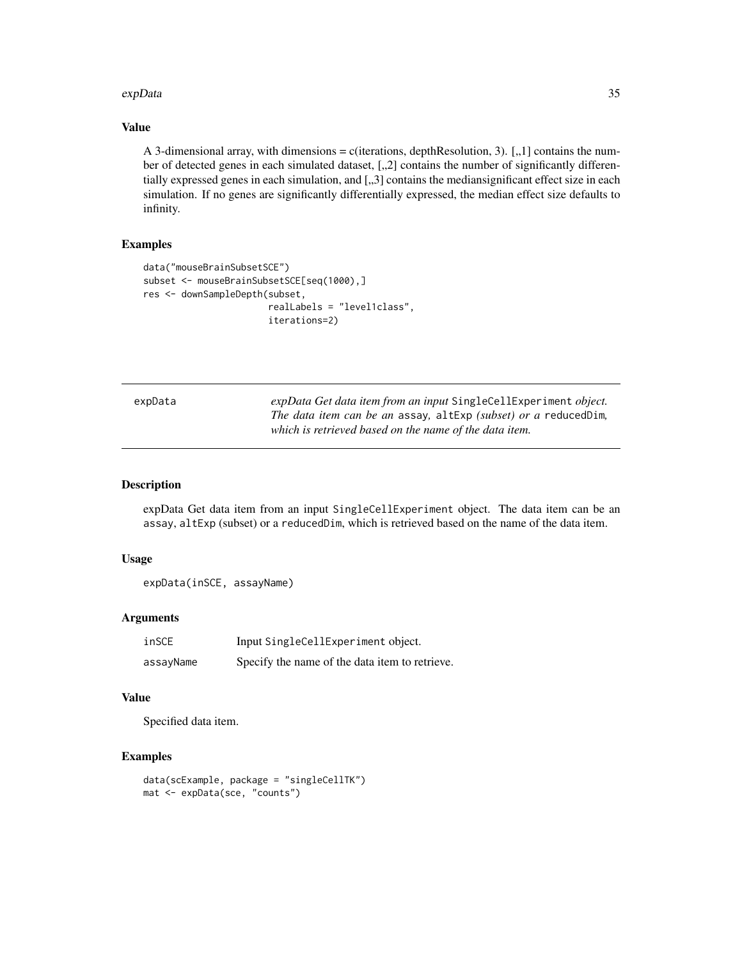#### <span id="page-34-0"></span>expData 35

#### Value

A 3-dimensional array, with dimensions = c(iterations, depthResolution, 3).  $[0,1]$  contains the number of detected genes in each simulated dataset, [,,2] contains the number of significantly differentially expressed genes in each simulation, and [,,3] contains the mediansignificant effect size in each simulation. If no genes are significantly differentially expressed, the median effect size defaults to infinity.

#### Examples

```
data("mouseBrainSubsetSCE")
subset <- mouseBrainSubsetSCE[seq(1000),]
res <- downSampleDepth(subset,
                       realLabels = "level1class",
                       iterations=2)
```
expData *expData Get data item from an input* SingleCellExperiment *object. The data item can be an* assay*,* altExp *(subset) or a* reducedDim*, which is retrieved based on the name of the data item.*

## Description

expData Get data item from an input SingleCellExperiment object. The data item can be an assay, altExp (subset) or a reducedDim, which is retrieved based on the name of the data item.

#### Usage

```
expData(inSCE, assayName)
```
## Arguments

| inSCE     | Input SingleCellExperiment object.             |
|-----------|------------------------------------------------|
| assayName | Specify the name of the data item to retrieve. |

#### Value

Specified data item.

## Examples

```
data(scExample, package = "singleCellTK")
mat <- expData(sce, "counts")
```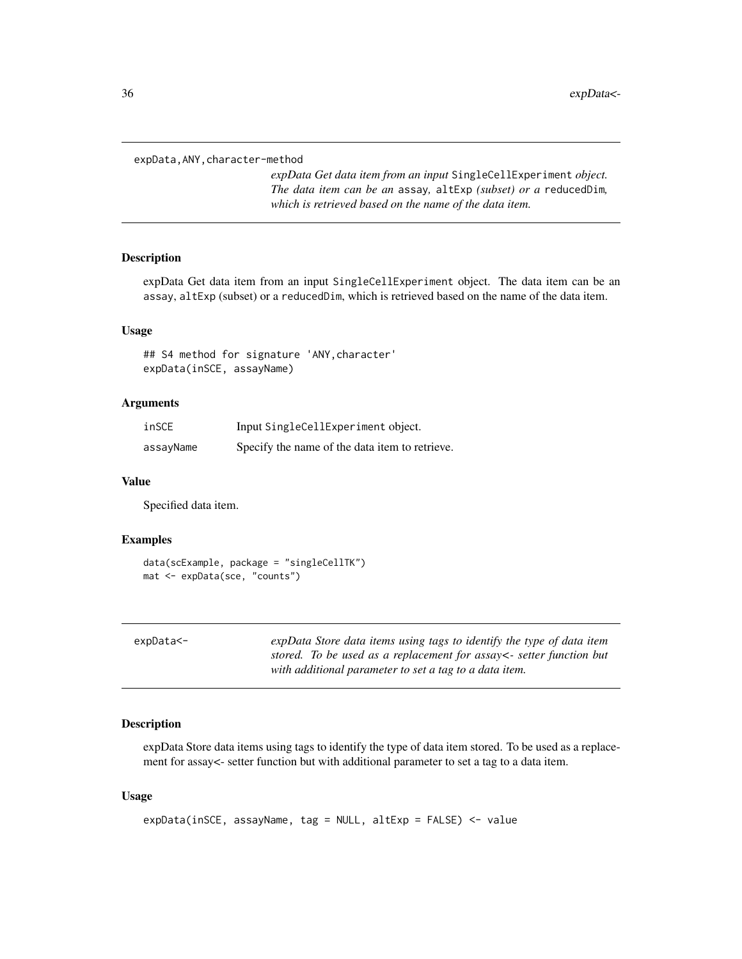<span id="page-35-0"></span>expData,ANY,character-method

*expData Get data item from an input* SingleCellExperiment *object. The data item can be an* assay*,* altExp *(subset) or a* reducedDim*, which is retrieved based on the name of the data item.*

#### Description

expData Get data item from an input SingleCellExperiment object. The data item can be an assay, altExp (subset) or a reducedDim, which is retrieved based on the name of the data item.

#### Usage

## S4 method for signature 'ANY,character' expData(inSCE, assayName)

#### **Arguments**

| inSCE     | Input SingleCellExperiment object.             |
|-----------|------------------------------------------------|
| assayName | Specify the name of the data item to retrieve. |

#### Value

Specified data item.

#### Examples

```
data(scExample, package = "singleCellTK")
mat <- expData(sce, "counts")
```

| expData<- | expData Store data items using tags to identify the type of data item |
|-----------|-----------------------------------------------------------------------|
|           | stored. To be used as a replacement for assay <- setter function but  |
|           | with additional parameter to set a tag to a data item.                |

## Description

expData Store data items using tags to identify the type of data item stored. To be used as a replacement for assay<- setter function but with additional parameter to set a tag to a data item.

#### Usage

```
expData(inSCE, assayName, tag = NULL, altExp = FALSE) <- value
```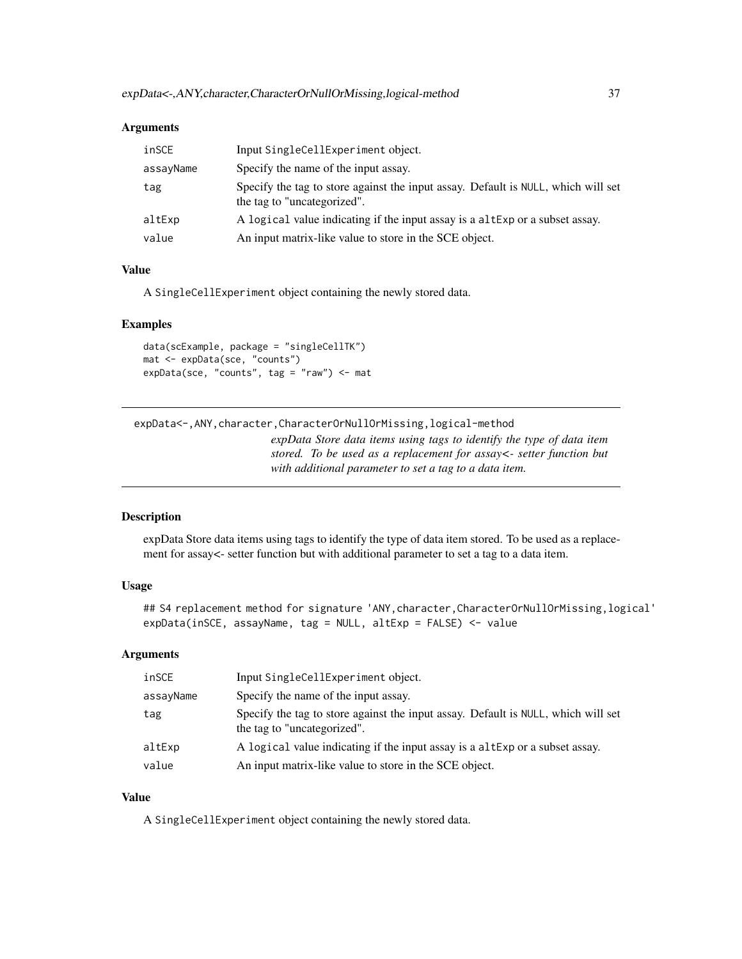#### **Arguments**

| inSCE     | Input SingleCellExperiment object.                                                                               |
|-----------|------------------------------------------------------------------------------------------------------------------|
| assayName | Specify the name of the input assay.                                                                             |
| tag       | Specify the tag to store against the input assay. Default is NULL, which will set<br>the tag to "uncategorized". |
| altExp    | A logical value indicating if the input assay is a altExp or a subset assay.                                     |
| value     | An input matrix-like value to store in the SCE object.                                                           |

## Value

A SingleCellExperiment object containing the newly stored data.

#### Examples

data(scExample, package = "singleCellTK") mat <- expData(sce, "counts") expData(sce, "counts", tag = "raw") <- mat

expData<-,ANY,character,CharacterOrNullOrMissing,logical-method

*expData Store data items using tags to identify the type of data item stored. To be used as a replacement for assay<- setter function but with additional parameter to set a tag to a data item.*

#### Description

expData Store data items using tags to identify the type of data item stored. To be used as a replacement for assay<- setter function but with additional parameter to set a tag to a data item.

# Usage

```
## S4 replacement method for signature 'ANY, character, CharacterOrNullOrMissing, logical'
expData(inSCE, assayName, tag = NULL, altExp = FALSE) <- value
```
#### Arguments

| inSCE     | Input SingleCellExperiment object.                                                                               |
|-----------|------------------------------------------------------------------------------------------------------------------|
| assayName | Specify the name of the input assay.                                                                             |
| tag       | Specify the tag to store against the input assay. Default is NULL, which will set<br>the tag to "uncategorized". |
| altExp    | A logical value indicating if the input assay is a altExp or a subset assay.                                     |
| value     | An input matrix-like value to store in the SCE object.                                                           |

# Value

A SingleCellExperiment object containing the newly stored data.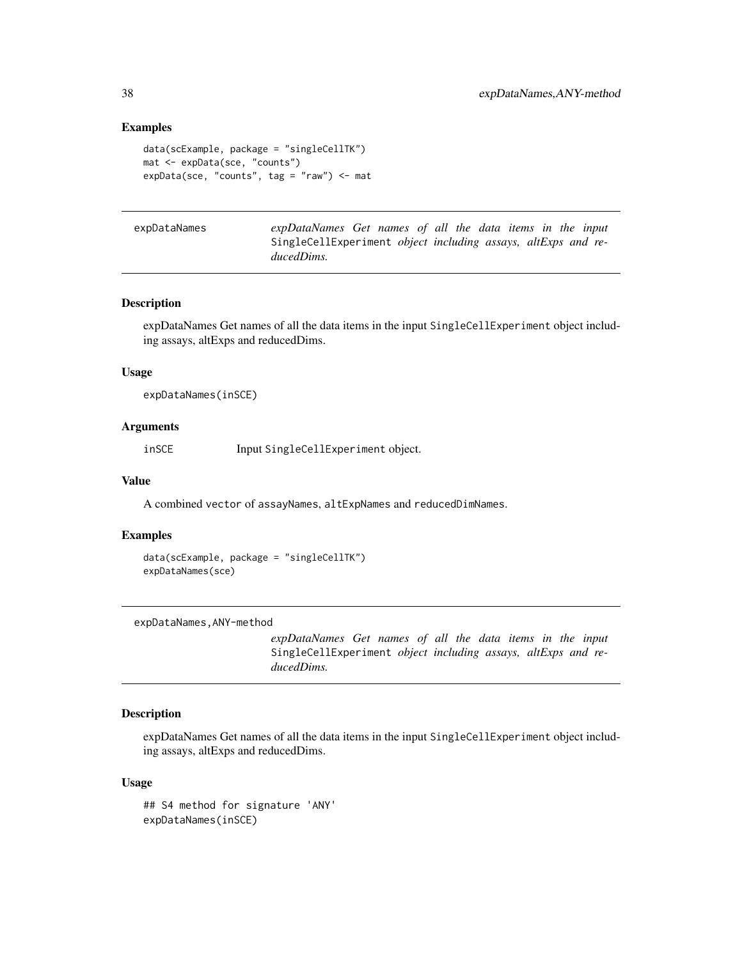#### Examples

```
data(scExample, package = "singleCellTK")
mat <- expData(sce, "counts")
expData(sce, "counts", tag = "raw") <- mat
```

| expDataNames | expDataNames Get names of all the data items in the input            |  |  |  |  |  |
|--------------|----------------------------------------------------------------------|--|--|--|--|--|
|              | SingleCellExperiment <i>object including assays, altExps and re-</i> |  |  |  |  |  |
|              | ducedDims.                                                           |  |  |  |  |  |

#### Description

expDataNames Get names of all the data items in the input SingleCellExperiment object including assays, altExps and reducedDims.

## Usage

expDataNames(inSCE)

# Arguments

inSCE Input SingleCellExperiment object.

#### Value

A combined vector of assayNames, altExpNames and reducedDimNames.

#### Examples

```
data(scExample, package = "singleCellTK")
expDataNames(sce)
```
expDataNames,ANY-method

*expDataNames Get names of all the data items in the input* SingleCellExperiment *object including assays, altExps and reducedDims.*

# Description

expDataNames Get names of all the data items in the input SingleCellExperiment object including assays, altExps and reducedDims.

```
## S4 method for signature 'ANY'
expDataNames(inSCE)
```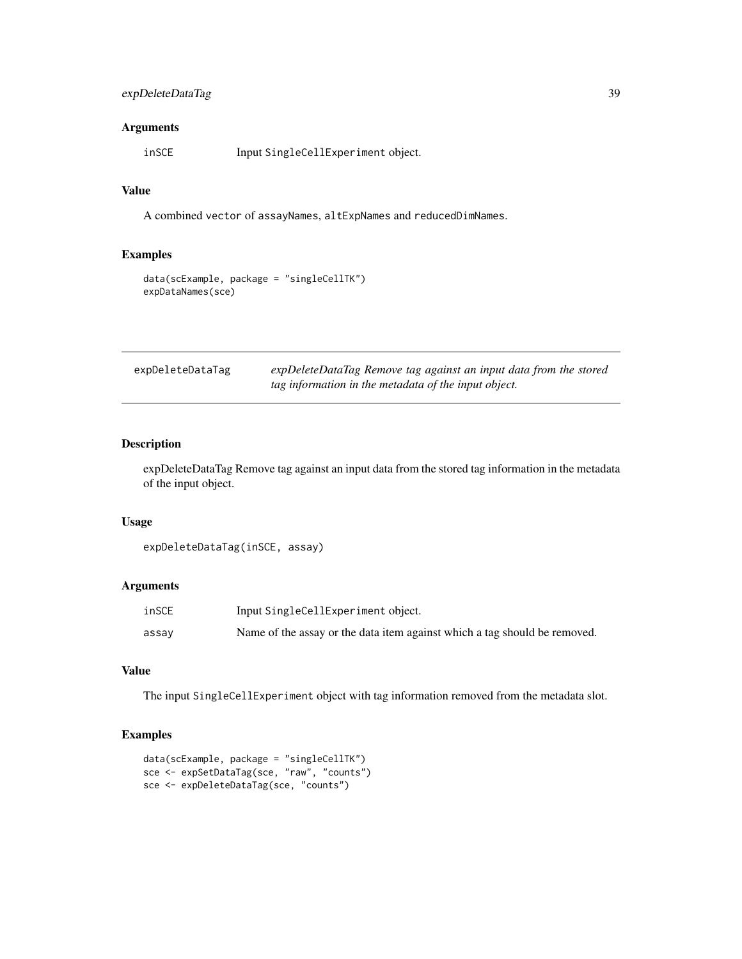# expDeleteDataTag 39

## Arguments

inSCE Input SingleCellExperiment object.

## Value

A combined vector of assayNames, altExpNames and reducedDimNames.

# Examples

```
data(scExample, package = "singleCellTK")
expDataNames(sce)
```

| expDeleteDataTag | expDeleteDataTag Remove tag against an input data from the stored |
|------------------|-------------------------------------------------------------------|
|                  | tag information in the metadata of the input object.              |

## Description

expDeleteDataTag Remove tag against an input data from the stored tag information in the metadata of the input object.

#### Usage

```
expDeleteDataTag(inSCE, assay)
```
# Arguments

| inSCE | Input SingleCellExperiment object.                                        |
|-------|---------------------------------------------------------------------------|
| assay | Name of the assay or the data item against which a tag should be removed. |

# Value

The input SingleCellExperiment object with tag information removed from the metadata slot.

```
data(scExample, package = "singleCellTK")
sce <- expSetDataTag(sce, "raw", "counts")
sce <- expDeleteDataTag(sce, "counts")
```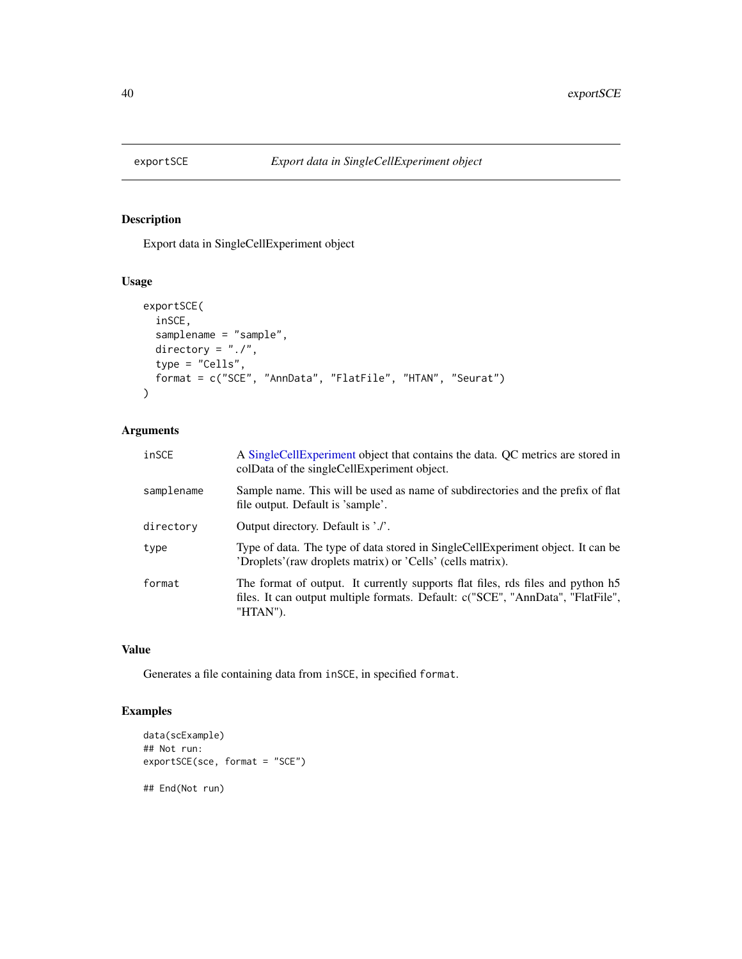# Description

Export data in SingleCellExperiment object

## Usage

```
exportSCE(
 inSCE,
 samplename = "sample",
 directory = "./",type = "Cells",
 format = c("SCE", "AnnData", "FlatFile", "HTAN", "Seurat")
)
```
# Arguments

| inSCE      | A SingleCellExperiment object that contains the data. QC metrics are stored in<br>colData of the singleCellExperiment object.                                                  |
|------------|--------------------------------------------------------------------------------------------------------------------------------------------------------------------------------|
| samplename | Sample name. This will be used as name of subdirectories and the prefix of flat<br>file output. Default is 'sample'.                                                           |
| directory  | Output directory. Default is './'.                                                                                                                                             |
| type       | Type of data. The type of data stored in SingleCellExperiment object. It can be<br>'Droplets' (raw droplets matrix) or 'Cells' (cells matrix).                                 |
| format     | The format of output. It currently supports flat files, rds files and python h5<br>files. It can output multiple formats. Default: c("SCE", "AnnData", "FlatFile",<br>"HTAN"). |

# Value

Generates a file containing data from inSCE, in specified format.

```
data(scExample)
## Not run:
exportSCE(sce, format = "SCE")
## End(Not run)
```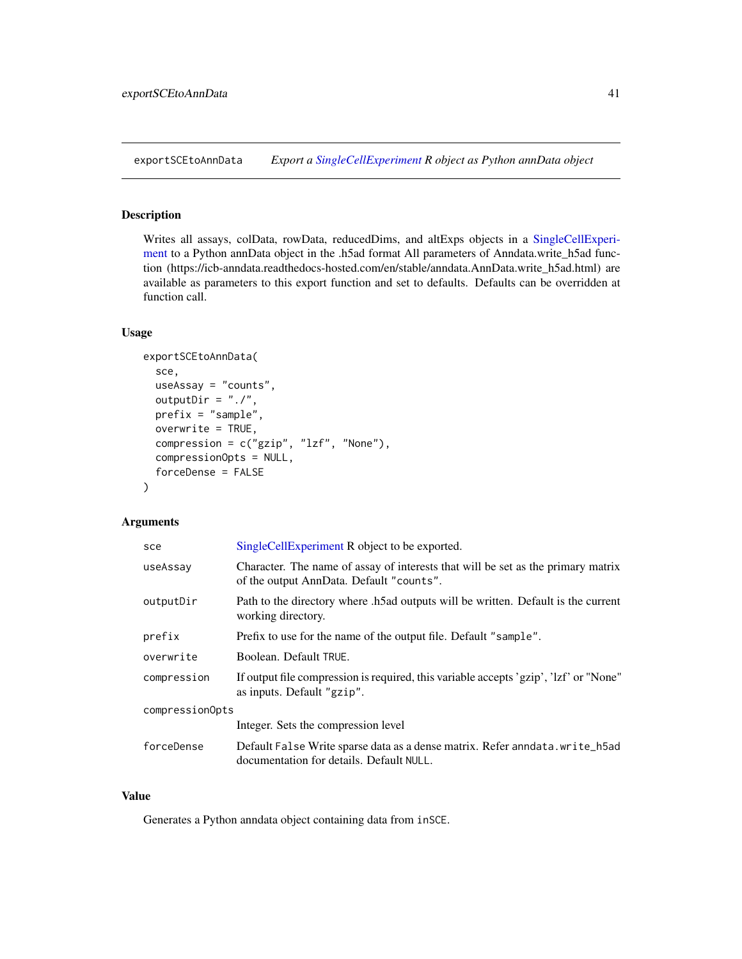exportSCEtoAnnData *Export a [SingleCellExperiment](#page-0-0) R object as Python annData object*

## Description

Writes all assays, colData, rowData, reducedDims, and altExps objects in a [SingleCellExperi](#page-0-0)[ment](#page-0-0) to a Python annData object in the .h5ad format All parameters of Anndata.write\_h5ad function (https://icb-anndata.readthedocs-hosted.com/en/stable/anndata.AnnData.write\_h5ad.html) are available as parameters to this export function and set to defaults. Defaults can be overridden at function call.

# Usage

```
exportSCEtoAnnData(
  sce,
  useAssay = "counts",
 outputDir = "./",
 prefix = "sample",
 overwrite = TRUE,
  compression = c("gzip", "lzf", "None"),compressionOpts = NULL,
  forceDense = FALSE
\mathcal{E}
```
# Arguments

| sce             | SingleCellExperiment R object to be exported.                                                                                |  |
|-----------------|------------------------------------------------------------------------------------------------------------------------------|--|
| useAssay        | Character. The name of assay of interests that will be set as the primary matrix<br>of the output AnnData. Default "counts". |  |
| outputDir       | Path to the directory where .h5ad outputs will be written. Default is the current<br>working directory.                      |  |
| prefix          | Prefix to use for the name of the output file. Default "sample".                                                             |  |
| overwrite       | Boolean. Default TRUE.                                                                                                       |  |
| compression     | If output file compression is required, this variable accepts 'gzip', 'lzf' or "None"<br>as inputs. Default "gzip".          |  |
| compressionOpts |                                                                                                                              |  |
|                 | Integer. Sets the compression level                                                                                          |  |
| forceDense      | Default False Write sparse data as a dense matrix. Refer anndata.write_h5ad<br>documentation for details. Default NULL.      |  |

#### Value

Generates a Python anndata object containing data from inSCE.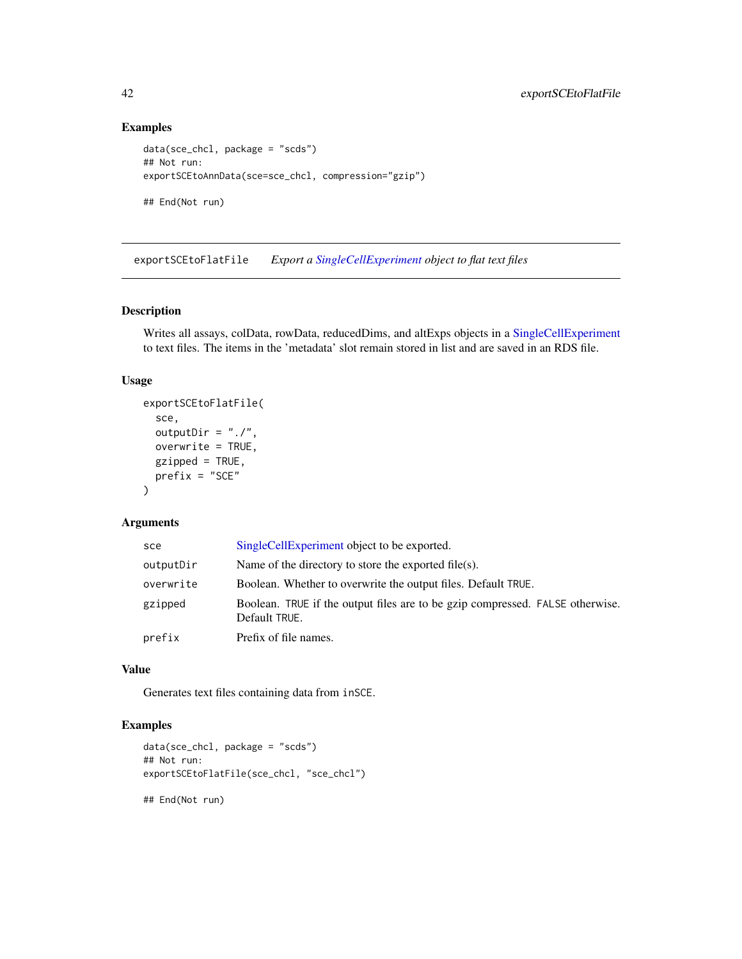# Examples

```
data(sce_chcl, package = "scds")
## Not run:
exportSCEtoAnnData(sce=sce_chcl, compression="gzip")
```
## End(Not run)

exportSCEtoFlatFile *Export a [SingleCellExperiment](#page-0-0) object to flat text files*

# Description

Writes all assays, colData, rowData, reducedDims, and altExps objects in a [SingleCellExperiment](#page-0-0) to text files. The items in the 'metadata' slot remain stored in list and are saved in an RDS file.

# Usage

```
exportSCEtoFlatFile(
  sce,
  outputDir = "./".overwrite = TRUE,
  gzipped = TRUE,
  prefix = "SCE"
\mathcal{L}
```
## Arguments

| sce       | SingleCellExperiment object to be exported.                                                    |
|-----------|------------------------------------------------------------------------------------------------|
| outputDir | Name of the directory to store the exported file(s).                                           |
| overwrite | Boolean. Whether to overwrite the output files. Default TRUE.                                  |
| gzipped   | Boolean. TRUE if the output files are to be gzip compressed. FALSE otherwise.<br>Default TRUE. |
| prefix    | Prefix of file names.                                                                          |

# Value

Generates text files containing data from inSCE.

# Examples

```
data(sce_chcl, package = "scds")
## Not run:
exportSCEtoFlatFile(sce_chcl, "sce_chcl")
```
## End(Not run)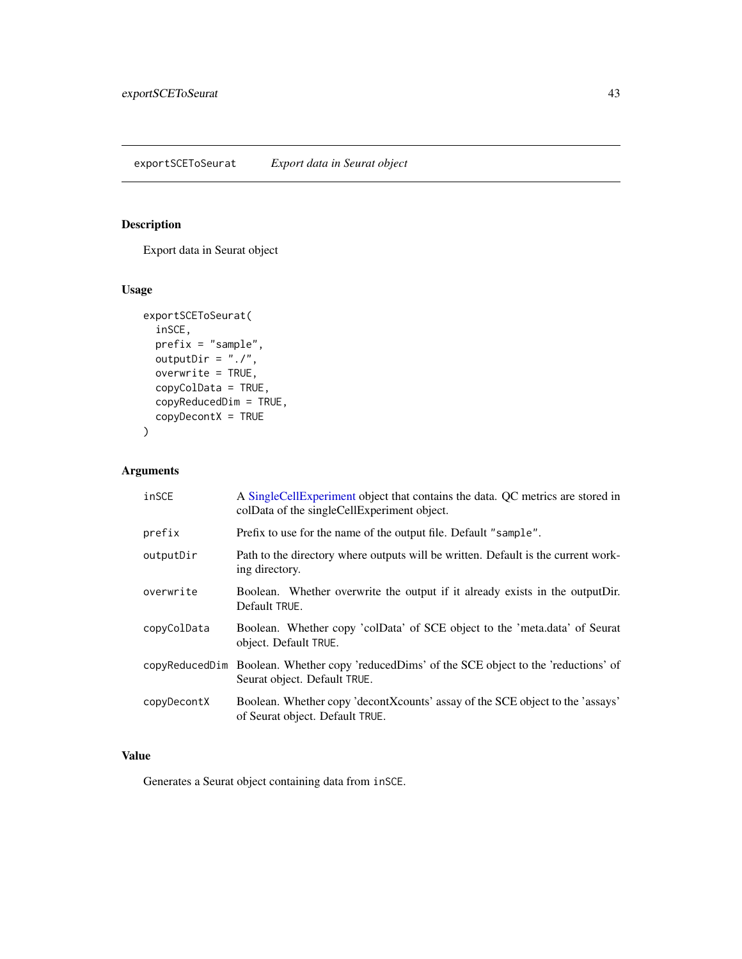# Description

Export data in Seurat object

# Usage

```
exportSCEToSeurat(
  inSCE,
 prefix = "sample",
 outputDir = "./",overwrite = TRUE,
 copyColData = TRUE,
 copyReducedDim = TRUE,
 copyDecontX = TRUE
)
```
# Arguments

| inSCE       | A SingleCellExperiment object that contains the data. QC metrics are stored in<br>colData of the singleCellExperiment object. |  |  |
|-------------|-------------------------------------------------------------------------------------------------------------------------------|--|--|
| prefix      | Prefix to use for the name of the output file. Default "sample".                                                              |  |  |
| outputDir   | Path to the directory where outputs will be written. Default is the current work-<br>ing directory.                           |  |  |
| overwrite   | Boolean. Whether overwrite the output if it already exists in the outputDir.<br>Default TRUE.                                 |  |  |
| copyColData | Boolean. Whether copy 'colData' of SCE object to the 'meta.data' of Seurat<br>object. Default TRUE.                           |  |  |
|             | copyReducedDim Boolean. Whether copy 'reducedDims' of the SCE object to the 'reductions' of<br>Seurat object. Default TRUE.   |  |  |
| copyDecontX | Boolean. Whether copy 'decontXcounts' assay of the SCE object to the 'assays'<br>of Seurat object. Default TRUE.              |  |  |

# Value

Generates a Seurat object containing data from inSCE.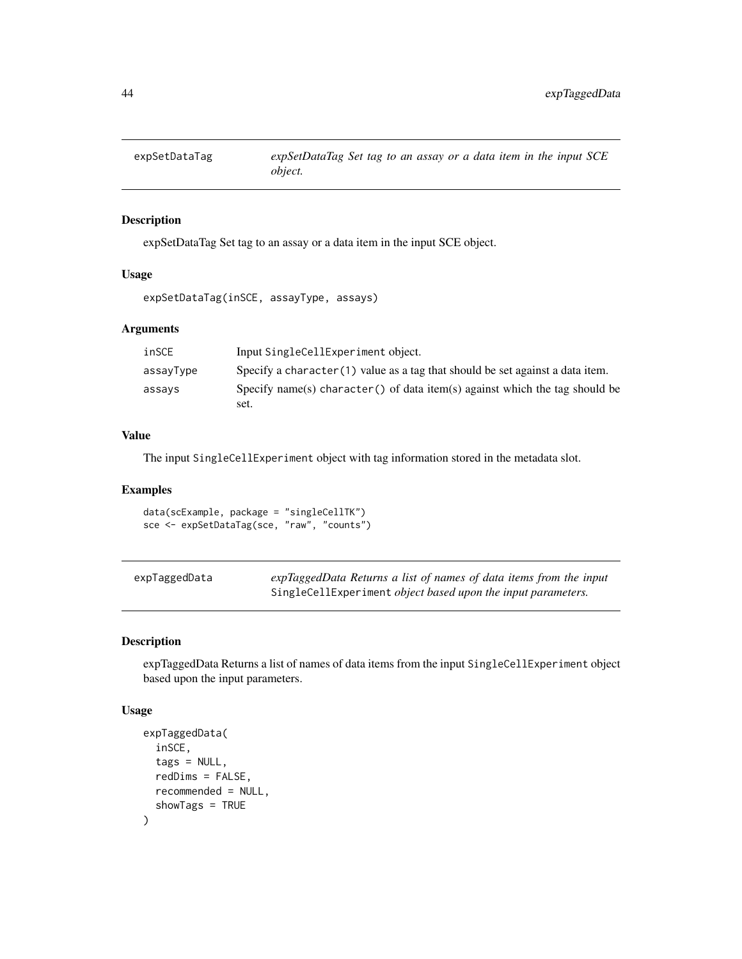# Description

expSetDataTag Set tag to an assay or a data item in the input SCE object.

#### Usage

```
expSetDataTag(inSCE, assayType, assays)
```
## Arguments

| inSCE     | Input SingleCellExperiment object.                                               |
|-----------|----------------------------------------------------------------------------------|
| assayType | Specify a character $(1)$ value as a tag that should be set against a data item. |
| assays    | Specify name(s) character() of data item(s) against which the tag should be      |
|           | set.                                                                             |

#### Value

The input SingleCellExperiment object with tag information stored in the metadata slot.

## Examples

data(scExample, package = "singleCellTK") sce <- expSetDataTag(sce, "raw", "counts")

| expTaggedData | expTaggedData Returns a list of names of data items from the input |
|---------------|--------------------------------------------------------------------|
|               | SingleCellExperiment object based upon the input parameters.       |

#### Description

expTaggedData Returns a list of names of data items from the input SingleCellExperiment object based upon the input parameters.

```
expTaggedData(
  inSCE,
  tags = NULL,
  redDims = FALSE,
  recommended = NULL,
  showTags = TRUE
\mathcal{E}
```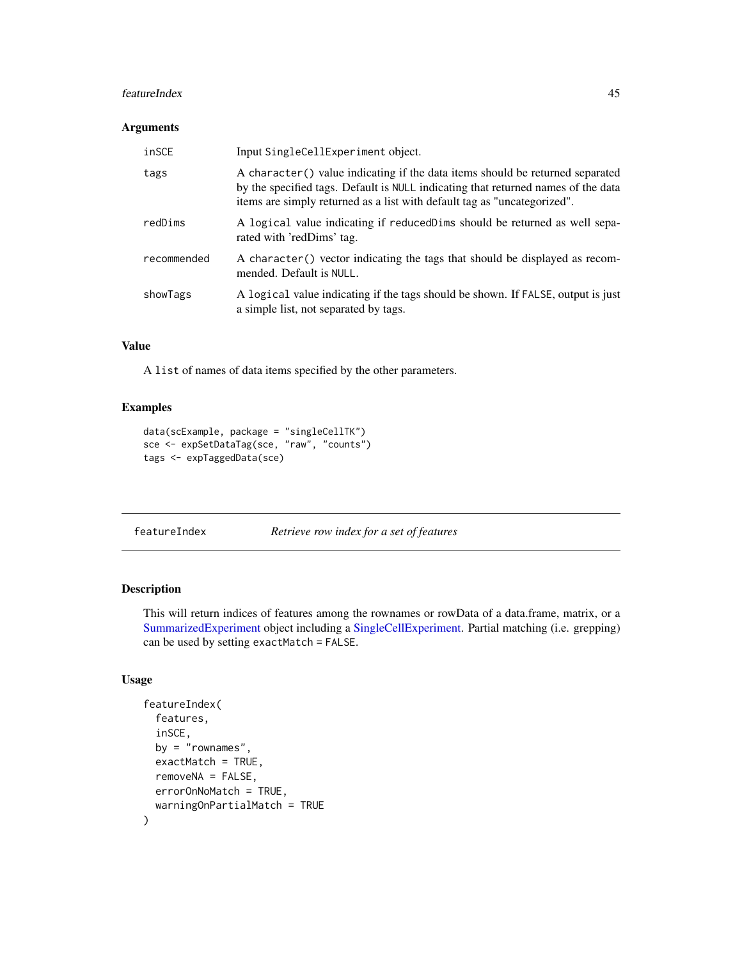#### featureIndex 45

#### Arguments

| inSCE       | Input SingleCellExperiment object.                                                                                                                                                                                                             |
|-------------|------------------------------------------------------------------------------------------------------------------------------------------------------------------------------------------------------------------------------------------------|
| tags        | A character() value indicating if the data items should be returned separated<br>by the specified tags. Default is NULL indicating that returned names of the data<br>items are simply returned as a list with default tag as "uncategorized". |
| redDims     | A logical value indicating if reduced Dims should be returned as well sepa-<br>rated with 'redDims' tag.                                                                                                                                       |
| recommended | A character() vector indicating the tags that should be displayed as recom-<br>mended. Default is NULL.                                                                                                                                        |
| showTags    | A logical value indicating if the tags should be shown. If FALSE, output is just<br>a simple list, not separated by tags.                                                                                                                      |

# Value

A list of names of data items specified by the other parameters.

# Examples

```
data(scExample, package = "singleCellTK")
sce <- expSetDataTag(sce, "raw", "counts")
tags <- expTaggedData(sce)
```
featureIndex *Retrieve row index for a set of features*

# Description

This will return indices of features among the rownames or rowData of a data.frame, matrix, or a [SummarizedExperiment](#page-0-0) object including a [SingleCellExperiment.](#page-0-0) Partial matching (i.e. grepping) can be used by setting exactMatch = FALSE.

```
featureIndex(
  features,
  inSCE,
  by = "rownames".
  exactMatch = TRUE,
  removeNA = FALSE,
  errorOnNoMatch = TRUE,
  warningOnPartialMatch = TRUE
\mathcal{E}
```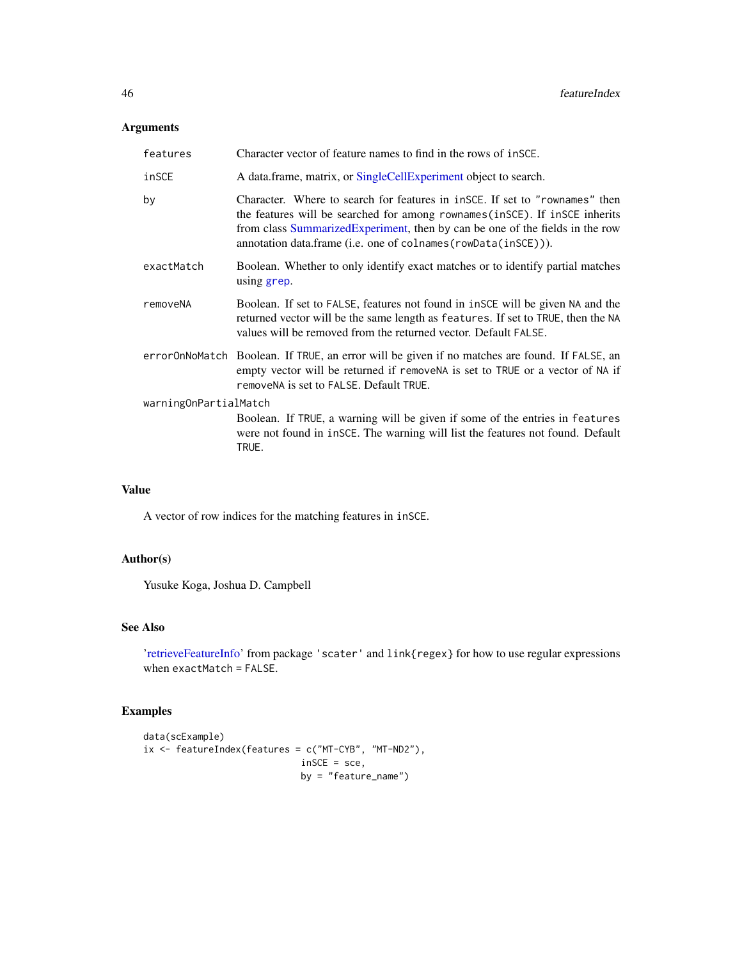## Arguments

| features              | Character vector of feature names to find in the rows of insce.                                                                                                                                                                                                                                              |  |
|-----------------------|--------------------------------------------------------------------------------------------------------------------------------------------------------------------------------------------------------------------------------------------------------------------------------------------------------------|--|
| inSCE                 | A data.frame, matrix, or SingleCellExperiment object to search.                                                                                                                                                                                                                                              |  |
| by                    | Character. Where to search for features in insce. If set to "rownames" then<br>the features will be searched for among rownames(inSCE). If inSCE inherits<br>from class Summarized Experiment, then by can be one of the fields in the row<br>annotation data.frame (i.e. one of colnames (rowData(inSCE))). |  |
| exactMatch            | Boolean. Whether to only identify exact matches or to identify partial matches<br>using grep.                                                                                                                                                                                                                |  |
| removeNA              | Boolean. If set to FALSE, features not found in inSCE will be given NA and the<br>returned vector will be the same length as features. If set to TRUE, then the NA<br>values will be removed from the returned vector. Default FALSE.                                                                        |  |
|                       | errorOnNoMatch Boolean. If TRUE, an error will be given if no matches are found. If FALSE, an<br>empty vector will be returned if remove NA is set to TRUE or a vector of NA if<br>removen A is set to FALSE. Default TRUE.                                                                                  |  |
| warningOnPartialMatch |                                                                                                                                                                                                                                                                                                              |  |
|                       | Boolean. If TRUE, a warning will be given if some of the entries in features<br>were not found in inSCE. The warning will list the features not found. Default<br>TRUE.                                                                                                                                      |  |

## Value

A vector of row indices for the matching features in inSCE.

# Author(s)

Yusuke Koga, Joshua D. Campbell

## See Also

['retrieveFeatureInfo'](#page-0-0) from package 'scater' and link{regex} for how to use regular expressions when exactMatch = FALSE.

```
data(scExample)
ix <- featureIndex(features = c("MT-CYB", "MT-ND2"),
                            inSCE = sce,
                            by = "feature_name")
```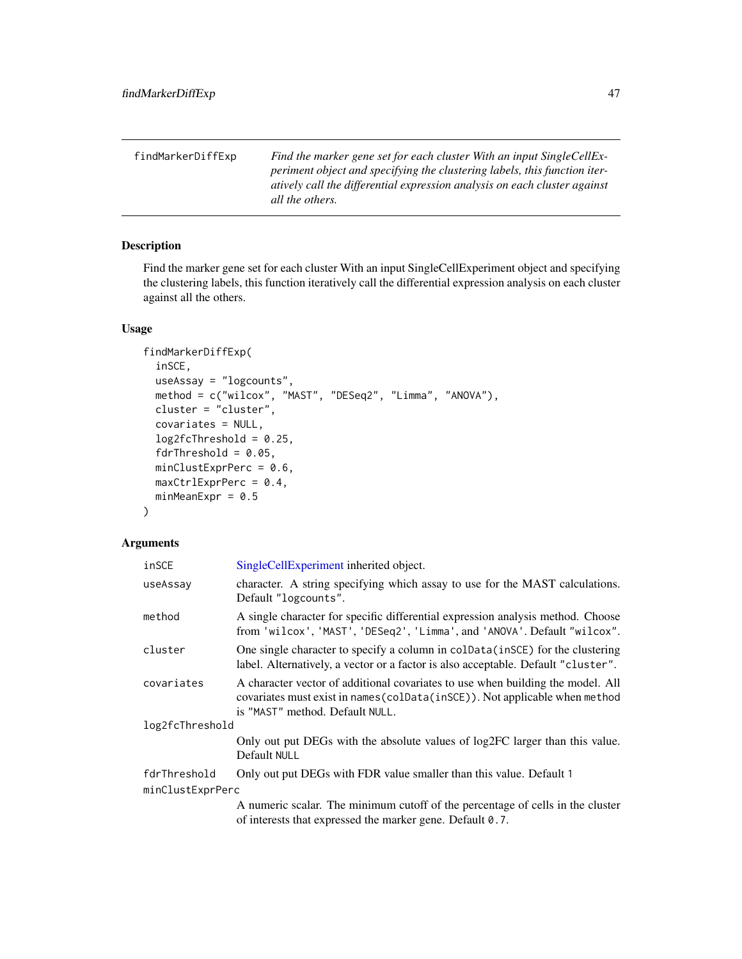| findMarkerDiffExp | Find the marker gene set for each cluster With an input SingleCellEx-     |
|-------------------|---------------------------------------------------------------------------|
|                   | periment object and specifying the clustering labels, this function iter- |
|                   | atively call the differential expression analysis on each cluster against |
|                   | all the others.                                                           |

# Description

Find the marker gene set for each cluster With an input SingleCellExperiment object and specifying the clustering labels, this function iteratively call the differential expression analysis on each cluster against all the others.

## Usage

```
findMarkerDiffExp(
  inSCE,
 useAssay = "logcounts",
 method = c("wilcox", "MAST", "DESeq2", "Limma", "ANOVA"),
 cluster = "cluster",
  covariates = NULL,
  log2fcThreshold = 0.25,
  fdrThreshold = 0.05,
 minClustExprPerc = 0.6,
 maxCtrlExprPerc = 0.4,
 minMeanExpr = 0.5)
```
## Arguments

| inSCE            | SingleCellExperiment inherited object.                                                                                                                                                            |  |
|------------------|---------------------------------------------------------------------------------------------------------------------------------------------------------------------------------------------------|--|
| useAssay         | character. A string specifying which assay to use for the MAST calculations.<br>Default "logcounts".                                                                                              |  |
| method           | A single character for specific differential expression analysis method. Choose<br>from 'wilcox', 'MAST', 'DESeq2', 'Limma', and 'ANOVA'. Default "wilcox".                                       |  |
| cluster          | One single character to specify a column in colData(inSCE) for the clustering<br>label. Alternatively, a vector or a factor is also acceptable. Default "cluster".                                |  |
| covariates       | A character vector of additional covariates to use when building the model. All<br>covariates must exist in names (colData(inSCE)). Not applicable when method<br>is "MAST" method. Default NULL. |  |
| log2fcThreshold  |                                                                                                                                                                                                   |  |
|                  | Only out put DEGs with the absolute values of log2FC larger than this value.<br>Default NULL                                                                                                      |  |
| fdrThreshold     | Only out put DEGs with FDR value smaller than this value. Default 1                                                                                                                               |  |
| minClustExprPerc |                                                                                                                                                                                                   |  |
|                  | A numeric scalar. The minimum cutoff of the percentage of cells in the cluster<br>of interests that expressed the marker gene. Default 0.7.                                                       |  |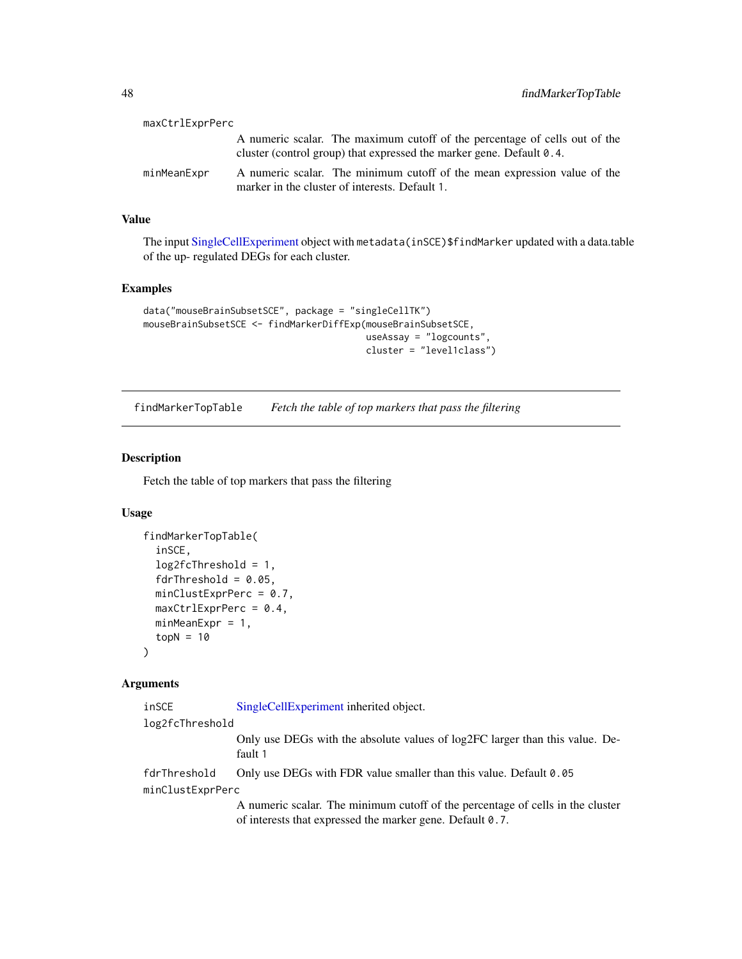| maxCtrlExprPerc |                                                                                                                                                             |
|-----------------|-------------------------------------------------------------------------------------------------------------------------------------------------------------|
|                 | A numeric scalar. The maximum cutoff of the percentage of cells out of the<br>cluster (control group) that expressed the marker gene. Default $\theta$ . 4. |
| minMeanExpr     | A numeric scalar. The minimum cutoff of the mean expression value of the<br>marker in the cluster of interests. Default 1.                                  |

# Value

The input [SingleCellExperiment](#page-0-0) object with metadata(inSCE)\$findMarker updated with a data.table of the up- regulated DEGs for each cluster.

### Examples

```
data("mouseBrainSubsetSCE", package = "singleCellTK")
mouseBrainSubsetSCE <- findMarkerDiffExp(mouseBrainSubsetSCE,
                                         useAssay = "logcounts",
                                         cluster = "level1class")
```
findMarkerTopTable *Fetch the table of top markers that pass the filtering*

# Description

Fetch the table of top markers that pass the filtering

# Usage

```
findMarkerTopTable(
  inSCE,
  log2fcThreshold = 1,
  fdrThreshold = 0.05,
 minClustExprPerc = 0.7,
 maxCtrlExprPerc = 0.4,
 minMeanExpr = 1,
  topN = 10)
```
#### Arguments

| inSCE            | SingleCellExperiment inherited object.                                                                         |
|------------------|----------------------------------------------------------------------------------------------------------------|
| log2fcThreshold  |                                                                                                                |
|                  | Only use DEGs with the absolute values of log2FC larger than this value. De-<br>fault 1                        |
| fdrThreshold     | Only use DEGs with FDR value smaller than this value. Default 0.05                                             |
| minClustExprPerc |                                                                                                                |
|                  | A procedure and an Theoretic contribution of the Contribution of an Hart of the close of the contract of the c |

A numeric scalar. The minimum cutoff of the percentage of cells in the cluster of interests that expressed the marker gene. Default 0.7.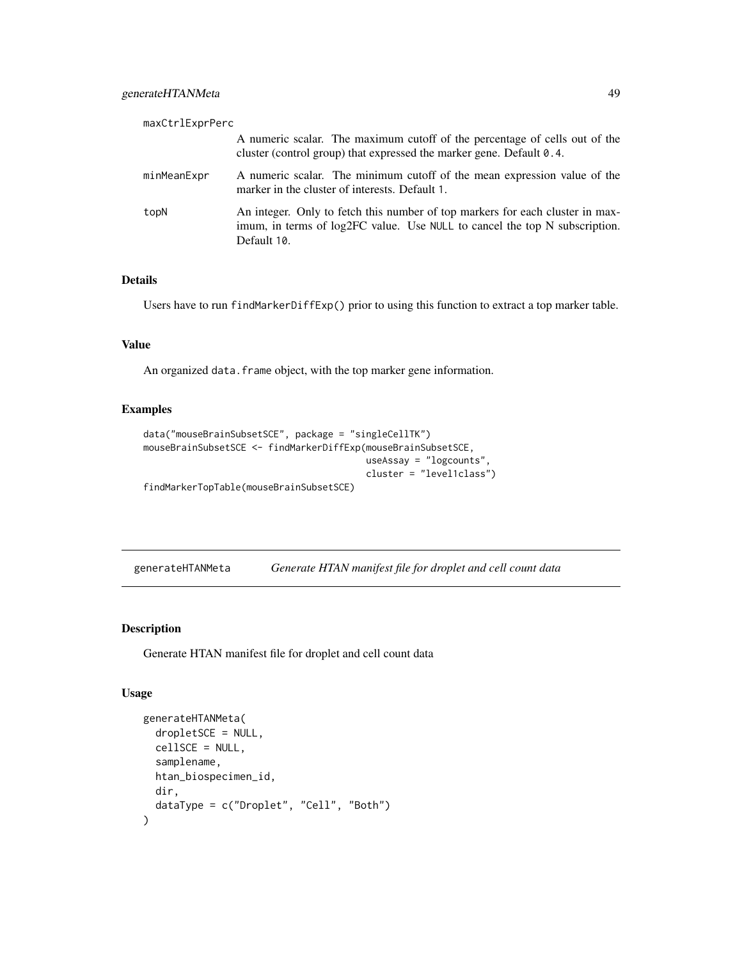| maxCtrlExprPerc |                                                                                                                                                                            |
|-----------------|----------------------------------------------------------------------------------------------------------------------------------------------------------------------------|
|                 | A numeric scalar. The maximum cutoff of the percentage of cells out of the<br>cluster (control group) that expressed the marker gene. Default $0.4$ .                      |
| minMeanExpr     | A numeric scalar. The minimum cutoff of the mean expression value of the<br>marker in the cluster of interests. Default 1.                                                 |
| topN            | An integer. Only to fetch this number of top markers for each cluster in max-<br>imum, in terms of log2FC value. Use NULL to cancel the top N subscription.<br>Default 10. |

# Details

Users have to run findMarkerDiffExp() prior to using this function to extract a top marker table.

#### Value

An organized data. frame object, with the top marker gene information.

#### Examples

```
data("mouseBrainSubsetSCE", package = "singleCellTK")
mouseBrainSubsetSCE <- findMarkerDiffExp(mouseBrainSubsetSCE,
                                         useAssay = "logcounts",
                                         cluster = "level1class")
findMarkerTopTable(mouseBrainSubsetSCE)
```
generateHTANMeta *Generate HTAN manifest file for droplet and cell count data*

#### Description

Generate HTAN manifest file for droplet and cell count data

```
generateHTANMeta(
 dropletSCE = NULL,
  cellSCE = NULL,
 samplename,
 htan_biospecimen_id,
 dir,
  dataType = c("Droplet", "Cell", "Both")
)
```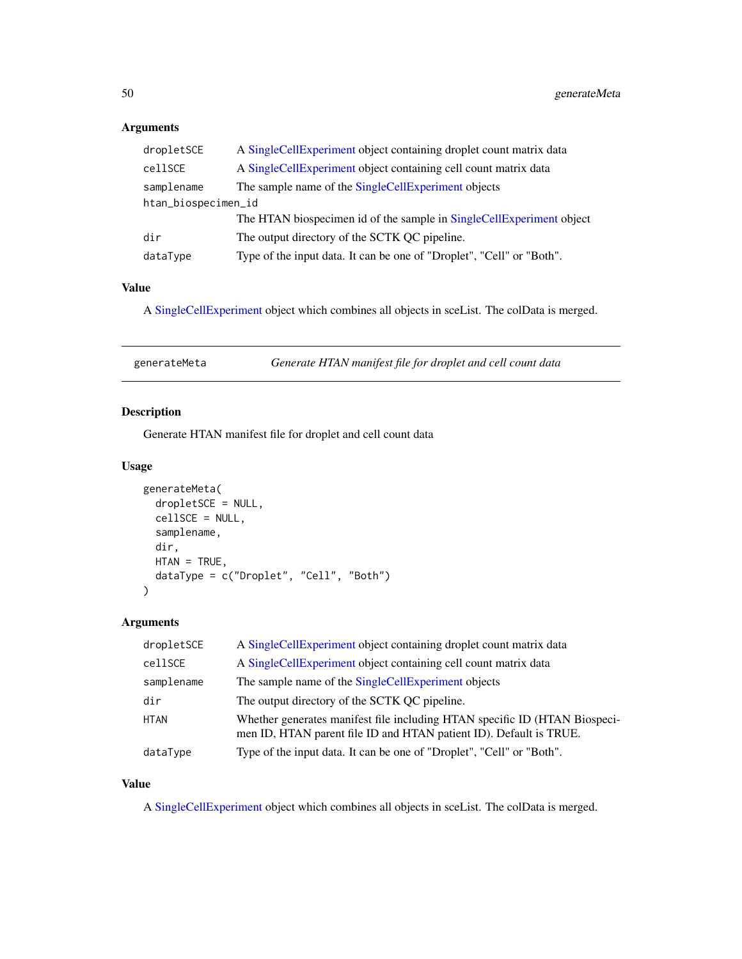# Arguments

| dropletSCE          | A SingleCellExperiment object containing droplet count matrix data    |  |
|---------------------|-----------------------------------------------------------------------|--|
| cellSCE             | A SingleCellExperiment object containing cell count matrix data       |  |
| samplename          | The sample name of the SingleCellExperiment objects                   |  |
| htan_biospecimen_id |                                                                       |  |
|                     | The HTAN biospecimen id of the sample in SingleCellExperiment object  |  |
| dir                 | The output directory of the SCTK QC pipeline.                         |  |
| dataType            | Type of the input data. It can be one of "Droplet", "Cell" or "Both". |  |
|                     |                                                                       |  |

# Value

A [SingleCellExperiment](#page-0-0) object which combines all objects in sceList. The colData is merged.

| generateMeta | Generate HTAN manifest file for droplet and cell count data |
|--------------|-------------------------------------------------------------|
|              |                                                             |

# Description

Generate HTAN manifest file for droplet and cell count data

## Usage

```
generateMeta(
 dropletSCE = NULL,
  cellSCE = NULL,
  samplename,
 dir,
 HTAN = TRUE,dataType = c("Droplet", "Cell", "Both")
)
```
# Arguments

| dropletSCE  | A SingleCellExperiment object containing droplet count matrix data                                                                               |
|-------------|--------------------------------------------------------------------------------------------------------------------------------------------------|
| cellSCE     | A SingleCellExperiment object containing cell count matrix data                                                                                  |
| samplename  | The sample name of the SingleCellExperiment objects                                                                                              |
| dir         | The output directory of the SCTK QC pipeline.                                                                                                    |
| <b>HTAN</b> | Whether generates manifest file including HTAN specific ID (HTAN Biospeci-<br>men ID, HTAN parent file ID and HTAN patient ID). Default is TRUE. |
| dataType    | Type of the input data. It can be one of "Droplet", "Cell" or "Both".                                                                            |

# Value

A [SingleCellExperiment](#page-0-0) object which combines all objects in sceList. The colData is merged.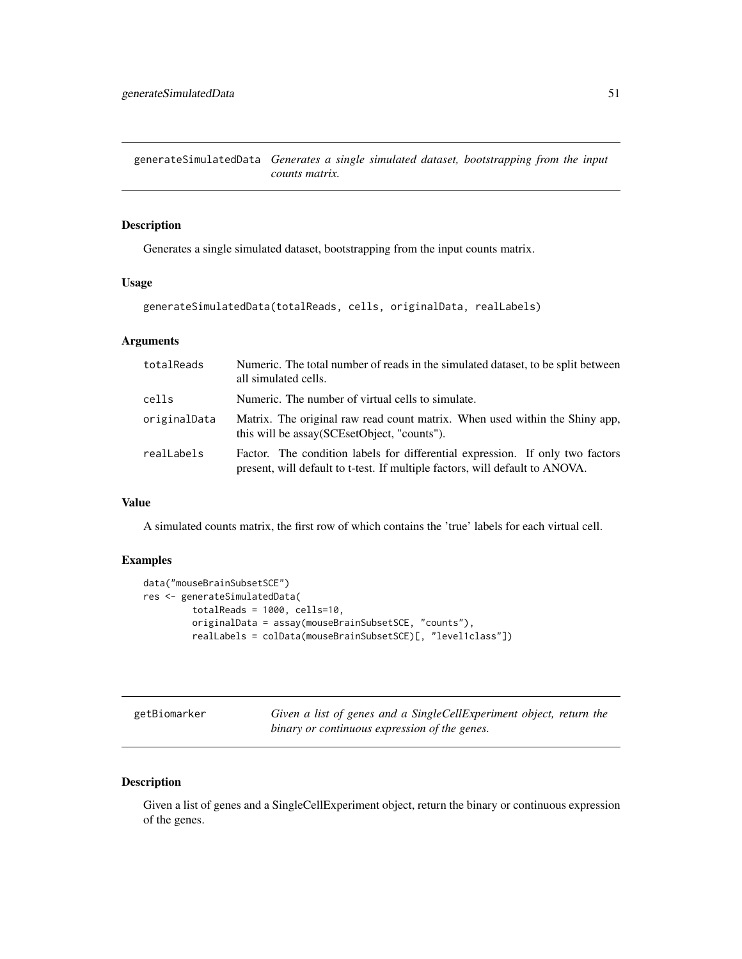generateSimulatedData *Generates a single simulated dataset, bootstrapping from the input counts matrix.*

## Description

Generates a single simulated dataset, bootstrapping from the input counts matrix.

#### Usage

```
generateSimulatedData(totalReads, cells, originalData, realLabels)
```
# Arguments

| totalReads   | Numeric. The total number of reads in the simulated dataset, to be split between<br>all simulated cells.                                                      |
|--------------|---------------------------------------------------------------------------------------------------------------------------------------------------------------|
| cells        | Numeric. The number of virtual cells to simulate.                                                                                                             |
| originalData | Matrix. The original raw read count matrix. When used within the Shiny app,<br>this will be assay (SCE set Object, "counts").                                 |
| realLabels   | Factor. The condition labels for differential expression. If only two factors<br>present, will default to t-test. If multiple factors, will default to ANOVA. |

## Value

A simulated counts matrix, the first row of which contains the 'true' labels for each virtual cell.

## Examples

```
data("mouseBrainSubsetSCE")
res <- generateSimulatedData(
        totalReads = 1000, cells=10,
        originalData = assay(mouseBrainSubsetSCE, "counts"),
        realLabels = colData(mouseBrainSubsetSCE)[, "level1class"])
```
getBiomarker *Given a list of genes and a SingleCellExperiment object, return the binary or continuous expression of the genes.*

## Description

Given a list of genes and a SingleCellExperiment object, return the binary or continuous expression of the genes.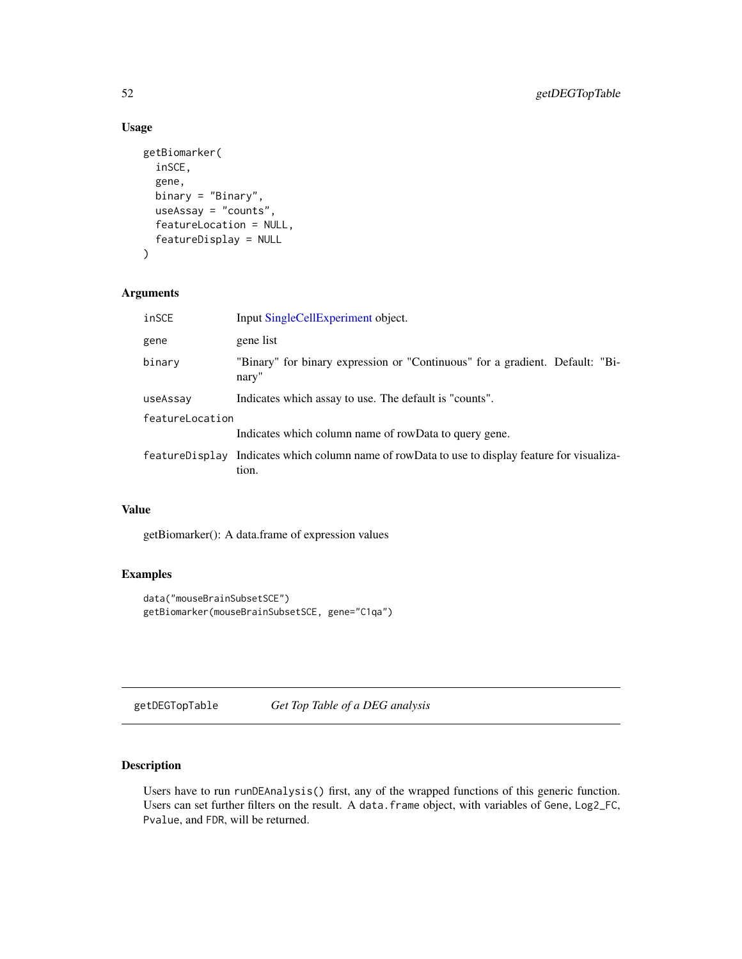# Usage

```
getBiomarker(
  inSCE,
  gene,
 binary = "Binary",
 useAssay = "counts",
  featureLocation = NULL,
  featureDisplay = NULL
)
```
# Arguments

| inSCE           | Input SingleCellExperiment object.                                                                       |  |
|-----------------|----------------------------------------------------------------------------------------------------------|--|
| gene            | gene list                                                                                                |  |
| binary          | "Binary" for binary expression or "Continuous" for a gradient. Default: "Bi-<br>nary"                    |  |
| useAssay        | Indicates which assay to use. The default is "counts".                                                   |  |
| featureLocation |                                                                                                          |  |
|                 | Indicates which column name of rowData to query gene.                                                    |  |
|                 | feature Display Indicates which column name of rowData to use to display feature for visualiza-<br>tion. |  |

# Value

getBiomarker(): A data.frame of expression values

# Examples

```
data("mouseBrainSubsetSCE")
getBiomarker(mouseBrainSubsetSCE, gene="C1qa")
```
getDEGTopTable *Get Top Table of a DEG analysis*

# Description

Users have to run runDEAnalysis() first, any of the wrapped functions of this generic function. Users can set further filters on the result. A data.frame object, with variables of Gene, Log2\_FC, Pvalue, and FDR, will be returned.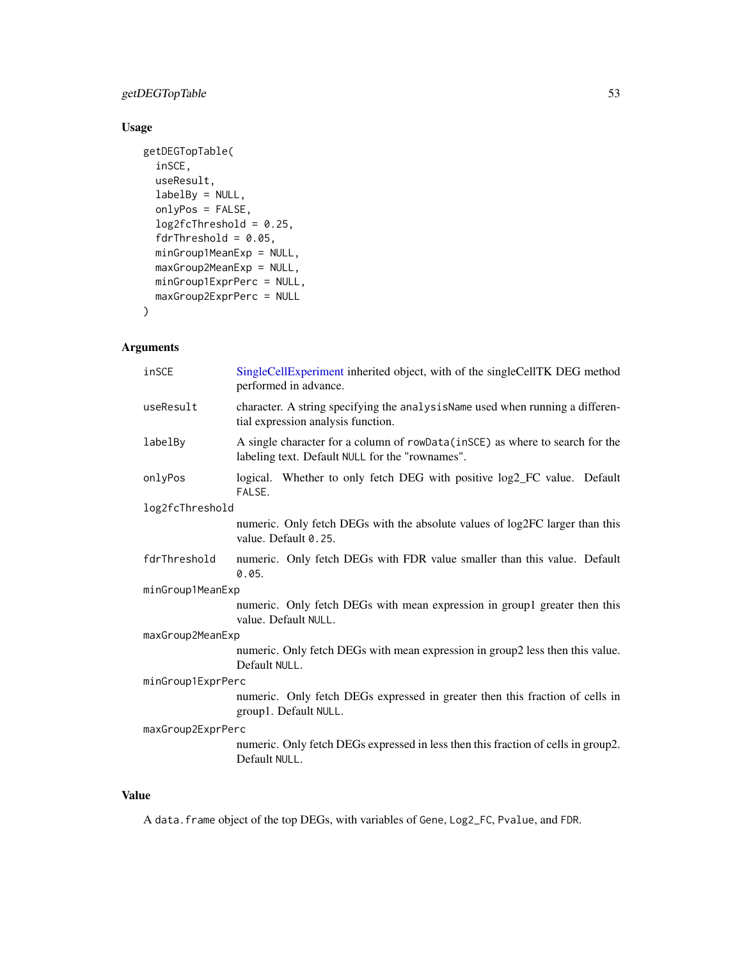# getDEGTopTable 53

# Usage

```
getDEGTopTable(
  inSCE,
 useResult,
 labelBy = NULL,
 onlyPos = FALSE,
 log2fcThreshold = 0.25,fdrThreshold = 0.05,
 minGroup1MeanExp = NULL,
 maxGroup2MeanExp = NULL,
 minGroup1ExprPerc = NULL,
 maxGroup2ExprPerc = NULL
)
```
# Arguments

| inSCE             | SingleCellExperiment inherited object, with of the singleCellTK DEG method<br>performed in advance.                             |  |
|-------------------|---------------------------------------------------------------------------------------------------------------------------------|--|
| useResult         | character. A string specifying the analysisName used when running a differen-<br>tial expression analysis function.             |  |
| labelBy           | A single character for a column of rowData(inSCE) as where to search for the<br>labeling text. Default NULL for the "rownames". |  |
| onlyPos           | logical. Whether to only fetch DEG with positive log2_FC value. Default<br>FALSE.                                               |  |
| log2fcThreshold   |                                                                                                                                 |  |
|                   | numeric. Only fetch DEGs with the absolute values of log2FC larger than this<br>value. Default 0.25.                            |  |
| fdrThreshold      | numeric. Only fetch DEGs with FDR value smaller than this value. Default<br>0.05.                                               |  |
| minGroup1MeanExp  |                                                                                                                                 |  |
|                   | numeric. Only fetch DEGs with mean expression in group1 greater then this<br>value. Default NULL.                               |  |
| maxGroup2MeanExp  |                                                                                                                                 |  |
|                   | numeric. Only fetch DEGs with mean expression in group2 less then this value.<br>Default NULL.                                  |  |
| minGroup1ExprPerc |                                                                                                                                 |  |
|                   | numeric. Only fetch DEGs expressed in greater then this fraction of cells in<br>group1. Default NULL.                           |  |
| maxGroup2ExprPerc |                                                                                                                                 |  |
|                   | numeric. Only fetch DEGs expressed in less then this fraction of cells in group2.<br>Default NULL.                              |  |

## Value

A data.frame object of the top DEGs, with variables of Gene, Log2\_FC, Pvalue, and FDR.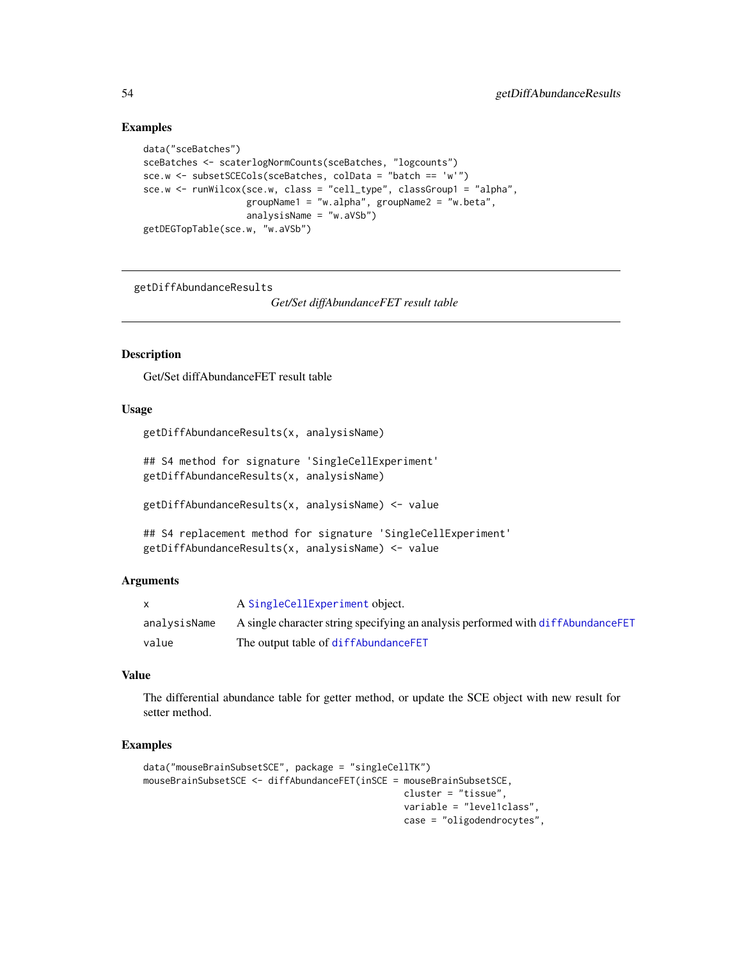#### Examples

```
data("sceBatches")
sceBatches <- scaterlogNormCounts(sceBatches, "logcounts")
sce.w <- subsetSCECols(sceBatches, colData = "batch == 'w'")
sce.w <- runWilcox(sce.w, class = "cell_type", classGroup1 = "alpha",
                  groupName1 = "w.alpha", groupName2 = "w.beta",
                  analysisName = "w.aVSb")
getDEGTopTable(sce.w, "w.aVSb")
```
getDiffAbundanceResults

*Get/Set diffAbundanceFET result table*

#### Description

Get/Set diffAbundanceFET result table

#### Usage

```
getDiffAbundanceResults(x, analysisName)
```

```
## S4 method for signature 'SingleCellExperiment'
getDiffAbundanceResults(x, analysisName)
```

```
getDiffAbundanceResults(x, analysisName) <- value
```

```
## S4 replacement method for signature 'SingleCellExperiment'
getDiffAbundanceResults(x, analysisName) <- value
```
#### Arguments

|              | A SingleCellExperiment object.                                                     |
|--------------|------------------------------------------------------------------------------------|
| analvsisName | A single character string specifying an analysis performed with diff Abundance FET |
| value        | The output table of diffAbundanceFET                                               |

#### Value

The differential abundance table for getter method, or update the SCE object with new result for setter method.

```
data("mouseBrainSubsetSCE", package = "singleCellTK")
mouseBrainSubsetSCE <- diffAbundanceFET(inSCE = mouseBrainSubsetSCE,
                                                cluster = "tissue",
                                                variable = "level1class",
                                                case = "oligodendrocytes",
```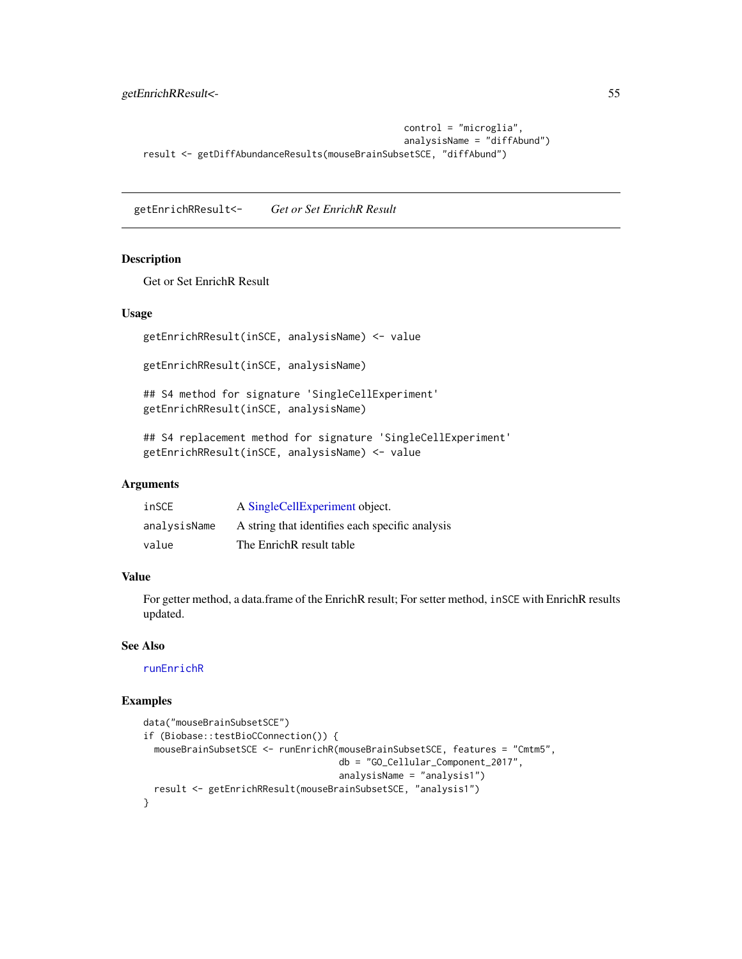```
control = "microglia",
                                                analysisName = "diffAbund")
result <- getDiffAbundanceResults(mouseBrainSubsetSCE, "diffAbund")
```
getEnrichRResult<- *Get or Set EnrichR Result*

### Description

Get or Set EnrichR Result

# Usage

getEnrichRResult(inSCE, analysisName) <- value

getEnrichRResult(inSCE, analysisName)

## S4 method for signature 'SingleCellExperiment' getEnrichRResult(inSCE, analysisName)

## S4 replacement method for signature 'SingleCellExperiment' getEnrichRResult(inSCE, analysisName) <- value

## **Arguments**

| inSCE        | A SingleCellExperiment object.                  |
|--------------|-------------------------------------------------|
| analysisName | A string that identifies each specific analysis |
| value        | The EnrichR result table                        |

# Value

For getter method, a data.frame of the EnrichR result; For setter method, inSCE with EnrichR results updated.

#### See Also

[runEnrichR](#page-224-0)

```
data("mouseBrainSubsetSCE")
if (Biobase::testBioCConnection()) {
 mouseBrainSubsetSCE <- runEnrichR(mouseBrainSubsetSCE, features = "Cmtm5",
                                    db = "GO_Cellular_Component_2017",
                                    analysisName = "analysis1")
 result <- getEnrichRResult(mouseBrainSubsetSCE, "analysis1")
}
```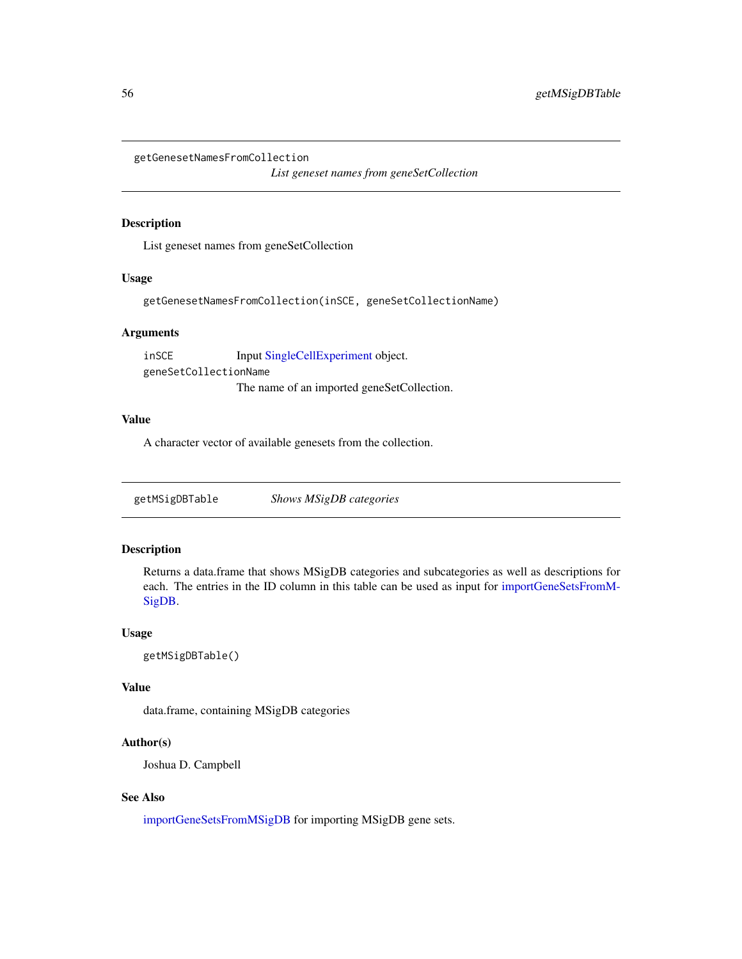getGenesetNamesFromCollection

*List geneset names from geneSetCollection*

#### Description

List geneset names from geneSetCollection

# Usage

getGenesetNamesFromCollection(inSCE, geneSetCollectionName)

## Arguments

inSCE Input [SingleCellExperiment](#page-0-0) object. geneSetCollectionName The name of an imported geneSetCollection.

## Value

A character vector of available genesets from the collection.

getMSigDBTable *Shows MSigDB categories*

#### Description

Returns a data.frame that shows MSigDB categories and subcategories as well as descriptions for each. The entries in the ID column in this table can be used as input for [importGeneSetsFromM-](#page-82-0)[SigDB.](#page-82-0)

#### Usage

```
getMSigDBTable()
```
## Value

data.frame, containing MSigDB categories

## Author(s)

Joshua D. Campbell

# See Also

[importGeneSetsFromMSigDB](#page-82-0) for importing MSigDB gene sets.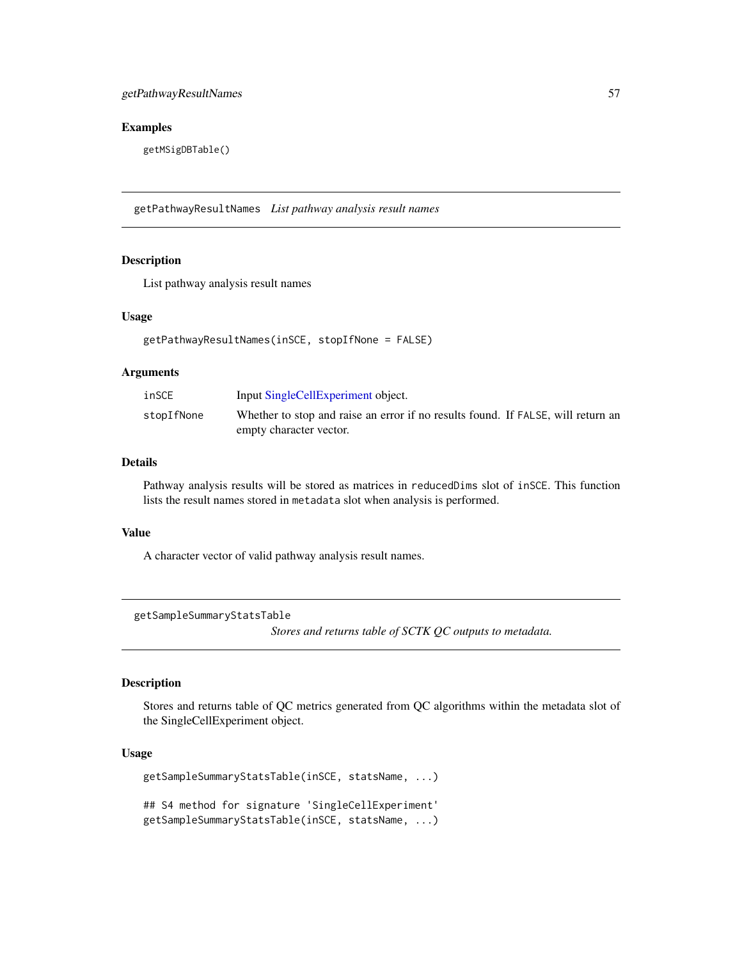#### Examples

getMSigDBTable()

getPathwayResultNames *List pathway analysis result names*

# Description

List pathway analysis result names

#### Usage

```
getPathwayResultNames(inSCE, stopIfNone = FALSE)
```
# Arguments

| inSCE      | Input SingleCellExperiment object.                                               |
|------------|----------------------------------------------------------------------------------|
| stopIfNone | Whether to stop and raise an error if no results found. If FALSE, will return an |
|            | empty character vector.                                                          |

#### Details

Pathway analysis results will be stored as matrices in reducedDims slot of inSCE. This function lists the result names stored in metadata slot when analysis is performed.

#### Value

A character vector of valid pathway analysis result names.

```
getSampleSummaryStatsTable
```
*Stores and returns table of SCTK QC outputs to metadata.*

#### Description

Stores and returns table of QC metrics generated from QC algorithms within the metadata slot of the SingleCellExperiment object.

```
getSampleSummaryStatsTable(inSCE, statsName, ...)
## S4 method for signature 'SingleCellExperiment'
getSampleSummaryStatsTable(inSCE, statsName, ...)
```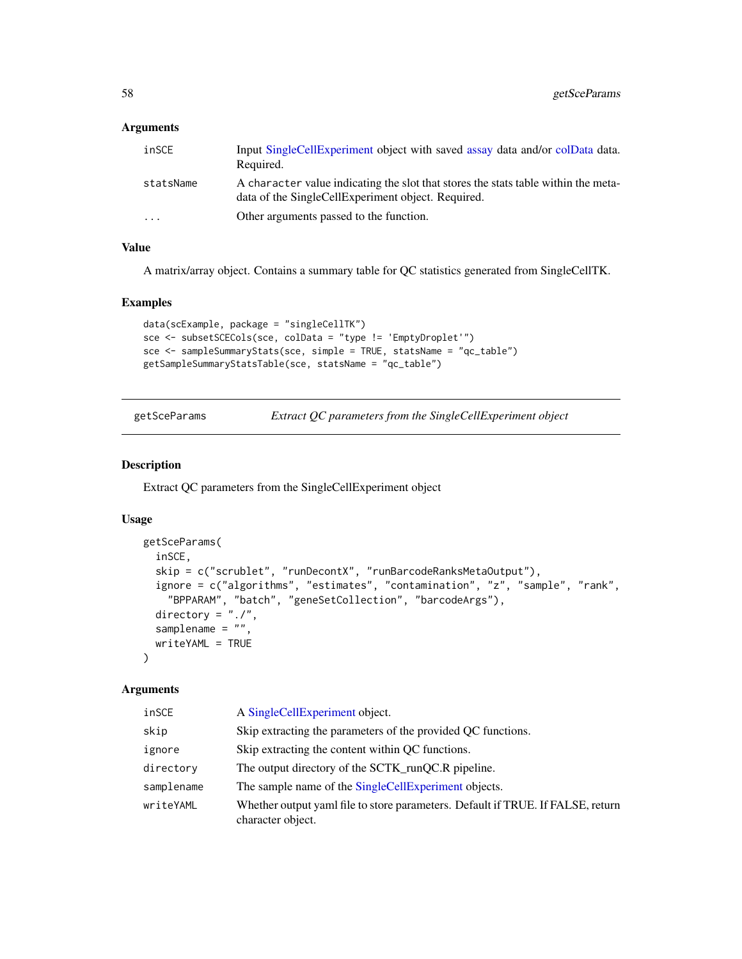## Arguments

| inSCE                   | Input SingleCellExperiment object with saved assay data and/or colData data.<br>Required.                                                |
|-------------------------|------------------------------------------------------------------------------------------------------------------------------------------|
| statsName               | A character value indicating the slot that stores the stats table within the meta-<br>data of the SingleCellExperiment object. Required. |
| $\cdot$ $\cdot$ $\cdot$ | Other arguments passed to the function.                                                                                                  |

# Value

A matrix/array object. Contains a summary table for QC statistics generated from SingleCellTK.

#### Examples

```
data(scExample, package = "singleCellTK")
sce <- subsetSCECols(sce, colData = "type != 'EmptyDroplet'")
sce <- sampleSummaryStats(sce, simple = TRUE, statsName = "qc_table")
getSampleSummaryStatsTable(sce, statsName = "qc_table")
```
getSceParams *Extract QC parameters from the SingleCellExperiment object*

#### Description

Extract QC parameters from the SingleCellExperiment object

# Usage

```
getSceParams(
  inSCE,
  skip = c("scrublet", "runDecontX", "runBarcodeRanksMetaOutput"),
  ignore = c("algorithms", "estimates", "contamination", "z", "sample", "rank",
    "BPPARAM", "batch", "geneSetCollection", "barcodeArgs"),
  directory = "./",
  samplename = ",
 writeYAML = TRUE
)
```
#### Arguments

| inSCE      | A SingleCellExperiment object.                                                                       |
|------------|------------------------------------------------------------------------------------------------------|
| skip       | Skip extracting the parameters of the provided QC functions.                                         |
| ignore     | Skip extracting the content within QC functions.                                                     |
| directory  | The output directory of the SCTK_runQC.R pipeline.                                                   |
| samplename | The sample name of the SingleCellExperiment objects.                                                 |
| writeYAML  | Whether output yaml file to store parameters. Default if TRUE. If FALSE, return<br>character object. |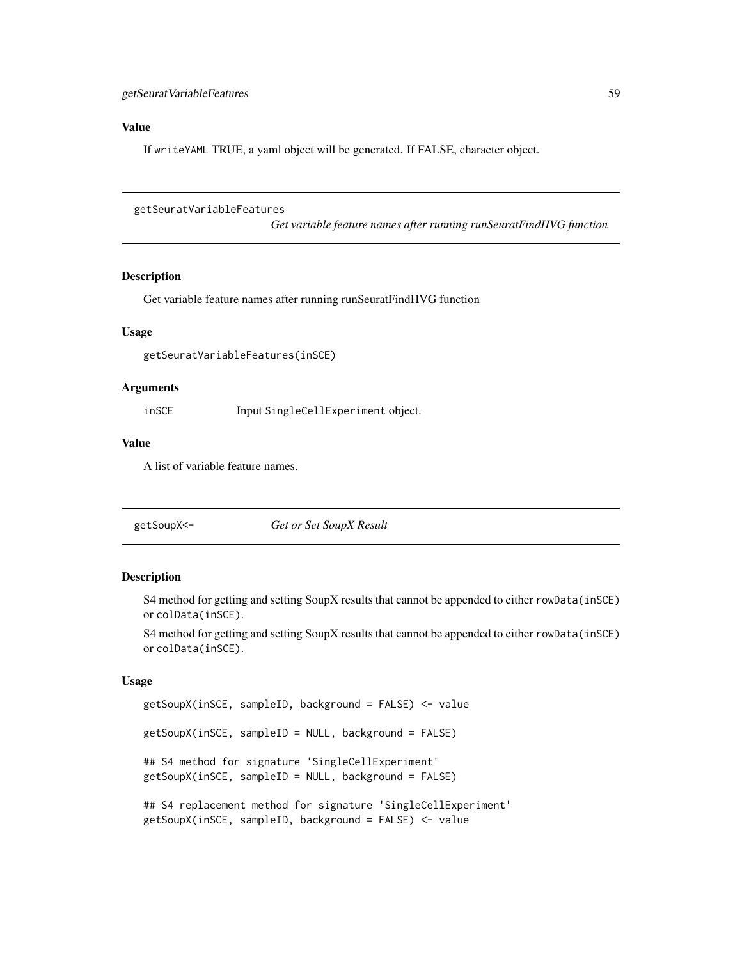#### Value

If writeYAML TRUE, a yaml object will be generated. If FALSE, character object.

getSeuratVariableFeatures

*Get variable feature names after running runSeuratFindHVG function*

#### Description

Get variable feature names after running runSeuratFindHVG function

#### Usage

getSeuratVariableFeatures(inSCE)

#### Arguments

inSCE Input SingleCellExperiment object.

#### Value

A list of variable feature names.

| getSoupX<- | Get or Set SoupX Result |  |
|------------|-------------------------|--|
|------------|-------------------------|--|

## Description

S4 method for getting and setting SoupX results that cannot be appended to either rowData(inSCE) or colData(inSCE).

S4 method for getting and setting SoupX results that cannot be appended to either rowData(inSCE) or colData(inSCE).

```
getSoupX(inSCE, sampleID, background = FALSE) <- value
getSoupX(inSCE, sampleID = NULL, background = FALSE)
## S4 method for signature 'SingleCellExperiment'
getSoupX(inSCE, sampleID = NULL, background = FALSE)
## S4 replacement method for signature 'SingleCellExperiment'
getSoupX(inSCE, sampleID, background = FALSE) <- value
```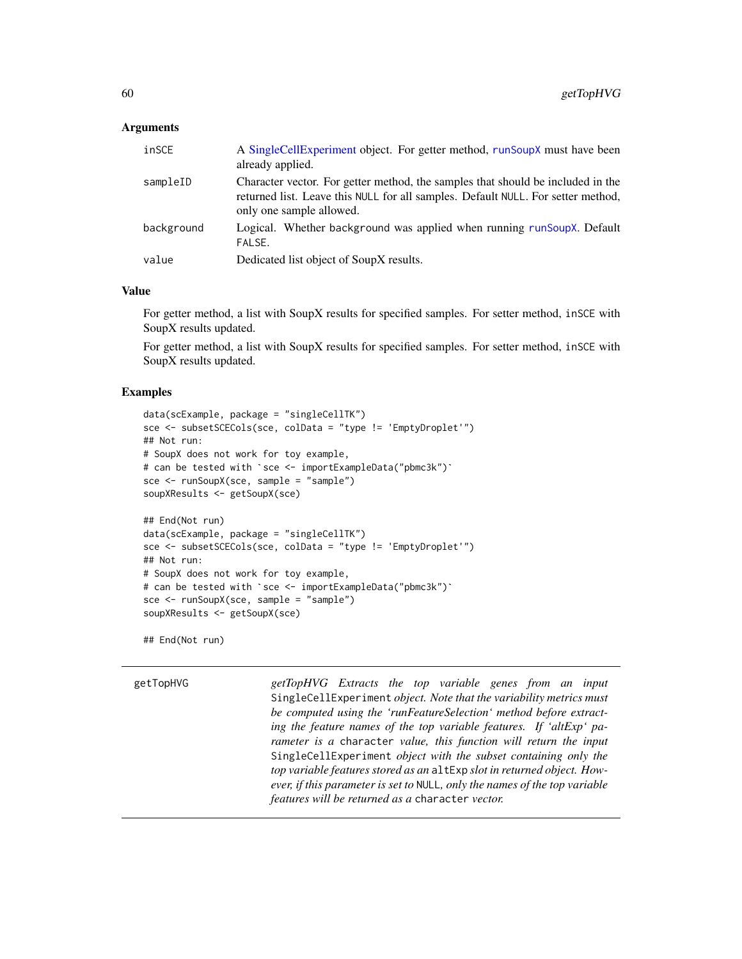## **Arguments**

| inSCE      | A Single Cell Experiment object. For getter method, run Soup X must have been<br>already applied.                                                                                               |
|------------|-------------------------------------------------------------------------------------------------------------------------------------------------------------------------------------------------|
| sampleID   | Character vector. For getter method, the samples that should be included in the<br>returned list. Leave this NULL for all samples. Default NULL. For setter method,<br>only one sample allowed. |
| background | Logical. Whether background was applied when running runSoupX. Default<br>FALSE.                                                                                                                |
| value      | Dedicated list object of SoupX results.                                                                                                                                                         |

#### Value

For getter method, a list with SoupX results for specified samples. For setter method, inSCE with SoupX results updated.

For getter method, a list with SoupX results for specified samples. For setter method, inSCE with SoupX results updated.

#### Examples

```
data(scExample, package = "singleCellTK")
sce <- subsetSCECols(sce, colData = "type != 'EmptyDroplet'")
## Not run:
# SoupX does not work for toy example,
# can be tested with `sce <- importExampleData("pbmc3k")`
sce <- runSoupX(sce, sample = "sample")
soupXResults <- getSoupX(sce)
## End(Not run)
data(scExample, package = "singleCellTK")
sce <- subsetSCECols(sce, colData = "type != 'EmptyDroplet'")
## Not run:
# SoupX does not work for toy example,
# can be tested with `sce <- importExampleData("pbmc3k")`
sce <- runSoupX(sce, sample = "sample")
soupXResults <- getSoupX(sce)
```
## End(Not run)

getTopHVG *getTopHVG Extracts the top variable genes from an input* SingleCellExperiment *object. Note that the variability metrics must be computed using the 'runFeatureSelection' method before extracting the feature names of the top variable features. If 'altExp' parameter is a* character *value, this function will return the input* SingleCellExperiment *object with the subset containing only the top variable features stored as an* altExp *slot in returned object. However, if this parameter is set to* NULL*, only the names of the top variable features will be returned as a* character *vector.*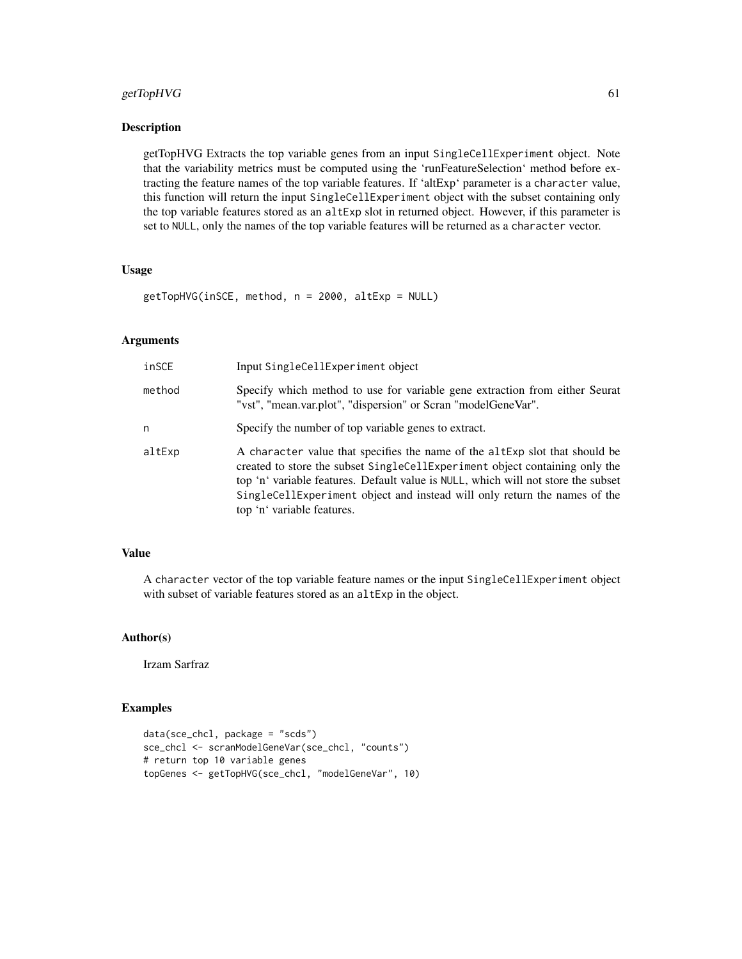# getTopHVG 61

# Description

getTopHVG Extracts the top variable genes from an input SingleCellExperiment object. Note that the variability metrics must be computed using the 'runFeatureSelection' method before extracting the feature names of the top variable features. If 'altExp' parameter is a character value, this function will return the input SingleCellExperiment object with the subset containing only the top variable features stored as an altExp slot in returned object. However, if this parameter is set to NULL, only the names of the top variable features will be returned as a character vector.

#### Usage

getTopHVG(inSCE, method, n = 2000, altExp = NULL)

## Arguments

| inSCE  | Input SingleCellExperiment object                                                                                                                                                                                                                                                                                                                          |
|--------|------------------------------------------------------------------------------------------------------------------------------------------------------------------------------------------------------------------------------------------------------------------------------------------------------------------------------------------------------------|
| method | Specify which method to use for variable gene extraction from either Seurat<br>"vst", "mean.var.plot", "dispersion" or Scran "modelGeneVar".                                                                                                                                                                                                               |
| n      | Specify the number of top variable genes to extract.                                                                                                                                                                                                                                                                                                       |
| altExp | A character value that specifies the name of the altExp slot that should be<br>created to store the subset SingleCellExperiment object containing only the<br>top 'n' variable features. Default value is NULL, which will not store the subset<br>SingleCellExperiment object and instead will only return the names of the<br>top 'n' variable features. |

#### Value

A character vector of the top variable feature names or the input SingleCellExperiment object with subset of variable features stored as an altExp in the object.

# Author(s)

Irzam Sarfraz

```
data(sce_chcl, package = "scds")
sce_chcl <- scranModelGeneVar(sce_chcl, "counts")
# return top 10 variable genes
topGenes <- getTopHVG(sce_chcl, "modelGeneVar", 10)
```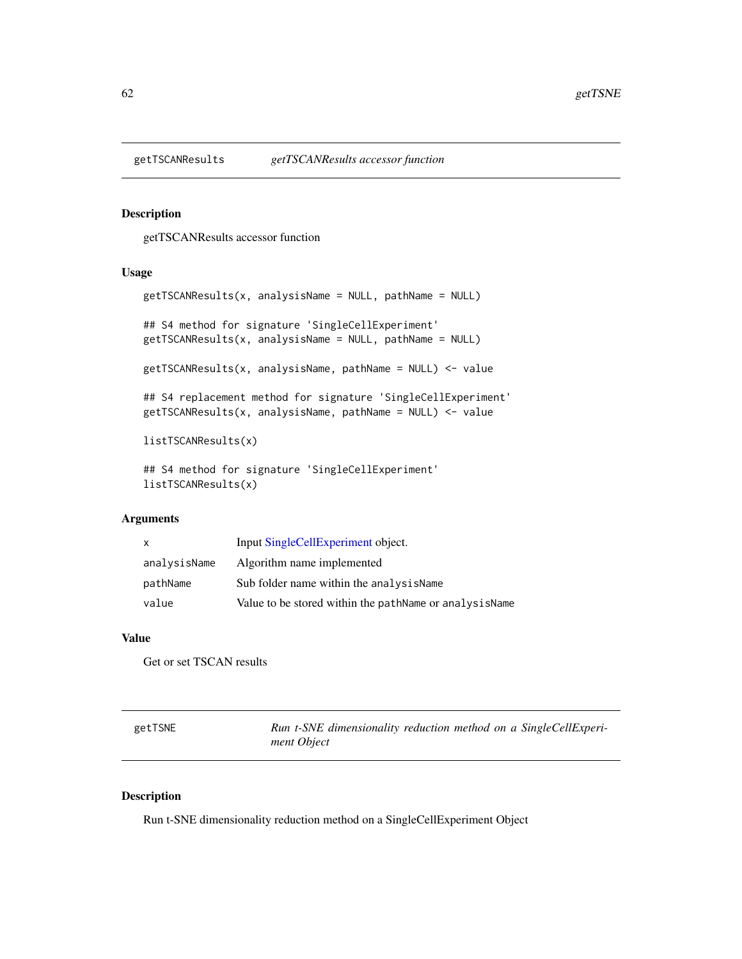## Description

getTSCANResults accessor function

#### Usage

```
getTSCANResults(x, analysisName = NULL, pathName = NULL)
## S4 method for signature 'SingleCellExperiment'
getTSCANResults(x, analysisName = NULL, pathName = NULL)
getTSCANResults(x, analysisName, pathName = NULL) <- value
## S4 replacement method for signature 'SingleCellExperiment'
getTSCANResults(x, analysisName, pathName = NULL) <- value
listTSCANResults(x)
```
## S4 method for signature 'SingleCellExperiment' listTSCANResults(x)

# Arguments

| $\mathsf{x}$ | Input SingleCellExperiment object.                     |
|--------------|--------------------------------------------------------|
| analysisName | Algorithm name implemented                             |
| pathName     | Sub folder name within the analysis Name               |
| value        | Value to be stored within the pathName or analysisName |

# Value

Get or set TSCAN results

| getTSNE | Run t-SNE dimensionality reduction method on a SingleCellExperi- |
|---------|------------------------------------------------------------------|
|         | ment Object                                                      |

#### Description

Run t-SNE dimensionality reduction method on a SingleCellExperiment Object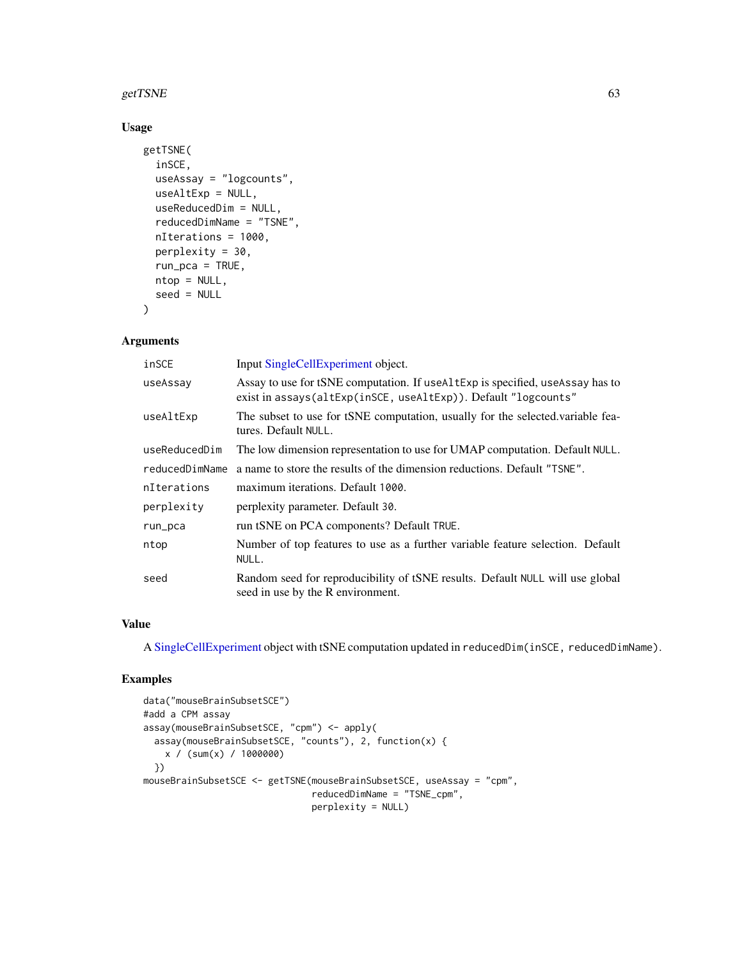#### getTSNE  $\qquad \qquad 63$

## Usage

```
getTSNE(
  inSCE,
  useAssay = "logcounts",
 useAltExp = NULL,
 useReducedDim = NULL,
  reducedDimName = "TSNE",
  nIterations = 1000,
  perplexity = 30,
  run\_pca = TRUE,ntop = NULL,
  seed = NULL
)
```
# Arguments

| inSCE          | Input SingleCellExperiment object.                                                                                                                |
|----------------|---------------------------------------------------------------------------------------------------------------------------------------------------|
| useAssay       | Assay to use for tSNE computation. If useal texp is specified, use Assay has to<br>exist in assays(altExp(inSCE, useAltExp)). Default "logcounts" |
| useAltExp      | The subset to use for tSNE computation, usually for the selected variable fea-<br>tures. Default NULL.                                            |
| useReducedDim  | The low dimension representation to use for UMAP computation. Default NULL.                                                                       |
| reducedDimName | a name to store the results of the dimension reductions. Default "TSNE".                                                                          |
| nIterations    | maximum iterations. Default 1000.                                                                                                                 |
| perplexity     | perplexity parameter. Default 30.                                                                                                                 |
| run_pca        | run tSNE on PCA components? Default TRUE.                                                                                                         |
| ntop           | Number of top features to use as a further variable feature selection. Default<br>NULL.                                                           |
| seed           | Random seed for reproducibility of tSNE results. Default NULL will use global<br>seed in use by the R environment.                                |

## Value

A [SingleCellExperiment](#page-0-0) object with tSNE computation updated in reducedDim(inSCE, reducedDimName).

```
data("mouseBrainSubsetSCE")
#add a CPM assay
assay(mouseBrainSubsetSCE, "cpm") <- apply(
  assay(mouseBrainSubsetSCE, "counts"), 2, function(x) {
   x / (sum(x) / 1000000)
  })
mouseBrainSubsetSCE <- getTSNE(mouseBrainSubsetSCE, useAssay = "cpm",
                               reducedDimName = "TSNE_cpm",
                               perplexity = NULL)
```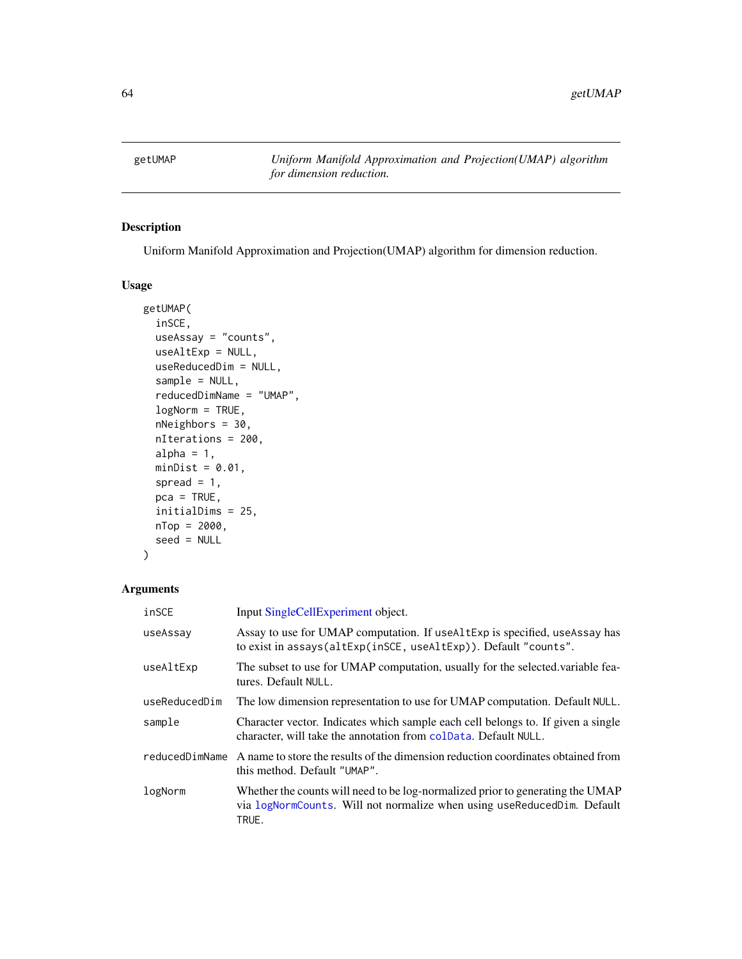getUMAP *Uniform Manifold Approximation and Projection(UMAP) algorithm for dimension reduction.*

# Description

Uniform Manifold Approximation and Projection(UMAP) algorithm for dimension reduction.

#### Usage

```
getUMAP(
  inSCE,
  useAssay = "counts",
  useAltExp = NULL,
  useReducedDim = NULL,
  sample = NULL,
  reducedDimName = "UMAP",
  logNorm = TRUE,
  nNeighbors = 30,
  nIterations = 200,
  alpha = 1,
 minDist = 0.01,spread = 1,
 pca = TRUE,initialDims = 25,
 nTop = 2000,
  seed = NULL
\mathcal{L}
```
# Arguments

| inSCE          | Input SingleCellExperiment object.                                                                                                                                 |
|----------------|--------------------------------------------------------------------------------------------------------------------------------------------------------------------|
| useAssay       | Assay to use for UMAP computation. If useAltExp is specified, useAssay has<br>to exist in assays(altExp(inSCE, useAltExp)). Default "counts".                      |
| useAltExp      | The subset to use for UMAP computation, usually for the selected variable fea-<br>tures. Default NULL.                                                             |
| useReducedDim  | The low dimension representation to use for UMAP computation. Default NULL.                                                                                        |
| sample         | Character vector. Indicates which sample each cell belongs to. If given a single<br>character, will take the annotation from colData. Default NULL.                |
| reducedDimName | A name to store the results of the dimension reduction coordinates obtained from<br>this method. Default "UMAP".                                                   |
| logNorm        | Whether the counts will need to be log-normalized prior to generating the UMAP<br>via logNormCounts. Will not normalize when using useReducedDim. Default<br>TRUE. |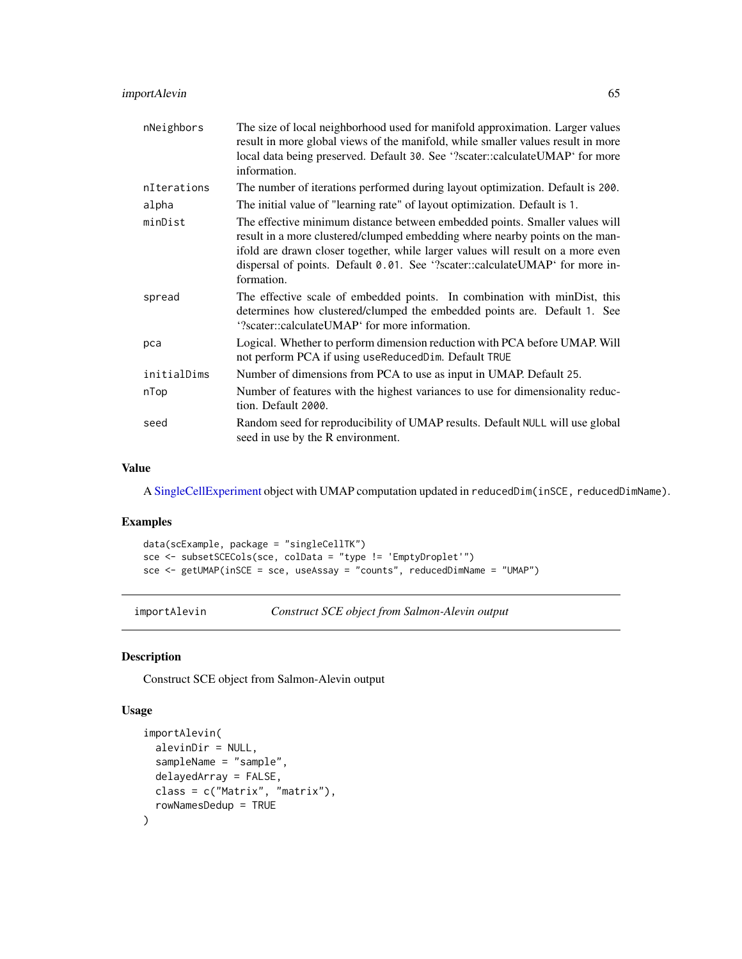| nNeighbors  | The size of local neighborhood used for manifold approximation. Larger values<br>result in more global views of the manifold, while smaller values result in more<br>local data being preserved. Default 30. See '?scater::calculateUMAP' for more<br>information.                                                                           |
|-------------|----------------------------------------------------------------------------------------------------------------------------------------------------------------------------------------------------------------------------------------------------------------------------------------------------------------------------------------------|
| nIterations | The number of iterations performed during layout optimization. Default is 200.                                                                                                                                                                                                                                                               |
| alpha       | The initial value of "learning rate" of layout optimization. Default is 1.                                                                                                                                                                                                                                                                   |
| minDist     | The effective minimum distance between embedded points. Smaller values will<br>result in a more clustered/clumped embedding where nearby points on the man-<br>ifold are drawn closer together, while larger values will result on a more even<br>dispersal of points. Default 0.01. See '?scater::calculateUMAP' for more in-<br>formation. |
| spread      | The effective scale of embedded points. In combination with minDist, this<br>determines how clustered/clumped the embedded points are. Default 1. See<br>'?scater::calculateUMAP' for more information.                                                                                                                                      |
| pca         | Logical. Whether to perform dimension reduction with PCA before UMAP. Will<br>not perform PCA if using useReducedDim. Default TRUE                                                                                                                                                                                                           |
| initialDims | Number of dimensions from PCA to use as input in UMAP. Default 25.                                                                                                                                                                                                                                                                           |
| nTop        | Number of features with the highest variances to use for dimensionality reduc-<br>tion. Default 2000.                                                                                                                                                                                                                                        |
| seed        | Random seed for reproducibility of UMAP results. Default NULL will use global<br>seed in use by the R environment.                                                                                                                                                                                                                           |

# Value

A [SingleCellExperiment](#page-0-0) object with UMAP computation updated in reducedDim(inSCE, reducedDimName).

#### Examples

```
data(scExample, package = "singleCellTK")
sce <- subsetSCECols(sce, colData = "type != 'EmptyDroplet'")
sce <- getUMAP(inSCE = sce, useAssay = "counts", reducedDimName = "UMAP")
```
importAlevin *Construct SCE object from Salmon-Alevin output*

# Description

Construct SCE object from Salmon-Alevin output

```
importAlevin(
 alevinDir = NULL,
  sampleName = "sample",
 delayedArray = FALSE,
 class = c("Matrix", "matrix"),
  rowNamesDedup = TRUE
\mathcal{E}
```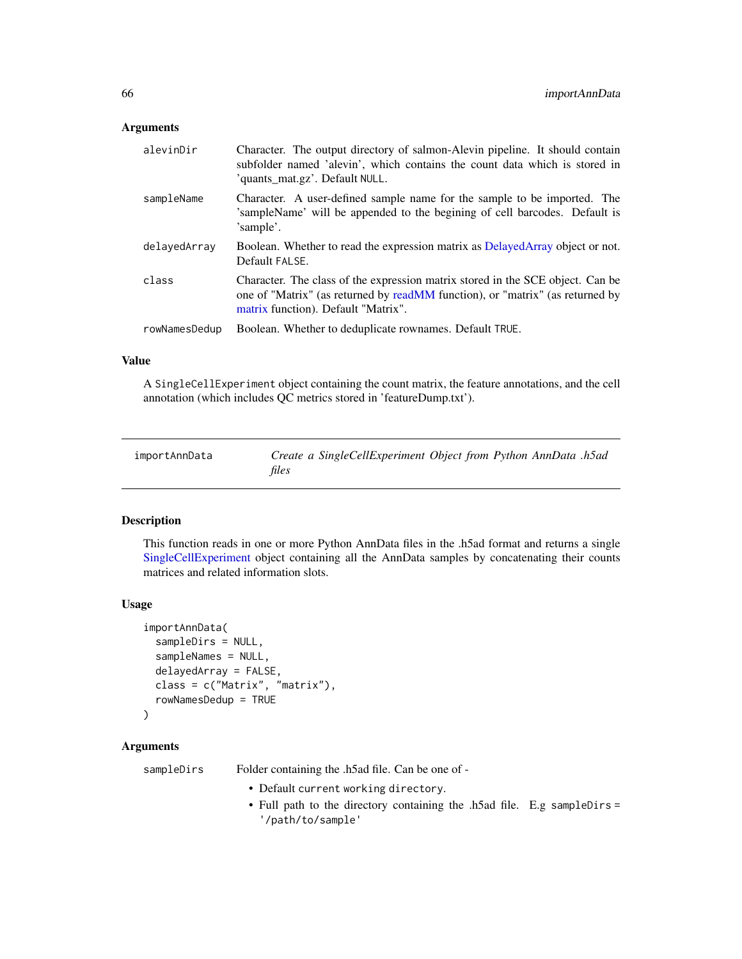#### **Arguments**

| alevinDir     | Character. The output directory of salmon-Alevin pipeline. It should contain<br>subfolder named 'alevin', which contains the count data which is stored in<br>'quants_mat.gz'. Default NULL.           |
|---------------|--------------------------------------------------------------------------------------------------------------------------------------------------------------------------------------------------------|
| sampleName    | Character. A user-defined sample name for the sample to be imported. The<br>'sampleName' will be appended to the begining of cell barcodes. Default is<br>'sample'.                                    |
| delayedArray  | Boolean. Whether to read the expression matrix as DelayedArray object or not.<br>Default FALSE.                                                                                                        |
| class         | Character. The class of the expression matrix stored in the SCE object. Can be<br>one of "Matrix" (as returned by readMM function), or "matrix" (as returned by<br>matrix function). Default "Matrix". |
| rowNamesDedup | Boolean. Whether to deduplicate rownames. Default TRUE.                                                                                                                                                |

#### Value

A SingleCellExperiment object containing the count matrix, the feature annotations, and the cell annotation (which includes QC metrics stored in 'featureDump.txt').

importAnnData *Create a SingleCellExperiment Object from Python AnnData .h5ad files*

#### Description

This function reads in one or more Python AnnData files in the .h5ad format and returns a single [SingleCellExperiment](#page-0-0) object containing all the AnnData samples by concatenating their counts matrices and related information slots.

#### Usage

```
importAnnData(
  sampleDirs = NULL,
  sampleNames = NULL,
  delayedArray = FALSE,
  class = c("Matrix", "matrix"),
  rowNamesDedup = TRUE
)
```
# Arguments

sampleDirs Folder containing the .h5ad file. Can be one of -

- Default current working directory.
- Full path to the directory containing the .h5ad file. E.g sampleDirs = '/path/to/sample'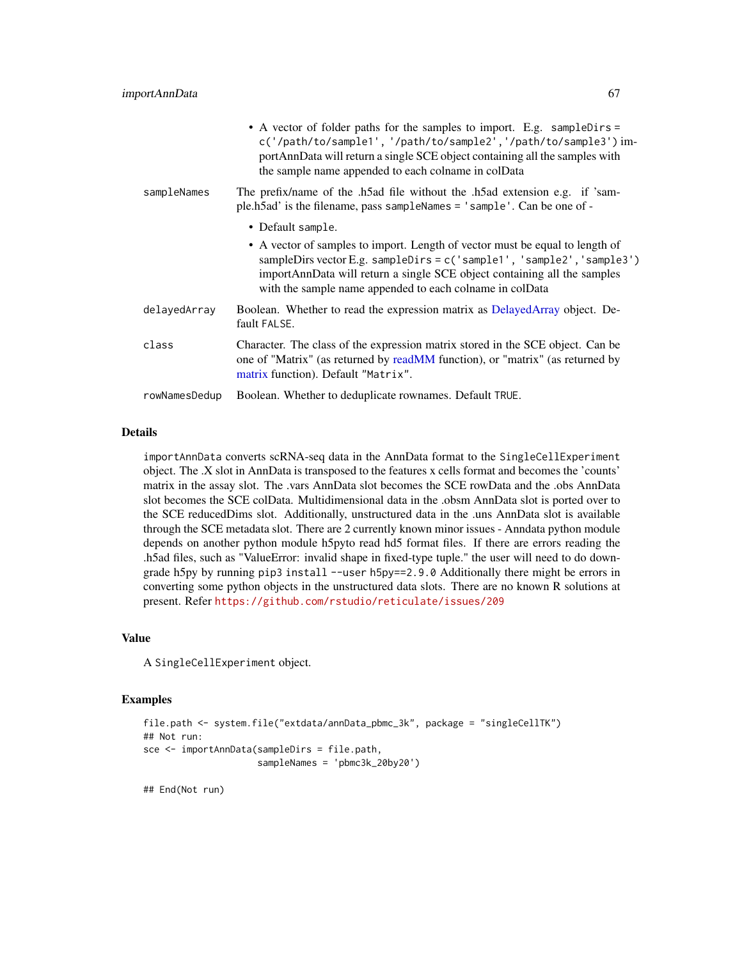|               | • A vector of folder paths for the samples to import. E.g. sampleDirs =<br>c('/path/to/sample1', '/path/to/sample2', '/path/to/sample3') im-<br>portAnnData will return a single SCE object containing all the samples with<br>the sample name appended to each colname in colData               |
|---------------|--------------------------------------------------------------------------------------------------------------------------------------------------------------------------------------------------------------------------------------------------------------------------------------------------|
| sampleNames   | The prefix/name of the .h5ad file without the .h5ad extension e.g. if 'sam-<br>ple.h5ad' is the filename, pass sampleNames = 'sample'. Can be one of -                                                                                                                                           |
|               | • Default sample.                                                                                                                                                                                                                                                                                |
|               | • A vector of samples to import. Length of vector must be equal to length of<br>sampleDirs vector E.g. sampleDirs = $c('sample1', 'sample2', 'sample3')$<br>importAnnData will return a single SCE object containing all the samples<br>with the sample name appended to each colname in colData |
| delayedArray  | Boolean. Whether to read the expression matrix as DelayedArray object. De-<br>fault FALSE.                                                                                                                                                                                                       |
| class         | Character. The class of the expression matrix stored in the SCE object. Can be<br>one of "Matrix" (as returned by readMM function), or "matrix" (as returned by<br>matrix function). Default "Matrix".                                                                                           |
| rowNamesDedup | Boolean. Whether to deduplicate rownames. Default TRUE.                                                                                                                                                                                                                                          |

#### Details

importAnnData converts scRNA-seq data in the AnnData format to the SingleCellExperiment object. The .X slot in AnnData is transposed to the features x cells format and becomes the 'counts' matrix in the assay slot. The .vars AnnData slot becomes the SCE rowData and the .obs AnnData slot becomes the SCE colData. Multidimensional data in the .obsm AnnData slot is ported over to the SCE reducedDims slot. Additionally, unstructured data in the .uns AnnData slot is available through the SCE metadata slot. There are 2 currently known minor issues - Anndata python module depends on another python module h5pyto read hd5 format files. If there are errors reading the .h5ad files, such as "ValueError: invalid shape in fixed-type tuple." the user will need to do downgrade h5py by running pip3 install --user h5py==2.9.0 Additionally there might be errors in converting some python objects in the unstructured data slots. There are no known R solutions at present. Refer <https://github.com/rstudio/reticulate/issues/209>

# Value

A SingleCellExperiment object.

#### Examples

```
file.path <- system.file("extdata/annData_pbmc_3k", package = "singleCellTK")
## Not run:
sce <- importAnnData(sampleDirs = file.path,
                     sampleNames = 'pbmc3k_20by20')
```
## End(Not run)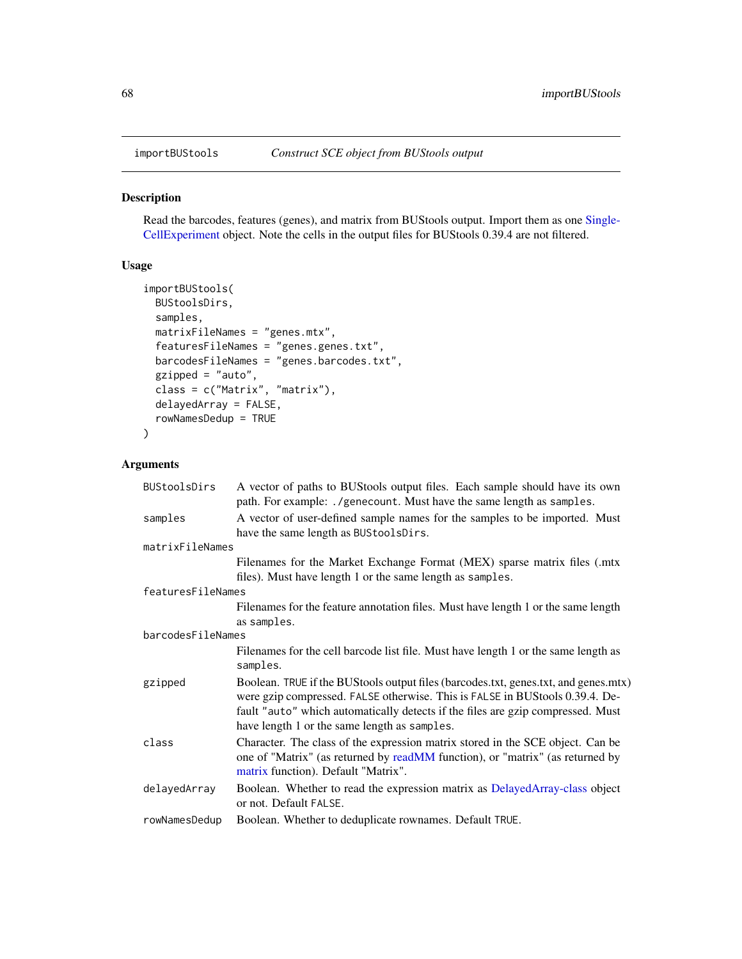## Description

Read the barcodes, features (genes), and matrix from BUStools output. Import them as one [Single-](#page-0-0)[CellExperiment](#page-0-0) object. Note the cells in the output files for BUStools 0.39.4 are not filtered.

# Usage

```
importBUStools(
 BUStoolsDirs,
 samples,
 matrixFileNames = "genes.mtx",
 featuresFileNames = "genes.genes.txt",
 barcodesFileNames = "genes.barcodes.txt",
 gzipped = "auto",
 class = c("Matrix", "matrix"),
 delayedArray = FALSE,
 rowNamesDedup = TRUE
)
```
#### Arguments

| <b>BUStoolsDirs</b> | A vector of paths to BUStools output files. Each sample should have its own<br>path. For example: ./genecount. Must have the same length as samples.                                                                                                                                                   |
|---------------------|--------------------------------------------------------------------------------------------------------------------------------------------------------------------------------------------------------------------------------------------------------------------------------------------------------|
| samples             | A vector of user-defined sample names for the samples to be imported. Must<br>have the same length as BUStoolsDirs.                                                                                                                                                                                    |
| matrixFileNames     |                                                                                                                                                                                                                                                                                                        |
|                     | Filenames for the Market Exchange Format (MEX) sparse matrix files (.mtx                                                                                                                                                                                                                               |
|                     | files). Must have length 1 or the same length as samples.                                                                                                                                                                                                                                              |
| featuresFileNames   |                                                                                                                                                                                                                                                                                                        |
|                     | Filenames for the feature annotation files. Must have length 1 or the same length                                                                                                                                                                                                                      |
|                     | as samples.                                                                                                                                                                                                                                                                                            |
| barcodesFileNames   |                                                                                                                                                                                                                                                                                                        |
|                     | Filenames for the cell barcode list file. Must have length 1 or the same length as<br>samples.                                                                                                                                                                                                         |
| gzipped             | Boolean. TRUE if the BUStools output files (barcodes.txt, genes.txt, and genes.mtx)<br>were gzip compressed. FALSE otherwise. This is FALSE in BUStools 0.39.4. De-<br>fault "auto" which automatically detects if the files are gzip compressed. Must<br>have length 1 or the same length as samples. |
| class               | Character. The class of the expression matrix stored in the SCE object. Can be<br>one of "Matrix" (as returned by readMM function), or "matrix" (as returned by<br>matrix function). Default "Matrix".                                                                                                 |
| delayedArray        | Boolean. Whether to read the expression matrix as DelayedArray-class object<br>or not. Default FALSE.                                                                                                                                                                                                  |
| rowNamesDedup       | Boolean. Whether to deduplicate rownames. Default TRUE.                                                                                                                                                                                                                                                |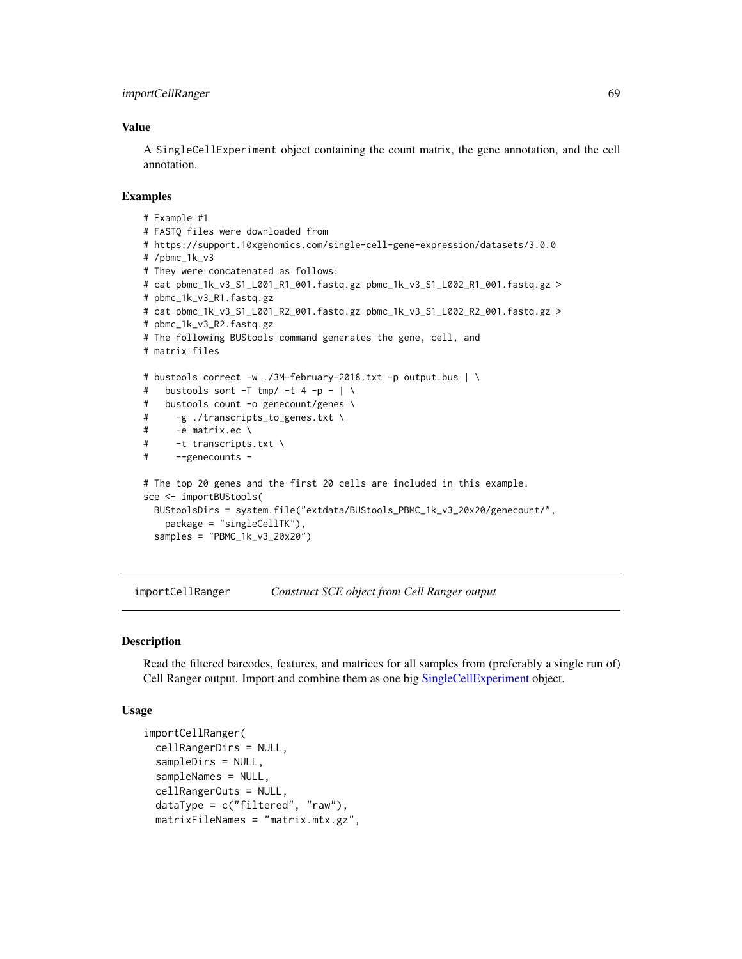## Value

A SingleCellExperiment object containing the count matrix, the gene annotation, and the cell annotation.

#### Examples

```
# Example #1
# FASTQ files were downloaded from
# https://support.10xgenomics.com/single-cell-gene-expression/datasets/3.0.0
# /pbmc_1k_v3
# They were concatenated as follows:
# cat pbmc_1k_v3_S1_L001_R1_001.fastq.gz pbmc_1k_v3_S1_L002_R1_001.fastq.gz >
# pbmc_1k_v3_R1.fastq.gz
# cat pbmc_1k_v3_S1_L001_R2_001.fastq.gz pbmc_1k_v3_S1_L002_R2_001.fastq.gz >
# pbmc_1k_v3_R2.fastq.gz
# The following BUStools command generates the gene, cell, and
# matrix files
# bustools correct -w ./3M-february-2018.txt -p output.bus | \
# bustools sort -T tmp/ -t 4 -p - \vert \ \rangle# bustools count -o genecount/genes \
# -g ./transcripts_to_genes.txt \
# -e matrix.ec \
# -t transcripts.txt \
# --genecounts -
# The top 20 genes and the first 20 cells are included in this example.
sce <- importBUStools(
 BUStoolsDirs = system.file("extdata/BUStools_PBMC_1k_v3_20x20/genecount/",
   package = "singleCellTK"),
 samples = "PBMC_1k_v3_20x20")
```
importCellRanger *Construct SCE object from Cell Ranger output*

#### Description

Read the filtered barcodes, features, and matrices for all samples from (preferably a single run of) Cell Ranger output. Import and combine them as one big [SingleCellExperiment](#page-0-0) object.

```
importCellRanger(
 cellRangerDirs = NULL,
  sampleDirs = NULL,
  sampleNames = NULL,
  cellRangerOuts = NULL,
  dataType = c("filtered", "raw"),
 matrixFileNames = "matrix.mtx.gz",
```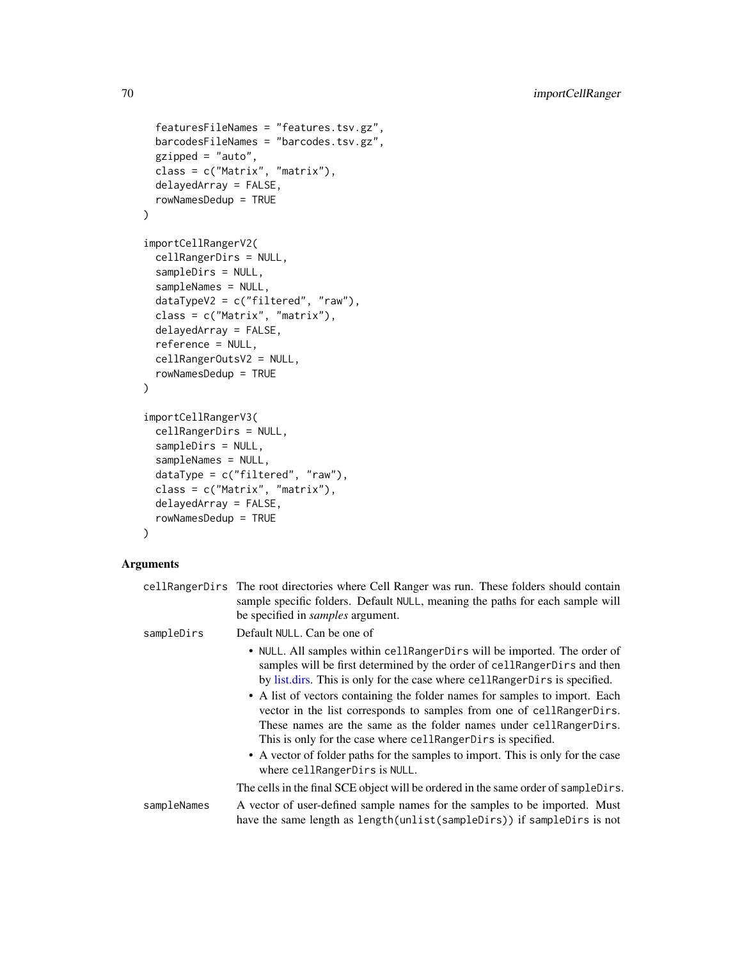```
featuresFileNames = "features.tsv.gz",
 barcodesFileNames = "barcodes.tsv.gz",
 gzipped = "auto",class = c("Matrix", "matrix"),
 delayedArray = FALSE,
 rowNamesDedup = TRUE
)
importCellRangerV2(
 cellRangerDirs = NULL,
  sampleDirs = NULL,
  sampleNames = NULL,
 dataTypeV2 = c("filtered", "raw"),
  class = c("Matrix", "matrix"),
 delayedArray = FALSE,
  reference = NULL,
 cellRangerOutsV2 = NULL,
 rowNamesDedup = TRUE
\lambdaimportCellRangerV3(
 cellRangerDirs = NULL,
  sampleDirs = NULL,
  sampleNames = NULL,
 dataType = c("filtered", "raw"),
 class = c("Matrix", "matrix"),
 delayedArray = FALSE,
  rowNamesDedup = TRUE
)
```
# Arguments

|             | cell Ranger Dirs The root directories where Cell Ranger was run. These folders should contain<br>sample specific folders. Default NULL, meaning the paths for each sample will<br>be specified in <i>samples</i> argument.                                                                                                                                                                                                                                                                                                                                                                                                                                 |
|-------------|------------------------------------------------------------------------------------------------------------------------------------------------------------------------------------------------------------------------------------------------------------------------------------------------------------------------------------------------------------------------------------------------------------------------------------------------------------------------------------------------------------------------------------------------------------------------------------------------------------------------------------------------------------|
| sampleDirs  | Default NULL. Can be one of                                                                                                                                                                                                                                                                                                                                                                                                                                                                                                                                                                                                                                |
|             | • NULL. All samples within cellRangerDirs will be imported. The order of<br>samples will be first determined by the order of cell Ranger Dirs and then<br>by list.dirs. This is only for the case where cellRangerDirs is specified.<br>• A list of vectors containing the folder names for samples to import. Each<br>vector in the list corresponds to samples from one of cellRangerDirs.<br>These names are the same as the folder names under cell Ranger Dirs.<br>This is only for the case where cell Ranger Dirs is specified.<br>• A vector of folder paths for the samples to import. This is only for the case<br>where cellRangerDirs is NULL. |
|             | The cells in the final SCE object will be ordered in the same order of sampleDirs.                                                                                                                                                                                                                                                                                                                                                                                                                                                                                                                                                                         |
| sampleNames | A vector of user-defined sample names for the samples to be imported. Must<br>have the same length as length(unlist(sampleDirs)) if sampleDirs is not                                                                                                                                                                                                                                                                                                                                                                                                                                                                                                      |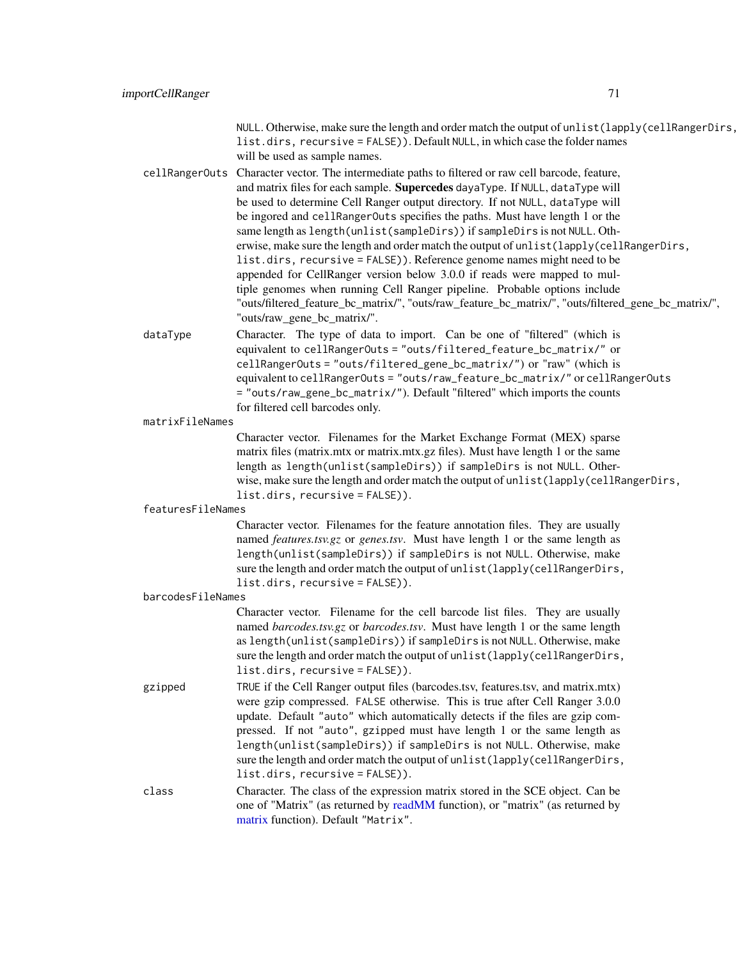NULL. Otherwise, make sure the length and order match the output of unlist(lapply(cellRangerDirs, list.dirs, recursive = FALSE)). Default NULL, in which case the folder names will be used as sample names.

- cellRangerOuts Character vector. The intermediate paths to filtered or raw cell barcode, feature, and matrix files for each sample. Supercedes dayaType. If NULL, dataType will be used to determine Cell Ranger output directory. If not NULL, dataType will be ingored and cellRangerOuts specifies the paths. Must have length 1 or the same length as length(unlist(sampleDirs)) if sampleDirs is not NULL. Otherwise, make sure the length and order match the output of unlist(lapply(cellRangerDirs, list.dirs, recursive = FALSE)). Reference genome names might need to be appended for CellRanger version below 3.0.0 if reads were mapped to multiple genomes when running Cell Ranger pipeline. Probable options include "outs/filtered\_feature\_bc\_matrix/", "outs/raw\_feature\_bc\_matrix/", "outs/filtered\_gene\_bc\_matrix/", "outs/raw\_gene\_bc\_matrix/".
- dataType Character. The type of data to import. Can be one of "filtered" (which is equivalent to cellRangerOuts = "outs/filtered\_feature\_bc\_matrix/" or cellRangerOuts = "outs/filtered\_gene\_bc\_matrix/") or "raw" (which is equivalent to cellRangerOuts = "outs/raw\_feature\_bc\_matrix/" or cellRangerOuts = "outs/raw\_gene\_bc\_matrix/"). Default "filtered" which imports the counts for filtered cell barcodes only.

```
matrixFileNames
```
Character vector. Filenames for the Market Exchange Format (MEX) sparse matrix files (matrix.mtx or matrix.mtx.gz files). Must have length 1 or the same length as length(unlist(sampleDirs)) if sampleDirs is not NULL. Otherwise, make sure the length and order match the output of unlist(lapply(cellRangerDirs, list.dirs, recursive = FALSE)).

featuresFileNames

Character vector. Filenames for the feature annotation files. They are usually named *features.tsv.gz* or *genes.tsv*. Must have length 1 or the same length as length(unlist(sampleDirs)) if sampleDirs is not NULL. Otherwise, make sure the length and order match the output of unlist(lapply(cellRangerDirs, list.dirs, recursive = FALSE)).

barcodesFileNames

Character vector. Filename for the cell barcode list files. They are usually named *barcodes.tsv.gz* or *barcodes.tsv*. Must have length 1 or the same length as length(unlist(sampleDirs)) if sampleDirs is not NULL. Otherwise, make sure the length and order match the output of unlist(lapply(cellRangerDirs, list.dirs, recursive = FALSE)).

gzipped TRUE if the Cell Ranger output files (barcodes.tsv, features.tsv, and matrix.mtx) were gzip compressed. FALSE otherwise. This is true after Cell Ranger 3.0.0 update. Default "auto" which automatically detects if the files are gzip compressed. If not "auto", gzipped must have length 1 or the same length as length(unlist(sampleDirs)) if sampleDirs is not NULL. Otherwise, make sure the length and order match the output of unlist(lapply(cellRangerDirs, list.dirs, recursive = FALSE)).

class Character. The class of the expression matrix stored in the SCE object. Can be one of "Matrix" (as returned by [readMM](#page-0-0) function), or "matrix" (as returned by [matrix](#page-0-0) function). Default "Matrix".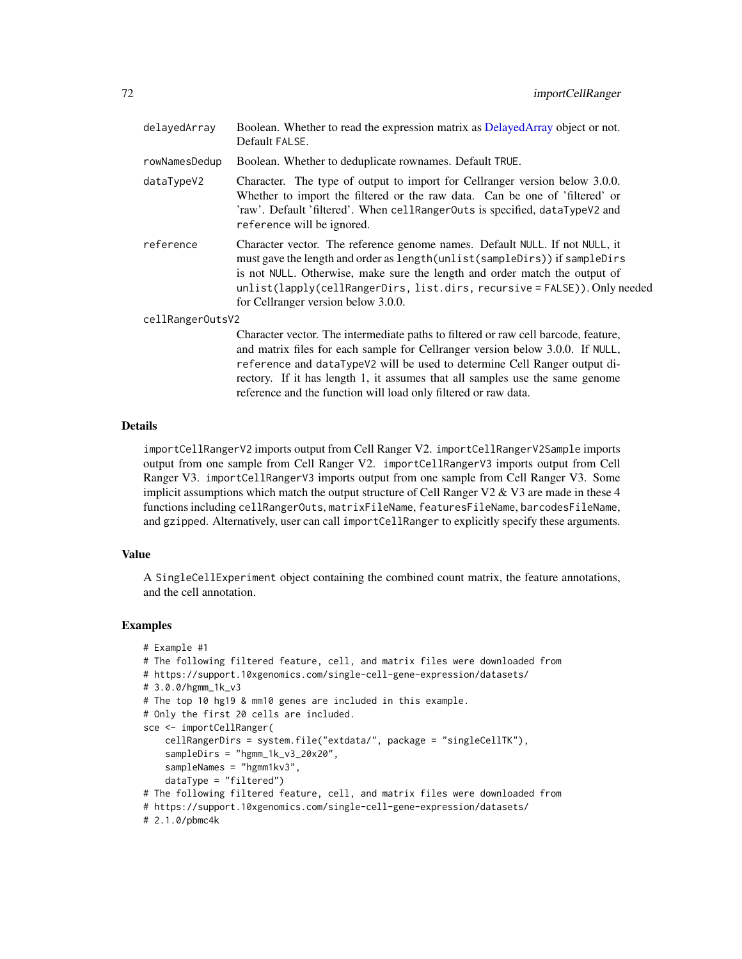| delayedArray     | Boolean. Whether to read the expression matrix as DelayedArray object or not.<br>Default FALSE.                                                                                                                                                                                                                                                               |
|------------------|---------------------------------------------------------------------------------------------------------------------------------------------------------------------------------------------------------------------------------------------------------------------------------------------------------------------------------------------------------------|
| rowNamesDedup    | Boolean. Whether to deduplicate rownames. Default TRUE.                                                                                                                                                                                                                                                                                                       |
| dataTypeV2       | Character. The type of output to import for Cellranger version below 3.0.0.<br>Whether to import the filtered or the raw data. Can be one of 'filtered' or<br>'raw'. Default 'filtered'. When cellRangerOuts is specified, dataTypeV2 and<br>reference will be ignored.                                                                                       |
| reference        | Character vector. The reference genome names. Default NULL. If not NULL, it<br>must gave the length and order as length (unlist (sampleDirs)) if sampleDirs<br>is not NULL. Otherwise, make sure the length and order match the output of<br>unlist(lapply(cellRangerDirs, list.dirs, recursive = FALSE)). Only needed<br>for Cellranger version below 3.0.0. |
| cellRangerOutsV2 |                                                                                                                                                                                                                                                                                                                                                               |
|                  | Character vector. The intermediate paths to filtered or raw cell barcode, feature,<br>and matrix files for each sample for Cellranger version below 3.0.0. If NULL,<br>reference and dataTypeV2 will be used to determine Cell Ranger output di-<br>rectory. If it has length 1, it assumes that all samples use the same genome                              |

## Details

importCellRangerV2 imports output from Cell Ranger V2. importCellRangerV2Sample imports output from one sample from Cell Ranger V2. importCellRangerV3 imports output from Cell Ranger V3. importCellRangerV3 imports output from one sample from Cell Ranger V3. Some implicit assumptions which match the output structure of Cell Ranger V2 & V3 are made in these  $4$ functions including cellRangerOuts, matrixFileName, featuresFileName, barcodesFileName, and gzipped. Alternatively, user can call importCellRanger to explicitly specify these arguments.

reference and the function will load only filtered or raw data.

#### Value

A SingleCellExperiment object containing the combined count matrix, the feature annotations, and the cell annotation.

```
# Example #1
# The following filtered feature, cell, and matrix files were downloaded from
# https://support.10xgenomics.com/single-cell-gene-expression/datasets/
# 3.0.0/hgmm_1k_v3
# The top 10 hg19 & mm10 genes are included in this example.
# Only the first 20 cells are included.
sce <- importCellRanger(
    cellRangerDirs = system.file("extdata/", package = "singleCellTK"),
    sampleDirs = "hgmm_1k_v3_20x20",
    sampleNames = "hgmm1kv3",
    dataType = "filtered")
# The following filtered feature, cell, and matrix files were downloaded from
# https://support.10xgenomics.com/single-cell-gene-expression/datasets/
# 2.1.0/pbmc4k
```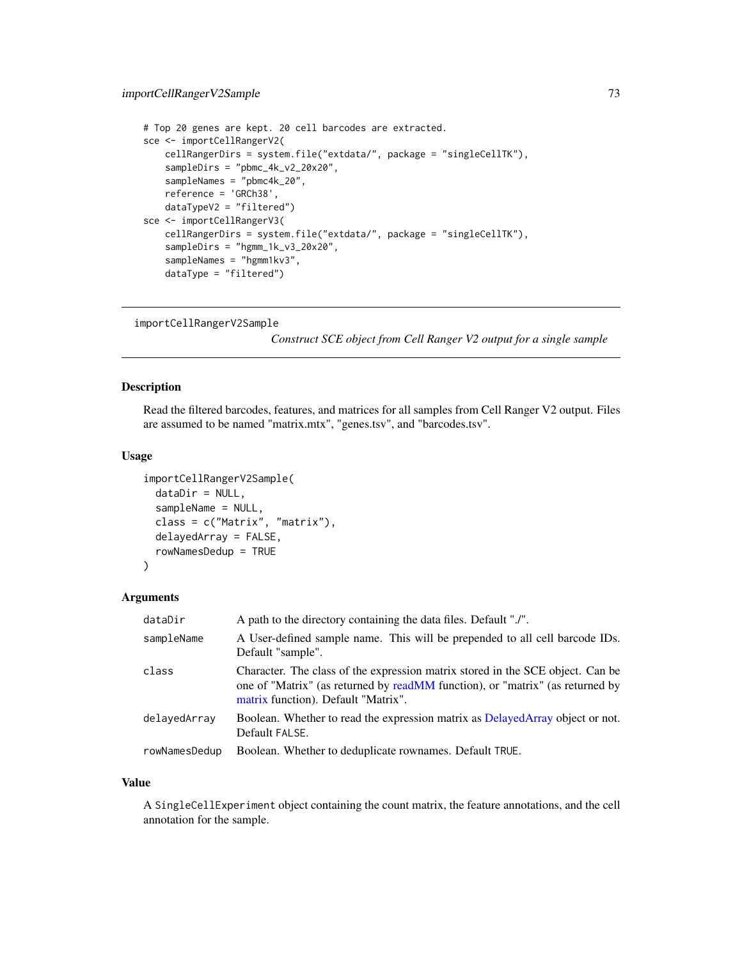```
# Top 20 genes are kept. 20 cell barcodes are extracted.
sce <- importCellRangerV2(
   cellRangerDirs = system.file("extdata/", package = "singleCellTK"),
   sampleDirs = "pbmc_4k_v2_20x20",
   sampleNames = "pbmc4k_20",
   reference = 'GRCh38',
   dataTypeV2 = "filtered")
sce <- importCellRangerV3(
   cellRangerDirs = system.file("extdata/", package = "singleCellTK"),
   sampleDirs = "hgmm_1k_v3_20x20",
    sampleNames = "hgmm1kv3",
   dataType = "filtered")
```

```
importCellRangerV2Sample
```
*Construct SCE object from Cell Ranger V2 output for a single sample*

## Description

Read the filtered barcodes, features, and matrices for all samples from Cell Ranger V2 output. Files are assumed to be named "matrix.mtx", "genes.tsv", and "barcodes.tsv".

#### Usage

```
importCellRangerV2Sample(
  dataDir = NULL,
  sampleName = NULL,
  class = c("Matrix", "matrix"),
  delayedArray = FALSE,
  rowNamesDedup = TRUE
\lambda
```
#### Arguments

| dataDir       | A path to the directory containing the data files. Default "./".                                                                                                                                       |  |
|---------------|--------------------------------------------------------------------------------------------------------------------------------------------------------------------------------------------------------|--|
| sampleName    | A User-defined sample name. This will be prepended to all cell barcode IDs.<br>Default "sample".                                                                                                       |  |
| class         | Character. The class of the expression matrix stored in the SCE object. Can be<br>one of "Matrix" (as returned by readMM function), or "matrix" (as returned by<br>matrix function). Default "Matrix". |  |
| delayedArray  | Boolean. Whether to read the expression matrix as DelayedArray object or not.<br>Default FALSE.                                                                                                        |  |
| rowNamesDedup | Boolean. Whether to deduplicate rownames. Default TRUE.                                                                                                                                                |  |

#### Value

A SingleCellExperiment object containing the count matrix, the feature annotations, and the cell annotation for the sample.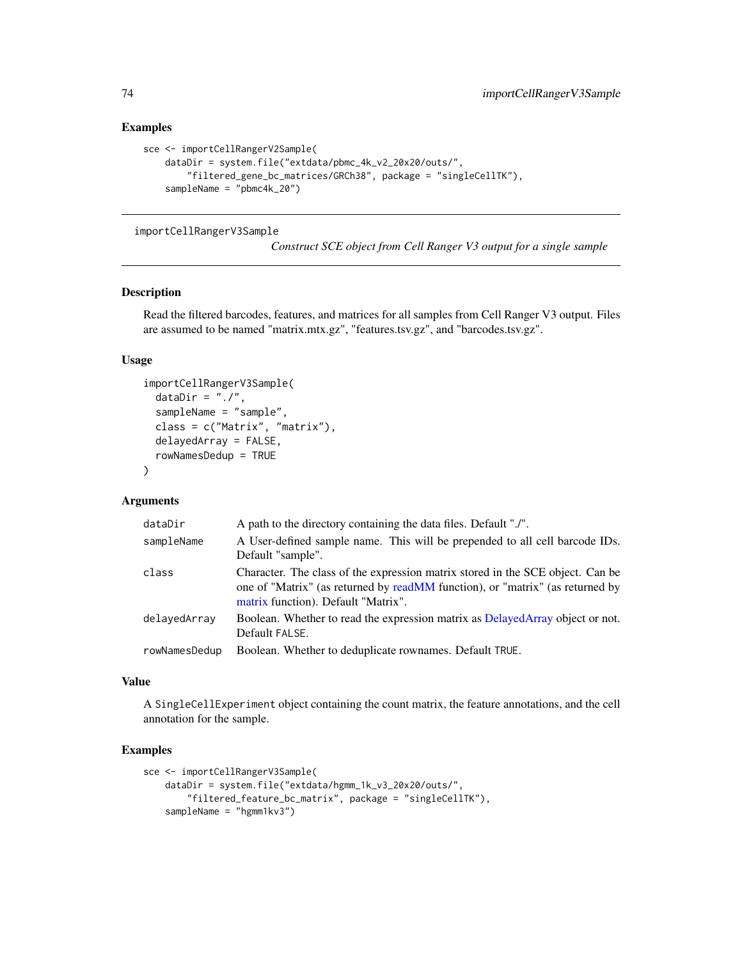## Examples

```
sce <- importCellRangerV2Sample(
    dataDir = system.file("extdata/pbmc_4k_v2_20x20/outs/",
        "filtered_gene_bc_matrices/GRCh38", package = "singleCellTK"),
    sampleName = "pbmc4k_20")
```
importCellRangerV3Sample

*Construct SCE object from Cell Ranger V3 output for a single sample*

## Description

Read the filtered barcodes, features, and matrices for all samples from Cell Ranger V3 output. Files are assumed to be named "matrix.mtx.gz", "features.tsv.gz", and "barcodes.tsv.gz".

#### Usage

```
importCellRangerV3Sample(
  dataDir = "./",sampleName = "sample",
  class = c("Matrix", "matrix"),
  delayedArray = FALSE,
  rowNamesDedup = TRUE
\lambda
```
#### Arguments

| dataDir       | A path to the directory containing the data files. Default "./".                                                                                                                                       |  |
|---------------|--------------------------------------------------------------------------------------------------------------------------------------------------------------------------------------------------------|--|
| sampleName    | A User-defined sample name. This will be prepended to all cell barcode IDs.<br>Default "sample".                                                                                                       |  |
| class         | Character. The class of the expression matrix stored in the SCE object. Can be<br>one of "Matrix" (as returned by readMM function), or "matrix" (as returned by<br>matrix function). Default "Matrix". |  |
| delayedArray  | Boolean. Whether to read the expression matrix as DelayedArray object or not.<br>Default FALSE.                                                                                                        |  |
| rowNamesDedup | Boolean. Whether to deduplicate rownames. Default TRUE.                                                                                                                                                |  |

## Value

A SingleCellExperiment object containing the count matrix, the feature annotations, and the cell annotation for the sample.

```
sce <- importCellRangerV3Sample(
   dataDir = system.file("extdata/hgmm_1k_v3_20x20/outs/",
        "filtered_feature_bc_matrix", package = "singleCellTK"),
    sampleName = "hgmm1kv3")
```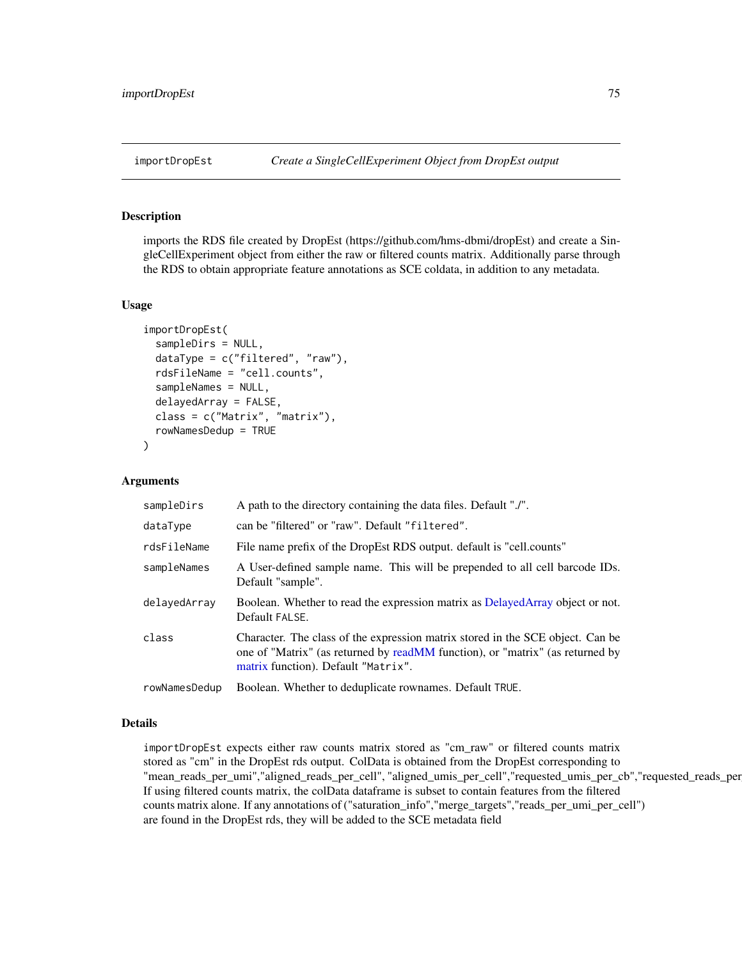imports the RDS file created by DropEst (https://github.com/hms-dbmi/dropEst) and create a SingleCellExperiment object from either the raw or filtered counts matrix. Additionally parse through the RDS to obtain appropriate feature annotations as SCE coldata, in addition to any metadata.

#### Usage

```
importDropEst(
  sampleDirs = NULL,
  dataType = c("filtered", "raw"),
  rdsFileName = "cell.counts",
  sampleNames = NULL,
  delayedArray = FALSE,
  class = c("Matrix", "matrix"),
  rowNamesDedup = TRUE
)
```
#### Arguments

| sampleDirs    | A path to the directory containing the data files. Default "./".                                                                                                                                       |  |
|---------------|--------------------------------------------------------------------------------------------------------------------------------------------------------------------------------------------------------|--|
| dataType      | can be "filtered" or "raw". Default "filtered".                                                                                                                                                        |  |
| rdsFileName   | File name prefix of the DropEst RDS output. default is "cell.counts"                                                                                                                                   |  |
| sampleNames   | A User-defined sample name. This will be prepended to all cell barcode IDs.<br>Default "sample".                                                                                                       |  |
| delayedArray  | Boolean. Whether to read the expression matrix as DelayedArray object or not.<br>Default FALSE.                                                                                                        |  |
| class         | Character. The class of the expression matrix stored in the SCE object. Can be<br>one of "Matrix" (as returned by readMM function), or "matrix" (as returned by<br>matrix function). Default "Matrix". |  |
| rowNamesDedup | Boolean. Whether to deduplicate rownames. Default TRUE.                                                                                                                                                |  |

## Details

importDropEst expects either raw counts matrix stored as "cm\_raw" or filtered counts matrix stored as "cm" in the DropEst rds output. ColData is obtained from the DropEst corresponding to "mean\_reads\_per\_umi","aligned\_reads\_per\_cell", "aligned\_umis\_per\_cell","requested\_umis\_per\_cb","requested\_reads\_per\_cb" If using filtered counts matrix, the colData dataframe is subset to contain features from the filtered counts matrix alone. If any annotations of ("saturation\_info","merge\_targets","reads\_per\_umi\_per\_cell") are found in the DropEst rds, they will be added to the SCE metadata field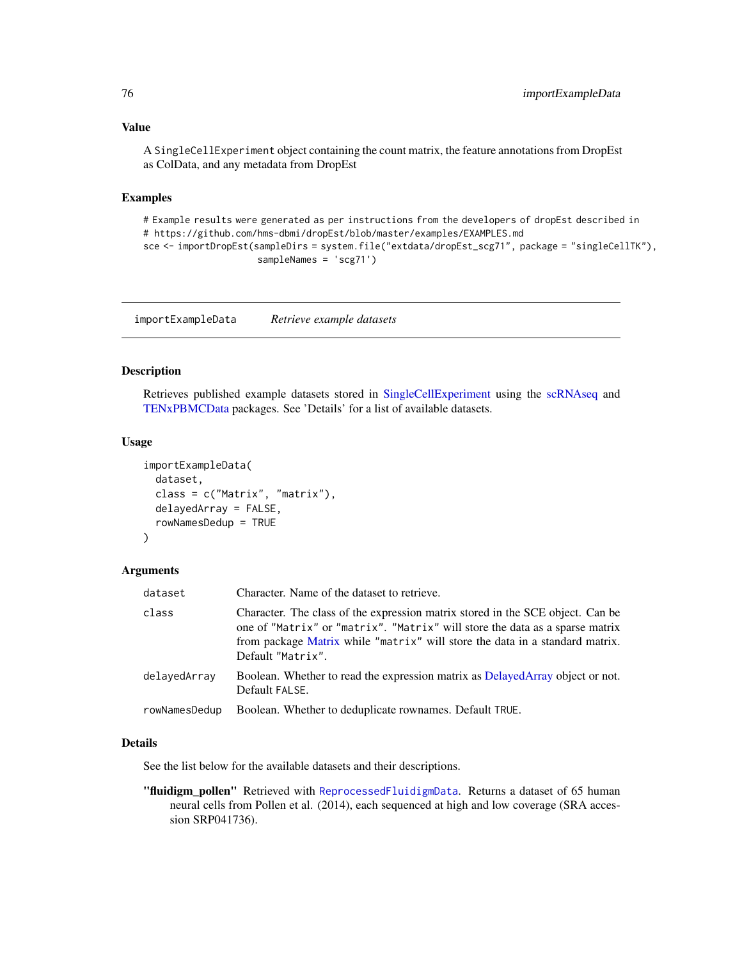A SingleCellExperiment object containing the count matrix, the feature annotations from DropEst as ColData, and any metadata from DropEst

#### Examples

```
# Example results were generated as per instructions from the developers of dropEst described in
# https://github.com/hms-dbmi/dropEst/blob/master/examples/EXAMPLES.md
sce <- importDropEst(sampleDirs = system.file("extdata/dropEst_scg71", package = "singleCellTK"),
                     sampleNames = 'scg71')
```
importExampleData *Retrieve example datasets*

#### Description

Retrieves published example datasets stored in [SingleCellExperiment](#page-0-0) using the [scRNAseq](#page-0-0) and [TENxPBMCData](#page-0-0) packages. See 'Details' for a list of available datasets.

#### Usage

```
importExampleData(
  dataset,
  class = c("Matrix", "matrix"),
  delayedArray = FALSE,
  rowNamesDedup = TRUE
\lambda
```
#### Arguments

| dataset       | Character. Name of the dataset to retrieve.<br>Character. The class of the expression matrix stored in the SCE object. Can be<br>one of "Matrix" or "matrix". "Matrix" will store the data as a sparse matrix<br>from package Matrix while "matrix" will store the data in a standard matrix.<br>Default "Matrix". |  |
|---------------|--------------------------------------------------------------------------------------------------------------------------------------------------------------------------------------------------------------------------------------------------------------------------------------------------------------------|--|
| class         |                                                                                                                                                                                                                                                                                                                    |  |
| delayedArray  | Boolean. Whether to read the expression matrix as DelayedArray object or not.<br>Default FALSE.                                                                                                                                                                                                                    |  |
| rowNamesDedup | Boolean. Whether to deduplicate rownames. Default TRUE.                                                                                                                                                                                                                                                            |  |

## Details

See the list below for the available datasets and their descriptions.

"fluidigm\_pollen" Retrieved with [ReprocessedFluidigmData](#page-0-0). Returns a dataset of 65 human neural cells from Pollen et al. (2014), each sequenced at high and low coverage (SRA accession SRP041736).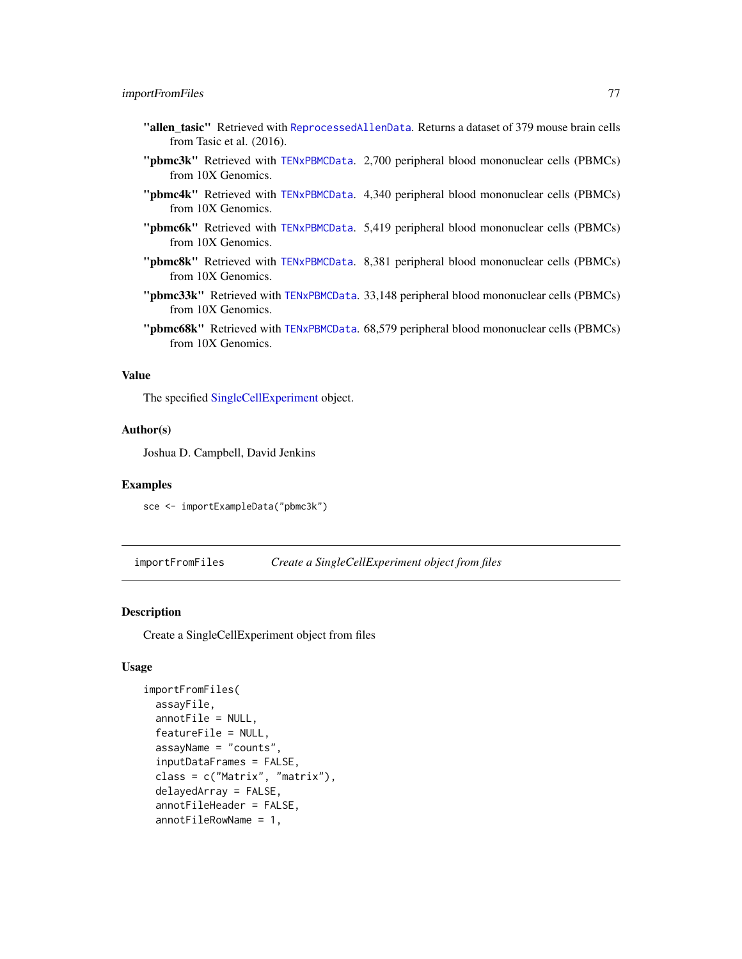- "allen\_tasic" Retrieved with [ReprocessedAllenData](#page-0-0). Returns a dataset of 379 mouse brain cells from Tasic et al. (2016).
- "pbmc3k" Retrieved with [TENxPBMCData](#page-0-0). 2,700 peripheral blood mononuclear cells (PBMCs) from 10X Genomics.
- "pbmc4k" Retrieved with [TENxPBMCData](#page-0-0). 4,340 peripheral blood mononuclear cells (PBMCs) from 10X Genomics.
- "pbmc6k" Retrieved with [TENxPBMCData](#page-0-0). 5,419 peripheral blood mononuclear cells (PBMCs) from 10X Genomics.
- "pbmc8k" Retrieved with [TENxPBMCData](#page-0-0). 8,381 peripheral blood mononuclear cells (PBMCs) from 10X Genomics.
- "pbmc33k" Retrieved with [TENxPBMCData](#page-0-0). 33,148 peripheral blood mononuclear cells (PBMCs) from 10X Genomics.
- "pbmc68k" Retrieved with [TENxPBMCData](#page-0-0). 68,579 peripheral blood mononuclear cells (PBMCs) from 10X Genomics.

The specified [SingleCellExperiment](#page-0-0) object.

#### Author(s)

Joshua D. Campbell, David Jenkins

#### Examples

sce <- importExampleData("pbmc3k")

importFromFiles *Create a SingleCellExperiment object from files*

#### Description

Create a SingleCellExperiment object from files

```
importFromFiles(
  assayFile,
  annotFile = NULL,
  featureFile = NULL,
  assayName = "counts",
  inputDataFrames = FALSE,
  class = c("Matrix", "matrix"),
  delayedArray = FALSE,
  annotFileHeader = FALSE,
  annotFileRowName = 1,
```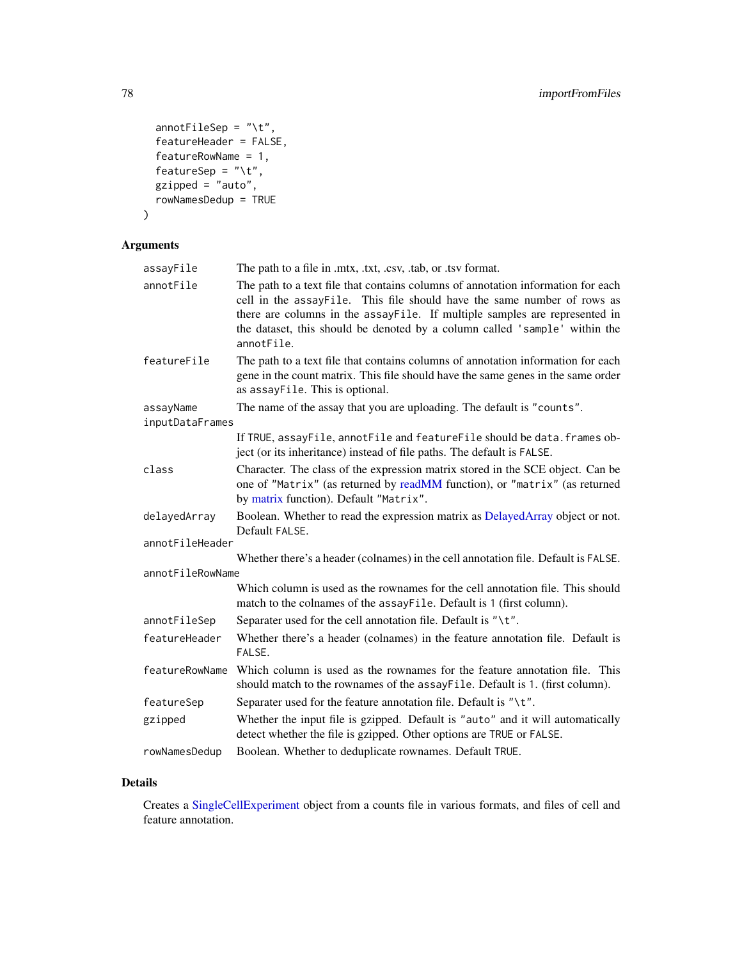```
annotFileSep = "\t",
  featureHeader = FALSE,
 featureRowName = 1,
 featureSep = "\t t",gzipped = "auto",rowNamesDedup = TRUE
)
```
## Arguments

| assayFile        | The path to a file in .mtx, .txt, .csv, .tab, or .tsv format.                                                                                                                                                                                                                                                                         |  |
|------------------|---------------------------------------------------------------------------------------------------------------------------------------------------------------------------------------------------------------------------------------------------------------------------------------------------------------------------------------|--|
| annotFile        | The path to a text file that contains columns of annotation information for each<br>cell in the assayFile. This file should have the same number of rows as<br>there are columns in the assayFile. If multiple samples are represented in<br>the dataset, this should be denoted by a column called 'sample' within the<br>annotFile. |  |
| featureFile      | The path to a text file that contains columns of annotation information for each<br>gene in the count matrix. This file should have the same genes in the same order<br>as assayFile. This is optional.                                                                                                                               |  |
| assayName        | The name of the assay that you are uploading. The default is "counts".                                                                                                                                                                                                                                                                |  |
| inputDataFrames  |                                                                                                                                                                                                                                                                                                                                       |  |
|                  | If TRUE, assayFile, annotFile and featureFile should be data. frames ob-<br>ject (or its inheritance) instead of file paths. The default is FALSE.                                                                                                                                                                                    |  |
| class            | Character. The class of the expression matrix stored in the SCE object. Can be<br>one of "Matrix" (as returned by readMM function), or "matrix" (as returned<br>by matrix function). Default "Matrix".                                                                                                                                |  |
| delayedArray     | Boolean. Whether to read the expression matrix as DelayedArray object or not.<br>Default FALSE.                                                                                                                                                                                                                                       |  |
| annotFileHeader  |                                                                                                                                                                                                                                                                                                                                       |  |
|                  | Whether there's a header (colnames) in the cell annotation file. Default is FALSE.                                                                                                                                                                                                                                                    |  |
| annotFileRowName |                                                                                                                                                                                                                                                                                                                                       |  |
|                  | Which column is used as the rownames for the cell annotation file. This should<br>match to the colnames of the assayFile. Default is 1 (first column).                                                                                                                                                                                |  |
| annotFileSep     | Separater used for the cell annotation file. Default is "\t".                                                                                                                                                                                                                                                                         |  |
| featureHeader    | Whether there's a header (colnames) in the feature annotation file. Default is<br>FALSE.                                                                                                                                                                                                                                              |  |
| featureRowName   | Which column is used as the rownames for the feature annotation file. This<br>should match to the rownames of the assayFile. Default is 1. (first column).                                                                                                                                                                            |  |
| featureSep       | Separater used for the feature annotation file. Default is " $\setminus t$ ".                                                                                                                                                                                                                                                         |  |
| gzipped          | Whether the input file is gzipped. Default is "auto" and it will automatically<br>detect whether the file is gzipped. Other options are TRUE or FALSE.                                                                                                                                                                                |  |
| rowNamesDedup    | Boolean. Whether to deduplicate rownames. Default TRUE.                                                                                                                                                                                                                                                                               |  |

# Details

Creates a [SingleCellExperiment](#page-0-0) object from a counts file in various formats, and files of cell and feature annotation.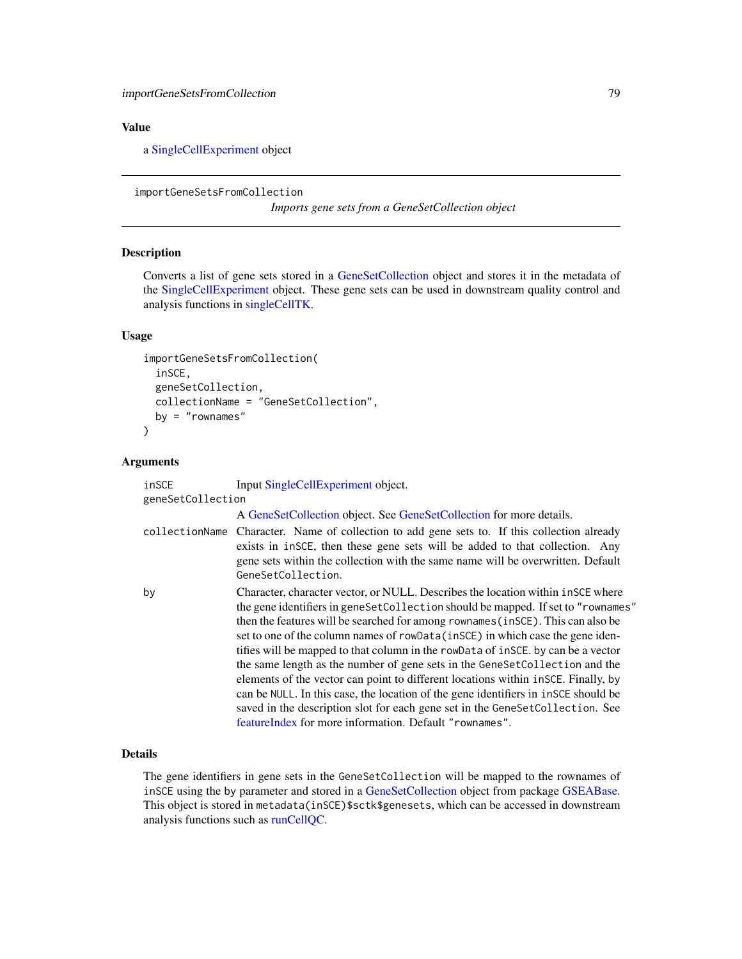a [SingleCellExperiment](#page-0-0) object

<span id="page-78-0"></span>importGeneSetsFromCollection

*Imports gene sets from a GeneSetCollection object*

## Description

Converts a list of gene sets stored in a [GeneSetCollection](#page-0-0) object and stores it in the metadata of the [SingleCellExperiment](#page-0-0) object. These gene sets can be used in downstream quality control and analysis functions in [singleCellTK.](#page-280-0)

#### Usage

```
importGeneSetsFromCollection(
  inSCE,
 geneSetCollection,
 collectionName = "GeneSetCollection",
 by = "rownames"
)
```
#### Arguments

| inSCE             | Input SingleCellExperiment object.                                                                                                                                                                                                                                                                                                                                                                                                                                                                                                                                                                                                                                                                                                                                                                                                   |
|-------------------|--------------------------------------------------------------------------------------------------------------------------------------------------------------------------------------------------------------------------------------------------------------------------------------------------------------------------------------------------------------------------------------------------------------------------------------------------------------------------------------------------------------------------------------------------------------------------------------------------------------------------------------------------------------------------------------------------------------------------------------------------------------------------------------------------------------------------------------|
| geneSetCollection |                                                                                                                                                                                                                                                                                                                                                                                                                                                                                                                                                                                                                                                                                                                                                                                                                                      |
|                   | A GeneSetCollection object. See GeneSetCollection for more details.                                                                                                                                                                                                                                                                                                                                                                                                                                                                                                                                                                                                                                                                                                                                                                  |
| collectionName    | Character. Name of collection to add gene sets to. If this collection already<br>exists in insce, then these gene sets will be added to that collection. Any<br>gene sets within the collection with the same name will be overwritten. Default<br>GeneSetCollection.                                                                                                                                                                                                                                                                                                                                                                                                                                                                                                                                                                |
| by                | Character, character vector, or NULL. Describes the location within in SCE where<br>the gene identifiers in geneSetCollection should be mapped. If set to "rownames"<br>then the features will be searched for among rownames (in SCE). This can also be<br>set to one of the column names of rowData(inSCE) in which case the gene iden-<br>tifies will be mapped to that column in the rowData of insCE, by can be a vector<br>the same length as the number of gene sets in the GeneSetCollection and the<br>elements of the vector can point to different locations within in SCE. Finally, by<br>can be NULL. In this case, the location of the gene identifiers in inSCE should be<br>saved in the description slot for each gene set in the GeneSetCollection. See<br>feature Index for more information. Default "rownames". |

# Details

The gene identifiers in gene sets in the GeneSetCollection will be mapped to the rownames of inSCE using the by parameter and stored in a [GeneSetCollection](#page-0-0) object from package [GSEABase.](#page-0-0) This object is stored in metadata(inSCE)\$sctk\$genesets, which can be accessed in downstream analysis functions such as [runCellQC.](#page-207-0)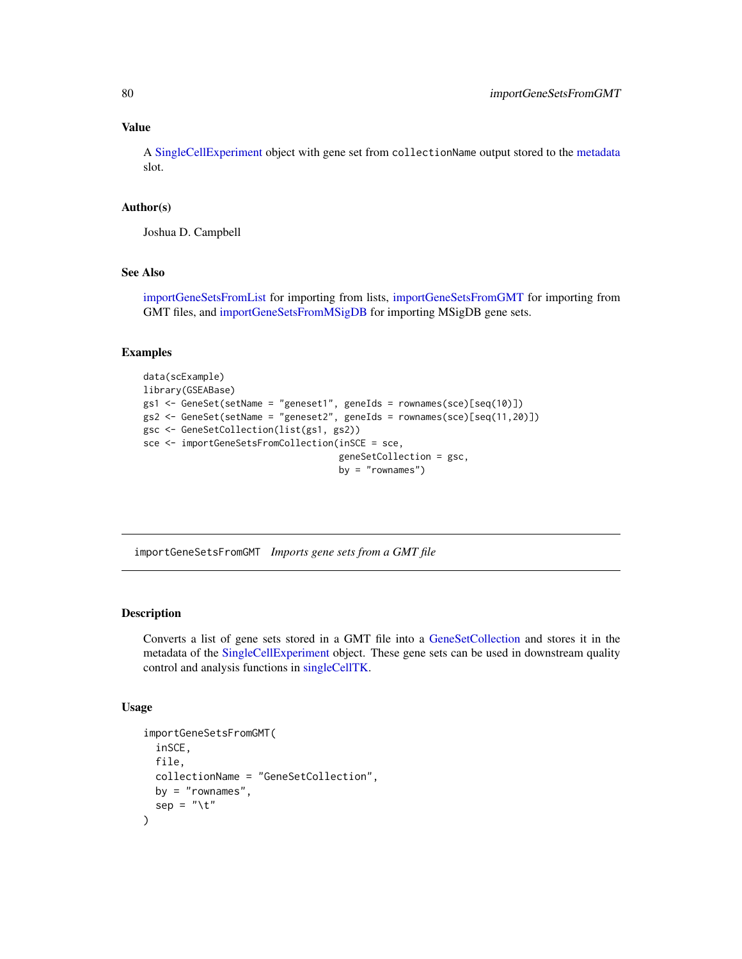A [SingleCellExperiment](#page-0-0) object with gene set from collectionName output stored to the [metadata](#page-0-0) slot.

#### Author(s)

Joshua D. Campbell

## See Also

[importGeneSetsFromList](#page-81-0) for importing from lists, [importGeneSetsFromGMT](#page-79-0) for importing from GMT files, and [importGeneSetsFromMSigDB](#page-82-0) for importing MSigDB gene sets.

## Examples

```
data(scExample)
library(GSEABase)
gs1 <- GeneSet(setName = "geneset1", geneIds = rownames(sce)[seq(10)])
gs2 <- GeneSet(setName = "geneset2", geneIds = rownames(sce)[seq(11,20)])
gsc <- GeneSetCollection(list(gs1, gs2))
sce <- importGeneSetsFromCollection(inSCE = sce,
                                    geneSetCollection = gsc,
                                    by = "rownames")
```
<span id="page-79-0"></span>importGeneSetsFromGMT *Imports gene sets from a GMT file*

## Description

Converts a list of gene sets stored in a GMT file into a [GeneSetCollection](#page-0-0) and stores it in the metadata of the [SingleCellExperiment](#page-0-0) object. These gene sets can be used in downstream quality control and analysis functions in [singleCellTK.](#page-280-0)

```
importGeneSetsFromGMT(
  inSCE,
 file,
 collectionName = "GeneSetCollection",
 by = "rownames",
  sep = "\t"
)
```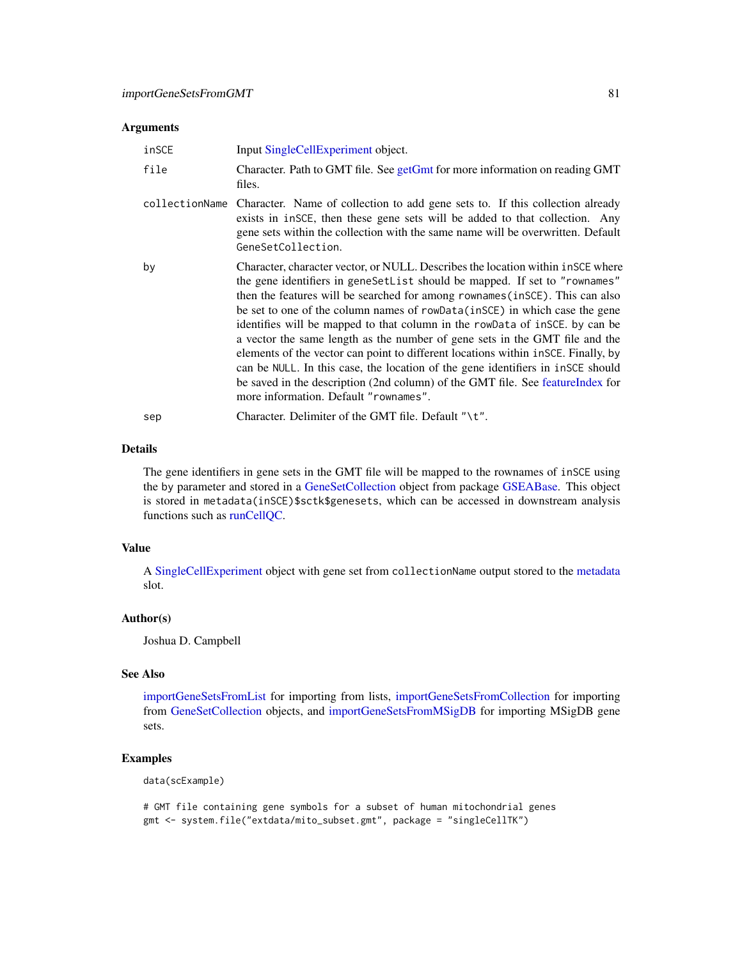#### **Arguments**

| inSCE                                                                                                                                                                                                                                                                                   | Input SingleCellExperiment object.                                                                                                                                                                                                                                                                                                                                                                                                                                                                                                                                                                                                                                                                                                                                                                          |  |
|-----------------------------------------------------------------------------------------------------------------------------------------------------------------------------------------------------------------------------------------------------------------------------------------|-------------------------------------------------------------------------------------------------------------------------------------------------------------------------------------------------------------------------------------------------------------------------------------------------------------------------------------------------------------------------------------------------------------------------------------------------------------------------------------------------------------------------------------------------------------------------------------------------------------------------------------------------------------------------------------------------------------------------------------------------------------------------------------------------------------|--|
| file                                                                                                                                                                                                                                                                                    | Character. Path to GMT file. See getGmt for more information on reading GMT<br>files.                                                                                                                                                                                                                                                                                                                                                                                                                                                                                                                                                                                                                                                                                                                       |  |
| collectionName<br>Character. Name of collection to add gene sets to. If this collection already<br>exists in insce, then these gene sets will be added to that collection. Any<br>gene sets within the collection with the same name will be overwritten. Default<br>GeneSetCollection. |                                                                                                                                                                                                                                                                                                                                                                                                                                                                                                                                                                                                                                                                                                                                                                                                             |  |
| by                                                                                                                                                                                                                                                                                      | Character, character vector, or NULL. Describes the location within in SCE where<br>the gene identifiers in geneSetList should be mapped. If set to "rownames"<br>then the features will be searched for among rownames (in SCE). This can also<br>be set to one of the column names of rowData(inSCE) in which case the gene<br>identifies will be mapped to that column in the rowData of inSCE. by can be<br>a vector the same length as the number of gene sets in the GMT file and the<br>elements of the vector can point to different locations within $\text{inSCE}$ . Finally, by<br>can be NULL. In this case, the location of the gene identifiers in inscents should<br>be saved in the description (2nd column) of the GMT file. See featureIndex for<br>more information. Default "rownames". |  |
| sep                                                                                                                                                                                                                                                                                     | Character. Delimiter of the GMT file. Default "\ $t$ ".                                                                                                                                                                                                                                                                                                                                                                                                                                                                                                                                                                                                                                                                                                                                                     |  |

## Details

The gene identifiers in gene sets in the GMT file will be mapped to the rownames of inSCE using the by parameter and stored in a [GeneSetCollection](#page-0-0) object from package [GSEABase.](#page-0-0) This object is stored in metadata(inSCE)\$sctk\$genesets, which can be accessed in downstream analysis functions such as [runCellQC.](#page-207-0)

## Value

A [SingleCellExperiment](#page-0-0) object with gene set from collectionName output stored to the [metadata](#page-0-0) slot.

## Author(s)

Joshua D. Campbell

# See Also

[importGeneSetsFromList](#page-81-0) for importing from lists, [importGeneSetsFromCollection](#page-78-0) for importing from [GeneSetCollection](#page-0-0) objects, and [importGeneSetsFromMSigDB](#page-82-0) for importing MSigDB gene sets.

# Examples

data(scExample)

# GMT file containing gene symbols for a subset of human mitochondrial genes gmt <- system.file("extdata/mito\_subset.gmt", package = "singleCellTK")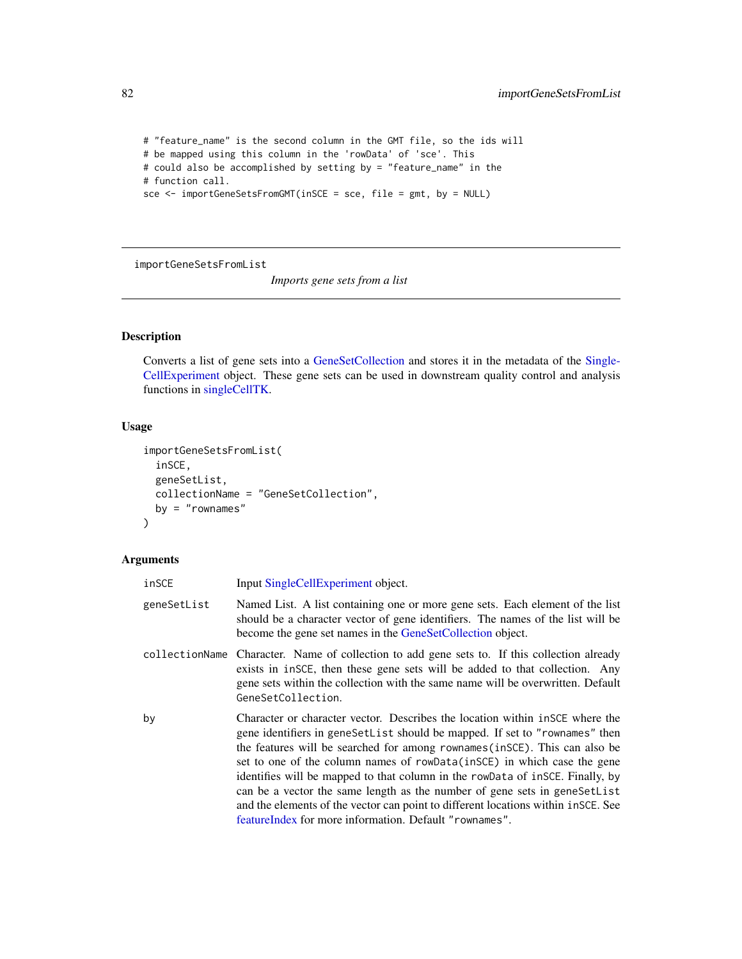```
# "feature_name" is the second column in the GMT file, so the ids will
# be mapped using this column in the 'rowData' of 'sce'. This
# could also be accomplished by setting by = "feature_name" in the
# function call.
sce <- importGeneSetsFromGMT(inSCE = sce, file = gmt, by = NULL)
```
<span id="page-81-0"></span>importGeneSetsFromList

*Imports gene sets from a list*

## Description

Converts a list of gene sets into a [GeneSetCollection](#page-0-0) and stores it in the metadata of the [Single-](#page-0-0)[CellExperiment](#page-0-0) object. These gene sets can be used in downstream quality control and analysis functions in [singleCellTK.](#page-280-0)

## Usage

```
importGeneSetsFromList(
  inSCE,
  geneSetList,
 collectionName = "GeneSetCollection",
 by = "rownames"\lambda
```
# Arguments

| inSCE       | Input SingleCellExperiment object.                                                                                                                                                                                                                                                                                                                                                                                                                                                                                                                                                                                                       |
|-------------|------------------------------------------------------------------------------------------------------------------------------------------------------------------------------------------------------------------------------------------------------------------------------------------------------------------------------------------------------------------------------------------------------------------------------------------------------------------------------------------------------------------------------------------------------------------------------------------------------------------------------------------|
| geneSetList | Named List. A list containing one or more gene sets. Each element of the list<br>should be a character vector of gene identifiers. The names of the list will be<br>become the gene set names in the GeneSetCollection object.                                                                                                                                                                                                                                                                                                                                                                                                           |
|             | collectionName Character. Name of collection to add gene sets to. If this collection already<br>exists in insce, then these gene sets will be added to that collection. Any<br>gene sets within the collection with the same name will be overwritten. Default<br>GeneSetCollection.                                                                                                                                                                                                                                                                                                                                                     |
| by          | Character or character vector. Describes the location within in SCE where the<br>gene identifiers in geneSetList should be mapped. If set to "rownames" then<br>the features will be searched for among rownames (in SCE). This can also be<br>set to one of the column names of rowData(inSCE) in which case the gene<br>identifies will be mapped to that column in the rowData of insce. Finally, by<br>can be a vector the same length as the number of gene sets in gene SetList<br>and the elements of the vector can point to different locations within $i$ nSCE. See<br>feature Index for more information. Default "rownames". |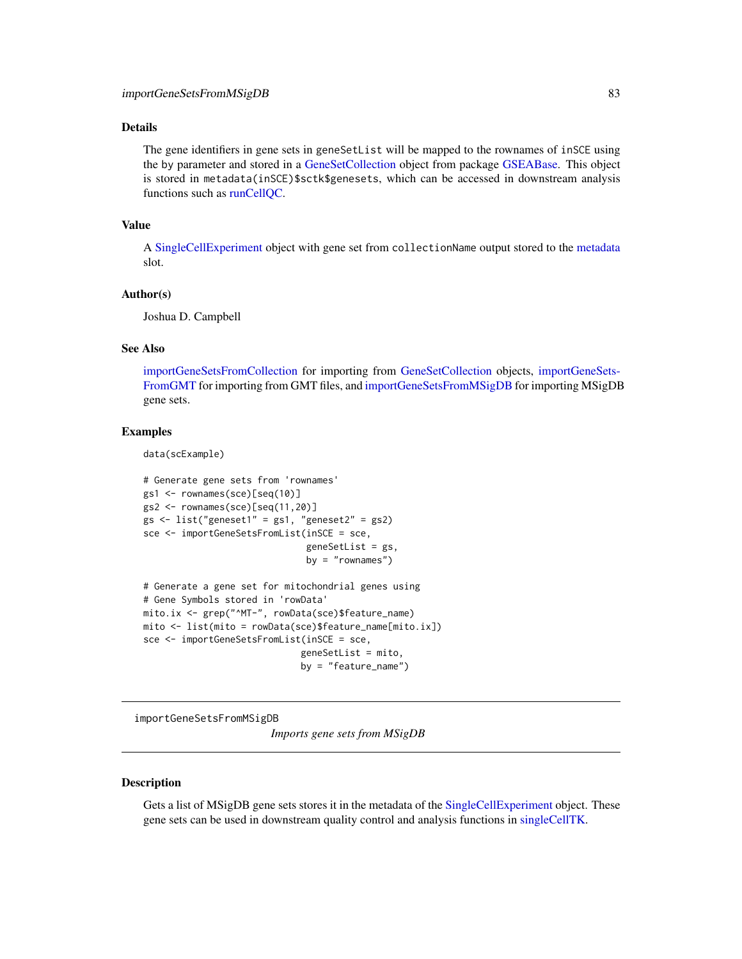## Details

The gene identifiers in gene sets in geneSetList will be mapped to the rownames of inSCE using the by parameter and stored in a [GeneSetCollection](#page-0-0) object from package [GSEABase.](#page-0-0) This object is stored in metadata(inSCE)\$sctk\$genesets, which can be accessed in downstream analysis functions such as [runCellQC.](#page-207-0)

#### Value

A [SingleCellExperiment](#page-0-0) object with gene set from collectionName output stored to the [metadata](#page-0-0) slot.

#### Author(s)

Joshua D. Campbell

#### See Also

[importGeneSetsFromCollection](#page-78-0) for importing from [GeneSetCollection](#page-0-0) objects, [importGeneSets-](#page-79-0)[FromGMT](#page-79-0) for importing from GMT files, and [importGeneSetsFromMSigDB](#page-82-0) for importing MSigDB gene sets.

## Examples

data(scExample)

```
# Generate gene sets from 'rownames'
gs1 <- rownames(sce)[seq(10)]
gs2 <- rownames(sce)[seq(11,20)]
gs <- list("geneset1" = gs1, "geneset2" = gs2)
sce <- importGeneSetsFromList(inSCE = sce,
                              geneSetList = gs,
                              by = "rownames")# Generate a gene set for mitochondrial genes using
# Gene Symbols stored in 'rowData'
mito.ix <- grep("^MT-", rowData(sce)$feature_name)
mito <- list(mito = rowData(sce)$feature_name[mito.ix])
```

```
sce <- importGeneSetsFromList(inSCE = sce,
```

```
geneSetList = mito,
by = "feature_name")
```
<span id="page-82-0"></span>importGeneSetsFromMSigDB

*Imports gene sets from MSigDB*

#### Description

Gets a list of MSigDB gene sets stores it in the metadata of the [SingleCellExperiment](#page-0-0) object. These gene sets can be used in downstream quality control and analysis functions in [singleCellTK.](#page-280-0)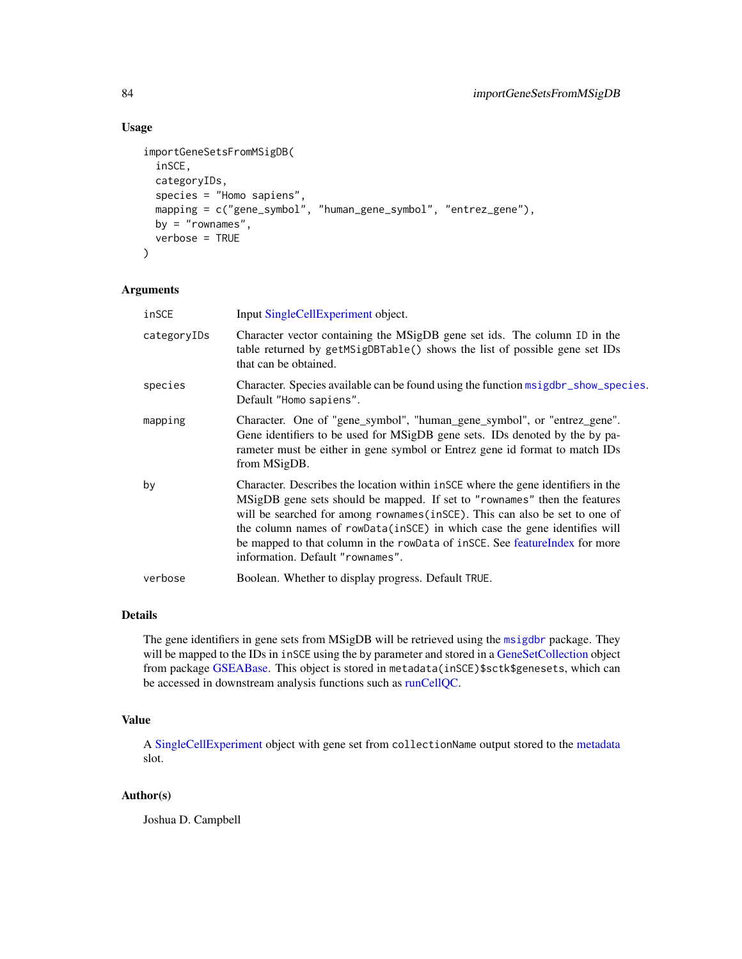# Usage

```
importGeneSetsFromMSigDB(
  inSCE,
 categoryIDs,
  species = "Homo sapiens",
 mapping = c("gene_symbol", "human_gene_symbol", "entrez_gene"),
 by = "rownames",
 verbose = TRUE
)
```
#### Arguments

| inSCE       | Input SingleCellExperiment object.                                                                                                                                                                                                                                                                                                                                                                                                             |  |
|-------------|------------------------------------------------------------------------------------------------------------------------------------------------------------------------------------------------------------------------------------------------------------------------------------------------------------------------------------------------------------------------------------------------------------------------------------------------|--|
| categoryIDs | Character vector containing the MSigDB gene set ids. The column ID in the<br>table returned by getMSigDBTable() shows the list of possible gene set IDs<br>that can be obtained.                                                                                                                                                                                                                                                               |  |
| species     | Character. Species available can be found using the function msigdbr_show_species.<br>Default "Homo sapiens".                                                                                                                                                                                                                                                                                                                                  |  |
| mapping     | Character. One of "gene_symbol", "human_gene_symbol", or "entrez_gene".<br>Gene identifiers to be used for MSigDB gene sets. IDs denoted by the by pa-<br>rameter must be either in gene symbol or Entrez gene id format to match IDs<br>from MSigDB.                                                                                                                                                                                          |  |
| by          | Character. Describes the location within in SCE where the gene identifiers in the<br>MSigDB gene sets should be mapped. If set to "rownames" then the features<br>will be searched for among rownames (in SCE). This can also be set to one of<br>the column names of rowData(inSCE) in which case the gene identifies will<br>be mapped to that column in the rowData of inSCE. See featureIndex for more<br>information. Default "rownames". |  |
| verbose     | Boolean. Whether to display progress. Default TRUE.                                                                                                                                                                                                                                                                                                                                                                                            |  |

#### Details

The gene identifiers in gene sets from MSigDB will be retrieved using the [msigdbr](#page-0-0) package. They will be mapped to the IDs in inSCE using the by parameter and stored in a [GeneSetCollection](#page-0-0) object from package [GSEABase.](#page-0-0) This object is stored in metadata(inSCE)\$sctk\$genesets, which can be accessed in downstream analysis functions such as [runCellQC.](#page-207-0)

## Value

A [SingleCellExperiment](#page-0-0) object with gene set from collectionName output stored to the [metadata](#page-0-0) slot.

#### Author(s)

Joshua D. Campbell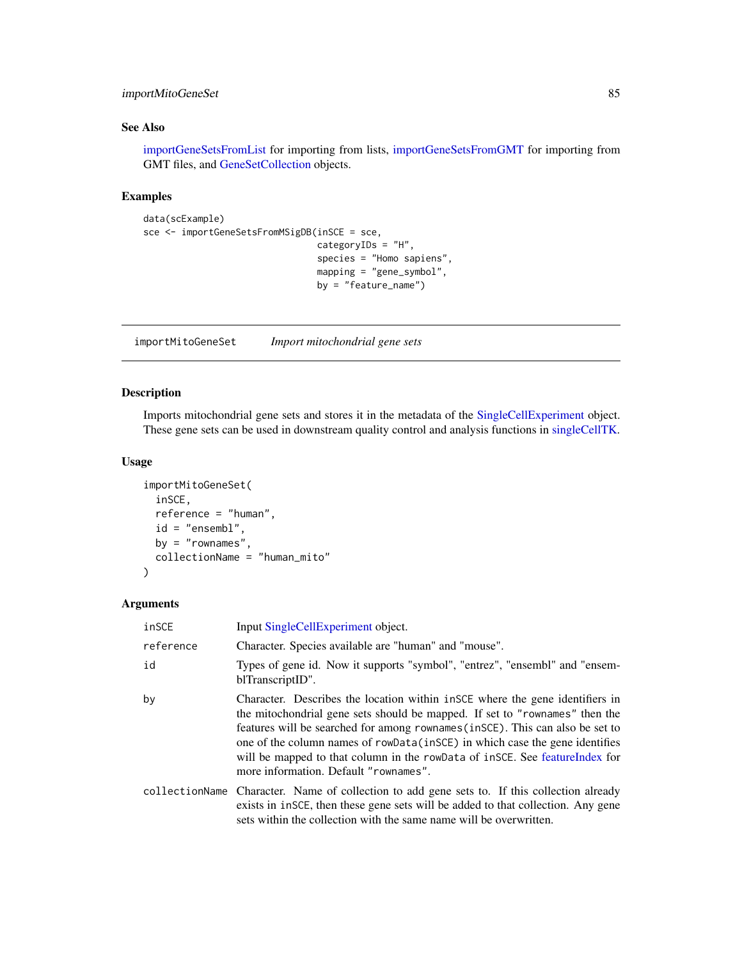## importMitoGeneSet 85

## See Also

[importGeneSetsFromList](#page-81-0) for importing from lists, [importGeneSetsFromGMT](#page-79-0) for importing from GMT files, and [GeneSetCollection](#page-0-0) objects.

# Examples

```
data(scExample)
sce <- importGeneSetsFromMSigDB(inSCE = sce,
                                categoryIDs = "H",
                                species = "Homo sapiens",
                                mapping = "gene_symbol",
                                by = "feature_name")
```
importMitoGeneSet *Import mitochondrial gene sets*

## Description

Imports mitochondrial gene sets and stores it in the metadata of the [SingleCellExperiment](#page-0-0) object. These gene sets can be used in downstream quality control and analysis functions in [singleCellTK.](#page-280-0)

#### Usage

```
importMitoGeneSet(
  inSCE,
 reference = "human",
 id = "ensembl",
 by = "rownames",
 collectionName = "human_mito"
\lambda
```
#### Arguments

| inSCE                                                                                                                                                                                                                                                                                                                                                                                                                                                        | Input SingleCellExperiment object.                                                              |  |
|--------------------------------------------------------------------------------------------------------------------------------------------------------------------------------------------------------------------------------------------------------------------------------------------------------------------------------------------------------------------------------------------------------------------------------------------------------------|-------------------------------------------------------------------------------------------------|--|
| Character. Species available are "human" and "mouse".<br>reference                                                                                                                                                                                                                                                                                                                                                                                           |                                                                                                 |  |
| id                                                                                                                                                                                                                                                                                                                                                                                                                                                           | Types of gene id. Now it supports "symbol", "entrez", "ensembl" and "ensem-<br>blTranscriptID". |  |
| by<br>Character. Describes the location within in SCE where the gene identifiers in<br>the mitochondrial gene sets should be mapped. If set to "rownames" then the<br>features will be searched for among rownames (in SCE). This can also be set to<br>one of the column names of rowData(inSCE) in which case the gene identifies<br>will be mapped to that column in the rowData of insce. See feature Index for<br>more information. Default "rownames". |                                                                                                 |  |
| collectionName Character. Name of collection to add gene sets to. If this collection already<br>exists in inscept then these gene sets will be added to that collection. Any gene<br>sets within the collection with the same name will be overwritten.                                                                                                                                                                                                      |                                                                                                 |  |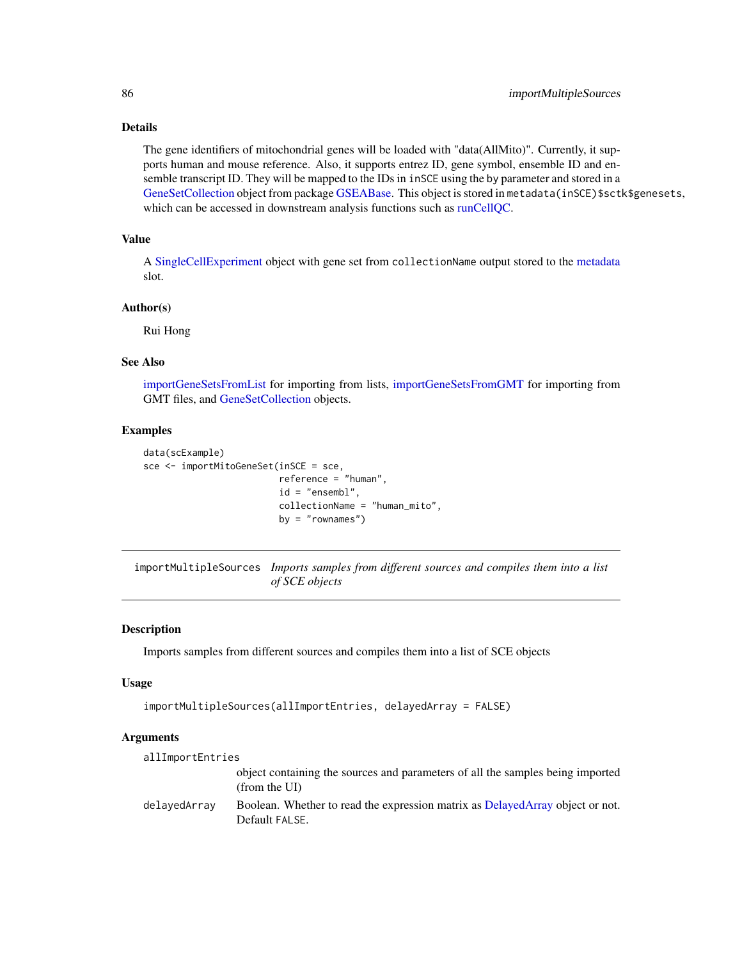## Details

The gene identifiers of mitochondrial genes will be loaded with "data(AllMito)". Currently, it supports human and mouse reference. Also, it supports entrez ID, gene symbol, ensemble ID and ensemble transcript ID. They will be mapped to the IDs in inSCE using the by parameter and stored in a [GeneSetCollection](#page-0-0) object from package [GSEABase.](#page-0-0) This object is stored in metadata(inSCE)\$sctk\$genesets, which can be accessed in downstream analysis functions such as [runCellQC.](#page-207-0)

## Value

A [SingleCellExperiment](#page-0-0) object with gene set from collectionName output stored to the [metadata](#page-0-0) slot.

# Author(s)

Rui Hong

#### See Also

[importGeneSetsFromList](#page-81-0) for importing from lists, [importGeneSetsFromGMT](#page-79-0) for importing from GMT files, and [GeneSetCollection](#page-0-0) objects.

#### Examples

```
data(scExample)
sce <- importMitoGeneSet(inSCE = sce,
                         reference = "human",
                         id = "ensembl",
                         collectionName = "human_mito",
                         by = "rownames")
```
importMultipleSources *Imports samples from different sources and compiles them into a list of SCE objects*

#### **Description**

Imports samples from different sources and compiles them into a list of SCE objects

#### Usage

```
importMultipleSources(allImportEntries, delayedArray = FALSE)
```
#### Arguments

| allImportEntries |                                                                                                 |
|------------------|-------------------------------------------------------------------------------------------------|
|                  | object containing the sources and parameters of all the samples being imported<br>(from the UI) |
| delayedArray     | Boolean. Whether to read the expression matrix as DelayedArray object or not.<br>Default FALSE. |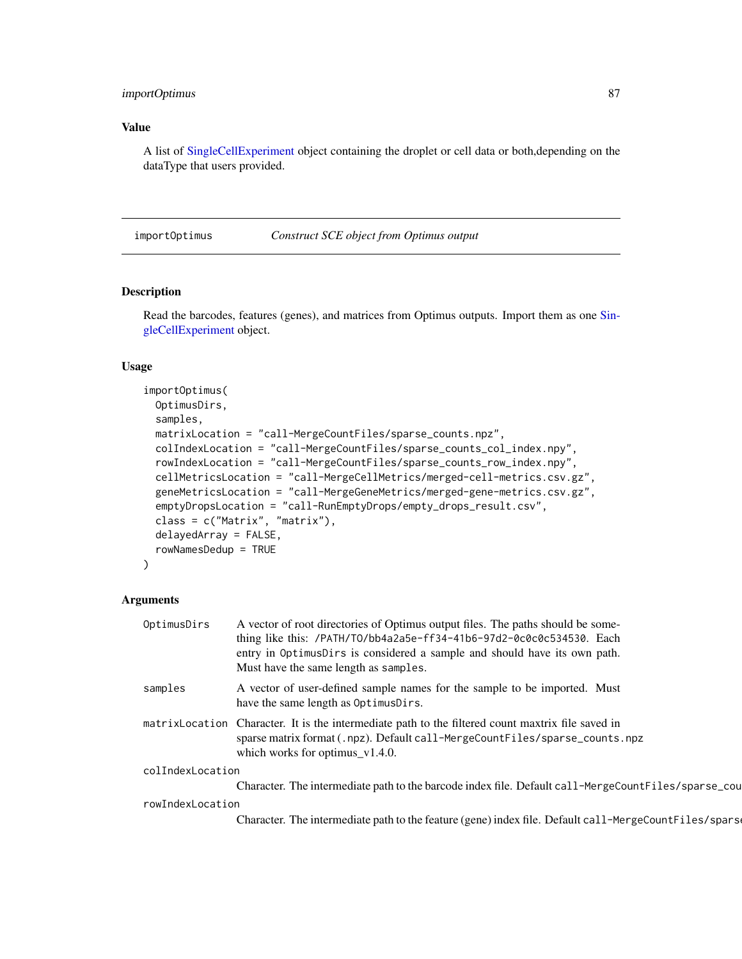## importOptimus 87

## Value

A list of [SingleCellExperiment](#page-0-0) object containing the droplet or cell data or both,depending on the dataType that users provided.

importOptimus *Construct SCE object from Optimus output*

## Description

Read the barcodes, features (genes), and matrices from Optimus outputs. Import them as one [Sin](#page-0-0)[gleCellExperiment](#page-0-0) object.

#### Usage

```
importOptimus(
 OptimusDirs,
 samples,
 matrixLocation = "call-MergeCountFiles/sparse_counts.npz",
 colIndexLocation = "call-MergeCountFiles/sparse_counts_col_index.npy",
  rowIndexLocation = "call-MergeCountFiles/sparse_counts_row_index.npy",
 cellMetricsLocation = "call-MergeCellMetrics/merged-cell-metrics.csv.gz",
  geneMetricsLocation = "call-MergeGeneMetrics/merged-gene-metrics.csv.gz",
  emptyDropsLocation = "call-RunEmptyDrops/empty_drops_result.csv",
  class = c("Matrix", "matrix"),
 delayedArray = FALSE,
  rowNamesDedup = TRUE
```
#### Arguments

)

| OptimusDirs      | A vector of root directories of Optimus output files. The paths should be some-<br>thing like this: /PATH/TO/bb4a2a5e-ff34-41b6-97d2-0c0c0c534530. Each<br>entry in OptimusDirs is considered a sample and should have its own path.<br>Must have the same length as samples. |
|------------------|-------------------------------------------------------------------------------------------------------------------------------------------------------------------------------------------------------------------------------------------------------------------------------|
| samples          | A vector of user-defined sample names for the sample to be imported. Must<br>have the same length as OptimusDirs.                                                                                                                                                             |
|                  | matrix Location Character. It is the intermediate path to the filtered count maxtrix file saved in<br>sparse matrix format (.npz). Default call-MergeCountFiles/sparse_counts.npz<br>which works for optimus $v1.4.0$ .                                                       |
| colIndexLocation |                                                                                                                                                                                                                                                                               |
|                  | Character. The intermediate path to the barcode index file. Default call-MergeCountFiles/sparse_cou                                                                                                                                                                           |
| rowIndexLocation |                                                                                                                                                                                                                                                                               |
|                  | Character. The intermediate path to the feature (gene) index file. Default call-MergeCountFiles/spars                                                                                                                                                                         |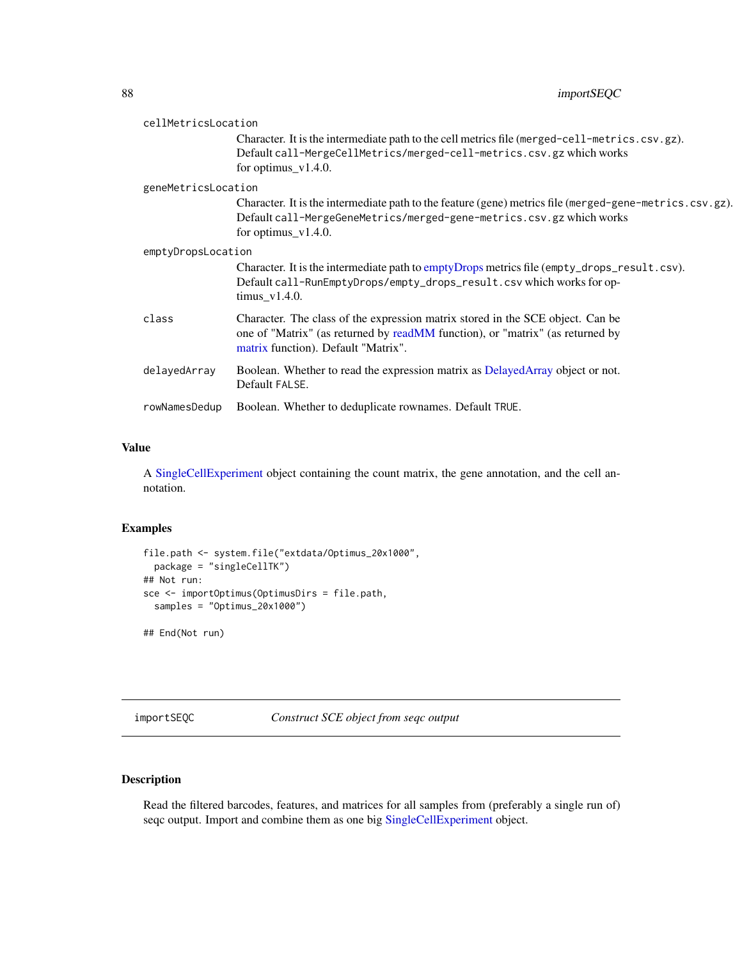| cellMetricsLocation |                                                                                                                                                                                                            |
|---------------------|------------------------------------------------------------------------------------------------------------------------------------------------------------------------------------------------------------|
|                     | Character. It is the intermediate path to the cell metrics file (merged-cell-metrics.csv.gz).<br>Default call-MergeCellMetrics/merged-cell-metrics.csv.gz which works<br>for optimus $v1.4.0$ .            |
| geneMetricsLocation |                                                                                                                                                                                                            |
|                     | Character. It is the intermediate path to the feature (gene) metrics file (merged-gene-metrics.csv.gz).<br>Default call-MergeGeneMetrics/merged-gene-metrics.csv.gz which works<br>for optimus_ $v1.4.0$ . |
| emptyDropsLocation  |                                                                                                                                                                                                            |
|                     | Character. It is the intermediate path to emptyDrops metrics file (empty_drops_result.csv).<br>Default call-RunEmptyDrops/empty_drops_result.csv which works for op-<br>$\text{timus_v1.4.0}.$             |
| class               | Character. The class of the expression matrix stored in the SCE object. Can be<br>one of "Matrix" (as returned by readMM function), or "matrix" (as returned by<br>matrix function). Default "Matrix".     |
| delayedArray        | Boolean. Whether to read the expression matrix as DelayedArray object or not.<br>Default FALSE.                                                                                                            |
| rowNamesDedup       | Boolean. Whether to deduplicate rownames. Default TRUE.                                                                                                                                                    |

A [SingleCellExperiment](#page-0-0) object containing the count matrix, the gene annotation, and the cell annotation.

## Examples

```
file.path <- system.file("extdata/Optimus_20x1000",
  package = "singleCellTK")
## Not run:
sce <- importOptimus(OptimusDirs = file.path,
  samples = "Optimus_20x1000")
```
## End(Not run)

importSEQC *Construct SCE object from seqc output*

# Description

Read the filtered barcodes, features, and matrices for all samples from (preferably a single run of) seqc output. Import and combine them as one big [SingleCellExperiment](#page-0-0) object.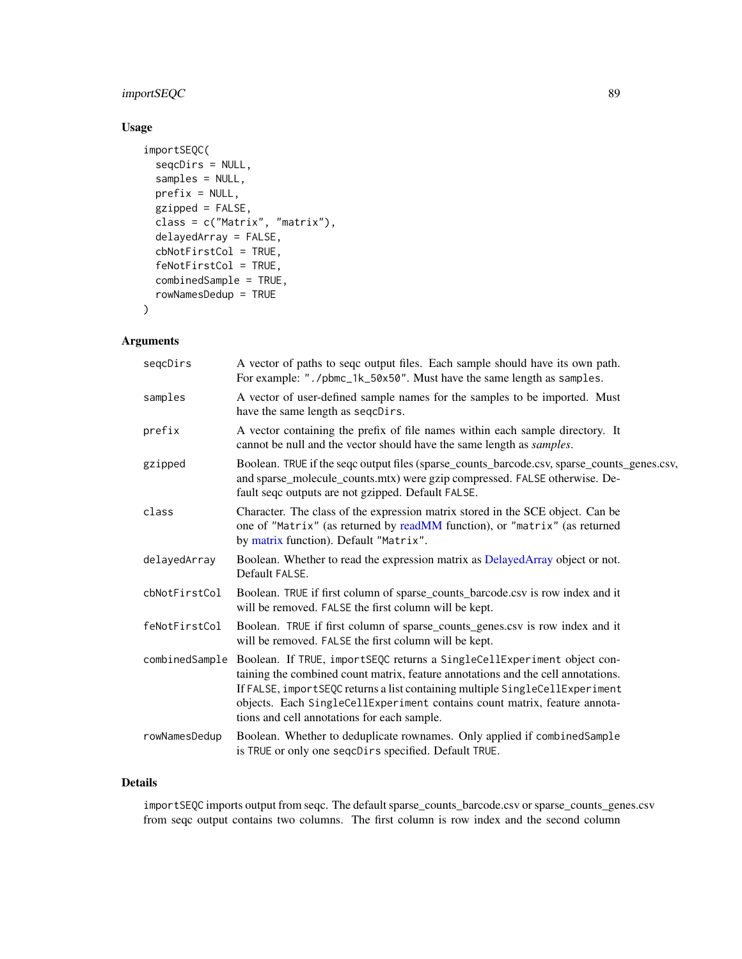# importSEQC 89

# Usage

```
importSEQC(
 seqcDirs = NULL,
  samples = NULL,
 prefix = NULL,
 gzipped = FALSE,
 class = c("Matrix", "matrix"),
 delayedArray = FALSE,
  cbNotFirstCol = TRUE,
  feNotFirstCol = TRUE,
 combinedSample = TRUE,
  rowNamesDedup = TRUE
)
```
## Arguments

| segcDirs      | A vector of paths to seqc output files. Each sample should have its own path.<br>For example: "./pbmc_1k_50x50". Must have the same length as samples.                                                                                                                                                                                                                                 |
|---------------|----------------------------------------------------------------------------------------------------------------------------------------------------------------------------------------------------------------------------------------------------------------------------------------------------------------------------------------------------------------------------------------|
| samples       | A vector of user-defined sample names for the samples to be imported. Must<br>have the same length as seqcDirs.                                                                                                                                                                                                                                                                        |
| prefix        | A vector containing the prefix of file names within each sample directory. It<br>cannot be null and the vector should have the same length as samples.                                                                                                                                                                                                                                 |
| gzipped       | Boolean. TRUE if the seqc output files (sparse_counts_barcode.csv, sparse_counts_genes.csv,<br>and sparse_molecule_counts.mtx) were gzip compressed. FALSE otherwise. De-<br>fault seqc outputs are not gzipped. Default FALSE.                                                                                                                                                        |
| class         | Character. The class of the expression matrix stored in the SCE object. Can be<br>one of "Matrix" (as returned by readMM function), or "matrix" (as returned<br>by matrix function). Default "Matrix".                                                                                                                                                                                 |
| delayedArray  | Boolean. Whether to read the expression matrix as DelayedArray object or not.<br>Default FALSE.                                                                                                                                                                                                                                                                                        |
| cbNotFirstCol | Boolean. TRUE if first column of sparse_counts_barcode.csv is row index and it<br>will be removed. FALSE the first column will be kept.                                                                                                                                                                                                                                                |
| feNotFirstCol | Boolean. TRUE if first column of sparse_counts_genes.csv is row index and it<br>will be removed. FALSE the first column will be kept.                                                                                                                                                                                                                                                  |
|               | combinedSample Boolean. If TRUE, importSEQC returns a SingleCellExperiment object con-<br>taining the combined count matrix, feature annotations and the cell annotations.<br>If FALSE, importSEQC returns a list containing multiple SingleCellExperiment<br>objects. Each SingleCellExperiment contains count matrix, feature annota-<br>tions and cell annotations for each sample. |
| rowNamesDedup | Boolean. Whether to deduplicate rownames. Only applied if combinedSample<br>is TRUE or only one seqcDirs specified. Default TRUE.                                                                                                                                                                                                                                                      |

## Details

importSEQC imports output from seqc. The default sparse\_counts\_barcode.csv or sparse\_counts\_genes.csv from seqc output contains two columns. The first column is row index and the second column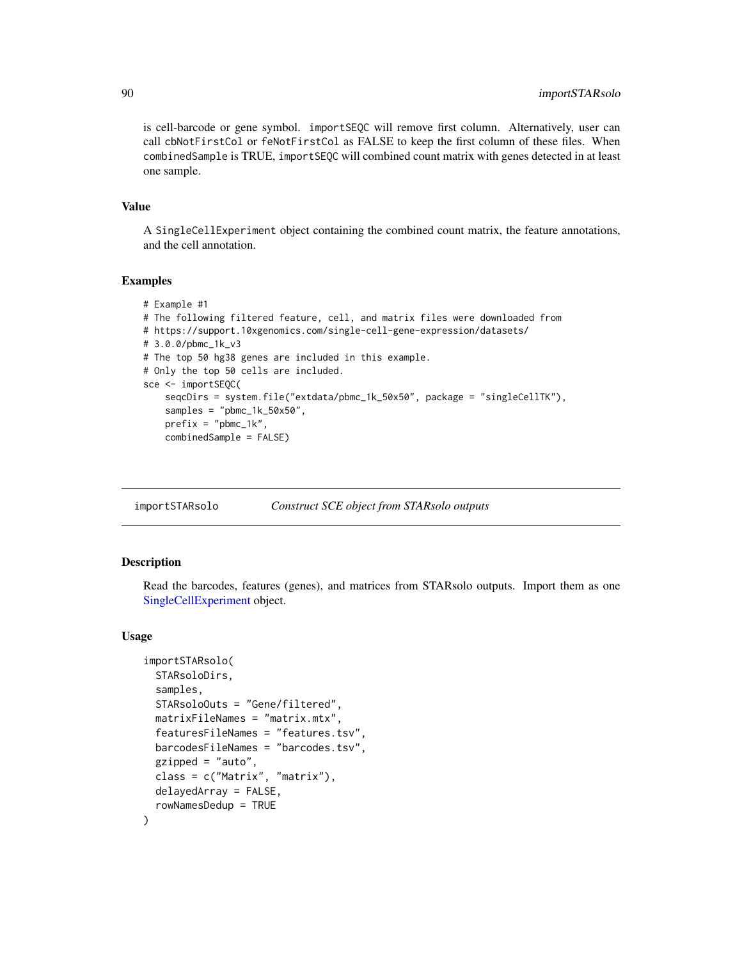is cell-barcode or gene symbol. importSEQC will remove first column. Alternatively, user can call cbNotFirstCol or feNotFirstCol as FALSE to keep the first column of these files. When combinedSample is TRUE, importSEQC will combined count matrix with genes detected in at least one sample.

#### Value

A SingleCellExperiment object containing the combined count matrix, the feature annotations, and the cell annotation.

#### Examples

```
# Example #1
# The following filtered feature, cell, and matrix files were downloaded from
# https://support.10xgenomics.com/single-cell-gene-expression/datasets/
# 3.0.0/pbmc_1k_v3
# The top 50 hg38 genes are included in this example.
# Only the top 50 cells are included.
sce <- importSEQC(
    seqcDirs = system.file("extdata/pbmc_1k_50x50", package = "singleCellTK"),
    samples = "pbmc_1k_50x50",
   prefix = "pbmc_1k",combinedSample = FALSE)
```
importSTARsolo *Construct SCE object from STARsolo outputs*

#### Description

Read the barcodes, features (genes), and matrices from STARsolo outputs. Import them as one [SingleCellExperiment](#page-0-0) object.

```
importSTARsolo(
  STARsoloDirs,
  samples,
  STARsoloOuts = "Gene/filtered",
  matrixFileNames = "matrix.mtx",
  featuresFileNames = "features.tsv",
  barcodesFileNames = "barcodes.tsv",
  gzipped = "auto",class = c("Matrix", "matrix"),
  delayedArray = FALSE,
  rowNamesDedup = TRUE
)
```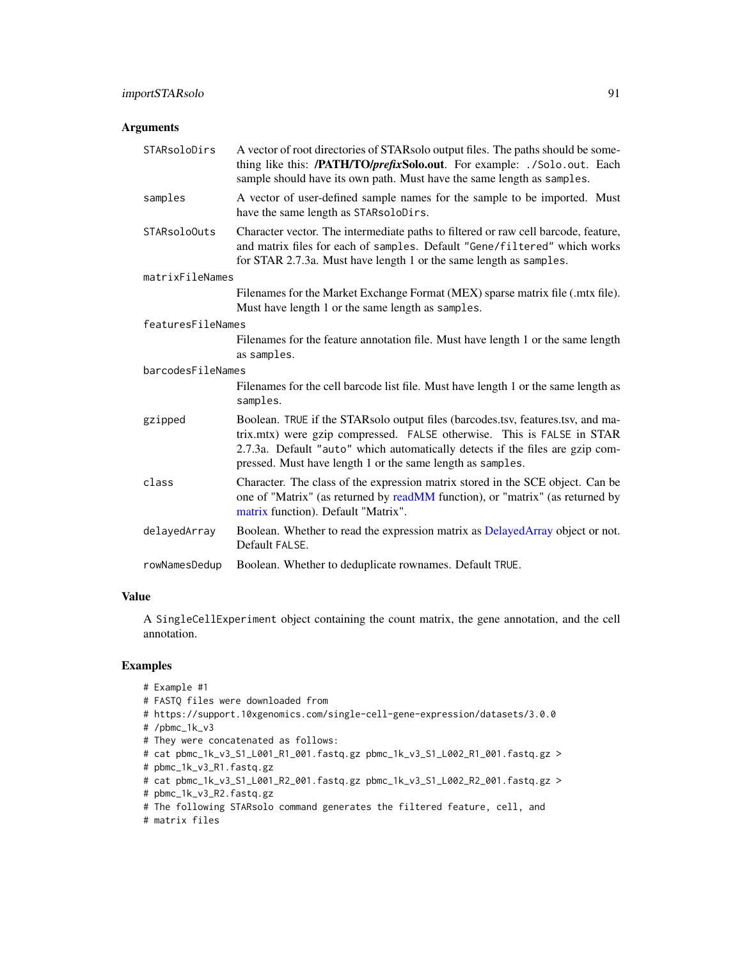## Arguments

| STARsoloDirs      | A vector of root directories of STARsolo output files. The paths should be some-<br>thing like this: /PATH/TO/prefixSolo.out. For example: ./Solo.out. Each<br>sample should have its own path. Must have the same length as samples.                                                                    |
|-------------------|----------------------------------------------------------------------------------------------------------------------------------------------------------------------------------------------------------------------------------------------------------------------------------------------------------|
| samples           | A vector of user-defined sample names for the sample to be imported. Must<br>have the same length as STARsoloDirs.                                                                                                                                                                                       |
| STARsoloOuts      | Character vector. The intermediate paths to filtered or raw cell barcode, feature,<br>and matrix files for each of samples. Default "Gene/filtered" which works<br>for STAR 2.7.3a. Must have length 1 or the same length as samples.                                                                    |
| matrixFileNames   |                                                                                                                                                                                                                                                                                                          |
|                   | Filenames for the Market Exchange Format (MEX) sparse matrix file (.mtx file).<br>Must have length 1 or the same length as samples.                                                                                                                                                                      |
| featuresFileNames |                                                                                                                                                                                                                                                                                                          |
|                   | Filenames for the feature annotation file. Must have length 1 or the same length<br>as samples.                                                                                                                                                                                                          |
| barcodesFileNames |                                                                                                                                                                                                                                                                                                          |
|                   | Filenames for the cell barcode list file. Must have length 1 or the same length as<br>samples.                                                                                                                                                                                                           |
| gzipped           | Boolean. TRUE if the STARsolo output files (barcodes.tsv, features.tsv, and ma-<br>trix.mtx) were gzip compressed. FALSE otherwise. This is FALSE in STAR<br>2.7.3a. Default "auto" which automatically detects if the files are gzip com-<br>pressed. Must have length 1 or the same length as samples. |
| class             | Character. The class of the expression matrix stored in the SCE object. Can be<br>one of "Matrix" (as returned by readMM function), or "matrix" (as returned by<br>matrix function). Default "Matrix".                                                                                                   |
| delayedArray      | Boolean. Whether to read the expression matrix as DelayedArray object or not.<br>Default FALSE.                                                                                                                                                                                                          |
| rowNamesDedup     | Boolean. Whether to deduplicate rownames. Default TRUE.                                                                                                                                                                                                                                                  |

## Value

A SingleCellExperiment object containing the count matrix, the gene annotation, and the cell annotation.

```
# Example #1
```

```
# FASTQ files were downloaded from
```
- # https://support.10xgenomics.com/single-cell-gene-expression/datasets/3.0.0
- # /pbmc\_1k\_v3
- # They were concatenated as follows:
- # cat pbmc\_1k\_v3\_S1\_L001\_R1\_001.fastq.gz pbmc\_1k\_v3\_S1\_L002\_R1\_001.fastq.gz >
- # pbmc\_1k\_v3\_R1.fastq.gz
- # cat pbmc\_1k\_v3\_S1\_L001\_R2\_001.fastq.gz pbmc\_1k\_v3\_S1\_L002\_R2\_001.fastq.gz >
- # pbmc\_1k\_v3\_R2.fastq.gz
- # The following STARsolo command generates the filtered feature, cell, and
- # matrix files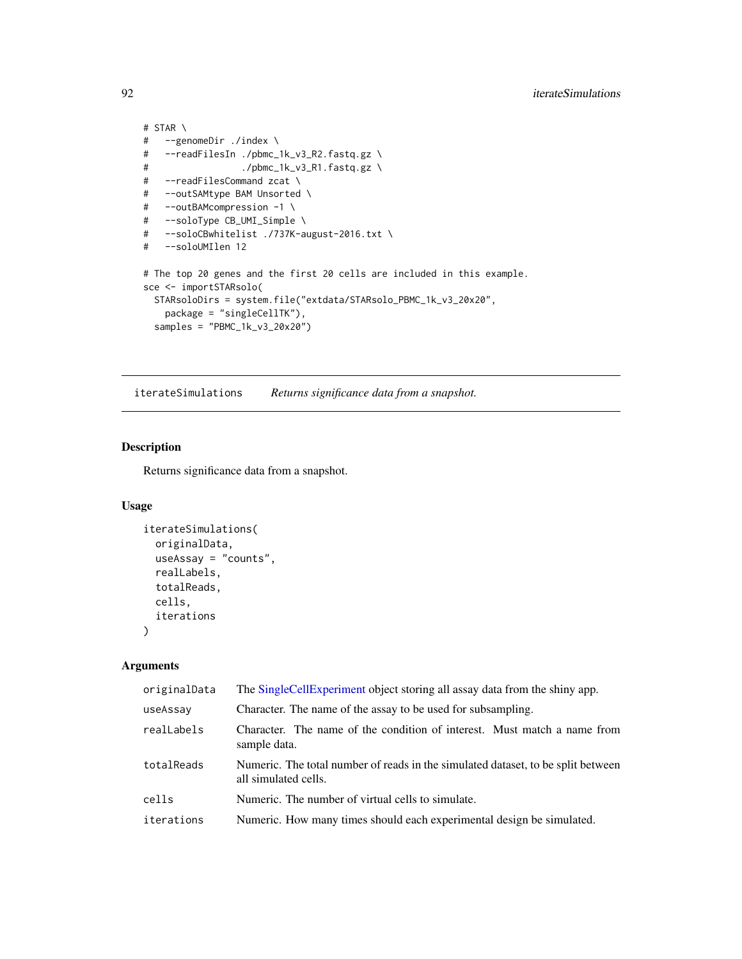```
# STAR \
# --genomeDir ./index \
# --readFilesIn ./pbmc_1k_v3_R2.fastq.gz \
# ./pbmc_1k_v3_R1.fastq.gz \
# --readFilesCommand zcat \
# --outSAMtype BAM Unsorted \
# --outBAMcompression -1 \
# --soloType CB_UMI_Simple \
# --soloCBwhitelist ./737K-august-2016.txt \
# --soloUMIlen 12
# The top 20 genes and the first 20 cells are included in this example.
sce <- importSTARsolo(
 STARsoloDirs = system.file("extdata/STARsolo_PBMC_1k_v3_20x20",
   package = "singleCellTK"),
 samples = "PBMC_1k_v3_20x20")
```
iterateSimulations *Returns significance data from a snapshot.*

## Description

Returns significance data from a snapshot.

## Usage

```
iterateSimulations(
  originalData,
  useAssay = "counts",
  realLabels,
  totalReads,
 cells,
  iterations
)
```
## Arguments

| originalData | The SingleCellExperiment object storing all assay data from the shiny app.                               |
|--------------|----------------------------------------------------------------------------------------------------------|
| useAssay     | Character. The name of the assay to be used for subsampling.                                             |
| realLabels   | Character. The name of the condition of interest. Must match a name from<br>sample data.                 |
| totalReads   | Numeric. The total number of reads in the simulated dataset, to be split between<br>all simulated cells. |
| cells        | Numeric. The number of virtual cells to simulate.                                                        |
| iterations   | Numeric. How many times should each experimental design be simulated.                                    |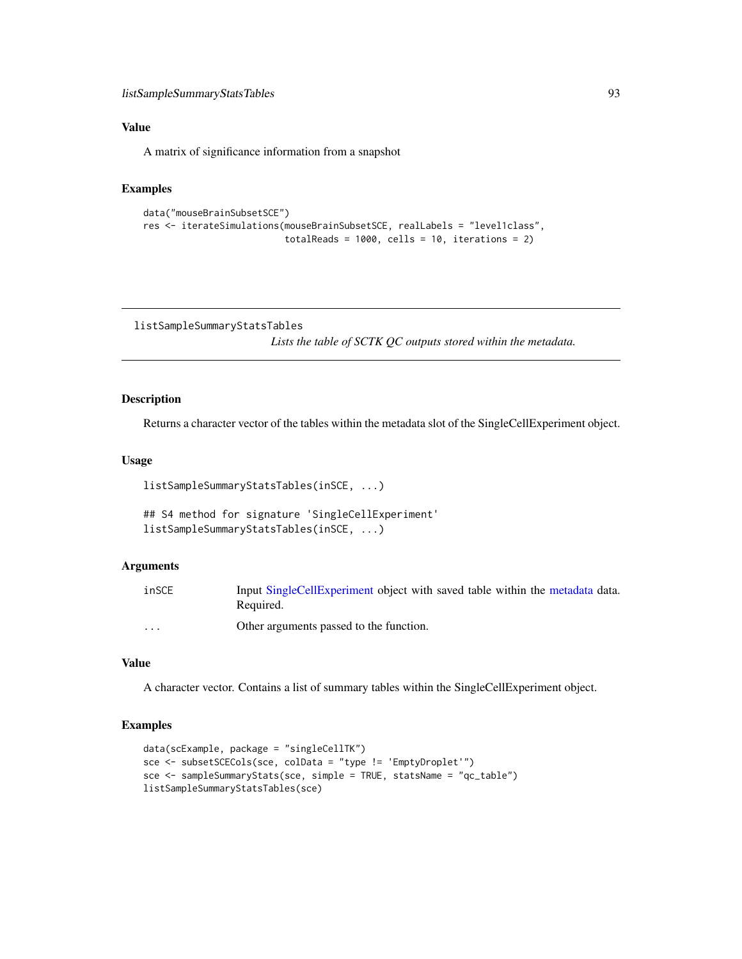A matrix of significance information from a snapshot

#### Examples

```
data("mouseBrainSubsetSCE")
res <- iterateSimulations(mouseBrainSubsetSCE, realLabels = "level1class",
                          totalReads = 1000, cells = 10, iterations = 2)
```
listSampleSummaryStatsTables

*Lists the table of SCTK QC outputs stored within the metadata.*

## Description

Returns a character vector of the tables within the metadata slot of the SingleCellExperiment object.

## Usage

```
listSampleSummaryStatsTables(inSCE, ...)
```

```
## S4 method for signature 'SingleCellExperiment'
listSampleSummaryStatsTables(inSCE, ...)
```
## Arguments

| inSCE   | Input SingleCellExperiment object with saved table within the metadata data.<br>Required. |
|---------|-------------------------------------------------------------------------------------------|
| $\cdot$ | Other arguments passed to the function.                                                   |

## Value

A character vector. Contains a list of summary tables within the SingleCellExperiment object.

```
data(scExample, package = "singleCellTK")
sce <- subsetSCECols(sce, colData = "type != 'EmptyDroplet'")
sce <- sampleSummaryStats(sce, simple = TRUE, statsName = "qc_table")
listSampleSummaryStatsTables(sce)
```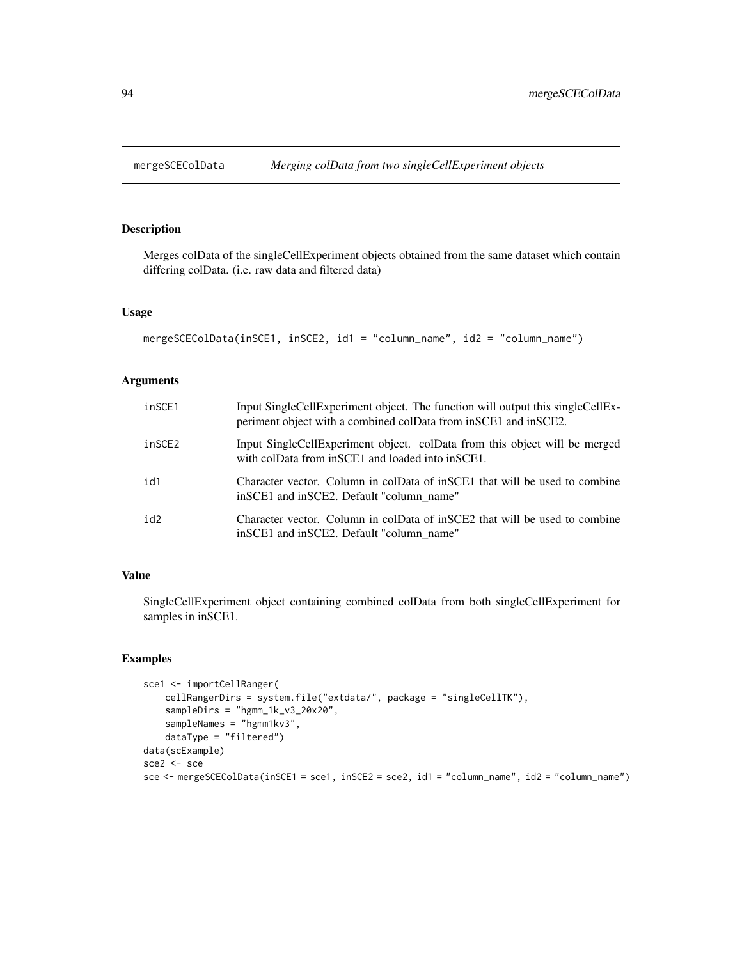Merges colData of the singleCellExperiment objects obtained from the same dataset which contain differing colData. (i.e. raw data and filtered data)

## Usage

```
mergeSCEColData(inSCE1, inSCE2, id1 = "column_name", id2 = "column_name")
```
## Arguments

| inSCE1 | Input SingleCellExperiment object. The function will output this singleCellEx-<br>periment object with a combined colData from in SCE1 and in SCE2. |
|--------|-----------------------------------------------------------------------------------------------------------------------------------------------------|
| inSCE2 | Input SingleCellExperiment object. colData from this object will be merged<br>with colData from inSCE1 and loaded into inSCE1.                      |
| id1    | Character vector. Column in colData of inSCE1 that will be used to combine<br>in SCE1 and in SCE2. Default "column name"                            |
| id2    | Character vector. Column in colData of inSCE2 that will be used to combine<br>in SCE1 and in SCE2. Default "column name"                            |

## Value

SingleCellExperiment object containing combined colData from both singleCellExperiment for samples in inSCE1.

```
sce1 <- importCellRanger(
   cellRangerDirs = system.file("extdata/", package = "singleCellTK"),
   sampleDirs = "hgmm_1k_v3_20x20",
   sampleNames = "hgmm1kv3",
   dataType = "filtered")
data(scExample)
sce2 <- sce
sce <- mergeSCEColData(inSCE1 = sce1, inSCE2 = sce2, id1 = "column_name", id2 = "column_name")
```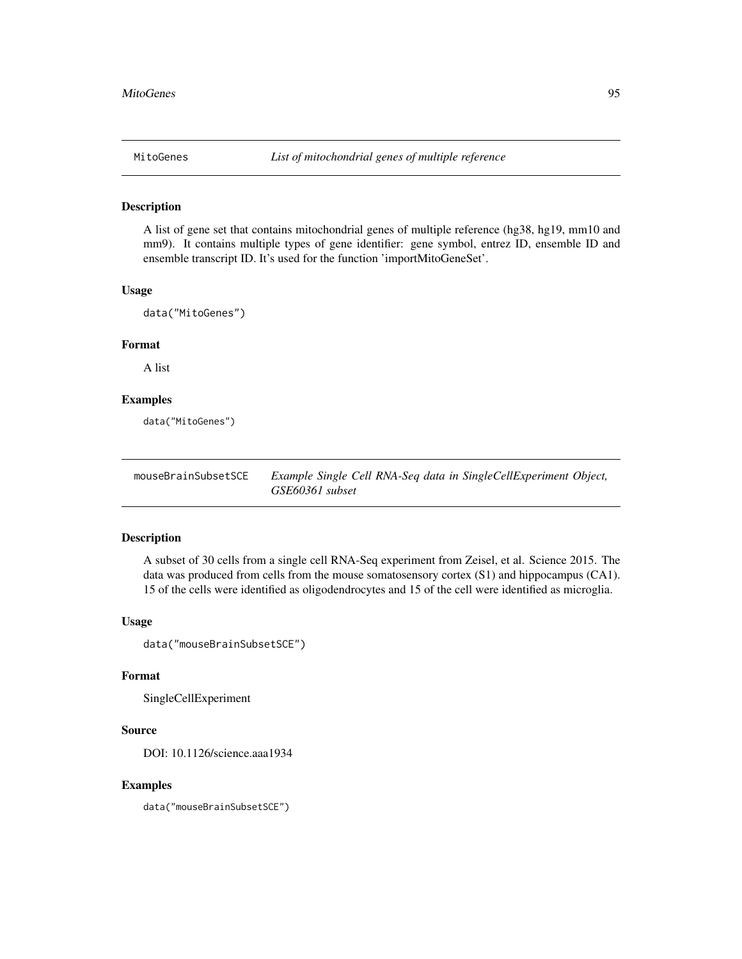A list of gene set that contains mitochondrial genes of multiple reference (hg38, hg19, mm10 and mm9). It contains multiple types of gene identifier: gene symbol, entrez ID, ensemble ID and ensemble transcript ID. It's used for the function 'importMitoGeneSet'.

#### Usage

```
data("MitoGenes")
```
#### Format

A list

# Examples

data("MitoGenes")

mouseBrainSubsetSCE *Example Single Cell RNA-Seq data in SingleCellExperiment Object, GSE60361 subset*

## Description

A subset of 30 cells from a single cell RNA-Seq experiment from Zeisel, et al. Science 2015. The data was produced from cells from the mouse somatosensory cortex (S1) and hippocampus (CA1). 15 of the cells were identified as oligodendrocytes and 15 of the cell were identified as microglia.

## Usage

```
data("mouseBrainSubsetSCE")
```
#### Format

SingleCellExperiment

#### Source

DOI: 10.1126/science.aaa1934

#### Examples

data("mouseBrainSubsetSCE")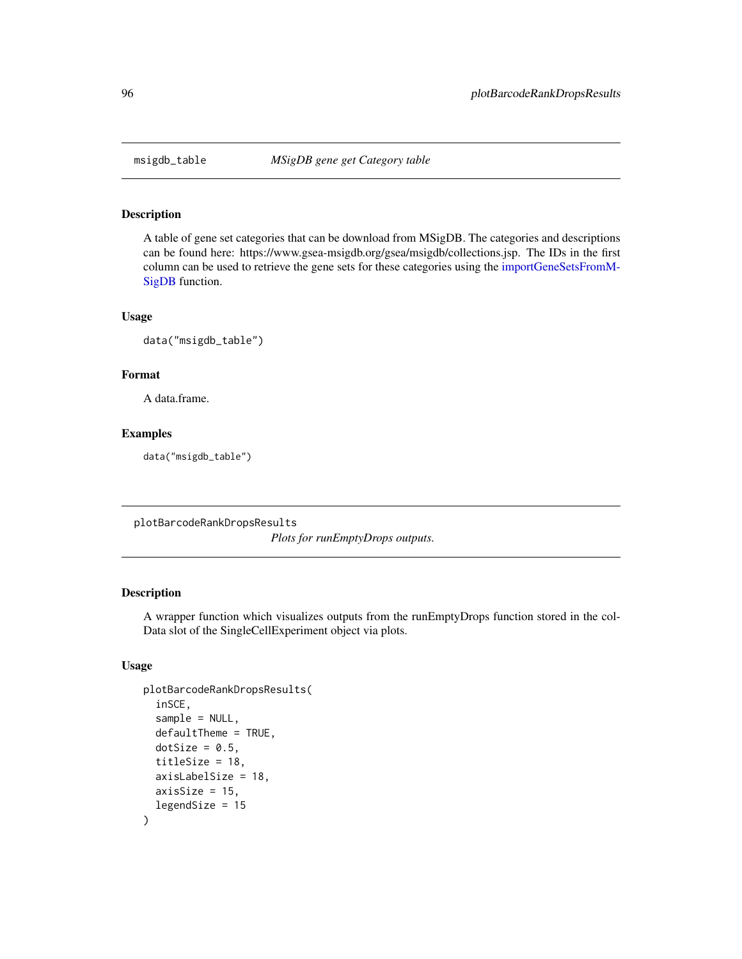A table of gene set categories that can be download from MSigDB. The categories and descriptions can be found here: https://www.gsea-msigdb.org/gsea/msigdb/collections.jsp. The IDs in the first column can be used to retrieve the gene sets for these categories using the [importGeneSetsFromM-](#page-82-0)[SigDB](#page-82-0) function.

#### Usage

data("msigdb\_table")

## Format

A data.frame.

#### Examples

data("msigdb\_table")

plotBarcodeRankDropsResults

*Plots for runEmptyDrops outputs.*

# Description

A wrapper function which visualizes outputs from the runEmptyDrops function stored in the col-Data slot of the SingleCellExperiment object via plots.

```
plotBarcodeRankDropsResults(
  inSCE,
  sample = NULL,
  defaultTheme = TRUE,
  dotSize = 0.5,
  titleSize = 18,
  axisLabelSize = 18,
  axisSize = 15,
  legendSize = 15
)
```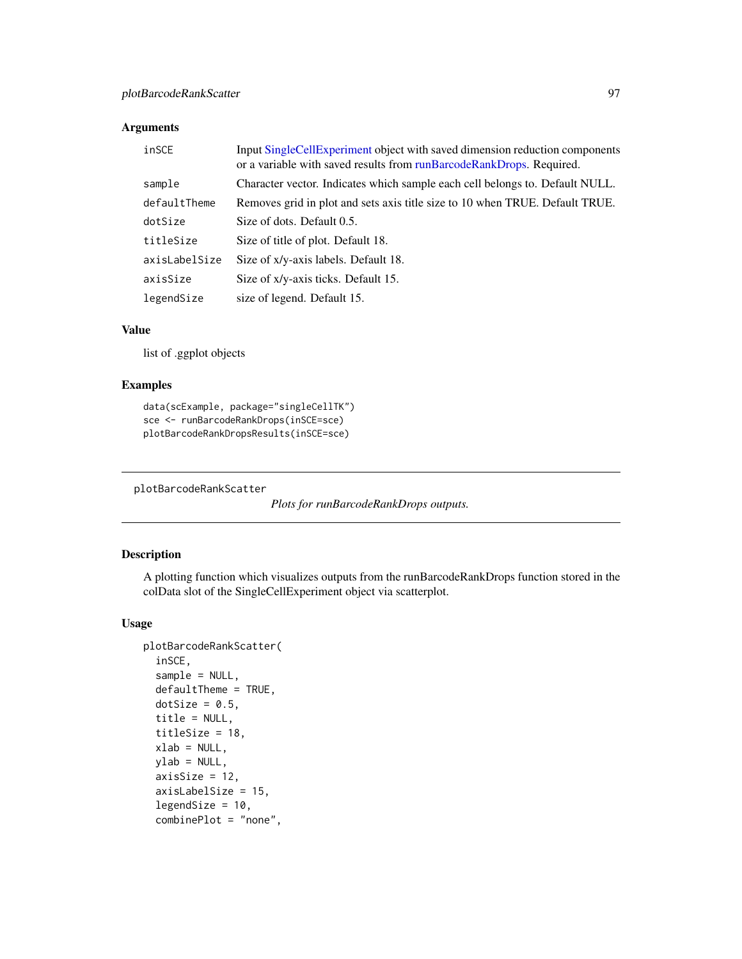## Arguments

| inSCE         | Input SingleCellExperiment object with saved dimension reduction components<br>or a variable with saved results from runBarcodeRankDrops. Required. |
|---------------|-----------------------------------------------------------------------------------------------------------------------------------------------------|
| sample        | Character vector. Indicates which sample each cell belongs to. Default NULL.                                                                        |
| defaultTheme  | Removes grid in plot and sets axis title size to 10 when TRUE. Default TRUE.                                                                        |
| dotSize       | Size of dots. Default 0.5.                                                                                                                          |
| titleSize     | Size of title of plot. Default 18.                                                                                                                  |
| axisLabelSize | Size of x/y-axis labels. Default 18.                                                                                                                |
| axisSize      | Size of x/y-axis ticks. Default 15.                                                                                                                 |
| legendSize    | size of legend. Default 15.                                                                                                                         |

#### Value

list of .ggplot objects

#### Examples

```
data(scExample, package="singleCellTK")
sce <- runBarcodeRankDrops(inSCE=sce)
plotBarcodeRankDropsResults(inSCE=sce)
```
plotBarcodeRankScatter

```
Plots for runBarcodeRankDrops outputs.
```
## Description

A plotting function which visualizes outputs from the runBarcodeRankDrops function stored in the colData slot of the SingleCellExperiment object via scatterplot.

```
plotBarcodeRankScatter(
  inSCE,
  sample = NULL,
  defaultTheme = TRUE,
  dotSize = 0.5,
  title = NULL,
  titleSize = 18,
  xlab = NULL,
 ylab = NULL,
  axisSize = 12,
  axisLabelSize = 15,
  legendSize = 10,
  combinePlot = "none",
```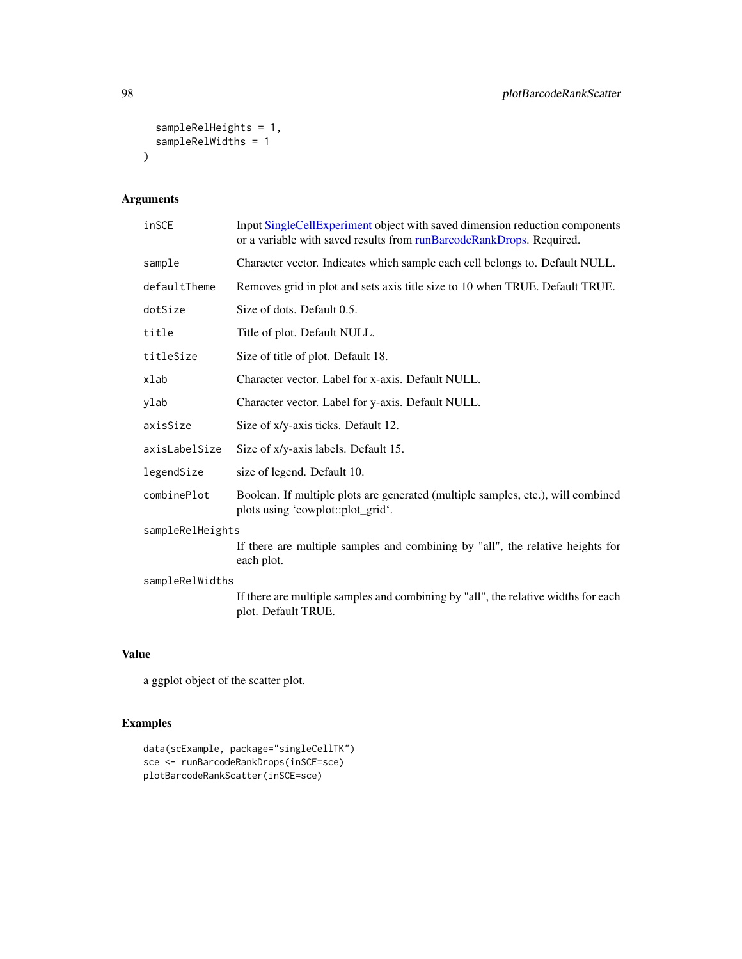```
sampleRelHeights = 1,
  sampleRelWidths = 1
\mathcal{L}
```
# Arguments

| inSCE            | Input SingleCellExperiment object with saved dimension reduction components<br>or a variable with saved results from runBarcodeRankDrops. Required. |  |
|------------------|-----------------------------------------------------------------------------------------------------------------------------------------------------|--|
| sample           | Character vector. Indicates which sample each cell belongs to. Default NULL.                                                                        |  |
| defaultTheme     | Removes grid in plot and sets axis title size to 10 when TRUE. Default TRUE.                                                                        |  |
| dotSize          | Size of dots. Default 0.5.                                                                                                                          |  |
| title            | Title of plot. Default NULL.                                                                                                                        |  |
| titleSize        | Size of title of plot. Default 18.                                                                                                                  |  |
| xlab             | Character vector. Label for x-axis. Default NULL.                                                                                                   |  |
| ylab             | Character vector. Label for y-axis. Default NULL.                                                                                                   |  |
| axisSize         | Size of x/y-axis ticks. Default 12.                                                                                                                 |  |
| axisLabelSize    | Size of x/y-axis labels. Default 15.                                                                                                                |  |
| legendSize       | size of legend. Default 10.                                                                                                                         |  |
| combinePlot      | Boolean. If multiple plots are generated (multiple samples, etc.), will combined<br>plots using 'cowplot::plot_grid'.                               |  |
| sampleRelHeights |                                                                                                                                                     |  |
|                  | If there are multiple samples and combining by "all", the relative heights for<br>each plot.                                                        |  |
| sampleRelWidths  |                                                                                                                                                     |  |
|                  | If there are multiple samples and combining by "all", the relative widths for each<br>plot. Default TRUE.                                           |  |
|                  |                                                                                                                                                     |  |
| ۱Δ               |                                                                                                                                                     |  |

# Value

a ggplot object of the scatter plot.

```
data(scExample, package="singleCellTK")
sce <- runBarcodeRankDrops(inSCE=sce)
plotBarcodeRankScatter(inSCE=sce)
```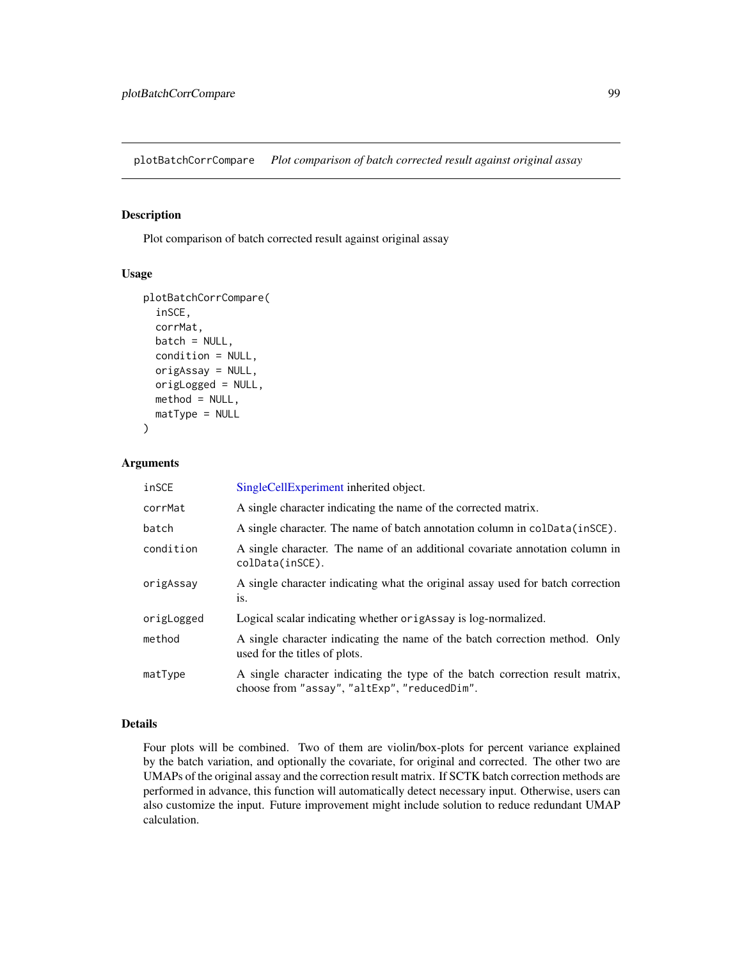plotBatchCorrCompare *Plot comparison of batch corrected result against original assay*

## Description

Plot comparison of batch corrected result against original assay

#### Usage

```
plotBatchCorrCompare(
  inSCE,
  corrMat,
 batch = NULL,condition = NULL,
  origAssay = NULL,
  origLogged = NULL,
  method = NULL,matType = NULL
)
```
#### Arguments

| inSCE      | SingleCellExperiment inherited object.                                                                                        |
|------------|-------------------------------------------------------------------------------------------------------------------------------|
| corrMat    | A single character indicating the name of the corrected matrix.                                                               |
| batch      | A single character. The name of batch annotation column in coldata (insce).                                                   |
| condition  | A single character. The name of an additional covariate annotation column in<br>colData(inSCE).                               |
| origAssay  | A single character indicating what the original assay used for batch correction<br>is.                                        |
| origLogged | Logical scalar indicating whether origaller is log-normalized.                                                                |
| method     | A single character indicating the name of the batch correction method. Only<br>used for the titles of plots.                  |
| matType    | A single character indicating the type of the batch correction result matrix,<br>choose from "assay", "altExp", "reducedDim". |

## Details

Four plots will be combined. Two of them are violin/box-plots for percent variance explained by the batch variation, and optionally the covariate, for original and corrected. The other two are UMAPs of the original assay and the correction result matrix. If SCTK batch correction methods are performed in advance, this function will automatically detect necessary input. Otherwise, users can also customize the input. Future improvement might include solution to reduce redundant UMAP calculation.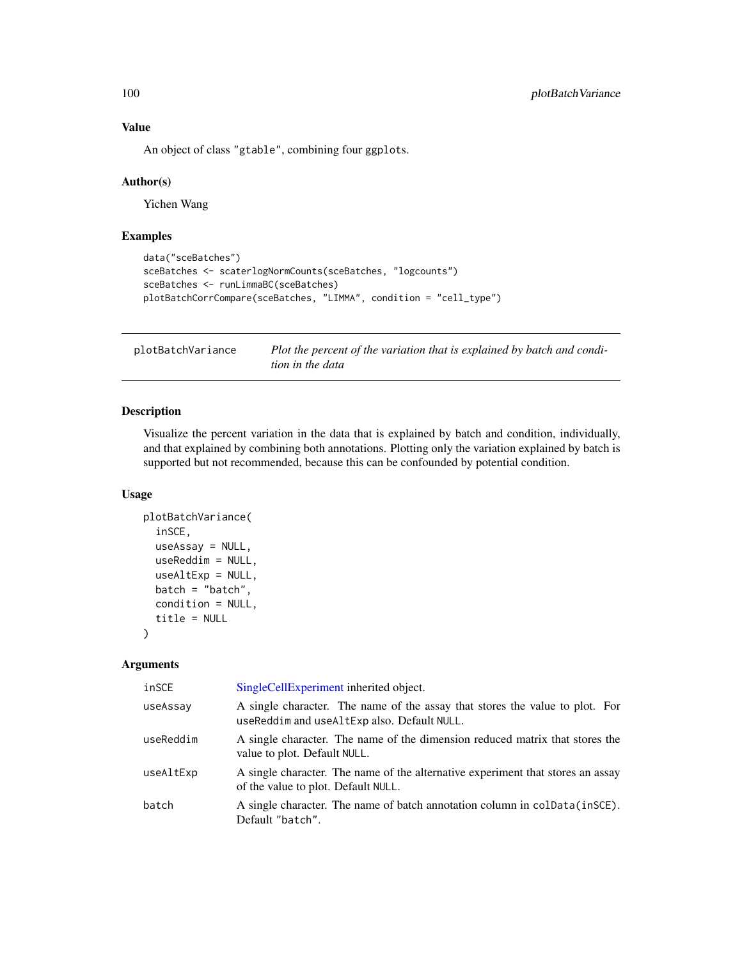An object of class "gtable", combining four ggplots.

#### Author(s)

Yichen Wang

## Examples

```
data("sceBatches")
sceBatches <- scaterlogNormCounts(sceBatches, "logcounts")
sceBatches <- runLimmaBC(sceBatches)
plotBatchCorrCompare(sceBatches, "LIMMA", condition = "cell_type")
```
plotBatchVariance *Plot the percent of the variation that is explained by batch and condition in the data*

#### Description

Visualize the percent variation in the data that is explained by batch and condition, individually, and that explained by combining both annotations. Plotting only the variation explained by batch is supported but not recommended, because this can be confounded by potential condition.

#### Usage

```
plotBatchVariance(
  inSCE,
 useAssay = NULL,
 useReddim = NULL,
  useAltExp = NULL,
 batch = "batch",
  condition = NULL,
  title = NULL
)
```
#### Arguments

| inSCE     | SingleCellExperiment inherited object.                                                                                      |
|-----------|-----------------------------------------------------------------------------------------------------------------------------|
| useAssay  | A single character. The name of the assay that stores the value to plot. For<br>useReddim and useAltExp also. Default NULL. |
| useReddim | A single character. The name of the dimension reduced matrix that stores the<br>value to plot. Default NULL.                |
| useAltExp | A single character. The name of the alternative experiment that stores an assay<br>of the value to plot. Default NULL.      |
| batch     | A single character. The name of batch annotation column in colData(inSCE).<br>Default "batch".                              |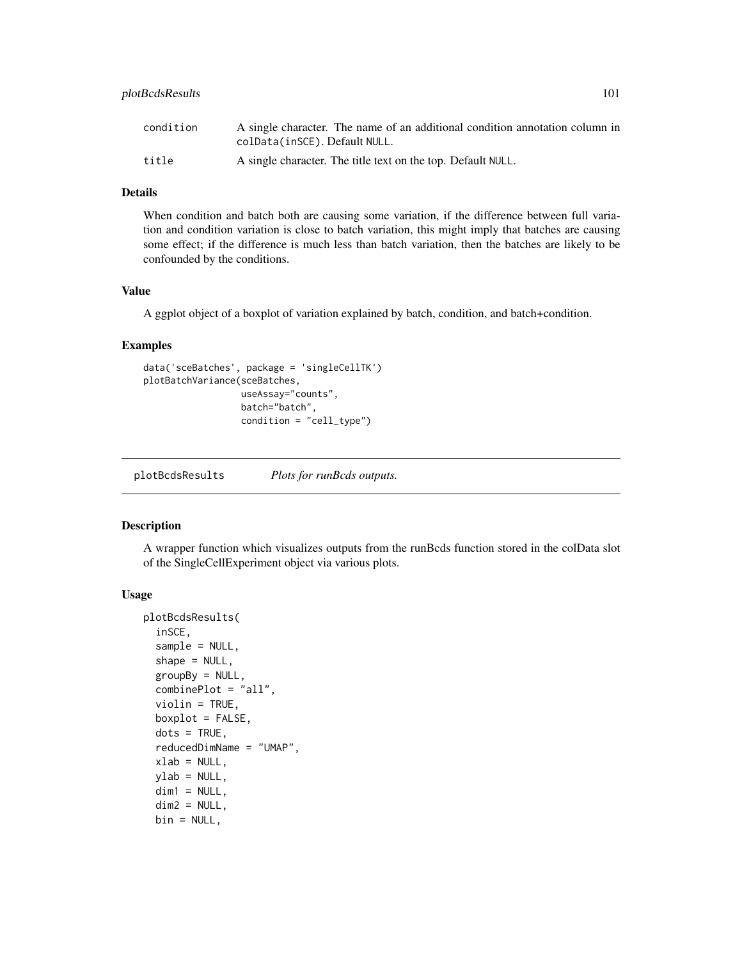## plotBcdsResults 101

| condition | A single character. The name of an additional condition annotation column in<br>colData(inSCE). Default NULL. |
|-----------|---------------------------------------------------------------------------------------------------------------|
| title     | A single character. The title text on the top. Default NULL.                                                  |

## Details

When condition and batch both are causing some variation, if the difference between full variation and condition variation is close to batch variation, this might imply that batches are causing some effect; if the difference is much less than batch variation, then the batches are likely to be confounded by the conditions.

#### Value

A ggplot object of a boxplot of variation explained by batch, condition, and batch+condition.

## Examples

```
data('sceBatches', package = 'singleCellTK')
plotBatchVariance(sceBatches,
                 useAssay="counts",
                  batch="batch",
                  condition = "cell_type")
```
plotBcdsResults *Plots for runBcds outputs.*

#### Description

A wrapper function which visualizes outputs from the runBcds function stored in the colData slot of the SingleCellExperiment object via various plots.

```
plotBcdsResults(
  inSCE,
  sample = NULL,
  shape = NULL,
  groupBy = NULL,combinePlot = "all",
  violin = TRUE,
  boxplot = FALSE,dots = TRUE,reducedDimName = "UMAP",
  xlab = NULL,
 vlab = NULL,
  dim1 = NULL,dim2 = NULL,bin = NULL,
```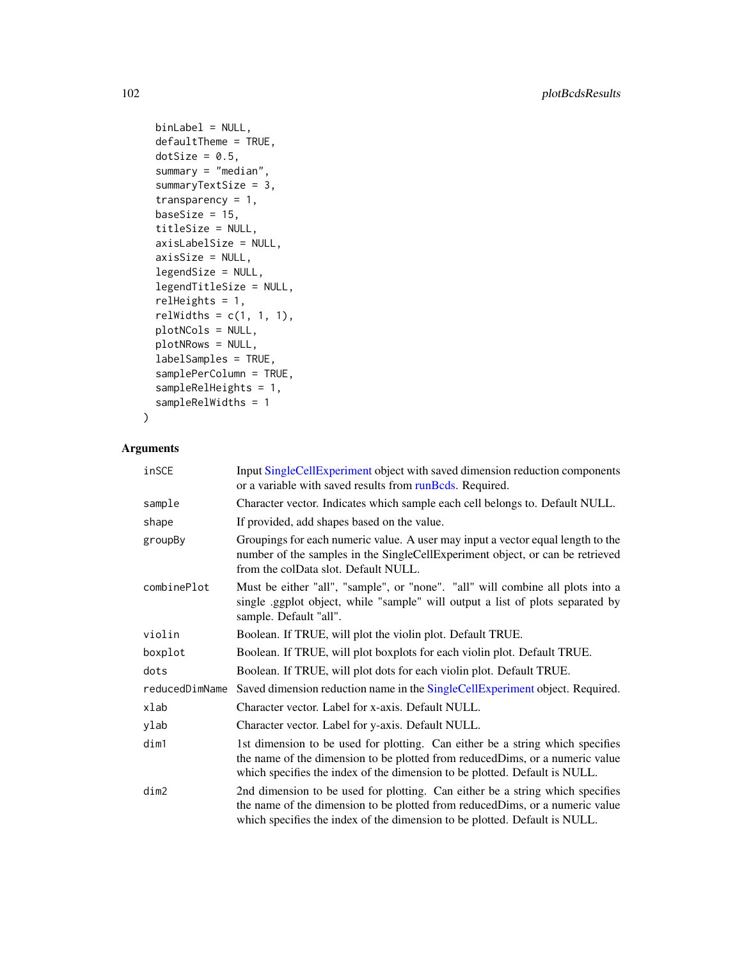```
binLabel = NULL,defaultTheme = TRUE,
dotSize = 0.5,
summary = "median",
summaryTextSize = 3,
transparency = 1,
baseSize = 15,
titleSize = NULL,
axisLabelSize = NULL,
axisSize = NULL,
legendSize = NULL,
legendTitleSize = NULL,
relHeights = 1,
relWidths = c(1, 1, 1),
plotNCols = NULL,
plotNRows = NULL,
labelSamples = TRUE,
samplePerColumn = TRUE,
sampleRelHeights = 1,
sampleRelWidths = 1
```

```
Arguments
```
)

| inSCE          | Input SingleCellExperiment object with saved dimension reduction components<br>or a variable with saved results from runBcds. Required.                                                                                                      |
|----------------|----------------------------------------------------------------------------------------------------------------------------------------------------------------------------------------------------------------------------------------------|
| sample         | Character vector. Indicates which sample each cell belongs to. Default NULL.                                                                                                                                                                 |
| shape          | If provided, add shapes based on the value.                                                                                                                                                                                                  |
| groupBy        | Groupings for each numeric value. A user may input a vector equal length to the<br>number of the samples in the SingleCellExperiment object, or can be retrieved<br>from the colData slot. Default NULL.                                     |
| combinePlot    | Must be either "all", "sample", or "none". "all" will combine all plots into a<br>single .ggplot object, while "sample" will output a list of plots separated by<br>sample. Default "all".                                                   |
| violin         | Boolean. If TRUE, will plot the violin plot. Default TRUE.                                                                                                                                                                                   |
| boxplot        | Boolean. If TRUE, will plot boxplots for each violin plot. Default TRUE.                                                                                                                                                                     |
| dots           | Boolean. If TRUE, will plot dots for each violin plot. Default TRUE.                                                                                                                                                                         |
| reducedDimName | Saved dimension reduction name in the SingleCellExperiment object. Required.                                                                                                                                                                 |
| xlab           | Character vector. Label for x-axis. Default NULL.                                                                                                                                                                                            |
| ylab           | Character vector. Label for y-axis. Default NULL.                                                                                                                                                                                            |
| dim1           | 1st dimension to be used for plotting. Can either be a string which specifies<br>the name of the dimension to be plotted from reduced Dims, or a numeric value<br>which specifies the index of the dimension to be plotted. Default is NULL. |
| dim2           | 2nd dimension to be used for plotting. Can either be a string which specifies<br>the name of the dimension to be plotted from reducedDims, or a numeric value<br>which specifies the index of the dimension to be plotted. Default is NULL.  |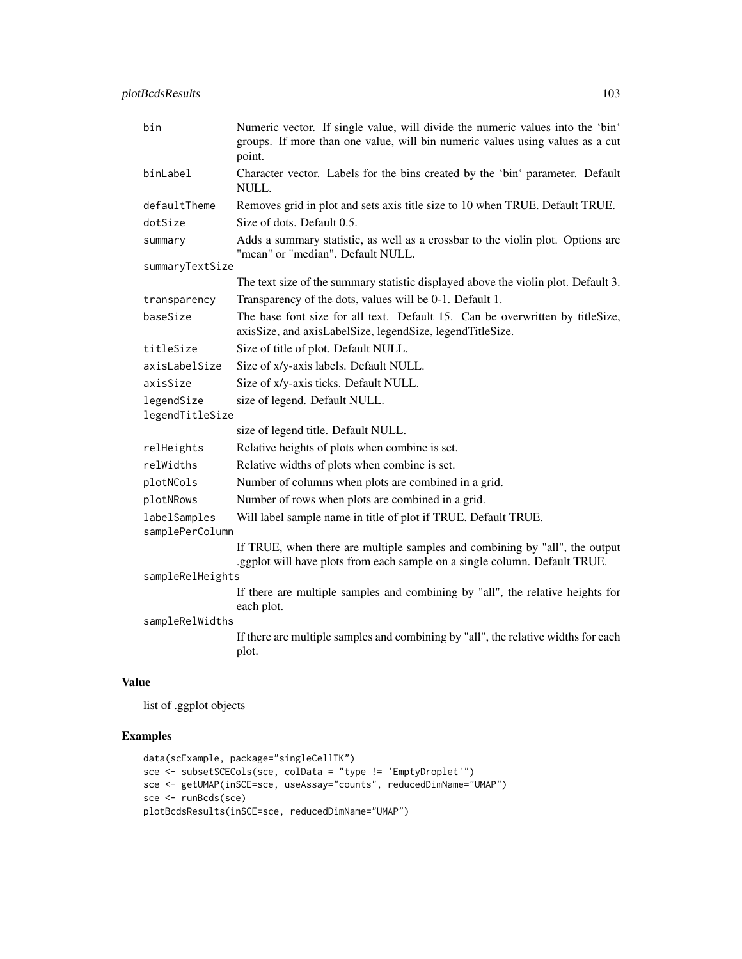| bin                             | Numeric vector. If single value, will divide the numeric values into the 'bin'<br>groups. If more than one value, will bin numeric values using values as a cut<br>point. |  |
|---------------------------------|---------------------------------------------------------------------------------------------------------------------------------------------------------------------------|--|
| binLabel                        | Character vector. Labels for the bins created by the 'bin' parameter. Default<br>NULL.                                                                                    |  |
| defaultTheme                    | Removes grid in plot and sets axis title size to 10 when TRUE. Default TRUE.                                                                                              |  |
| dotSize                         | Size of dots. Default 0.5.                                                                                                                                                |  |
| summary                         | Adds a summary statistic, as well as a crossbar to the violin plot. Options are<br>"mean" or "median". Default NULL.                                                      |  |
| summaryTextSize                 |                                                                                                                                                                           |  |
|                                 | The text size of the summary statistic displayed above the violin plot. Default 3.                                                                                        |  |
| transparency                    | Transparency of the dots, values will be 0-1. Default 1.                                                                                                                  |  |
| baseSize                        | The base font size for all text. Default 15. Can be overwritten by titleSize,<br>axisSize, and axisLabelSize, legendSize, legendTitleSize.                                |  |
| titleSize                       | Size of title of plot. Default NULL.                                                                                                                                      |  |
| axisLabelSize                   | Size of x/y-axis labels. Default NULL.                                                                                                                                    |  |
| axisSize                        | Size of x/y-axis ticks. Default NULL.                                                                                                                                     |  |
| legendSize                      | size of legend. Default NULL.                                                                                                                                             |  |
| legendTitleSize                 |                                                                                                                                                                           |  |
|                                 | size of legend title. Default NULL.                                                                                                                                       |  |
| relHeights                      | Relative heights of plots when combine is set.                                                                                                                            |  |
| relWidths                       | Relative widths of plots when combine is set.                                                                                                                             |  |
| plotNCols                       | Number of columns when plots are combined in a grid.                                                                                                                      |  |
| plotNRows                       | Number of rows when plots are combined in a grid.                                                                                                                         |  |
| labelSamples<br>samplePerColumn | Will label sample name in title of plot if TRUE. Default TRUE.                                                                                                            |  |
|                                 | If TRUE, when there are multiple samples and combining by "all", the output<br>.ggplot will have plots from each sample on a single column. Default TRUE.                 |  |
| sampleRelHeights                |                                                                                                                                                                           |  |
|                                 | If there are multiple samples and combining by "all", the relative heights for<br>each plot.                                                                              |  |
| sampleRelWidths                 |                                                                                                                                                                           |  |
|                                 | If there are multiple samples and combining by "all", the relative widths for each<br>plot.                                                                               |  |
|                                 |                                                                                                                                                                           |  |

list of .ggplot objects

```
data(scExample, package="singleCellTK")
sce <- subsetSCECols(sce, colData = "type != 'EmptyDroplet'")
sce <- getUMAP(inSCE=sce, useAssay="counts", reducedDimName="UMAP")
sce <- runBcds(sce)
plotBcdsResults(inSCE=sce, reducedDimName="UMAP")
```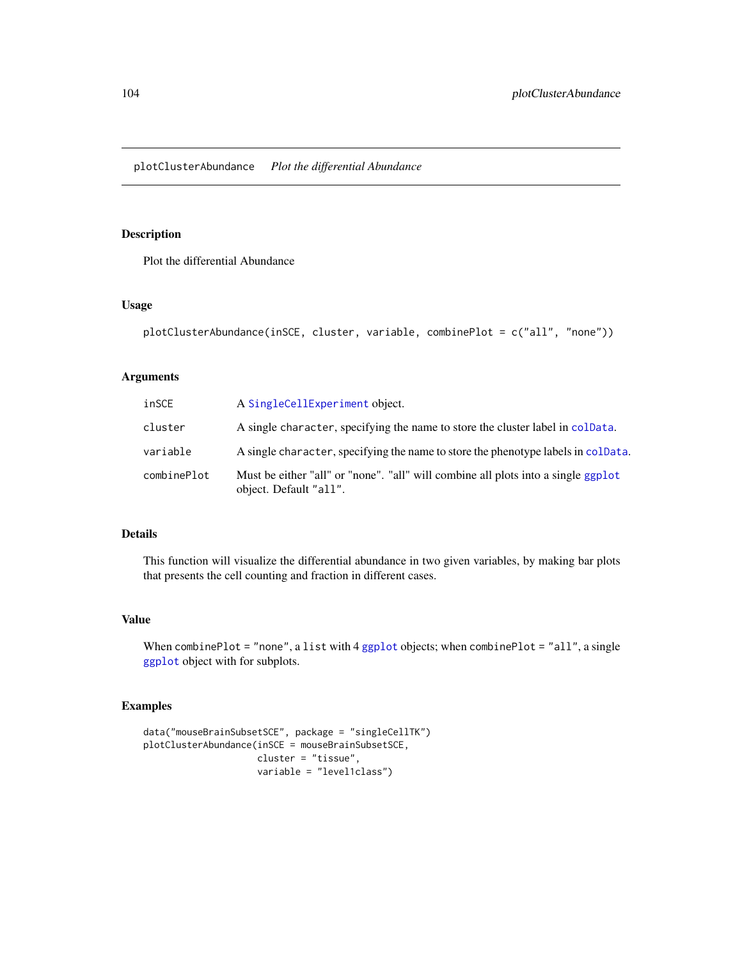plotClusterAbundance *Plot the differential Abundance*

## Description

Plot the differential Abundance

## Usage

```
plotClusterAbundance(inSCE, cluster, variable, combinePlot = c("all", "none"))
```
#### Arguments

| inSCE       | A SingleCellExperiment object.                                                                              |
|-------------|-------------------------------------------------------------------------------------------------------------|
| cluster     | A single character, specifying the name to store the cluster label in colData.                              |
| variable    | A single character, specifying the name to store the phenotype labels in colData.                           |
| combinePlot | Must be either "all" or "none". "all" will combine all plots into a single ggplot<br>object. Default "all". |

## Details

This function will visualize the differential abundance in two given variables, by making bar plots that presents the cell counting and fraction in different cases.

## Value

When combinePlot = "none", a list with 4 [ggplot](#page-0-0) objects; when combinePlot = "all", a single [ggplot](#page-0-0) object with for subplots.

```
data("mouseBrainSubsetSCE", package = "singleCellTK")
plotClusterAbundance(inSCE = mouseBrainSubsetSCE,
                    cluster = "tissue",
                    variable = "level1class")
```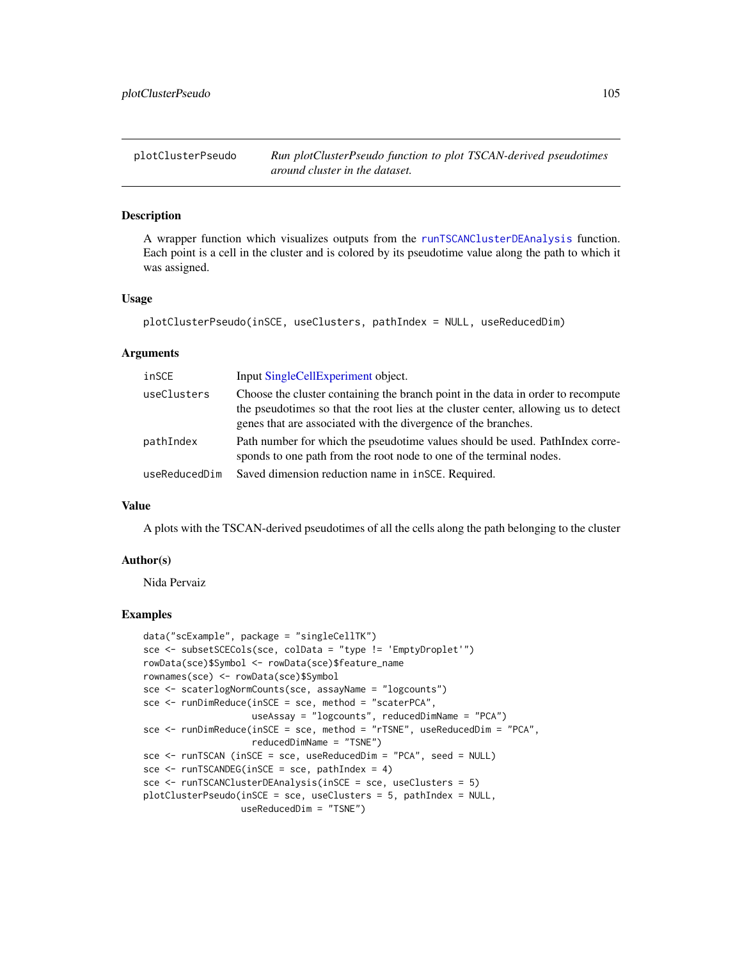plotClusterPseudo *Run plotClusterPseudo function to plot TSCAN-derived pseudotimes around cluster in the dataset.*

#### **Description**

A wrapper function which visualizes outputs from the [runTSCANClusterDEAnalysis](#page-262-0) function. Each point is a cell in the cluster and is colored by its pseudotime value along the path to which it was assigned.

#### Usage

```
plotClusterPseudo(inSCE, useClusters, pathIndex = NULL, useReducedDim)
```
#### Arguments

| inSCE         | Input SingleCellExperiment object.                                                                                                                                                                                                       |
|---------------|------------------------------------------------------------------------------------------------------------------------------------------------------------------------------------------------------------------------------------------|
| useClusters   | Choose the cluster containing the branch point in the data in order to recompute<br>the pseudotimes so that the root lies at the cluster center, allowing us to detect<br>genes that are associated with the divergence of the branches. |
| pathIndex     | Path number for which the pseudotime values should be used. PathIndex corre-<br>sponds to one path from the root node to one of the terminal nodes.                                                                                      |
| useReducedDim | Saved dimension reduction name in inSCE. Required.                                                                                                                                                                                       |

## Value

A plots with the TSCAN-derived pseudotimes of all the cells along the path belonging to the cluster

#### Author(s)

Nida Pervaiz

```
data("scExample", package = "singleCellTK")
sce <- subsetSCECols(sce, colData = "type != 'EmptyDroplet'")
rowData(sce)$Symbol <- rowData(sce)$feature_name
rownames(sce) <- rowData(sce)$Symbol
sce <- scaterlogNormCounts(sce, assayName = "logcounts")
sce <- runDimReduce(inSCE = sce, method = "scaterPCA",
                    useAssay = "logcounts", reducedDimName = "PCA")
sce <- runDimReduce(inSCE = sce, method = "rTSNE", useReducedDim = "PCA",
                    reducedDimName = "TSNE")
sce <- runTSCAN (inSCE = sce, useReducedDim = "PCA", seed = NULL)
sce <- runTSCANDEG(inSCE = sce, pathIndex = 4)
sce <- runTSCANClusterDEAnalysis(inSCE = sce, useClusters = 5)
plotClusterPseudo(inSCE = sce, useClusters = 5, pathIndex = NULL,
                 useReducedDim = "TSNE")
```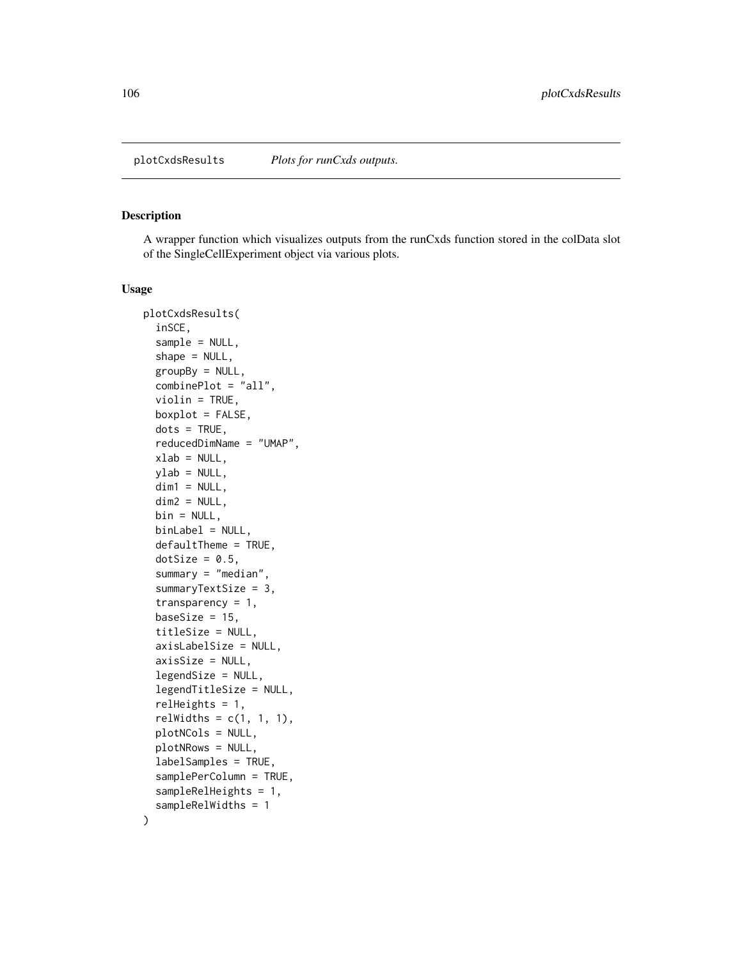A wrapper function which visualizes outputs from the runCxds function stored in the colData slot of the SingleCellExperiment object via various plots.

```
plotCxdsResults(
  inSCE,
  sample = NULL,
  shape = NULL,groupBy = NULL,combinePlot = "all",
  violin = TRUE,
  boxplot = FALSE,dots = TRUE,reducedDimName = "UMAP",
  xlab = NULL,ylab = NULL,dim1 = NULL,dim2 = NULL,
 bin = NULL,binLabel = NULL,
  defaultTheme = TRUE,
  dotSize = 0.5,
  summary = "median",
  summaryTextSize = 3,
  transparency = 1,
  baseSize = 15,
  titleSize = NULL,
  axisLabelSize = NULL,
  axisSize = NULL,
  legendSize = NULL,
  legendTitleSize = NULL,
  relHeights = 1,
  relWidths = c(1, 1, 1),plotNCols = NULL,
 plotNRows = NULL,
  labelSamples = TRUE,
  samplePerColumn = TRUE,
  sampleRelHeights = 1,
  sampleRelWidths = 1
)
```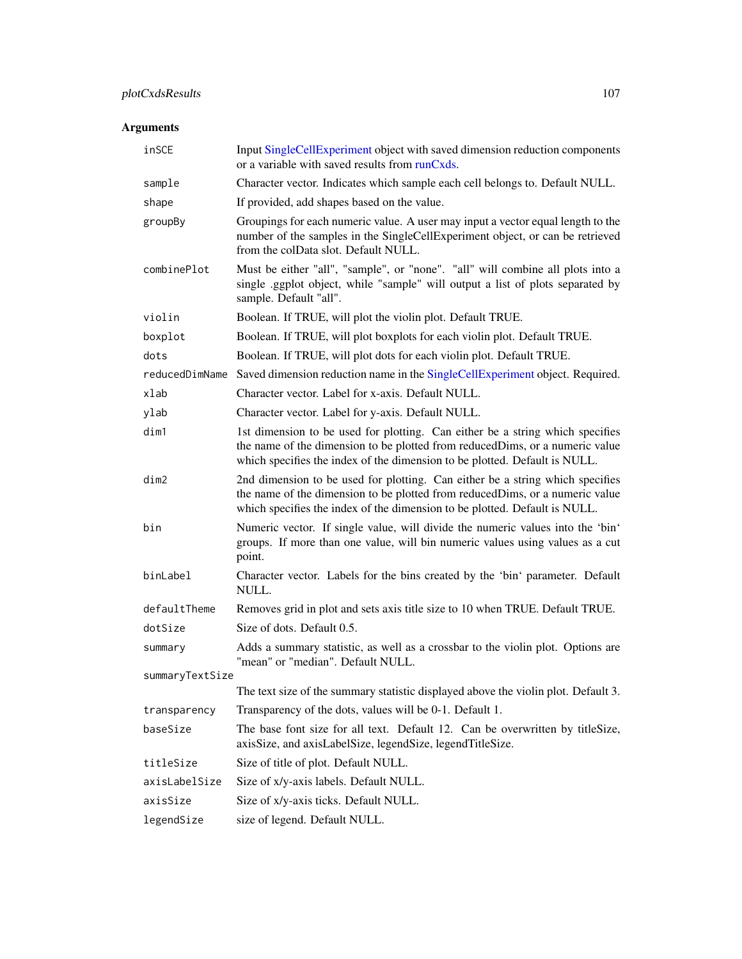# plotCxdsResults 107

# Arguments

| inSCE           | Input SingleCellExperiment object with saved dimension reduction components<br>or a variable with saved results from runCxds.                                                                                                               |
|-----------------|---------------------------------------------------------------------------------------------------------------------------------------------------------------------------------------------------------------------------------------------|
| sample          | Character vector. Indicates which sample each cell belongs to. Default NULL.                                                                                                                                                                |
| shape           | If provided, add shapes based on the value.                                                                                                                                                                                                 |
| groupBy         | Groupings for each numeric value. A user may input a vector equal length to the<br>number of the samples in the SingleCellExperiment object, or can be retrieved<br>from the colData slot. Default NULL.                                    |
| combinePlot     | Must be either "all", "sample", or "none". "all" will combine all plots into a<br>single .ggplot object, while "sample" will output a list of plots separated by<br>sample. Default "all".                                                  |
| violin          | Boolean. If TRUE, will plot the violin plot. Default TRUE.                                                                                                                                                                                  |
| boxplot         | Boolean. If TRUE, will plot boxplots for each violin plot. Default TRUE.                                                                                                                                                                    |
| dots            | Boolean. If TRUE, will plot dots for each violin plot. Default TRUE.                                                                                                                                                                        |
| reducedDimName  | Saved dimension reduction name in the SingleCellExperiment object. Required.                                                                                                                                                                |
| xlab            | Character vector. Label for x-axis. Default NULL.                                                                                                                                                                                           |
| ylab            | Character vector. Label for y-axis. Default NULL.                                                                                                                                                                                           |
| dim1            | 1st dimension to be used for plotting. Can either be a string which specifies<br>the name of the dimension to be plotted from reducedDims, or a numeric value<br>which specifies the index of the dimension to be plotted. Default is NULL. |
| dim2            | 2nd dimension to be used for plotting. Can either be a string which specifies<br>the name of the dimension to be plotted from reducedDims, or a numeric value<br>which specifies the index of the dimension to be plotted. Default is NULL. |
| bin             | Numeric vector. If single value, will divide the numeric values into the 'bin'<br>groups. If more than one value, will bin numeric values using values as a cut<br>point.                                                                   |
| binLabel        | Character vector. Labels for the bins created by the 'bin' parameter. Default<br>NULL.                                                                                                                                                      |
| defaultTheme    | Removes grid in plot and sets axis title size to 10 when TRUE. Default TRUE.                                                                                                                                                                |
| dotSize         | Size of dots. Default 0.5.                                                                                                                                                                                                                  |
| summary         | Adds a summary statistic, as well as a crossbar to the violin plot. Options are<br>"mean" or "median". Default NULL.                                                                                                                        |
| summaryTextSize |                                                                                                                                                                                                                                             |
|                 | The text size of the summary statistic displayed above the violin plot. Default 3.                                                                                                                                                          |
| transparency    | Transparency of the dots, values will be 0-1. Default 1.                                                                                                                                                                                    |
| baseSize        | The base font size for all text. Default 12. Can be overwritten by titleSize,<br>axisSize, and axisLabelSize, legendSize, legendTitleSize.                                                                                                  |
| titleSize       | Size of title of plot. Default NULL.                                                                                                                                                                                                        |
| axisLabelSize   | Size of x/y-axis labels. Default NULL.                                                                                                                                                                                                      |
| axisSize        | Size of x/y-axis ticks. Default NULL.                                                                                                                                                                                                       |
| legendSize      | size of legend. Default NULL.                                                                                                                                                                                                               |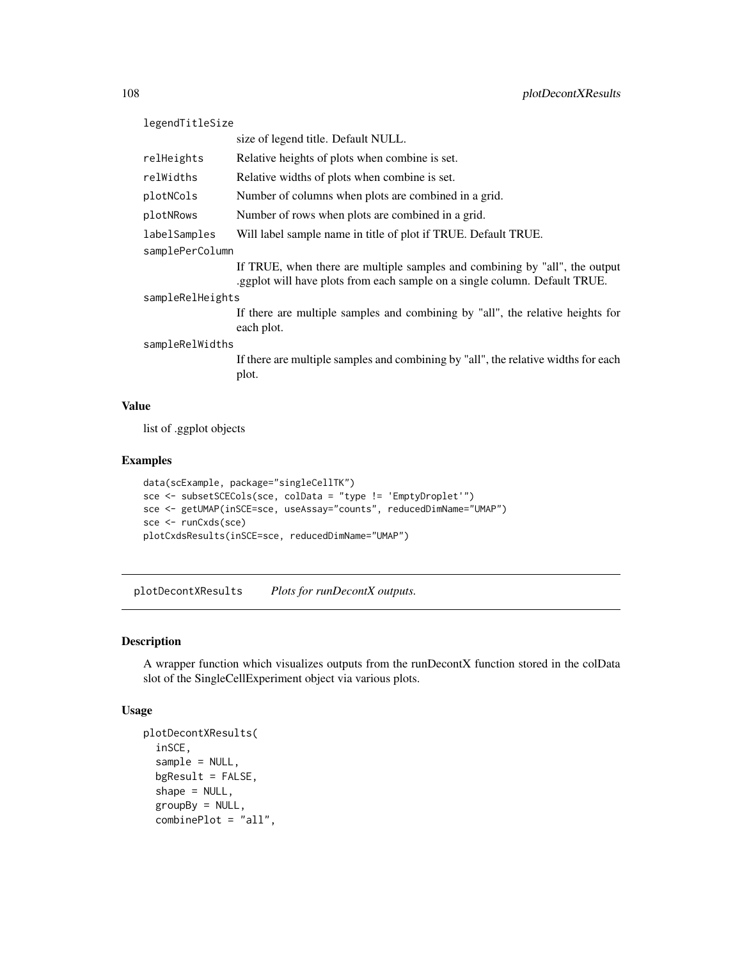| legendTitleSize  |                                                                                                                                         |  |
|------------------|-----------------------------------------------------------------------------------------------------------------------------------------|--|
|                  | size of legend title. Default NULL.                                                                                                     |  |
| relHeights       | Relative heights of plots when combine is set.                                                                                          |  |
| relWidths        | Relative widths of plots when combine is set.                                                                                           |  |
| plotNCols        | Number of columns when plots are combined in a grid.                                                                                    |  |
| plotNRows        | Number of rows when plots are combined in a grid.                                                                                       |  |
| labelSamples     | Will label sample name in title of plot if TRUE. Default TRUE.                                                                          |  |
| samplePerColumn  |                                                                                                                                         |  |
|                  | If TRUE, when there are multiple samples and combining by "all", the output<br>s generally equilibrary and single column. Default TRUE. |  |
| sampleRelHeights |                                                                                                                                         |  |
|                  | If there are multiple samples and combining by "all", the relative heights for<br>each plot.                                            |  |
| sampleRelWidths  |                                                                                                                                         |  |
|                  | If there are multiple samples and combining by "all", the relative widths for each<br>plot.                                             |  |
|                  |                                                                                                                                         |  |

list of .ggplot objects

# Examples

```
data(scExample, package="singleCellTK")
sce <- subsetSCECols(sce, colData = "type != 'EmptyDroplet'")
sce <- getUMAP(inSCE=sce, useAssay="counts", reducedDimName="UMAP")
sce <- runCxds(sce)
plotCxdsResults(inSCE=sce, reducedDimName="UMAP")
```
plotDecontXResults *Plots for runDecontX outputs.*

## Description

A wrapper function which visualizes outputs from the runDecontX function stored in the colData slot of the SingleCellExperiment object via various plots.

```
plotDecontXResults(
  inSCE,
  sample = NULL,
 bgResult = FALSE,shape = NULL,groupBy = NULL,
  combinePlot = "all",
```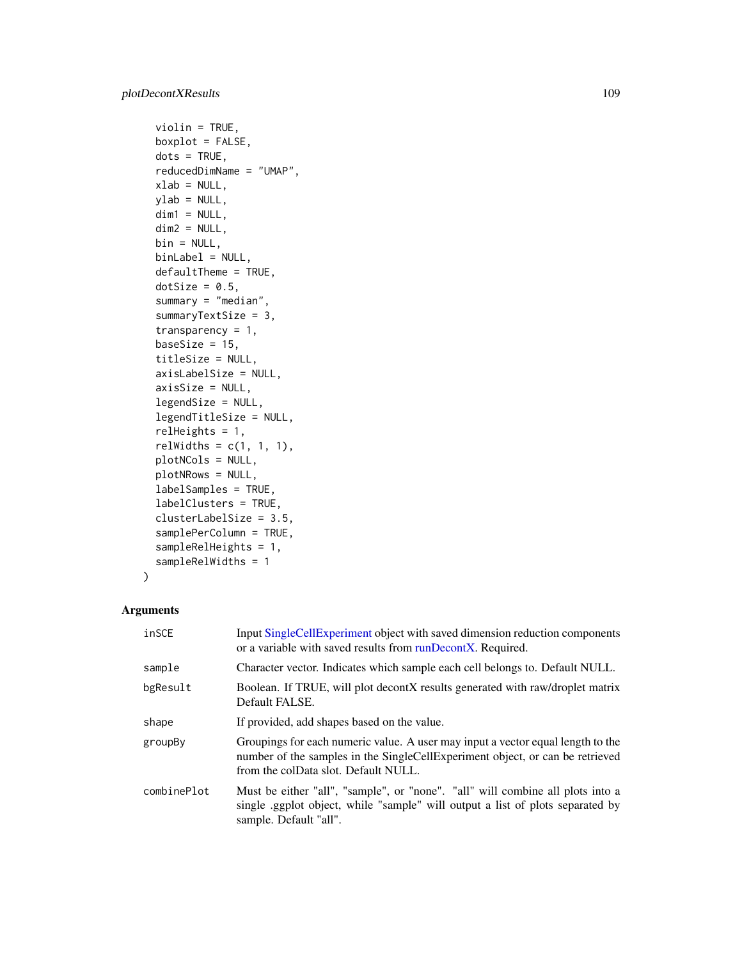```
violin = TRUE,
boxplot = FALSE,
dots = TRUE,
reducedDimName = "UMAP",
xlab = NULL,
ylab = NULL,
dim1 = NULL,dim2 = NULL,bin = NULL,binLabel = NULL,
defaultTheme = TRUE,
dotSize = 0.5,
summary = "median",
summaryTextSize = 3,
transparency = 1,
baseSize = 15,
titleSize = NULL,
axisLabelSize = NULL,
axisSize = NULL,
legendSize = NULL,
legendTitleSize = NULL,
relHeights = 1,
relWidths = c(1, 1, 1),plotNCols = NULL,
plotNRows = NULL,
labelSamples = TRUE,
labelClusters = TRUE,
clusterLabelSize = 3.5,
samplePerColumn = TRUE,
sampleRelHeights = 1,
sampleRelWidths = 1
```

```
)
```

| inSCE       | Input SingleCellExperiment object with saved dimension reduction components<br>or a variable with saved results from runDecontX. Required.                                                               |
|-------------|----------------------------------------------------------------------------------------------------------------------------------------------------------------------------------------------------------|
| sample      | Character vector. Indicates which sample each cell belongs to. Default NULL.                                                                                                                             |
| bgResult    | Boolean. If TRUE, will plot decontX results generated with raw/droplet matrix<br>Default FALSE.                                                                                                          |
| shape       | If provided, add shapes based on the value.                                                                                                                                                              |
| groupBy     | Groupings for each numeric value. A user may input a vector equal length to the<br>number of the samples in the SingleCellExperiment object, or can be retrieved<br>from the colData slot. Default NULL. |
| combinePlot | Must be either "all", "sample", or "none". "all" will combine all plots into a<br>single ggplot object, while "sample" will output a list of plots separated by<br>sample. Default "all".                |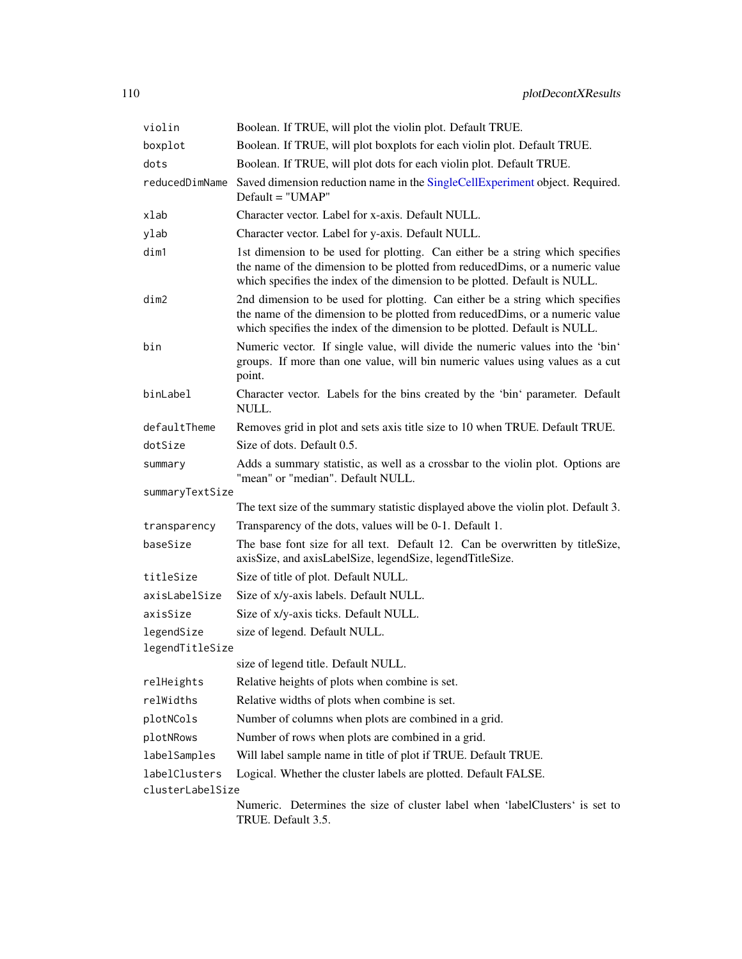| violin                        | Boolean. If TRUE, will plot the violin plot. Default TRUE.                                                                                                                                                                                   |
|-------------------------------|----------------------------------------------------------------------------------------------------------------------------------------------------------------------------------------------------------------------------------------------|
| boxplot                       | Boolean. If TRUE, will plot boxplots for each violin plot. Default TRUE.                                                                                                                                                                     |
| dots                          | Boolean. If TRUE, will plot dots for each violin plot. Default TRUE.                                                                                                                                                                         |
| reducedDimName                | Saved dimension reduction name in the SingleCellExperiment object. Required.<br>$Default = "UMAP"$                                                                                                                                           |
| xlab                          | Character vector. Label for x-axis. Default NULL.                                                                                                                                                                                            |
| ylab                          | Character vector. Label for y-axis. Default NULL.                                                                                                                                                                                            |
| dim1                          | 1st dimension to be used for plotting. Can either be a string which specifies<br>the name of the dimension to be plotted from reduced Dims, or a numeric value<br>which specifies the index of the dimension to be plotted. Default is NULL. |
| dim2                          | 2nd dimension to be used for plotting. Can either be a string which specifies<br>the name of the dimension to be plotted from reduced Dims, or a numeric value<br>which specifies the index of the dimension to be plotted. Default is NULL. |
| bin                           | Numeric vector. If single value, will divide the numeric values into the 'bin'<br>groups. If more than one value, will bin numeric values using values as a cut<br>point.                                                                    |
| binLabel                      | Character vector. Labels for the bins created by the 'bin' parameter. Default<br>NULL.                                                                                                                                                       |
| defaultTheme                  | Removes grid in plot and sets axis title size to 10 when TRUE. Default TRUE.                                                                                                                                                                 |
| dotSize                       | Size of dots. Default 0.5.                                                                                                                                                                                                                   |
| summary                       | Adds a summary statistic, as well as a crossbar to the violin plot. Options are<br>"mean" or "median". Default NULL.                                                                                                                         |
| summaryTextSize               |                                                                                                                                                                                                                                              |
|                               | The text size of the summary statistic displayed above the violin plot. Default 3.                                                                                                                                                           |
| transparency                  | Transparency of the dots, values will be 0-1. Default 1.                                                                                                                                                                                     |
| baseSize                      | The base font size for all text. Default 12. Can be overwritten by titleSize,<br>axisSize, and axisLabelSize, legendSize, legendTitleSize.                                                                                                   |
| titleSize                     | Size of title of plot. Default NULL.                                                                                                                                                                                                         |
| axisLabelSize                 | Size of x/y-axis labels. Default NULL.                                                                                                                                                                                                       |
| axisSize                      | Size of x/y-axis ticks. Default NULL.                                                                                                                                                                                                        |
| legendSize<br>legendTitleSize | size of legend. Default NULL.                                                                                                                                                                                                                |
|                               | size of legend title. Default NULL.                                                                                                                                                                                                          |
| relHeights                    | Relative heights of plots when combine is set.                                                                                                                                                                                               |
| relWidths                     | Relative widths of plots when combine is set.                                                                                                                                                                                                |
| plotNCols                     | Number of columns when plots are combined in a grid.                                                                                                                                                                                         |
| plotNRows                     | Number of rows when plots are combined in a grid.                                                                                                                                                                                            |
| labelSamples                  | Will label sample name in title of plot if TRUE. Default TRUE.                                                                                                                                                                               |
| labelClusters                 | Logical. Whether the cluster labels are plotted. Default FALSE.                                                                                                                                                                              |
| clusterLabelSize              | Numeric. Determines the size of cluster label when 'labelClusters' is set to                                                                                                                                                                 |
|                               | TRUE. Default 3.5.                                                                                                                                                                                                                           |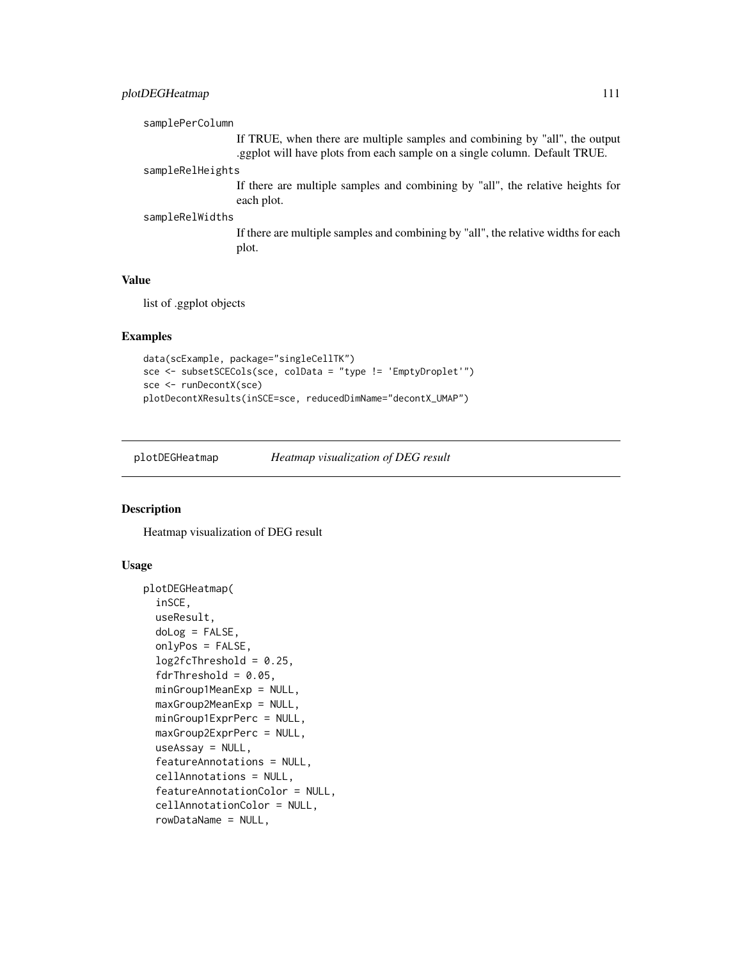## plotDEGHeatmap 111

```
samplePerColumn
                 If TRUE, when there are multiple samples and combining by "all", the output
                  .ggplot will have plots from each sample on a single column. Default TRUE.
```
# sampleRelHeights

If there are multiple samples and combining by "all", the relative heights for each plot.

#### sampleRelWidths

If there are multiple samples and combining by "all", the relative widths for each plot.

#### Value

list of .ggplot objects

#### Examples

```
data(scExample, package="singleCellTK")
sce <- subsetSCECols(sce, colData = "type != 'EmptyDroplet'")
sce <- runDecontX(sce)
plotDecontXResults(inSCE=sce, reducedDimName="decontX_UMAP")
```
plotDEGHeatmap *Heatmap visualization of DEG result*

#### Description

Heatmap visualization of DEG result

```
plotDEGHeatmap(
  inSCE,
  useResult,
  doLog = FALSE,
  onlyPos = FALSE,
  log2fcThreshold = 0.25,
  fdrThreshold = 0.05,
  minGroup1MeanExp = NULL,
 maxGroup2MeanExp = NULL,
 minGroup1ExprPerc = NULL,
 maxGroup2ExprPerc = NULL,
  useAssay = NULL,
  featureAnnotations = NULL,
  cellAnnotations = NULL,
  featureAnnotationColor = NULL,
  cellAnnotationColor = NULL,
  rowDataName = NULL,
```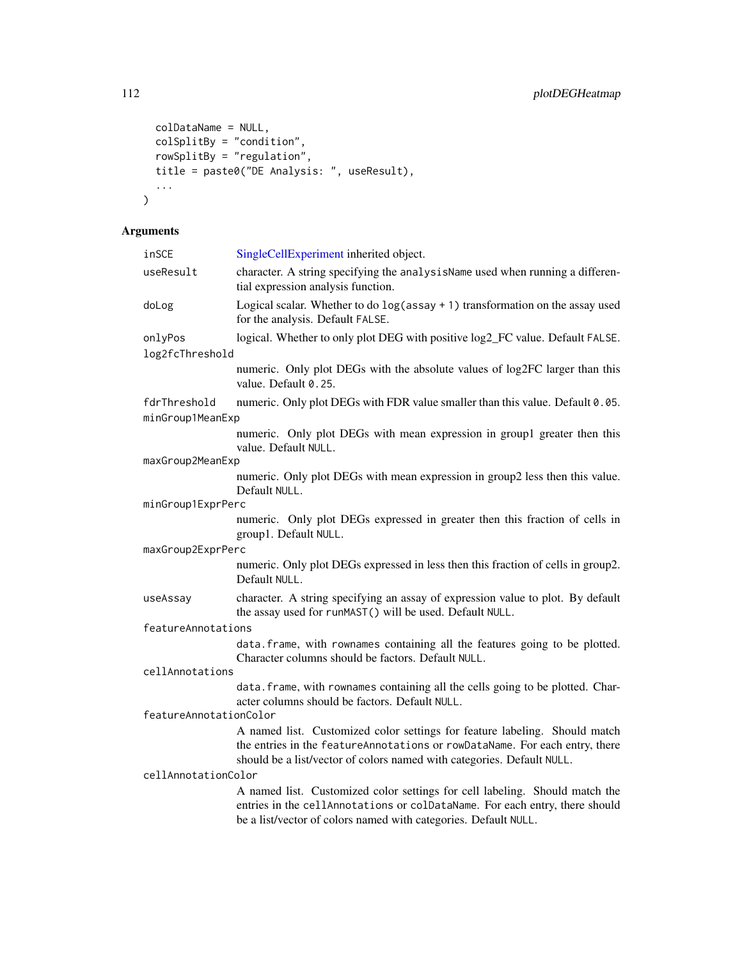```
colDataName = NULL,
 colSplitBy = "condition",
 rowSplitBy = "regulation",
 title = paste0("DE Analysis: ", useResult),
 ...
)
```

| inSCE                  | SingleCellExperiment inherited object.                                                                                                                                                                                              |  |
|------------------------|-------------------------------------------------------------------------------------------------------------------------------------------------------------------------------------------------------------------------------------|--|
| useResult              | character. A string specifying the analysisName used when running a differen-<br>tial expression analysis function.                                                                                                                 |  |
| doLog                  | Logical scalar. Whether to do $log(assay + 1)$ transformation on the assay used<br>for the analysis. Default FALSE.                                                                                                                 |  |
| onlyPos                | logical. Whether to only plot DEG with positive log2_FC value. Default FALSE.                                                                                                                                                       |  |
| log2fcThreshold        |                                                                                                                                                                                                                                     |  |
|                        | numeric. Only plot DEGs with the absolute values of log2FC larger than this<br>value. Default 0.25.                                                                                                                                 |  |
| fdrThreshold           | numeric. Only plot DEGs with FDR value smaller than this value. Default 0.05.                                                                                                                                                       |  |
| minGroup1MeanExp       |                                                                                                                                                                                                                                     |  |
|                        | numeric. Only plot DEGs with mean expression in group1 greater then this<br>value. Default NULL.                                                                                                                                    |  |
| maxGroup2MeanExp       |                                                                                                                                                                                                                                     |  |
|                        | numeric. Only plot DEGs with mean expression in group2 less then this value.<br>Default NULL.                                                                                                                                       |  |
| minGroup1ExprPerc      |                                                                                                                                                                                                                                     |  |
|                        | numeric. Only plot DEGs expressed in greater then this fraction of cells in<br>group1. Default NULL.                                                                                                                                |  |
| maxGroup2ExprPerc      |                                                                                                                                                                                                                                     |  |
|                        | numeric. Only plot DEGs expressed in less then this fraction of cells in group2.<br>Default NULL.                                                                                                                                   |  |
| useAssay               | character. A string specifying an assay of expression value to plot. By default<br>the assay used for runMAST() will be used. Default NULL.                                                                                         |  |
| featureAnnotations     |                                                                                                                                                                                                                                     |  |
|                        | data. frame, with rownames containing all the features going to be plotted.<br>Character columns should be factors. Default NULL.                                                                                                   |  |
| cellAnnotations        |                                                                                                                                                                                                                                     |  |
|                        | data. frame, with rownames containing all the cells going to be plotted. Char-<br>acter columns should be factors. Default NULL.                                                                                                    |  |
| featureAnnotationColor |                                                                                                                                                                                                                                     |  |
|                        | A named list. Customized color settings for feature labeling. Should match<br>the entries in the featureAnnotations or rowDataName. For each entry, there<br>should be a list/vector of colors named with categories. Default NULL. |  |
| cellAnnotationColor    |                                                                                                                                                                                                                                     |  |
|                        | A named list. Customized color settings for cell labeling. Should match the<br>entries in the cellAnnotations or colDataName. For each entry, there should<br>be a list/vector of colors named with categories. Default NULL.       |  |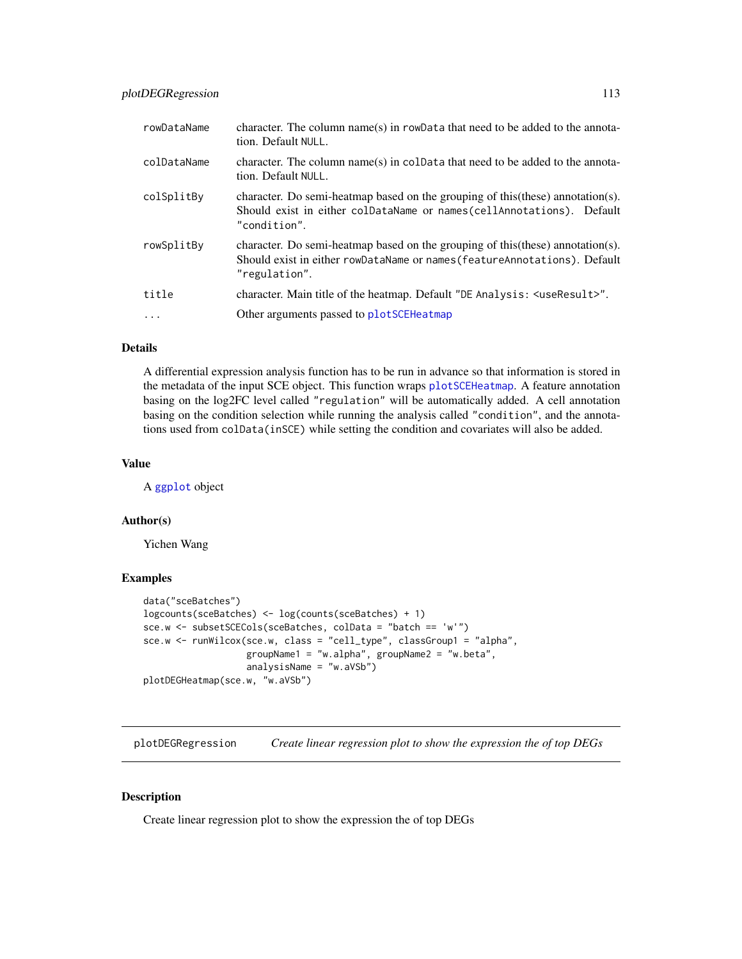| rowDataName | character. The column name(s) in rowData that need to be added to the annota-<br>tion. Default NULL.                                                                                |
|-------------|-------------------------------------------------------------------------------------------------------------------------------------------------------------------------------------|
| colDataName | character. The column name(s) in coldata that need to be added to the annota-<br>tion. Default NULL.                                                                                |
| colSplitBy  | character. Do semi-heatmap based on the grouping of this (these) annotation(s).<br>Should exist in either colDataName or names(cellAnnotations). Default<br>"condition".            |
| rowSplitBy  | character. Do semi-heatmap based on the grouping of this $(these)$ annotation $(s)$ .<br>Should exist in either rowDataName or names (featureAnnotations). Default<br>"regulation". |
| title       | character. Main title of the heatmap. Default "DE Analysis: <useresult>".</useresult>                                                                                               |
| $\ddots$    | Other arguments passed to plotSCEHeatmap                                                                                                                                            |

#### Details

A differential expression analysis function has to be run in advance so that information is stored in the metadata of the input SCE object. This function wraps [plotSCEHeatmap](#page-151-0). A feature annotation basing on the log2FC level called "regulation" will be automatically added. A cell annotation basing on the condition selection while running the analysis called "condition", and the annotations used from colData(inSCE) while setting the condition and covariates will also be added.

#### Value

A [ggplot](#page-0-0) object

#### Author(s)

Yichen Wang

#### Examples

```
data("sceBatches")
logcounts(sceBatches) <- log(counts(sceBatches) + 1)
sce.w <- subsetSCECols(sceBatches, colData = "batch == 'w'")
sce.w <- runWilcox(sce.w, class = "cell_type", classGroup1 = "alpha",
                   groupName1 = "w.alpha", groupName2 = "w.beta",
                   analysisName = "w.aVSb")
plotDEGHeatmap(sce.w, "w.aVSb")
```
plotDEGRegression *Create linear regression plot to show the expression the of top DEGs*

#### Description

Create linear regression plot to show the expression the of top DEGs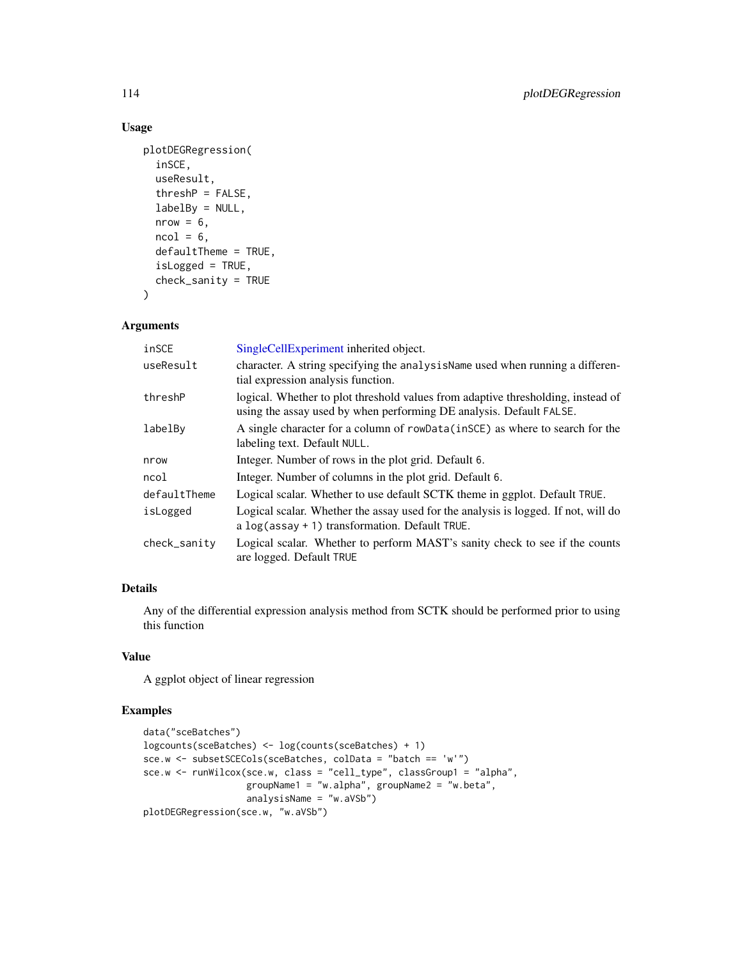## Usage

```
plotDEGRegression(
  inSCE,
  useResult,
  threshP = FALSE,labelBy = NULL,nrow = 6,
  ncol = 6,
  defaultTheme = TRUE,
  isLogged = TRUE,
  check_sanity = TRUE
)
```
#### Arguments

| inSCE        | SingleCellExperiment inherited object.                                                                                                                  |
|--------------|---------------------------------------------------------------------------------------------------------------------------------------------------------|
| useResult    | character. A string specifying the analysisName used when running a differen-<br>tial expression analysis function.                                     |
| threshP      | logical. Whether to plot threshold values from adaptive thresholding, instead of<br>using the assay used by when performing DE analysis. Default FALSE. |
| labelBy      | A single character for a column of rowData(inSCE) as where to search for the<br>labeling text. Default NULL.                                            |
| nrow         | Integer. Number of rows in the plot grid. Default 6.                                                                                                    |
| ncol         | Integer. Number of columns in the plot grid. Default 6.                                                                                                 |
| defaultTheme | Logical scalar. Whether to use default SCTK theme in ggplot. Default TRUE.                                                                              |
| isLogged     | Logical scalar. Whether the assay used for the analysis is logged. If not, will do<br>a $log(assay + 1)$ transformation. Default TRUE.                  |
| check_sanity | Logical scalar. Whether to perform MAST's sanity check to see if the counts<br>are logged. Default TRUE                                                 |

#### Details

Any of the differential expression analysis method from SCTK should be performed prior to using this function

## Value

A ggplot object of linear regression

#### Examples

```
data("sceBatches")
logcounts(sceBatches) <- log(counts(sceBatches) + 1)
sce.w <- subsetSCECols(sceBatches, colData = "batch == 'w'")
sce.w <- runWilcox(sce.w, class = "cell_type", classGroup1 = "alpha",
                  groupName1 = "w.alpha", groupName2 = "w.beta",
                   analysisName = "w.aVSb")
plotDEGRegression(sce.w, "w.aVSb")
```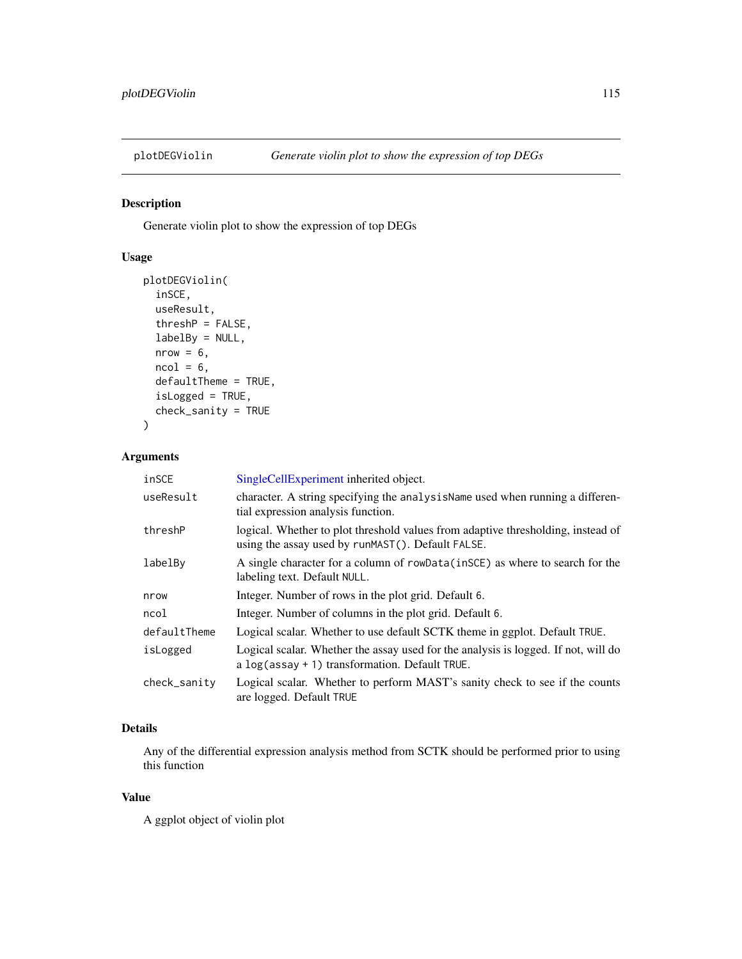## Description

Generate violin plot to show the expression of top DEGs

## Usage

```
plotDEGViolin(
  inSCE,
 useResult,
  threshP = FALSE,
  labelBy = NULL,nrow = 6,
 ncol = 6,
 defaultTheme = TRUE,
  isLogged = TRUE,
  check_sanity = TRUE
)
```
#### Arguments

| inSCE        | SingleCellExperiment inherited object.                                                                                                  |
|--------------|-----------------------------------------------------------------------------------------------------------------------------------------|
| useResult    | character. A string specifying the analysisName used when running a differen-<br>tial expression analysis function.                     |
| threshP      | logical. Whether to plot threshold values from adaptive thresholding, instead of<br>using the assay used by runMAST(). Default FALSE.   |
| labelBy      | A single character for a column of rowData(inSCE) as where to search for the<br>labeling text. Default NULL.                            |
| nrow         | Integer. Number of rows in the plot grid. Default 6.                                                                                    |
| ncol         | Integer. Number of columns in the plot grid. Default 6.                                                                                 |
| defaultTheme | Logical scalar. Whether to use default SCTK theme in ggplot. Default TRUE.                                                              |
| isLogged     | Logical scalar. Whether the assay used for the analysis is logged. If not, will do<br>a $log$ (assay + 1) transformation. Default TRUE. |
| check_sanity | Logical scalar. Whether to perform MAST's sanity check to see if the counts<br>are logged. Default TRUE                                 |

## Details

Any of the differential expression analysis method from SCTK should be performed prior to using this function

#### Value

A ggplot object of violin plot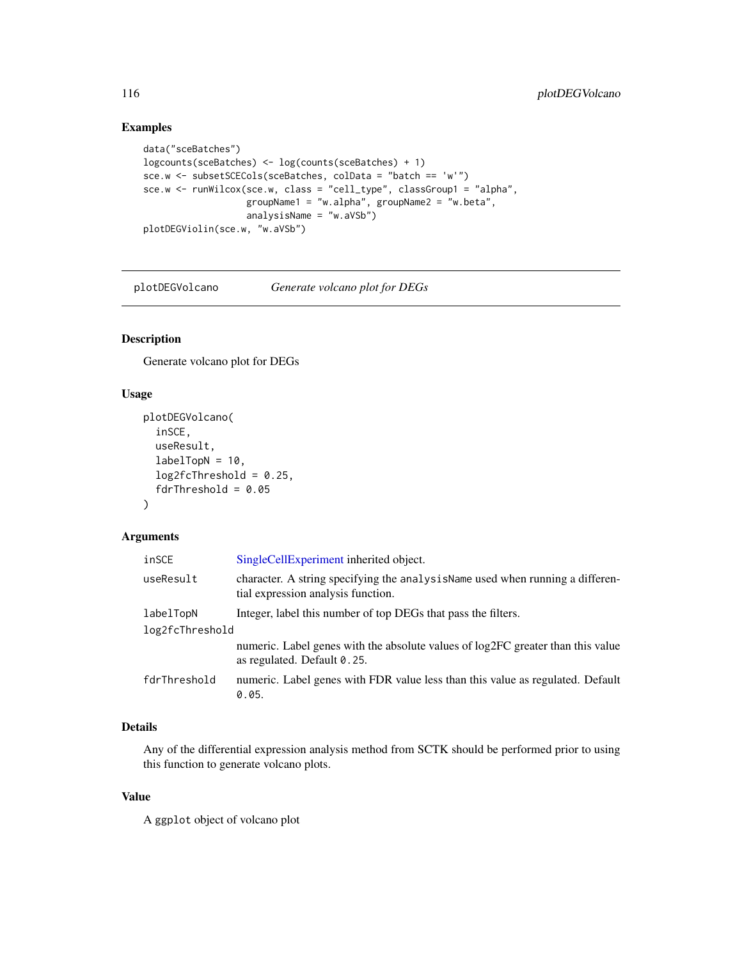# Examples

```
data("sceBatches")
logcounts(sceBatches) <- log(counts(sceBatches) + 1)
sce.w <- subsetSCECols(sceBatches, colData = "batch == 'w'")
sce.w <- runWilcox(sce.w, class = "cell_type", classGroup1 = "alpha",
                   groupName1 = "w.alpha", groupName2 = "w.beta",
                   analysisName = "w.aVSb")
plotDEGViolin(sce.w, "w.aVSb")
```
plotDEGVolcano *Generate volcano plot for DEGs*

## Description

Generate volcano plot for DEGs

## Usage

```
plotDEGVolcano(
  inSCE,
  useResult,
  labelTopN = 10,log2fcThreshold = 0.25,
  fdrThreshold = 0.05)
```
#### Arguments

| inSCE           | SingleCellExperiment inherited object.                                                                              |  |
|-----------------|---------------------------------------------------------------------------------------------------------------------|--|
| useResult       | character. A string specifying the analysisName used when running a differen-<br>tial expression analysis function. |  |
| labelTopN       | Integer, label this number of top DEGs that pass the filters.                                                       |  |
| log2fcThreshold |                                                                                                                     |  |
|                 | numeric. Label genes with the absolute values of log2FC greater than this value<br>as regulated. Default 0.25.      |  |
| fdrThreshold    | numeric. Label genes with FDR value less than this value as regulated. Default<br>0.05.                             |  |

# Details

Any of the differential expression analysis method from SCTK should be performed prior to using this function to generate volcano plots.

## Value

A ggplot object of volcano plot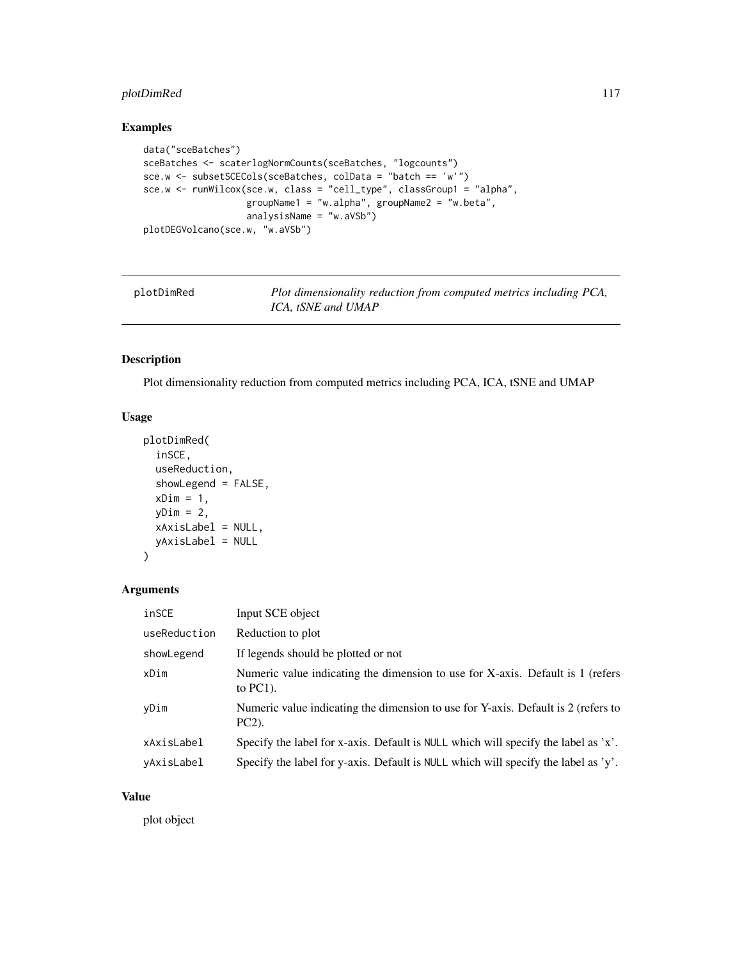## plotDimRed 117

## Examples

```
data("sceBatches")
sceBatches <- scaterlogNormCounts(sceBatches, "logcounts")
sce.w <- subsetSCECols(sceBatches, colData = "batch == 'w'")
sce.w <- runWilcox(sce.w, class = "cell_type", classGroup1 = "alpha",
                  groupName1 = "w.alpha", groupName2 = "w.beta",
                   analysisName = "w.aVSb")
plotDEGVolcano(sce.w, "w.aVSb")
```

| plotDimRed |  |
|------------|--|

Plot dimensionality reduction from computed metrics including PCA, *ICA, tSNE and UMAP*

# Description

Plot dimensionality reduction from computed metrics including PCA, ICA, tSNE and UMAP

## Usage

```
plotDimRed(
  inSCE,
  useReduction,
  showLegend = FALSE,
  xDim = 1,yDim = 2,xAxisLabel = NULL,
  yAxisLabel = NULL
\mathcal{L}
```
# Arguments

| inSCE        | Input SCE object                                                                              |
|--------------|-----------------------------------------------------------------------------------------------|
| useReduction | Reduction to plot                                                                             |
| showLegend   | If legends should be plotted or not                                                           |
| xDim         | Numeric value indicating the dimension to use for X-axis. Default is 1 (refers<br>to $PC1$ ). |
| yDim         | Numeric value indicating the dimension to use for Y-axis. Default is 2 (refers to<br>$PC2$ ). |
| xAxisLabel   | Specify the label for x-axis. Default is NULL which will specify the label as $x'$ .          |
| yAxisLabel   | Specify the label for y-axis. Default is NULL which will specify the label as 'y'.            |

#### Value

plot object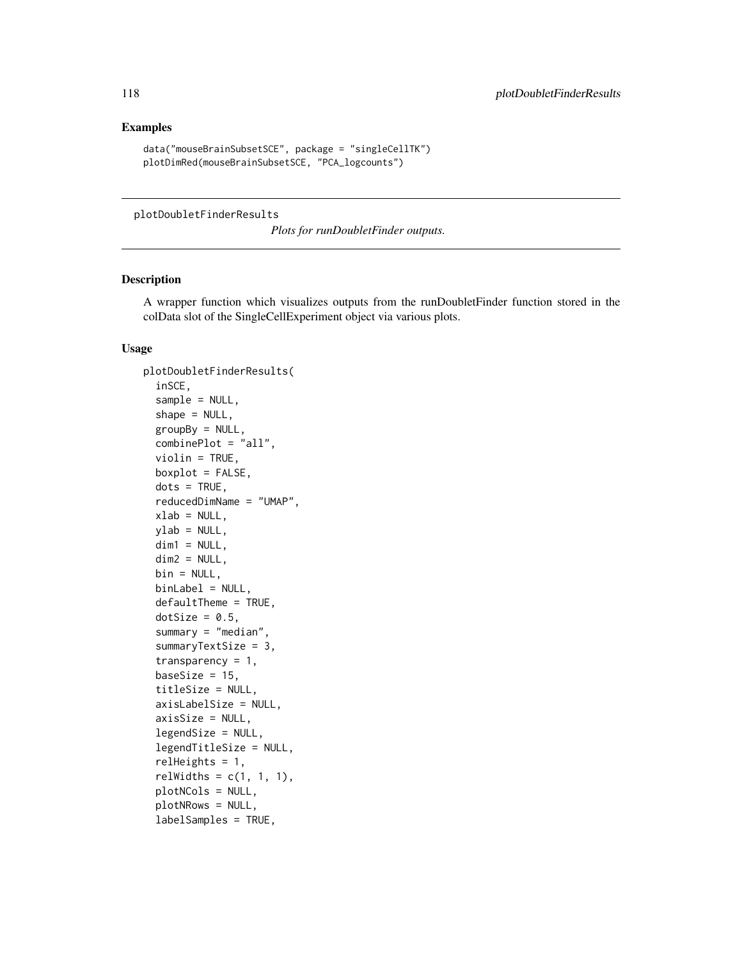#### Examples

```
data("mouseBrainSubsetSCE", package = "singleCellTK")
plotDimRed(mouseBrainSubsetSCE, "PCA_logcounts")
```
plotDoubletFinderResults

*Plots for runDoubletFinder outputs.*

#### Description

A wrapper function which visualizes outputs from the runDoubletFinder function stored in the colData slot of the SingleCellExperiment object via various plots.

```
plotDoubletFinderResults(
  inSCE,
  sample = NULL,
  shape = NULL,
  groupBy = NULL,combinePlot = "all",
  violin = TRUE,
  boxplot = FALSE,dots = TRUE,reducedDimName = "UMAP",
 xlab = NULL,
 ylab = NULL,
  dim1 = NULL,dim2 = NULL,bin = NULL,binLabel = NULL,
  defaultTheme = TRUE,
  dotSize = 0.5,
  summary = "median",
  summaryTextSize = 3,
  transparency = 1,
 baseSize = 15,
  titleSize = NULL,
  axisLabelSize = NULL,
  axisSize = NULL,
  legendSize = NULL,
  legendTitleSize = NULL,
  relHeights = 1,
  relWidths = c(1, 1, 1),
  plotNCols = NULL,
  plotNRows = NULL,
  labelSamples = TRUE,
```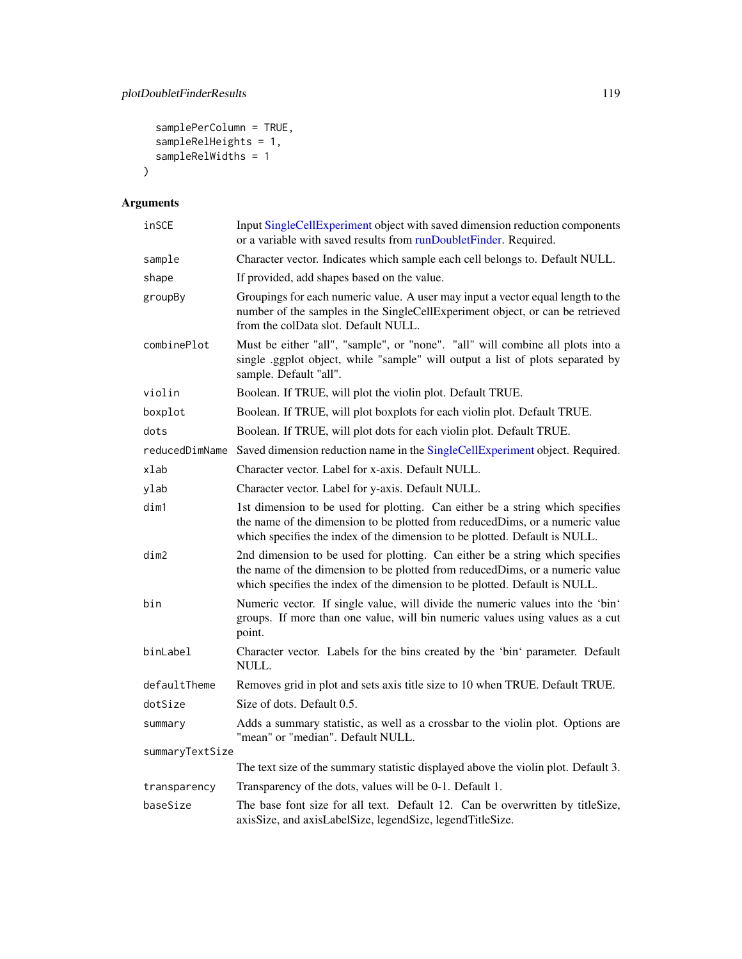```
samplePerColumn = TRUE,
  sampleRelHeights = 1,
  sampleRelWidths = 1
\mathcal{L}
```

| inSCE           | Input SingleCellExperiment object with saved dimension reduction components<br>or a variable with saved results from runDoubletFinder. Required.                                                                                            |
|-----------------|---------------------------------------------------------------------------------------------------------------------------------------------------------------------------------------------------------------------------------------------|
| sample          | Character vector. Indicates which sample each cell belongs to. Default NULL.                                                                                                                                                                |
| shape           | If provided, add shapes based on the value.                                                                                                                                                                                                 |
| groupBy         | Groupings for each numeric value. A user may input a vector equal length to the<br>number of the samples in the SingleCellExperiment object, or can be retrieved<br>from the colData slot. Default NULL.                                    |
| combinePlot     | Must be either "all", "sample", or "none". "all" will combine all plots into a<br>single .ggplot object, while "sample" will output a list of plots separated by<br>sample. Default "all".                                                  |
| violin          | Boolean. If TRUE, will plot the violin plot. Default TRUE.                                                                                                                                                                                  |
| boxplot         | Boolean. If TRUE, will plot boxplots for each violin plot. Default TRUE.                                                                                                                                                                    |
| dots            | Boolean. If TRUE, will plot dots for each violin plot. Default TRUE.                                                                                                                                                                        |
| reducedDimName  | Saved dimension reduction name in the SingleCellExperiment object. Required.                                                                                                                                                                |
| xlab            | Character vector. Label for x-axis. Default NULL.                                                                                                                                                                                           |
| ylab            | Character vector. Label for y-axis. Default NULL.                                                                                                                                                                                           |
| dim1            | 1st dimension to be used for plotting. Can either be a string which specifies<br>the name of the dimension to be plotted from reducedDims, or a numeric value<br>which specifies the index of the dimension to be plotted. Default is NULL. |
| dim2            | 2nd dimension to be used for plotting. Can either be a string which specifies<br>the name of the dimension to be plotted from reducedDims, or a numeric value<br>which specifies the index of the dimension to be plotted. Default is NULL. |
| bin             | Numeric vector. If single value, will divide the numeric values into the 'bin'<br>groups. If more than one value, will bin numeric values using values as a cut<br>point.                                                                   |
| binLabel        | Character vector. Labels for the bins created by the 'bin' parameter. Default<br>NULL.                                                                                                                                                      |
| defaultTheme    | Removes grid in plot and sets axis title size to 10 when TRUE. Default TRUE.                                                                                                                                                                |
| dotSize         | Size of dots. Default 0.5.                                                                                                                                                                                                                  |
| summary         | Adds a summary statistic, as well as a crossbar to the violin plot. Options are<br>"mean" or "median". Default NULL.                                                                                                                        |
| summaryTextSize |                                                                                                                                                                                                                                             |
|                 | The text size of the summary statistic displayed above the violin plot. Default 3.                                                                                                                                                          |
| transparency    | Transparency of the dots, values will be 0-1. Default 1.                                                                                                                                                                                    |
| baseSize        | The base font size for all text. Default 12. Can be overwritten by titleSize,<br>axisSize, and axisLabelSize, legendSize, legendTitleSize.                                                                                                  |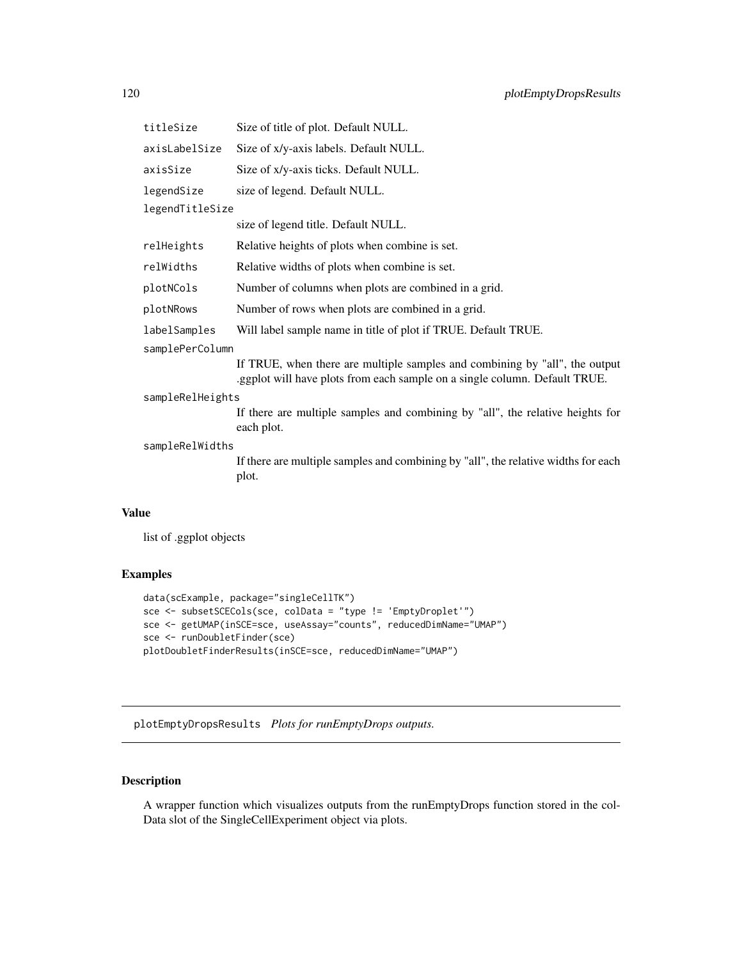| titleSize        | Size of title of plot. Default NULL.                                                                                                                      |  |
|------------------|-----------------------------------------------------------------------------------------------------------------------------------------------------------|--|
| axisLabelSize    | Size of x/y-axis labels. Default NULL.                                                                                                                    |  |
| axisSize         | Size of x/y-axis ticks. Default NULL.                                                                                                                     |  |
| legendSize       | size of legend. Default NULL.                                                                                                                             |  |
| legendTitleSize  |                                                                                                                                                           |  |
|                  | size of legend title. Default NULL.                                                                                                                       |  |
| relHeights       | Relative heights of plots when combine is set.                                                                                                            |  |
| relWidths        | Relative widths of plots when combine is set.                                                                                                             |  |
| plotNCols        | Number of columns when plots are combined in a grid.                                                                                                      |  |
| plotNRows        | Number of rows when plots are combined in a grid.                                                                                                         |  |
| labelSamples     | Will label sample name in title of plot if TRUE. Default TRUE.                                                                                            |  |
| samplePerColumn  |                                                                                                                                                           |  |
|                  | If TRUE, when there are multiple samples and combining by "all", the output<br>.ggplot will have plots from each sample on a single column. Default TRUE. |  |
| sampleRelHeights |                                                                                                                                                           |  |
|                  | If there are multiple samples and combining by "all", the relative heights for<br>each plot.                                                              |  |
| sampleRelWidths  |                                                                                                                                                           |  |
|                  | If there are multiple samples and combining by "all", the relative widths for each<br>plot.                                                               |  |
|                  |                                                                                                                                                           |  |

list of .ggplot objects

#### Examples

```
data(scExample, package="singleCellTK")
sce <- subsetSCECols(sce, colData = "type != 'EmptyDroplet'")
sce <- getUMAP(inSCE=sce, useAssay="counts", reducedDimName="UMAP")
sce <- runDoubletFinder(sce)
plotDoubletFinderResults(inSCE=sce, reducedDimName="UMAP")
```
plotEmptyDropsResults *Plots for runEmptyDrops outputs.*

# Description

A wrapper function which visualizes outputs from the runEmptyDrops function stored in the col-Data slot of the SingleCellExperiment object via plots.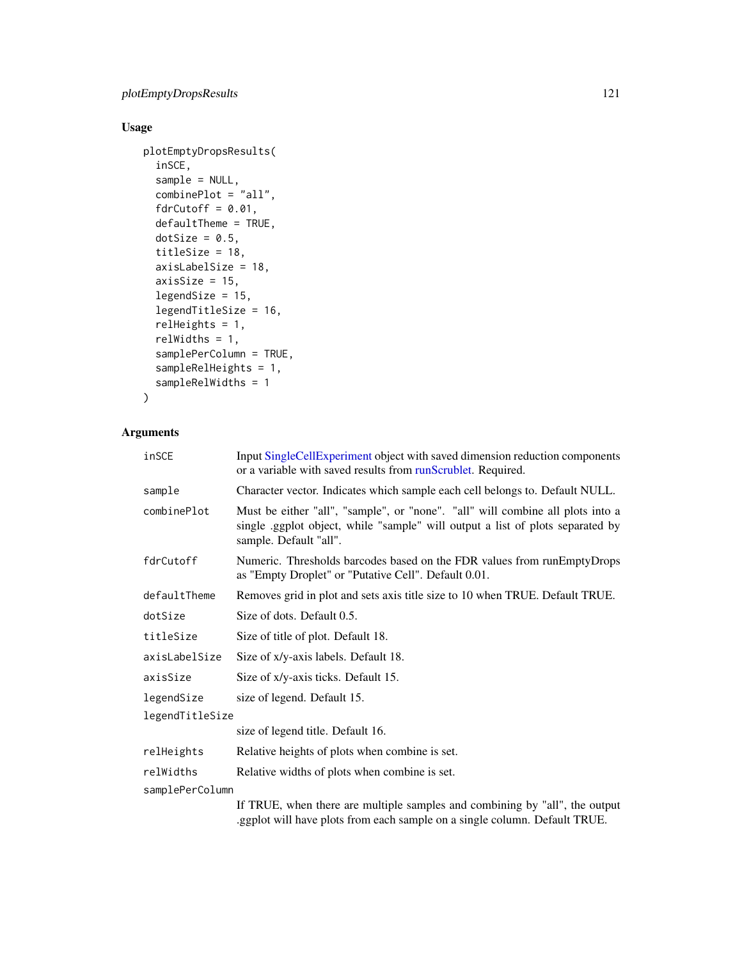# Usage

```
plotEmptyDropsResults(
  inSCE,
  sample = NULL,
  combinePlot = "all",
  fdrCutoff = 0.01,
  defaultTheme = TRUE,
  dotSize = 0.5,
  titleSize = 18,
  axisLabelSize = 18,
  axisSize = 15,
  legendSize = 15,
  legendTitleSize = 16,
  relHeights = 1,
  relWidths = 1,
  samplePerColumn = TRUE,
  sampleRelHeights = 1,
  sampleRelWidths = 1
```

```
)
```

| inSCE           | Input SingleCellExperiment object with saved dimension reduction components<br>or a variable with saved results from runScrublet. Required.                                                |  |
|-----------------|--------------------------------------------------------------------------------------------------------------------------------------------------------------------------------------------|--|
| sample          | Character vector. Indicates which sample each cell belongs to. Default NULL.                                                                                                               |  |
| combinePlot     | Must be either "all", "sample", or "none". "all" will combine all plots into a<br>single .ggplot object, while "sample" will output a list of plots separated by<br>sample. Default "all". |  |
| fdrCutoff       | Numeric. Thresholds barcodes based on the FDR values from runEmptyDrops<br>as "Empty Droplet" or "Putative Cell". Default 0.01.                                                            |  |
| defaultTheme    | Removes grid in plot and sets axis title size to 10 when TRUE. Default TRUE.                                                                                                               |  |
| dotSize         | Size of dots. Default 0.5.                                                                                                                                                                 |  |
| titleSize       | Size of title of plot. Default 18.                                                                                                                                                         |  |
| axisLabelSize   | Size of x/y-axis labels. Default 18.                                                                                                                                                       |  |
| axisSize        | Size of x/y-axis ticks. Default 15.                                                                                                                                                        |  |
| legendSize      | size of legend. Default 15.                                                                                                                                                                |  |
| legendTitleSize |                                                                                                                                                                                            |  |
|                 | size of legend title. Default 16.                                                                                                                                                          |  |
| relHeights      | Relative heights of plots when combine is set.                                                                                                                                             |  |
| relWidths       | Relative widths of plots when combine is set.                                                                                                                                              |  |
| samplePerColumn |                                                                                                                                                                                            |  |
|                 | If TRUE, when there are multiple samples and combining by "all", the output<br>.ggplot will have plots from each sample on a single column. Default TRUE.                                  |  |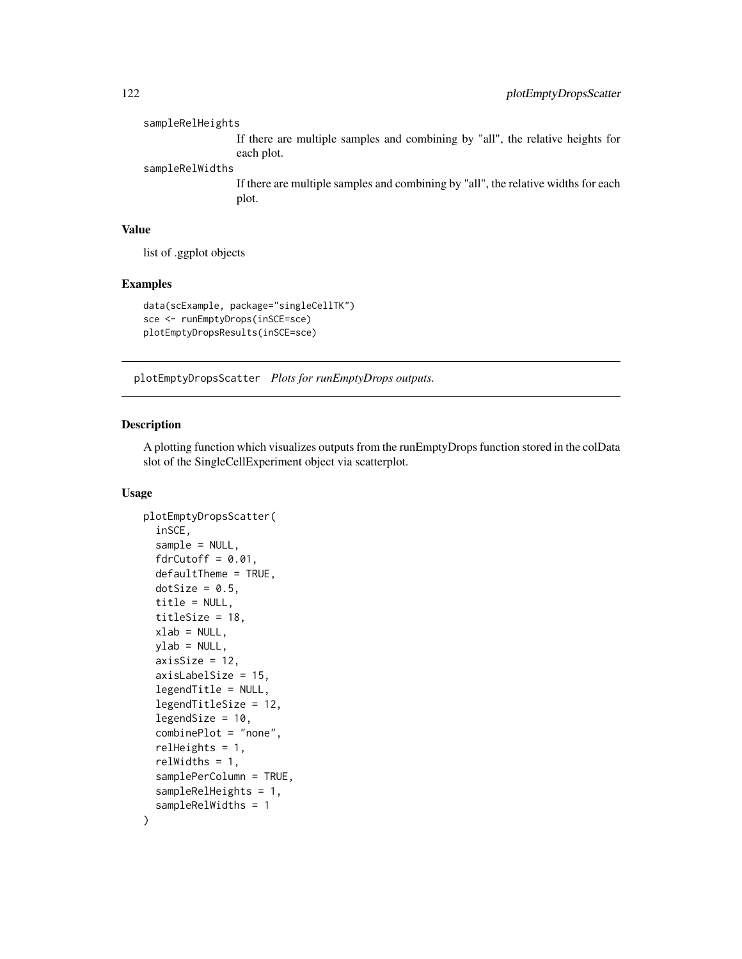sampleRelHeights If there are multiple samples and combining by "all", the relative heights for each plot. sampleRelWidths

If there are multiple samples and combining by "all", the relative widths for each plot.

#### Value

list of .ggplot objects

#### Examples

```
data(scExample, package="singleCellTK")
sce <- runEmptyDrops(inSCE=sce)
plotEmptyDropsResults(inSCE=sce)
```
plotEmptyDropsScatter *Plots for runEmptyDrops outputs.*

#### Description

A plotting function which visualizes outputs from the runEmptyDrops function stored in the colData slot of the SingleCellExperiment object via scatterplot.

```
plotEmptyDropsScatter(
  inSCE,
  sample = NULL,
  fdrCutoff = 0.01,defaultTheme = TRUE,
  dotSize = 0.5,
  title = NULL,
  titleSize = 18,
  xlab = NULL,
  ylab = NULL,
  axisSize = 12,
  axisLabelSize = 15,
  legendTitle = NULL,
  legendTitleSize = 12,
  legendSize = 10,
  combinePlot = "none",
  relHeights = 1,
  relWidths = 1,
  samplePerColumn = TRUE,
  sampleRelHeights = 1,
  sampleRelWidths = 1
)
```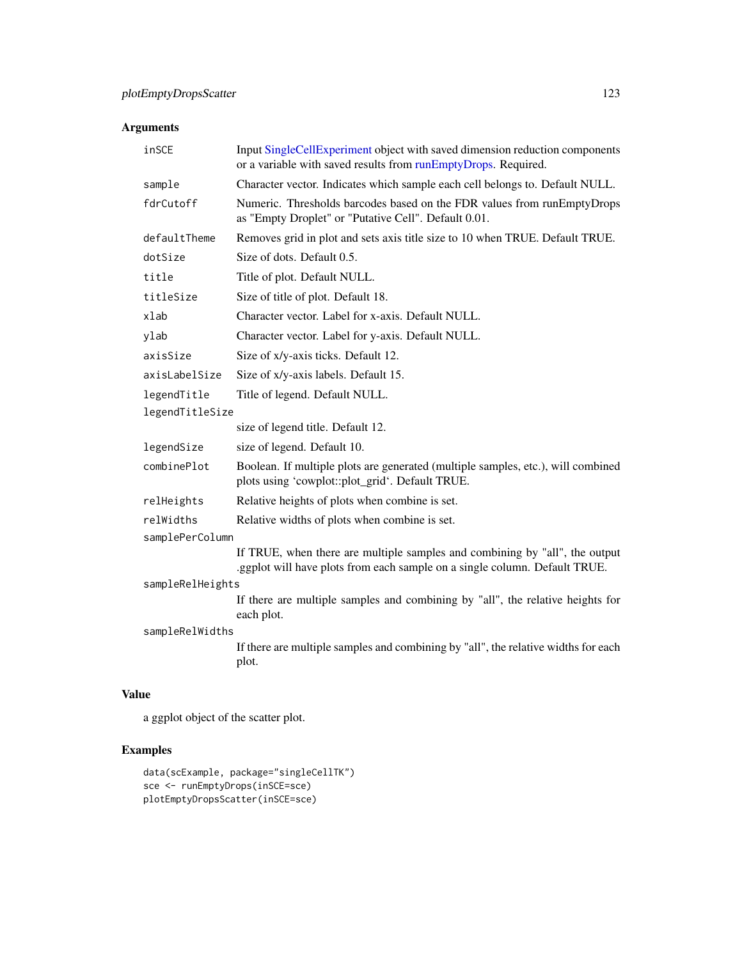| inSCE            | Input SingleCellExperiment object with saved dimension reduction components<br>or a variable with saved results from runEmptyDrops. Required.             |  |
|------------------|-----------------------------------------------------------------------------------------------------------------------------------------------------------|--|
| sample           | Character vector. Indicates which sample each cell belongs to. Default NULL.                                                                              |  |
| fdrCutoff        | Numeric. Thresholds barcodes based on the FDR values from runEmptyDrops<br>as "Empty Droplet" or "Putative Cell". Default 0.01.                           |  |
| defaultTheme     | Removes grid in plot and sets axis title size to 10 when TRUE. Default TRUE.                                                                              |  |
| dotSize          | Size of dots. Default 0.5.                                                                                                                                |  |
| title            | Title of plot. Default NULL.                                                                                                                              |  |
| titleSize        | Size of title of plot. Default 18.                                                                                                                        |  |
| xlab             | Character vector. Label for x-axis. Default NULL.                                                                                                         |  |
| ylab             | Character vector. Label for y-axis. Default NULL.                                                                                                         |  |
| axisSize         | Size of x/y-axis ticks. Default 12.                                                                                                                       |  |
| axisLabelSize    | Size of x/y-axis labels. Default 15.                                                                                                                      |  |
| legendTitle      | Title of legend. Default NULL.                                                                                                                            |  |
| legendTitleSize  |                                                                                                                                                           |  |
|                  | size of legend title. Default 12.                                                                                                                         |  |
| legendSize       | size of legend. Default 10.                                                                                                                               |  |
| combinePlot      | Boolean. If multiple plots are generated (multiple samples, etc.), will combined<br>plots using 'cowplot::plot_grid'. Default TRUE.                       |  |
| relHeights       | Relative heights of plots when combine is set.                                                                                                            |  |
| relWidths        | Relative widths of plots when combine is set.                                                                                                             |  |
| samplePerColumn  |                                                                                                                                                           |  |
|                  | If TRUE, when there are multiple samples and combining by "all", the output<br>.ggplot will have plots from each sample on a single column. Default TRUE. |  |
| sampleRelHeights |                                                                                                                                                           |  |
|                  | If there are multiple samples and combining by "all", the relative heights for<br>each plot.                                                              |  |
| sampleRelWidths  |                                                                                                                                                           |  |
|                  | If there are multiple samples and combining by "all", the relative widths for each<br>plot.                                                               |  |
|                  |                                                                                                                                                           |  |

# Value

a ggplot object of the scatter plot.

# Examples

```
data(scExample, package="singleCellTK")
sce <- runEmptyDrops(inSCE=sce)
plotEmptyDropsScatter(inSCE=sce)
```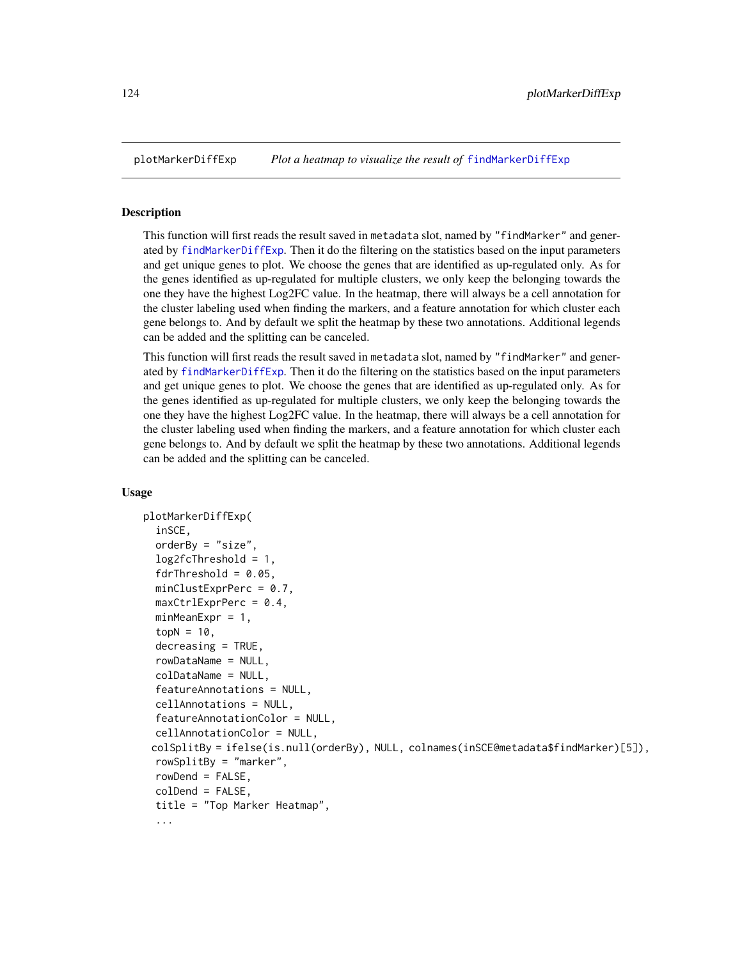#### Description

This function will first reads the result saved in metadata slot, named by "findMarker" and generated by [findMarkerDiffExp](#page-46-0). Then it do the filtering on the statistics based on the input parameters and get unique genes to plot. We choose the genes that are identified as up-regulated only. As for the genes identified as up-regulated for multiple clusters, we only keep the belonging towards the one they have the highest Log2FC value. In the heatmap, there will always be a cell annotation for the cluster labeling used when finding the markers, and a feature annotation for which cluster each gene belongs to. And by default we split the heatmap by these two annotations. Additional legends can be added and the splitting can be canceled.

This function will first reads the result saved in metadata slot, named by "findMarker" and generated by [findMarkerDiffExp](#page-46-0). Then it do the filtering on the statistics based on the input parameters and get unique genes to plot. We choose the genes that are identified as up-regulated only. As for the genes identified as up-regulated for multiple clusters, we only keep the belonging towards the one they have the highest Log2FC value. In the heatmap, there will always be a cell annotation for the cluster labeling used when finding the markers, and a feature annotation for which cluster each gene belongs to. And by default we split the heatmap by these two annotations. Additional legends can be added and the splitting can be canceled.

```
plotMarkerDiffExp(
  inSCE,
  orderBy = "size",
  log2fcThreshold = 1,
  fdrThreshold = 0.05,
  minClusterPrC = 0.7,
  maxCtrlExprPerc = 0.4,
  minMeanExpr = 1,
  topN = 10,
  decreasing = TRUE,
  rowDataName = NULL,
  colDataName = NULL,
  featureAnnotations = NULL,
  cellAnnotations = NULL,
  featureAnnotationColor = NULL,
  cellAnnotationColor = NULL,
 colSplitBy = ifelse(is.null(orderBy), NULL, colnames(inSCE@metadata$findMarker)[5]),
  rowSplitBy = "marker",
  rowDend = FALSE,
  colDend = FALSE,
  title = "Top Marker Heatmap",
  ...
```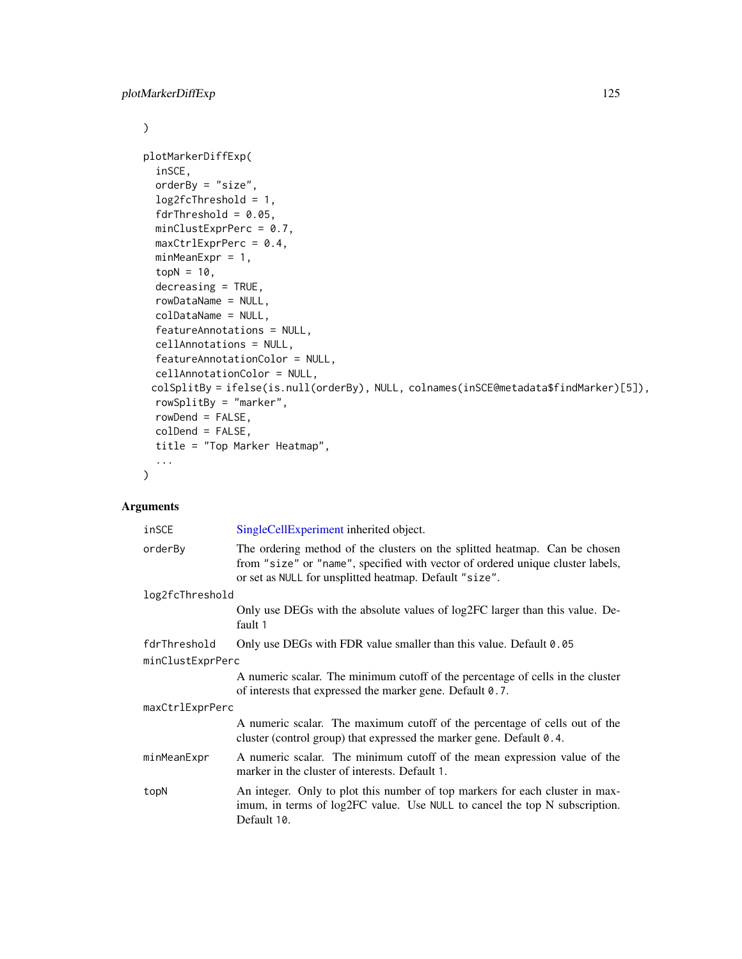```
\mathcal{L}plotMarkerDiffExp(
  inSCE,
  orderBy = "size",
  log2fcThreshold = 1,
  fdrThreshold = 0.05,
 minClustExprPerc = 0.7,
 maxCtrlExprPerc = 0.4,
 minMeanExpr = 1,
  topN = 10,
  decreasing = TRUE,
  rowDataName = NULL,
  colDataName = NULL,
  featureAnnotations = NULL,
  cellAnnotations = NULL,
  featureAnnotationColor = NULL,
  cellAnnotationColor = NULL,
 colSplitBy = ifelse(is.null(orderBy), NULL, colnames(inSCE@metadata$findMarker)[5]),
  rowSplitBy = "marker",
 rowDend = FALSE,
 colDend = FALSE,
  title = "Top Marker Heatmap",
  ...
\mathcal{L}
```

| inSCE            | SingleCellExperiment inherited object.                                                                                                                                                                                 |  |
|------------------|------------------------------------------------------------------------------------------------------------------------------------------------------------------------------------------------------------------------|--|
| orderBy          | The ordering method of the clusters on the splitted heatmap. Can be chosen<br>from "size" or "name", specified with vector of ordered unique cluster labels,<br>or set as NULL for unsplitted heatmap. Default "size". |  |
| log2fcThreshold  |                                                                                                                                                                                                                        |  |
|                  | Only use DEGs with the absolute values of log2FC larger than this value. De-<br>fault 1                                                                                                                                |  |
| fdrThreshold     | Only use DEGs with FDR value smaller than this value. Default 0.05                                                                                                                                                     |  |
| minClustExprPerc |                                                                                                                                                                                                                        |  |
|                  | A numeric scalar. The minimum cutoff of the percentage of cells in the cluster<br>of interests that expressed the marker gene. Default 0.7.                                                                            |  |
| maxCtrlExprPerc  |                                                                                                                                                                                                                        |  |
|                  | A numeric scalar. The maximum cutoff of the percentage of cells out of the<br>cluster (control group) that expressed the marker gene. Default 0.4.                                                                     |  |
| minMeanExpr      | A numeric scalar. The minimum cutoff of the mean expression value of the<br>marker in the cluster of interests. Default 1.                                                                                             |  |
| topN             | An integer. Only to plot this number of top markers for each cluster in max-<br>imum, in terms of log2FC value. Use NULL to cancel the top N subscription.<br>Default 10.                                              |  |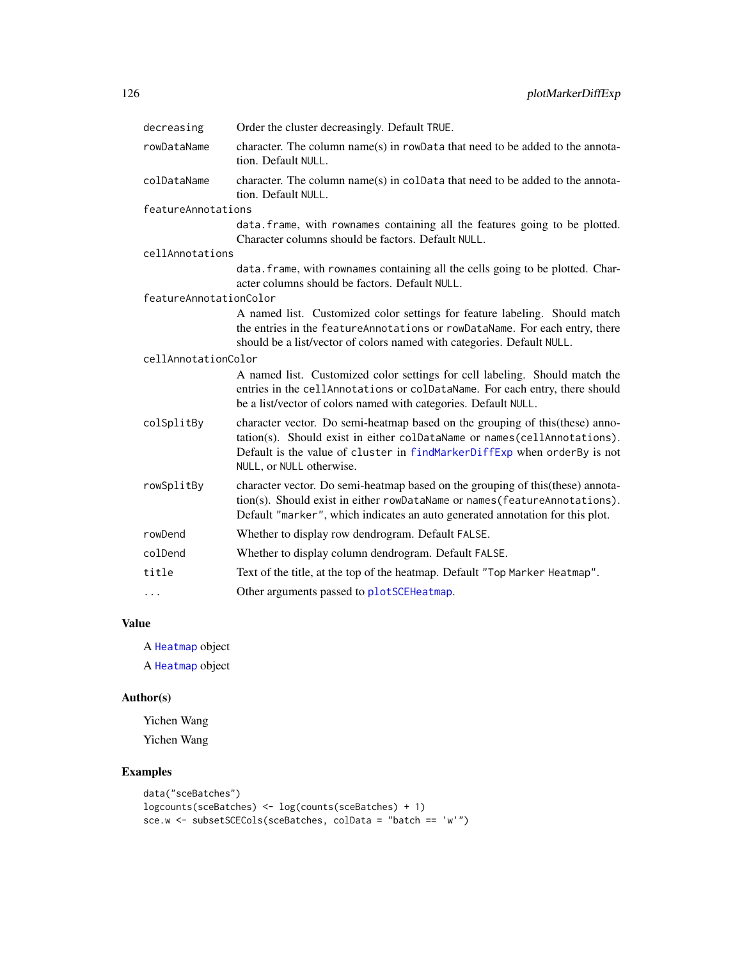| decreasing             | Order the cluster decreasingly. Default TRUE.                                                                                                                                                                                                                     |
|------------------------|-------------------------------------------------------------------------------------------------------------------------------------------------------------------------------------------------------------------------------------------------------------------|
| rowDataName            | character. The column name(s) in rowData that need to be added to the annota-<br>tion. Default NULL.                                                                                                                                                              |
| colDataName            | character. The column name(s) in colData that need to be added to the annota-<br>tion. Default NULL.                                                                                                                                                              |
| featureAnnotations     |                                                                                                                                                                                                                                                                   |
|                        | data. frame, with rownames containing all the features going to be plotted.<br>Character columns should be factors. Default NULL.                                                                                                                                 |
| cellAnnotations        |                                                                                                                                                                                                                                                                   |
|                        | data. frame, with rownames containing all the cells going to be plotted. Char-<br>acter columns should be factors. Default NULL.                                                                                                                                  |
| featureAnnotationColor |                                                                                                                                                                                                                                                                   |
|                        | A named list. Customized color settings for feature labeling. Should match<br>the entries in the featureAnnotations or rowDataName. For each entry, there<br>should be a list/vector of colors named with categories. Default NULL.                               |
| cellAnnotationColor    |                                                                                                                                                                                                                                                                   |
|                        | A named list. Customized color settings for cell labeling. Should match the<br>entries in the cellAnnotations or colDataName. For each entry, there should<br>be a list/vector of colors named with categories. Default NULL.                                     |
| colSplitBy             | character vector. Do semi-heatmap based on the grouping of this (these) anno-<br>tation(s). Should exist in either colDataName or names(cellAnnotations).<br>Default is the value of cluster in findMarkerDiffExp when orderBy is not<br>NULL, or NULL otherwise. |
| rowSplitBy             | character vector. Do semi-heatmap based on the grouping of this (these) annota-<br>tion(s). Should exist in either rowDataName or names (featureAnnotations).<br>Default "marker", which indicates an auto generated annotation for this plot.                    |
| rowDend                | Whether to display row dendrogram. Default FALSE.                                                                                                                                                                                                                 |
| colDend                | Whether to display column dendrogram. Default FALSE.                                                                                                                                                                                                              |
| title                  | Text of the title, at the top of the heatmap. Default "Top Marker Heatmap".                                                                                                                                                                                       |
| $\cdots$               | Other arguments passed to plotSCEHeatmap.                                                                                                                                                                                                                         |

A [Heatmap](#page-0-0) object A [Heatmap](#page-0-0) object

## Author(s)

Yichen Wang Yichen Wang

## Examples

```
data("sceBatches")
logcounts(sceBatches) <- log(counts(sceBatches) + 1)
sce.w <- subsetSCECols(sceBatches, colData = "batch == 'w'")
```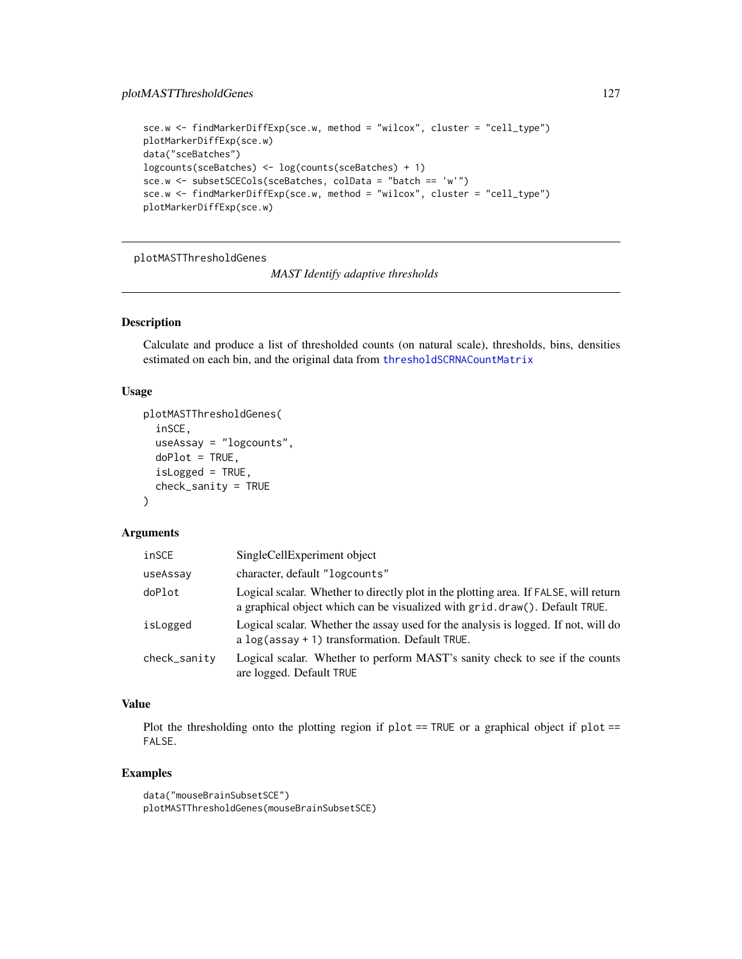```
sce.w <- findMarkerDiffExp(sce.w, method = "wilcox", cluster = "cell_type")
plotMarkerDiffExp(sce.w)
data("sceBatches")
logcounts(sceBatches) <- log(counts(sceBatches) + 1)
sce.w <- subsetSCECols(sceBatches, colData = "batch == 'w'")
sce.w <- findMarkerDiffExp(sce.w, method = "wilcox", cluster = "cell_type")
plotMarkerDiffExp(sce.w)
```
plotMASTThresholdGenes

*MAST Identify adaptive thresholds*

#### Description

Calculate and produce a list of thresholded counts (on natural scale), thresholds, bins, densities estimated on each bin, and the original data from [thresholdSCRNACountMatrix](#page-0-0)

#### Usage

```
plotMASTThresholdGenes(
  inSCE,
  useAssay = "logcounts",
 doPlot = TRUE,
  isLogged = TRUE,
  check_sanity = TRUE
)
```
#### Arguments

| inSCE        | SingleCellExperiment object                                                                                                                                        |
|--------------|--------------------------------------------------------------------------------------------------------------------------------------------------------------------|
| useAssay     | character, default "logcounts"                                                                                                                                     |
| doPlot       | Logical scalar. Whether to directly plot in the plotting area. If FALSE, will return<br>a graphical object which can be visualized with grid.draw(). Default TRUE. |
| isLogged     | Logical scalar. Whether the assay used for the analysis is logged. If not, will do<br>a $log$ (assay + 1) transformation. Default TRUE.                            |
| check_sanity | Logical scalar. Whether to perform MAST's sanity check to see if the counts<br>are logged. Default TRUE                                                            |

# Value

Plot the thresholding onto the plotting region if  $plot == TRUE$  or a graphical object if  $plot ==$ FALSE.

## Examples

```
data("mouseBrainSubsetSCE")
plotMASTThresholdGenes(mouseBrainSubsetSCE)
```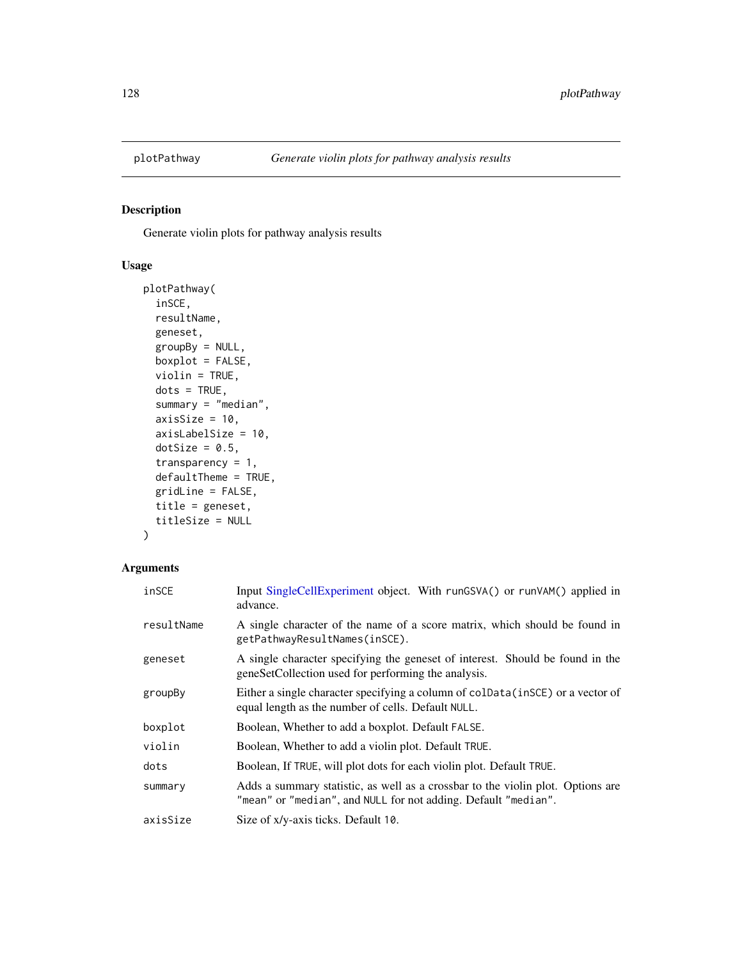## Description

Generate violin plots for pathway analysis results

# Usage

```
plotPathway(
  inSCE,
  resultName,
  geneset,
  groupBy = NULL,
  boxplot = FALSE,
  violin = TRUE,
  dots = TRUE,summary = "median",
  axisSize = 10,
  axisLabelSize = 10,
  dotSize = 0.5,
  transparency = 1,
  defaultTheme = TRUE,
  gridLine = FALSE,
  title = geneset,
  titleSize = NULL
\mathcal{L}
```

| inSCE      | Input SingleCellExperiment object. With runGSVA() or runVAM() applied in<br>advance.                                                              |
|------------|---------------------------------------------------------------------------------------------------------------------------------------------------|
| resultName | A single character of the name of a score matrix, which should be found in<br>getPathwayResultNames(inSCE).                                       |
| geneset    | A single character specifying the geneset of interest. Should be found in the<br>geneSetCollection used for performing the analysis.              |
| groupBy    | Either a single character specifying a column of colData(inSCE) or a vector of<br>equal length as the number of cells. Default NULL.              |
| boxplot    | Boolean, Whether to add a boxplot. Default FALSE.                                                                                                 |
| violin     | Boolean, Whether to add a violin plot. Default TRUE.                                                                                              |
| dots       | Boolean, If TRUE, will plot dots for each violin plot. Default TRUE.                                                                              |
| summary    | Adds a summary statistic, as well as a crossbar to the violin plot. Options are<br>"mean" or "median", and NULL for not adding. Default "median". |
| axisSize   | Size of x/y-axis ticks. Default 10.                                                                                                               |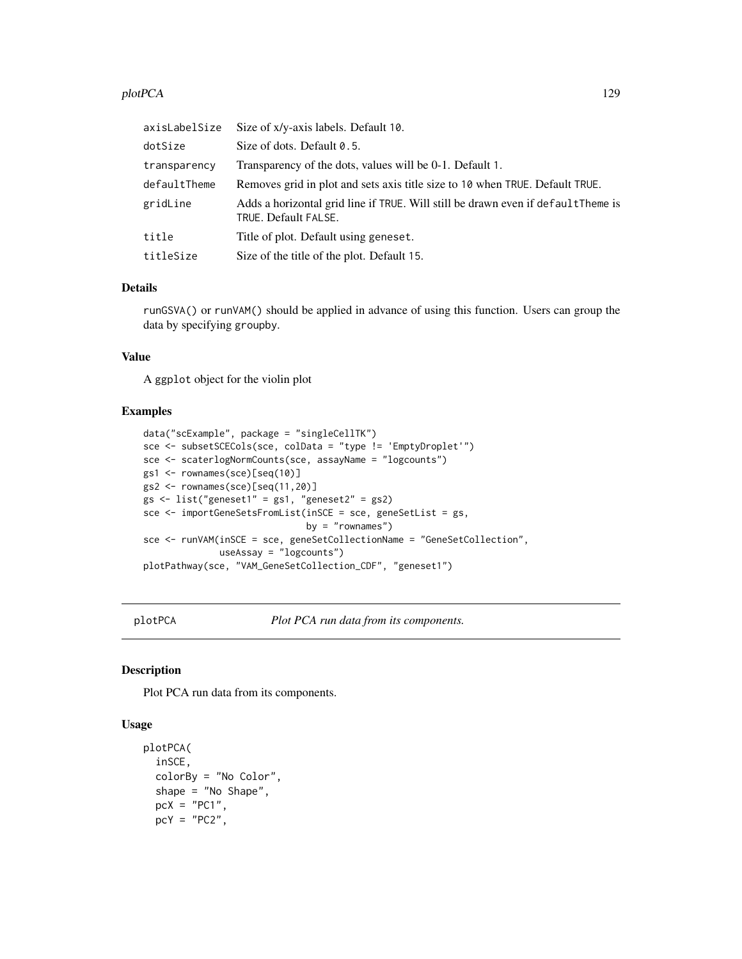#### plotPCA 129

| axisLabelSize | Size of x/y-axis labels. Default 10.                                                                      |
|---------------|-----------------------------------------------------------------------------------------------------------|
| dotSize       | Size of dots. Default 0.5.                                                                                |
| transparency  | Transparency of the dots, values will be 0-1. Default 1.                                                  |
| defaultTheme  | Removes grid in plot and sets axis title size to 10 when TRUE. Default TRUE.                              |
| gridLine      | Adds a horizontal grid line if TRUE. Will still be drawn even if default Theme is<br>TRUE. Default FALSE. |
| title         | Title of plot. Default using geneset.                                                                     |
| titleSize     | Size of the title of the plot. Default 15.                                                                |

## Details

runGSVA() or runVAM() should be applied in advance of using this function. Users can group the data by specifying groupby.

#### Value

A ggplot object for the violin plot

#### Examples

```
data("scExample", package = "singleCellTK")
sce <- subsetSCECols(sce, colData = "type != 'EmptyDroplet'")
sce <- scaterlogNormCounts(sce, assayName = "logcounts")
gs1 <- rownames(sce)[seq(10)]
gs2 <- rownames(sce)[seq(11,20)]
gs <- list("geneset1" = gs1, "geneset2" = gs2)
sce <- importGeneSetsFromList(inSCE = sce, geneSetList = gs,
                             by = "rownames")
sce <- runVAM(inSCE = sce, geneSetCollectionName = "GeneSetCollection",
              useAssay = "logcounts")
plotPathway(sce, "VAM_GeneSetCollection_CDF", "geneset1")
```
plotPCA *Plot PCA run data from its components.*

#### Description

Plot PCA run data from its components.

```
plotPCA(
  inSCE,
  colorBy = "No Color",
  shape = "No Shape",
 pcX = "PC1"pcY = "PC2",
```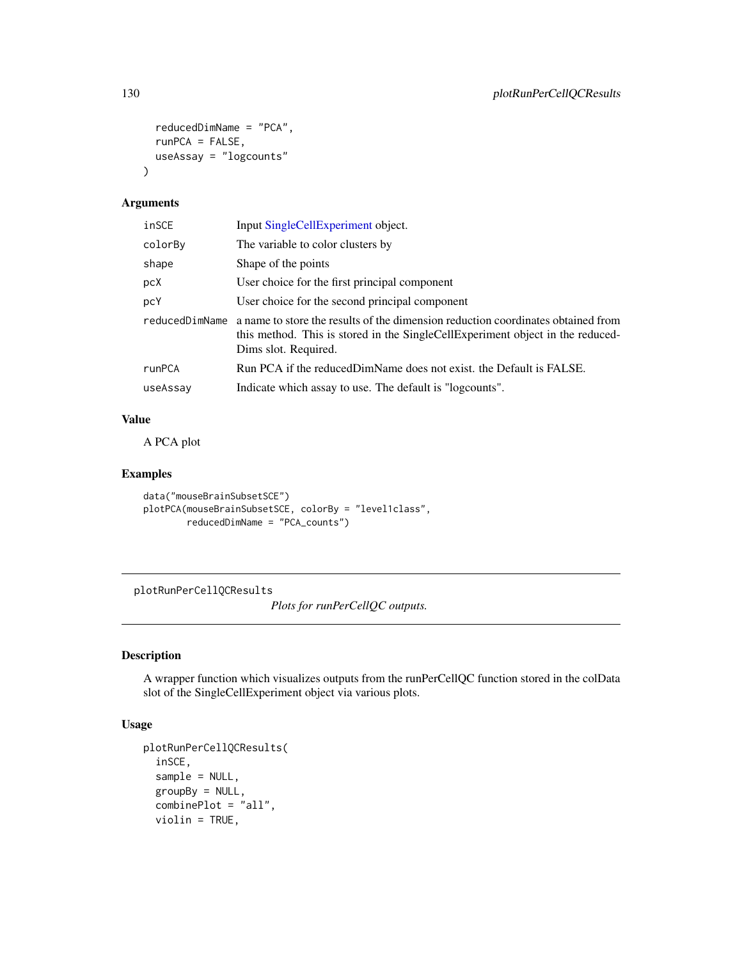```
reducedDimName = "PCA",
  runPCA = FALSE,useAssay = "logcounts"
\mathcal{L}
```

| inSCE          | Input SingleCellExperiment object.                                                                                                                                                         |
|----------------|--------------------------------------------------------------------------------------------------------------------------------------------------------------------------------------------|
| colorBy        | The variable to color clusters by                                                                                                                                                          |
| shape          | Shape of the points                                                                                                                                                                        |
| pcX            | User choice for the first principal component                                                                                                                                              |
| pcY            | User choice for the second principal component                                                                                                                                             |
| reducedDimName | a name to store the results of the dimension reduction coordinates obtained from<br>this method. This is stored in the SingleCellExperiment object in the reduced-<br>Dims slot. Required. |
| runPCA         | Run PCA if the reduced DimName does not exist, the Default is FALSE.                                                                                                                       |
| useAssay       | Indicate which assay to use. The default is "logcounts".                                                                                                                                   |

## Value

A PCA plot

#### Examples

```
data("mouseBrainSubsetSCE")
plotPCA(mouseBrainSubsetSCE, colorBy = "level1class",
       reducedDimName = "PCA_counts")
```
plotRunPerCellQCResults

*Plots for runPerCellQC outputs.*

## Description

A wrapper function which visualizes outputs from the runPerCellQC function stored in the colData slot of the SingleCellExperiment object via various plots.

```
plotRunPerCellQCResults(
  inSCE,
  sample = NULL,
  groupBy = NULL,
  combinePlot = "all",
  violin = TRUE,
```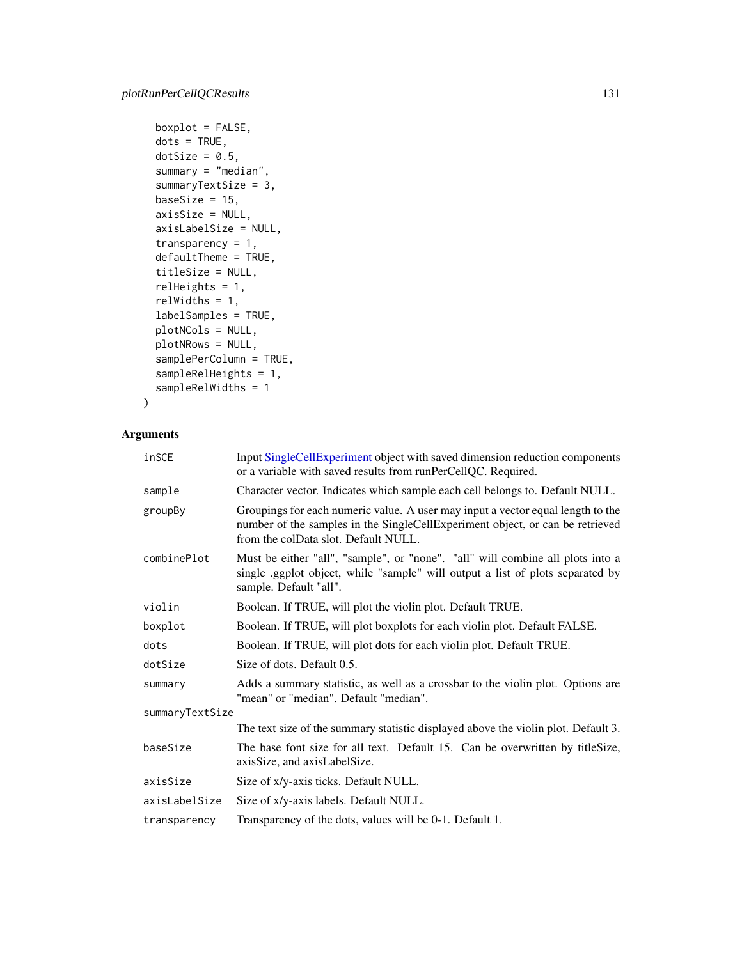```
boxplot = FALSE,dots = TRUE,dotSize = 0.5,
summary = "median",
summaryTextSize = 3,
baseSize = 15,
axisSize = NULL,
axisLabelSize = NULL,
transparency = 1,
defaultTheme = TRUE,
titleSize = NULL,
relHeights = 1,
relWidths = 1,
labelSamples = TRUE,
plotNCols = NULL,
plotNRows = NULL,
samplePerColumn = TRUE,
sampleRelHeights = 1,
sampleRelWidths = 1
```

```
\mathcal{L}
```

| inSCE           | Input SingleCellExperiment object with saved dimension reduction components<br>or a variable with saved results from runPerCellQC. Required.                                                             |  |
|-----------------|----------------------------------------------------------------------------------------------------------------------------------------------------------------------------------------------------------|--|
| sample          | Character vector. Indicates which sample each cell belongs to. Default NULL.                                                                                                                             |  |
| groupBy         | Groupings for each numeric value. A user may input a vector equal length to the<br>number of the samples in the SingleCellExperiment object, or can be retrieved<br>from the colData slot. Default NULL. |  |
| combinePlot     | Must be either "all", "sample", or "none". "all" will combine all plots into a<br>single ggplot object, while "sample" will output a list of plots separated by<br>sample. Default "all".                |  |
| violin          | Boolean. If TRUE, will plot the violin plot. Default TRUE.                                                                                                                                               |  |
| boxplot         | Boolean. If TRUE, will plot boxplots for each violin plot. Default FALSE.                                                                                                                                |  |
| dots            | Boolean. If TRUE, will plot dots for each violin plot. Default TRUE.                                                                                                                                     |  |
| dotSize         | Size of dots. Default 0.5.                                                                                                                                                                               |  |
| summary         | Adds a summary statistic, as well as a crossbar to the violin plot. Options are<br>"mean" or "median". Default "median".                                                                                 |  |
| summaryTextSize |                                                                                                                                                                                                          |  |
|                 | The text size of the summary statistic displayed above the violin plot. Default 3.                                                                                                                       |  |
| baseSize        | The base font size for all text. Default 15. Can be overwritten by titleSize,<br>axisSize, and axisLabelSize.                                                                                            |  |
| axisSize        | Size of x/y-axis ticks. Default NULL.                                                                                                                                                                    |  |
| axisLabelSize   | Size of x/y-axis labels. Default NULL.                                                                                                                                                                   |  |
| transparency    | Transparency of the dots, values will be 0-1. Default 1.                                                                                                                                                 |  |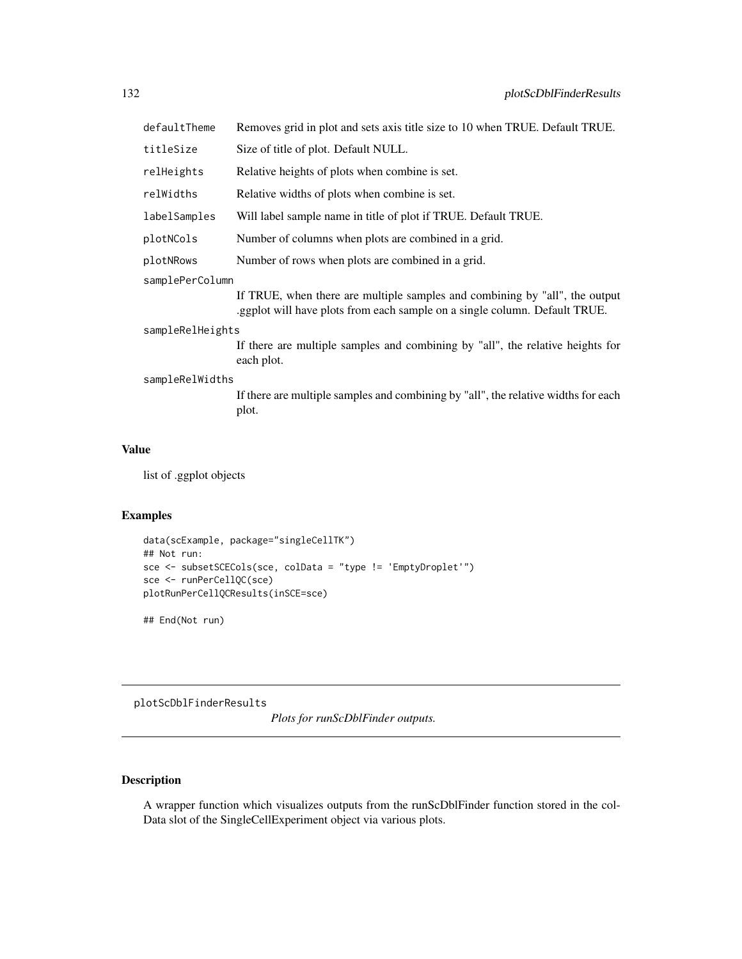| defaultTheme     | Removes grid in plot and sets axis title size to 10 when TRUE. Default TRUE.                                                                              |  |  |
|------------------|-----------------------------------------------------------------------------------------------------------------------------------------------------------|--|--|
| titleSize        | Size of title of plot. Default NULL.                                                                                                                      |  |  |
| relHeights       | Relative heights of plots when combine is set.                                                                                                            |  |  |
| relWidths        | Relative widths of plots when combine is set.                                                                                                             |  |  |
| labelSamples     | Will label sample name in title of plot if TRUE. Default TRUE.                                                                                            |  |  |
| plotNCols        | Number of columns when plots are combined in a grid.                                                                                                      |  |  |
| plotNRows        | Number of rows when plots are combined in a grid.                                                                                                         |  |  |
| samplePerColumn  |                                                                                                                                                           |  |  |
|                  | If TRUE, when there are multiple samples and combining by "all", the output<br>.ggplot will have plots from each sample on a single column. Default TRUE. |  |  |
| sampleRelHeights |                                                                                                                                                           |  |  |
|                  | If there are multiple samples and combining by "all", the relative heights for<br>each plot.                                                              |  |  |
| sampleRelWidths  |                                                                                                                                                           |  |  |
|                  | If there are multiple samples and combining by "all", the relative widths for each<br>plot.                                                               |  |  |
|                  |                                                                                                                                                           |  |  |

list of .ggplot objects

## Examples

```
data(scExample, package="singleCellTK")
## Not run:
sce <- subsetSCECols(sce, colData = "type != 'EmptyDroplet'")
sce <- runPerCellQC(sce)
plotRunPerCellQCResults(inSCE=sce)
```
## End(Not run)

plotScDblFinderResults

*Plots for runScDblFinder outputs.*

# Description

A wrapper function which visualizes outputs from the runScDblFinder function stored in the col-Data slot of the SingleCellExperiment object via various plots.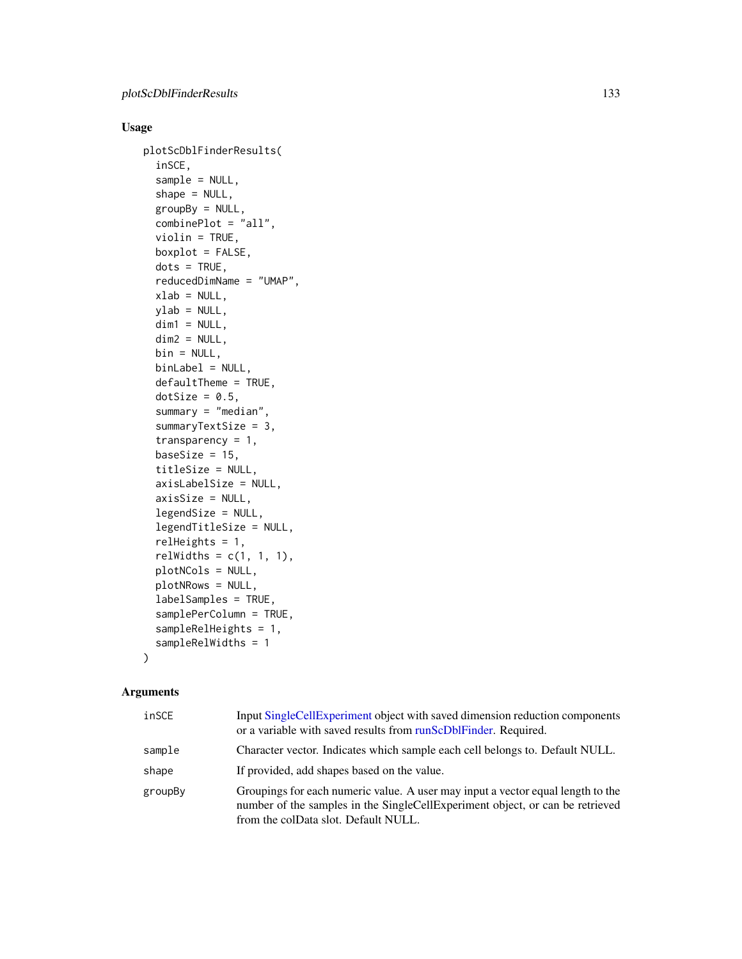## Usage

```
plotScDblFinderResults(
  inSCE,
  sample = NULL,
  shape = NULL,
  groupBy = NULL,
  combinePlot = "all",
  violin = TRUE,
  boxplot = FALSE,
  dots = TRUE,reducedDimName = "UMAP",
  xlab = NULL,
 ylab = NULL,
 dim1 = NULL,dim2 = NULL,bin = NULL,
  binLabel = NULL,
  defaultTheme = TRUE,
  dotSize = 0.5,
  summary = "median",
  summaryTextSize = 3,
  transparency = 1,
  baseSize = 15,
  titleSize = NULL,
  axisLabelSize = NULL,
  axisSize = NULL,
  legendSize = NULL,
  legendTitleSize = NULL,
  relHeights = 1,
  relWidths = c(1, 1, 1),plotNCols = NULL,
 plotNRows = NULL,
  labelSamples = TRUE,
  samplePerColumn = TRUE,
  sampleRelHeights = 1,
  sampleRelWidths = 1
\mathcal{L}
```

| inSCE   | Input SingleCellExperiment object with saved dimension reduction components<br>or a variable with saved results from runScDbIFinder. Required.                                                           |
|---------|----------------------------------------------------------------------------------------------------------------------------------------------------------------------------------------------------------|
| sample  | Character vector. Indicates which sample each cell belongs to. Default NULL.                                                                                                                             |
| shape   | If provided, add shapes based on the value.                                                                                                                                                              |
| groupBy | Groupings for each numeric value. A user may input a vector equal length to the<br>number of the samples in the SingleCellExperiment object, or can be retrieved<br>from the colData slot. Default NULL. |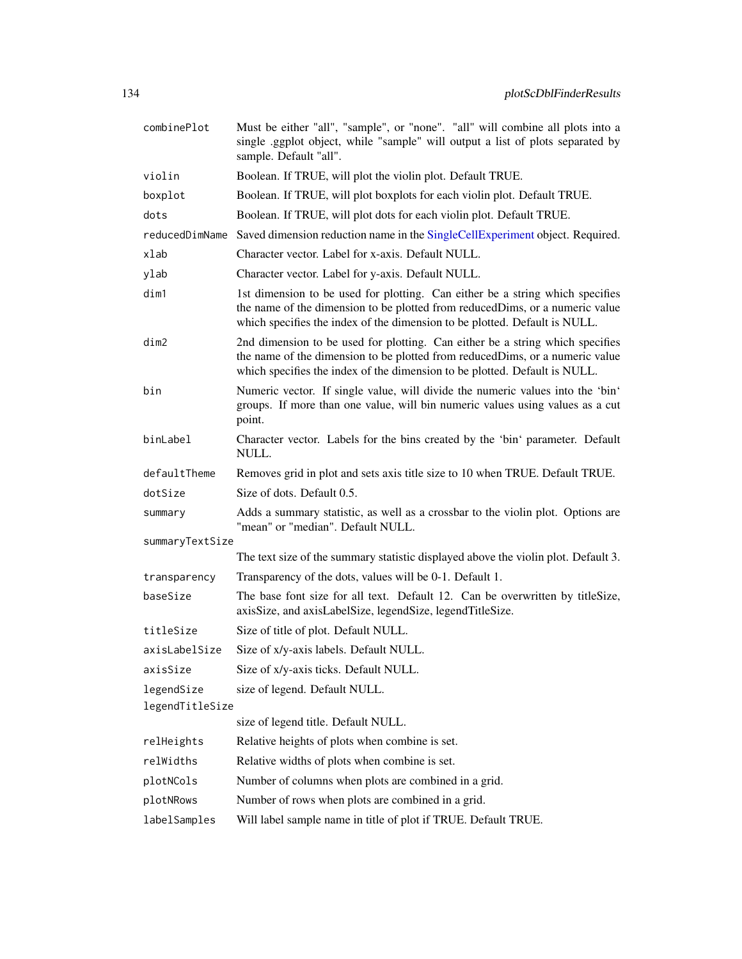| combinePlot              | Must be either "all", "sample", or "none". "all" will combine all plots into a<br>single .ggplot object, while "sample" will output a list of plots separated by<br>sample. Default "all".                                                   |
|--------------------------|----------------------------------------------------------------------------------------------------------------------------------------------------------------------------------------------------------------------------------------------|
| violin                   | Boolean. If TRUE, will plot the violin plot. Default TRUE.                                                                                                                                                                                   |
| boxplot                  | Boolean. If TRUE, will plot boxplots for each violin plot. Default TRUE.                                                                                                                                                                     |
| dots                     | Boolean. If TRUE, will plot dots for each violin plot. Default TRUE.                                                                                                                                                                         |
| reducedDimName           | Saved dimension reduction name in the SingleCellExperiment object. Required.                                                                                                                                                                 |
| xlab                     | Character vector. Label for x-axis. Default NULL.                                                                                                                                                                                            |
| ylab                     | Character vector. Label for y-axis. Default NULL.                                                                                                                                                                                            |
| dim1                     | 1st dimension to be used for plotting. Can either be a string which specifies<br>the name of the dimension to be plotted from reducedDims, or a numeric value<br>which specifies the index of the dimension to be plotted. Default is NULL.  |
| dim2                     | 2nd dimension to be used for plotting. Can either be a string which specifies<br>the name of the dimension to be plotted from reduced Dims, or a numeric value<br>which specifies the index of the dimension to be plotted. Default is NULL. |
| bin                      | Numeric vector. If single value, will divide the numeric values into the 'bin'<br>groups. If more than one value, will bin numeric values using values as a cut<br>point.                                                                    |
| binLabel                 | Character vector. Labels for the bins created by the 'bin' parameter. Default<br>NULL.                                                                                                                                                       |
| defaultTheme             | Removes grid in plot and sets axis title size to 10 when TRUE. Default TRUE.                                                                                                                                                                 |
| dotSize                  | Size of dots. Default 0.5.                                                                                                                                                                                                                   |
| summary                  | Adds a summary statistic, as well as a crossbar to the violin plot. Options are<br>"mean" or "median". Default NULL.                                                                                                                         |
| summaryTextSize          |                                                                                                                                                                                                                                              |
|                          | The text size of the summary statistic displayed above the violin plot. Default 3.                                                                                                                                                           |
| transparency<br>baseSize | Transparency of the dots, values will be 0-1. Default 1.<br>The base font size for all text. Default 12. Can be overwritten by titleSize,                                                                                                    |
|                          | axisSize, and axisLabelSize, legendSize, legendTitleSize.                                                                                                                                                                                    |
| titleSize                | Size of title of plot. Default NULL.                                                                                                                                                                                                         |
| axisLabelSize            | Size of x/y-axis labels. Default NULL.                                                                                                                                                                                                       |
| axisSize                 | Size of x/y-axis ticks. Default NULL.                                                                                                                                                                                                        |
| legendSize               | size of legend. Default NULL.                                                                                                                                                                                                                |
| legendTitleSize          |                                                                                                                                                                                                                                              |
|                          | size of legend title. Default NULL.                                                                                                                                                                                                          |
| relHeights               | Relative heights of plots when combine is set.                                                                                                                                                                                               |
| relWidths                | Relative widths of plots when combine is set.                                                                                                                                                                                                |
| plotNCols                | Number of columns when plots are combined in a grid.                                                                                                                                                                                         |
| plotNRows                | Number of rows when plots are combined in a grid.                                                                                                                                                                                            |
| labelSamples             | Will label sample name in title of plot if TRUE. Default TRUE.                                                                                                                                                                               |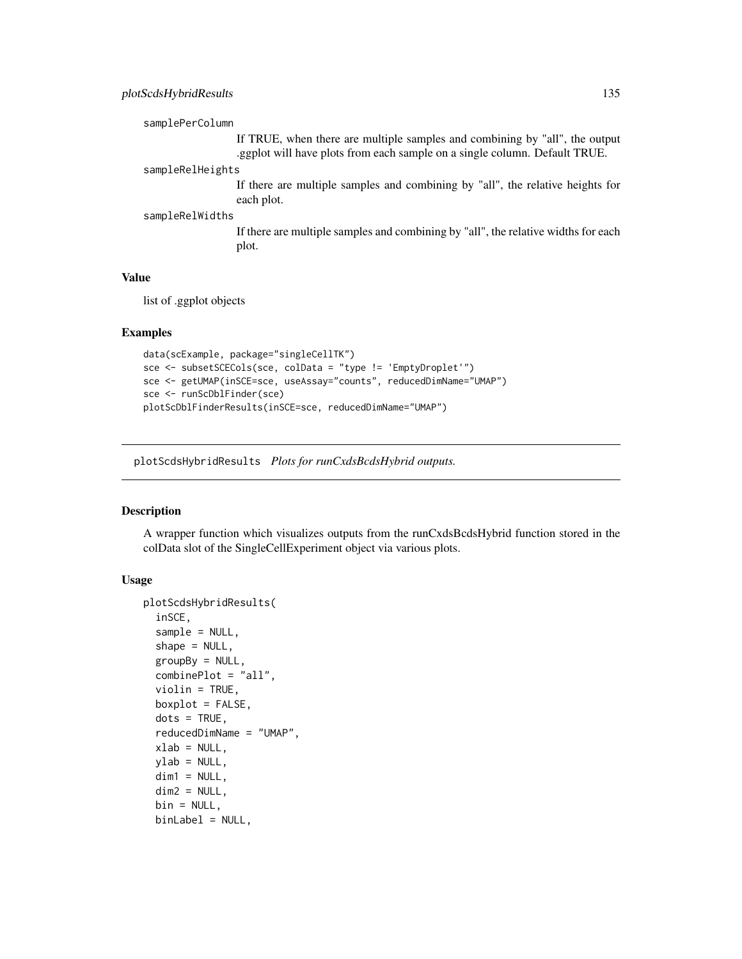## plotScdsHybridResults 135

```
samplePerColumn
```
If TRUE, when there are multiple samples and combining by "all", the output .ggplot will have plots from each sample on a single column. Default TRUE.

#### sampleRelHeights

If there are multiple samples and combining by "all", the relative heights for each plot.

## sampleRelWidths

If there are multiple samples and combining by "all", the relative widths for each plot.

#### Value

list of .ggplot objects

#### Examples

```
data(scExample, package="singleCellTK")
sce <- subsetSCECols(sce, colData = "type != 'EmptyDroplet'")
sce <- getUMAP(inSCE=sce, useAssay="counts", reducedDimName="UMAP")
sce <- runScDblFinder(sce)
plotScDblFinderResults(inSCE=sce, reducedDimName="UMAP")
```
plotScdsHybridResults *Plots for runCxdsBcdsHybrid outputs.*

#### Description

A wrapper function which visualizes outputs from the runCxdsBcdsHybrid function stored in the colData slot of the SingleCellExperiment object via various plots.

```
plotScdsHybridResults(
  inSCE,
  sample = NULL,
  shape = NULL,
  groupBy = NULL,combinePlot = "all",
  violin = TRUE,
 boxplot = FALSE,dots = TRUE,reducedDimName = "UMAP",
  xlab = NULL,
  ylab = NULL,
  dim1 = NULL,
  dim2 = NULL,bin = NULL,binLabel = NULL,
```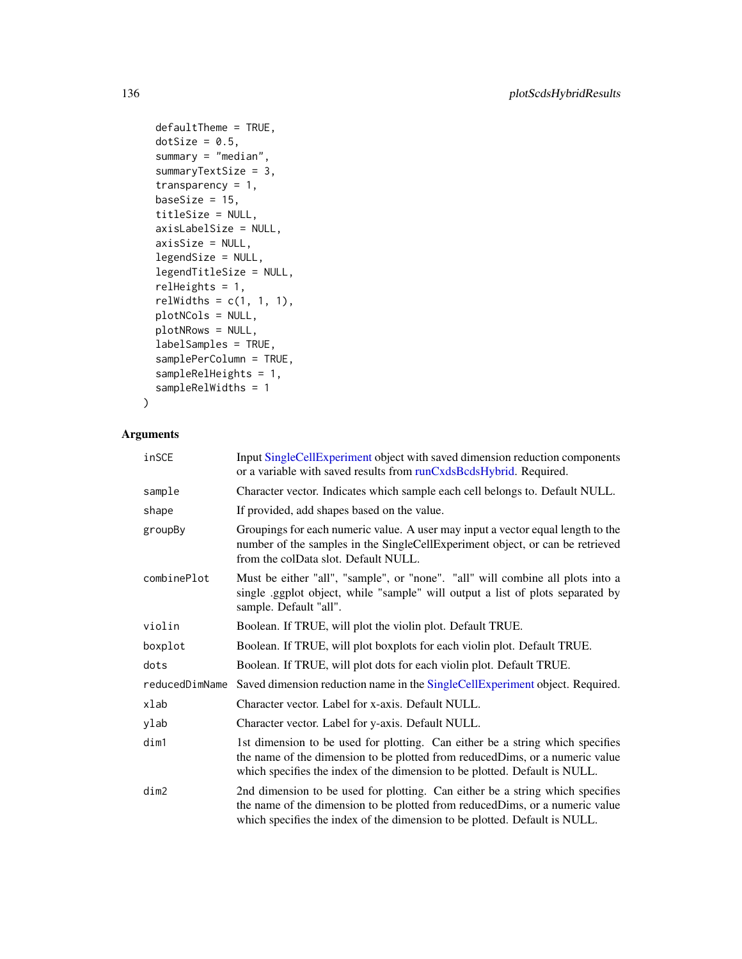```
defaultThene = TRUE,dotSize = 0.5,
summary = "median",
summaryTextSize = 3,
transparency = 1,
baseSize = 15,
titleSize = NULL,
axisLabelSize = NULL,
axisSize = NULL,
legendSize = NULL,
legendTitleSize = NULL,
relHeights = 1,
relWidths = c(1, 1, 1),plotNCols = NULL,
plotNRows = NULL,
labelSamples = TRUE,
samplePerColumn = TRUE,
sampleRelHeights = 1,
sampleRelWidths = 1
```

```
\mathcal{L}
```

| inSCE          | Input SingleCellExperiment object with saved dimension reduction components<br>or a variable with saved results from runCxdsBcdsHybrid. Required.                                                                                            |
|----------------|----------------------------------------------------------------------------------------------------------------------------------------------------------------------------------------------------------------------------------------------|
| sample         | Character vector. Indicates which sample each cell belongs to. Default NULL.                                                                                                                                                                 |
| shape          | If provided, add shapes based on the value.                                                                                                                                                                                                  |
| groupBy        | Groupings for each numeric value. A user may input a vector equal length to the<br>number of the samples in the SingleCellExperiment object, or can be retrieved<br>from the colData slot. Default NULL.                                     |
| combinePlot    | Must be either "all", "sample", or "none". "all" will combine all plots into a<br>single ggplot object, while "sample" will output a list of plots separated by<br>sample. Default "all".                                                    |
| violin         | Boolean. If TRUE, will plot the violin plot. Default TRUE.                                                                                                                                                                                   |
| boxplot        | Boolean. If TRUE, will plot boxplots for each violin plot. Default TRUE.                                                                                                                                                                     |
| dots           | Boolean. If TRUE, will plot dots for each violin plot. Default TRUE.                                                                                                                                                                         |
| reducedDimName | Saved dimension reduction name in the SingleCellExperiment object. Required.                                                                                                                                                                 |
| xlab           | Character vector. Label for x-axis. Default NULL.                                                                                                                                                                                            |
| ylab           | Character vector. Label for y-axis. Default NULL.                                                                                                                                                                                            |
| dim1           | 1st dimension to be used for plotting. Can either be a string which specifies<br>the name of the dimension to be plotted from reduced Dims, or a numeric value<br>which specifies the index of the dimension to be plotted. Default is NULL. |
| dim2           | 2nd dimension to be used for plotting. Can either be a string which specifies<br>the name of the dimension to be plotted from reducedDims, or a numeric value<br>which specifies the index of the dimension to be plotted. Default is NULL.  |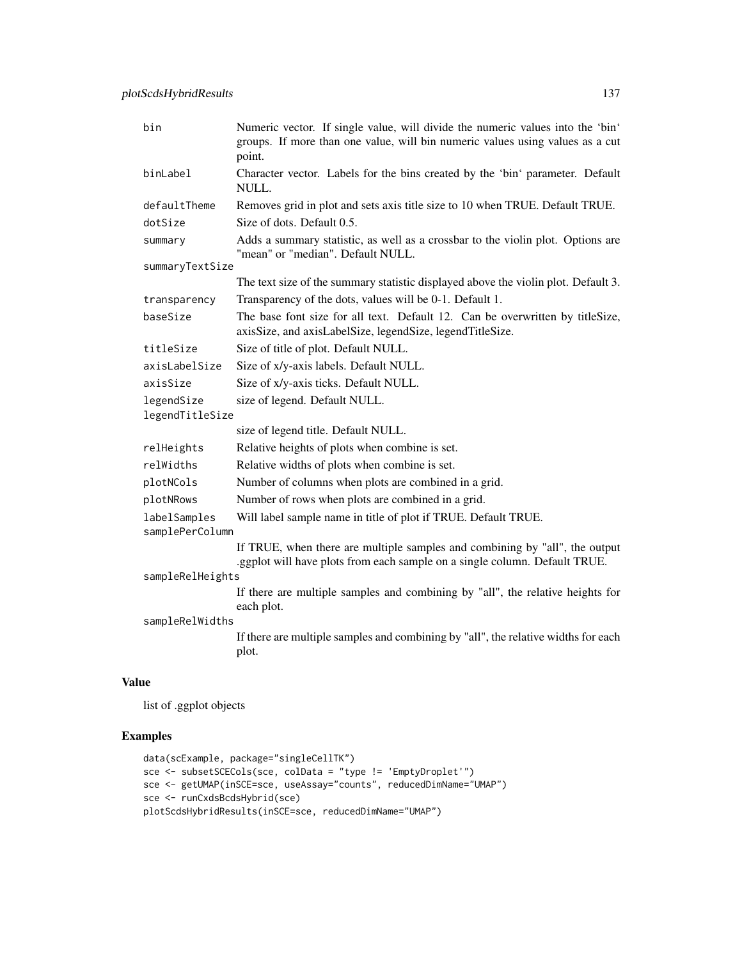| bin                             | Numeric vector. If single value, will divide the numeric values into the 'bin'<br>groups. If more than one value, will bin numeric values using values as a cut<br>point. |
|---------------------------------|---------------------------------------------------------------------------------------------------------------------------------------------------------------------------|
| binLabel                        | Character vector. Labels for the bins created by the 'bin' parameter. Default<br>NULL.                                                                                    |
| defaultTheme                    | Removes grid in plot and sets axis title size to 10 when TRUE. Default TRUE.                                                                                              |
| dotSize                         | Size of dots. Default 0.5.                                                                                                                                                |
| summary                         | Adds a summary statistic, as well as a crossbar to the violin plot. Options are<br>"mean" or "median". Default NULL.                                                      |
| summaryTextSize                 |                                                                                                                                                                           |
|                                 | The text size of the summary statistic displayed above the violin plot. Default 3.                                                                                        |
| transparency                    | Transparency of the dots, values will be 0-1. Default 1.                                                                                                                  |
| baseSize                        | The base font size for all text. Default 12. Can be overwritten by titleSize,<br>axisSize, and axisLabelSize, legendSize, legendTitleSize.                                |
| titleSize                       | Size of title of plot. Default NULL.                                                                                                                                      |
| axisLabelSize                   | Size of x/y-axis labels. Default NULL.                                                                                                                                    |
| axisSize                        | Size of x/y-axis ticks. Default NULL.                                                                                                                                     |
| legendSize                      | size of legend. Default NULL.                                                                                                                                             |
| legendTitleSize                 |                                                                                                                                                                           |
|                                 | size of legend title. Default NULL.                                                                                                                                       |
| relHeights                      | Relative heights of plots when combine is set.                                                                                                                            |
| relWidths                       | Relative widths of plots when combine is set.                                                                                                                             |
| plotNCols                       | Number of columns when plots are combined in a grid.                                                                                                                      |
| plotNRows                       | Number of rows when plots are combined in a grid.                                                                                                                         |
| labelSamples<br>samplePerColumn | Will label sample name in title of plot if TRUE. Default TRUE.                                                                                                            |
|                                 | If TRUE, when there are multiple samples and combining by "all", the output<br>.ggplot will have plots from each sample on a single column. Default TRUE.                 |
| sampleRelHeights                |                                                                                                                                                                           |
|                                 | If there are multiple samples and combining by "all", the relative heights for<br>each plot.                                                                              |
| sampleRelWidths                 |                                                                                                                                                                           |
|                                 | If there are multiple samples and combining by "all", the relative widths for each<br>plot.                                                                               |
|                                 |                                                                                                                                                                           |

list of .ggplot objects

## Examples

```
data(scExample, package="singleCellTK")
sce <- subsetSCECols(sce, colData = "type != 'EmptyDroplet'")
sce <- getUMAP(inSCE=sce, useAssay="counts", reducedDimName="UMAP")
sce <- runCxdsBcdsHybrid(sce)
plotScdsHybridResults(inSCE=sce, reducedDimName="UMAP")
```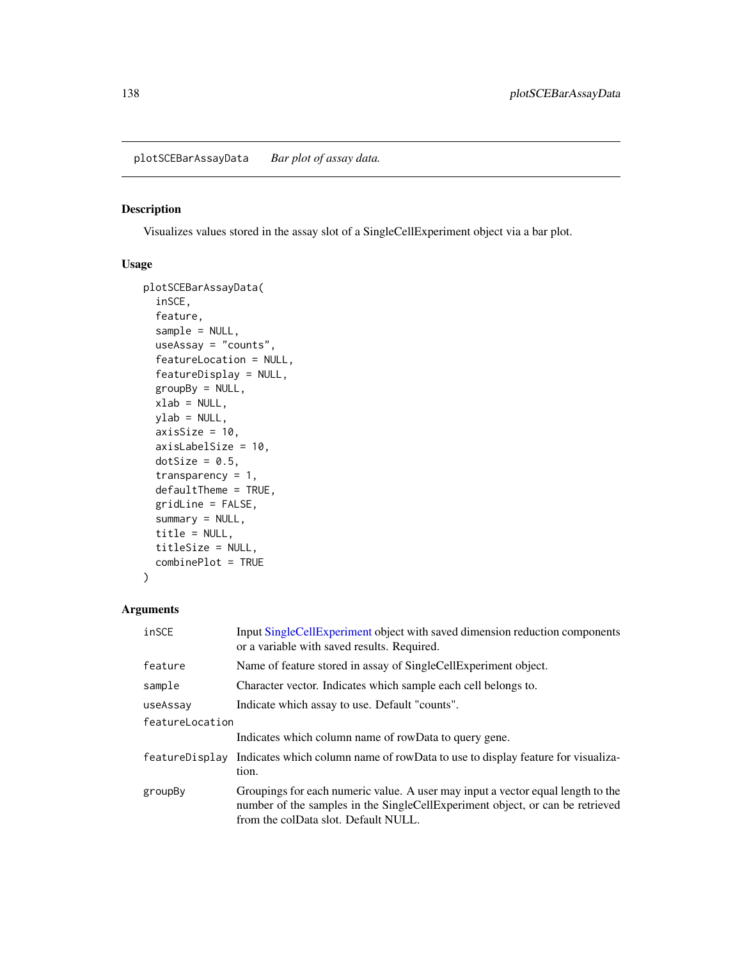plotSCEBarAssayData *Bar plot of assay data.*

## Description

Visualizes values stored in the assay slot of a SingleCellExperiment object via a bar plot.

## Usage

```
plotSCEBarAssayData(
  inSCE,
  feature,
  sample = NULL,
  useAssay = "counts",
  featureLocation = NULL,
  featureDisplay = NULL,
  groupBy = NULL,
  xlab = NULL,
 ylab = NULL,
  axisSize = 10,
  axisLabelSize = 10,
 dotSize = 0.5,
  transparency = 1,
  defaultTheme = TRUE,
  gridLine = FALSE,
  summary = NULL,
  title = NULL,
  titleSize = NULL,
  combinePlot = TRUE
)
```

| inSCE           | Input SingleCellExperiment object with saved dimension reduction components<br>or a variable with saved results. Required.                                                                               |
|-----------------|----------------------------------------------------------------------------------------------------------------------------------------------------------------------------------------------------------|
| feature         | Name of feature stored in assay of SingleCellExperiment object.                                                                                                                                          |
| sample          | Character vector. Indicates which sample each cell belongs to.                                                                                                                                           |
| useAssay        | Indicate which assay to use. Default "counts".                                                                                                                                                           |
| featureLocation |                                                                                                                                                                                                          |
|                 | Indicates which column name of rowData to query gene.                                                                                                                                                    |
| featureDisplay  | Indicates which column name of rowData to use to display feature for visualiza-<br>tion.                                                                                                                 |
| groupBy         | Groupings for each numeric value. A user may input a vector equal length to the<br>number of the samples in the SingleCellExperiment object, or can be retrieved<br>from the colData slot. Default NULL. |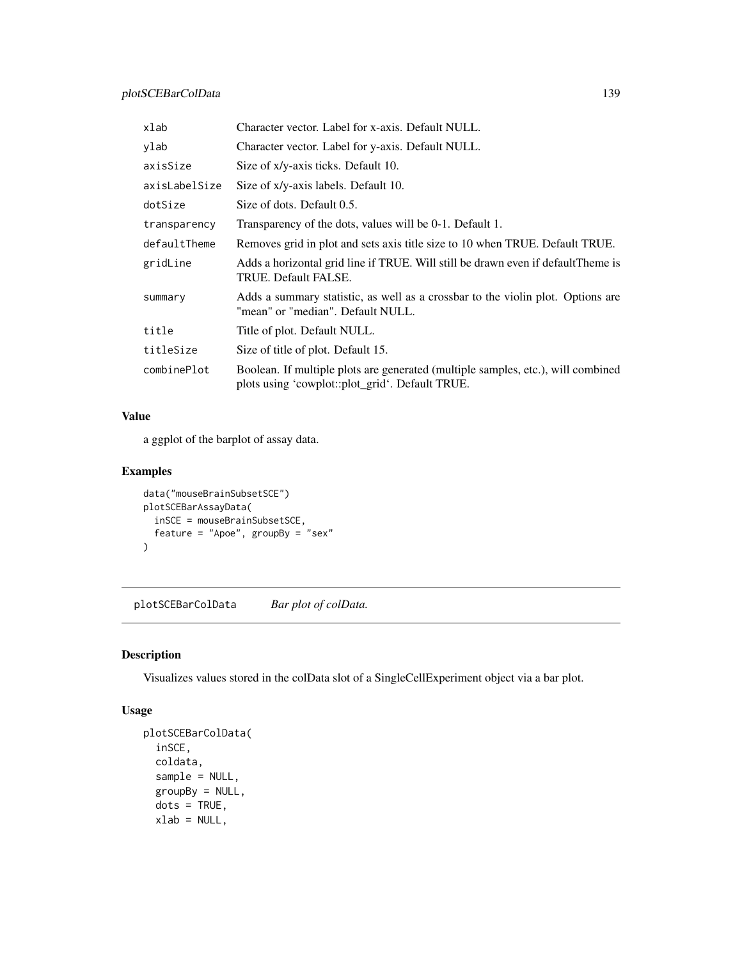| xlab          | Character vector. Label for x-axis. Default NULL.                                                                                   |
|---------------|-------------------------------------------------------------------------------------------------------------------------------------|
| ylab          | Character vector. Label for y-axis. Default NULL.                                                                                   |
| axisSize      | Size of x/y-axis ticks. Default 10.                                                                                                 |
| axisLabelSize | Size of x/y-axis labels. Default 10.                                                                                                |
| dotSize       | Size of dots. Default 0.5.                                                                                                          |
| transparency  | Transparency of the dots, values will be 0-1. Default 1.                                                                            |
| defaultTheme  | Removes grid in plot and sets axis title size to 10 when TRUE. Default TRUE.                                                        |
| gridLine      | Adds a horizontal grid line if TRUE. Will still be drawn even if default Theme is<br>TRUE. Default FALSE.                           |
| summary       | Adds a summary statistic, as well as a crossbar to the violin plot. Options are<br>"mean" or "median". Default NULL.                |
| title         | Title of plot. Default NULL.                                                                                                        |
| titleSize     | Size of title of plot. Default 15.                                                                                                  |
| combinePlot   | Boolean. If multiple plots are generated (multiple samples, etc.), will combined<br>plots using 'cowplot::plot_grid'. Default TRUE. |

a ggplot of the barplot of assay data.

## Examples

```
data("mouseBrainSubsetSCE")
plotSCEBarAssayData(
  inSCE = mouseBrainSubsetSCE,
  feature = "Apoe", groupBy = "sex"
\mathcal{L}
```
plotSCEBarColData *Bar plot of colData.*

## Description

Visualizes values stored in the colData slot of a SingleCellExperiment object via a bar plot.

```
plotSCEBarColData(
 inSCE,
 coldata,
 sample = NULL,
 groupBy = NULL,
 dots = TRUE,xlab = NULL,
```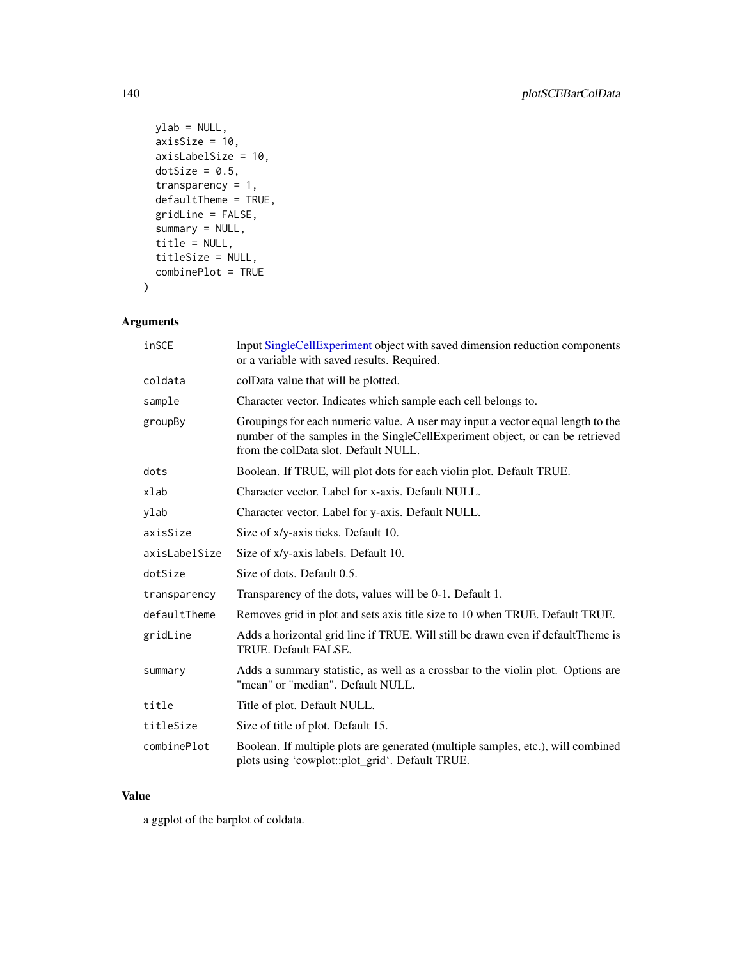```
ylab = NULL,
 axisSize = 10,
 axisLabelSize = 10,
 dotSize = 0.5,
 transparency = 1,
 defaultTheme = TRUE,
 gridLine = FALSE,
 summary = NULL,
 title = NULL,
 titleSize = NULL,
 combinePlot = TRUE
)
```

| inSCE         | Input SingleCellExperiment object with saved dimension reduction components<br>or a variable with saved results. Required.                                                                               |
|---------------|----------------------------------------------------------------------------------------------------------------------------------------------------------------------------------------------------------|
| coldata       | colData value that will be plotted.                                                                                                                                                                      |
| sample        | Character vector. Indicates which sample each cell belongs to.                                                                                                                                           |
| groupBy       | Groupings for each numeric value. A user may input a vector equal length to the<br>number of the samples in the SingleCellExperiment object, or can be retrieved<br>from the colData slot. Default NULL. |
| dots          | Boolean. If TRUE, will plot dots for each violin plot. Default TRUE.                                                                                                                                     |
| xlab          | Character vector. Label for x-axis. Default NULL.                                                                                                                                                        |
| ylab          | Character vector. Label for y-axis. Default NULL.                                                                                                                                                        |
| axisSize      | Size of x/y-axis ticks. Default 10.                                                                                                                                                                      |
| axisLabelSize | Size of x/y-axis labels. Default 10.                                                                                                                                                                     |
| dotSize       | Size of dots. Default 0.5.                                                                                                                                                                               |
| transparency  | Transparency of the dots, values will be 0-1. Default 1.                                                                                                                                                 |
| defaultTheme  | Removes grid in plot and sets axis title size to 10 when TRUE. Default TRUE.                                                                                                                             |
| gridLine      | Adds a horizontal grid line if TRUE. Will still be drawn even if default Theme is<br>TRUE. Default FALSE.                                                                                                |
| summary       | Adds a summary statistic, as well as a crossbar to the violin plot. Options are<br>"mean" or "median". Default NULL.                                                                                     |
| title         | Title of plot. Default NULL.                                                                                                                                                                             |
| titleSize     | Size of title of plot. Default 15.                                                                                                                                                                       |
| combinePlot   | Boolean. If multiple plots are generated (multiple samples, etc.), will combined<br>plots using 'cowplot::plot_grid'. Default TRUE.                                                                      |

#### Value

a ggplot of the barplot of coldata.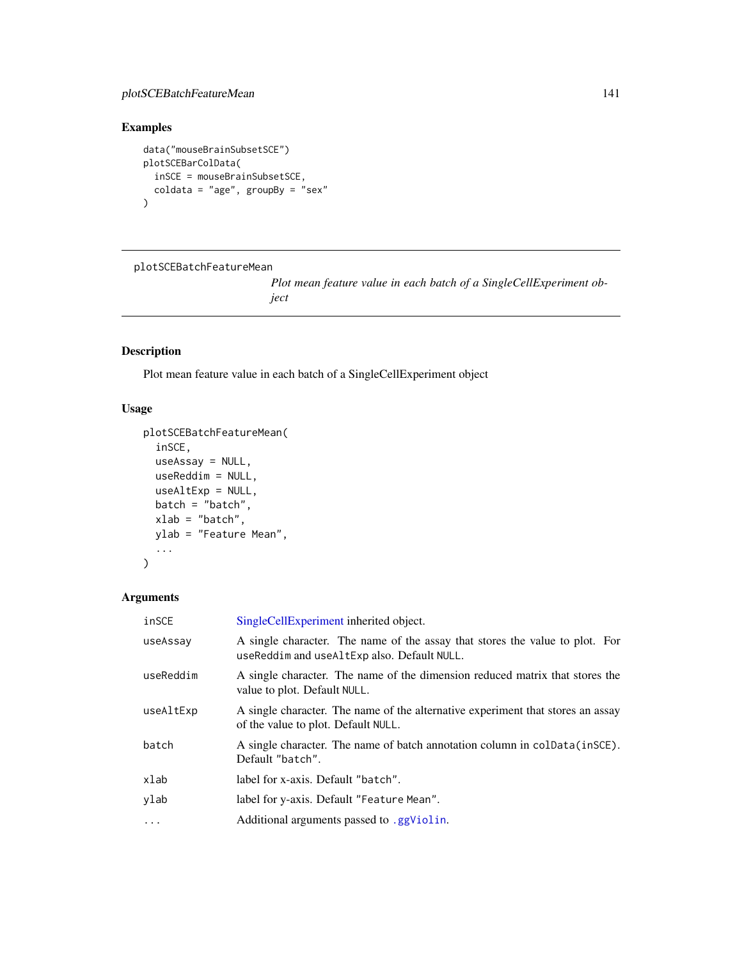## Examples

```
data("mouseBrainSubsetSCE")
plotSCEBarColData(
  inSCE = mouseBrainSubsetSCE,
  coldata = "age", groupBy = "sex"
\overline{)}
```
plotSCEBatchFeatureMean

*Plot mean feature value in each batch of a SingleCellExperiment object*

## Description

Plot mean feature value in each batch of a SingleCellExperiment object

## Usage

```
plotSCEBatchFeatureMean(
  inSCE,
 useAssay = NULL,
 useReddim = NULL,
 useAltExp = NULL,
 batch = "batch",xlab = "batch",
 ylab = "Feature Mean",
  ...
)
```

| inSCE     | SingleCellExperiment inherited object.                                                                                      |
|-----------|-----------------------------------------------------------------------------------------------------------------------------|
| useAssay  | A single character. The name of the assay that stores the value to plot. For<br>useReddim and useAltExp also. Default NULL. |
| useReddim | A single character. The name of the dimension reduced matrix that stores the<br>value to plot. Default NULL.                |
| useAltExp | A single character. The name of the alternative experiment that stores an assay<br>of the value to plot. Default NULL.      |
| batch     | A single character. The name of batch annotation column in colData(inSCE).<br>Default "batch".                              |
| xlab      | label for x-axis. Default "batch".                                                                                          |
| ylab      | label for y-axis. Default "Feature Mean".                                                                                   |
| $\ddotsc$ | Additional arguments passed to .ggViolin.                                                                                   |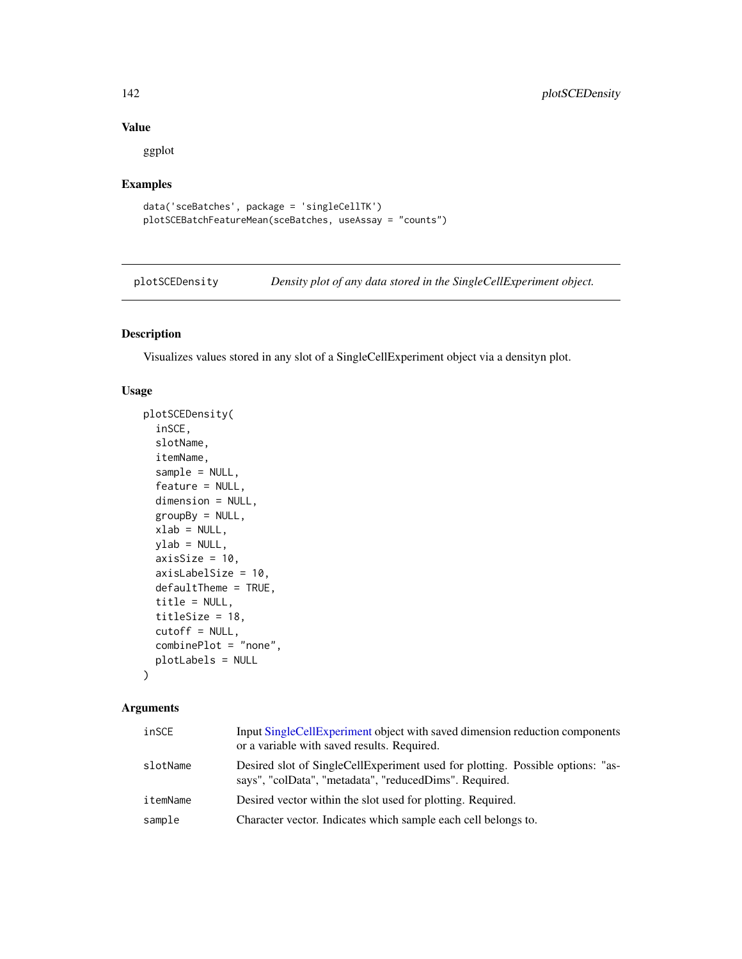ggplot

# Examples

```
data('sceBatches', package = 'singleCellTK')
plotSCEBatchFeatureMean(sceBatches, useAssay = "counts")
```
plotSCEDensity *Density plot of any data stored in the SingleCellExperiment object.*

## Description

Visualizes values stored in any slot of a SingleCellExperiment object via a densityn plot.

#### Usage

```
plotSCEDensity(
  inSCE,
  slotName,
  itemName,
  sample = NULL,
  feature = NULL,
  dimension = NULL,
 groupBy = NULL,xlab = NULL,
 ylab = NULL,
  axisSize = 10,
  axisLabelSize = 10,
  defaultTheme = TRUE,
  title = NULL,
  titleSize = 18,
  cutoff = NULL,
  combinePlot = "none",
 plotLabels = NULL
```
 $\lambda$ 

| inSCE    | Input SingleCellExperiment object with saved dimension reduction components<br>or a variable with saved results. Required.               |
|----------|------------------------------------------------------------------------------------------------------------------------------------------|
| slotName | Desired slot of SingleCellExperiment used for plotting. Possible options: "as-<br>says", "colData", "metadata", "reducedDims". Required. |
| itemName | Desired vector within the slot used for plotting. Required.                                                                              |
| sample   | Character vector. Indicates which sample each cell belongs to.                                                                           |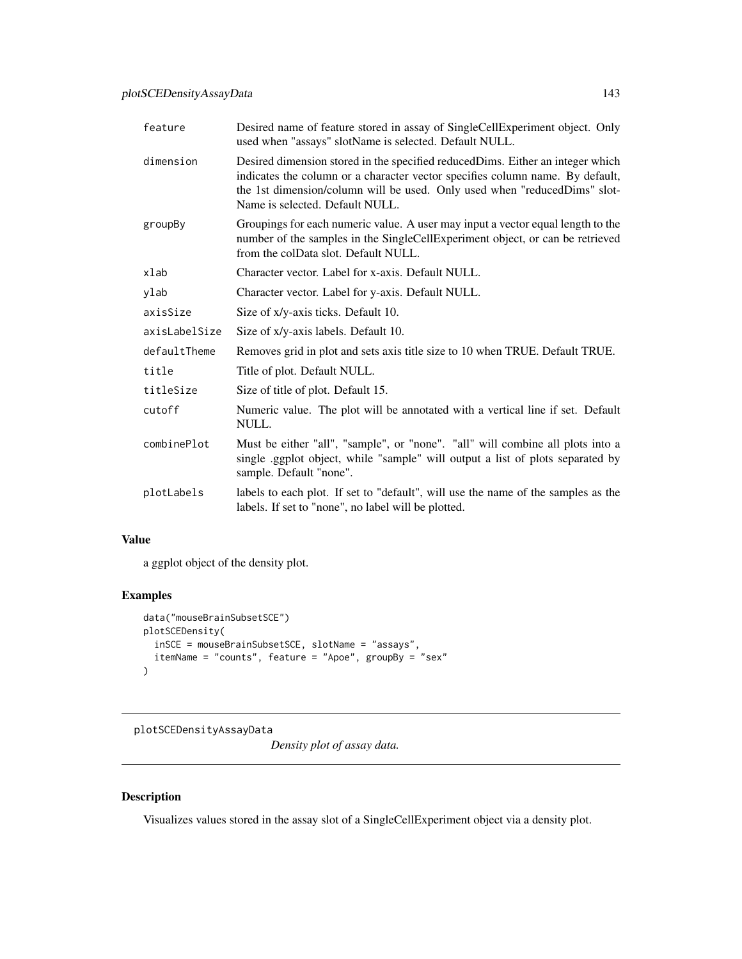| feature       | Desired name of feature stored in assay of SingleCellExperiment object. Only<br>used when "assays" slotName is selected. Default NULL.                                                                                                                                          |
|---------------|---------------------------------------------------------------------------------------------------------------------------------------------------------------------------------------------------------------------------------------------------------------------------------|
| dimension     | Desired dimension stored in the specified reducedDims. Either an integer which<br>indicates the column or a character vector specifies column name. By default,<br>the 1st dimension/column will be used. Only used when "reducedDims" slot-<br>Name is selected. Default NULL. |
| groupBy       | Groupings for each numeric value. A user may input a vector equal length to the<br>number of the samples in the SingleCellExperiment object, or can be retrieved<br>from the colData slot. Default NULL.                                                                        |
| xlab          | Character vector. Label for x-axis. Default NULL.                                                                                                                                                                                                                               |
| ylab          | Character vector. Label for y-axis. Default NULL.                                                                                                                                                                                                                               |
| axisSize      | Size of x/y-axis ticks. Default 10.                                                                                                                                                                                                                                             |
| axisLabelSize | Size of x/y-axis labels. Default 10.                                                                                                                                                                                                                                            |
| defaultTheme  | Removes grid in plot and sets axis title size to 10 when TRUE. Default TRUE.                                                                                                                                                                                                    |
| title         | Title of plot. Default NULL.                                                                                                                                                                                                                                                    |
| titleSize     | Size of title of plot. Default 15.                                                                                                                                                                                                                                              |
| cutoff        | Numeric value. The plot will be annotated with a vertical line if set. Default<br>NULL.                                                                                                                                                                                         |
| combinePlot   | Must be either "all", "sample", or "none". "all" will combine all plots into a<br>single ggplot object, while "sample" will output a list of plots separated by<br>sample. Default "none".                                                                                      |
| plotLabels    | labels to each plot. If set to "default", will use the name of the samples as the<br>labels. If set to "none", no label will be plotted.                                                                                                                                        |

a ggplot object of the density plot.

# Examples

```
data("mouseBrainSubsetSCE")
plotSCEDensity(
  inSCE = mouseBrainSubsetSCE, slotName = "assays",
  itemName = "counts", feature = "Apoe", groupBy = "sex"
)
```
plotSCEDensityAssayData

*Density plot of assay data.*

## Description

Visualizes values stored in the assay slot of a SingleCellExperiment object via a density plot.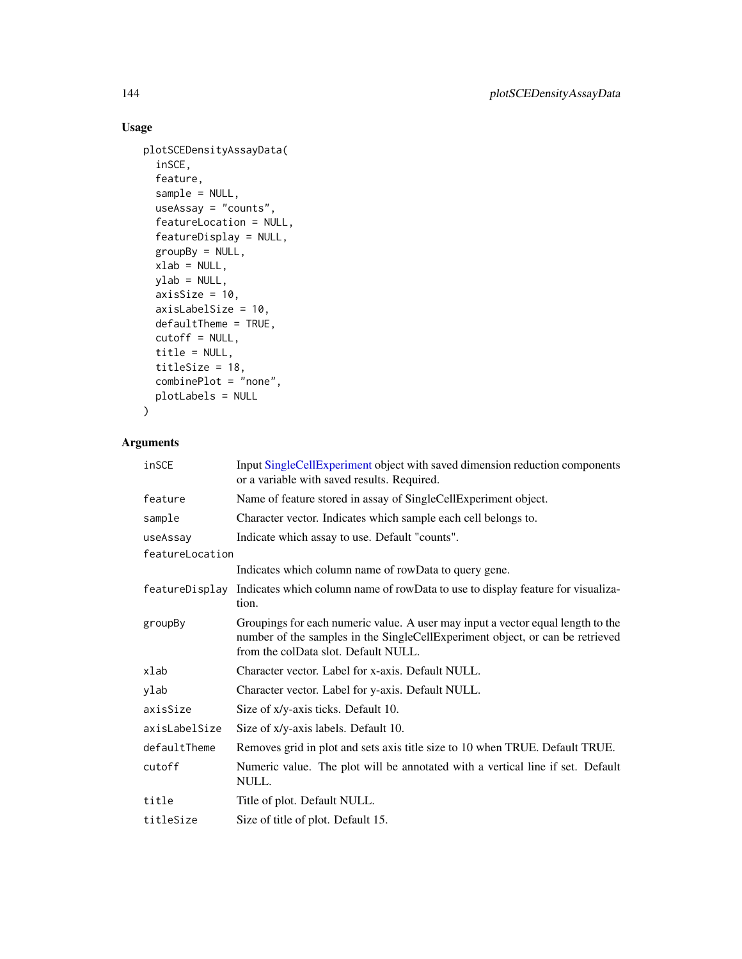# Usage

```
plotSCEDensityAssayData(
 inSCE,
 feature,
 sample = NULL,
 useAssay = "counts",
 featureLocation = NULL,
 featureDisplay = NULL,
 groupBy = NULL,
 xlab = NULL,
 ylab = NULL,
 axisSize = 10,
 axisLabelSize = 10,
 defaultTheme = TRUE,
 cutoff = NULL,
 title = NULL,
 titleSize = 18,
 combinePlot = "none",
 plotLabels = NULL
```

```
\mathcal{L}
```

| inSCE           | Input SingleCellExperiment object with saved dimension reduction components<br>or a variable with saved results. Required.                                                                               |
|-----------------|----------------------------------------------------------------------------------------------------------------------------------------------------------------------------------------------------------|
| feature         | Name of feature stored in assay of SingleCellExperiment object.                                                                                                                                          |
| sample          | Character vector. Indicates which sample each cell belongs to.                                                                                                                                           |
| useAssay        | Indicate which assay to use. Default "counts".                                                                                                                                                           |
| featureLocation |                                                                                                                                                                                                          |
|                 | Indicates which column name of rowData to query gene.                                                                                                                                                    |
| featureDisplay  | Indicates which column name of rowData to use to display feature for visualiza-<br>tion.                                                                                                                 |
| groupBy         | Groupings for each numeric value. A user may input a vector equal length to the<br>number of the samples in the SingleCellExperiment object, or can be retrieved<br>from the colData slot. Default NULL. |
| xlab            | Character vector. Label for x-axis. Default NULL.                                                                                                                                                        |
| ylab            | Character vector. Label for y-axis. Default NULL.                                                                                                                                                        |
| axisSize        | Size of x/y-axis ticks. Default 10.                                                                                                                                                                      |
| axisLabelSize   | Size of x/y-axis labels. Default 10.                                                                                                                                                                     |
| defaultTheme    | Removes grid in plot and sets axis title size to 10 when TRUE. Default TRUE.                                                                                                                             |
| cutoff          | Numeric value. The plot will be annotated with a vertical line if set. Default<br>NULL.                                                                                                                  |
| title           | Title of plot. Default NULL.                                                                                                                                                                             |
| titleSize       | Size of title of plot. Default 15.                                                                                                                                                                       |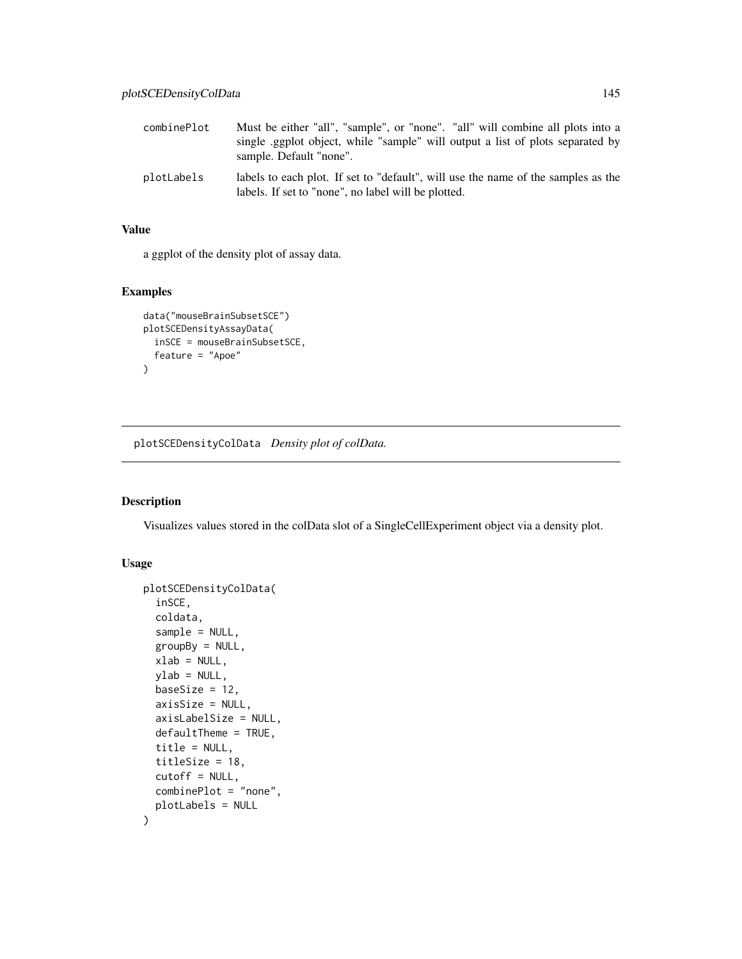| combinePlot | Must be either "all", "sample", or "none". "all" will combine all plots into a<br>single eggplot object, while "sample" will output a list of plots separated by<br>sample. Default "none". |
|-------------|---------------------------------------------------------------------------------------------------------------------------------------------------------------------------------------------|
| plotLabels  | labels to each plot. If set to "default", will use the name of the samples as the<br>labels. If set to "none", no label will be plotted.                                                    |

a ggplot of the density plot of assay data.

# Examples

```
data("mouseBrainSubsetSCE")
plotSCEDensityAssayData(
  inSCE = mouseBrainSubsetSCE,
  feature = "Apoe"
\mathcal{L}
```
plotSCEDensityColData *Density plot of colData.*

#### Description

Visualizes values stored in the colData slot of a SingleCellExperiment object via a density plot.

```
plotSCEDensityColData(
  inSCE,
  coldata,
  sample = NULL,
  groupBy = NULL,
  xlab = NULL,
 ylab = NULL,
  baseSize = 12,
  axisSize = NULL,
  axisLabelSize = NULL,
  defaultTheme = TRUE,
  title = NULL,
  titleSize = 18,
  cutoff = NULL,
  combinePlot = "none",
  plotLabels = NULL
\mathcal{E}
```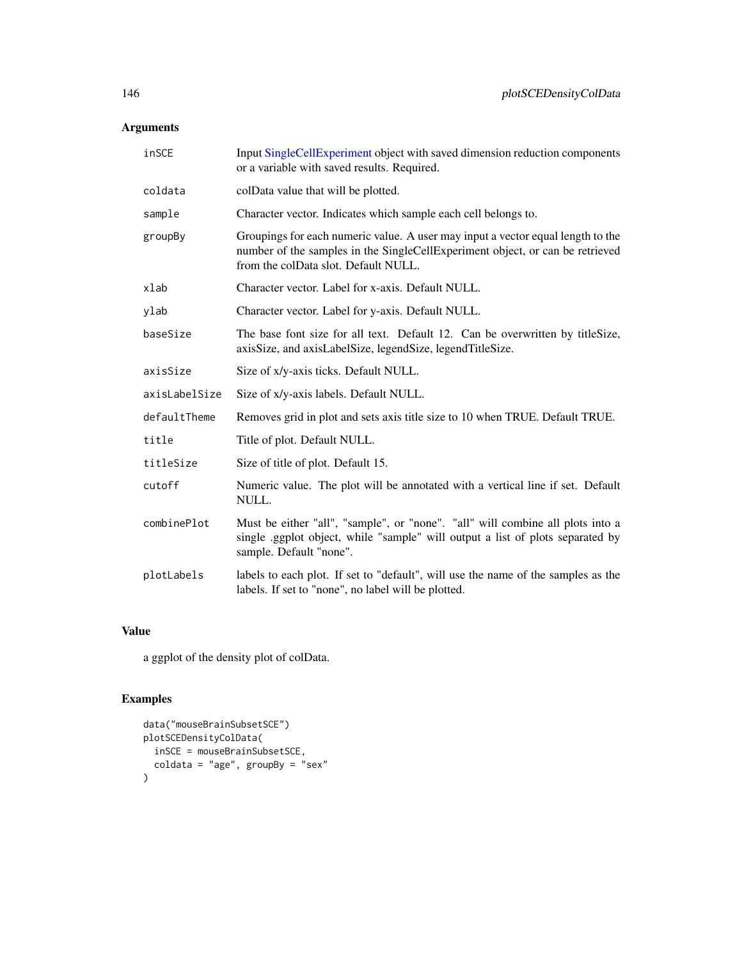# Arguments

| inSCE         | Input SingleCellExperiment object with saved dimension reduction components<br>or a variable with saved results. Required.                                                                               |
|---------------|----------------------------------------------------------------------------------------------------------------------------------------------------------------------------------------------------------|
| coldata       | colData value that will be plotted.                                                                                                                                                                      |
| sample        | Character vector. Indicates which sample each cell belongs to.                                                                                                                                           |
| groupBy       | Groupings for each numeric value. A user may input a vector equal length to the<br>number of the samples in the SingleCellExperiment object, or can be retrieved<br>from the colData slot. Default NULL. |
| xlab          | Character vector. Label for x-axis. Default NULL.                                                                                                                                                        |
| ylab          | Character vector. Label for y-axis. Default NULL.                                                                                                                                                        |
| baseSize      | The base font size for all text. Default 12. Can be overwritten by titleSize,<br>axisSize, and axisLabelSize, legendSize, legendTitleSize.                                                               |
| axisSize      | Size of x/y-axis ticks. Default NULL.                                                                                                                                                                    |
| axisLabelSize | Size of x/y-axis labels. Default NULL.                                                                                                                                                                   |
| defaultTheme  | Removes grid in plot and sets axis title size to 10 when TRUE. Default TRUE.                                                                                                                             |
| title         | Title of plot. Default NULL.                                                                                                                                                                             |
| titleSize     | Size of title of plot. Default 15.                                                                                                                                                                       |
| cutoff        | Numeric value. The plot will be annotated with a vertical line if set. Default<br>NULL.                                                                                                                  |
| combinePlot   | Must be either "all", "sample", or "none". "all" will combine all plots into a<br>single .ggplot object, while "sample" will output a list of plots separated by<br>sample. Default "none".              |
| plotLabels    | labels to each plot. If set to "default", will use the name of the samples as the<br>labels. If set to "none", no label will be plotted.                                                                 |

# Value

a ggplot of the density plot of colData.

```
data("mouseBrainSubsetSCE")
plotSCEDensityColData(
 inSCE = mouseBrainSubsetSCE,
  coldata = "age", groupBy = "sex"
)
```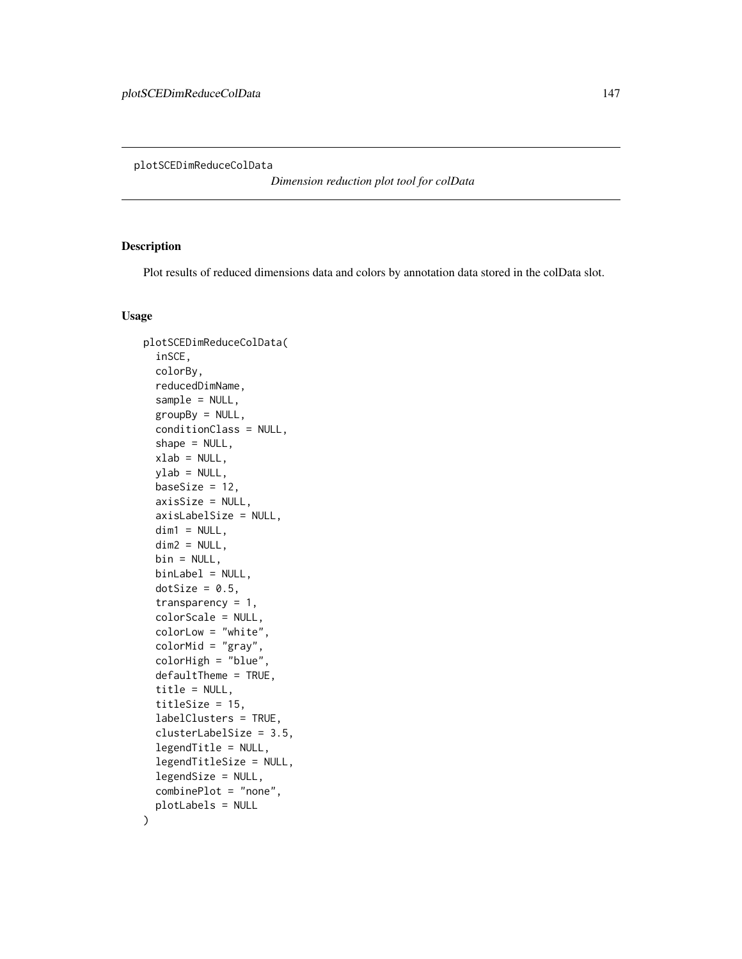<span id="page-146-0"></span>plotSCEDimReduceColData

*Dimension reduction plot tool for colData*

#### Description

Plot results of reduced dimensions data and colors by annotation data stored in the colData slot.

```
plotSCEDimReduceColData(
  inSCE,
  colorBy,
  reducedDimName,
  sample = NULL,
  groupBy = NULL,conditionClass = NULL,
  shape = NULL,
  xlab = NULL,
  ylab = NULL,
  baseSize = 12,
  axisSize = NULL,
  axisLabelSize = NULL,
  dim1 = NULL,dim2 = NULL,bin = NULL,binLabel = NULL,
  dotSize = 0.5,
  transparency = 1,
  colorScale = NULL,
  colorLow = "white",
  colorMid = "gray",
  colorHigh = "blue",
  defaultTheme = TRUE,
  title = NULL,
  titleSize = 15,
  labelClusters = TRUE,
  clusterLabelSize = 3.5,
  legendTitle = NULL,
  legendTitleSize = NULL,
  legendSize = NULL,
  combinePlot = "none",
  plotLabels = NULL
)
```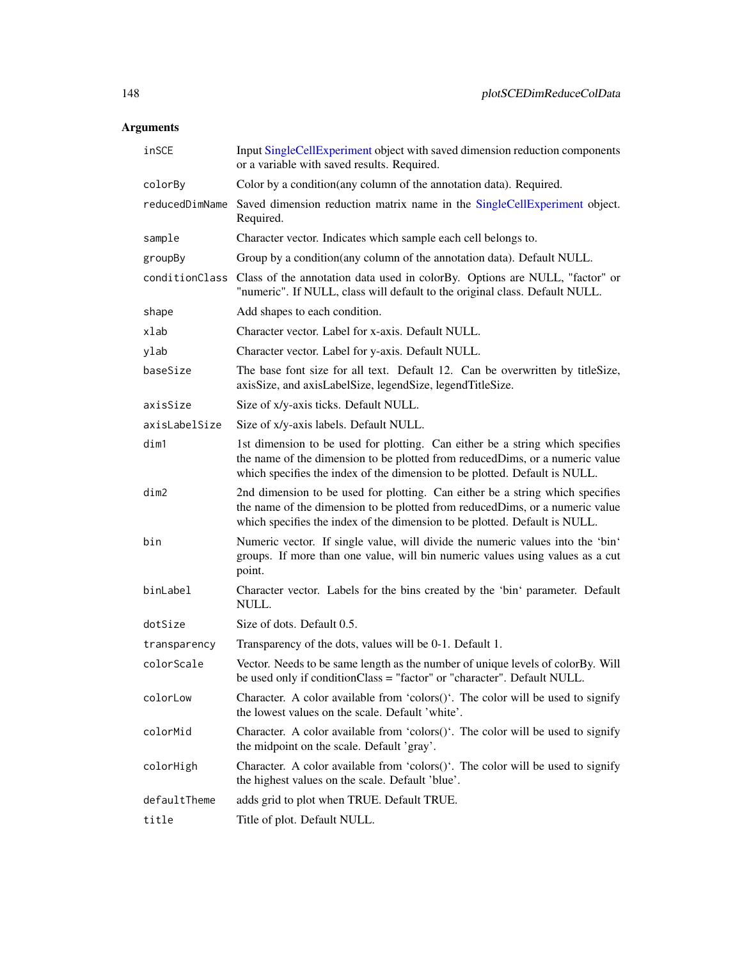| inSCE          | Input SingleCellExperiment object with saved dimension reduction components<br>or a variable with saved results. Required.                                                                                                                   |
|----------------|----------------------------------------------------------------------------------------------------------------------------------------------------------------------------------------------------------------------------------------------|
| colorBy        | Color by a condition(any column of the annotation data). Required.                                                                                                                                                                           |
| reducedDimName | Saved dimension reduction matrix name in the SingleCellExperiment object.<br>Required.                                                                                                                                                       |
| sample         | Character vector. Indicates which sample each cell belongs to.                                                                                                                                                                               |
| groupBy        | Group by a condition(any column of the annotation data). Default NULL.                                                                                                                                                                       |
|                | conditionClass Class of the annotation data used in colorBy. Options are NULL, "factor" or<br>"numeric". If NULL, class will default to the original class. Default NULL.                                                                    |
| shape          | Add shapes to each condition.                                                                                                                                                                                                                |
| xlab           | Character vector. Label for x-axis. Default NULL.                                                                                                                                                                                            |
| ylab           | Character vector. Label for y-axis. Default NULL.                                                                                                                                                                                            |
| baseSize       | The base font size for all text. Default 12. Can be overwritten by titleSize,<br>axisSize, and axisLabelSize, legendSize, legendTitleSize.                                                                                                   |
| axisSize       | Size of x/y-axis ticks. Default NULL.                                                                                                                                                                                                        |
| axisLabelSize  | Size of x/y-axis labels. Default NULL.                                                                                                                                                                                                       |
| dim1           | 1st dimension to be used for plotting. Can either be a string which specifies<br>the name of the dimension to be plotted from reduced Dims, or a numeric value<br>which specifies the index of the dimension to be plotted. Default is NULL. |
| dim2           | 2nd dimension to be used for plotting. Can either be a string which specifies<br>the name of the dimension to be plotted from reduced Dims, or a numeric value<br>which specifies the index of the dimension to be plotted. Default is NULL. |
| bin            | Numeric vector. If single value, will divide the numeric values into the 'bin'<br>groups. If more than one value, will bin numeric values using values as a cut<br>point.                                                                    |
| binLabel       | Character vector. Labels for the bins created by the 'bin' parameter. Default<br>NULL.                                                                                                                                                       |
| dotSize        | Size of dots. Default 0.5.                                                                                                                                                                                                                   |
| transparency   | Transparency of the dots, values will be 0-1. Default 1.                                                                                                                                                                                     |
| colorScale     | Vector. Needs to be same length as the number of unique levels of colorBy. Will<br>be used only if conditionClass = "factor" or "character". Default NULL.                                                                                   |
| colorLow       | Character. A color available from 'colors $()$ '. The color will be used to signify<br>the lowest values on the scale. Default 'white'.                                                                                                      |
| colorMid       | Character. A color available from 'colors()'. The color will be used to signify<br>the midpoint on the scale. Default 'gray'.                                                                                                                |
| colorHigh      | Character. A color available from 'colors()'. The color will be used to signify<br>the highest values on the scale. Default 'blue'.                                                                                                          |
| defaultTheme   | adds grid to plot when TRUE. Default TRUE.                                                                                                                                                                                                   |
| title          | Title of plot. Default NULL.                                                                                                                                                                                                                 |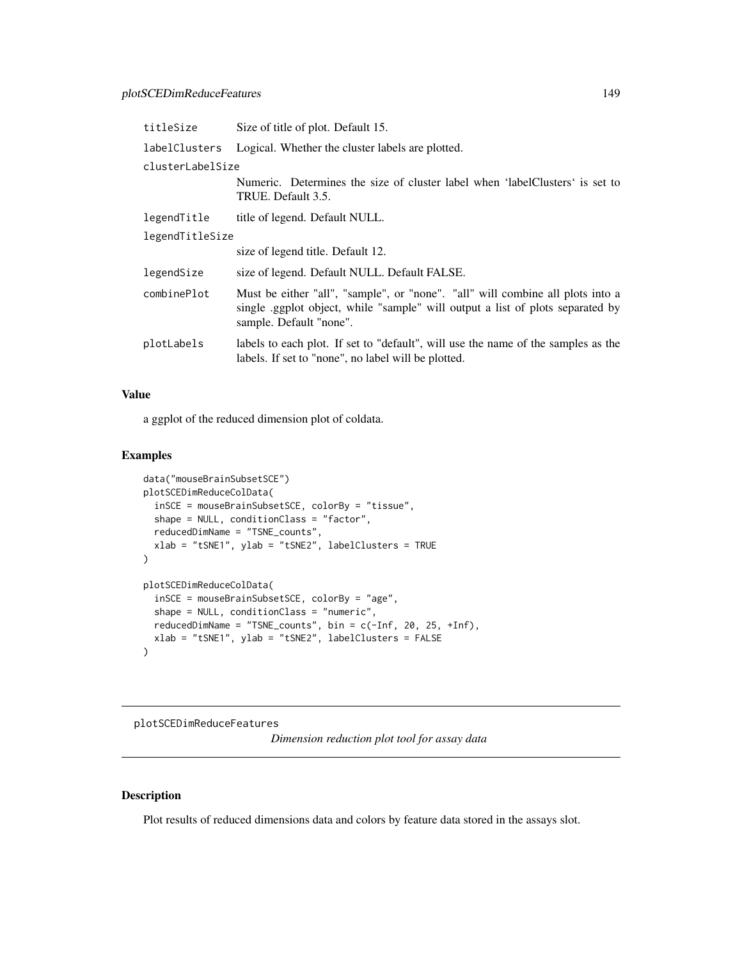| titleSize        | Size of title of plot. Default 15.                                                                                                                                                         |
|------------------|--------------------------------------------------------------------------------------------------------------------------------------------------------------------------------------------|
| labelClusters    | Logical. Whether the cluster labels are plotted.                                                                                                                                           |
| clusterLabelSize |                                                                                                                                                                                            |
|                  | Numeric. Determines the size of cluster label when 'labelClusters' is set to<br>TRUE. Default 3.5.                                                                                         |
| legendTitle      | title of legend. Default NULL.                                                                                                                                                             |
| legendTitleSize  |                                                                                                                                                                                            |
|                  | size of legend title. Default 12.                                                                                                                                                          |
| legendSize       | size of legend. Default NULL. Default FALSE.                                                                                                                                               |
| combinePlot      | Must be either "all", "sample", or "none". "all" will combine all plots into a<br>single ggplot object, while "sample" will output a list of plots separated by<br>sample. Default "none". |
| plotLabels       | labels to each plot. If set to "default", will use the name of the samples as the<br>labels. If set to "none", no label will be plotted.                                                   |

a ggplot of the reduced dimension plot of coldata.

#### Examples

```
data("mouseBrainSubsetSCE")
plotSCEDimReduceColData(
  inSCE = mouseBrainSubsetSCE, colorBy = "tissue",
  shape = NULL, conditionClass = "factor",
  reducedDimName = "TSNE_counts",
  xlab = "tSNE1", ylab = "tSNE2", labelClusters = TRUE
)
plotSCEDimReduceColData(
  inSCE = mouseBrainSubsetSCE, colorBy = "age",
  shape = NULL, conditionClass = "numeric",
  reducedDimName = "TSNE_counts", bin = c(-Inf, 20, 25, +Inf),
  xlab = "tSNE1", ylab = "tSNE2", labelClusters = FALSE
\mathcal{L}
```
plotSCEDimReduceFeatures

*Dimension reduction plot tool for assay data*

#### Description

Plot results of reduced dimensions data and colors by feature data stored in the assays slot.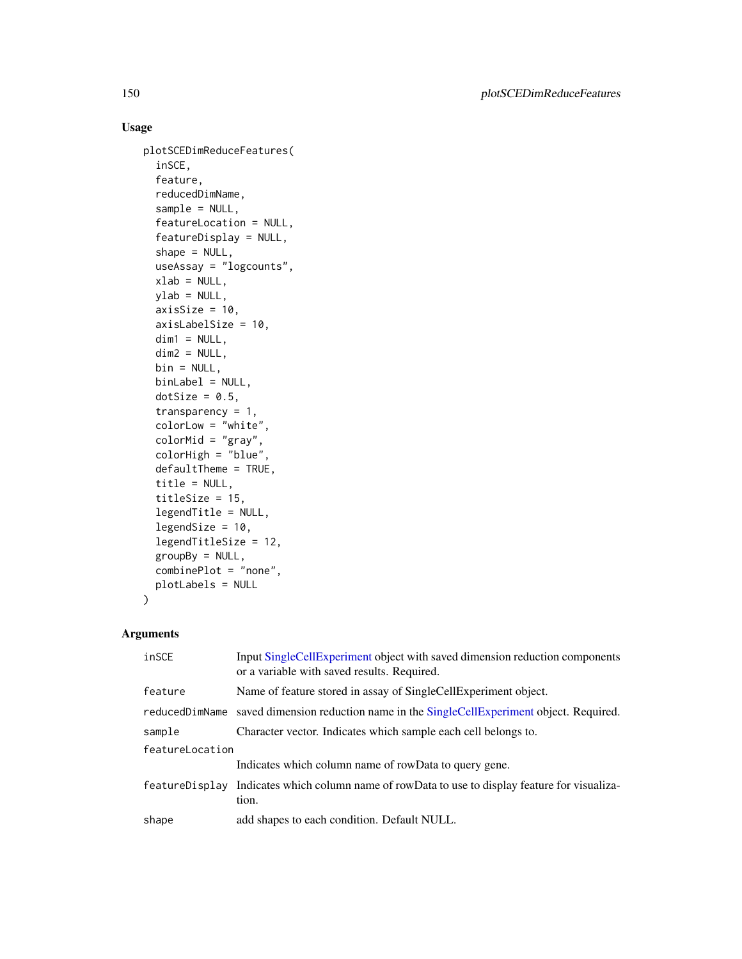# Usage

```
plotSCEDimReduceFeatures(
  inSCE,
  feature,
  reducedDimName,
  sample = NULL,
  featureLocation = NULL,
  featureDisplay = NULL,
  shape = NULL,useAssay = "logcounts",
  xlab = NULL,
 ylab = NULL,
  axisSize = 10,
  axisLabelSize = 10,
  dim1 = NULL,dim2 = NULL,bin = NULL,
 binLabel = NULL,
  dotSize = 0.5,
  transparency = 1,
  colorLow = "white",
  colorMid = "gray",
  colorHigh = "blue",
  defaultTheme = TRUE,
  title = NULL,
  titleSize = 15,
  legendTitle = NULL,
  legendSize = 10,
  legendTitleSize = 12,
  groupBy = NULL,combinePlot = "none",
 plotLabels = NULL
\mathcal{L}
```

| inSCE           | Input SingleCellExperiment object with saved dimension reduction components<br>or a variable with saved results. Required. |  |
|-----------------|----------------------------------------------------------------------------------------------------------------------------|--|
| feature         | Name of feature stored in assay of SingleCellExperiment object.                                                            |  |
|                 | reduced DimName saved dimension reduction name in the Single Cell Experiment object. Required.                             |  |
| sample          | Character vector. Indicates which sample each cell belongs to.                                                             |  |
| featureLocation |                                                                                                                            |  |
|                 | Indicates which column name of rowData to query gene.                                                                      |  |
|                 | feature Display Indicates which column name of rowData to use to display feature for visualiza-<br>tion.                   |  |
| shape           | add shapes to each condition. Default NULL.                                                                                |  |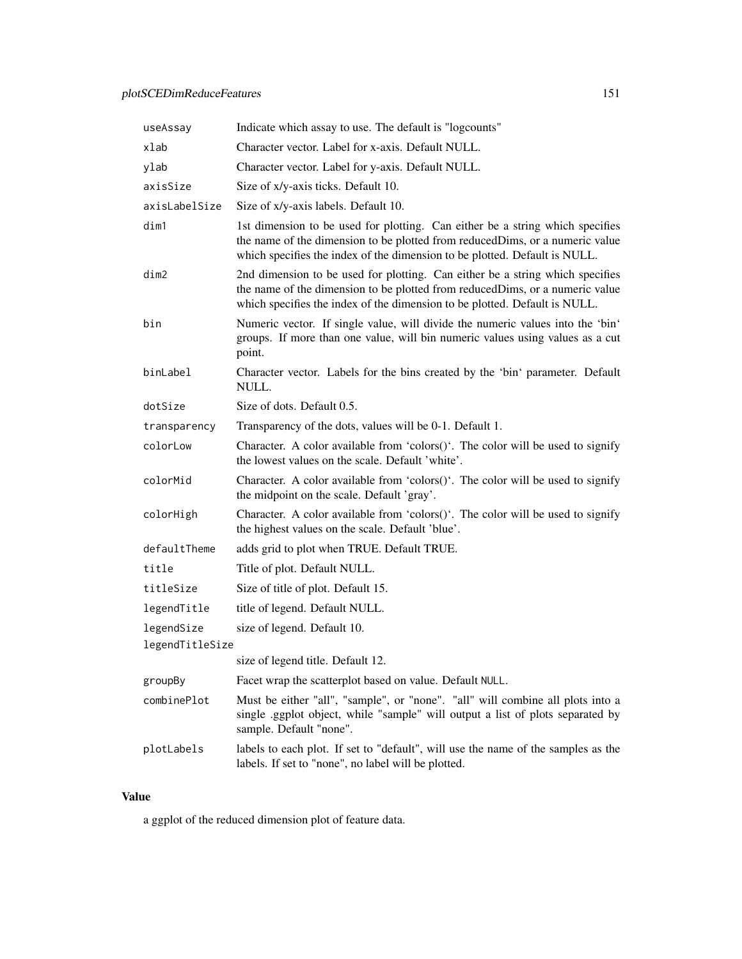| useAssay        | Indicate which assay to use. The default is "logcounts"                                                                                                                                                                                     |
|-----------------|---------------------------------------------------------------------------------------------------------------------------------------------------------------------------------------------------------------------------------------------|
| xlab            | Character vector. Label for x-axis. Default NULL.                                                                                                                                                                                           |
| ylab            | Character vector. Label for y-axis. Default NULL.                                                                                                                                                                                           |
| axisSize        | Size of x/y-axis ticks. Default 10.                                                                                                                                                                                                         |
| axisLabelSize   | Size of x/y-axis labels. Default 10.                                                                                                                                                                                                        |
| dim1            | 1st dimension to be used for plotting. Can either be a string which specifies<br>the name of the dimension to be plotted from reducedDims, or a numeric value<br>which specifies the index of the dimension to be plotted. Default is NULL. |
| dim2            | 2nd dimension to be used for plotting. Can either be a string which specifies<br>the name of the dimension to be plotted from reducedDims, or a numeric value<br>which specifies the index of the dimension to be plotted. Default is NULL. |
| bin             | Numeric vector. If single value, will divide the numeric values into the 'bin'<br>groups. If more than one value, will bin numeric values using values as a cut<br>point.                                                                   |
| binLabel        | Character vector. Labels for the bins created by the 'bin' parameter. Default<br>NULL.                                                                                                                                                      |
| dotSize         | Size of dots. Default 0.5.                                                                                                                                                                                                                  |
| transparency    | Transparency of the dots, values will be 0-1. Default 1.                                                                                                                                                                                    |
| colorLow        | Character. A color available from 'colors $()$ '. The color will be used to signify<br>the lowest values on the scale. Default 'white'.                                                                                                     |
| colorMid        | Character. A color available from 'colors()'. The color will be used to signify<br>the midpoint on the scale. Default 'gray'.                                                                                                               |
| colorHigh       | Character. A color available from 'colors()'. The color will be used to signify<br>the highest values on the scale. Default 'blue'.                                                                                                         |
| defaultTheme    | adds grid to plot when TRUE. Default TRUE.                                                                                                                                                                                                  |
| title           | Title of plot. Default NULL.                                                                                                                                                                                                                |
| titleSize       | Size of title of plot. Default 15.                                                                                                                                                                                                          |
| legendTitle     | title of legend. Default NULL.                                                                                                                                                                                                              |
| legendSize      | size of legend. Default 10.                                                                                                                                                                                                                 |
| legendTitleSize |                                                                                                                                                                                                                                             |
|                 | size of legend title. Default 12                                                                                                                                                                                                            |
| groupBy         | Facet wrap the scatterplot based on value. Default NULL.                                                                                                                                                                                    |
| combinePlot     | Must be either "all", "sample", or "none". "all" will combine all plots into a<br>single .ggplot object, while "sample" will output a list of plots separated by<br>sample. Default "none".                                                 |
| plotLabels      | labels to each plot. If set to "default", will use the name of the samples as the<br>labels. If set to "none", no label will be plotted.                                                                                                    |

a ggplot of the reduced dimension plot of feature data.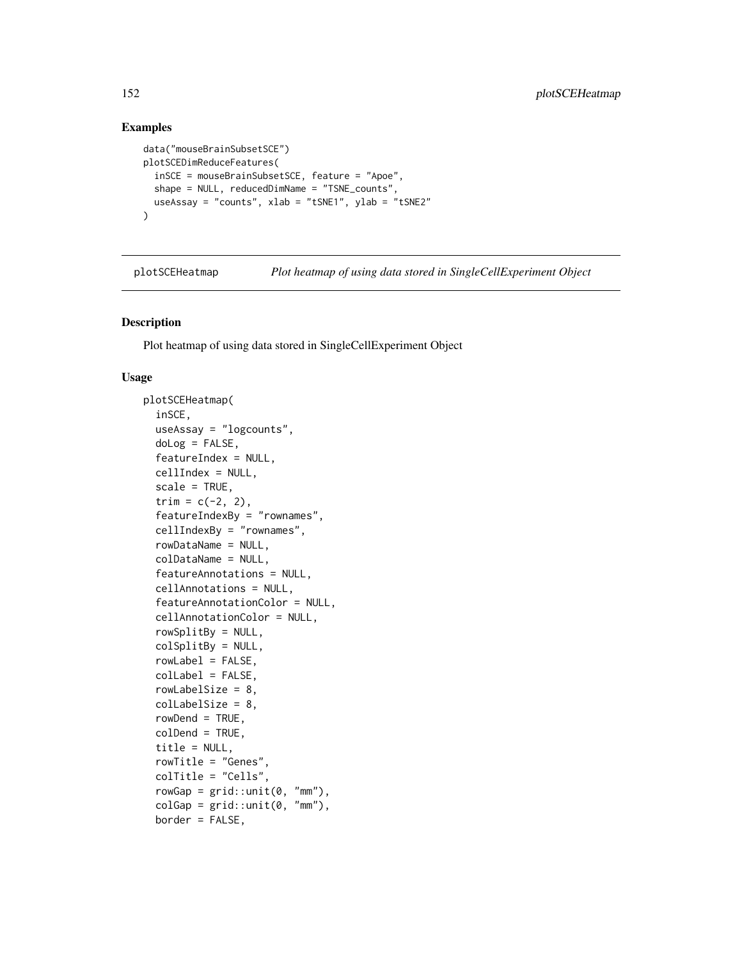# Examples

```
data("mouseBrainSubsetSCE")
plotSCEDimReduceFeatures(
  inSCE = mouseBrainSubsetSCE, feature = "Apoe",
  shape = NULL, reducedDimName = "TSNE_counts",
  useAssay = "counts", xlab = "tSNE1", ylab = "tSNE2"
\mathcal{L}
```
plotSCEHeatmap *Plot heatmap of using data stored in SingleCellExperiment Object*

#### Description

Plot heatmap of using data stored in SingleCellExperiment Object

```
plotSCEHeatmap(
  inSCE,
  useAssay = "logcounts",
  doLog = FALSE,
  featureIndex = NULL,
  cellIndex = NULL,
  scale = TRUE,
  trim = c(-2, 2),
  featureIndexBy = "rownames",
  cellIndexBy = "rownames",
  rowDataName = NULL,
  colDataName = NULL,
  featureAnnotations = NULL,
  cellAnnotations = NULL,
  featureAnnotationColor = NULL,
  cellAnnotationColor = NULL,
  rowSplitBy = NULL,
  colSplitBy = NULL,
  rowLabel = FALSE,
  collabel = FALSE,rowLabelSize = 8,
  colLabelSize = 8,
  rowDend = TRUE,colDend = TRUE,
  title = NULL,
  rowTitle = "Genes",
  colTitle = "Cells",
  rowGap = grid::unit(0, "mm"),
  colGap = grid::unit(0, "mm"),
  border = FALSE,
```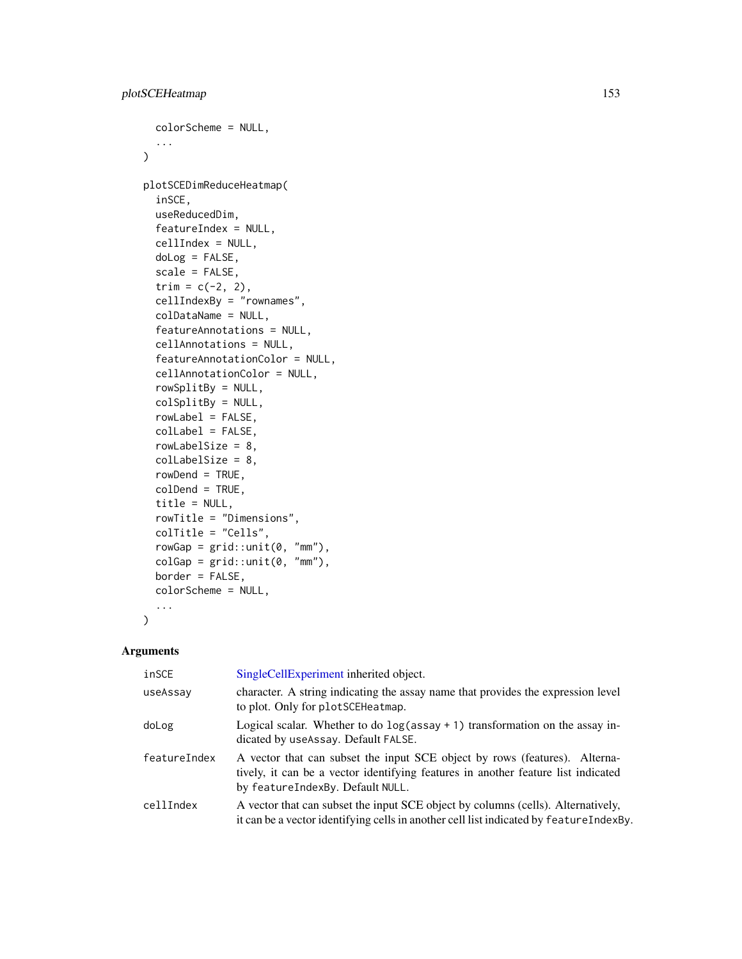```
colorScheme = NULL,
  ...
\lambdaplotSCEDimReduceHeatmap(
  inSCE,
 useReducedDim,
  featureIndex = NULL,
  cellIndex = NULL,
  doLog = FALSE,
  scale = FALSE,
  trim = c(-2, 2),
  cellIndexBy = "rownames",
  colDataName = NULL,
  featureAnnotations = NULL,
  cellAnnotations = NULL,
  featureAnnotationColor = NULL,
  cellAnnotationColor = NULL,
  rowSplitBy = NULL,
  colSplitBy = NULL,
  rowLabel = FALSE,
  colLabel = FALSE,
  rowLabelSize = 8,
  colLabelSize = 8,
  rowDend = TRUE,
  colDend = TRUE,
  title = NULL,
  rowTitle = "Dimensions",
  colTitle = "Cells",
  rowGap = grid::unit(0, "mm"),
  colGap = grid::unit(0, "mm"),
 border = FALSE,
  colorScheme = NULL,
  ...
\mathcal{L}
```

| inSCE        | SingleCellExperiment inherited object.                                                                                                                                                              |
|--------------|-----------------------------------------------------------------------------------------------------------------------------------------------------------------------------------------------------|
| useAssay     | character. A string indicating the assay name that provides the expression level<br>to plot. Only for plotSCEHeatmap.                                                                               |
| doLog        | Logical scalar. Whether to do $log($ assay + 1) transformation on the assay in-<br>dicated by useAssay. Default FALSE.                                                                              |
| featureIndex | A vector that can subset the input SCE object by rows (features). Alterna-<br>tively, it can be a vector identifying features in another feature list indicated<br>by featureIndexBy. Default NULL. |
| cellIndex    | A vector that can subset the input SCE object by columns (cells). Alternatively,<br>it can be a vector identifying cells in another cell list indicated by feature Index By.                        |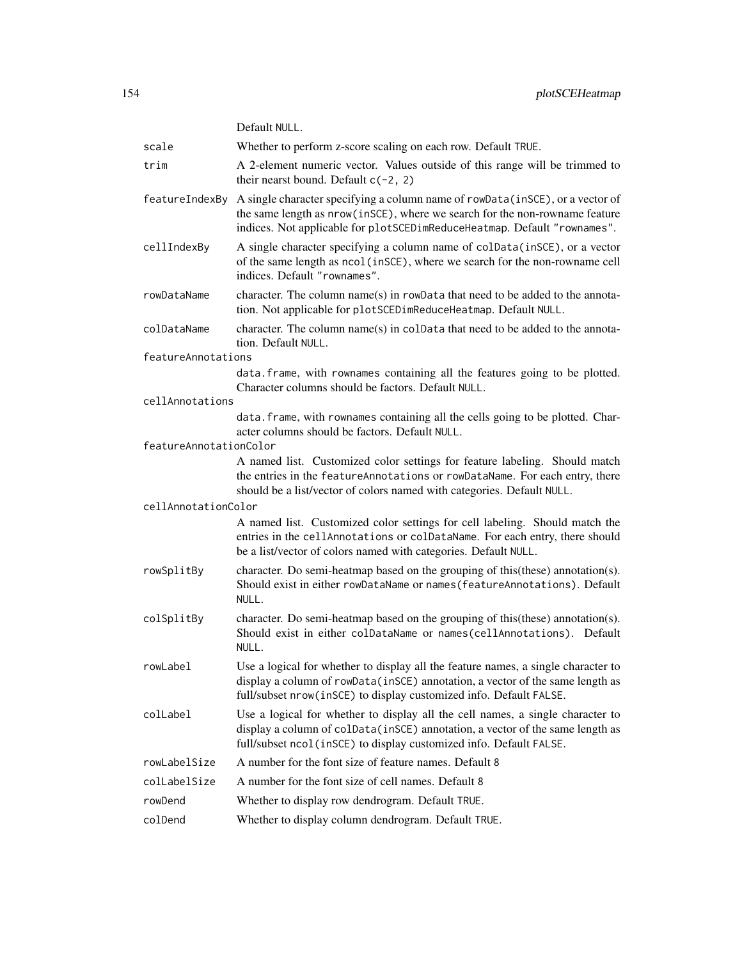|                        | Default NULL.                                                                                                                                                                                                                            |
|------------------------|------------------------------------------------------------------------------------------------------------------------------------------------------------------------------------------------------------------------------------------|
| scale                  | Whether to perform z-score scaling on each row. Default TRUE.                                                                                                                                                                            |
| trim                   | A 2-element numeric vector. Values outside of this range will be trimmed to<br>their nearst bound. Default $c(-2, 2)$                                                                                                                    |
| featureIndexBy         | A single character specifying a column name of rowData(inSCE), or a vector of<br>the same length as nrow(inSCE), where we search for the non-rowname feature<br>indices. Not applicable for plotSCEDimReduceHeatmap. Default "rownames". |
| cellIndexBy            | A single character specifying a column name of colData(inSCE), or a vector<br>of the same length as ncol (inSCE), where we search for the non-rowname cell<br>indices. Default "rownames".                                               |
| rowDataName            | character. The column name(s) in rowData that need to be added to the annota-<br>tion. Not applicable for plotSCEDimReduceHeatmap. Default NULL.                                                                                         |
| colDataName            | character. The column name(s) in coldata that need to be added to the annota-<br>tion. Default NULL.                                                                                                                                     |
| featureAnnotations     |                                                                                                                                                                                                                                          |
|                        | data. frame, with rownames containing all the features going to be plotted.<br>Character columns should be factors. Default NULL.                                                                                                        |
| cellAnnotations        |                                                                                                                                                                                                                                          |
|                        | data. frame, with rownames containing all the cells going to be plotted. Char-<br>acter columns should be factors. Default NULL.                                                                                                         |
| featureAnnotationColor |                                                                                                                                                                                                                                          |
|                        | A named list. Customized color settings for feature labeling. Should match<br>the entries in the featureAnnotations or rowDataName. For each entry, there<br>should be a list/vector of colors named with categories. Default NULL.      |
| cellAnnotationColor    |                                                                                                                                                                                                                                          |
|                        | A named list. Customized color settings for cell labeling. Should match the<br>entries in the cellAnnotations or colDataName. For each entry, there should<br>be a list/vector of colors named with categories. Default NULL.            |
| rowSplitBy             | character. Do semi-heatmap based on the grouping of this(these) annotation(s).<br>Should exist in either rowDataName or names (featureAnnotations). Default<br>NULL.                                                                     |
| colSplitBy             | character. Do semi-heatmap based on the grouping of this (these) annotation(s).<br>Should exist in either colDataName or names(cellAnnotations). Default<br>NULL.                                                                        |
| rowLabel               | Use a logical for whether to display all the feature names, a single character to<br>display a column of rowData(inSCE) annotation, a vector of the same length as<br>full/subset nrow(inSCE) to display customized info. Default FALSE. |
| colLabel               | Use a logical for whether to display all the cell names, a single character to<br>display a column of colData(inSCE) annotation, a vector of the same length as<br>full/subset ncol(inSCE) to display customized info. Default FALSE.    |
| rowLabelSize           | A number for the font size of feature names. Default 8                                                                                                                                                                                   |
| colLabelSize           | A number for the font size of cell names. Default 8                                                                                                                                                                                      |
| rowDend                | Whether to display row dendrogram. Default TRUE.                                                                                                                                                                                         |
| colDend                | Whether to display column dendrogram. Default TRUE.                                                                                                                                                                                      |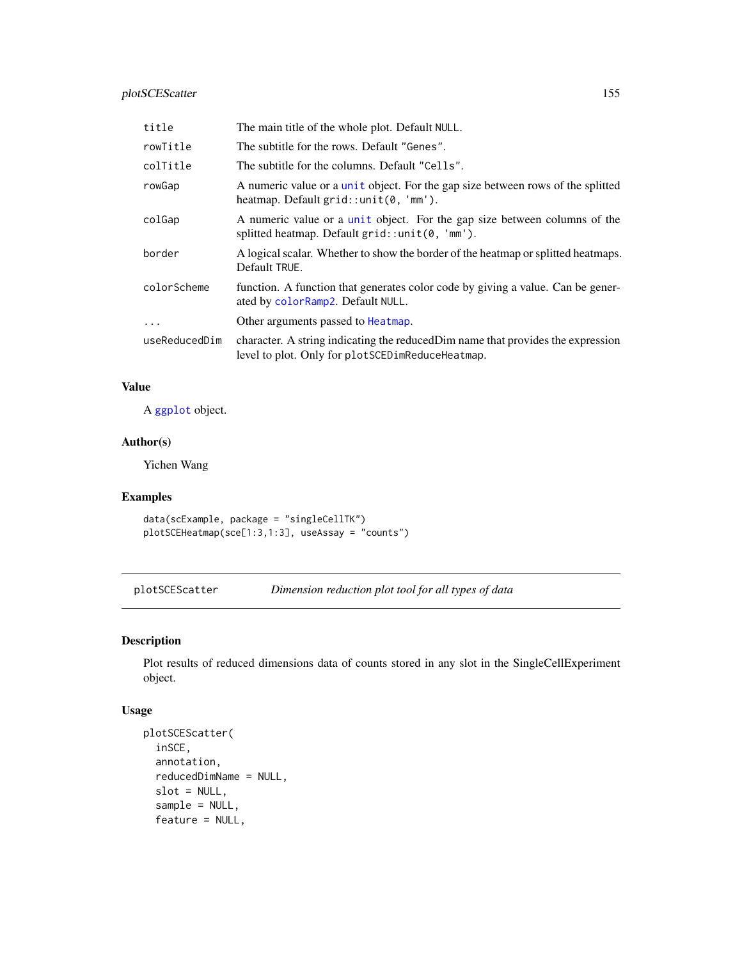# plotSCEScatter 155

| title         | The main title of the whole plot. Default NULL.                                                                                      |
|---------------|--------------------------------------------------------------------------------------------------------------------------------------|
| rowTitle      | The subtitle for the rows. Default "Genes".                                                                                          |
| colTitle      | The subtitle for the columns. Default "Cells".                                                                                       |
| rowGap        | A numeric value or a unit object. For the gap size between rows of the splitted<br>heatmap. Default $grid::unit(0, 'mm').$           |
| colGap        | A numeric value or a unit object. For the gap size between columns of the<br>splitted heatmap. Default $grid::unit(0, 'mm').$        |
| border        | A logical scalar. Whether to show the border of the heatmap or splitted heatmaps.<br>Default TRUE.                                   |
| colorScheme   | function. A function that generates color code by giving a value. Can be gener-<br>ated by colorRamp2. Default NULL.                 |
| $\ddotsc$     | Other arguments passed to Heatmap.                                                                                                   |
| useReducedDim | character. A string indicating the reduced Dim name that provides the expression<br>level to plot. Only for plotSCEDimReduceHeatmap. |

# Value

A [ggplot](#page-0-0) object.

# Author(s)

Yichen Wang

# Examples

```
data(scExample, package = "singleCellTK")
plotSCEHeatmap(sce[1:3,1:3], useAssay = "counts")
```
plotSCEScatter *Dimension reduction plot tool for all types of data*

# Description

Plot results of reduced dimensions data of counts stored in any slot in the SingleCellExperiment object.

```
plotSCEScatter(
  inSCE,
  annotation,
  reducedDimName = NULL,
  slot = NULL,
  sample = NULL,
  feature = NULL,
```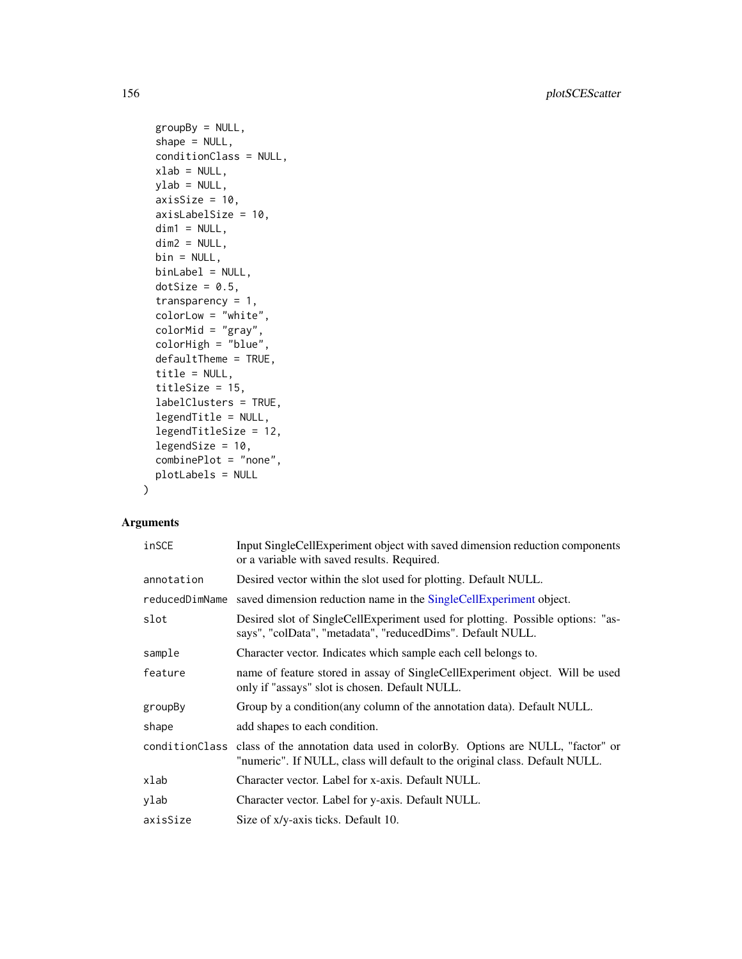156 plotSCEScatter

```
groupBy = NULL,shape = NULL,
 conditionClass = NULL,
 xlab = NULL,ylab = NULL,
 axisSize = 10,
 axisLabelSize = 10,
 dim1 = NULL,dim2 = NULL,bin = NULL,binLabel = NULL,
 dotSize = 0.5,
  transparency = 1,
 colorLow = "white",
 colorMid = "gray",
  colorHigh = "blue",
 defaultTheme = TRUE,
  title = NULL,
  titleSize = 15,
 labelClusters = TRUE,
  legendTitle = NULL,
  legendTitleSize = 12,
  legendSize = 10,
  combinePlot = "none",
 plotLabels = NULL
\mathcal{L}
```

| inSCE          | Input SingleCellExperiment object with saved dimension reduction components<br>or a variable with saved results. Required.                                                |
|----------------|---------------------------------------------------------------------------------------------------------------------------------------------------------------------------|
| annotation     | Desired vector within the slot used for plotting. Default NULL.                                                                                                           |
| reducedDimName | saved dimension reduction name in the SingleCellExperiment object.                                                                                                        |
| slot           | Desired slot of SingleCellExperiment used for plotting. Possible options: "as-<br>says", "colData", "metadata", "reducedDims". Default NULL.                              |
| sample         | Character vector. Indicates which sample each cell belongs to.                                                                                                            |
| feature        | name of feature stored in assay of SingleCellExperiment object. Will be used<br>only if "assays" slot is chosen. Default NULL.                                            |
| groupBy        | Group by a condition (any column of the annotation data). Default NULL.                                                                                                   |
| shape          | add shapes to each condition.                                                                                                                                             |
|                | conditionClass class of the annotation data used in colorBy. Options are NULL, "factor" or<br>"numeric". If NULL, class will default to the original class. Default NULL. |
| xlab           | Character vector. Label for x-axis. Default NULL.                                                                                                                         |
| ylab           | Character vector. Label for y-axis. Default NULL.                                                                                                                         |
| axisSize       | Size of x/y-axis ticks. Default 10.                                                                                                                                       |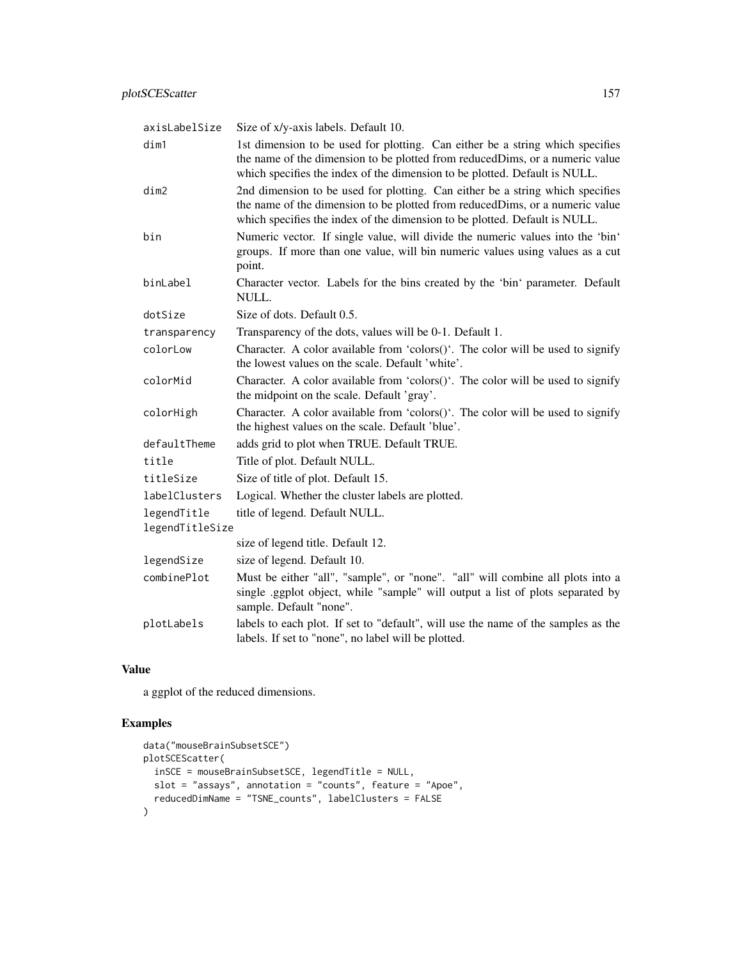| axisLabelSize                  | Size of x/y-axis labels. Default 10.                                                                                                                                                                                                         |
|--------------------------------|----------------------------------------------------------------------------------------------------------------------------------------------------------------------------------------------------------------------------------------------|
| dim1                           | 1st dimension to be used for plotting. Can either be a string which specifies<br>the name of the dimension to be plotted from reduced Dims, or a numeric value<br>which specifies the index of the dimension to be plotted. Default is NULL. |
| dim2                           | 2nd dimension to be used for plotting. Can either be a string which specifies<br>the name of the dimension to be plotted from reducedDims, or a numeric value<br>which specifies the index of the dimension to be plotted. Default is NULL.  |
| bin                            | Numeric vector. If single value, will divide the numeric values into the 'bin'<br>groups. If more than one value, will bin numeric values using values as a cut<br>point.                                                                    |
| binLabel                       | Character vector. Labels for the bins created by the 'bin' parameter. Default<br>NULL.                                                                                                                                                       |
| dotSize                        | Size of dots. Default 0.5.                                                                                                                                                                                                                   |
| transparency                   | Transparency of the dots, values will be 0-1. Default 1.                                                                                                                                                                                     |
| colorLow                       | Character. A color available from 'colors()'. The color will be used to signify<br>the lowest values on the scale. Default 'white'.                                                                                                          |
| colorMid                       | Character. A color available from 'colors()'. The color will be used to signify<br>the midpoint on the scale. Default 'gray'.                                                                                                                |
| colorHigh                      | Character. A color available from 'colors()'. The color will be used to signify<br>the highest values on the scale. Default 'blue'.                                                                                                          |
| defaultTheme                   | adds grid to plot when TRUE. Default TRUE.                                                                                                                                                                                                   |
| title                          | Title of plot. Default NULL.                                                                                                                                                                                                                 |
| titleSize                      | Size of title of plot. Default 15.                                                                                                                                                                                                           |
| labelClusters                  | Logical. Whether the cluster labels are plotted.                                                                                                                                                                                             |
| legendTitle<br>legendTitleSize | title of legend. Default NULL.                                                                                                                                                                                                               |
|                                | size of legend title. Default 12.                                                                                                                                                                                                            |
| legendSize                     | size of legend. Default 10.                                                                                                                                                                                                                  |
| combinePlot                    | Must be either "all", "sample", or "none". "all" will combine all plots into a<br>single .ggplot object, while "sample" will output a list of plots separated by<br>sample. Default "none".                                                  |
| plotLabels                     | labels to each plot. If set to "default", will use the name of the samples as the<br>labels. If set to "none", no label will be plotted.                                                                                                     |

a ggplot of the reduced dimensions.

```
data("mouseBrainSubsetSCE")
plotSCEScatter(
  inSCE = mouseBrainSubsetSCE, legendTitle = NULL,
  slot = "assays", annotation = "counts", feature = "Apoe",
  reducedDimName = "TSNE_counts", labelClusters = FALSE
\overline{)}
```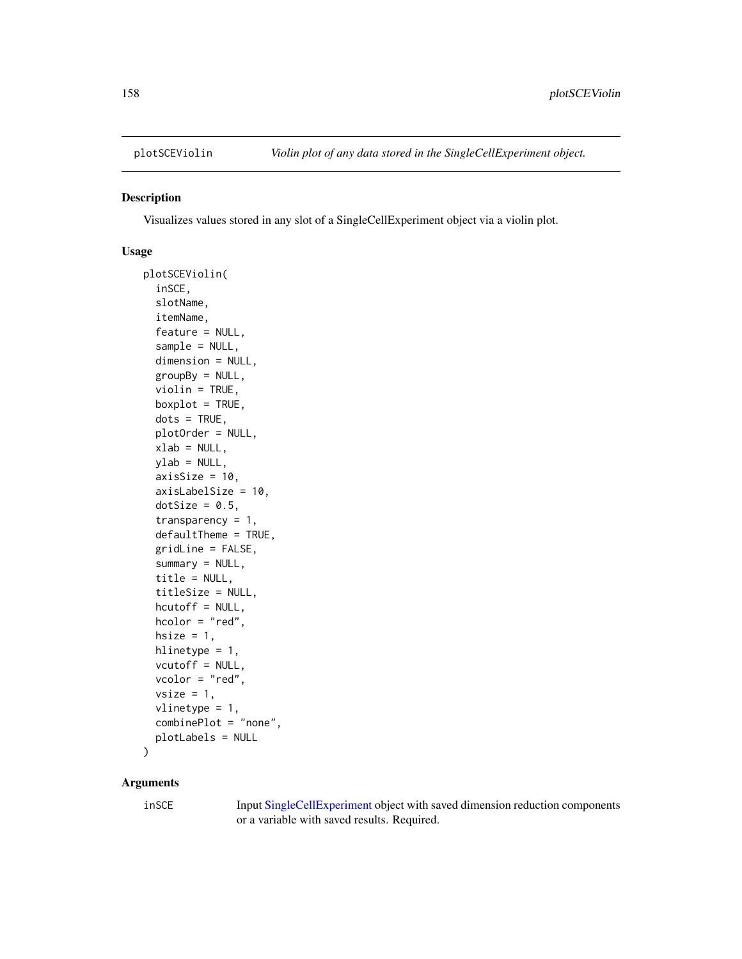#### Description

Visualizes values stored in any slot of a SingleCellExperiment object via a violin plot.

#### Usage

```
plotSCEViolin(
  inSCE,
  slotName,
  itemName,
  feature = NULL,
  sample = NULL,
  dimension = NULL,
  groupBy = NULL,violin = TRUE,
 boxplot = TRUE,dots = TRUE,plotOrder = NULL,
  xlab = NULL,
 ylab = NULL,
  axisSize = 10,
  axisLabelSize = 10,
  dotSize = 0.5,
  transparency = 1,
  defaultTheme = TRUE,
  gridLine = FALSE,
  summary = NULL,
  title = NULL,
  titleSize = NULL,
  hcutoff = NULL,
 hcolor = "red",hsize = 1,
 hlinetype = 1,
  vcutoff = NULL,
  vcolor = "red",
  vsize = 1,
  vlinetype = 1,
  combinePlot = "none",
 plotLabels = NULL
\mathcal{L}
```
# Arguments

inSCE Input [SingleCellExperiment](#page-0-0) object with saved dimension reduction components or a variable with saved results. Required.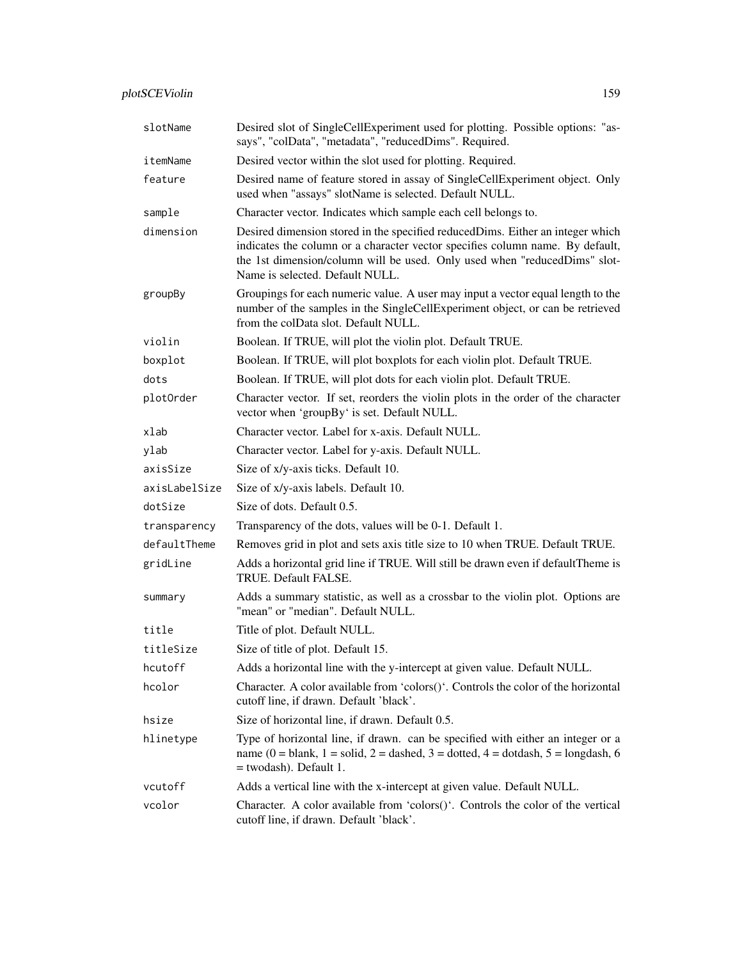| slotName      | Desired slot of SingleCellExperiment used for plotting. Possible options: "as-<br>says", "colData", "metadata", "reducedDims". Required.                                                                                                                                         |
|---------------|----------------------------------------------------------------------------------------------------------------------------------------------------------------------------------------------------------------------------------------------------------------------------------|
| itemName      | Desired vector within the slot used for plotting. Required.                                                                                                                                                                                                                      |
| feature       | Desired name of feature stored in assay of SingleCellExperiment object. Only<br>used when "assays" slotName is selected. Default NULL.                                                                                                                                           |
| sample        | Character vector. Indicates which sample each cell belongs to.                                                                                                                                                                                                                   |
| dimension     | Desired dimension stored in the specified reduced Dims. Either an integer which<br>indicates the column or a character vector specifies column name. By default,<br>the 1st dimension/column will be used. Only used when "reducedDims" slot-<br>Name is selected. Default NULL. |
| groupBy       | Groupings for each numeric value. A user may input a vector equal length to the<br>number of the samples in the SingleCellExperiment object, or can be retrieved<br>from the colData slot. Default NULL.                                                                         |
| violin        | Boolean. If TRUE, will plot the violin plot. Default TRUE.                                                                                                                                                                                                                       |
| boxplot       | Boolean. If TRUE, will plot boxplots for each violin plot. Default TRUE.                                                                                                                                                                                                         |
| dots          | Boolean. If TRUE, will plot dots for each violin plot. Default TRUE.                                                                                                                                                                                                             |
| plotOrder     | Character vector. If set, reorders the violin plots in the order of the character<br>vector when 'groupBy' is set. Default NULL.                                                                                                                                                 |
| xlab          | Character vector. Label for x-axis. Default NULL.                                                                                                                                                                                                                                |
| ylab          | Character vector. Label for y-axis. Default NULL.                                                                                                                                                                                                                                |
| axisSize      | Size of x/y-axis ticks. Default 10.                                                                                                                                                                                                                                              |
| axisLabelSize | Size of x/y-axis labels. Default 10.                                                                                                                                                                                                                                             |
| dotSize       | Size of dots. Default 0.5.                                                                                                                                                                                                                                                       |
| transparency  | Transparency of the dots, values will be 0-1. Default 1.                                                                                                                                                                                                                         |
| defaultTheme  | Removes grid in plot and sets axis title size to 10 when TRUE. Default TRUE.                                                                                                                                                                                                     |
| gridLine      | Adds a horizontal grid line if TRUE. Will still be drawn even if default Theme is<br>TRUE. Default FALSE.                                                                                                                                                                        |
| summary       | Adds a summary statistic, as well as a crossbar to the violin plot. Options are<br>"mean" or "median". Default NULL.                                                                                                                                                             |
| title         | Title of plot. Default NULL.                                                                                                                                                                                                                                                     |
| titleSize     | Size of title of plot. Default 15.                                                                                                                                                                                                                                               |
| hcutoff       | Adds a horizontal line with the y-intercept at given value. Default NULL.                                                                                                                                                                                                        |
| hcolor        | Character. A color available from 'colors()'. Controls the color of the horizontal<br>cutoff line, if drawn. Default 'black'.                                                                                                                                                    |
| hsize         | Size of horizontal line, if drawn. Default 0.5.                                                                                                                                                                                                                                  |
| hlinetype     | Type of horizontal line, if drawn. can be specified with either an integer or a<br>name (0 = blank, 1 = solid, 2 = dashed, 3 = dotted, 4 = dotdash, 5 = longdash, 6<br>= twodash). Default 1.                                                                                    |
| vcutoff       | Adds a vertical line with the x-intercept at given value. Default NULL.                                                                                                                                                                                                          |
| vcolor        | Character. A color available from 'colors()'. Controls the color of the vertical<br>cutoff line, if drawn. Default 'black'.                                                                                                                                                      |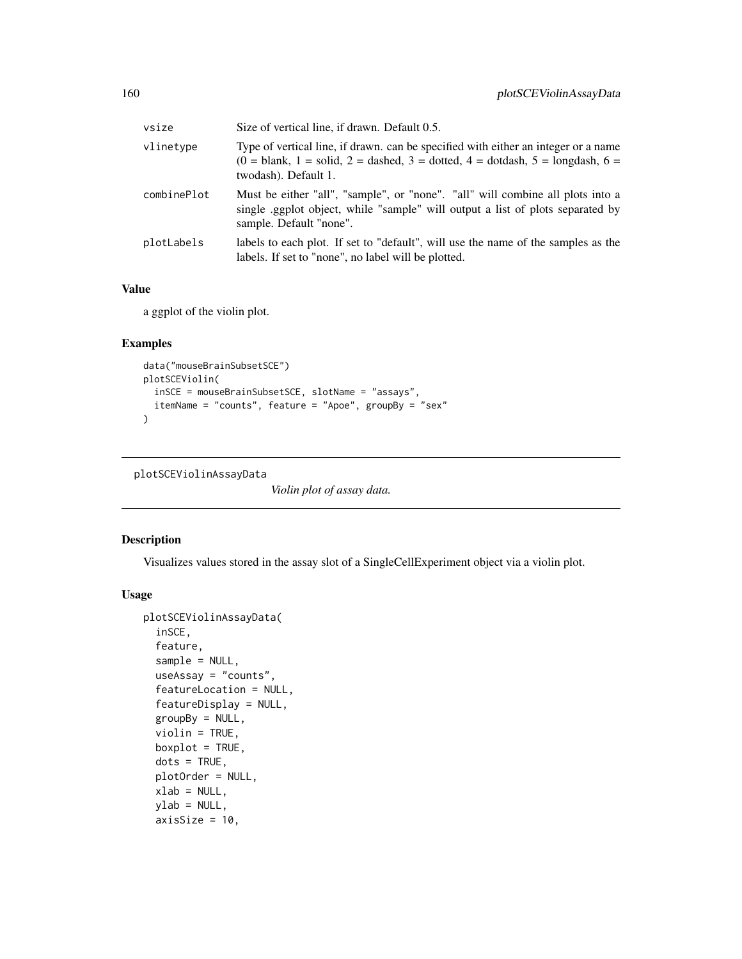| vsize       | Size of vertical line, if drawn. Default 0.5.                                                                                                                                                    |
|-------------|--------------------------------------------------------------------------------------------------------------------------------------------------------------------------------------------------|
| vlinetype   | Type of vertical line, if drawn, can be specified with either an integer or a name<br>$(0 = 5)$ blank, 1 = solid, 2 = dashed, 3 = dotted, 4 = dotdash, 5 = longdash, 6 =<br>twodash). Default 1. |
| combinePlot | Must be either "all", "sample", or "none". "all" will combine all plots into a<br>single eggplot object, while "sample" will output a list of plots separated by<br>sample. Default "none".      |
| plotLabels  | labels to each plot. If set to "default", will use the name of the samples as the<br>labels. If set to "none", no label will be plotted.                                                         |

a ggplot of the violin plot.

# Examples

```
data("mouseBrainSubsetSCE")
plotSCEViolin(
  inSCE = mouseBrainSubsetSCE, slotName = "assays",
  itemName = "counts", feature = "Apoe", groupBy = "sex"
\mathcal{L}
```

```
plotSCEViolinAssayData
```
*Violin plot of assay data.*

# Description

Visualizes values stored in the assay slot of a SingleCellExperiment object via a violin plot.

```
plotSCEViolinAssayData(
  inSCE,
  feature,
  sample = NULL,
  useAssay = "counts",
  featureLocation = NULL,
  featureDisplay = NULL,
  groupBy = NULL,violin = TRUE,
  boxplot = TRUE,
  dots = TRUE,plotOrder = NULL,
 xlab = NULL,
  ylab = NULL,
  axisSize = 10,
```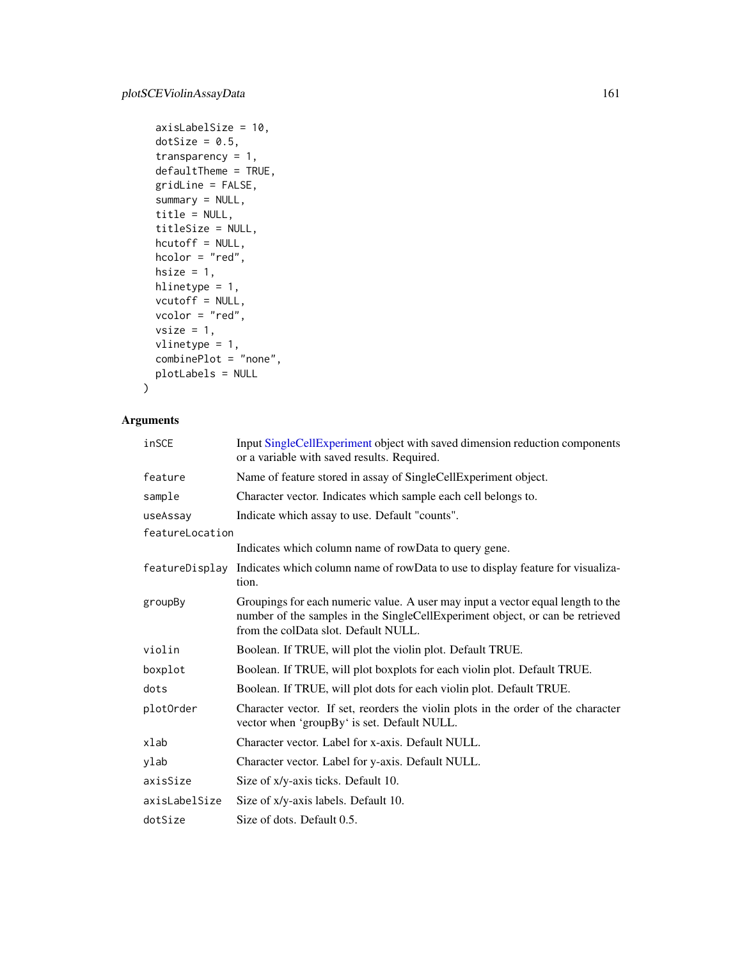```
axisLabelSize = 10,
 dotSize = 0.5,
  transparency = 1,
 defaultTheme = TRUE,
  gridLine = FALSE,
  summary = NULL,
  title = NULL,
  titleSize = NULL,
 hcutoff = NULL,
 hcolor = "red",
 hsize = 1,
 hlinetype = 1,
 vcutoff = NULL,
 vcolor = "red",
 vsize = 1,vlinetype = 1,
 combinePlot = "none",
 plotLabels = NULL
\mathcal{L}
```

| inSCE           | Input SingleCellExperiment object with saved dimension reduction components<br>or a variable with saved results. Required.                                                                               |
|-----------------|----------------------------------------------------------------------------------------------------------------------------------------------------------------------------------------------------------|
| feature         | Name of feature stored in assay of SingleCellExperiment object.                                                                                                                                          |
| sample          | Character vector. Indicates which sample each cell belongs to.                                                                                                                                           |
| useAssay        | Indicate which assay to use. Default "counts".                                                                                                                                                           |
| featureLocation |                                                                                                                                                                                                          |
|                 | Indicates which column name of rowData to query gene.                                                                                                                                                    |
| featureDisplay  | Indicates which column name of rowData to use to display feature for visualiza-<br>tion.                                                                                                                 |
| groupBy         | Groupings for each numeric value. A user may input a vector equal length to the<br>number of the samples in the SingleCellExperiment object, or can be retrieved<br>from the colData slot. Default NULL. |
| violin          | Boolean. If TRUE, will plot the violin plot. Default TRUE.                                                                                                                                               |
| boxplot         | Boolean. If TRUE, will plot boxplots for each violin plot. Default TRUE.                                                                                                                                 |
| dots            | Boolean. If TRUE, will plot dots for each violin plot. Default TRUE.                                                                                                                                     |
| plotOrder       | Character vector. If set, reorders the violin plots in the order of the character<br>vector when 'groupBy' is set. Default NULL.                                                                         |
| xlab            | Character vector. Label for x-axis. Default NULL.                                                                                                                                                        |
| ylab            | Character vector. Label for y-axis. Default NULL.                                                                                                                                                        |
| axisSize        | Size of x/y-axis ticks. Default 10.                                                                                                                                                                      |
| axisLabelSize   | Size of x/y-axis labels. Default 10.                                                                                                                                                                     |
| dotSize         | Size of dots. Default 0.5.                                                                                                                                                                               |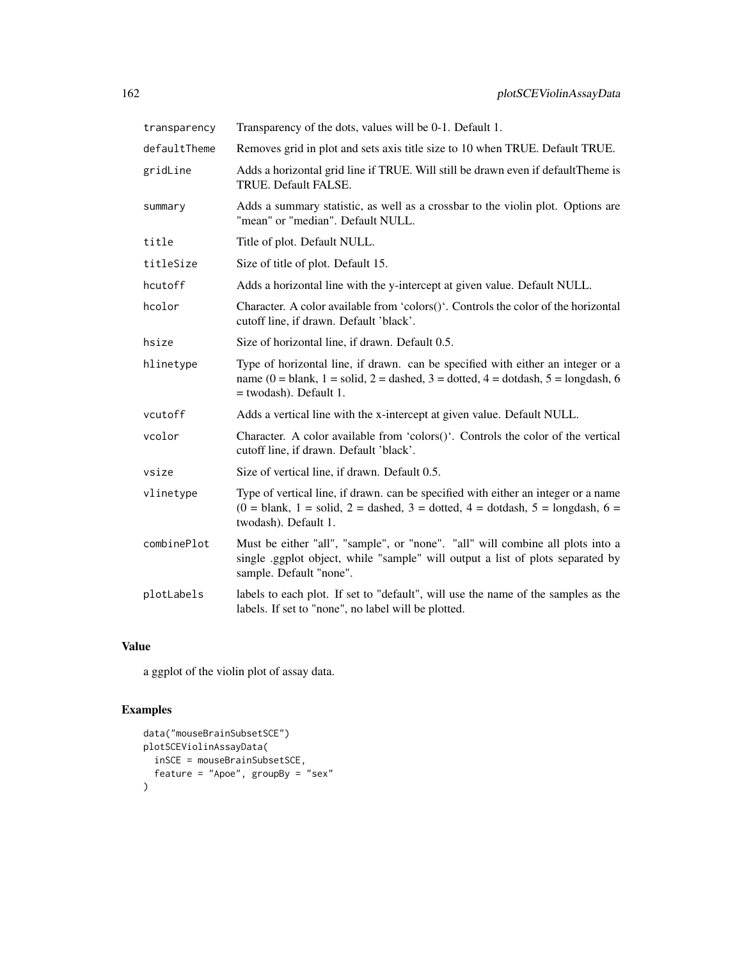| transparency | Transparency of the dots, values will be 0-1. Default 1.                                                                                                                                      |
|--------------|-----------------------------------------------------------------------------------------------------------------------------------------------------------------------------------------------|
| defaultTheme | Removes grid in plot and sets axis title size to 10 when TRUE. Default TRUE.                                                                                                                  |
| gridLine     | Adds a horizontal grid line if TRUE. Will still be drawn even if default Theme is<br>TRUE. Default FALSE.                                                                                     |
| summary      | Adds a summary statistic, as well as a crossbar to the violin plot. Options are<br>"mean" or "median". Default NULL.                                                                          |
| title        | Title of plot. Default NULL.                                                                                                                                                                  |
| titleSize    | Size of title of plot. Default 15.                                                                                                                                                            |
| hcutoff      | Adds a horizontal line with the y-intercept at given value. Default NULL.                                                                                                                     |
| hcolor       | Character. A color available from 'colors()'. Controls the color of the horizontal<br>cutoff line, if drawn. Default 'black'.                                                                 |
| hsize        | Size of horizontal line, if drawn. Default 0.5.                                                                                                                                               |
| hlinetype    | Type of horizontal line, if drawn. can be specified with either an integer or a<br>name (0 = blank, 1 = solid, 2 = dashed, 3 = dotted, 4 = dotdash, 5 = longdash, 6<br>= twodash). Default 1. |
| vcutoff      | Adds a vertical line with the x-intercept at given value. Default NULL.                                                                                                                       |
| vcolor       | Character. A color available from 'colors()'. Controls the color of the vertical<br>cutoff line, if drawn. Default 'black'.                                                                   |
| vsize        | Size of vertical line, if drawn. Default 0.5.                                                                                                                                                 |
| vlinetype    | Type of vertical line, if drawn. can be specified with either an integer or a name<br>$(0 = blank, 1 = solid, 2 = dashed, 3 = dotted, 4 = dotdash, 5 = longdash, 6 =$<br>twodash). Default 1. |
| combinePlot  | Must be either "all", "sample", or "none". "all" will combine all plots into a<br>single .ggplot object, while "sample" will output a list of plots separated by<br>sample. Default "none".   |
| plotLabels   | labels to each plot. If set to "default", will use the name of the samples as the<br>labels. If set to "none", no label will be plotted.                                                      |

a ggplot of the violin plot of assay data.

```
data("mouseBrainSubsetSCE")
plotSCEViolinAssayData(
  inSCE = mouseBrainSubsetSCE,
 feature = "Apoe", groupBy = "sex"
\mathcal{L}
```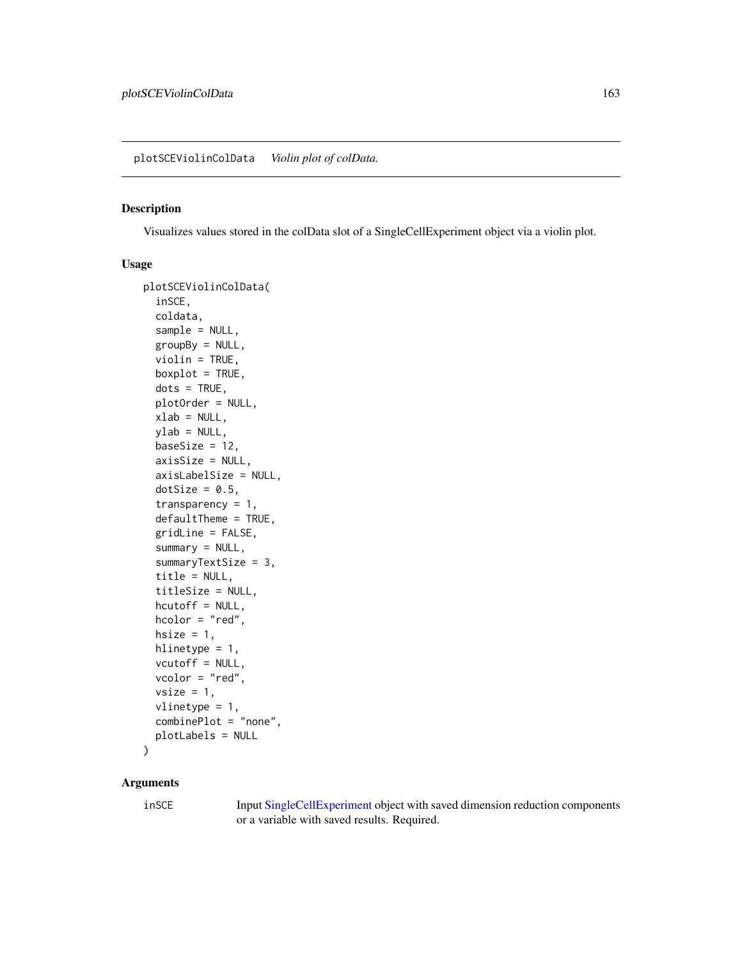#### Description

Visualizes values stored in the colData slot of a SingleCellExperiment object via a violin plot.

#### Usage

```
plotSCEViolinColData(
  inSCE,
  coldata,
  sample = NULL,
  groupBy = NULL,violin = TRUE,
 boxplot = TRUE,dots = TRUE,plotOrder = NULL,
 xlab = NULL,
 ylab = NULL,
 baseSize = 12,
  axisSize = NULL,
  axisLabelSize = NULL,
  dotSize = 0.5,
  transparency = 1,
  defaultTheme = TRUE,
  gridLine = FALSE,
  summary = NULL,
  summaryTextSize = 3,
  title = NULL,
  titleSize = NULL,
  hcutoff = NULL,
  hcolor = "red",
 hsize = 1,
 hlinetype = 1,
  vcutoff = NULL,
  vcolor = "red",
  vsize = 1,vlinetype = 1,
  combinePlot = "none",
 plotLabels = NULL
)
```
#### Arguments

inSCE Input [SingleCellExperiment](#page-0-0) object with saved dimension reduction components or a variable with saved results. Required.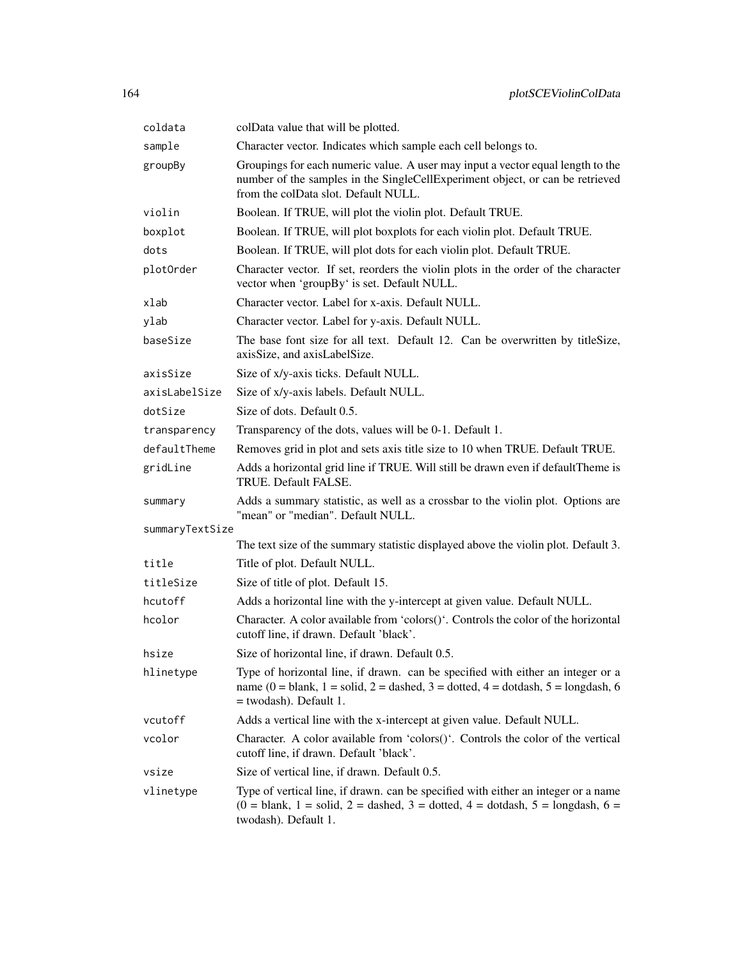| coldata         | colData value that will be plotted.                                                                                                                                                                      |
|-----------------|----------------------------------------------------------------------------------------------------------------------------------------------------------------------------------------------------------|
| sample          | Character vector. Indicates which sample each cell belongs to.                                                                                                                                           |
| groupBy         | Groupings for each numeric value. A user may input a vector equal length to the<br>number of the samples in the SingleCellExperiment object, or can be retrieved<br>from the colData slot. Default NULL. |
| violin          | Boolean. If TRUE, will plot the violin plot. Default TRUE.                                                                                                                                               |
| boxplot         | Boolean. If TRUE, will plot boxplots for each violin plot. Default TRUE.                                                                                                                                 |
| dots            | Boolean. If TRUE, will plot dots for each violin plot. Default TRUE.                                                                                                                                     |
| plotOrder       | Character vector. If set, reorders the violin plots in the order of the character<br>vector when 'groupBy' is set. Default NULL.                                                                         |
| xlab            | Character vector. Label for x-axis. Default NULL.                                                                                                                                                        |
| ylab            | Character vector. Label for y-axis. Default NULL.                                                                                                                                                        |
| baseSize        | The base font size for all text. Default 12. Can be overwritten by titleSize,<br>axisSize, and axisLabelSize.                                                                                            |
| axisSize        | Size of x/y-axis ticks. Default NULL.                                                                                                                                                                    |
| axisLabelSize   | Size of x/y-axis labels. Default NULL.                                                                                                                                                                   |
| dotSize         | Size of dots. Default 0.5.                                                                                                                                                                               |
| transparency    | Transparency of the dots, values will be 0-1. Default 1.                                                                                                                                                 |
| defaultTheme    | Removes grid in plot and sets axis title size to 10 when TRUE. Default TRUE.                                                                                                                             |
| gridLine        | Adds a horizontal grid line if TRUE. Will still be drawn even if defaultTheme is<br>TRUE. Default FALSE.                                                                                                 |
| summary         | Adds a summary statistic, as well as a crossbar to the violin plot. Options are<br>"mean" or "median". Default NULL.                                                                                     |
| summaryTextSize |                                                                                                                                                                                                          |
|                 | The text size of the summary statistic displayed above the violin plot. Default 3.                                                                                                                       |
| title           | Title of plot. Default NULL.                                                                                                                                                                             |
| titleSize       | Size of title of plot. Default 15.                                                                                                                                                                       |
| hcutoff         | Adds a horizontal line with the y-intercept at given value. Default NULL.                                                                                                                                |
| hcolor          | Character. A color available from 'colors()'. Controls the color of the horizontal<br>cutoff line, if drawn. Default 'black'.                                                                            |
| hsize           | Size of horizontal line, if drawn. Default 0.5.                                                                                                                                                          |
| hlinetype       | Type of horizontal line, if drawn. can be specified with either an integer or a<br>name (0 = blank, 1 = solid, 2 = dashed, 3 = dotted, 4 = dotdash, 5 = longdash, 6<br>= twodash). Default 1.            |
| vcutoff         | Adds a vertical line with the x-intercept at given value. Default NULL.                                                                                                                                  |
| vcolor          | Character. A color available from 'colors()'. Controls the color of the vertical<br>cutoff line, if drawn. Default 'black'.                                                                              |
| vsize           | Size of vertical line, if drawn. Default 0.5.                                                                                                                                                            |
| vlinetype       | Type of vertical line, if drawn. can be specified with either an integer or a name<br>$(0 = 5)$ blank, 1 = solid, 2 = dashed, 3 = dotted, 4 = dotdash, 5 = longdash, 6 =<br>twodash). Default 1.         |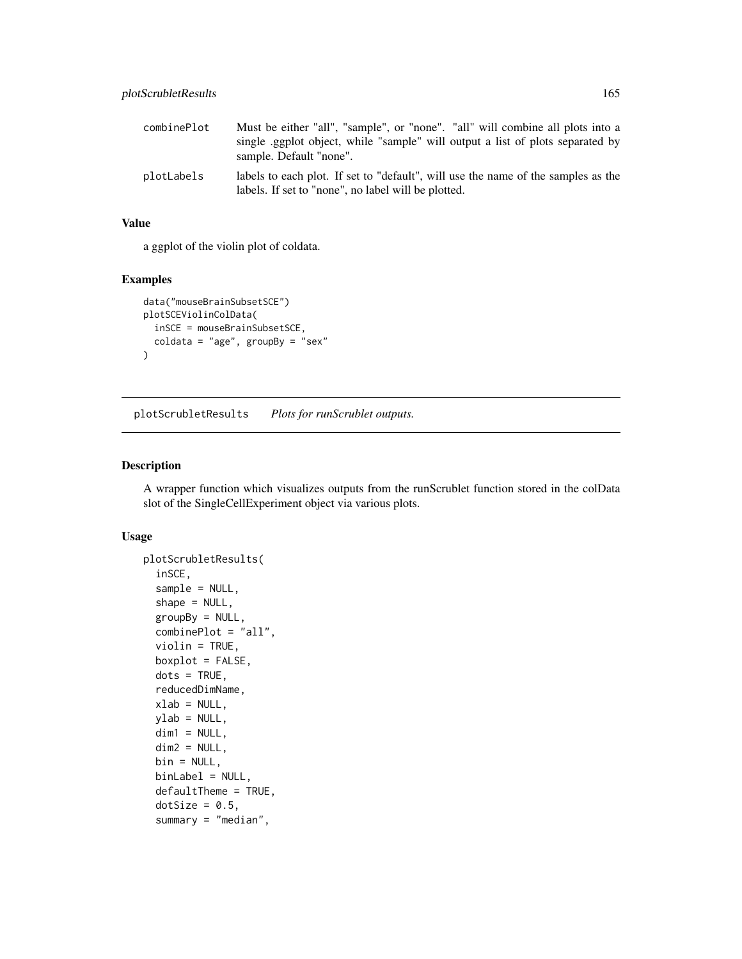| combinePlot | Must be either "all", "sample", or "none". "all" will combine all plots into a<br>single example single object, while "sample" will output a list of plots separated by<br>sample. Default "none". |
|-------------|----------------------------------------------------------------------------------------------------------------------------------------------------------------------------------------------------|
| plotLabels  | labels to each plot. If set to "default", will use the name of the samples as the<br>labels. If set to "none", no label will be plotted.                                                           |

a ggplot of the violin plot of coldata.

# Examples

```
data("mouseBrainSubsetSCE")
plotSCEViolinColData(
  inSCE = mouseBrainSubsetSCE,
  coldata = "age", groupBy = "sex"
)
```
plotScrubletResults *Plots for runScrublet outputs.*

# Description

A wrapper function which visualizes outputs from the runScrublet function stored in the colData slot of the SingleCellExperiment object via various plots.

```
plotScrubletResults(
  inSCE,
  sample = NULL,
  shape = NULL,
  groupBy = NULL,
  combinePlot = "all",
  violin = TRUE,
  boxplot = FALSE,
  dots = TRUE,reducedDimName,
  xlab = NULL,ylab = NULL,dim1 = NULL,dim2 = NULL,
  bin = NULL,binLabel = NULL,
  defaultTheme = TRUE,
  dotSize = 0.5,
  summary = "median",
```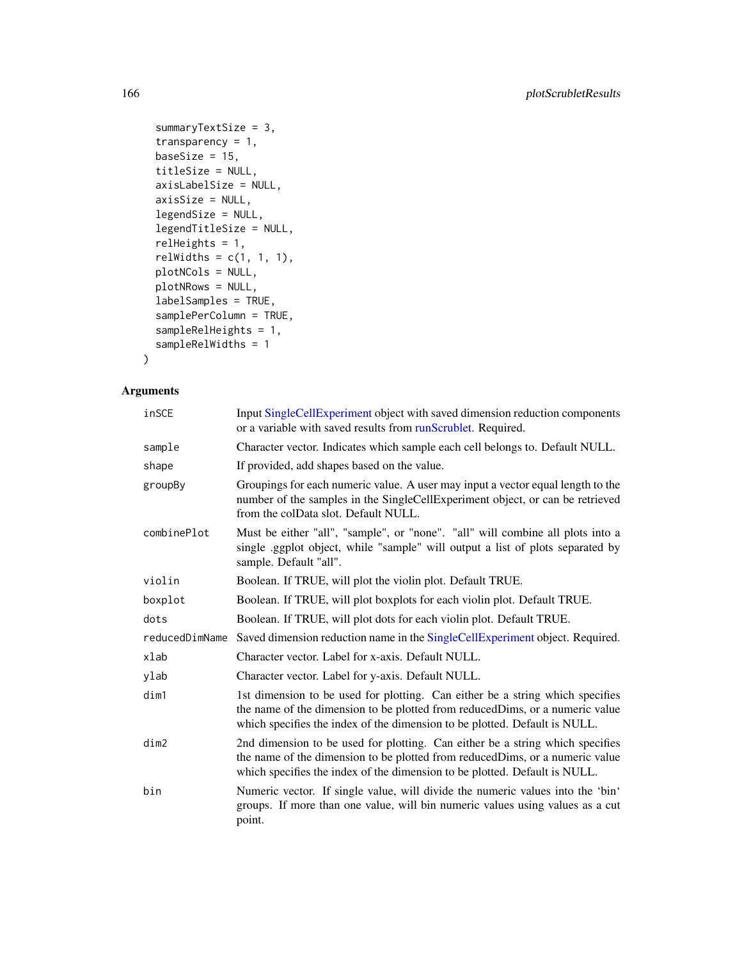```
summaryTextSize = 3,
transparency = 1,
baseSize = 15,
titleSize = NULL,
axisLabelSize = NULL,
axisSize = NULL,
legendSize = NULL,
legendTitleSize = NULL,
relHeights = 1,
relWidths = c(1, 1, 1),plotNCols = NULL,
plotNRows = NULL,
labelSamples = TRUE,
samplePerColumn = TRUE,
sampleRelHeights = 1,
sampleRelWidths = 1
```

```
\mathcal{L}
```

| inSCE          | Input SingleCellExperiment object with saved dimension reduction components<br>or a variable with saved results from runScrublet. Required.                                                                                                 |
|----------------|---------------------------------------------------------------------------------------------------------------------------------------------------------------------------------------------------------------------------------------------|
| sample         | Character vector. Indicates which sample each cell belongs to. Default NULL.                                                                                                                                                                |
| shape          | If provided, add shapes based on the value.                                                                                                                                                                                                 |
| groupBy        | Groupings for each numeric value. A user may input a vector equal length to the<br>number of the samples in the SingleCellExperiment object, or can be retrieved<br>from the colData slot. Default NULL.                                    |
| combinePlot    | Must be either "all", "sample", or "none". "all" will combine all plots into a<br>single .ggplot object, while "sample" will output a list of plots separated by<br>sample. Default "all".                                                  |
| violin         | Boolean. If TRUE, will plot the violin plot. Default TRUE.                                                                                                                                                                                  |
| boxplot        | Boolean. If TRUE, will plot boxplots for each violin plot. Default TRUE.                                                                                                                                                                    |
| dots           | Boolean. If TRUE, will plot dots for each violin plot. Default TRUE.                                                                                                                                                                        |
| reducedDimName | Saved dimension reduction name in the SingleCellExperiment object. Required.                                                                                                                                                                |
| xlab           | Character vector. Label for x-axis. Default NULL.                                                                                                                                                                                           |
| ylab           | Character vector. Label for y-axis. Default NULL.                                                                                                                                                                                           |
| dim1           | 1st dimension to be used for plotting. Can either be a string which specifies<br>the name of the dimension to be plotted from reducedDims, or a numeric value<br>which specifies the index of the dimension to be plotted. Default is NULL. |
| dim2           | 2nd dimension to be used for plotting. Can either be a string which specifies<br>the name of the dimension to be plotted from reducedDims, or a numeric value<br>which specifies the index of the dimension to be plotted. Default is NULL. |
| bin            | Numeric vector. If single value, will divide the numeric values into the 'bin'<br>groups. If more than one value, will bin numeric values using values as a cut<br>point.                                                                   |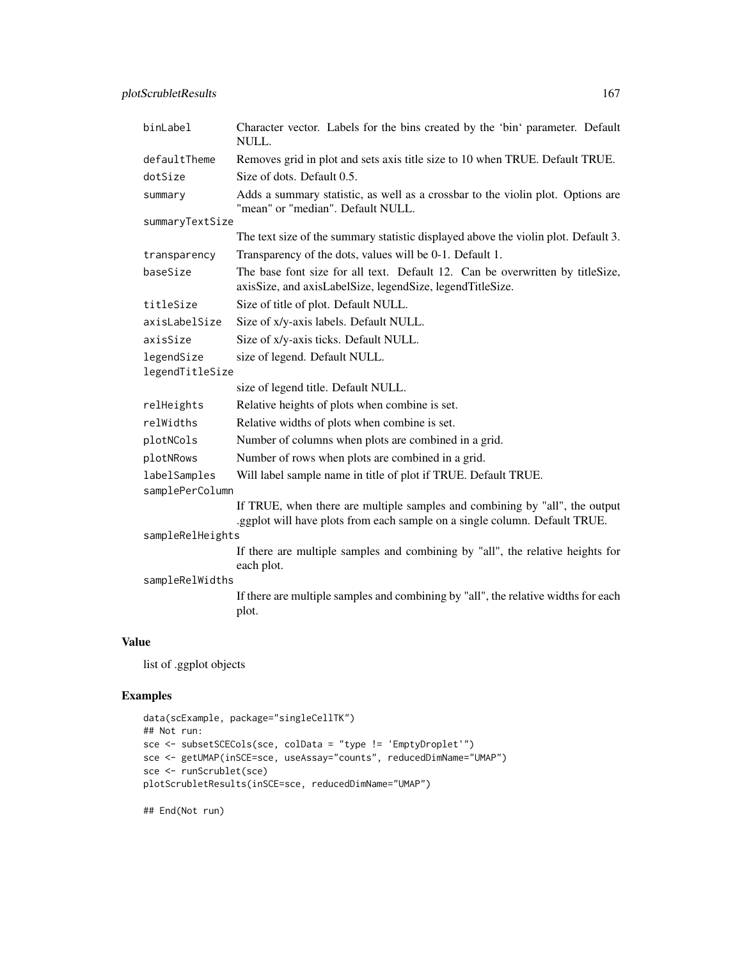| binLabel                        | Character vector. Labels for the bins created by the 'bin' parameter. Default<br>NULL.                                                                    |  |
|---------------------------------|-----------------------------------------------------------------------------------------------------------------------------------------------------------|--|
| defaultTheme                    | Removes grid in plot and sets axis title size to 10 when TRUE. Default TRUE.                                                                              |  |
| dotSize                         | Size of dots. Default 0.5.                                                                                                                                |  |
| summary                         | Adds a summary statistic, as well as a crossbar to the violin plot. Options are<br>"mean" or "median". Default NULL.                                      |  |
| summaryTextSize                 |                                                                                                                                                           |  |
|                                 | The text size of the summary statistic displayed above the violin plot. Default 3.                                                                        |  |
| transparency                    | Transparency of the dots, values will be 0-1. Default 1.                                                                                                  |  |
| baseSize                        | The base font size for all text. Default 12. Can be overwritten by titleSize,<br>axisSize, and axisLabelSize, legendSize, legendTitleSize.                |  |
| titleSize                       | Size of title of plot. Default NULL.                                                                                                                      |  |
| axisLabelSize                   | Size of x/y-axis labels. Default NULL.                                                                                                                    |  |
| axisSize                        | Size of x/y-axis ticks. Default NULL.                                                                                                                     |  |
| legendSize                      | size of legend. Default NULL.                                                                                                                             |  |
| legendTitleSize                 |                                                                                                                                                           |  |
|                                 | size of legend title. Default NULL.                                                                                                                       |  |
| relHeights                      | Relative heights of plots when combine is set.                                                                                                            |  |
| relWidths                       | Relative widths of plots when combine is set.                                                                                                             |  |
| plotNCols                       | Number of columns when plots are combined in a grid.                                                                                                      |  |
| plotNRows                       | Number of rows when plots are combined in a grid.                                                                                                         |  |
| labelSamples<br>samplePerColumn | Will label sample name in title of plot if TRUE. Default TRUE.                                                                                            |  |
|                                 | If TRUE, when there are multiple samples and combining by "all", the output<br>.ggplot will have plots from each sample on a single column. Default TRUE. |  |
| sampleRelHeights                |                                                                                                                                                           |  |
|                                 | If there are multiple samples and combining by "all", the relative heights for<br>each plot.                                                              |  |
| sampleRelWidths                 |                                                                                                                                                           |  |
|                                 | If there are multiple samples and combining by "all", the relative widths for each<br>plot.                                                               |  |
|                                 |                                                                                                                                                           |  |

list of .ggplot objects

# Examples

```
data(scExample, package="singleCellTK")
## Not run:
sce <- subsetSCECols(sce, colData = "type != 'EmptyDroplet'")
sce <- getUMAP(inSCE=sce, useAssay="counts", reducedDimName="UMAP")
sce <- runScrublet(sce)
plotScrubletResults(inSCE=sce, reducedDimName="UMAP")
```
## End(Not run)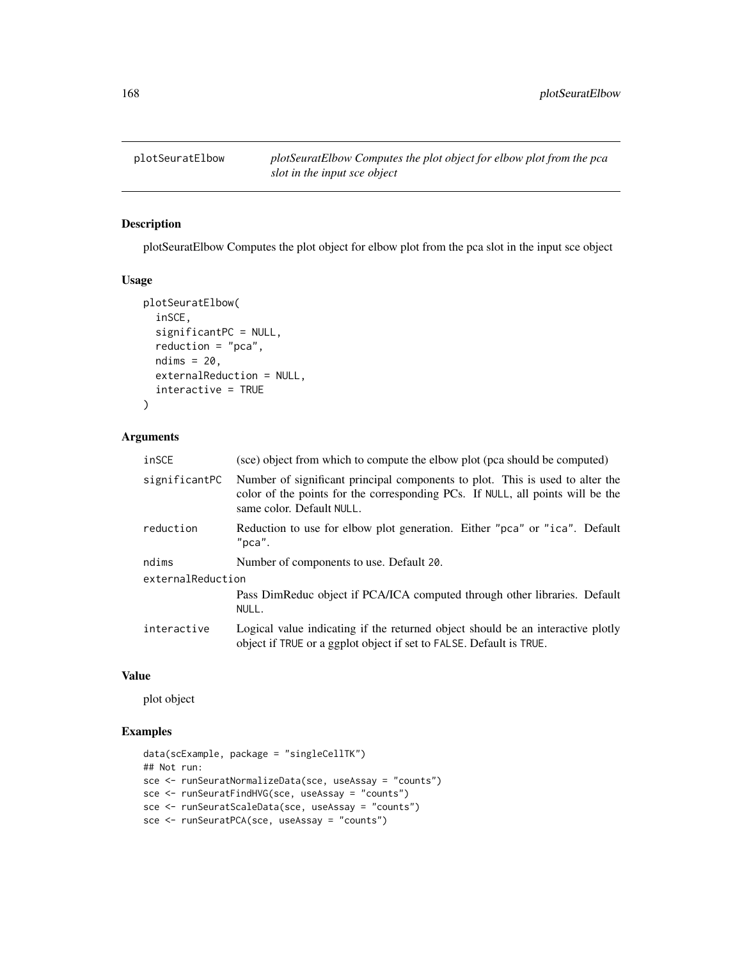# Description

plotSeuratElbow Computes the plot object for elbow plot from the pca slot in the input sce object

#### Usage

```
plotSeuratElbow(
  inSCE,
  significantPC = NULL,
  reduction = "pca",ndims = 20,
  externalReduction = NULL,
  interactive = TRUE
)
```
#### Arguments

| inSCE             | (sce) object from which to compute the elbow plot (pca should be computed)                                                                                                                   |  |
|-------------------|----------------------------------------------------------------------------------------------------------------------------------------------------------------------------------------------|--|
| significantPC     | Number of significant principal components to plot. This is used to alter the<br>color of the points for the corresponding PCs. If NULL, all points will be the<br>same color. Default NULL. |  |
| reduction         | Reduction to use for elbow plot generation. Either "pca" or "ica". Default<br>$"$ pca".                                                                                                      |  |
| ndims             | Number of components to use. Default 20.                                                                                                                                                     |  |
| externalReduction |                                                                                                                                                                                              |  |
|                   | Pass DimReduc object if PCA/ICA computed through other libraries. Default<br>NULL.                                                                                                           |  |
| interactive       | Logical value indicating if the returned object should be an interactive plotly<br>object if TRUE or a ggplot object if set to FALSE. Default is TRUE.                                       |  |

# Value

plot object

```
data(scExample, package = "singleCellTK")
## Not run:
sce <- runSeuratNormalizeData(sce, useAssay = "counts")
sce <- runSeuratFindHVG(sce, useAssay = "counts")
sce <- runSeuratScaleData(sce, useAssay = "counts")
sce <- runSeuratPCA(sce, useAssay = "counts")
```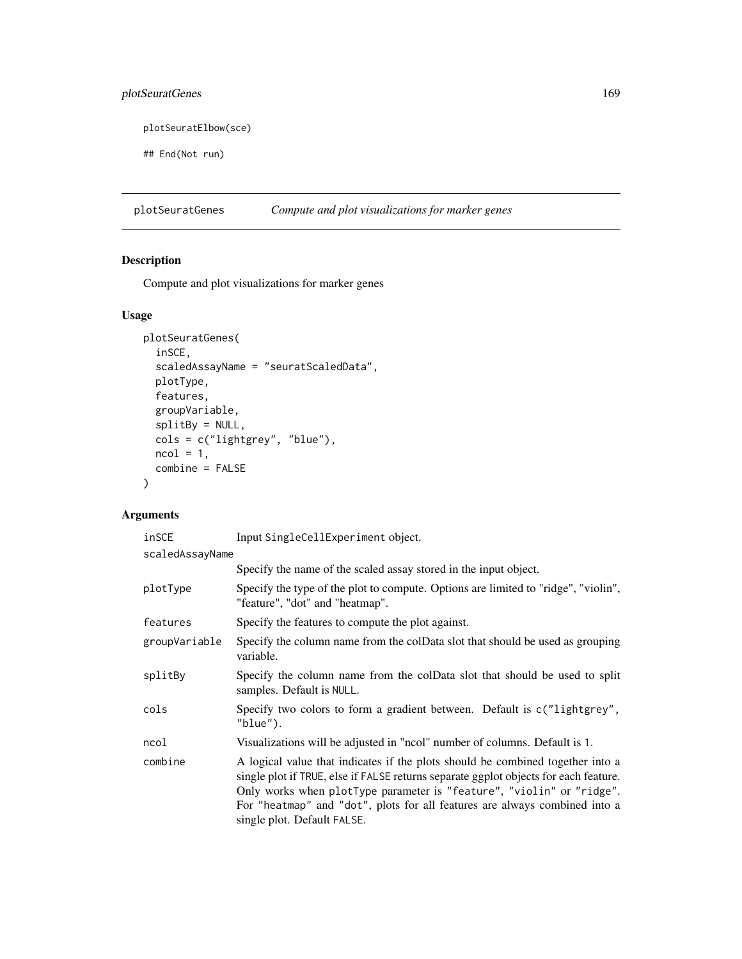# plotSeuratGenes 169

plotSeuratElbow(sce)

## End(Not run)

plotSeuratGenes *Compute and plot visualizations for marker genes*

# Description

Compute and plot visualizations for marker genes

# Usage

```
plotSeuratGenes(
  inSCE,
  scaledAssayName = "seuratScaledData",
 plotType,
  features,
 groupVariable,
  splitBy = NULL,
 cols = c("lightgrey", "blue"),
 ncol = 1,
 combine = FALSE
)
```

| inSCE           | Input SingleCellExperiment object.                                                                                                                                                                                                                                                                                                                           |  |
|-----------------|--------------------------------------------------------------------------------------------------------------------------------------------------------------------------------------------------------------------------------------------------------------------------------------------------------------------------------------------------------------|--|
| scaledAssayName |                                                                                                                                                                                                                                                                                                                                                              |  |
|                 | Specify the name of the scaled assay stored in the input object.                                                                                                                                                                                                                                                                                             |  |
| plotType        | Specify the type of the plot to compute. Options are limited to "ridge", "violin",<br>"feature", "dot" and "heatmap".                                                                                                                                                                                                                                        |  |
| features        | Specify the features to compute the plot against.                                                                                                                                                                                                                                                                                                            |  |
| groupVariable   | Specify the column name from the colData slot that should be used as grouping<br>variable.                                                                                                                                                                                                                                                                   |  |
| splitBy         | Specify the column name from the colData slot that should be used to split<br>samples. Default is NULL.                                                                                                                                                                                                                                                      |  |
| cols            | Specify two colors to form a gradient between. Default is c("lightgrey",<br>"blue").                                                                                                                                                                                                                                                                         |  |
| ncol            | Visualizations will be adjusted in "ncol" number of columns. Default is 1.                                                                                                                                                                                                                                                                                   |  |
| combine         | A logical value that indicates if the plots should be combined together into a<br>single plot if TRUE, else if FALSE returns separate ggplot objects for each feature.<br>Only works when plotType parameter is "feature", "violin" or "ridge".<br>For "heatmap" and "dot", plots for all features are always combined into a<br>single plot. Default FALSE. |  |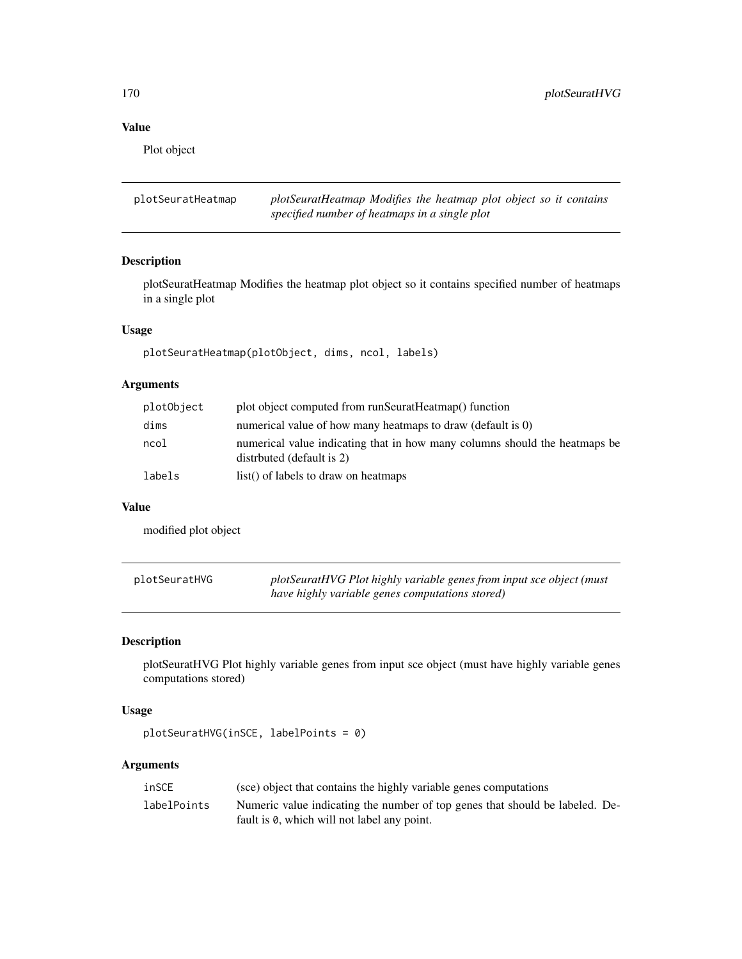Plot object

plotSeuratHeatmap *plotSeuratHeatmap Modifies the heatmap plot object so it contains specified number of heatmaps in a single plot*

# Description

plotSeuratHeatmap Modifies the heatmap plot object so it contains specified number of heatmaps in a single plot

# Usage

plotSeuratHeatmap(plotObject, dims, ncol, labels)

# Arguments

| plotObject | plot object computed from runSeuratHeatmap() function                                                    |
|------------|----------------------------------------------------------------------------------------------------------|
| dims       | numerical value of how many heatmaps to draw (default is 0)                                              |
| ncol       | numerical value indicating that in how many columns should the heatmaps be<br>distributed (default is 2) |
| labels     | list() of labels to draw on heatmaps                                                                     |

# Value

modified plot object

| plotSeuratHVG | plotSeuratHVG Plot highly variable genes from input sce object (must |
|---------------|----------------------------------------------------------------------|
|               | have highly variable genes computations stored)                      |

# Description

plotSeuratHVG Plot highly variable genes from input sce object (must have highly variable genes computations stored)

#### Usage

```
plotSeuratHVG(inSCE, labelPoints = 0)
```

| inSCE       | (sce) object that contains the highly variable genes computations            |
|-------------|------------------------------------------------------------------------------|
| labelPoints | Numeric value indicating the number of top genes that should be labeled. De- |
|             | fault is 0, which will not label any point.                                  |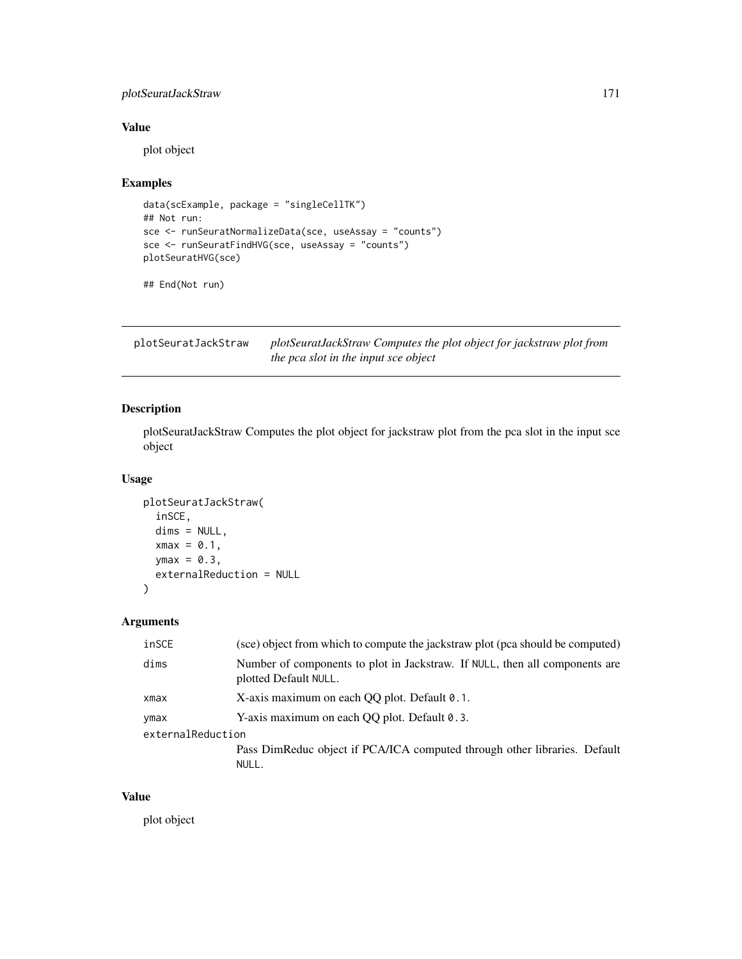# plotSeuratJackStraw 171

# Value

plot object

# Examples

```
data(scExample, package = "singleCellTK")
## Not run:
sce <- runSeuratNormalizeData(sce, useAssay = "counts")
sce <- runSeuratFindHVG(sce, useAssay = "counts")
plotSeuratHVG(sce)
```
## End(Not run)

plotSeuratJackStraw *plotSeuratJackStraw Computes the plot object for jackstraw plot from the pca slot in the input sce object*

# Description

plotSeuratJackStraw Computes the plot object for jackstraw plot from the pca slot in the input sce object

# Usage

```
plotSeuratJackStraw(
  inSCE,
 dims = NULL,
 xmax = 0.1,
 ymax = 0.3,
  externalReduction = NULL
)
```
#### Arguments

| inSCE             | (sce) object from which to compute the jackstraw plot (pca should be computed)                       |
|-------------------|------------------------------------------------------------------------------------------------------|
| dims              | Number of components to plot in Jackstraw. If NULL, then all components are<br>plotted Default NULL. |
| xmax              | X-axis maximum on each OO plot. Default 0.1.                                                         |
| ymax              | Y-axis maximum on each QQ plot. Default 0.3.                                                         |
| externalReduction |                                                                                                      |
|                   | Pass DimReduc object if PCA/ICA computed through other libraries. Default                            |
|                   | NULL.                                                                                                |

#### Value

plot object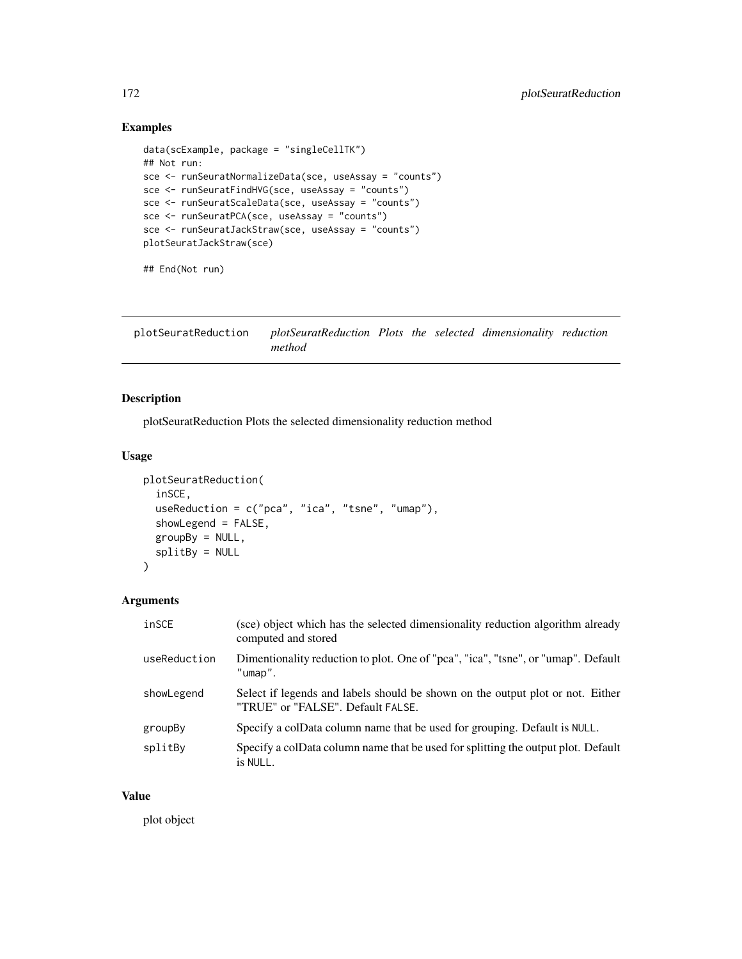# Examples

```
data(scExample, package = "singleCellTK")
## Not run:
sce <- runSeuratNormalizeData(sce, useAssay = "counts")
sce <- runSeuratFindHVG(sce, useAssay = "counts")
sce <- runSeuratScaleData(sce, useAssay = "counts")
sce <- runSeuratPCA(sce, useAssay = "counts")
sce <- runSeuratJackStraw(sce, useAssay = "counts")
plotSeuratJackStraw(sce)
## End(Not run)
```
plotSeuratReduction *plotSeuratReduction Plots the selected dimensionality reduction method*

# Description

plotSeuratReduction Plots the selected dimensionality reduction method

#### Usage

```
plotSeuratReduction(
  inSCE,
  useReduction = c("pca", "ica", "tsne", "umap"),
  showLegend = FALSE,
  groupBy = NULL,
  splitBy = NULL
\mathcal{E}
```
# Arguments

| inSCE        | (sce) object which has the selected dimensionality reduction algorithm already<br>computed and stored               |
|--------------|---------------------------------------------------------------------------------------------------------------------|
| useReduction | Dimentionality reduction to plot. One of "pca", "ica", "tsne", or "umap". Default<br>$"$ umap $"$ .                 |
| showLegend   | Select if legends and labels should be shown on the output plot or not. Either<br>"TRUE" or "FALSE". Default FALSE. |
| groupBy      | Specify a colData column name that be used for grouping. Default is NULL.                                           |
| splitBy      | Specify a colData column name that be used for splitting the output plot. Default<br>is NULL.                       |

#### Value

plot object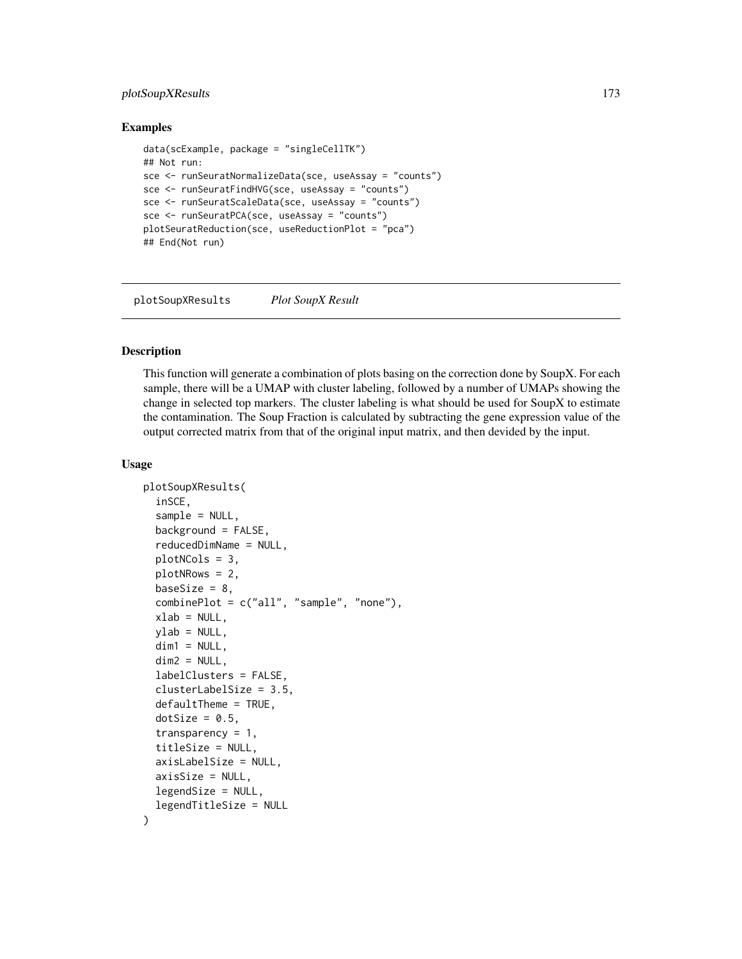# plotSoupXResults 173

#### Examples

```
data(scExample, package = "singleCellTK")
## Not run:
sce <- runSeuratNormalizeData(sce, useAssay = "counts")
sce <- runSeuratFindHVG(sce, useAssay = "counts")
sce <- runSeuratScaleData(sce, useAssay = "counts")
sce <- runSeuratPCA(sce, useAssay = "counts")
plotSeuratReduction(sce, useReductionPlot = "pca")
## End(Not run)
```
plotSoupXResults *Plot SoupX Result*

#### Description

This function will generate a combination of plots basing on the correction done by SoupX. For each sample, there will be a UMAP with cluster labeling, followed by a number of UMAPs showing the change in selected top markers. The cluster labeling is what should be used for SoupX to estimate the contamination. The Soup Fraction is calculated by subtracting the gene expression value of the output corrected matrix from that of the original input matrix, and then devided by the input.

```
plotSoupXResults(
  inSCE,
  sample = NULL,
  background = FALSE,
  reducedDimName = NULL,
  plotNCols = 3,
 plotNRows = 2,
  baseSize = 8,
  combinePlot = c("all", "sample", "none"),
  xlab = NULL,
 ylab = NULL,
  dim1 = NULL,dim2 = NULL,labelClusters = FALSE,
  clusterLabelSize = 3.5,
  defaultTheme = TRUE,
  dotSize = 0.5,
  transparency = 1,
  titleSize = NULL,
  axisLabelSize = NULL,
  axisSize = NULL,
  legendSize = NULL,
  legendTitleSize = NULL
)
```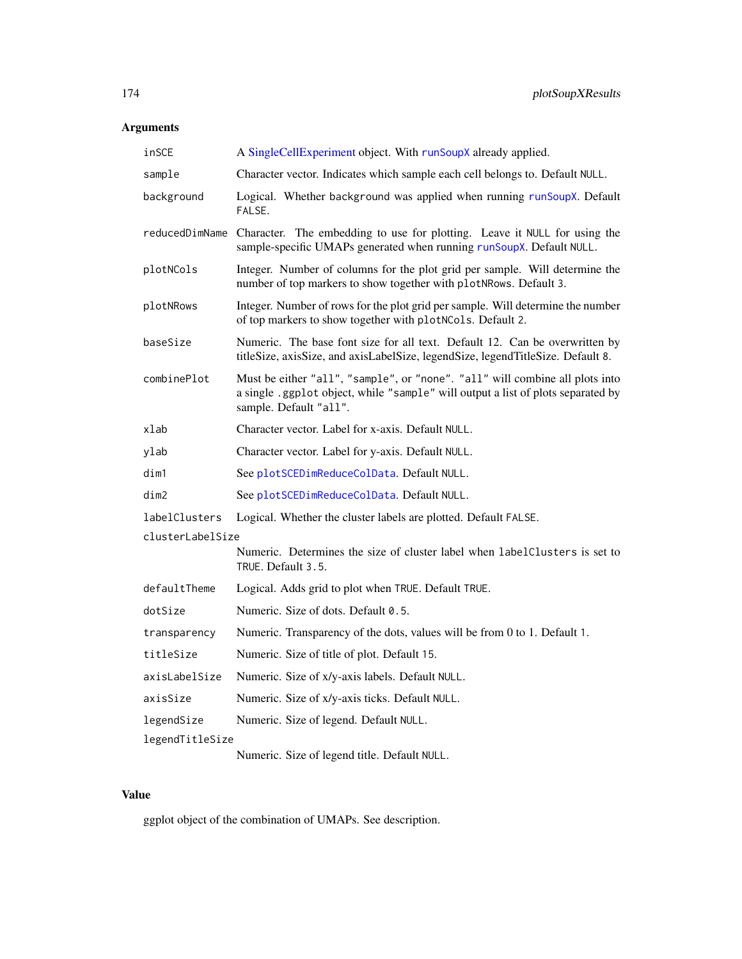# Arguments

| inSCE            | A SingleCellExperiment object. With runSoupX already applied.                                                                                                                              |
|------------------|--------------------------------------------------------------------------------------------------------------------------------------------------------------------------------------------|
| sample           | Character vector. Indicates which sample each cell belongs to. Default NULL.                                                                                                               |
| background       | Logical. Whether background was applied when running runSoupX. Default<br>FALSE.                                                                                                           |
| reducedDimName   | Character. The embedding to use for plotting. Leave it NULL for using the<br>sample-specific UMAPs generated when running runSoupX. Default NULL.                                          |
| plotNCols        | Integer. Number of columns for the plot grid per sample. Will determine the<br>number of top markers to show together with plotNRows. Default 3.                                           |
| plotNRows        | Integer. Number of rows for the plot grid per sample. Will determine the number<br>of top markers to show together with plotNCols. Default 2.                                              |
| baseSize         | Numeric. The base font size for all text. Default 12. Can be overwritten by<br>titleSize, axisSize, and axisLabelSize, legendSize, legendTitleSize. Default 8.                             |
| combinePlot      | Must be either "all", "sample", or "none". "all" will combine all plots into<br>a single .ggplot object, while "sample" will output a list of plots separated by<br>sample. Default "all". |
| xlab             | Character vector. Label for x-axis. Default NULL.                                                                                                                                          |
| ylab             | Character vector. Label for y-axis. Default NULL.                                                                                                                                          |
| dim1             | See plotSCEDimReduceColData. Default NULL.                                                                                                                                                 |
| dim2             | See plotSCEDimReduceColData. Default NULL.                                                                                                                                                 |
| labelClusters    | Logical. Whether the cluster labels are plotted. Default FALSE.                                                                                                                            |
| clusterLabelSize |                                                                                                                                                                                            |
|                  | Numeric. Determines the size of cluster label when labelClusters is set to<br>TRUE. Default 3.5.                                                                                           |
| defaultTheme     | Logical. Adds grid to plot when TRUE. Default TRUE.                                                                                                                                        |
| dotSize          | Numeric. Size of dots. Default 0.5.                                                                                                                                                        |
| transparency     | Numeric. Transparency of the dots, values will be from 0 to 1. Default 1.                                                                                                                  |
| titleSize        | Numeric. Size of title of plot. Default 15.                                                                                                                                                |
| axisLabelSize    | Numeric. Size of x/y-axis labels. Default NULL.                                                                                                                                            |
| axisSize         | Numeric. Size of x/y-axis ticks. Default NULL.                                                                                                                                             |
| legendSize       | Numeric. Size of legend. Default NULL.                                                                                                                                                     |
| legendTitleSize  |                                                                                                                                                                                            |
|                  | Numeric. Size of legend title. Default NULL.                                                                                                                                               |

# Value

ggplot object of the combination of UMAPs. See description.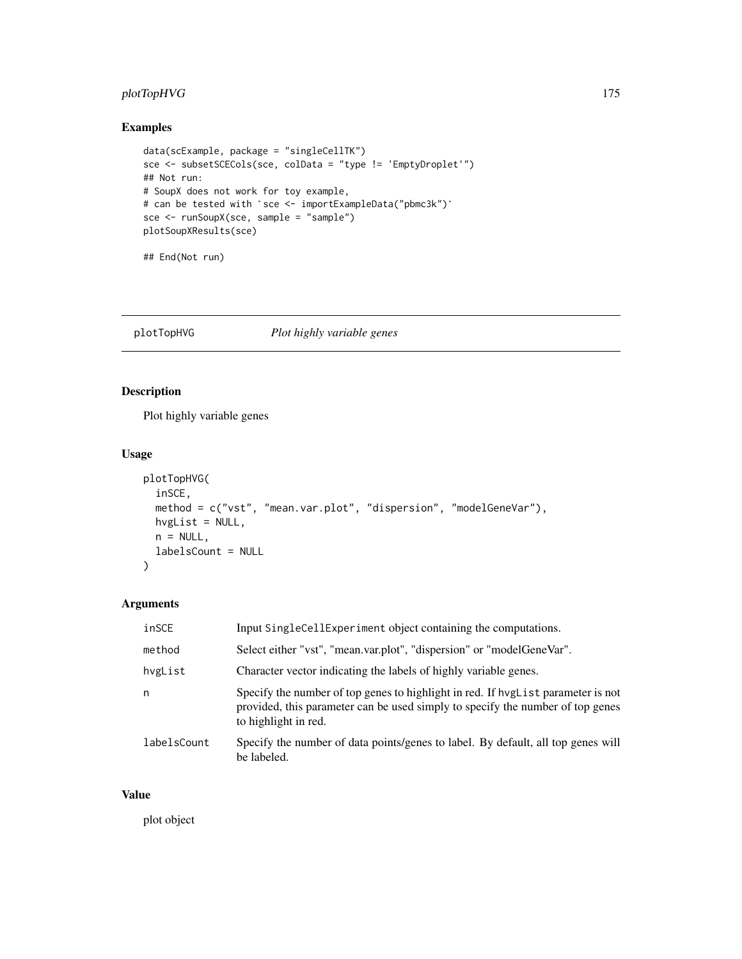# plotTopHVG 175

# Examples

```
data(scExample, package = "singleCellTK")
sce <- subsetSCECols(sce, colData = "type != 'EmptyDroplet'")<br>## Not run:<br># SoupX does not work for toy example,<br># can be tested with `sce <- importExampleData("pbmc3k")`
## Not run:
# SoupX does not work for toy example,
sce <- runSoupX(sce, sample = "sample")
plotSoupXResults(sce)
```

```
## End(Not run)
```
plotTopHVG *Plot highly variable genes*

# Description

Plot highly variable genes

# Usage

```
plotTopHVG(
  inSCE,
 method = c("vst", "mean.var.plot", "dispersion", "modelGeneVar"),
 hvgList = NULL,
 n = NULL,labelsCount = NULL
\mathcal{L}
```
#### Arguments

| inSCE       | Input SingleCellExperiment object containing the computations.                                                                                                                             |
|-------------|--------------------------------------------------------------------------------------------------------------------------------------------------------------------------------------------|
| method      | Select either "vst", "mean.var.plot", "dispersion" or "modelGeneVar".                                                                                                                      |
| hvgList     | Character vector indicating the labels of highly variable genes.                                                                                                                           |
| n           | Specify the number of top genes to highlight in red. If hyglist parameter is not<br>provided, this parameter can be used simply to specify the number of top genes<br>to highlight in red. |
| labelsCount | Specify the number of data points/genes to label. By default, all top genes will<br>be labeled.                                                                                            |

#### Value

plot object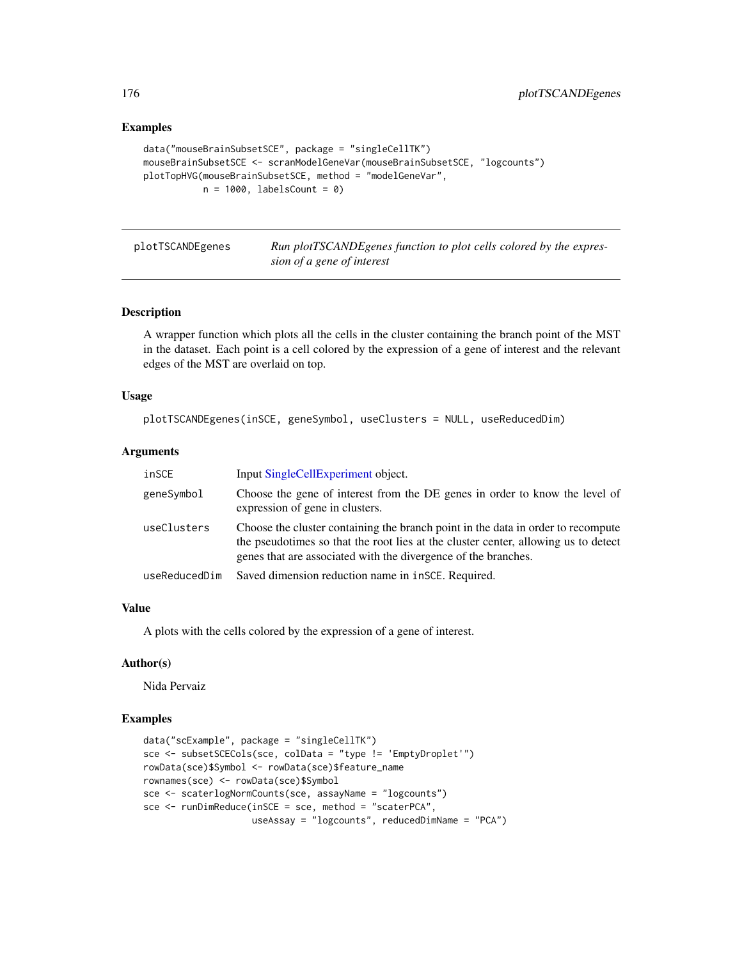#### Examples

```
data("mouseBrainSubsetSCE", package = "singleCellTK")
mouseBrainSubsetSCE <- scranModelGeneVar(mouseBrainSubsetSCE, "logcounts")
plotTopHVG(mouseBrainSubsetSCE, method = "modelGeneVar",
          n = 1000, labelsCount = 0)
```
plotTSCANDEgenes *Run plotTSCANDEgenes function to plot cells colored by the expression of a gene of interest*

# **Description**

A wrapper function which plots all the cells in the cluster containing the branch point of the MST in the dataset. Each point is a cell colored by the expression of a gene of interest and the relevant edges of the MST are overlaid on top.

#### Usage

```
plotTSCANDEgenes(inSCE, geneSymbol, useClusters = NULL, useReducedDim)
```
#### Arguments

| inSCE         | Input SingleCellExperiment object.                                                                                                                                                                                                       |
|---------------|------------------------------------------------------------------------------------------------------------------------------------------------------------------------------------------------------------------------------------------|
| geneSymbol    | Choose the gene of interest from the DE genes in order to know the level of<br>expression of gene in clusters.                                                                                                                           |
| useClusters   | Choose the cluster containing the branch point in the data in order to recompute<br>the pseudotimes so that the root lies at the cluster center, allowing us to detect<br>genes that are associated with the divergence of the branches. |
| useReducedDim | Saved dimension reduction name in $i$ nSCE. Required.                                                                                                                                                                                    |

#### Value

A plots with the cells colored by the expression of a gene of interest.

#### Author(s)

Nida Pervaiz

```
data("scExample", package = "singleCellTK")
sce <- subsetSCECols(sce, colData = "type != 'EmptyDroplet'")
rowData(sce)$Symbol <- rowData(sce)$feature_name
rownames(sce) <- rowData(sce)$Symbol
sce <- scaterlogNormCounts(sce, assayName = "logcounts")
sce <- runDimReduce(inSCE = sce, method = "scaterPCA",
                   useAssay = "logcounts", reducedDimName = "PCA")
```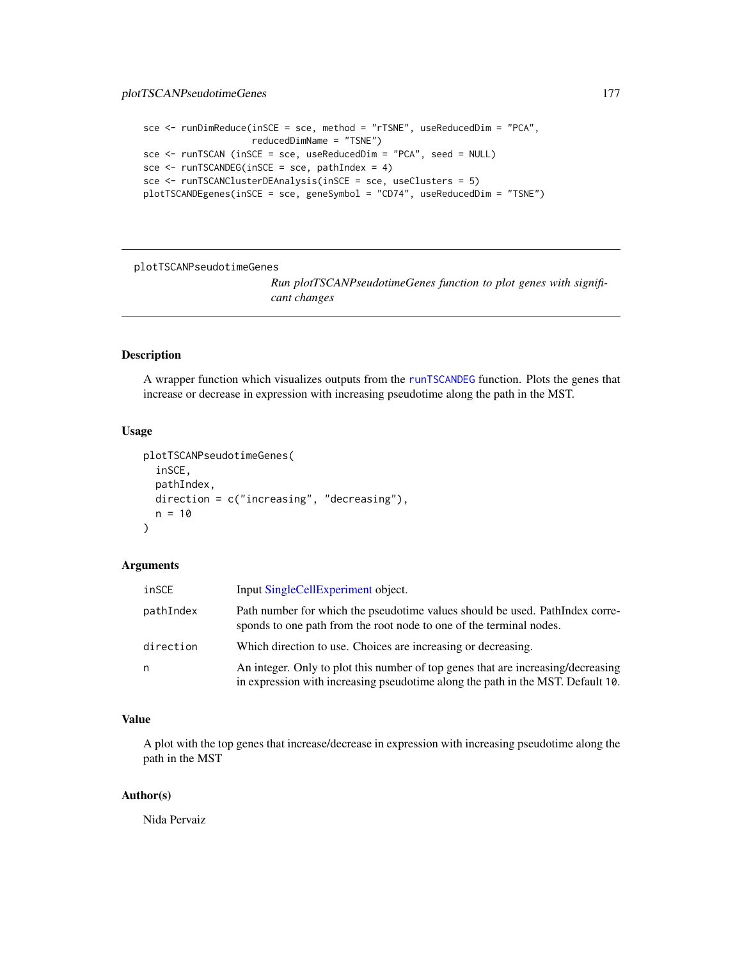```
sce <- runDimReduce(inSCE = sce, method = "rTSNE", useReducedDim = "PCA",
                      reducedDimName = "TSNE")
sce <- runTSCAN (inSCE = sce, useReducedDim = "PCA", seed = NULL)
\text{see} \leq \text{runTSCANDEG}(in \text{SCE} = \text{see}, \text{pathIndex} = 4)sce <- runTSCANClusterDEAnalysis(inSCE = sce, useClusters = 5)
plotTSCANDEgenes(inSCE = sce, geneSymbol = "CD74", useReducedDim = "TSNE")
```
plotTSCANPseudotimeGenes

*Run plotTSCANPseudotimeGenes function to plot genes with significant changes*

## Description

A wrapper function which visualizes outputs from the [runTSCANDEG](#page-263-0) function. Plots the genes that increase or decrease in expression with increasing pseudotime along the path in the MST.

#### Usage

```
plotTSCANPseudotimeGenes(
  inSCE,
  pathIndex,
  direction = c("increasing", "decreasing"),
  n = 10)
```
#### Arguments

| inSCE     | Input SingleCellExperiment object.                                                                                                                                  |
|-----------|---------------------------------------------------------------------------------------------------------------------------------------------------------------------|
| pathIndex | Path number for which the pseudotime values should be used. PathIndex corre-<br>sponds to one path from the root node to one of the terminal nodes.                 |
| direction | Which direction to use. Choices are increasing or decreasing.                                                                                                       |
| n         | An integer. Only to plot this number of top genes that are increasing/decreasing<br>in expression with increasing pseudotime along the path in the MST. Default 10. |

# Value

A plot with the top genes that increase/decrease in expression with increasing pseudotime along the path in the MST

#### Author(s)

Nida Pervaiz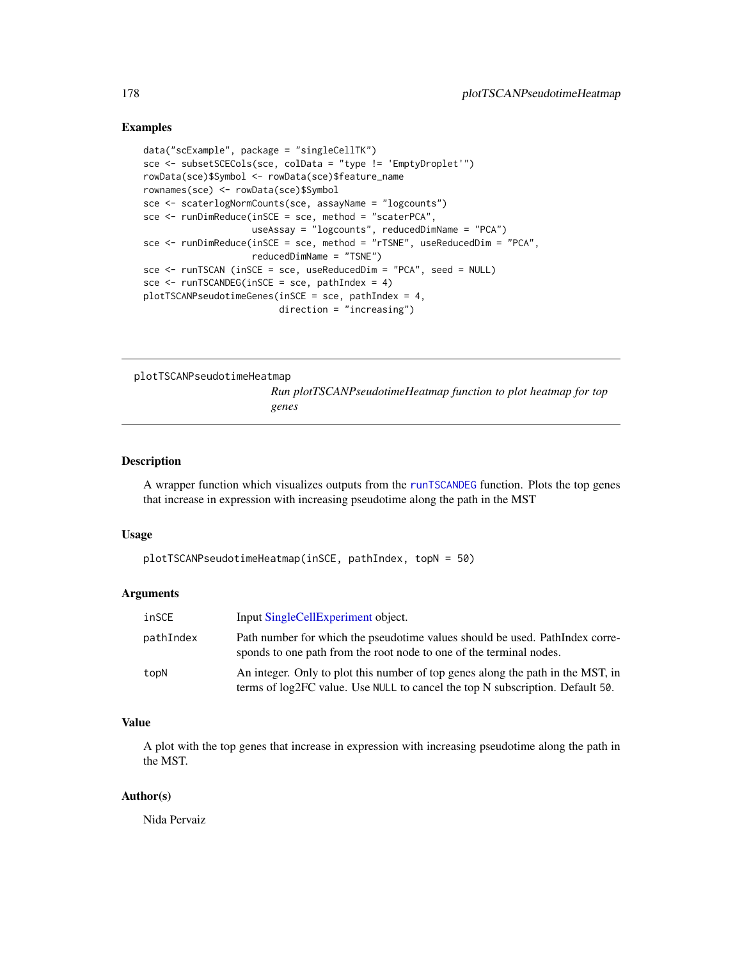#### Examples

```
data("scExample", package = "singleCellTK")
sce <- subsetSCECols(sce, colData = "type != 'EmptyDroplet'")
rowData(sce)$Symbol <- rowData(sce)$feature_name
rownames(sce) <- rowData(sce)$Symbol
sce <- scaterlogNormCounts(sce, assayName = "logcounts")
sce <- runDimReduce(inSCE = sce, method = "scaterPCA",
                    useAssay = "logcounts", reducedDimName = "PCA")
sce <- runDimReduce(inSCE = sce, method = "rTSNE", useReducedDim = "PCA",
                    reducedDimName = "TSNE")
sce <- runTSCAN (inSCE = sce, useReducedDim = "PCA", seed = NULL)
sce <- runTSCANDEG(inSCE = sce, pathIndex = 4)
plotTSCANPseudotimeGenes(inSCE = sce, pathIndex = 4,
                         direction = "increasing")
```
plotTSCANPseudotimeHeatmap

*Run plotTSCANPseudotimeHeatmap function to plot heatmap for top genes*

# Description

A wrapper function which visualizes outputs from the [runTSCANDEG](#page-263-0) function. Plots the top genes that increase in expression with increasing pseudotime along the path in the MST

#### Usage

```
plotTSCANPseudotimeHeatmap(inSCE, pathIndex, topN = 50)
```
#### Arguments

| inSCE     | Input SingleCellExperiment object.                                                                                                                               |
|-----------|------------------------------------------------------------------------------------------------------------------------------------------------------------------|
| pathIndex | Path number for which the pseudotime values should be used. PathIndex corre-<br>sponds to one path from the root node to one of the terminal nodes.              |
| topN      | An integer. Only to plot this number of top genes along the path in the MST, in<br>terms of log2FC value. Use NULL to cancel the top N subscription. Default 50. |

#### Value

A plot with the top genes that increase in expression with increasing pseudotime along the path in the MST.

#### Author(s)

Nida Pervaiz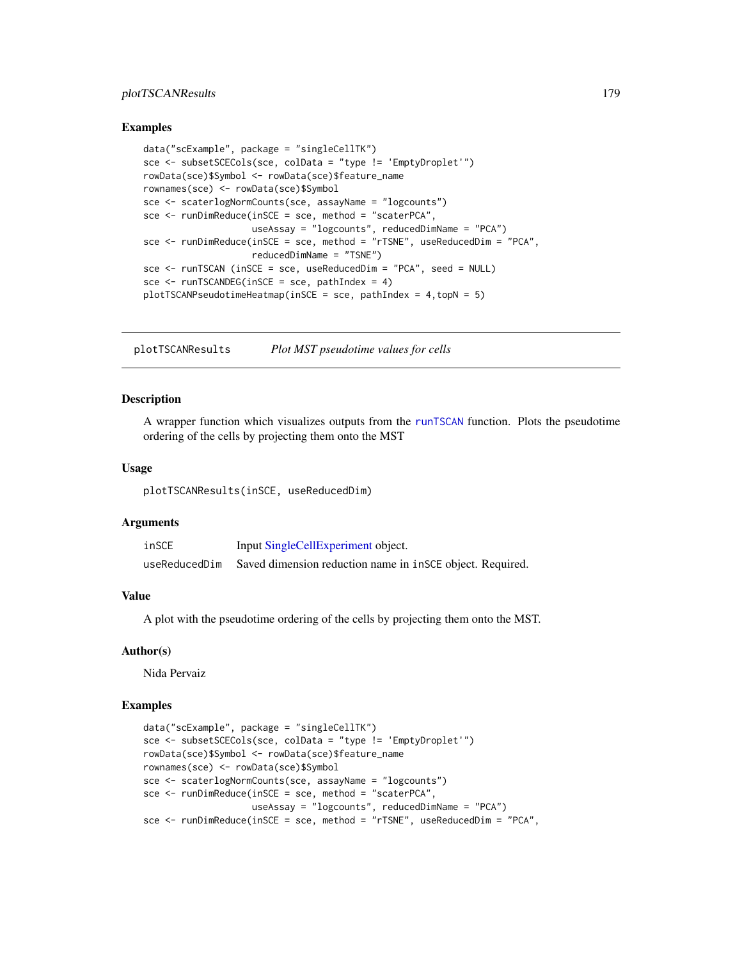# plotTSCANResults 179

#### Examples

```
data("scExample", package = "singleCellTK")
sce <- subsetSCECols(sce, colData = "type != 'EmptyDroplet'")
rowData(sce)$Symbol <- rowData(sce)$feature_name
rownames(sce) <- rowData(sce)$Symbol
sce <- scaterlogNormCounts(sce, assayName = "logcounts")
sce <- runDimReduce(inSCE = sce, method = "scaterPCA",
                    useAssay = "logcounts", reducedDimName = "PCA")
sce <- runDimReduce(inSCE = sce, method = "rTSNE", useReducedDim = "PCA",
                    reducedDimName = "TSNE")
sce <- runTSCAN (inSCE = sce, useReducedDim = "PCA", seed = NULL)
sce <- runTSCANDEG(inSCE = sce, pathIndex = 4)
plotTSCANPseudotimeHeatmap(inSCE = sce, pathIndex = 4,topN = 5)
```
plotTSCANResults *Plot MST pseudotime values for cells*

#### **Description**

A wrapper function which visualizes outputs from the [runTSCAN](#page-261-0) function. Plots the pseudotime ordering of the cells by projecting them onto the MST

#### Usage

plotTSCANResults(inSCE, useReducedDim)

#### Arguments

| inSCE         | Input SingleCellExperiment object.                        |
|---------------|-----------------------------------------------------------|
| useReducedDim | Saved dimension reduction name in insce object. Required. |

#### Value

A plot with the pseudotime ordering of the cells by projecting them onto the MST.

#### Author(s)

Nida Pervaiz

```
data("scExample", package = "singleCellTK")
sce <- subsetSCECols(sce, colData = "type != 'EmptyDroplet'")
rowData(sce)$Symbol <- rowData(sce)$feature_name
rownames(sce) <- rowData(sce)$Symbol
sce <- scaterlogNormCounts(sce, assayName = "logcounts")
sce <- runDimReduce(inSCE = sce, method = "scaterPCA",
                   useAssay = "logcounts", reducedDimName = "PCA")
sce <- runDimReduce(inSCE = sce, method = "rTSNE", useReducedDim = "PCA",
```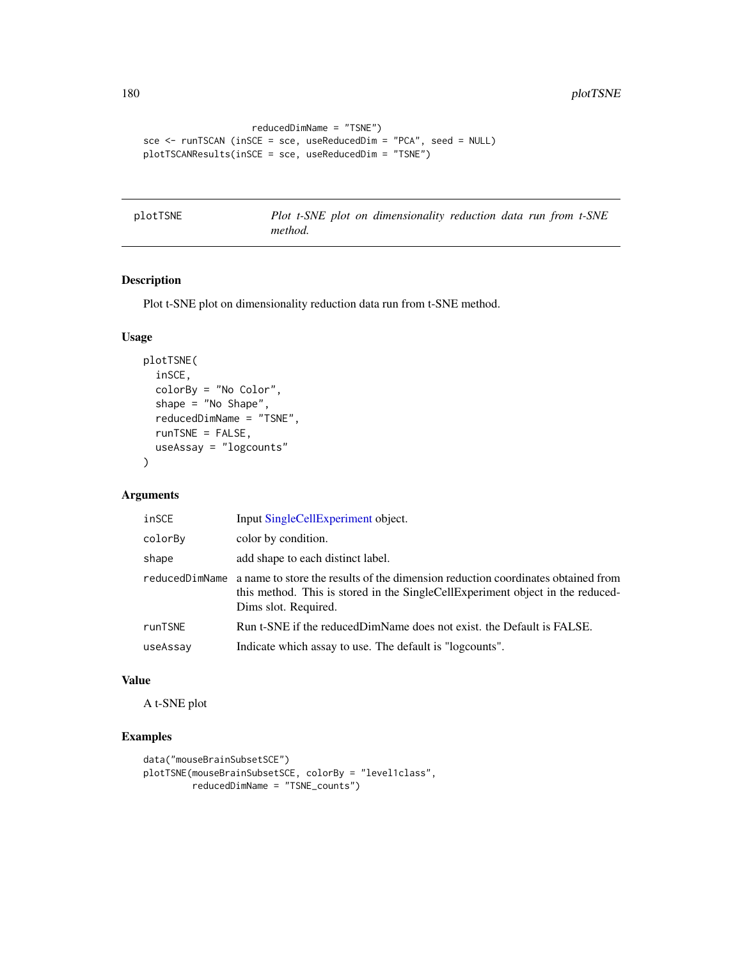```
reducedDimName = "TSNE")
sce <- runTSCAN (inSCE = sce, useReducedDim = "PCA", seed = NULL)
plotTSCANResults(inSCE = sce, useReducedDim = "TSNE")
```
plotTSNE *Plot t-SNE plot on dimensionality reduction data run from t-SNE method.*

# Description

Plot t-SNE plot on dimensionality reduction data run from t-SNE method.

#### Usage

```
plotTSNE(
  inSCE,
  colorBy = "No Color",
  shape = "No Shape",
  reducedDimName = "TSNE",
  runTSNE = FALSE,
  useAssay = "logcounts"
)
```
# Arguments

| inSCE          | Input SingleCellExperiment object.                                                                                                                                                         |
|----------------|--------------------------------------------------------------------------------------------------------------------------------------------------------------------------------------------|
| colorBy        | color by condition.                                                                                                                                                                        |
| shape          | add shape to each distinct label.                                                                                                                                                          |
| reducedDimName | a name to store the results of the dimension reduction coordinates obtained from<br>this method. This is stored in the SingleCellExperiment object in the reduced-<br>Dims slot. Required. |
| runTSNE        | Run t-SNE if the reducedDimName does not exist, the Default is FALSE.                                                                                                                      |
| useAssay       | Indicate which assay to use. The default is "logcounts".                                                                                                                                   |

#### Value

A t-SNE plot

```
data("mouseBrainSubsetSCE")
plotTSNE(mouseBrainSubsetSCE, colorBy = "level1class",
        reducedDimName = "TSNE_counts")
```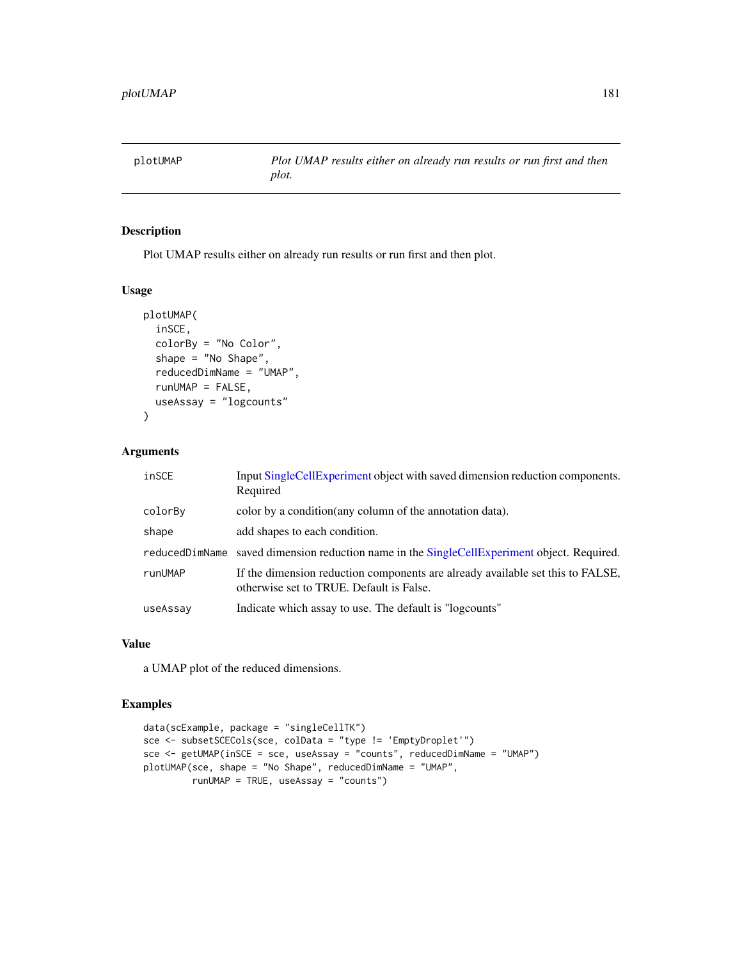plotUMAP *Plot UMAP results either on already run results or run first and then plot.*

## Description

Plot UMAP results either on already run results or run first and then plot.

#### Usage

```
plotUMAP(
  inSCE,
  colorBy = "No Color",
  shape = "No Shape",
  reducedDimName = "UMAP",
  runUMAP = FALSE,useAssay = "logcounts"
)
```
## Arguments

| inSCE          | Input SingleCellExperiment object with saved dimension reduction components.<br>Required                                   |
|----------------|----------------------------------------------------------------------------------------------------------------------------|
| colorBy        | color by a condition (any column of the annotation data).                                                                  |
| shape          | add shapes to each condition.                                                                                              |
| reducedDimName | saved dimension reduction name in the SingleCellExperiment object. Required.                                               |
| runUMAP        | If the dimension reduction components are already available set this to FALSE,<br>otherwise set to TRUE. Default is False. |
| useAssay       | Indicate which assay to use. The default is "logcounts"                                                                    |

## Value

a UMAP plot of the reduced dimensions.

# Examples

```
data(scExample, package = "singleCellTK")
sce <- subsetSCECols(sce, colData = "type != 'EmptyDroplet'")
sce <- getUMAP(inSCE = sce, useAssay = "counts", reducedDimName = "UMAP")
plotUMAP(sce, shape = "No Shape", reducedDimName = "UMAP",
        runUMAP = TRUE, useAssay = "counts")
```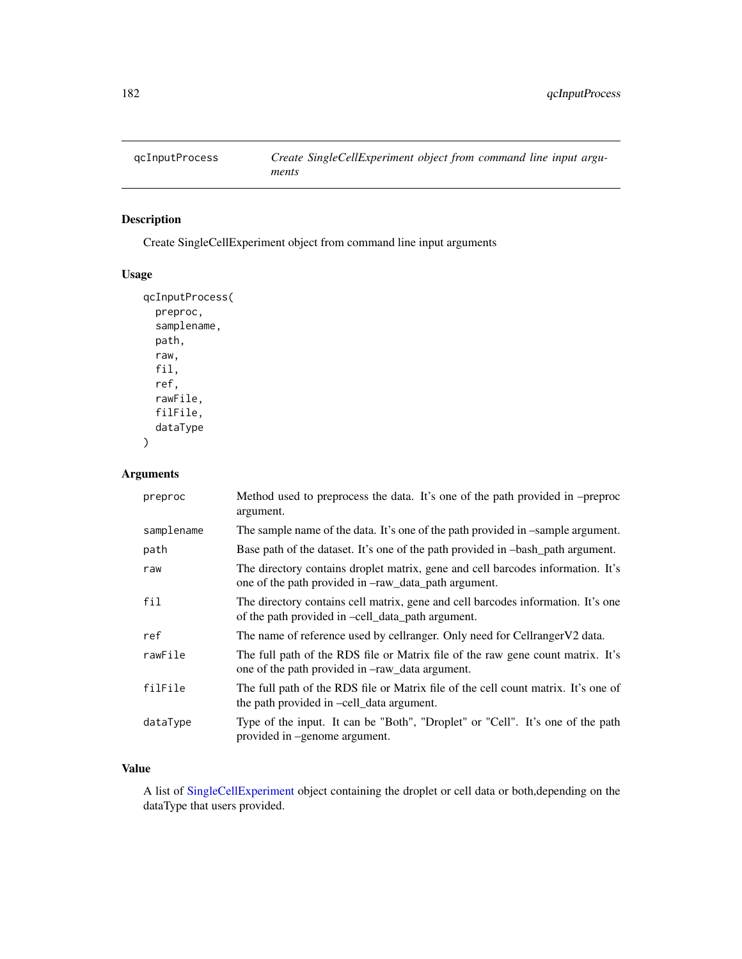# Description

Create SingleCellExperiment object from command line input arguments

## Usage

```
qcInputProcess(
 preproc,
  samplename,
 path,
  raw,
  fil,
  ref,
  rawFile,
 filFile,
  dataType
)
```
# Arguments

| preproc    | Method used to preprocess the data. It's one of the path provided in -preproc<br>argument.                                                          |
|------------|-----------------------------------------------------------------------------------------------------------------------------------------------------|
| samplename | The sample name of the data. It's one of the path provided in -sample argument.                                                                     |
| path       | Base path of the dataset. It's one of the path provided in $-$ bash path argument.                                                                  |
| raw        | The directory contains droplet matrix, gene and cell barcodes information. It's<br>one of the path provided in $-{\rm raw\_data\_path}$ argument.   |
| fil        | The directory contains cell matrix, gene and cell barcodes information. It's one<br>of the path provided in -cell_data_path argument.               |
| ref        | The name of reference used by cellranger. Only need for Cellranger V2 data.                                                                         |
| rawFile    | The full path of the RDS file or Matrix file of the raw gene count matrix. It's<br>one of the path provided in $-\text{raw}\_\text{data argument.}$ |
| filFile    | The full path of the RDS file or Matrix file of the cell count matrix. It's one of<br>the path provided in -cell data argument.                     |
| dataType   | Type of the input. It can be "Both", "Droplet" or "Cell". It's one of the path<br>provided in -genome argument.                                     |

# Value

A list of [SingleCellExperiment](#page-0-0) object containing the droplet or cell data or both,depending on the dataType that users provided.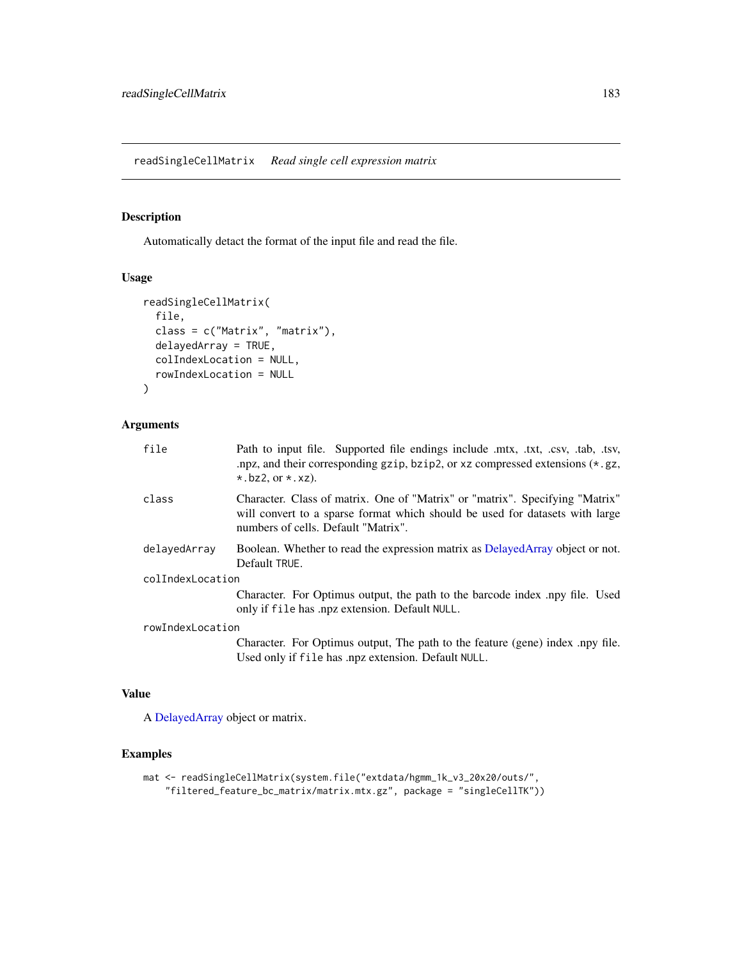readSingleCellMatrix *Read single cell expression matrix*

## Description

Automatically detact the format of the input file and read the file.

#### Usage

```
readSingleCellMatrix(
  file,
  class = c("Matrix", "matrix"),
  delayedArray = TRUE,
  colIndexLocation = NULL,
  rowIndexLocation = NULL
\mathcal{L}
```
#### Arguments

| file             | Path to input file. Supported file endings include .mtx, .txt, .csv, .tab, .tsv,<br>npz, and their corresponding gzip, bzip2, or $xz$ compressed extensions $(*.gz,$<br>$\star$ . bz2, or $\star$ . xz). |
|------------------|----------------------------------------------------------------------------------------------------------------------------------------------------------------------------------------------------------|
| class            | Character. Class of matrix. One of "Matrix" or "matrix". Specifying "Matrix"<br>will convert to a sparse format which should be used for datasets with large<br>numbers of cells. Default "Matrix".      |
| delavedArrav     | Boolean. Whether to read the expression matrix as DelayedArray object or not.<br>Default TRUE.                                                                                                           |
| colIndexLocation |                                                                                                                                                                                                          |
|                  | Character. For Optimus output, the path to the barcode index .npy file. Used<br>only if file has .npz extension. Default NULL.                                                                           |
| rowIndexLocation |                                                                                                                                                                                                          |
|                  | Character. For Optimus output, The path to the feature (gene) index .npy file.<br>Used only if file has .npz extension. Default NULL.                                                                    |

## Value

A [DelayedArray](#page-0-0) object or matrix.

## Examples

```
mat <- readSingleCellMatrix(system.file("extdata/hgmm_1k_v3_20x20/outs/",
    "filtered_feature_bc_matrix/matrix.mtx.gz", package = "singleCellTK"))
```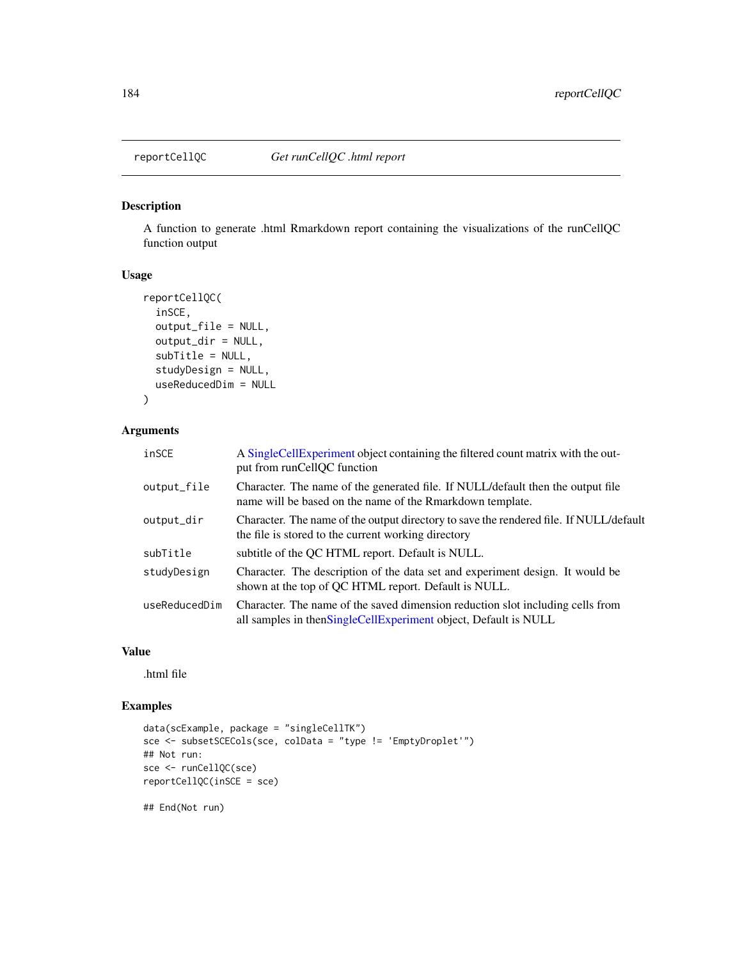## Description

A function to generate .html Rmarkdown report containing the visualizations of the runCellQC function output

#### Usage

```
reportCellQC(
  inSCE,
 output_file = NULL,
 output_dir = NULL,
 subTitle = NULL,
  studyDesign = NULL,
 useReducedDim = NULL
)
```
#### Arguments

| inSCE         | A Single Cell Experiment object containing the filtered count matrix with the out-<br>put from runCellQC function                                    |
|---------------|------------------------------------------------------------------------------------------------------------------------------------------------------|
| output_file   | Character. The name of the generated file. If NULL/default then the output file<br>name will be based on the name of the Rmarkdown template.         |
| output_dir    | Character. The name of the output directory to save the rendered file. If NULL/default<br>the file is stored to the current working directory        |
| subTitle      | subtitle of the QC HTML report. Default is NULL.                                                                                                     |
| studyDesign   | Character. The description of the data set and experiment design. It would be<br>shown at the top of QC HTML report. Default is NULL.                |
| useReducedDim | Character. The name of the saved dimension reduction slot including cells from<br>all samples in then Single Cell Experiment object, Default is NULL |

#### Value

.html file

## Examples

```
data(scExample, package = "singleCellTK")
sce <- subsetSCECols(sce, colData = "type != 'EmptyDroplet'")
## Not run:
sce <- runCellQC(sce)
reportCellQC(inSCE = sce)
```
## End(Not run)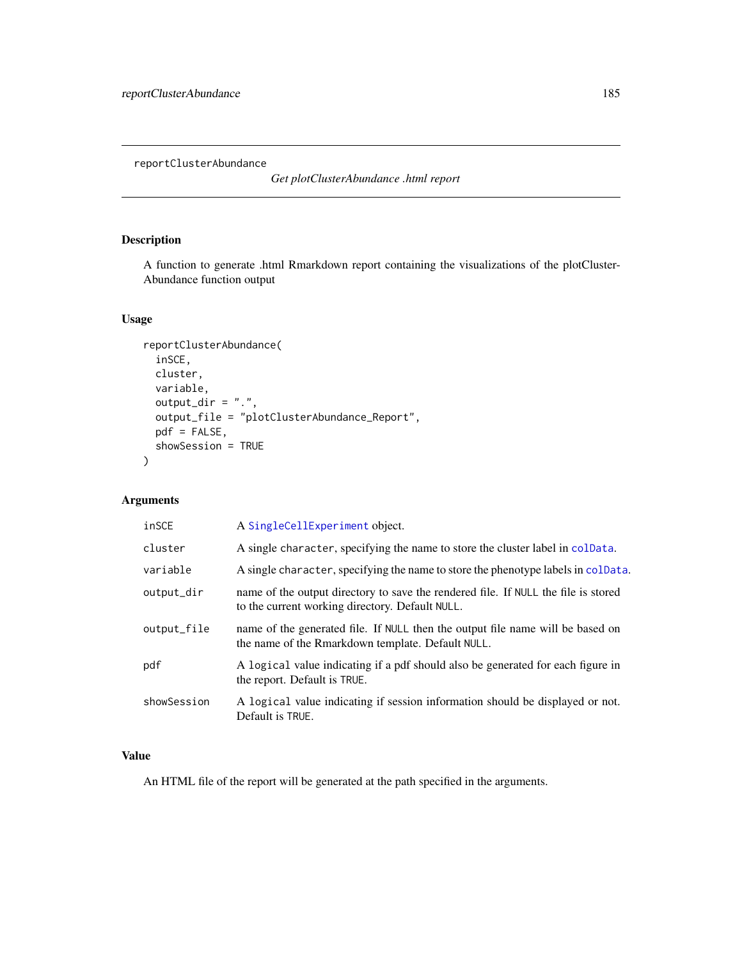reportClusterAbundance

*Get plotClusterAbundance .html report*

# Description

A function to generate .html Rmarkdown report containing the visualizations of the plotCluster-Abundance function output

# Usage

```
reportClusterAbundance(
  inSCE,
 cluster,
 variable,
 output\_dir = ".",
 output_file = "plotClusterAbundance_Report",
 pdf = FALSE,
 showSession = TRUE
\mathcal{L}
```
# Arguments

| inSCE       | A SingleCellExperiment object.                                                                                                        |
|-------------|---------------------------------------------------------------------------------------------------------------------------------------|
| cluster     | A single character, specifying the name to store the cluster label in colData.                                                        |
| variable    | A single character, specifying the name to store the phenotype labels in colData.                                                     |
| output_dir  | name of the output directory to save the rendered file. If NULL the file is stored<br>to the current working directory. Default NULL. |
| output_file | name of the generated file. If NULL then the output file name will be based on<br>the name of the Rmarkdown template. Default NULL.   |
| pdf         | A logical value indicating if a pdf should also be generated for each figure in<br>the report. Default is TRUE.                       |
| showSession | A logical value indicating if session information should be displayed or not.<br>Default is TRUE.                                     |

## Value

An HTML file of the report will be generated at the path specified in the arguments.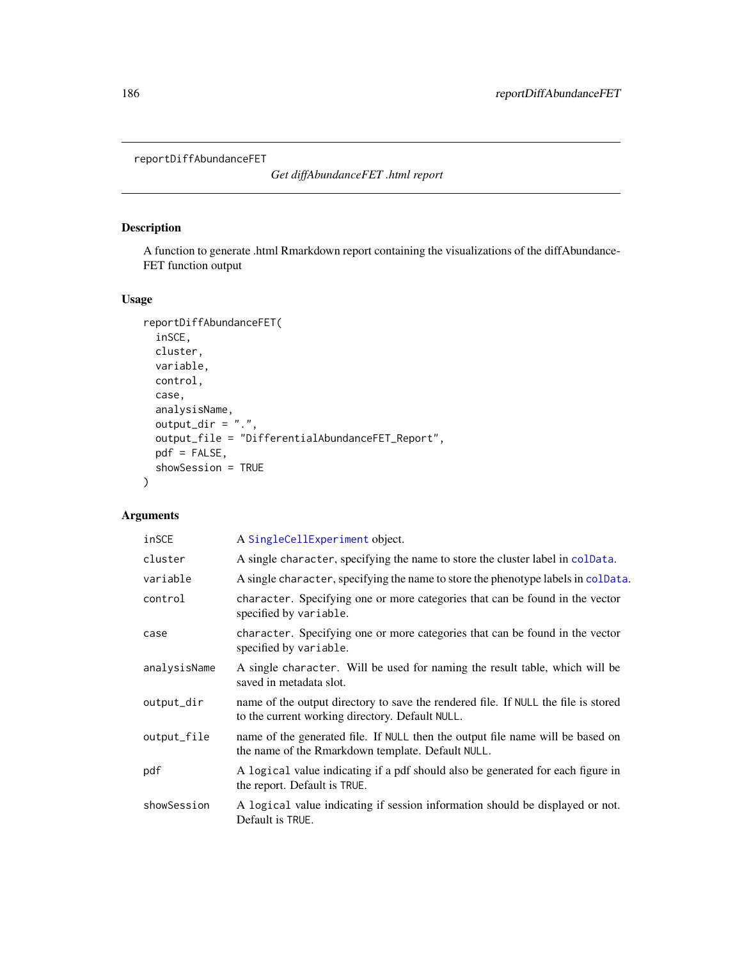```
reportDiffAbundanceFET
```
*Get diffAbundanceFET .html report*

# Description

A function to generate .html Rmarkdown report containing the visualizations of the diffAbundance-FET function output

# Usage

```
reportDiffAbundanceFET(
 inSCE,
 cluster,
 variable,
 control,
 case,
 analysisName,
 output\_dir = "."output_file = "DifferentialAbundanceFET_Report",
 pdf = FALSE,
 showSession = TRUE
)
```
## Arguments

| inSCE        | A SingleCellExperiment object.                                                                                                        |
|--------------|---------------------------------------------------------------------------------------------------------------------------------------|
| cluster      | A single character, specifying the name to store the cluster label in colData.                                                        |
| variable     | A single character, specifying the name to store the phenotype labels in colData.                                                     |
| control      | character. Specifying one or more categories that can be found in the vector<br>specified by variable.                                |
| case         | character. Specifying one or more categories that can be found in the vector<br>specified by variable.                                |
| analysisName | A single character. Will be used for naming the result table, which will be<br>saved in metadata slot.                                |
| output_dir   | name of the output directory to save the rendered file. If NULL the file is stored<br>to the current working directory. Default NULL. |
| output_file  | name of the generated file. If NULL then the output file name will be based on<br>the name of the Rmarkdown template. Default NULL.   |
| pdf          | A logical value indicating if a pdf should also be generated for each figure in<br>the report. Default is TRUE.                       |
| showSession  | A logical value indicating if session information should be displayed or not.<br>Default is TRUE.                                     |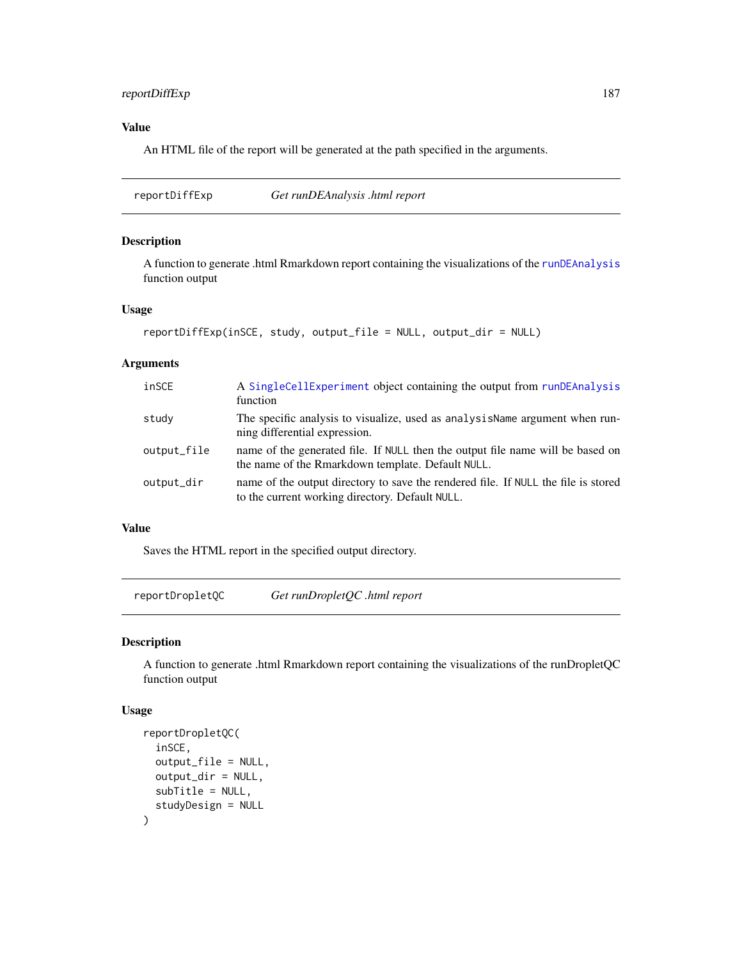## reportDiffExp 187

## Value

An HTML file of the report will be generated at the path specified in the arguments.

reportDiffExp *Get runDEAnalysis .html report*

## Description

A function to generate .html Rmarkdown report containing the visualizations of the [runDEAnalysis](#page-213-0) function output

#### Usage

```
reportDiffExp(inSCE, study, output_file = NULL, output_dir = NULL)
```
#### Arguments

| inSCE       | A SingleCellExperiment object containing the output from runDEAnalysis<br>function                                                    |
|-------------|---------------------------------------------------------------------------------------------------------------------------------------|
| study       | The specific analysis to visualize, used as analysis Name argument when run-<br>ning differential expression.                         |
| output_file | name of the generated file. If NULL then the output file name will be based on<br>the name of the Rmarkdown template. Default NULL.   |
| output_dir  | name of the output directory to save the rendered file. If NULL the file is stored<br>to the current working directory. Default NULL. |

## Value

Saves the HTML report in the specified output directory.

reportDropletQC *Get runDropletQC .html report*

## Description

A function to generate .html Rmarkdown report containing the visualizations of the runDropletQC function output

#### Usage

```
reportDropletQC(
  inSCE,
  output_file = NULL,
  output_dir = NULL,
  subTitle = NULL,
  studyDesign = NULL
\mathcal{E}
```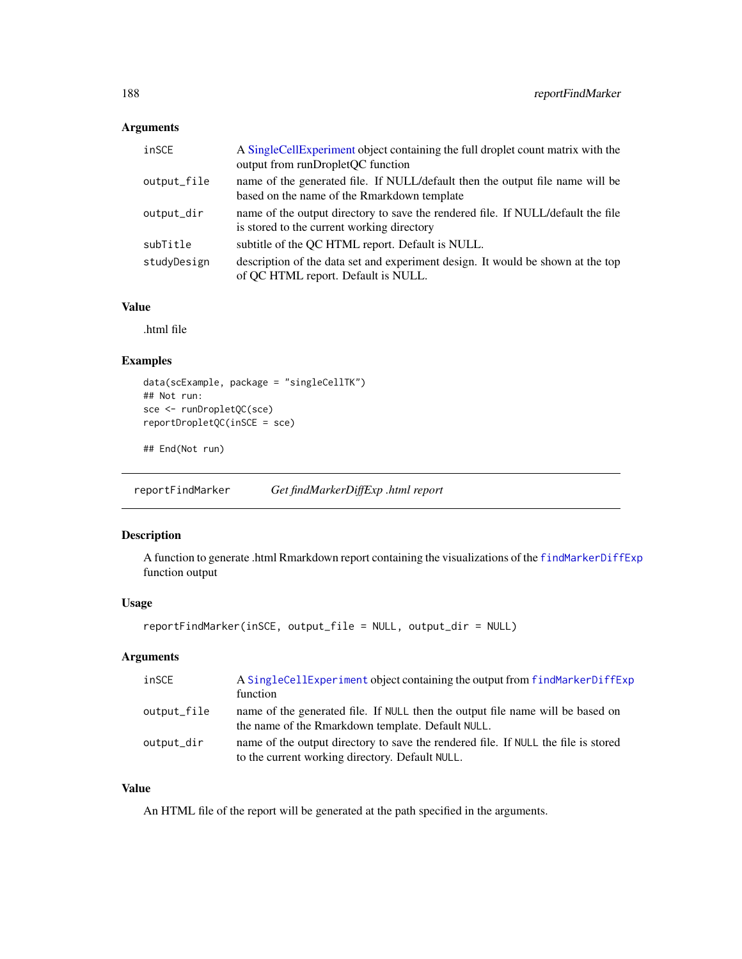## Arguments

| inSCE       | A Single Cell Experiment object containing the full droplet count matrix with the<br>output from runDropletQC function         |
|-------------|--------------------------------------------------------------------------------------------------------------------------------|
| output_file | name of the generated file. If NULL/default then the output file name will be<br>based on the name of the Rmarkdown template   |
| output_dir  | name of the output directory to save the rendered file. If NULL/default the file<br>is stored to the current working directory |
| subTitle    | subtitle of the QC HTML report. Default is NULL.                                                                               |
| studyDesign | description of the data set and experiment design. It would be shown at the top<br>of QC HTML report. Default is NULL.         |

## Value

.html file

## Examples

```
data(scExample, package = "singleCellTK")
## Not run:
sce <- runDropletQC(sce)
reportDropletQC(inSCE = sce)
```
## End(Not run)

reportFindMarker *Get findMarkerDiffExp .html report*

## Description

A function to generate .html Rmarkdown report containing the visualizations of the [findMarkerDiffExp](#page-46-0) function output

#### Usage

```
reportFindMarker(inSCE, output_file = NULL, output_dir = NULL)
```
# Arguments

| inSCE       | A SingleCellExperiment object containing the output from findMarkerDiffExp<br>function                                                |
|-------------|---------------------------------------------------------------------------------------------------------------------------------------|
| output_file | name of the generated file. If NULL then the output file name will be based on<br>the name of the Rmarkdown template. Default NULL.   |
| output_dir  | name of the output directory to save the rendered file. If NULL the file is stored<br>to the current working directory. Default NULL. |

# Value

An HTML file of the report will be generated at the path specified in the arguments.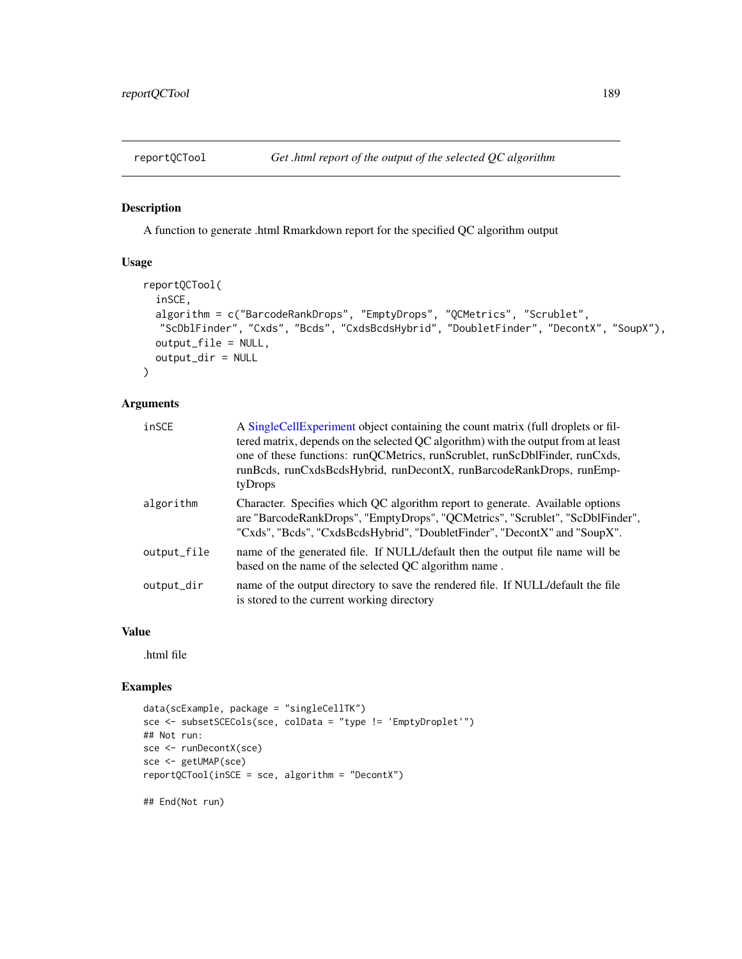## Description

A function to generate .html Rmarkdown report for the specified QC algorithm output

### Usage

```
reportQCTool(
  inSCE,
  algorithm = c("BarcodeRankDrops", "EmptyDrops", "QCMetrics", "Scrublet",
  "ScDblFinder", "Cxds", "Bcds", "CxdsBcdsHybrid", "DoubletFinder", "DecontX", "SoupX"),
 output_file = NULL,
  output_dir = NULL
\mathcal{L}
```
## Arguments

| inSCE       | A SingleCellExperiment object containing the count matrix (full droplets or fil-<br>tered matrix, depends on the selected QC algorithm) with the output from at least<br>one of these functions: runQCMetrics, runScrublet, runScDblFinder, runCxds,<br>runBcds, runCxdsBcdsHybrid, runDecontX, runBarcodeRankDrops, runEmp-<br>tyDrops |
|-------------|-----------------------------------------------------------------------------------------------------------------------------------------------------------------------------------------------------------------------------------------------------------------------------------------------------------------------------------------|
| algorithm   | Character. Specifies which QC algorithm report to generate. Available options<br>are "BarcodeRankDrops", "EmptyDrops", "QCMetrics", "Scrublet", "ScDblFinder",<br>"Cxds", "Bcds", "CxdsBcdsHybrid", "DoubletFinder", "DecontX" and "SoupX".                                                                                             |
| output_file | name of the generated file. If NULL/default then the output file name will be<br>based on the name of the selected QC algorithm name.                                                                                                                                                                                                   |
| output_dir  | name of the output directory to save the rendered file. If NULL/default the file<br>is stored to the current working directory                                                                                                                                                                                                          |

### Value

.html file

## Examples

```
data(scExample, package = "singleCellTK")
sce <- subsetSCECols(sce, colData = "type != 'EmptyDroplet'")
## Not run:
sce <- runDecontX(sce)
sce <- getUMAP(sce)
reportQCTool(inSCE = sce, algorithm = "DecontX")
```
## End(Not run)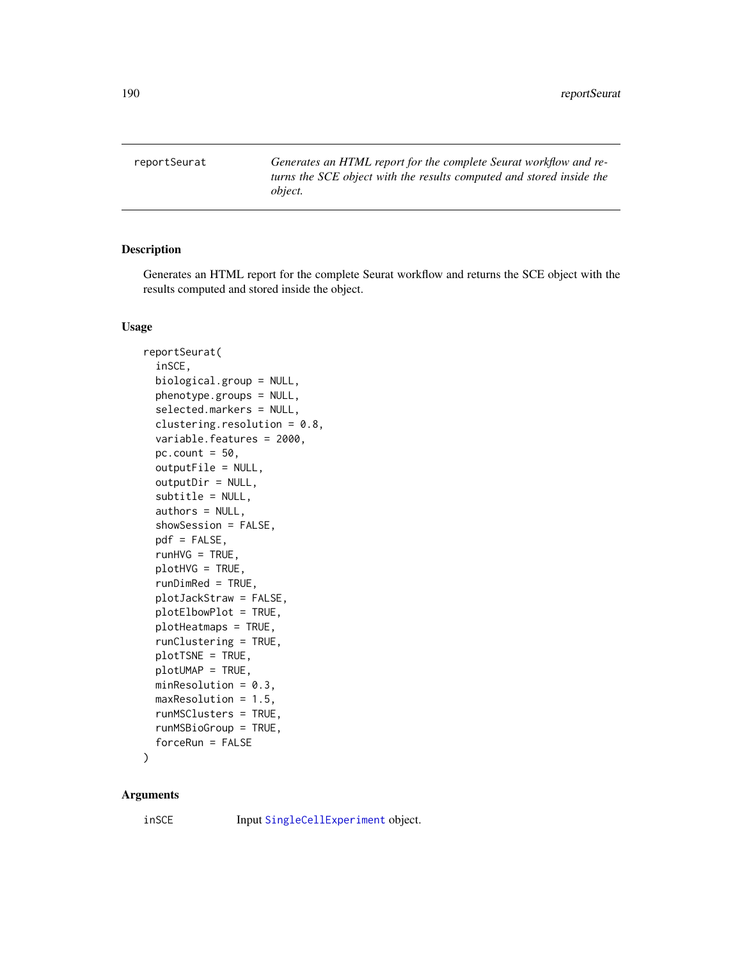reportSeurat *Generates an HTML report for the complete Seurat workflow and returns the SCE object with the results computed and stored inside the object.*

### Description

Generates an HTML report for the complete Seurat workflow and returns the SCE object with the results computed and stored inside the object.

#### Usage

```
reportSeurat(
  inSCE,
  biological.group = NULL,
  phenotype.groups = NULL,
  selected.markers = NULL,
  clustering.resolution = 0.8,
  variable.features = 2000,
  pc.count = 50,
  outputFile = NULL,
  outputDir = NULL,
  subtitle = NULL,
  authors = NULL,
  showSession = FALSE,
 pdf = FALSE,
  runHVG = TRUE,
  plotHVG = TRUE,
  runDimRed = TRUE,
 plotJackStraw = FALSE,
 plotElbowPlot = TRUE,
  plotHeatmaps = TRUE,
  runClustering = TRUE,
 plotTSNE = TRUE,
 plotUMAP = TRUE,
 minResolution = 0.3,
 maxResolution = 1.5,
  runMSClusters = TRUE,
  runMSBioGroup = TRUE,
  forceRun = FALSE
```
)

### Arguments

inSCE Input [SingleCellExperiment](#page-0-0) object.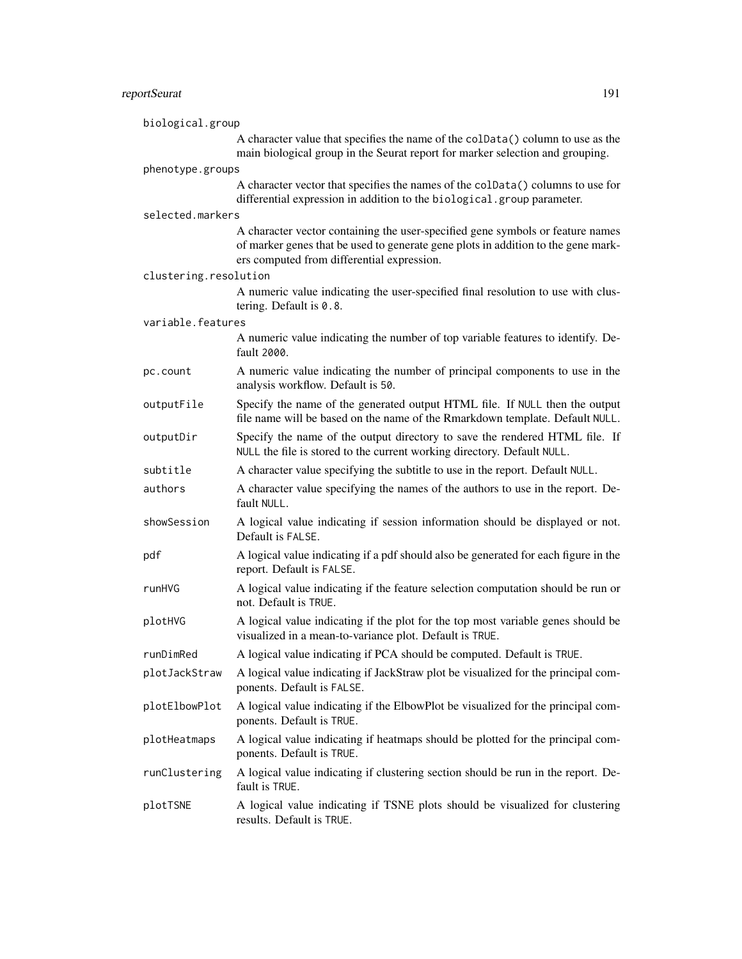# reportSeurat 191

| biological.group      |                                                                                                                                                                                                                   |  |
|-----------------------|-------------------------------------------------------------------------------------------------------------------------------------------------------------------------------------------------------------------|--|
|                       | A character value that specifies the name of the colData() column to use as the<br>main biological group in the Seurat report for marker selection and grouping.                                                  |  |
| phenotype.groups      |                                                                                                                                                                                                                   |  |
|                       | A character vector that specifies the names of the colData() columns to use for<br>differential expression in addition to the biological.group parameter.                                                         |  |
| selected.markers      |                                                                                                                                                                                                                   |  |
|                       | A character vector containing the user-specified gene symbols or feature names<br>of marker genes that be used to generate gene plots in addition to the gene mark-<br>ers computed from differential expression. |  |
| clustering.resolution |                                                                                                                                                                                                                   |  |
|                       | A numeric value indicating the user-specified final resolution to use with clus-<br>tering. Default is 0.8.                                                                                                       |  |
| variable.features     |                                                                                                                                                                                                                   |  |
|                       | A numeric value indicating the number of top variable features to identify. De-<br>fault 2000.                                                                                                                    |  |
| pc.count              | A numeric value indicating the number of principal components to use in the<br>analysis workflow. Default is 50.                                                                                                  |  |
| outputFile            | Specify the name of the generated output HTML file. If NULL then the output<br>file name will be based on the name of the Rmarkdown template. Default NULL.                                                       |  |
| outputDir             | Specify the name of the output directory to save the rendered HTML file. If<br>NULL the file is stored to the current working directory. Default NULL.                                                            |  |
| subtitle              | A character value specifying the subtitle to use in the report. Default NULL.                                                                                                                                     |  |
| authors               | A character value specifying the names of the authors to use in the report. De-<br>fault NULL.                                                                                                                    |  |
| showSession           | A logical value indicating if session information should be displayed or not.<br>Default is FALSE.                                                                                                                |  |
| pdf                   | A logical value indicating if a pdf should also be generated for each figure in the<br>report. Default is FALSE.                                                                                                  |  |
| runHVG                | A logical value indicating if the feature selection computation should be run or<br>not. Default is TRUE.                                                                                                         |  |
| plotHVG               | A logical value indicating if the plot for the top most variable genes should be<br>visualized in a mean-to-variance plot. Default is TRUE.                                                                       |  |
| runDimRed             | A logical value indicating if PCA should be computed. Default is TRUE.                                                                                                                                            |  |
| plotJackStraw         | A logical value indicating if JackStraw plot be visualized for the principal com-<br>ponents. Default is FALSE.                                                                                                   |  |
| plotElbowPlot         | A logical value indicating if the ElbowPlot be visualized for the principal com-<br>ponents. Default is TRUE.                                                                                                     |  |
| plotHeatmaps          | A logical value indicating if heatmaps should be plotted for the principal com-<br>ponents. Default is TRUE.                                                                                                      |  |
| runClustering         | A logical value indicating if clustering section should be run in the report. De-<br>fault is TRUE.                                                                                                               |  |
| plotTSNE              | A logical value indicating if TSNE plots should be visualized for clustering<br>results. Default is TRUE.                                                                                                         |  |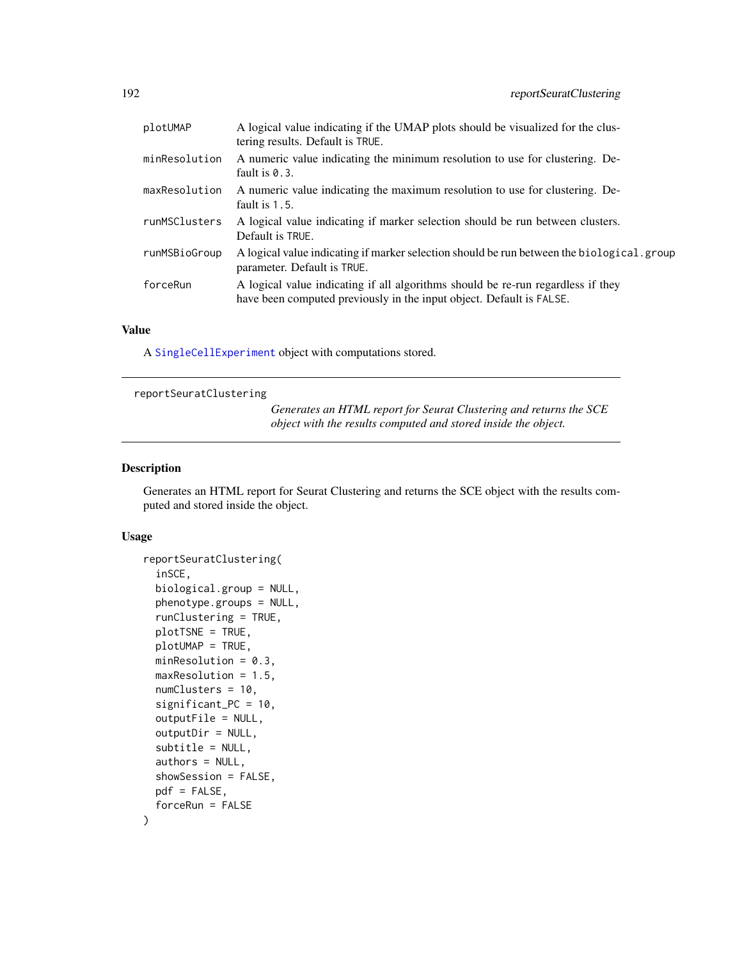| plotUMAP      | A logical value indicating if the UMAP plots should be visualized for the clus-<br>tering results. Default is TRUE.                                      |
|---------------|----------------------------------------------------------------------------------------------------------------------------------------------------------|
| minResolution | A numeric value indicating the minimum resolution to use for clustering. De-<br>fault is $0.3$ .                                                         |
| maxResolution | A numeric value indicating the maximum resolution to use for clustering. De-<br>fault is $1.5$ .                                                         |
| runMSClusters | A logical value indicating if marker selection should be run between clusters.<br>Default is TRUE.                                                       |
| runMSBioGroup | A logical value indicating if marker selection should be run between the biological.group<br>parameter. Default is TRUE.                                 |
| forceRun      | A logical value indicating if all algorithms should be re-run regardless if they<br>have been computed previously in the input object. Default is FALSE. |

## Value

A [SingleCellExperiment](#page-0-0) object with computations stored.

## reportSeuratClustering

*Generates an HTML report for Seurat Clustering and returns the SCE object with the results computed and stored inside the object.*

## Description

Generates an HTML report for Seurat Clustering and returns the SCE object with the results computed and stored inside the object.

#### Usage

```
reportSeuratClustering(
  inSCE,
 biological.group = NULL,
 phenotype.groups = NULL,
  runClustering = TRUE,
 plotTSNE = TRUE,
 plotUMAP = TRUE,
 minResolution = 0.3,
 maxResolution = 1.5,
 numClusters = 10,
  significant_PC = 10,
  outputFile = NULL,
  outputDir = NULL,
  subtitle = NULL,
  authors = NULL,showSession = FALSE,
 pdf = FALSE,
  forceRun = FALSE
\mathcal{E}
```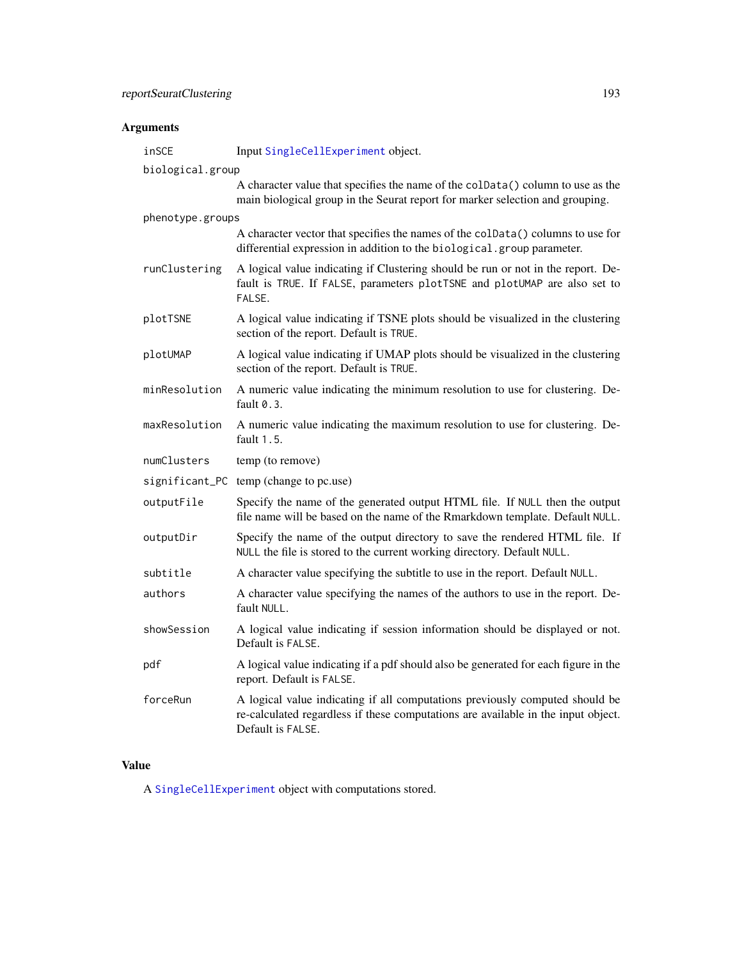# Arguments

| inSCE            | Input SingleCellExperiment object.                                                                                                                                                     |  |
|------------------|----------------------------------------------------------------------------------------------------------------------------------------------------------------------------------------|--|
| biological.group |                                                                                                                                                                                        |  |
|                  | A character value that specifies the name of the colData() column to use as the<br>main biological group in the Seurat report for marker selection and grouping.                       |  |
| phenotype.groups |                                                                                                                                                                                        |  |
|                  | A character vector that specifies the names of the colData() columns to use for<br>differential expression in addition to the biological.group parameter.                              |  |
| runClustering    | A logical value indicating if Clustering should be run or not in the report. De-<br>fault is TRUE. If FALSE, parameters plotTSNE and plotUMAP are also set to<br>FALSE.                |  |
| plotTSNE         | A logical value indicating if TSNE plots should be visualized in the clustering<br>section of the report. Default is TRUE.                                                             |  |
| plotUMAP         | A logical value indicating if UMAP plots should be visualized in the clustering<br>section of the report. Default is TRUE.                                                             |  |
| minResolution    | A numeric value indicating the minimum resolution to use for clustering. De-<br>fault 0.3.                                                                                             |  |
| maxResolution    | A numeric value indicating the maximum resolution to use for clustering. De-<br>fault $1.5$ .                                                                                          |  |
| numClusters      | temp (to remove)                                                                                                                                                                       |  |
|                  | significant_PC temp (change to pc.use)                                                                                                                                                 |  |
| outputFile       | Specify the name of the generated output HTML file. If NULL then the output<br>file name will be based on the name of the Rmarkdown template. Default NULL.                            |  |
| outputDir        | Specify the name of the output directory to save the rendered HTML file. If<br>NULL the file is stored to the current working directory. Default NULL.                                 |  |
| subtitle         | A character value specifying the subtitle to use in the report. Default NULL.                                                                                                          |  |
| authors          | A character value specifying the names of the authors to use in the report. De-<br>fault NULL.                                                                                         |  |
| showSession      | A logical value indicating if session information should be displayed or not.<br>Default is FALSE.                                                                                     |  |
| pdf              | A logical value indicating if a pdf should also be generated for each figure in the<br>report. Default is FALSE.                                                                       |  |
| forceRun         | A logical value indicating if all computations previously computed should be<br>re-calculated regardless if these computations are available in the input object.<br>Default is FALSE. |  |

# Value

A [SingleCellExperiment](#page-0-0) object with computations stored.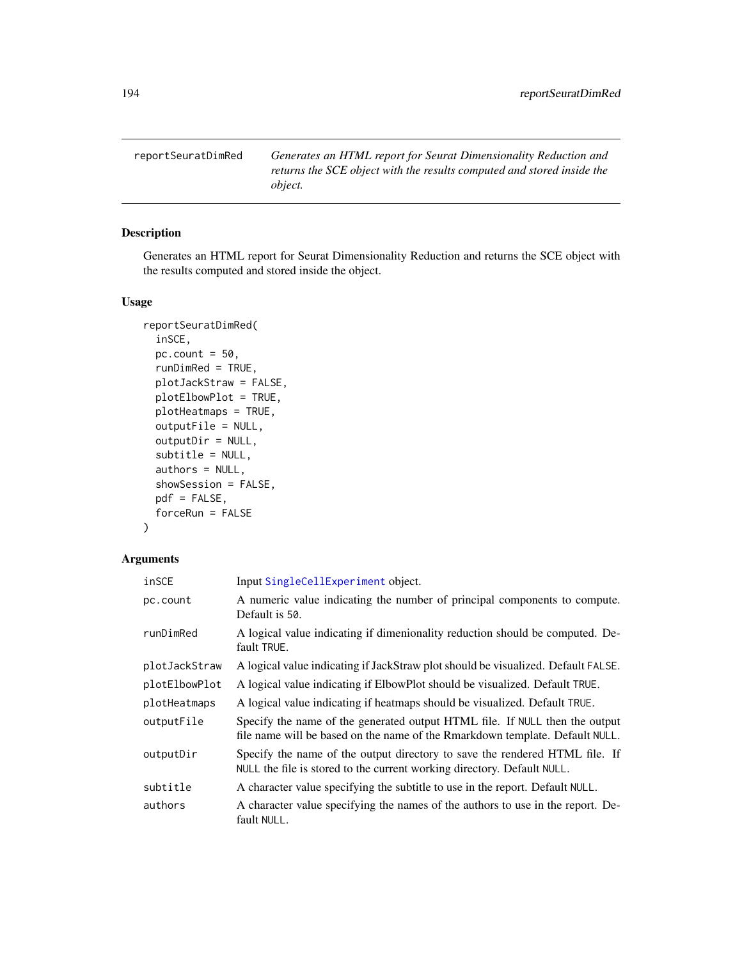reportSeuratDimRed *Generates an HTML report for Seurat Dimensionality Reduction and returns the SCE object with the results computed and stored inside the object.*

## Description

Generates an HTML report for Seurat Dimensionality Reduction and returns the SCE object with the results computed and stored inside the object.

## Usage

```
reportSeuratDimRed(
  inSCE,
 pc.count = 50,
 runDimRed = TRUE,
 plotJackStraw = FALSE,
 plotElbowPlot = TRUE,
 plotHeatmaps = TRUE,
 outputFile = NULL,
  outputDir = NULL,
  subtitle = NULL,
  authors = NULL,
  showSession = FALSE,
  pdf = FALSE,
  forceRun = FALSE
\lambda
```
# Arguments

| inSCE         | Input SingleCellExperiment object.                                                                                                                          |
|---------------|-------------------------------------------------------------------------------------------------------------------------------------------------------------|
| pc.count      | A numeric value indicating the number of principal components to compute.<br>Default is 50.                                                                 |
| runDimRed     | A logical value indicating if dimenionality reduction should be computed. De-<br>fault TRUE.                                                                |
| plotJackStraw | A logical value indicating if JackStraw plot should be visualized. Default FALSE.                                                                           |
| plotElbowPlot | A logical value indicating if ElbowPlot should be visualized. Default TRUE.                                                                                 |
| plotHeatmaps  | A logical value indicating if heatmaps should be visualized. Default TRUE.                                                                                  |
| outputFile    | Specify the name of the generated output HTML file. If NULL then the output<br>file name will be based on the name of the Rmarkdown template. Default NULL. |
| outputDir     | Specify the name of the output directory to save the rendered HTML file. If<br>NULL the file is stored to the current working directory. Default NULL.      |
| subtitle      | A character value specifying the subtitle to use in the report. Default NULL.                                                                               |
| authors       | A character value specifying the names of the authors to use in the report. De-<br>fault NULL.                                                              |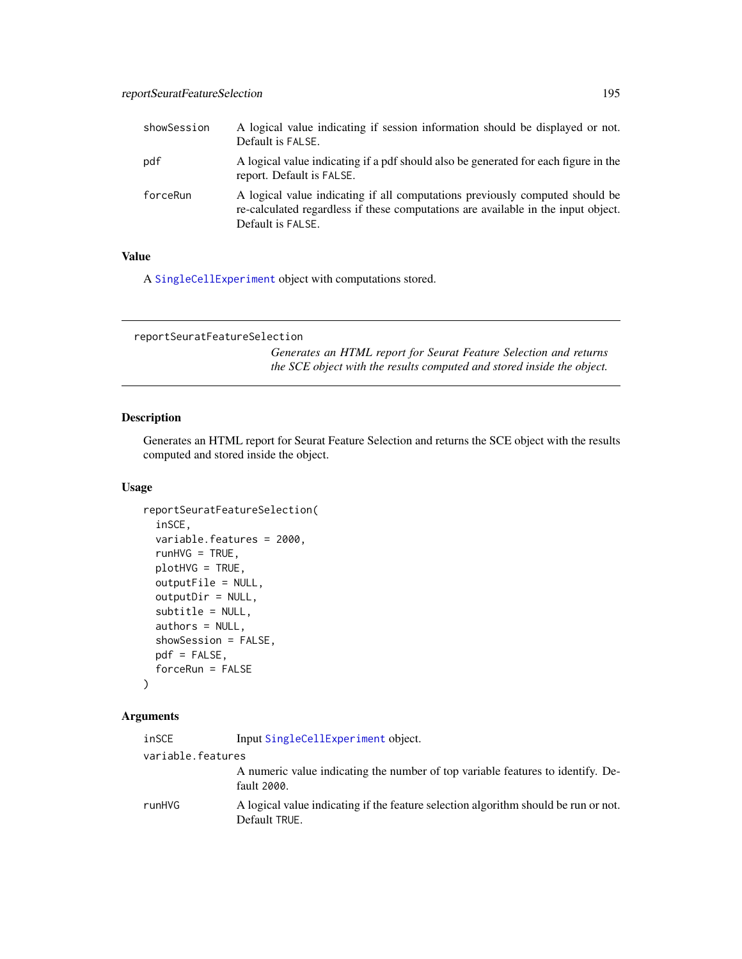| showSession | A logical value indicating if session information should be displayed or not.<br>Default is FALSE.                                                                                     |
|-------------|----------------------------------------------------------------------------------------------------------------------------------------------------------------------------------------|
| pdf         | A logical value indicating if a pdf should also be generated for each figure in the<br>report. Default is FALSE.                                                                       |
| forceRun    | A logical value indicating if all computations previously computed should be<br>re-calculated regardless if these computations are available in the input object.<br>Default is FALSE. |

## Value

A [SingleCellExperiment](#page-0-0) object with computations stored.

```
reportSeuratFeatureSelection
```
*Generates an HTML report for Seurat Feature Selection and returns the SCE object with the results computed and stored inside the object.*

## Description

Generates an HTML report for Seurat Feature Selection and returns the SCE object with the results computed and stored inside the object.

## Usage

```
reportSeuratFeatureSelection(
  inSCE,
  variable.features = 2000,
  runHVG = TRUE,
 plotHVG = TRUE,
 outputFile = NULL,
 outputDir = NULL,
  subtitle = NULL,
  authors = NULL,
  showSession = FALSE,
 pdf = FALSE,forceRun = FALSE
)
```
# Arguments

| inSCE             | Input SingleCellExperiment object.                                                                   |
|-------------------|------------------------------------------------------------------------------------------------------|
| variable.features |                                                                                                      |
|                   | A numeric value indicating the number of top variable features to identify. De-<br>fault 2000.       |
| runHVG            | A logical value indicating if the feature selection algorithm should be run or not.<br>Default TRUE. |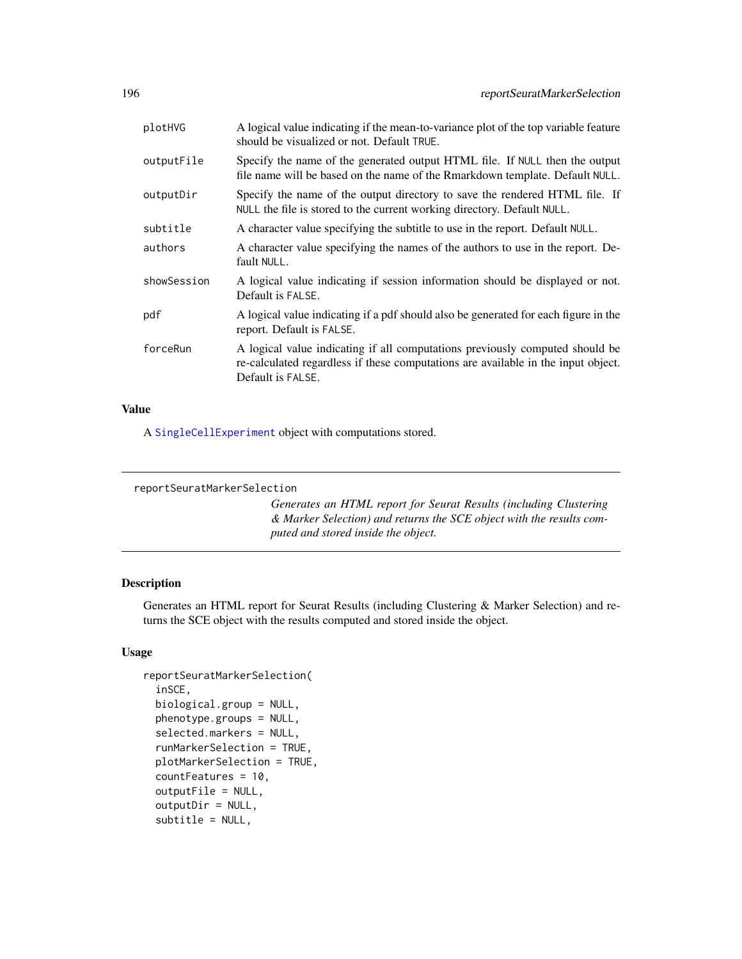|             | Specify the name of the generated output HTML file. If NULL then the output                                                                                                            |
|-------------|----------------------------------------------------------------------------------------------------------------------------------------------------------------------------------------|
| outputFile  | file name will be based on the name of the Rmarkdown template. Default NULL.                                                                                                           |
| outputDir   | Specify the name of the output directory to save the rendered HTML file. If<br>NULL the file is stored to the current working directory. Default NULL.                                 |
| subtitle    | A character value specifying the subtitle to use in the report. Default NULL.                                                                                                          |
| authors     | A character value specifying the names of the authors to use in the report. De-<br>fault NULL.                                                                                         |
| showSession | A logical value indicating if session information should be displayed or not.<br>Default is FALSE.                                                                                     |
| pdf         | A logical value indicating if a pdf should also be generated for each figure in the<br>report. Default is FALSE.                                                                       |
| forceRun    | A logical value indicating if all computations previously computed should be<br>re-calculated regardless if these computations are available in the input object.<br>Default is FALSE. |

#### Value

A [SingleCellExperiment](#page-0-0) object with computations stored.

```
reportSeuratMarkerSelection
```
*Generates an HTML report for Seurat Results (including Clustering & Marker Selection) and returns the SCE object with the results computed and stored inside the object.*

## Description

Generates an HTML report for Seurat Results (including Clustering & Marker Selection) and returns the SCE object with the results computed and stored inside the object.

## Usage

```
reportSeuratMarkerSelection(
  inSCE,
 biological.group = NULL,
 phenotype.groups = NULL,
  selected.markers = NULL,
  runMarkerSelection = TRUE,
 plotMarkerSelection = TRUE,
  countFeatures = 10,
  outputFile = NULL,
  outputDir = NULL,
  subtitle = NULL,
```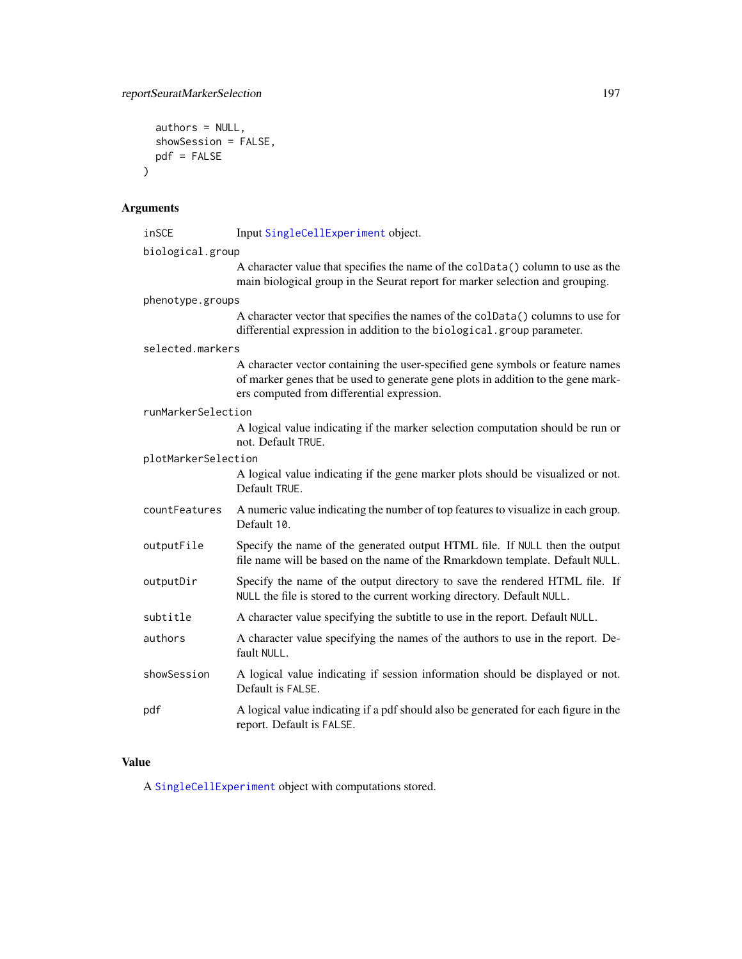```
authors = NULL,showSession = FALSE,
  pdf = FALSE
\mathcal{L}
```
# Arguments

| inSCE               | Input SingleCellExperiment object.                                                                                                                                                                                |  |
|---------------------|-------------------------------------------------------------------------------------------------------------------------------------------------------------------------------------------------------------------|--|
| biological.group    |                                                                                                                                                                                                                   |  |
|                     | A character value that specifies the name of the colData() column to use as the<br>main biological group in the Seurat report for marker selection and grouping.                                                  |  |
| phenotype.groups    |                                                                                                                                                                                                                   |  |
|                     | A character vector that specifies the names of the colData() columns to use for<br>differential expression in addition to the biological.group parameter.                                                         |  |
| selected.markers    |                                                                                                                                                                                                                   |  |
|                     | A character vector containing the user-specified gene symbols or feature names<br>of marker genes that be used to generate gene plots in addition to the gene mark-<br>ers computed from differential expression. |  |
| runMarkerSelection  |                                                                                                                                                                                                                   |  |
|                     | A logical value indicating if the marker selection computation should be run or<br>not. Default TRUE.                                                                                                             |  |
| plotMarkerSelection |                                                                                                                                                                                                                   |  |
|                     | A logical value indicating if the gene marker plots should be visualized or not.<br>Default TRUE.                                                                                                                 |  |
| countFeatures       | A numeric value indicating the number of top features to visualize in each group.<br>Default 10.                                                                                                                  |  |
| outputFile          | Specify the name of the generated output HTML file. If NULL then the output<br>file name will be based on the name of the Rmarkdown template. Default NULL.                                                       |  |
| outputDir           | Specify the name of the output directory to save the rendered HTML file. If<br>NULL the file is stored to the current working directory. Default NULL.                                                            |  |
| subtitle            | A character value specifying the subtitle to use in the report. Default NULL.                                                                                                                                     |  |
| authors             | A character value specifying the names of the authors to use in the report. De-<br>fault NULL.                                                                                                                    |  |
| showSession         | A logical value indicating if session information should be displayed or not.<br>Default is FALSE.                                                                                                                |  |
| pdf                 | A logical value indicating if a pdf should also be generated for each figure in the<br>report. Default is FALSE.                                                                                                  |  |

# Value

A [SingleCellExperiment](#page-0-0) object with computations stored.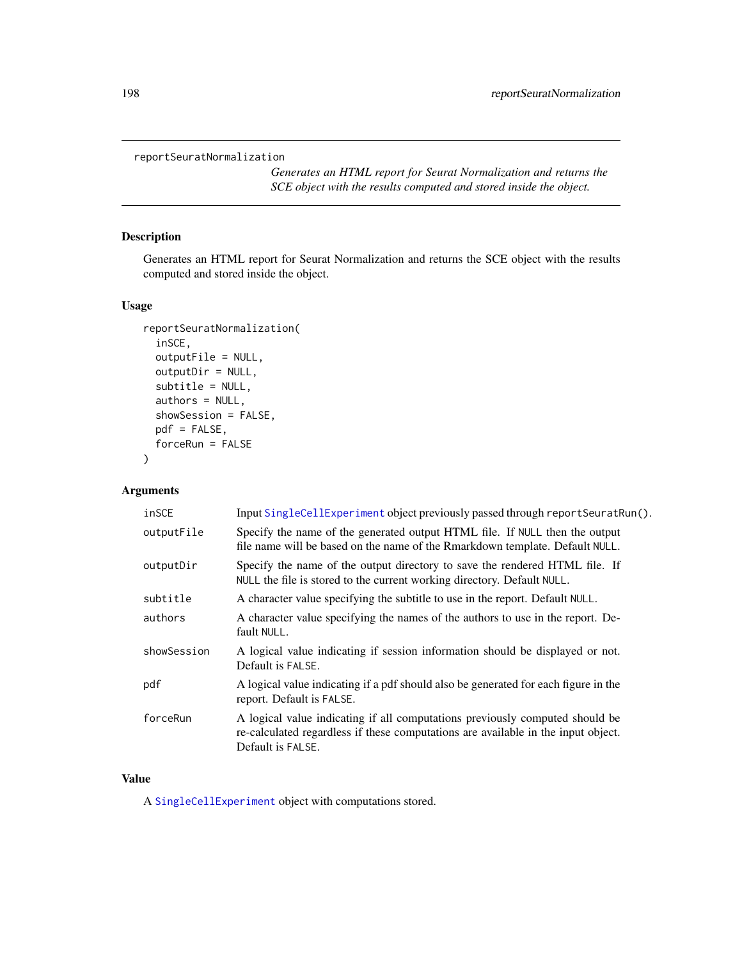```
reportSeuratNormalization
```
*Generates an HTML report for Seurat Normalization and returns the SCE object with the results computed and stored inside the object.*

## Description

Generates an HTML report for Seurat Normalization and returns the SCE object with the results computed and stored inside the object.

## Usage

```
reportSeuratNormalization(
  inSCE,
  outputFile = NULL,
 outputDir = NULL,
  subtitle = NULL,
  authors = NULL,showSession = FALSE,
 pdf = FALSE,
  forceRun = FALSE
\mathcal{L}
```
# Arguments

| inSCE       | Input SingleCellExperiment object previously passed through reportSeuratRun().                                                                                                         |
|-------------|----------------------------------------------------------------------------------------------------------------------------------------------------------------------------------------|
| outputFile  | Specify the name of the generated output HTML file. If NULL then the output<br>file name will be based on the name of the Rmarkdown template. Default NULL.                            |
| outputDir   | Specify the name of the output directory to save the rendered HTML file. If<br>NULL the file is stored to the current working directory. Default NULL.                                 |
| subtitle    | A character value specifying the subtitle to use in the report. Default NULL.                                                                                                          |
| authors     | A character value specifying the names of the authors to use in the report. De-<br>fault NULL.                                                                                         |
| showSession | A logical value indicating if session information should be displayed or not.<br>Default is FALSE.                                                                                     |
| pdf         | A logical value indicating if a pdf should also be generated for each figure in the<br>report. Default is FALSE.                                                                       |
| forceRun    | A logical value indicating if all computations previously computed should be<br>re-calculated regardless if these computations are available in the input object.<br>Default is FALSE. |

# Value

A [SingleCellExperiment](#page-0-0) object with computations stored.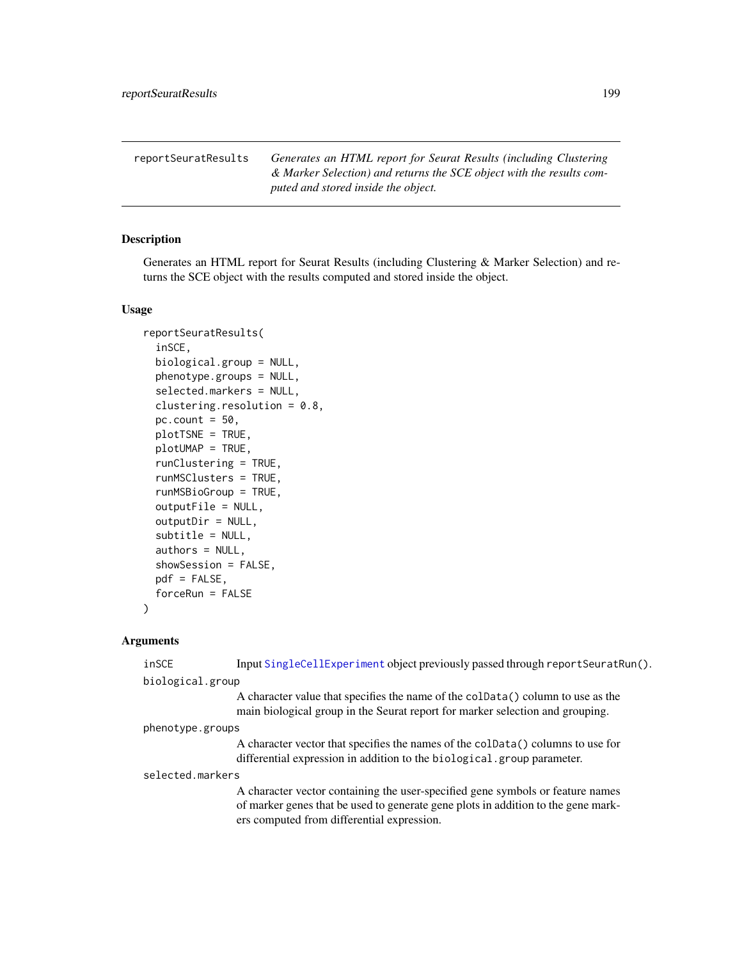reportSeuratResults *Generates an HTML report for Seurat Results (including Clustering & Marker Selection) and returns the SCE object with the results computed and stored inside the object.*

## Description

Generates an HTML report for Seurat Results (including Clustering & Marker Selection) and returns the SCE object with the results computed and stored inside the object.

#### Usage

```
reportSeuratResults(
  inSCE,
 biological.group = NULL,
 phenotype.groups = NULL,
  selected.markers = NULL,
  clustering.resolution = 0.8,
 pc.count = 50,
 plotTSNE = TRUE,
 plotUMAP = TRUE,
  runClustering = TRUE,
  runMSClusters = TRUE,
  runMSBioGroup = TRUE,
  outputFile = NULL,
  outputDir = NULL,
  subtitle = NULL,
  authors = NULL,
  showSession = FALSE,
 pdf = FALSE,
  forceRun = FALSE
)
```
#### Arguments

| inSCE            | Input SingleCellExperiment object previously passed through reportSeuratRun().                                                                                                                                    |
|------------------|-------------------------------------------------------------------------------------------------------------------------------------------------------------------------------------------------------------------|
| biological.group |                                                                                                                                                                                                                   |
|                  | A character value that specifies the name of the coldata () column to use as the<br>main biological group in the Seurat report for marker selection and grouping.                                                 |
| phenotype.groups |                                                                                                                                                                                                                   |
|                  | A character vector that specifies the names of the coldara () columns to use for<br>differential expression in addition to the biological.group parameter.                                                        |
| selected.markers |                                                                                                                                                                                                                   |
|                  | A character vector containing the user-specified gene symbols or feature names<br>of marker genes that be used to generate gene plots in addition to the gene mark-<br>ers computed from differential expression. |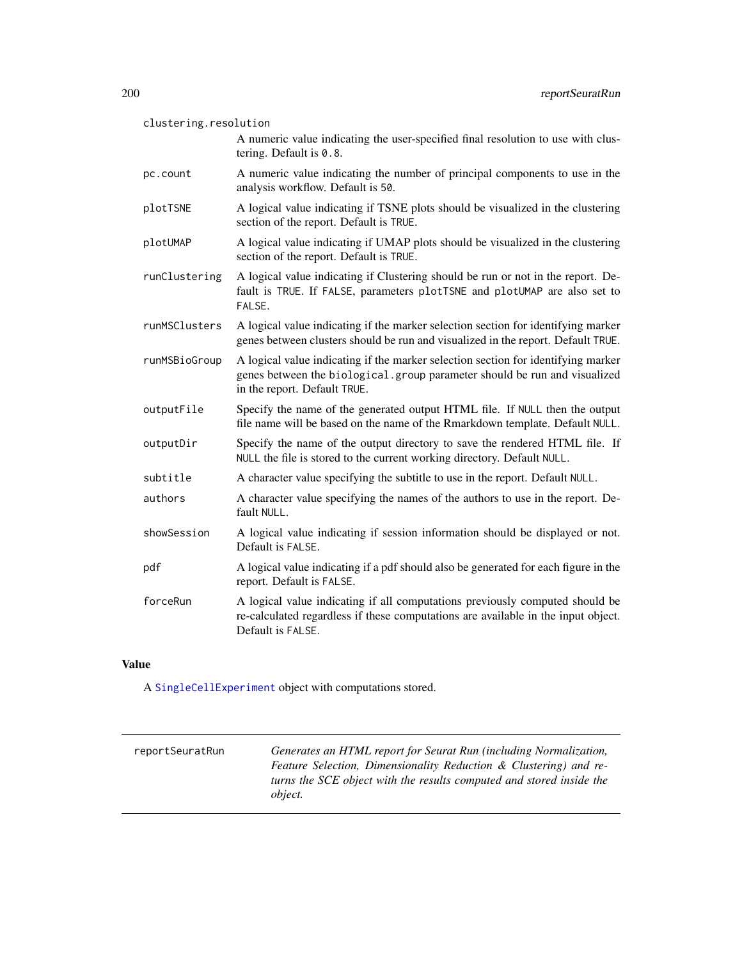| clustering.resolution |                                                                                                                                                                                                |  |
|-----------------------|------------------------------------------------------------------------------------------------------------------------------------------------------------------------------------------------|--|
|                       | A numeric value indicating the user-specified final resolution to use with clus-<br>tering. Default is 0.8.                                                                                    |  |
| pc.count              | A numeric value indicating the number of principal components to use in the<br>analysis workflow. Default is 50.                                                                               |  |
| plotTSNE              | A logical value indicating if TSNE plots should be visualized in the clustering<br>section of the report. Default is TRUE.                                                                     |  |
| plotUMAP              | A logical value indicating if UMAP plots should be visualized in the clustering<br>section of the report. Default is TRUE.                                                                     |  |
| runClustering         | A logical value indicating if Clustering should be run or not in the report. De-<br>fault is TRUE. If FALSE, parameters plotTSNE and plotUMAP are also set to<br>FALSE.                        |  |
| runMSClusters         | A logical value indicating if the marker selection section for identifying marker<br>genes between clusters should be run and visualized in the report. Default TRUE.                          |  |
| runMSBioGroup         | A logical value indicating if the marker selection section for identifying marker<br>genes between the biological.group parameter should be run and visualized<br>in the report. Default TRUE. |  |
| outputFile            | Specify the name of the generated output HTML file. If NULL then the output<br>file name will be based on the name of the Rmarkdown template. Default NULL.                                    |  |
| outputDir             | Specify the name of the output directory to save the rendered HTML file. If<br>NULL the file is stored to the current working directory. Default NULL.                                         |  |
| subtitle              | A character value specifying the subtitle to use in the report. Default NULL.                                                                                                                  |  |
| authors               | A character value specifying the names of the authors to use in the report. De-<br>fault NULL.                                                                                                 |  |
| showSession           | A logical value indicating if session information should be displayed or not.<br>Default is FALSE.                                                                                             |  |
| pdf                   | A logical value indicating if a pdf should also be generated for each figure in the<br>report. Default is FALSE.                                                                               |  |
| forceRun              | A logical value indicating if all computations previously computed should be<br>re-calculated regardless if these computations are available in the input object.<br>Default is FALSE.         |  |

# Value

A [SingleCellExperiment](#page-0-0) object with computations stored.

| reportSeuratRun | Generates an HTML report for Seurat Run (including Normalization,<br>Feature Selection, Dimensionality Reduction & Clustering) and re-<br>turns the SCE object with the results computed and stored inside the<br><i>object.</i> |
|-----------------|----------------------------------------------------------------------------------------------------------------------------------------------------------------------------------------------------------------------------------|
|                 |                                                                                                                                                                                                                                  |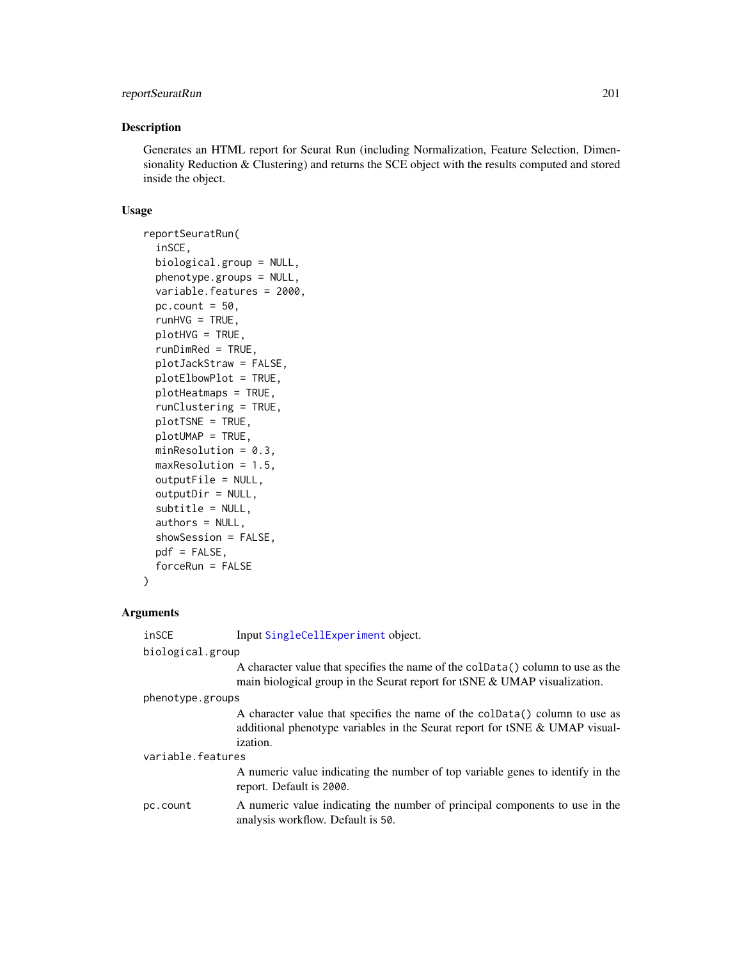## reportSeuratRun 201

#### Description

Generates an HTML report for Seurat Run (including Normalization, Feature Selection, Dimensionality Reduction & Clustering) and returns the SCE object with the results computed and stored inside the object.

#### Usage

```
reportSeuratRun(
  inSCE,
 biological.group = NULL,
 phenotype.groups = NULL,
  variable.features = 2000,
  pc.count = 50,
  runHVG = TRUE,
 plotHVG = TRUE,
  runDimRed = TRUE,
  plotJackStraw = FALSE,
 plotElbowPlot = TRUE,
 plotHeatmaps = TRUE,
  runClustering = TRUE,
 plotTSNE = TRUE,
 plotUMAP = TRUE,
 minResolution = 0.3,
 maxResolution = 1.5,
  outputFile = NULL,
  outputDir = NULL,
  subtitle = NULL,
  authors = NULL,
  showSession = FALSE,
 pdf = FALSE,forceRun = FALSE
\lambda
```
## Arguments

inSCE Input [SingleCellExperiment](#page-0-0) object.

analysis workflow. Default is 50.

| biological.group  |                                                                                                                                                                               |  |
|-------------------|-------------------------------------------------------------------------------------------------------------------------------------------------------------------------------|--|
|                   | A character value that specifies the name of the coldata() column to use as the<br>main biological group in the Seurat report for tSNE & UMAP visualization.                  |  |
| phenotype.groups  |                                                                                                                                                                               |  |
|                   | A character value that specifies the name of the coldata() column to use as<br>additional phenotype variables in the Seurat report for tSNE & UMAP visual-<br><i>ization.</i> |  |
| variable.features |                                                                                                                                                                               |  |
|                   | A numeric value indicating the number of top variable genes to identify in the<br>report. Default is 2000.                                                                    |  |
| pc.count          | A numeric value indicating the number of principal components to use in the                                                                                                   |  |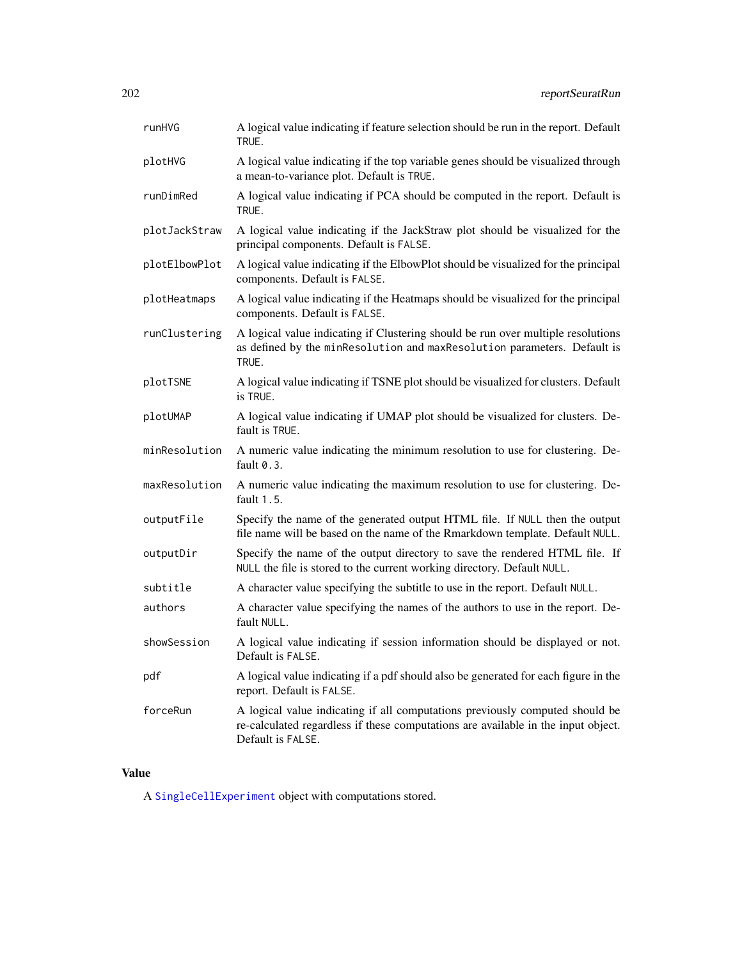| runHVG        | A logical value indicating if feature selection should be run in the report. Default<br>TRUE.                                                                                          |
|---------------|----------------------------------------------------------------------------------------------------------------------------------------------------------------------------------------|
| plotHVG       | A logical value indicating if the top variable genes should be visualized through<br>a mean-to-variance plot. Default is TRUE.                                                         |
| runDimRed     | A logical value indicating if PCA should be computed in the report. Default is<br>TRUE.                                                                                                |
| plotJackStraw | A logical value indicating if the JackStraw plot should be visualized for the<br>principal components. Default is FALSE.                                                               |
| plotElbowPlot | A logical value indicating if the ElbowPlot should be visualized for the principal<br>components. Default is FALSE.                                                                    |
| plotHeatmaps  | A logical value indicating if the Heatmaps should be visualized for the principal<br>components. Default is FALSE.                                                                     |
| runClustering | A logical value indicating if Clustering should be run over multiple resolutions<br>as defined by the minResolution and maxResolution parameters. Default is<br>TRUE.                  |
| plotTSNE      | A logical value indicating if TSNE plot should be visualized for clusters. Default<br>is TRUE.                                                                                         |
| plotUMAP      | A logical value indicating if UMAP plot should be visualized for clusters. De-<br>fault is TRUE.                                                                                       |
| minResolution | A numeric value indicating the minimum resolution to use for clustering. De-<br>fault $0.3$ .                                                                                          |
| maxResolution | A numeric value indicating the maximum resolution to use for clustering. De-<br>fault $1.5$ .                                                                                          |
| outputFile    | Specify the name of the generated output HTML file. If NULL then the output<br>file name will be based on the name of the Rmarkdown template. Default NULL.                            |
| outputDir     | Specify the name of the output directory to save the rendered HTML file. If<br>NULL the file is stored to the current working directory. Default NULL.                                 |
| subtitle      | A character value specifying the subtitle to use in the report. Default NULL.                                                                                                          |
| authors       | A character value specifying the names of the authors to use in the report. De-<br>fault NULL.                                                                                         |
| showSession   | A logical value indicating if session information should be displayed or not.<br>Default is FALSE.                                                                                     |
| pdf           | A logical value indicating if a pdf should also be generated for each figure in the<br>report. Default is FALSE.                                                                       |
| forceRun      | A logical value indicating if all computations previously computed should be<br>re-calculated regardless if these computations are available in the input object.<br>Default is FALSE. |

# Value

A [SingleCellExperiment](#page-0-0) object with computations stored.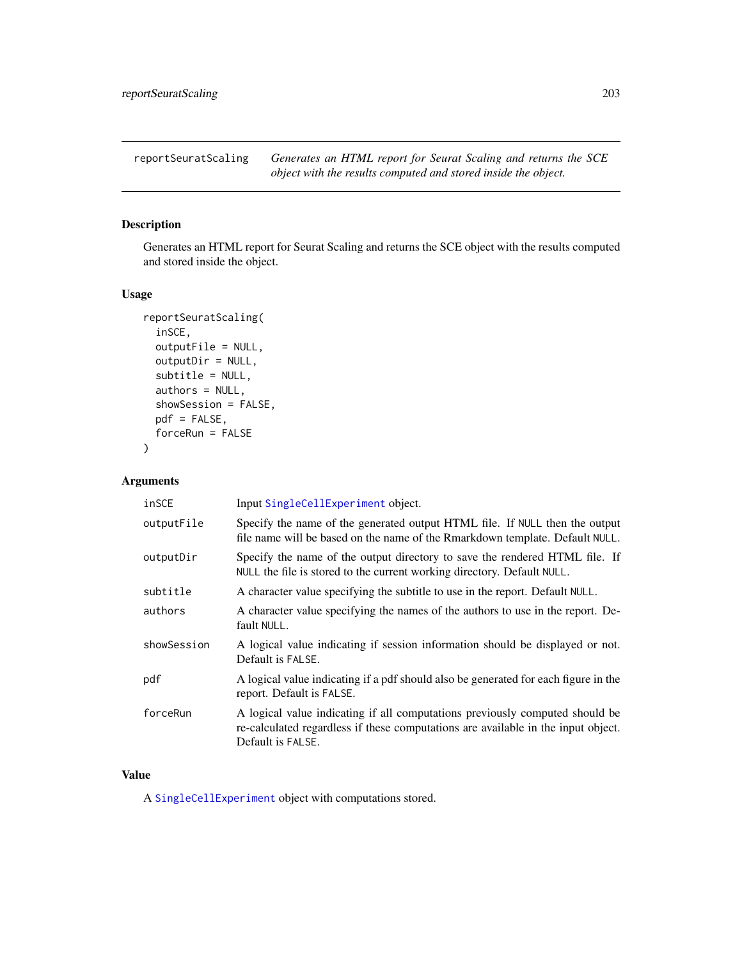reportSeuratScaling *Generates an HTML report for Seurat Scaling and returns the SCE object with the results computed and stored inside the object.*

## Description

Generates an HTML report for Seurat Scaling and returns the SCE object with the results computed and stored inside the object.

## Usage

```
reportSeuratScaling(
  inSCE,
  outputFile = NULL,
 outputDir = NULL,
  subtitle = NULL,
  authors = NULL,
  showSession = FALSE,
 pdf = FALSE,
  forceRun = FALSE
\lambda
```
### Arguments

| inSCE       | Input SingleCellExperiment object.                                                                                                                                                     |
|-------------|----------------------------------------------------------------------------------------------------------------------------------------------------------------------------------------|
| outputFile  | Specify the name of the generated output HTML file. If NULL then the output<br>file name will be based on the name of the Rmarkdown template. Default NULL.                            |
| outputDir   | Specify the name of the output directory to save the rendered HTML file. If<br>NULL the file is stored to the current working directory. Default NULL.                                 |
| subtitle    | A character value specifying the subtitle to use in the report. Default NULL.                                                                                                          |
| authors     | A character value specifying the names of the authors to use in the report. De-<br>fault NULL.                                                                                         |
| showSession | A logical value indicating if session information should be displayed or not.<br>Default is FALSE.                                                                                     |
| pdf         | A logical value indicating if a pdf should also be generated for each figure in the<br>report. Default is FALSE.                                                                       |
| forceRun    | A logical value indicating if all computations previously computed should be<br>re-calculated regardless if these computations are available in the input object.<br>Default is FALSE. |

# Value

A [SingleCellExperiment](#page-0-0) object with computations stored.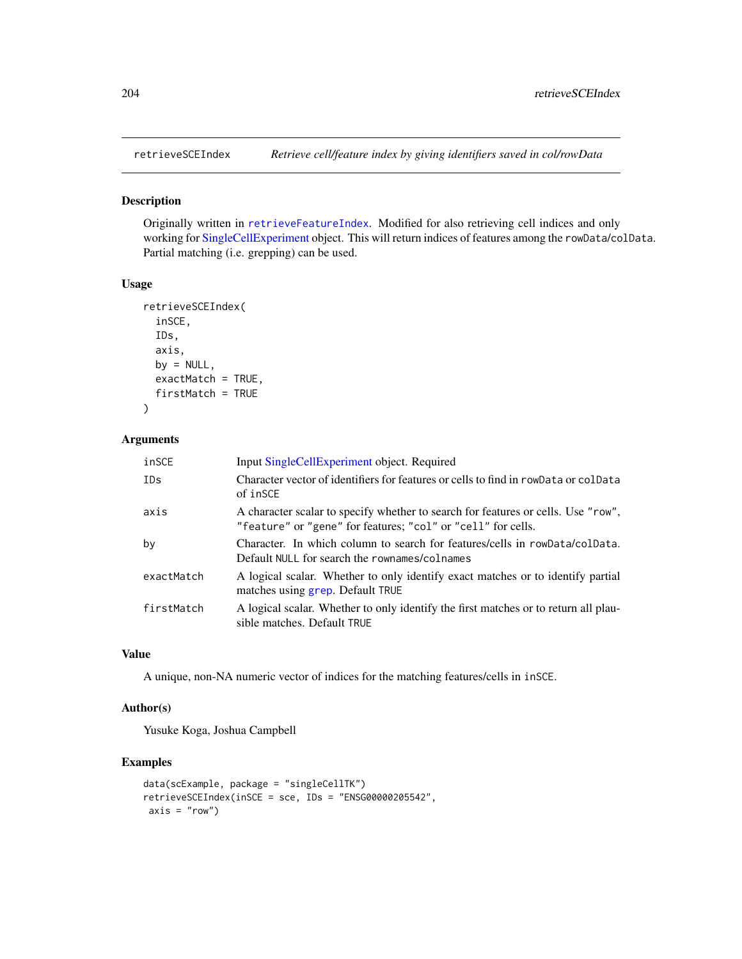#### Description

Originally written in [retrieveFeatureIndex](#page-0-0). Modified for also retrieving cell indices and only working for [SingleCellExperiment](#page-0-0) object. This will return indices of features among the rowData/colData. Partial matching (i.e. grepping) can be used.

#### Usage

```
retrieveSCEIndex(
  inSCE,
  IDs,
  axis,
 by = NULL,
  exactMatch = TRUE,
  firstMatch = TRUE
\mathcal{L}
```
## Arguments

| inSCE      | Input SingleCellExperiment object. Required                                                                                                       |
|------------|---------------------------------------------------------------------------------------------------------------------------------------------------|
| IDs        | Character vector of identifiers for features or cells to find in rowData or colData<br>of inSCE                                                   |
| axis       | A character scalar to specify whether to search for features or cells. Use "row",<br>"feature" or "gene" for features; "col" or "cell" for cells. |
| by         | Character. In which column to search for features/cells in rowData/colData.<br>Default NULL for search the rownames/colnames                      |
| exactMatch | A logical scalar. Whether to only identify exact matches or to identify partial<br>matches using grep. Default TRUE                               |
| firstMatch | A logical scalar. Whether to only identify the first matches or to return all plau-<br>sible matches. Default TRUE                                |

# Value

A unique, non-NA numeric vector of indices for the matching features/cells in inSCE.

## Author(s)

Yusuke Koga, Joshua Campbell

#### Examples

```
data(scExample, package = "singleCellTK")
retrieveSCEIndex(inSCE = sce, IDs = "ENSG00000205542",
axis = "row")
```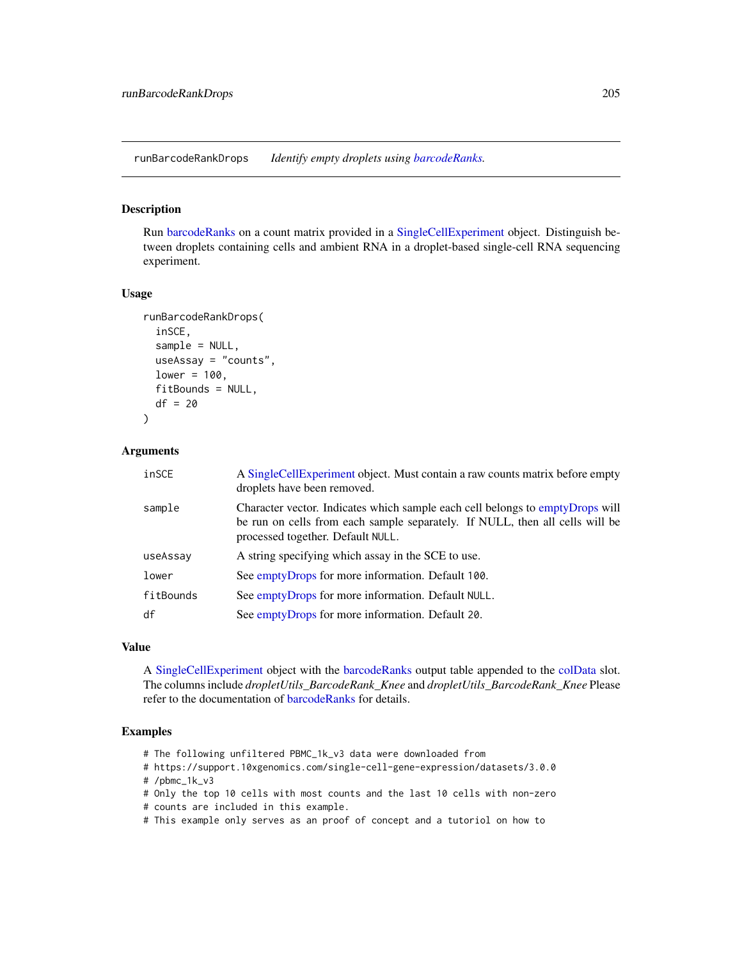runBarcodeRankDrops *Identify empty droplets using [barcodeRanks.](#page-0-0)*

#### Description

Run [barcodeRanks](#page-0-0) on a count matrix provided in a [SingleCellExperiment](#page-0-0) object. Distinguish between droplets containing cells and ambient RNA in a droplet-based single-cell RNA sequencing experiment.

#### Usage

```
runBarcodeRankDrops(
  inSCE,
  sample = NULL,
 useAssay = "counts",
 lower = 100,fitBounds = NULL,
 df = 20)
```
### Arguments

| inSCE     | A SingleCellExperiment object. Must contain a raw counts matrix before empty<br>droplets have been removed.                                                                                        |
|-----------|----------------------------------------------------------------------------------------------------------------------------------------------------------------------------------------------------|
| sample    | Character vector. Indicates which sample each cell belongs to emptyDrops will<br>be run on cells from each sample separately. If NULL, then all cells will be<br>processed together. Default NULL. |
| useAssay  | A string specifying which assay in the SCE to use.                                                                                                                                                 |
| lower     | See emptyDrops for more information. Default 100.                                                                                                                                                  |
| fitBounds | See emptyDrops for more information. Default NULL.                                                                                                                                                 |
| df        | See emptyDrops for more information. Default 20.                                                                                                                                                   |

# Value

A [SingleCellExperiment](#page-0-0) object with the [barcodeRanks](#page-0-0) output table appended to the [colData](#page-0-0) slot. The columns include *dropletUtils\_BarcodeRank\_Knee* and *dropletUtils\_BarcodeRank\_Knee* Please refer to the documentation of [barcodeRanks](#page-0-0) for details.

#### Examples

- # The following unfiltered PBMC\_1k\_v3 data were downloaded from
- # https://support.10xgenomics.com/single-cell-gene-expression/datasets/3.0.0 # /pbmc\_1k\_v3

- # Only the top 10 cells with most counts and the last 10 cells with non-zero
- # counts are included in this example.
- # This example only serves as an proof of concept and a tutoriol on how to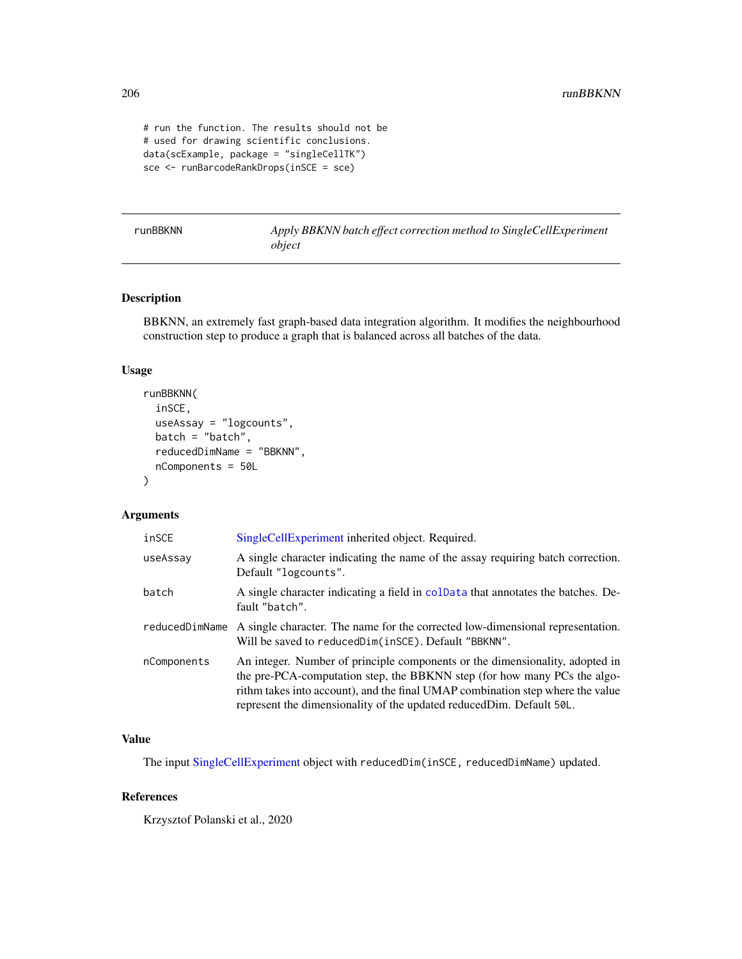```
# run the function. The results should not be
# used for drawing scientific conclusions.
data(scExample, package = "singleCellTK")
sce <- runBarcodeRankDrops(inSCE = sce)
```
runBBKNN *Apply BBKNN batch effect correction method to SingleCellExperiment object*

## Description

BBKNN, an extremely fast graph-based data integration algorithm. It modifies the neighbourhood construction step to produce a graph that is balanced across all batches of the data.

## Usage

```
runBBKNN(
  inSCE,
  useAssay = "logcounts",
 batch = "batch",reducedDimName = "BBKNN",
  nComponents = 50L
)
```
#### Arguments

| inSCE       | SingleCellExperiment inherited object. Required.                                                                                                                                                                                                                                                                    |
|-------------|---------------------------------------------------------------------------------------------------------------------------------------------------------------------------------------------------------------------------------------------------------------------------------------------------------------------|
| useAssay    | A single character indicating the name of the assay requiring batch correction.<br>Default "logcounts".                                                                                                                                                                                                             |
| batch       | A single character indicating a field in coldata that annotates the batches. De-<br>fault "batch".                                                                                                                                                                                                                  |
|             | reduced Dim Name A single character. The name for the corrected low-dimensional representation.<br>Will be saved to reduced Dim (in SCE). Default "BBKNN".                                                                                                                                                          |
| nComponents | An integer. Number of principle components or the dimensionality, adopted in<br>the pre-PCA-computation step, the BBKNN step (for how many PCs the algo-<br>rithm takes into account), and the final UMAP combination step where the value<br>represent the dimensionality of the updated reduced Dim. Default 50L. |

#### Value

The input [SingleCellExperiment](#page-0-0) object with reducedDim(inSCE, reducedDimName) updated.

#### References

Krzysztof Polanski et al., 2020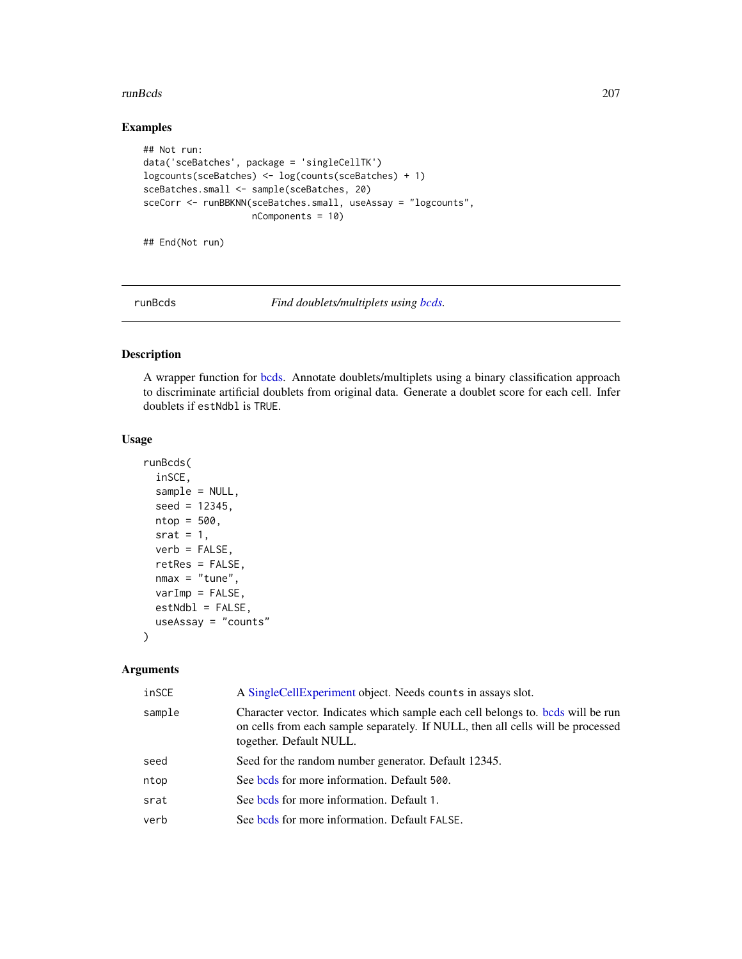#### runBcds 207

## Examples

```
## Not run:
data('sceBatches', package = 'singleCellTK')
logcounts(sceBatches) <- log(counts(sceBatches) + 1)
sceBatches.small <- sample(sceBatches, 20)
sceCorr <- runBBKNN(sceBatches.small, useAssay = "logcounts",
                    nComponents = 10)
```
## End(Not run)

runBcds *Find doublets/multiplets using [bcds.](#page-0-0)*

## Description

A wrapper function for [bcds.](#page-0-0) Annotate doublets/multiplets using a binary classification approach to discriminate artificial doublets from original data. Generate a doublet score for each cell. Infer doublets if estNdbl is TRUE.

## Usage

```
runBcds(
  inSCE,
  sample = NULL,
  seed = 12345,
 ntop = 500,
  srat = 1,
  verb = FALSE,retRes = FALSE,
 nmax = "tune",varImp = FALSE,estNdb1 = FALSE,useAssay = "counts"
)
```
#### Arguments

| inSCE  | A Single Cell Experiment object. Needs counts in assays slot.                                                                                                                                 |
|--------|-----------------------------------------------------------------------------------------------------------------------------------------------------------------------------------------------|
| sample | Character vector. Indicates which sample each cell belongs to, bods will be run<br>on cells from each sample separately. If NULL, then all cells will be processed<br>together. Default NULL. |
| seed   | Seed for the random number generator. Default 12345.                                                                                                                                          |
| ntop   | See bods for more information. Default 500.                                                                                                                                                   |
| srat   | See bods for more information. Default 1.                                                                                                                                                     |
| verb   | See bods for more information. Default FALSE.                                                                                                                                                 |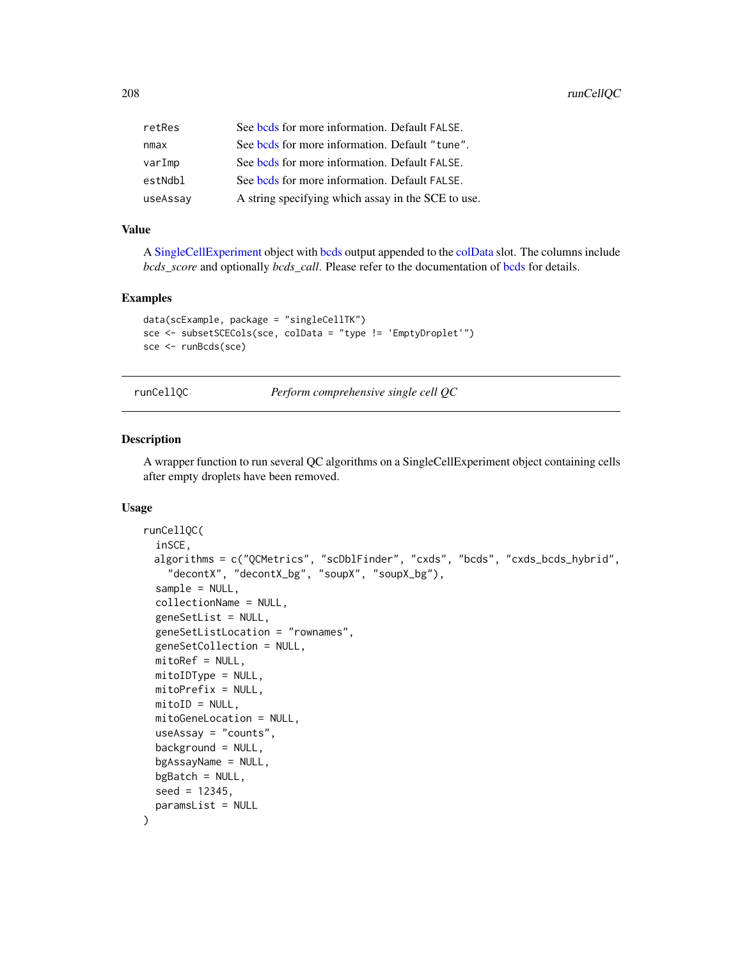| retRes   | See bods for more information. Default FALSE.      |
|----------|----------------------------------------------------|
| nmax     | See bods for more information. Default "tune".     |
| varImp   | See bods for more information. Default FALSE.      |
| estNdbl  | See bods for more information. Default FALSE.      |
| useAssay | A string specifying which assay in the SCE to use. |

#### Value

A [SingleCellExperiment](#page-0-0) object with [bcds](#page-0-0) output appended to the [colData](#page-0-0) slot. The columns include *[bcds](#page-0-0)\_score* and optionally *bcds\_call*. Please refer to the documentation of bcds for details.

## Examples

```
data(scExample, package = "singleCellTK")
sce <- subsetSCECols(sce, colData = "type != 'EmptyDroplet'")
sce <- runBcds(sce)
```
runCellQC *Perform comprehensive single cell QC*

## Description

A wrapper function to run several QC algorithms on a SingleCellExperiment object containing cells after empty droplets have been removed.

#### Usage

```
runCellQC(
  inSCE,
 algorithms = c("QCMetrics", "scDblFinder", "cxds", "bcds", "cxds_bcds_hybrid",
    "decontX", "decontX_bg", "soupX", "soupX_bg"),
  sample = NULL,
  collectionName = NULL,
  geneSetList = NULL,
  geneSetListLocation = "rownames",
  geneSetCollection = NULL,
 mitoRef = NULL,
 mitoIDType = NULL,
 mitoPrefix = NULL,
 mitoID = NULL,mitoGeneLocation = NULL,
 useAssay = "counts",
  background = NULL,
 bgAssayName = NULL,
 bgBatch = NULL,seed = 12345,paramsList = NULL
)
```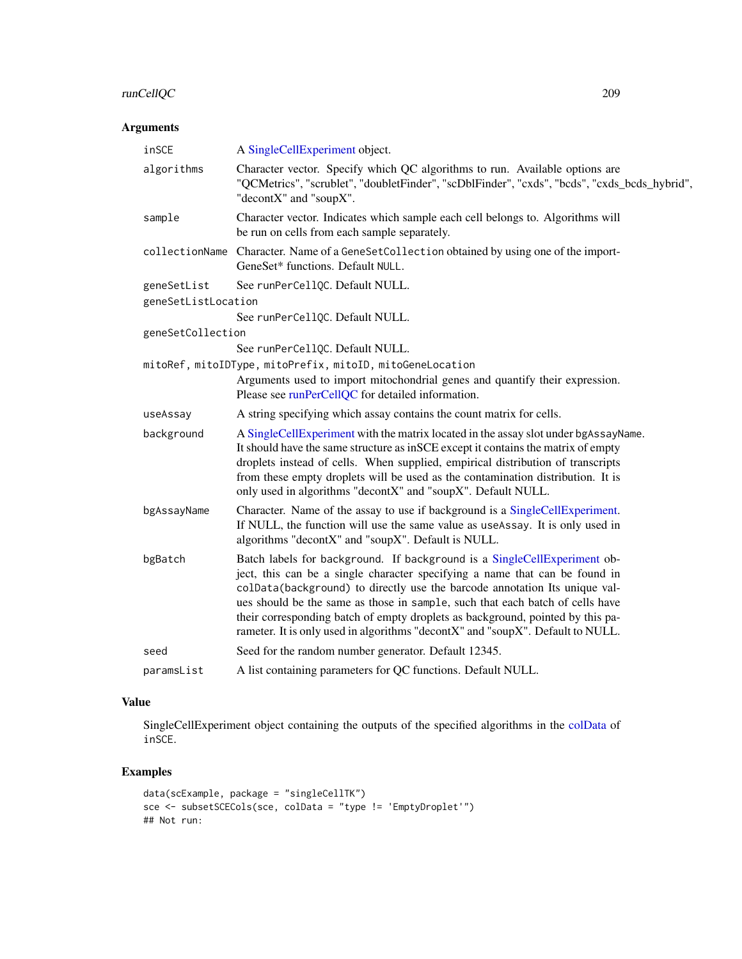# runCellQC 209

# Arguments

| inSCE               | A SingleCellExperiment object.                                                                                                                                                                                                                                                                                                                                                                                                                                                             |
|---------------------|--------------------------------------------------------------------------------------------------------------------------------------------------------------------------------------------------------------------------------------------------------------------------------------------------------------------------------------------------------------------------------------------------------------------------------------------------------------------------------------------|
| algorithms          | Character vector. Specify which QC algorithms to run. Available options are<br>"QCMetrics", "scrublet", "doubletFinder", "scDblFinder", "cxds", "bcds", "cxds_bcds_hybrid",<br>"decontX" and "soupX".                                                                                                                                                                                                                                                                                      |
| sample              | Character vector. Indicates which sample each cell belongs to. Algorithms will<br>be run on cells from each sample separately.                                                                                                                                                                                                                                                                                                                                                             |
| collectionName      | Character. Name of a GeneSetCollection obtained by using one of the import-<br>GeneSet* functions. Default NULL.                                                                                                                                                                                                                                                                                                                                                                           |
| geneSetList         | See runPerCellQC. Default NULL.                                                                                                                                                                                                                                                                                                                                                                                                                                                            |
| geneSetListLocation |                                                                                                                                                                                                                                                                                                                                                                                                                                                                                            |
|                     | See runPerCellQC. Default NULL.                                                                                                                                                                                                                                                                                                                                                                                                                                                            |
| geneSetCollection   |                                                                                                                                                                                                                                                                                                                                                                                                                                                                                            |
|                     | See runPerCellQC. Default NULL.                                                                                                                                                                                                                                                                                                                                                                                                                                                            |
|                     | mitoRef, mitoIDType, mitoPrefix, mitoID, mitoGeneLocation                                                                                                                                                                                                                                                                                                                                                                                                                                  |
|                     | Arguments used to import mitochondrial genes and quantify their expression.<br>Please see runPerCellQC for detailed information.                                                                                                                                                                                                                                                                                                                                                           |
| useAssay            | A string specifying which assay contains the count matrix for cells.                                                                                                                                                                                                                                                                                                                                                                                                                       |
| background          | A SingleCellExperiment with the matrix located in the assay slot under bgAssayName.<br>It should have the same structure as in SCE except it contains the matrix of empty<br>droplets instead of cells. When supplied, empirical distribution of transcripts<br>from these empty droplets will be used as the contamination distribution. It is<br>only used in algorithms "decontX" and "soupX". Default NULL.                                                                            |
| bgAssayName         | Character. Name of the assay to use if background is a SingleCellExperiment.<br>If NULL, the function will use the same value as useAssay. It is only used in<br>algorithms "decontX" and "soupX". Default is NULL.                                                                                                                                                                                                                                                                        |
| bgBatch             | Batch labels for background. If background is a SingleCellExperiment ob-<br>ject, this can be a single character specifying a name that can be found in<br>colData(background) to directly use the barcode annotation Its unique val-<br>ues should be the same as those in sample, such that each batch of cells have<br>their corresponding batch of empty droplets as background, pointed by this pa-<br>rameter. It is only used in algorithms "decontX" and "soupX". Default to NULL. |
| seed                | Seed for the random number generator. Default 12345.                                                                                                                                                                                                                                                                                                                                                                                                                                       |
| paramsList          | A list containing parameters for QC functions. Default NULL.                                                                                                                                                                                                                                                                                                                                                                                                                               |
|                     |                                                                                                                                                                                                                                                                                                                                                                                                                                                                                            |

# Value

SingleCellExperiment object containing the outputs of the specified algorithms in the [colData](#page-0-0) of inSCE.

# Examples

```
data(scExample, package = "singleCellTK")
sce <- subsetSCECols(sce, colData = "type != 'EmptyDroplet'")
## Not run:
```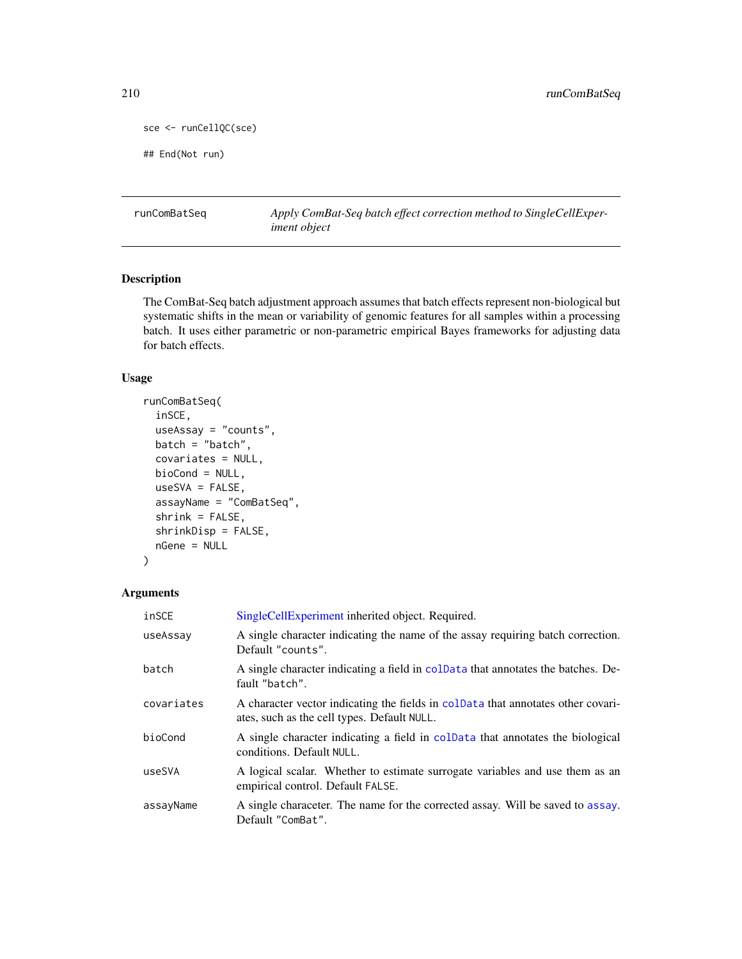```
sce <- runCellQC(sce)
```
## End(Not run)

runComBatSeq *Apply ComBat-Seq batch effect correction method to SingleCellExperiment object*

## Description

The ComBat-Seq batch adjustment approach assumes that batch effects represent non-biological but systematic shifts in the mean or variability of genomic features for all samples within a processing batch. It uses either parametric or non-parametric empirical Bayes frameworks for adjusting data for batch effects.

## Usage

```
runComBatSeq(
  inSCE,
 useAssay = "counts",
 batch = "batch",covariates = NULL,
 bioCond = NULL,
 useSVA = FALSE,
  assayName = "ComBatSeq",
  shrink = FALSE,
  shrinkDisp = FALSE,
 nGene = NULL
\mathcal{L}
```
## Arguments

| inSCE      | SingleCellExperiment inherited object. Required.                                                                                |
|------------|---------------------------------------------------------------------------------------------------------------------------------|
| useAssay   | A single character indicating the name of the assay requiring batch correction.<br>Default "counts".                            |
| batch      | A single character indicating a field in colData that annotates the batches. De-<br>fault "batch".                              |
| covariates | A character vector indicating the fields in coldata that annotates other covari-<br>ates, such as the cell types. Default NULL. |
| bioCond    | A single character indicating a field in coldata that annotates the biological<br>conditions. Default NULL.                     |
| useSVA     | A logical scalar. Whether to estimate surrogate variables and use them as an<br>empirical control. Default FALSE.               |
| assayName  | A single characeter. The name for the corrected assay. Will be saved to assay.<br>Default "ComBat".                             |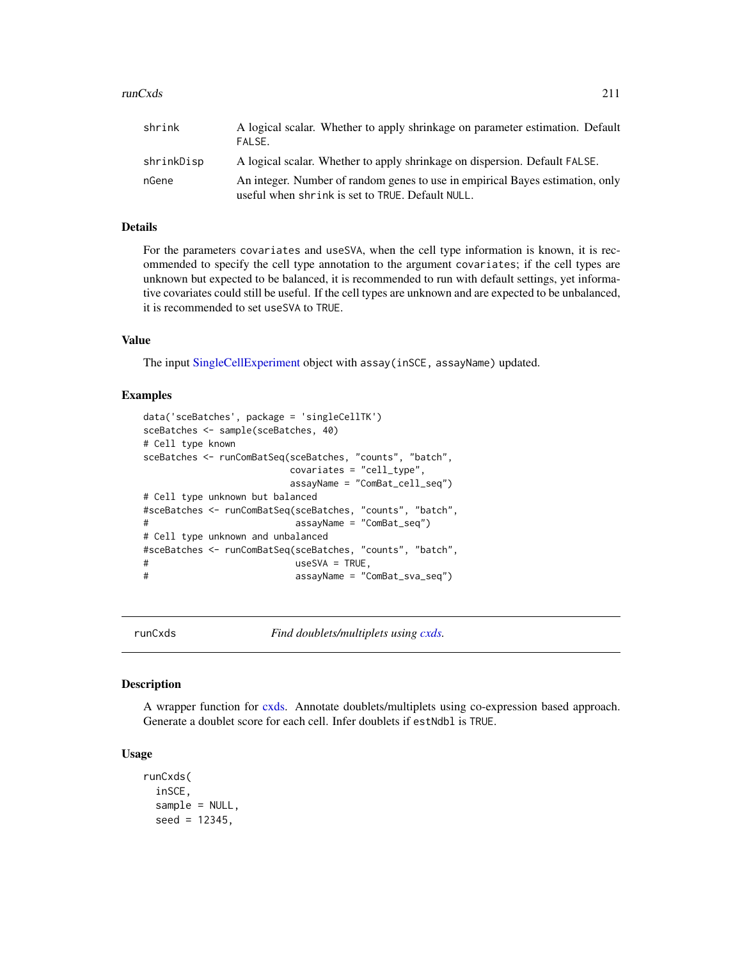#### $runCxds$  211

| shrink     | A logical scalar. Whether to apply shrinkage on parameter estimation. Default<br>FALSE.                                           |
|------------|-----------------------------------------------------------------------------------------------------------------------------------|
| shrinkDisp | A logical scalar. Whether to apply shrinkage on dispersion. Default FALSE.                                                        |
| nGene      | An integer. Number of random genes to use in empirical Bayes estimation, only<br>useful when shrink is set to TRUE. Default NULL. |

## Details

For the parameters covariates and useSVA, when the cell type information is known, it is recommended to specify the cell type annotation to the argument covariates; if the cell types are unknown but expected to be balanced, it is recommended to run with default settings, yet informative covariates could still be useful. If the cell types are unknown and are expected to be unbalanced, it is recommended to set useSVA to TRUE.

## Value

The input [SingleCellExperiment](#page-0-0) object with assay(inSCE, assayName) updated.

## Examples

```
data('sceBatches', package = 'singleCellTK')
sceBatches <- sample(sceBatches, 40)
# Cell type known
sceBatches <- runComBatSeq(sceBatches, "counts", "batch",
                       covariates = "cell_type",
                       assayName = "ComBat_cell_seq")
# Cell type unknown but balanced
#sceBatches <- runComBatSeq(sceBatches, "counts", "batch",
# assayName = "ComBat_seq")
# Cell type unknown and unbalanced
#sceBatches <- runComBatSeq(sceBatches, "counts", "batch",
# useSVA = TRUE,
# assayName = "ComBat_sva_seq")
```
runCxds *Find doublets/multiplets using [cxds.](#page-0-0)*

#### Description

A wrapper function for [cxds.](#page-0-0) Annotate doublets/multiplets using co-expression based approach. Generate a doublet score for each cell. Infer doublets if estNdbl is TRUE.

#### Usage

```
runCxds(
  inSCE,
  sample = NULL,
  seed = 12345,
```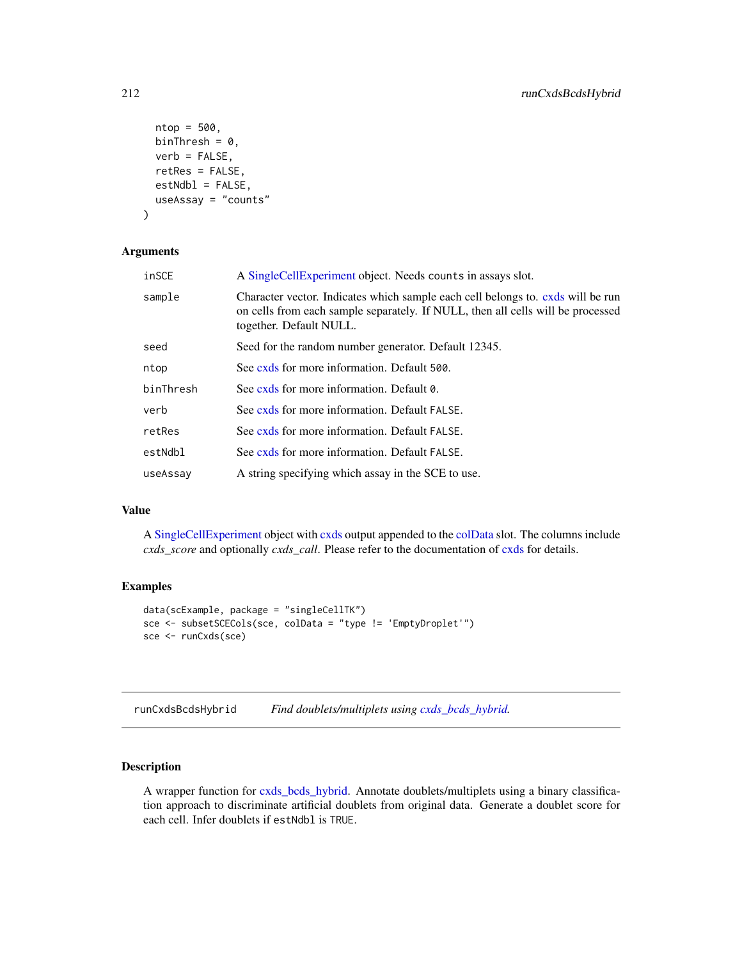```
ntop = 500,
 binThresh = 0,
 verb = FALSE,retRes = FALSE,
  estNdb1 = FALSE,useAssay = "counts"
)
```
#### Arguments

| inSCE     | A Single Cell Experiment object. Needs counts in assays slot.                                                                                                                                 |
|-----------|-----------------------------------------------------------------------------------------------------------------------------------------------------------------------------------------------|
| sample    | Character vector. Indicates which sample each cell belongs to. cxds will be run<br>on cells from each sample separately. If NULL, then all cells will be processed<br>together. Default NULL. |
| seed      | Seed for the random number generator. Default 12345.                                                                                                                                          |
| ntop      | See cxds for more information. Default 500.                                                                                                                                                   |
| binThresh | See cxds for more information. Default 0.                                                                                                                                                     |
| verb      | See cxds for more information. Default FALSE.                                                                                                                                                 |
| retRes    | See cxds for more information. Default FALSE.                                                                                                                                                 |
| estNdbl   | See cxds for more information. Default FALSE.                                                                                                                                                 |
| useAssay  | A string specifying which assay in the SCE to use.                                                                                                                                            |
|           |                                                                                                                                                                                               |

## Value

A [SingleCellExperiment](#page-0-0) object with [cxds](#page-0-0) output appended to the [colData](#page-0-0) slot. The columns include *cxds\_score* and optionally *cxds\_call*. Please refer to the documentation of [cxds](#page-0-0) for details.

## Examples

```
data(scExample, package = "singleCellTK")
sce <- subsetSCECols(sce, colData = "type != 'EmptyDroplet'")
sce <- runCxds(sce)
```
runCxdsBcdsHybrid *Find doublets/multiplets using [cxds\\_bcds\\_hybrid.](#page-0-0)*

## Description

A wrapper function for [cxds\\_bcds\\_hybrid.](#page-0-0) Annotate doublets/multiplets using a binary classification approach to discriminate artificial doublets from original data. Generate a doublet score for each cell. Infer doublets if estNdbl is TRUE.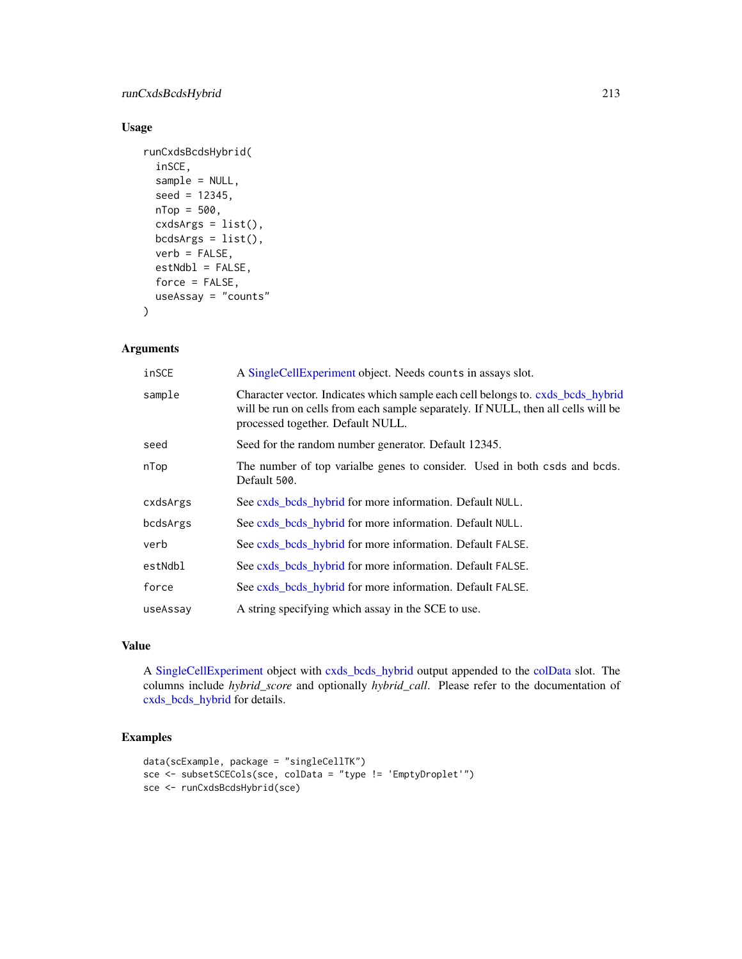## Usage

```
runCxdsBcdsHybrid(
  inSCE,
  sample = NULL,
 seed = 12345,
 nTop = 500,
 cxdsArgs = list(),
 bcdsArgs = list(),
 verb = FALSE,
 estNdb1 = FALSE,force = FALSE,
 useAssay = "counts"
)
```
## Arguments

| inSCE    | A SingleCellExperiment object. Needs counts in assays slot.                                                                                                                                               |
|----------|-----------------------------------------------------------------------------------------------------------------------------------------------------------------------------------------------------------|
| sample   | Character vector. Indicates which sample each cell belongs to. cxds_bcds_hybrid<br>will be run on cells from each sample separately. If NULL, then all cells will be<br>processed together. Default NULL. |
| seed     | Seed for the random number generator. Default 12345.                                                                                                                                                      |
| nTop     | The number of top varialbe genes to consider. Used in both csds and bcds.<br>Default 500.                                                                                                                 |
| cxdsArgs | See cxds bods hybrid for more information. Default NULL.                                                                                                                                                  |
| bcdsArgs | See cxds_bcds_hybrid for more information. Default NULL.                                                                                                                                                  |
| verb     | See cxds_bcds_hybrid for more information. Default FALSE.                                                                                                                                                 |
| estNdbl  | See cxds_bcds_hybrid for more information. Default FALSE.                                                                                                                                                 |
| force    | See cxds_bcds_hybrid for more information. Default FALSE.                                                                                                                                                 |
| useAssay | A string specifying which assay in the SCE to use.                                                                                                                                                        |

# Value

A [SingleCellExperiment](#page-0-0) object with [cxds\\_bcds\\_hybrid](#page-0-0) output appended to the [colData](#page-0-0) slot. The columns include *hybrid\_score* and optionally *hybrid\_call*. Please refer to the documentation of [cxds\\_bcds\\_hybrid](#page-0-0) for details.

## Examples

```
data(scExample, package = "singleCellTK")
sce <- subsetSCECols(sce, colData = "type != 'EmptyDroplet'")
sce <- runCxdsBcdsHybrid(sce)
```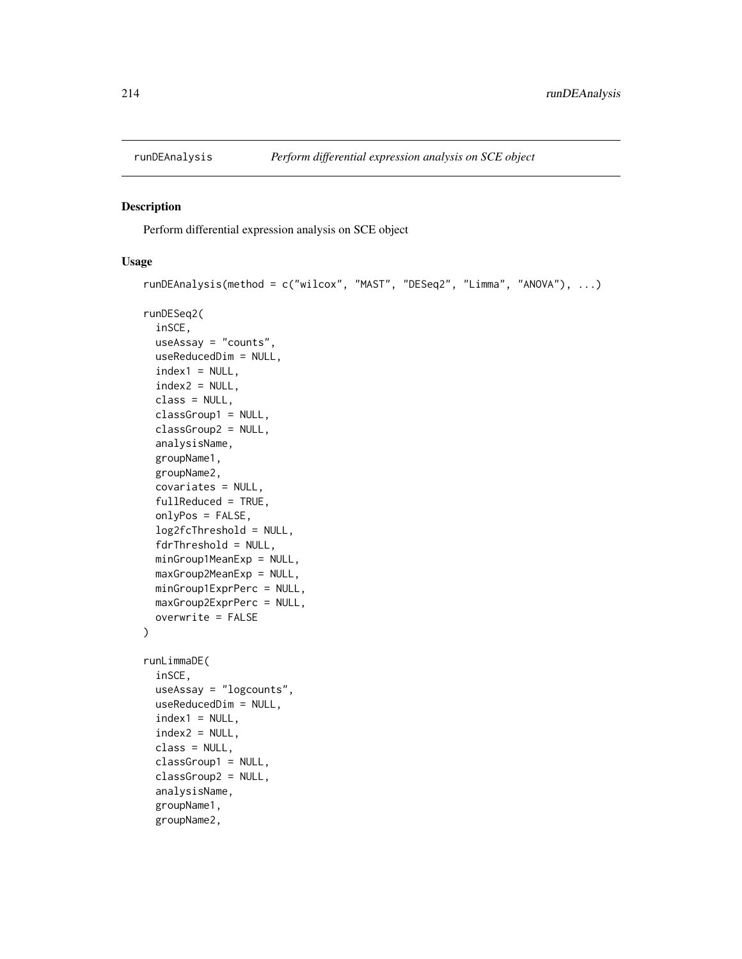<span id="page-213-0"></span>

#### Description

Perform differential expression analysis on SCE object

#### Usage

```
runDEAnalysis(method = c("wilcox", "MAST", "DESeq2", "Limma", "ANOVA"), ...)
runDESeq2(
  inSCE,
 useAssay = "counts",
 useReducedDim = NULL,
  index1 = NULL,index2 = NULL,class = NULL,
  classGroup1 = NULL,
  classGroup2 = NULL,
  analysisName,
 groupName1,
  groupName2,
  covariates = NULL,
  fullReduced = TRUE,
  onlyPos = FALSE,
  log2fcThreshold = NULL,
  fdrThreshold = NULL,
 minGroup1MeanExp = NULL,
 maxGroup2MeanExp = NULL,
 minGroup1ExprPerc = NULL,
 maxGroup2ExprPerc = NULL,
  overwrite = FALSE
\mathcal{L}runLimmaDE(
  inSCE,
  useAssay = "logcounts",
 useReducedDim = NULL,
  index1 = NULL,index2 = NULL,class = NULL,
  classGroup1 = NULL,
  classGroup2 = NULL,
  analysisName,
  groupName1,
  groupName2,
```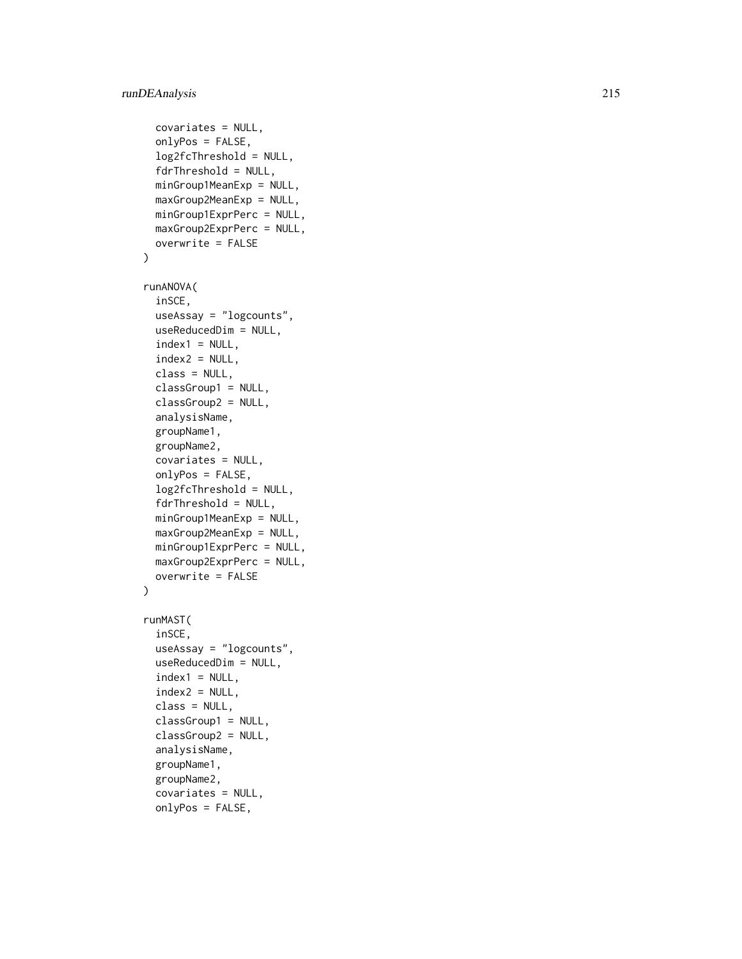## runDEAnalysis 215

```
covariates = NULL,
  onlyPos = FALSE,
  log2fcThreshold = NULL,
  fdrThreshold = NULL,
  minGroup1MeanExp = NULL,
 maxGroup2MeanExp = NULL,
 minGroup1ExprPerc = NULL,
 maxGroup2ExprPerc = NULL,
 overwrite = FALSE
)
runANOVA(
  inSCE,
 useAssay = "logcounts",
 useReducedDim = NULL,
  index1 = NULL,index2 = NULL,class = NULL,
 classGroup1 = NULL,
  classGroup2 = NULL,
  analysisName,
  groupName1,
 groupName2,
  covariates = NULL,
  onlyPos = FALSE,
  log2fcThreshold = NULL,
  fdrThreshold = NULL,
 minGroup1MeanExp = NULL,
 maxGroup2MeanExp = NULL,
 minGroup1ExprPerc = NULL,
 maxGroup2ExprPerc = NULL,
 overwrite = FALSE
\mathcal{L}runMAST(
  inSCE,
 useAssay = "logcounts",
 useReducedDim = NULL,
  index1 = NULL,index2 = NULL,class = NULL,
 classGroup1 = NULL,
  classGroup2 = NULL,
  analysisName,
  groupName1,
  groupName2,
  covariates = NULL,
  onlyPos = FALSE,
```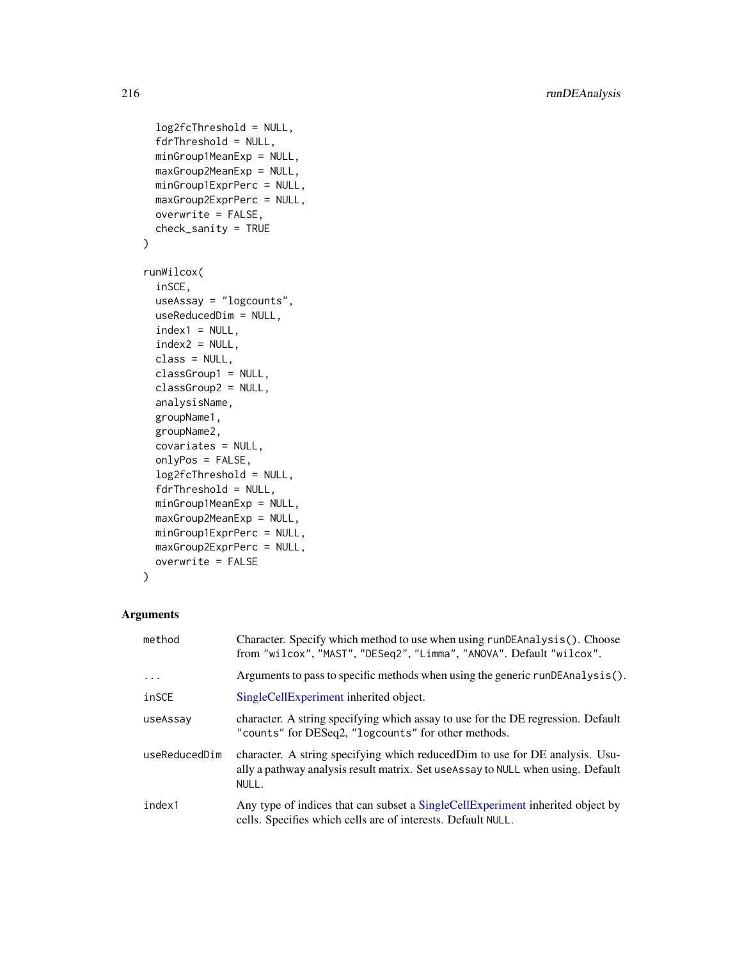```
log2fcThreshold = NULL,
  fdrThreshold = NULL,
 minGroup1MeanExp = NULL,
 maxGroup2MeanExp = NULL,
 minGroup1ExprPerc = NULL,
 maxGroup2ExprPerc = NULL,
 overwrite = FALSE,
  check_sanity = TRUE
\lambdarunWilcox(
  inSCE,
 useAssay = "logcounts",
 useReducedDim = NULL,
  index1 = NULL,index2 = NULL,class = NULL,
 classGroup1 = NULL,
 classGroup2 = NULL,
  analysisName,
  groupName1,
  groupName2,
 covariates = NULL,
  onlyPos = FALSE,
  log2fcThreshold = NULL,
  fdrThreshold = NULL,
 minGroup1MeanExp = NULL,
 maxGroup2MeanExp = NULL,
 minGroup1ExprPerc = NULL,
 maxGroup2ExprPerc = NULL,
 overwrite = FALSE
```
)

## Arguments

| method        | Character. Specify which method to use when using runDEAnalysis(). Choose<br>from "wilcox", "MAST", "DESeq2", "Limma", "ANOVA". Default "wilcox".                          |
|---------------|----------------------------------------------------------------------------------------------------------------------------------------------------------------------------|
| $\ddotsc$     | Arguments to pass to specific methods when using the generic runDEAnalysis().                                                                                              |
| inSCE         | SingleCellExperiment inherited object.                                                                                                                                     |
| useAssay      | character. A string specifying which assay to use for the DE regression. Default<br>"counts" for DESeq2, "logcounts" for other methods.                                    |
| useReducedDim | character. A string specifying which reduced Dim to use for DE analysis. Usu-<br>ally a pathway analysis result matrix. Set use Assay to NULL when using. Default<br>NULL. |
| index1        | Any type of indices that can subset a SingleCellExperiment inherited object by<br>cells. Specifies which cells are of interests. Default NULL.                             |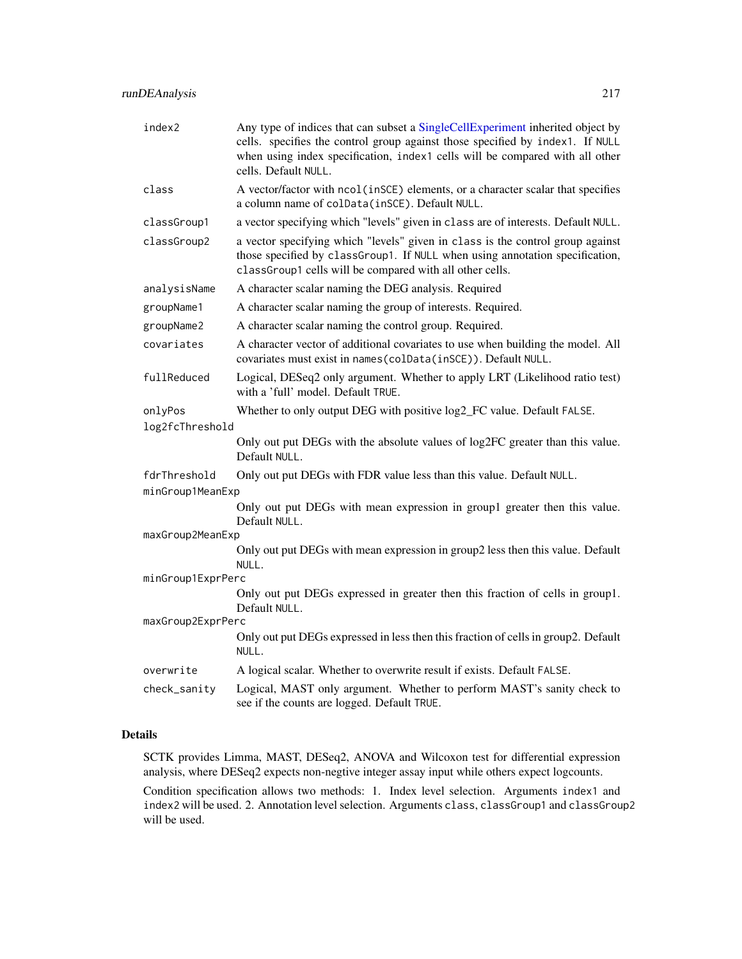| index2            | Any type of indices that can subset a SingleCellExperiment inherited object by<br>cells. specifies the control group against those specified by index1. If NULL<br>when using index specification, index1 cells will be compared with all other<br>cells. Default NULL. |  |  |
|-------------------|-------------------------------------------------------------------------------------------------------------------------------------------------------------------------------------------------------------------------------------------------------------------------|--|--|
| class             | A vector/factor with ncol (inSCE) elements, or a character scalar that specifies<br>a column name of colData(inSCE). Default NULL.                                                                                                                                      |  |  |
| classGroup1       | a vector specifying which "levels" given in class are of interests. Default NULL.                                                                                                                                                                                       |  |  |
| classGroup2       | a vector specifying which "levels" given in class is the control group against<br>those specified by classGroup1. If NULL when using annotation specification,<br>classGroup1 cells will be compared with all other cells.                                              |  |  |
| analysisName      | A character scalar naming the DEG analysis. Required                                                                                                                                                                                                                    |  |  |
| groupName1        | A character scalar naming the group of interests. Required.                                                                                                                                                                                                             |  |  |
| groupName2        | A character scalar naming the control group. Required.                                                                                                                                                                                                                  |  |  |
| covariates        | A character vector of additional covariates to use when building the model. All<br>covariates must exist in names (colData(inSCE)). Default NULL.                                                                                                                       |  |  |
| fullReduced       | Logical, DESeq2 only argument. Whether to apply LRT (Likelihood ratio test)<br>with a 'full' model. Default TRUE.                                                                                                                                                       |  |  |
| onlyPos           | Whether to only output DEG with positive log2_FC value. Default FALSE.                                                                                                                                                                                                  |  |  |
| log2fcThreshold   |                                                                                                                                                                                                                                                                         |  |  |
|                   | Only out put DEGs with the absolute values of log2FC greater than this value.<br>Default NULL.                                                                                                                                                                          |  |  |
| fdrThreshold      | Only out put DEGs with FDR value less than this value. Default NULL.                                                                                                                                                                                                    |  |  |
| minGroup1MeanExp  |                                                                                                                                                                                                                                                                         |  |  |
|                   | Only out put DEGs with mean expression in group1 greater then this value.<br>Default NULL.                                                                                                                                                                              |  |  |
| maxGroup2MeanExp  |                                                                                                                                                                                                                                                                         |  |  |
|                   | Only out put DEGs with mean expression in group2 less then this value. Default<br>NULL.                                                                                                                                                                                 |  |  |
| minGroup1ExprPerc |                                                                                                                                                                                                                                                                         |  |  |
|                   | Only out put DEGs expressed in greater then this fraction of cells in group1.<br>Default NULL.                                                                                                                                                                          |  |  |
| maxGroup2ExprPerc |                                                                                                                                                                                                                                                                         |  |  |
|                   | Only out put DEGs expressed in less then this fraction of cells in group2. Default<br>NULL.                                                                                                                                                                             |  |  |
| overwrite         | A logical scalar. Whether to overwrite result if exists. Default FALSE.                                                                                                                                                                                                 |  |  |
| check_sanity      | Logical, MAST only argument. Whether to perform MAST's sanity check to<br>see if the counts are logged. Default TRUE.                                                                                                                                                   |  |  |

#### Details

SCTK provides Limma, MAST, DESeq2, ANOVA and Wilcoxon test for differential expression analysis, where DESeq2 expects non-negtive integer assay input while others expect logcounts.

Condition specification allows two methods: 1. Index level selection. Arguments index1 and index2 will be used. 2. Annotation level selection. Arguments class, classGroup1 and classGroup2 will be used.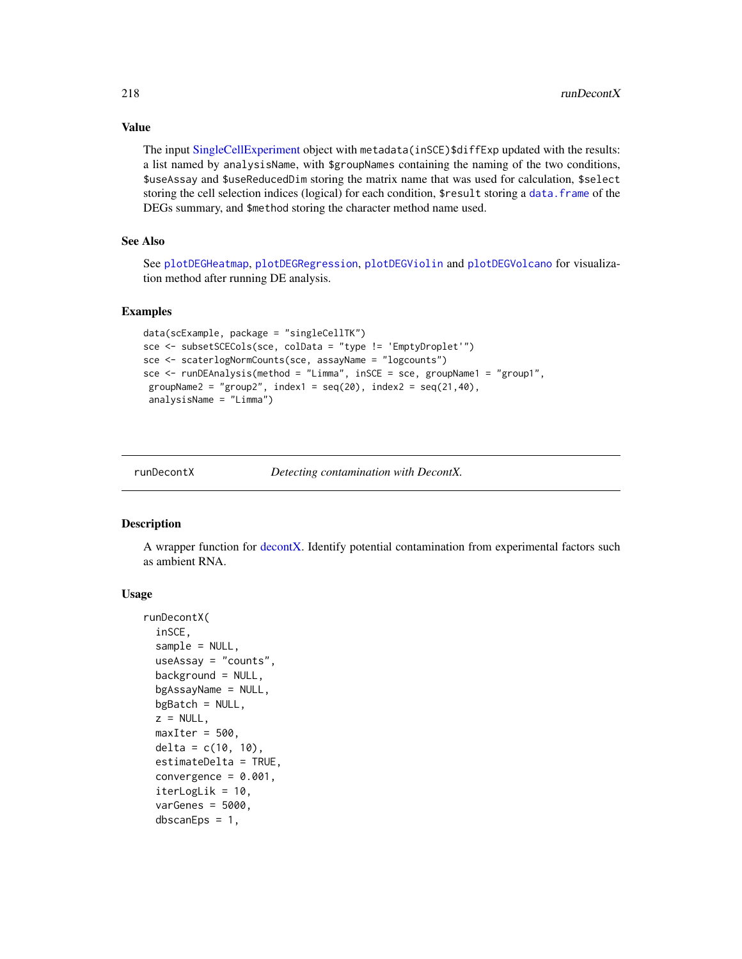Value

The input [SingleCellExperiment](#page-0-0) object with metadata(inSCE)\$diffExp updated with the results: a list named by analysisName, with \$groupNames containing the naming of the two conditions, \$useAssay and \$useReducedDim storing the matrix name that was used for calculation, \$select storing the cell selection indices (logical) for each condition, \$result storing a [data.frame](#page-0-0) of the DEGs summary, and \$method storing the character method name used.

# See Also

See [plotDEGHeatmap](#page-110-0), [plotDEGRegression](#page-112-0), [plotDEGViolin](#page-114-0) and [plotDEGVolcano](#page-115-0) for visualization method after running DE analysis.

#### Examples

```
data(scExample, package = "singleCellTK")
sce <- subsetSCECols(sce, colData = "type != 'EmptyDroplet'")
sce <- scaterlogNormCounts(sce, assayName = "logcounts")
sce <- runDEAnalysis(method = "Limma", inSCE = sce, groupName1 = "group1",
groupName2 = "group2", index1 = seq(20), index2 = seq(21, 40),
analysisName = "Limma")
```
runDecontX *Detecting contamination with DecontX.*

#### **Description**

A wrapper function for [decontX.](#page-0-0) Identify potential contamination from experimental factors such as ambient RNA.

```
runDecontX(
  inSCE,
  sample = NULL,
  useAssay = "counts",
  background = NULL,
  bgAssayName = NULL,
  bgBatch = NULL,z = NULL,maxIter = 500,delta = c(10, 10),
  estimateDelta = TRUE,
  convergence = 0.001,
  iterLogLik = 10,varGenes = 5000,
  dbscanEps = 1,
```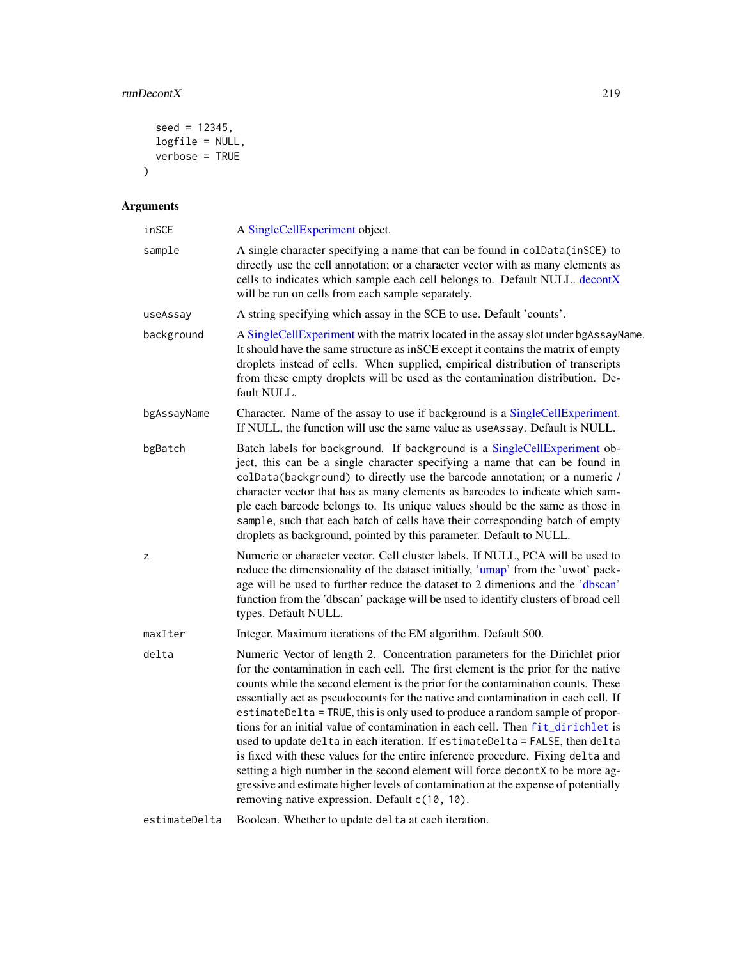# runDecontX 219

```
seed = 12345,logfile = NULL,verbose = TRUE)
```

| inSCE         | A SingleCellExperiment object.                                                                                                                                                                                                                                                                                                                                                                                                                                                                                                                                                                                                                                                                                                                                                                                                                                                                             |
|---------------|------------------------------------------------------------------------------------------------------------------------------------------------------------------------------------------------------------------------------------------------------------------------------------------------------------------------------------------------------------------------------------------------------------------------------------------------------------------------------------------------------------------------------------------------------------------------------------------------------------------------------------------------------------------------------------------------------------------------------------------------------------------------------------------------------------------------------------------------------------------------------------------------------------|
| sample        | A single character specifying a name that can be found in colData(inSCE) to<br>directly use the cell annotation; or a character vector with as many elements as<br>cells to indicates which sample each cell belongs to. Default NULL. decontX<br>will be run on cells from each sample separately.                                                                                                                                                                                                                                                                                                                                                                                                                                                                                                                                                                                                        |
| useAssay      | A string specifying which assay in the SCE to use. Default 'counts'.                                                                                                                                                                                                                                                                                                                                                                                                                                                                                                                                                                                                                                                                                                                                                                                                                                       |
| background    | A SingleCellExperiment with the matrix located in the assay slot under bgAssayName.<br>It should have the same structure as in SCE except it contains the matrix of empty<br>droplets instead of cells. When supplied, empirical distribution of transcripts<br>from these empty droplets will be used as the contamination distribution. De-<br>fault NULL.                                                                                                                                                                                                                                                                                                                                                                                                                                                                                                                                               |
| bgAssayName   | Character. Name of the assay to use if background is a SingleCellExperiment.<br>If NULL, the function will use the same value as useAssay. Default is NULL.                                                                                                                                                                                                                                                                                                                                                                                                                                                                                                                                                                                                                                                                                                                                                |
| bgBatch       | Batch labels for background. If background is a SingleCellExperiment ob-<br>ject, this can be a single character specifying a name that can be found in<br>colData(background) to directly use the barcode annotation; or a numeric /<br>character vector that has as many elements as barcodes to indicate which sam-<br>ple each barcode belongs to. Its unique values should be the same as those in<br>sample, such that each batch of cells have their corresponding batch of empty<br>droplets as background, pointed by this parameter. Default to NULL.                                                                                                                                                                                                                                                                                                                                            |
| Z             | Numeric or character vector. Cell cluster labels. If NULL, PCA will be used to<br>reduce the dimensionality of the dataset initially, 'umap' from the 'uwot' pack-<br>age will be used to further reduce the dataset to 2 dimenions and the 'dbscan'<br>function from the 'dbscan' package will be used to identify clusters of broad cell<br>types. Default NULL.                                                                                                                                                                                                                                                                                                                                                                                                                                                                                                                                         |
| maxIter       | Integer. Maximum iterations of the EM algorithm. Default 500.                                                                                                                                                                                                                                                                                                                                                                                                                                                                                                                                                                                                                                                                                                                                                                                                                                              |
| delta         | Numeric Vector of length 2. Concentration parameters for the Dirichlet prior<br>for the contamination in each cell. The first element is the prior for the native<br>counts while the second element is the prior for the contamination counts. These<br>essentially act as pseudocounts for the native and contamination in each cell. If<br>estimateDelta = TRUE, this is only used to produce a random sample of propor-<br>tions for an initial value of contamination in each cell. Then fit_dirichlet is<br>used to update delta in each iteration. If estimateDelta = FALSE, then delta<br>is fixed with these values for the entire inference procedure. Fixing delta and<br>setting a high number in the second element will force decontX to be more ag-<br>gressive and estimate higher levels of contamination at the expense of potentially<br>removing native expression. Default c(10, 10). |
| estimateDelta | Boolean. Whether to update delta at each iteration.                                                                                                                                                                                                                                                                                                                                                                                                                                                                                                                                                                                                                                                                                                                                                                                                                                                        |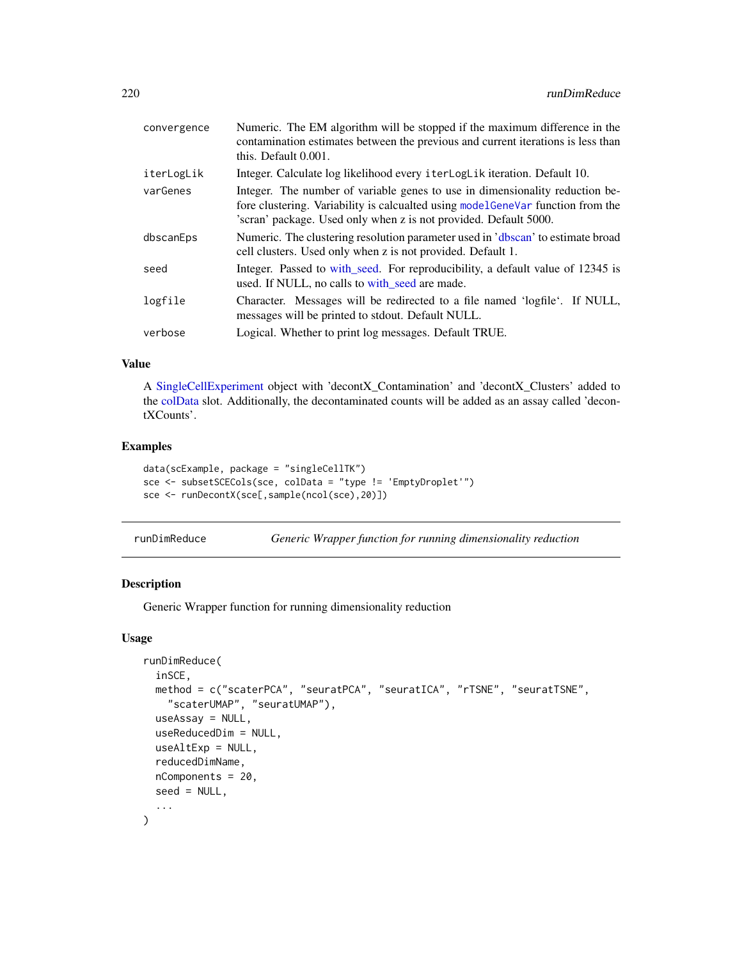| convergence | Numeric. The EM algorithm will be stopped if the maximum difference in the<br>contamination estimates between the previous and current iterations is less than<br>this. Default 0.001.                                               |
|-------------|--------------------------------------------------------------------------------------------------------------------------------------------------------------------------------------------------------------------------------------|
| iterLogLik  | Integer. Calculate log likelihood every iterLogLik iteration. Default 10.                                                                                                                                                            |
| varGenes    | Integer. The number of variable genes to use in dimensionality reduction be-<br>fore clustering. Variability is calcualted using model GeneVar function from the<br>'scran' package. Used only when z is not provided. Default 5000. |
| dbscanEps   | Numeric. The clustering resolution parameter used in 'dbscan' to estimate broad<br>cell clusters. Used only when z is not provided. Default 1.                                                                                       |
| seed        | Integer. Passed to with_seed. For reproducibility, a default value of 12345 is<br>used. If NULL, no calls to with_seed are made.                                                                                                     |
| logfile     | Character. Messages will be redirected to a file named 'logfile'. If NULL,<br>messages will be printed to stdout. Default NULL.                                                                                                      |
| verbose     | Logical. Whether to print log messages. Default TRUE.                                                                                                                                                                                |

#### Value

A [SingleCellExperiment](#page-0-0) object with 'decontX\_Contamination' and 'decontX\_Clusters' added to the [colData](#page-0-0) slot. Additionally, the decontaminated counts will be added as an assay called 'decontXCounts'.

#### Examples

```
data(scExample, package = "singleCellTK")
sce <- subsetSCECols(sce, colData = "type != 'EmptyDroplet'")
sce <- runDecontX(sce[,sample(ncol(sce),20)])
```

| runDimReduce |  |  |  |  |  |  |  | Generic Wrapper function for running dimensionality reduction |
|--------------|--|--|--|--|--|--|--|---------------------------------------------------------------|
|--------------|--|--|--|--|--|--|--|---------------------------------------------------------------|

#### Description

Generic Wrapper function for running dimensionality reduction

```
runDimReduce(
  inSCE,
 method = c("scaterPCA", "seuratPCA", "seuratICA", "rTSNE", "seuratTSNE",
    "scaterUMAP", "seuratUMAP"),
  useAssay = NULL,
  useReducedDim = NULL,
  useAltExp = NULL,
  reducedDimName,
  nComponents = 20,
  seed = NULL,
  ...
\mathcal{L}
```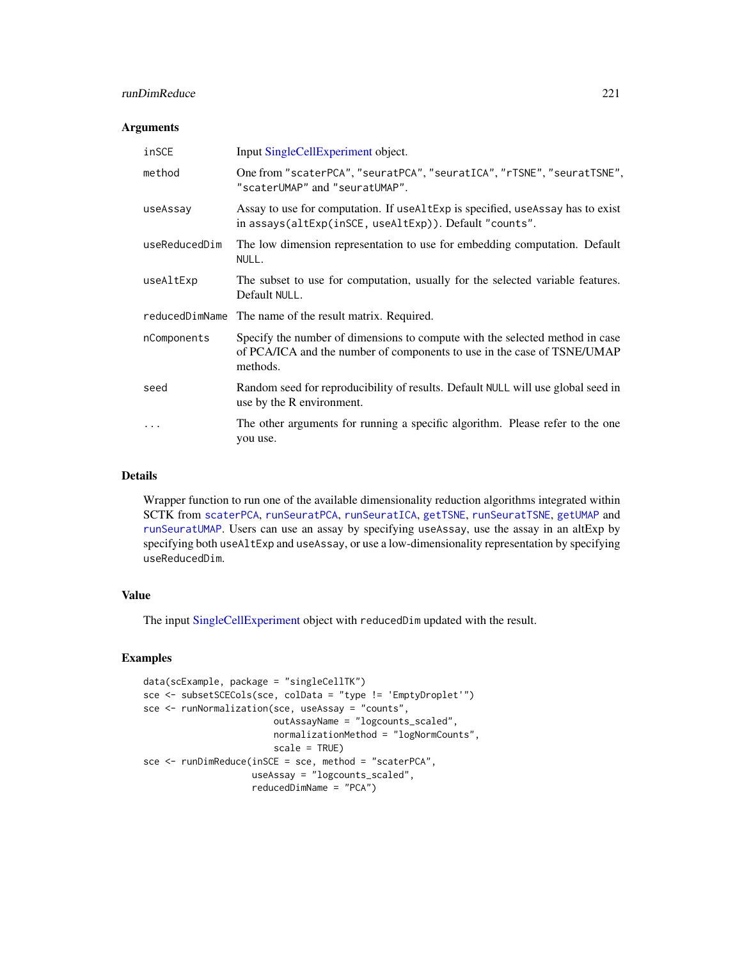## runDimReduce 221

#### Arguments

| inSCE         | Input SingleCellExperiment object.                                                                                                                                  |
|---------------|---------------------------------------------------------------------------------------------------------------------------------------------------------------------|
| method        | One from "scaterPCA", "seuratPCA", "seuratICA", "rTSNE", "seuratTSNE",<br>"scaterUMAP" and "seuratUMAP".                                                            |
| useAssay      | Assay to use for computation. If useal the specified, use Assay has to exist<br>in assays(altExp(inSCE, useAltExp)). Default "counts".                              |
| useReducedDim | The low dimension representation to use for embedding computation. Default<br>NULL.                                                                                 |
| useAltExp     | The subset to use for computation, usually for the selected variable features.<br>Default NULL.                                                                     |
|               | reduced Dim Name The name of the result matrix. Required.                                                                                                           |
| nComponents   | Specify the number of dimensions to compute with the selected method in case<br>of PCA/ICA and the number of components to use in the case of TSNE/UMAP<br>methods. |
| seed          | Random seed for reproducibility of results. Default NULL will use global seed in<br>use by the R environment.                                                       |
|               | The other arguments for running a specific algorithm. Please refer to the one<br>you use.                                                                           |

#### Details

Wrapper function to run one of the available dimensionality reduction algorithms integrated within SCTK from [scaterPCA](#page-269-0), [runSeuratPCA](#page-252-0), [runSeuratICA](#page-248-0), [getTSNE](#page-61-0), [runSeuratTSNE](#page-255-0), [getUMAP](#page-63-0) and [runSeuratUMAP](#page-256-0). Users can use an assay by specifying useAssay, use the assay in an altExp by specifying both useAltExp and useAssay, or use a low-dimensionality representation by specifying useReducedDim.

#### Value

The input [SingleCellExperiment](#page-0-0) object with reducedDim updated with the result.

# Examples

```
data(scExample, package = "singleCellTK")
sce <- subsetSCECols(sce, colData = "type != 'EmptyDroplet'")
sce <- runNormalization(sce, useAssay = "counts",
                        outAssayName = "logcounts_scaled",
                        normalizationMethod = "logNormCounts",
                        scale = TRUE)
sce <- runDimReduce(inSCE = sce, method = "scaterPCA",
                    useAssay = "logcounts_scaled",
                    reducedDimName = "PCA")
```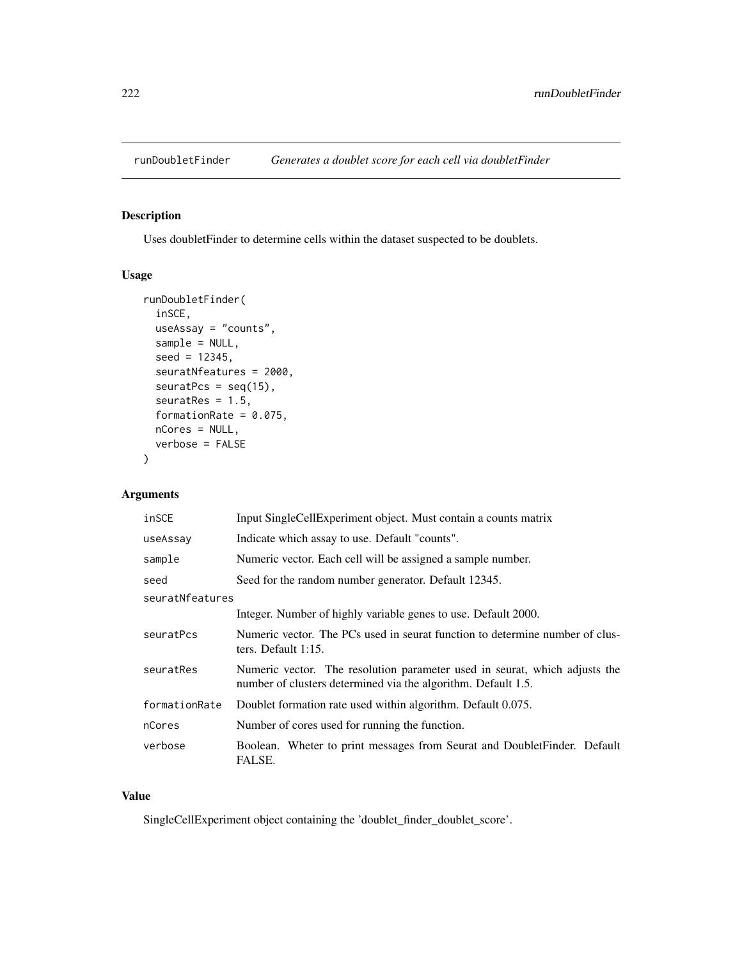# Description

Uses doubletFinder to determine cells within the dataset suspected to be doublets.

#### Usage

```
runDoubletFinder(
  inSCE,
 useAssay = "counts",
 sample = NULL,
  seed = 12345,seuratNfeatures = 2000,
 seuratPcs = seq(15),
  seuratRes = 1.5,
  formationRate = 0.075,
 nCores = NULL,
 verbose = FALSE
)
```
# Arguments

| inSCE           | Input SingleCellExperiment object. Must contain a counts matrix                                                                             |  |  |
|-----------------|---------------------------------------------------------------------------------------------------------------------------------------------|--|--|
| useAssay        | Indicate which assay to use. Default "counts".                                                                                              |  |  |
| sample          | Numeric vector. Each cell will be assigned a sample number.                                                                                 |  |  |
| seed            | Seed for the random number generator. Default 12345.                                                                                        |  |  |
| seuratNfeatures |                                                                                                                                             |  |  |
|                 | Integer. Number of highly variable genes to use. Default 2000.                                                                              |  |  |
| seuratPcs       | Numeric vector. The PCs used in seurat function to determine number of clus-<br>ters. Default $1:15$ .                                      |  |  |
| seuratRes       | Numeric vector. The resolution parameter used in seurat, which adjusts the<br>number of clusters determined via the algorithm. Default 1.5. |  |  |
| formationRate   | Doublet formation rate used within algorithm. Default 0.075.                                                                                |  |  |
| nCores          | Number of cores used for running the function.                                                                                              |  |  |
| verbose         | Boolean. Wheter to print messages from Seurat and DoubletFinder. Default<br><b>FALSE.</b>                                                   |  |  |

## Value

SingleCellExperiment object containing the 'doublet\_finder\_doublet\_score'.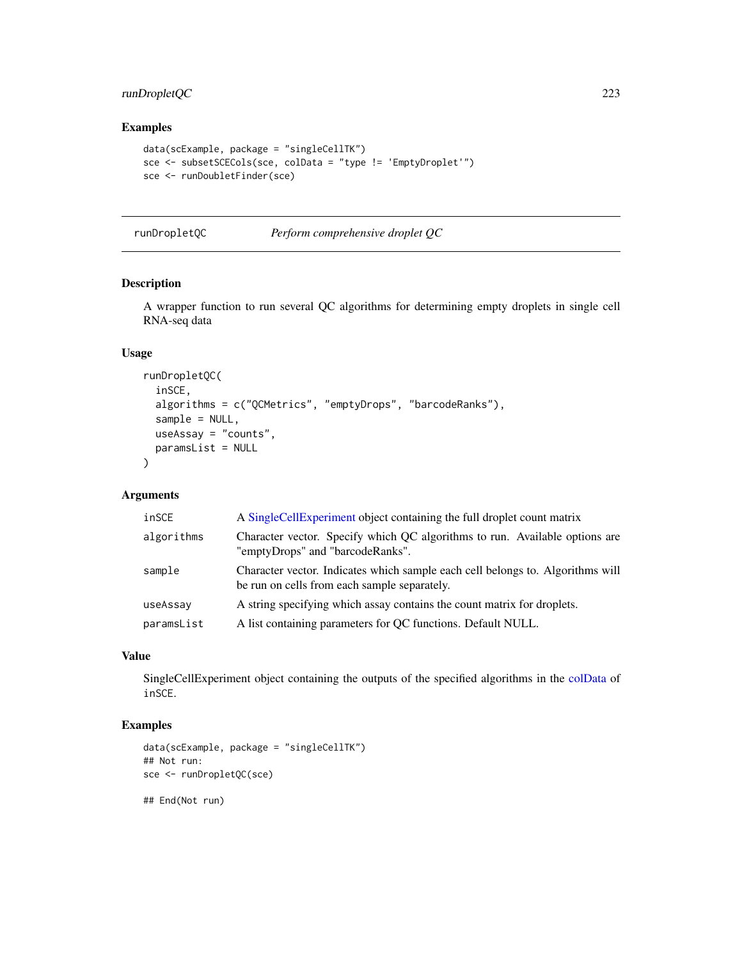# runDropletQC 223

# Examples

```
data(scExample, package = "singleCellTK")
sce <- subsetSCECols(sce, colData = "type != 'EmptyDroplet'")
sce <- runDoubletFinder(sce)
```
runDropletQC *Perform comprehensive droplet QC*

#### Description

A wrapper function to run several QC algorithms for determining empty droplets in single cell RNA-seq data

# Usage

```
runDropletQC(
  inSCE,
  algorithms = c("QCMetrics", "emptyDrops", "barcodeRanks"),
 sample = NULL,
 useAssay = "counts",
 paramsList = NULL
)
```
## Arguments

| inSCE      | A SingleCellExperiment object containing the full droplet count matrix                                                         |
|------------|--------------------------------------------------------------------------------------------------------------------------------|
| algorithms | Character vector. Specify which QC algorithms to run. Available options are<br>"emptyDrops" and "barcodeRanks".                |
| sample     | Character vector. Indicates which sample each cell belongs to. Algorithms will<br>be run on cells from each sample separately. |
| useAssay   | A string specifying which assay contains the count matrix for droplets.                                                        |
| paramsList | A list containing parameters for QC functions. Default NULL.                                                                   |

#### Value

SingleCellExperiment object containing the outputs of the specified algorithms in the [colData](#page-0-0) of inSCE.

# Examples

```
data(scExample, package = "singleCellTK")
## Not run:
sce <- runDropletQC(sce)
```
## End(Not run)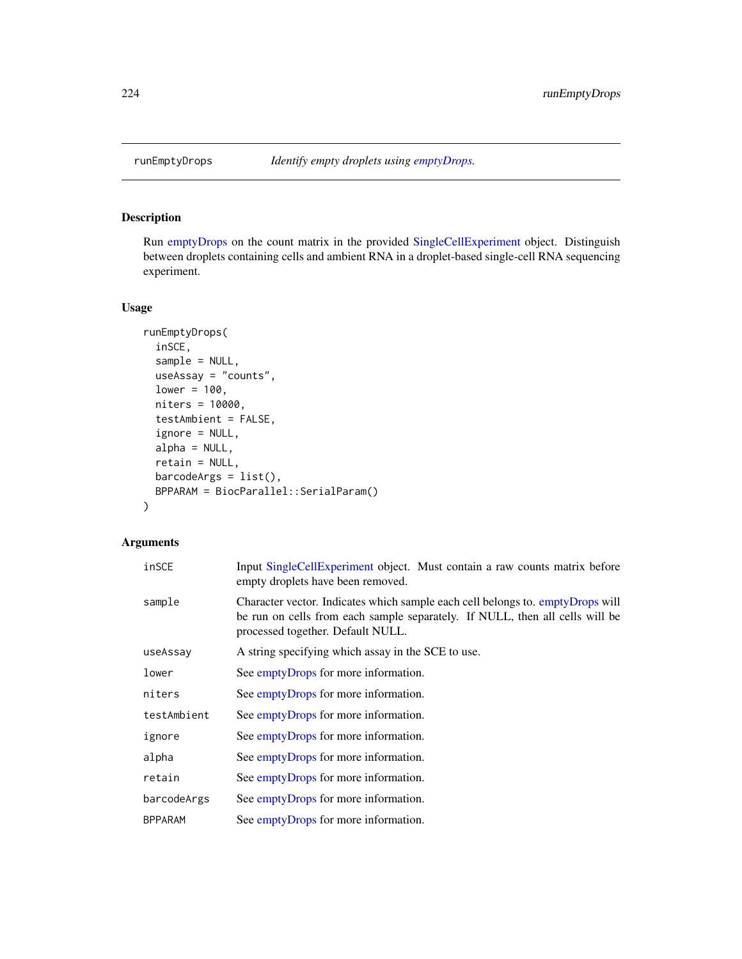# Description

Run [emptyDrops](#page-0-0) on the count matrix in the provided [SingleCellExperiment](#page-0-0) object. Distinguish between droplets containing cells and ambient RNA in a droplet-based single-cell RNA sequencing experiment.

#### Usage

```
runEmptyDrops(
 inSCE,
 sample = NULL,
 useAssay = "counts",
 lower = 100,niters = 10000,
 testAmbient = FALSE,
 ignore = NULL,
 alpha = NULL,retain = NULL,
 barcodergs = list(),BPPARAM = BiocParallel::SerialParam()
)
```

| inSCE       | Input SingleCellExperiment object. Must contain a raw counts matrix before<br>empty droplets have been removed.                                                                                     |
|-------------|-----------------------------------------------------------------------------------------------------------------------------------------------------------------------------------------------------|
| sample      | Character vector. Indicates which sample each cell belongs to. emptyDrops will<br>be run on cells from each sample separately. If NULL, then all cells will be<br>processed together. Default NULL. |
| useAssay    | A string specifying which assay in the SCE to use.                                                                                                                                                  |
| lower       | See emptyDrops for more information.                                                                                                                                                                |
| niters      | See emptyDrops for more information.                                                                                                                                                                |
| testAmbient | See emptyDrops for more information.                                                                                                                                                                |
| ignore      | See emptyDrops for more information.                                                                                                                                                                |
| alpha       | See emptyDrops for more information.                                                                                                                                                                |
| retain      | See emptyDrops for more information.                                                                                                                                                                |
| barcodeArgs | See emptyDrops for more information.                                                                                                                                                                |
| BPPARAM     | See emptyDrops for more information.                                                                                                                                                                |
|             |                                                                                                                                                                                                     |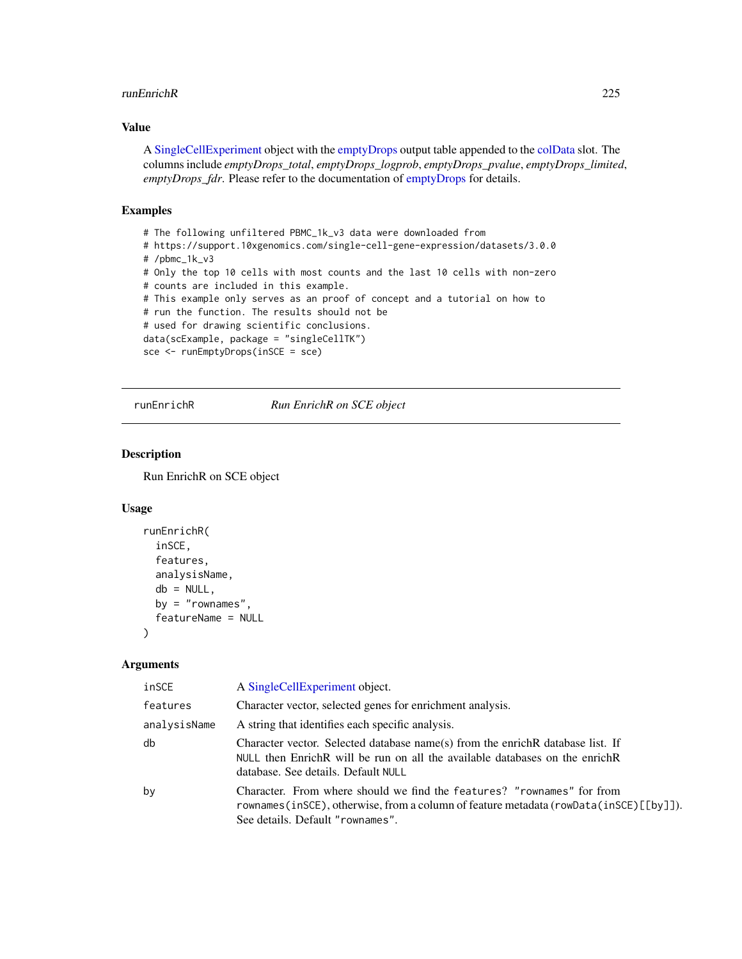#### runEnrichR 225

#### Value

A [SingleCellExperiment](#page-0-0) object with the [emptyDrops](#page-0-0) output table appended to the [colData](#page-0-0) slot. The columns include *emptyDrops\_total*, *emptyDrops\_logprob*, *emptyDrops\_pvalue*, *emptyDrops\_limited*, *emptyDrops\_fdr*. Please refer to the documentation of [emptyDrops](#page-0-0) for details.

#### Examples

```
# The following unfiltered PBMC_1k_v3 data were downloaded from
# https://support.10xgenomics.com/single-cell-gene-expression/datasets/3.0.0
# /pbmc_1k_v3
# Only the top 10 cells with most counts and the last 10 cells with non-zero
# counts are included in this example.
# This example only serves as an proof of concept and a tutorial on how to
# run the function. The results should not be
# used for drawing scientific conclusions.
data(scExample, package = "singleCellTK")
sce <- runEmptyDrops(inSCE = sce)
```
runEnrichR *Run EnrichR on SCE object*

#### Description

Run EnrichR on SCE object

#### Usage

```
runEnrichR(
  inSCE,
  features,
  analysisName,
 db = NULL,by = "rownames",
  featureName = NULL
)
```

| inSCE        | A SingleCellExperiment object.                                                                                                                                                                          |
|--------------|---------------------------------------------------------------------------------------------------------------------------------------------------------------------------------------------------------|
| features     | Character vector, selected genes for enrichment analysis.                                                                                                                                               |
| analysisName | A string that identifies each specific analysis.                                                                                                                                                        |
| db           | Character vector. Selected database name(s) from the enrich R database list. If<br>NULL then Enrich R will be run on all the available databases on the enrich R<br>database. See details. Default NULL |
| bν           | Character. From where should we find the features? "rownames" for from<br>rownames(inSCE), otherwise, from a column of feature metadata (rowData(inSCE)[[by]]).<br>See details. Default "rownames".     |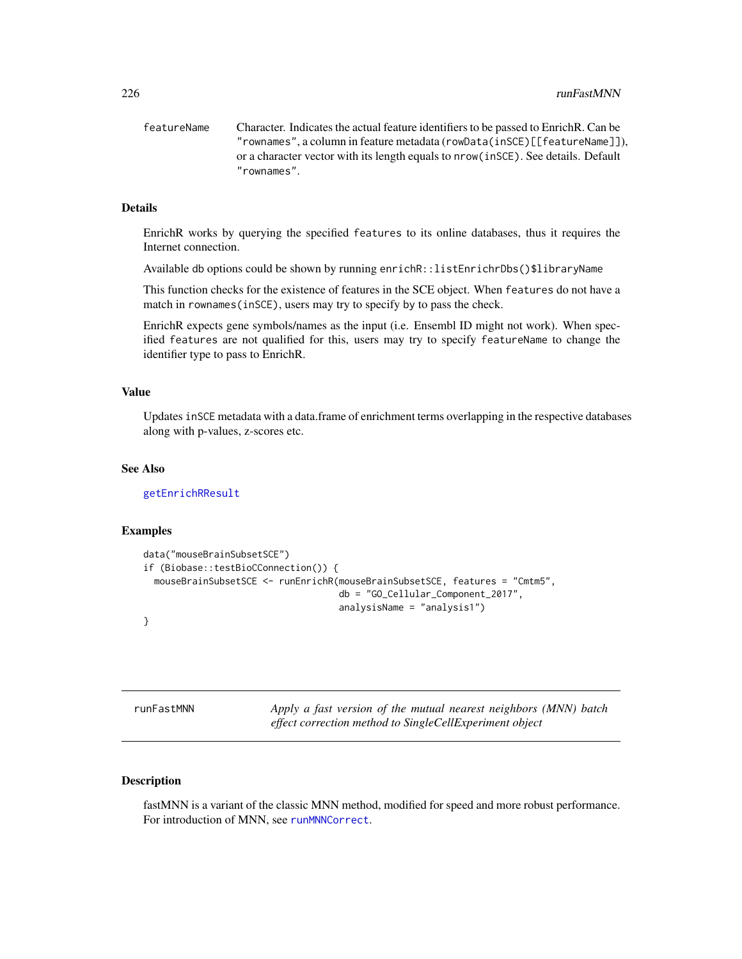featureName Character. Indicates the actual feature identifiers to be passed to EnrichR. Can be "rownames", a column in feature metadata (rowData(inSCE)[[featureName]]), or a character vector with its length equals to nrow(inSCE). See details. Default "rownames".

## Details

EnrichR works by querying the specified features to its online databases, thus it requires the Internet connection.

Available db options could be shown by running enrichR::listEnrichrDbs()\$libraryName

This function checks for the existence of features in the SCE object. When features do not have a match in rownames(inSCE), users may try to specify by to pass the check.

EnrichR expects gene symbols/names as the input (i.e. Ensembl ID might not work). When specified features are not qualified for this, users may try to specify featureName to change the identifier type to pass to EnrichR.

#### Value

Updates inSCE metadata with a data.frame of enrichment terms overlapping in the respective databases along with p-values, z-scores etc.

#### See Also

[getEnrichRResult](#page-54-0)

#### Examples

```
data("mouseBrainSubsetSCE")
if (Biobase::testBioCConnection()) {
 mouseBrainSubsetSCE <- runEnrichR(mouseBrainSubsetSCE, features = "Cmtm5",
                                    db = "GO_Cellular_Component_2017",
                                    analysisName = "analysis1")
```
}

tMNN *Apply a fast version of the mutual nearest neighbors (MNN) batch effect correction method to SingleCellExperiment object*

## **Description**

fastMNN is a variant of the classic MNN method, modified for speed and more robust performance. For introduction of MNN, see [runMNNCorrect](#page-230-0).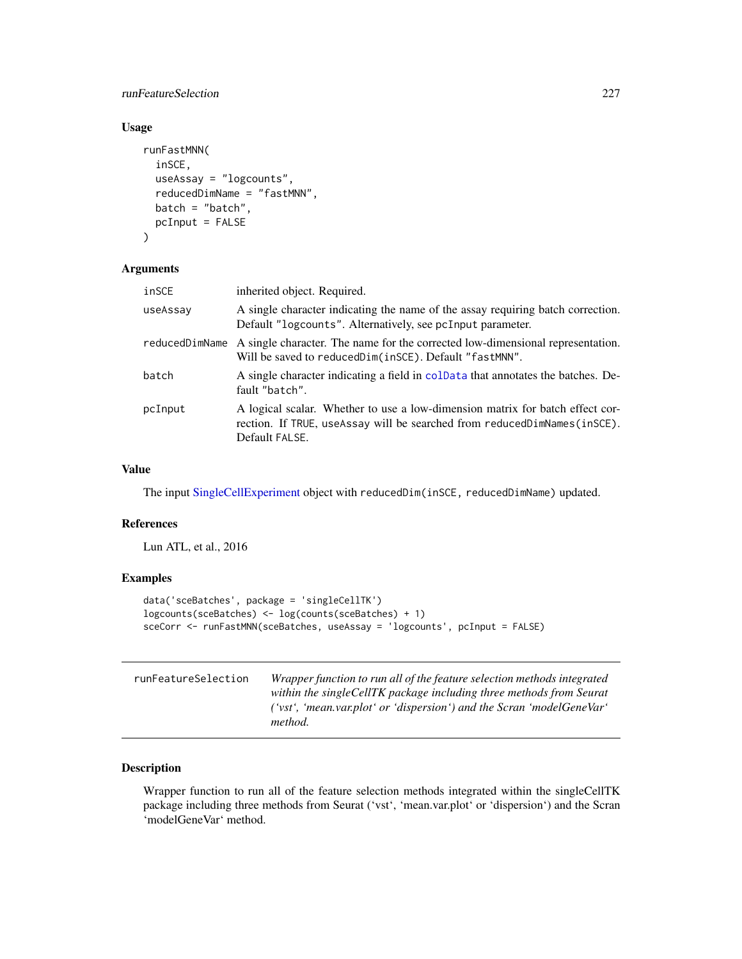## runFeatureSelection 227

## Usage

```
runFastMNN(
  inSCE,
  useAssay = "logcounts",
  reducedDimName = "fastMNN",
 batch = "batch",pcInput = FALSE
)
```
### Arguments

| inSCE          | inherited object. Required.                                                                                                                                                 |
|----------------|-----------------------------------------------------------------------------------------------------------------------------------------------------------------------------|
| useAssay       | A single character indicating the name of the assay requiring batch correction.<br>Default "logcounts". Alternatively, see pcInput parameter.                               |
| reducedDimName | A single character. The name for the corrected low-dimensional representation.<br>Will be saved to reducedDim(inSCE). Default "fastMNN".                                    |
| batch          | A single character indicating a field in coldata that annotates the batches. De-<br>fault "batch".                                                                          |
| pcInput        | A logical scalar. Whether to use a low-dimension matrix for batch effect cor-<br>rection. If TRUE, useAssay will be searched from reducedDimNames(inSCE).<br>Default FALSE. |

#### Value

The input [SingleCellExperiment](#page-0-0) object with reducedDim(inSCE, reducedDimName) updated.

#### References

Lun ATL, et al., 2016

#### Examples

```
data('sceBatches', package = 'singleCellTK')
logcounts(sceBatches) <- log(counts(sceBatches) + 1)
sceCorr <- runFastMNN(sceBatches, useAssay = 'logcounts', pcInput = FALSE)
```

| runFeatureSelection | Wrapper function to run all of the feature selection methods integrated |
|---------------------|-------------------------------------------------------------------------|
|                     | within the singleCellTK package including three methods from Seurat     |
|                     | $('vst', 'mean.varplot' or 'dispersion')$ and the Scran 'modelGeneVar'  |
|                     | method.                                                                 |

# Description

Wrapper function to run all of the feature selection methods integrated within the singleCellTK package including three methods from Seurat ('vst', 'mean.var.plot' or 'dispersion') and the Scran 'modelGeneVar' method.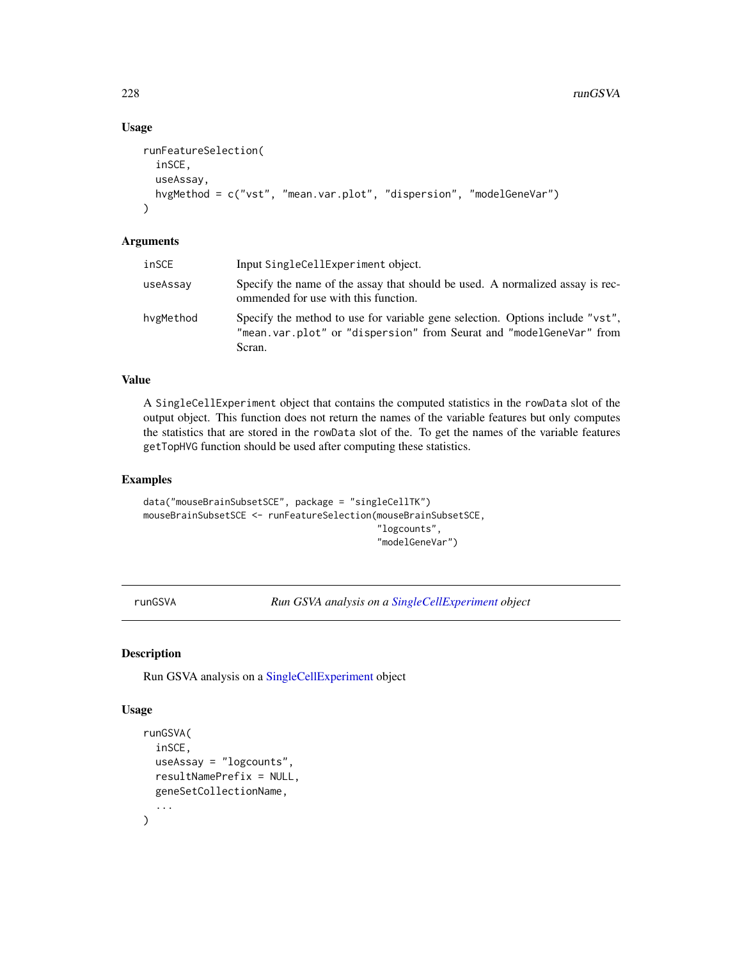## Usage

```
runFeatureSelection(
  inSCE,
 useAssay,
 hvgMethod = c("vst", "mean.var.plot", "dispersion", "modelGeneVar")
\lambda
```
# Arguments

| inSCE     | Input SingleCellExperiment object.                                                                                                                             |
|-----------|----------------------------------------------------------------------------------------------------------------------------------------------------------------|
| useAssay  | Specify the name of the assay that should be used. A normalized assay is rec-<br>ommended for use with this function.                                          |
| hvgMethod | Specify the method to use for variable gene selection. Options include "vst",<br>"mean.var.plot" or "dispersion" from Seurat and "modelGeneVar" from<br>Scran. |

# Value

A SingleCellExperiment object that contains the computed statistics in the rowData slot of the output object. This function does not return the names of the variable features but only computes the statistics that are stored in the rowData slot of the. To get the names of the variable features getTopHVG function should be used after computing these statistics.

#### Examples

```
data("mouseBrainSubsetSCE", package = "singleCellTK")
mouseBrainSubsetSCE <- runFeatureSelection(mouseBrainSubsetSCE,
                                            "logcounts",
                                            "modelGeneVar")
```
runGSVA *Run GSVA analysis on a [SingleCellExperiment](#page-0-0) object*

# Description

Run GSVA analysis on a [SingleCellExperiment](#page-0-0) object

```
runGSVA(
  inSCE,
  useAssay = "logcounts",
  resultNamePrefix = NULL,
  geneSetCollectionName,
  ...
\mathcal{L}
```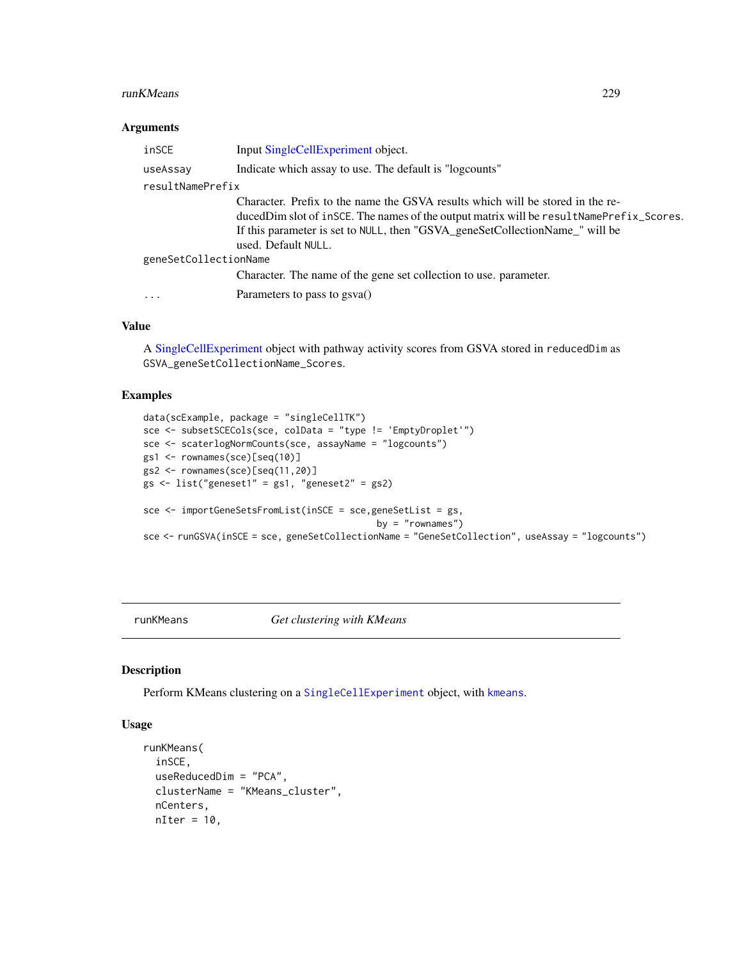#### runKMeans 229

#### Arguments

| inSCE                   | Input SingleCellExperiment object.                                                                                                                                                                                                                                                  |
|-------------------------|-------------------------------------------------------------------------------------------------------------------------------------------------------------------------------------------------------------------------------------------------------------------------------------|
| useAssay                | Indicate which assay to use. The default is "logcounts"                                                                                                                                                                                                                             |
| resultNamePrefix        |                                                                                                                                                                                                                                                                                     |
|                         | Character. Prefix to the name the GSVA results which will be stored in the re-<br>duced Dim slot of insce. The names of the output matrix will be result Name Prefix_Scores.<br>If this parameter is set to NULL, then "GSVA_geneSetCollectionName_" will be<br>used. Default NULL. |
| geneSetCollectionName   |                                                                                                                                                                                                                                                                                     |
|                         | Character. The name of the gene set collection to use, parameter.                                                                                                                                                                                                                   |
| $\cdot$ $\cdot$ $\cdot$ | Parameters to pass to gsva()                                                                                                                                                                                                                                                        |

# Value

A [SingleCellExperiment](#page-0-0) object with pathway activity scores from GSVA stored in reducedDim as GSVA\_geneSetCollectionName\_Scores.

#### Examples

```
data(scExample, package = "singleCellTK")
sce <- subsetSCECols(sce, colData = "type != 'EmptyDroplet'")
sce <- scaterlogNormCounts(sce, assayName = "logcounts")
gs1 <- rownames(sce)[seq(10)]
gs2 <- rownames(sce)[seq(11,20)]
gs \leftarrow list("geneset1" = gs1, "geneset2" = gs2)
sce <- importGeneSetsFromList(inSCE = sce,geneSetList = gs,
                                            by = "rownames")
sce <- runGSVA(inSCE = sce, geneSetCollectionName = "GeneSetCollection", useAssay = "logcounts")
```
runKMeans *Get clustering with KMeans*

#### Description

Perform KMeans clustering on a [SingleCellExperiment](#page-0-0) object, with [kmeans](#page-0-0).

```
runKMeans(
  inSCE,
 useReducedDim = "PCA",
 clusterName = "KMeans_cluster",
 nCenters,
 nIter = 10,
```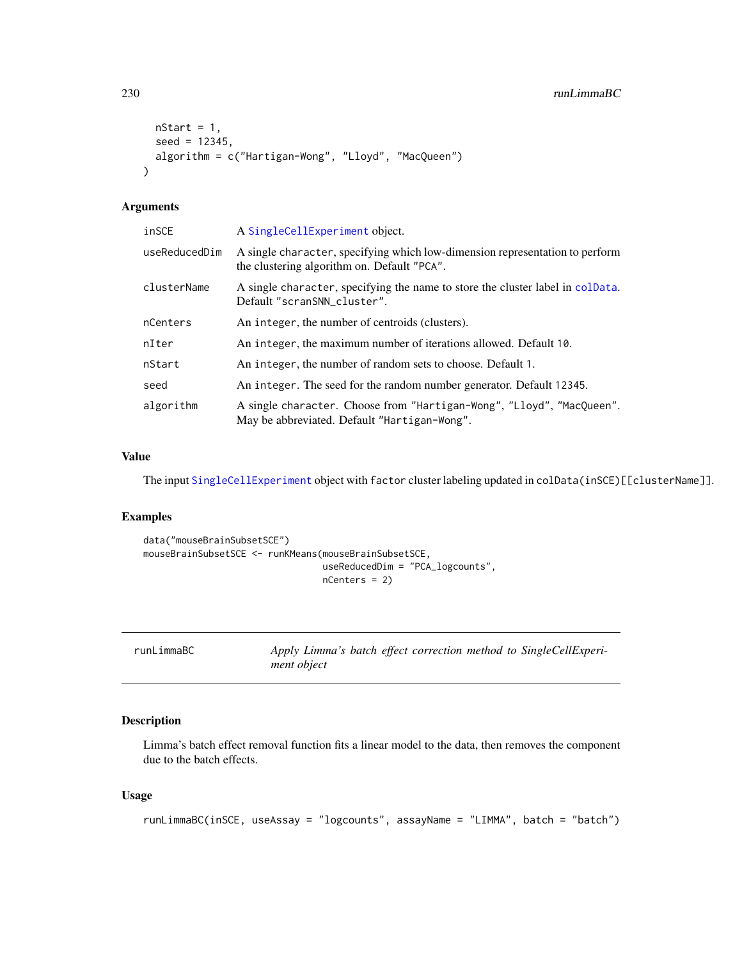```
nStart = 1,
  seed = 12345,algorithm = c("Hartigan-Wong", "Lloyd", "MacQueen")
\mathcal{L}
```
# Arguments

| inSCE         | A SingleCellExperiment object.                                                                                              |
|---------------|-----------------------------------------------------------------------------------------------------------------------------|
| useReducedDim | A single character, specifying which low-dimension representation to perform<br>the clustering algorithm on. Default "PCA". |
| clusterName   | A single character, specifying the name to store the cluster label in colData.<br>Default "scranSNN_cluster".               |
| nCenters      | An integer, the number of centroids (clusters).                                                                             |
| nIter         | An integer, the maximum number of iterations allowed. Default 10.                                                           |
| nStart        | An integer, the number of random sets to choose. Default 1.                                                                 |
| seed          | An integer. The seed for the random number generator. Default 12345.                                                        |
| algorithm     | A single character. Choose from "Hartigan-Wong", "Lloyd", "MacQueen".<br>May be abbreviated. Default "Hartigan-Wong".       |

# Value

The input [SingleCellExperiment](#page-0-0) object with factor cluster labeling updated in colData(inSCE)[[clusterName]].

# Examples

```
data("mouseBrainSubsetSCE")
mouseBrainSubsetSCE <- runKMeans(mouseBrainSubsetSCE,
                                 useReducedDim = "PCA_logcounts",
                                 nCenters = 2)
```

| runLimmaBC | Apply Limma's batch effect correction method to SingleCellExperi- |  |  |  |
|------------|-------------------------------------------------------------------|--|--|--|
|            | ment object                                                       |  |  |  |

# Description

Limma's batch effect removal function fits a linear model to the data, then removes the component due to the batch effects.

```
runLimmaBC(inSCE, useAssay = "logcounts", assayName = "LIMMA", batch = "batch")
```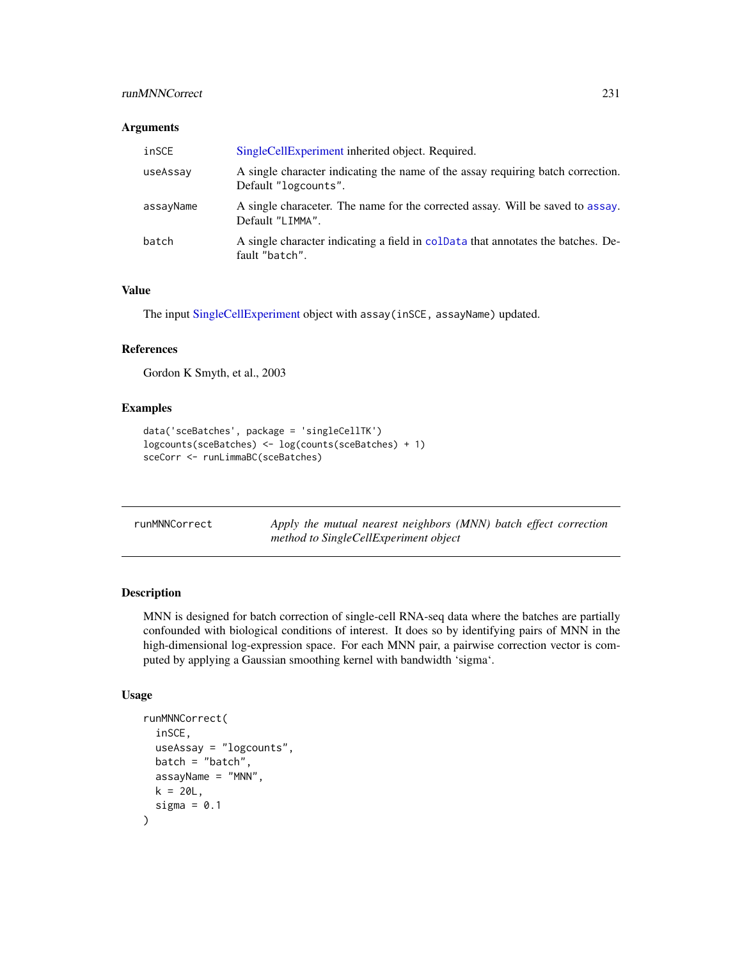# runMNNCorrect 231

#### Arguments

| inSCE     | SingleCellExperiment inherited object. Required.                                                        |
|-----------|---------------------------------------------------------------------------------------------------------|
| useAssay  | A single character indicating the name of the assay requiring batch correction.<br>Default "logcounts". |
| assayName | A single characeter. The name for the corrected assay. Will be saved to assay.<br>Default "LIMMA".      |
| batch     | A single character indicating a field in coldata that annotates the batches. De-<br>fault "batch".      |

#### Value

The input [SingleCellExperiment](#page-0-0) object with assay(inSCE, assayName) updated.

# References

Gordon K Smyth, et al., 2003

#### Examples

```
data('sceBatches', package = 'singleCellTK')
logcounts(sceBatches) <- log(counts(sceBatches) + 1)
sceCorr <- runLimmaBC(sceBatches)
```
<span id="page-230-0"></span>

| runMNNCorrect |  | Apply the mutual nearest neighbors (MNN) batch effect correction |  |  |
|---------------|--|------------------------------------------------------------------|--|--|
|               |  | method to SingleCellExperiment object                            |  |  |

# Description

MNN is designed for batch correction of single-cell RNA-seq data where the batches are partially confounded with biological conditions of interest. It does so by identifying pairs of MNN in the high-dimensional log-expression space. For each MNN pair, a pairwise correction vector is computed by applying a Gaussian smoothing kernel with bandwidth 'sigma'.

```
runMNNCorrect(
 inSCE,
 useAssay = "logcounts",
 batch = "batch",assayName = "MNN",
 k = 20L,sigma = 0.1)
```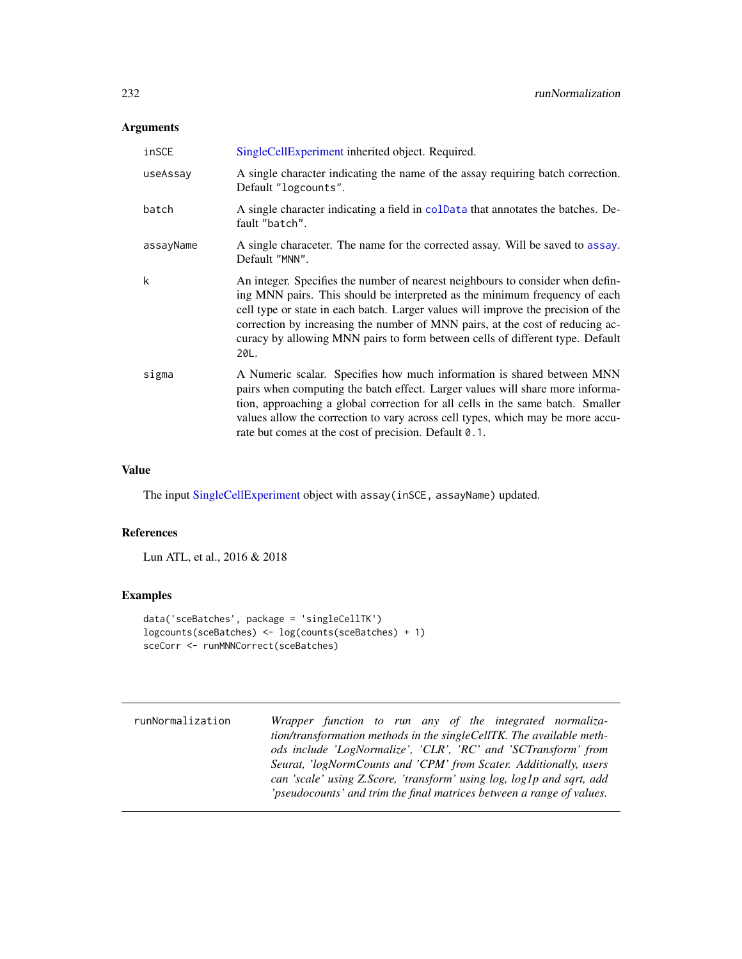## Arguments

| inSCE     | SingleCellExperiment inherited object. Required.                                                                                                                                                                                                                                                                                                                                                                            |
|-----------|-----------------------------------------------------------------------------------------------------------------------------------------------------------------------------------------------------------------------------------------------------------------------------------------------------------------------------------------------------------------------------------------------------------------------------|
| useAssay  | A single character indicating the name of the assay requiring batch correction.<br>Default "logcounts".                                                                                                                                                                                                                                                                                                                     |
| batch     | A single character indicating a field in coldata that annotates the batches. De-<br>fault "batch".                                                                                                                                                                                                                                                                                                                          |
| assayName | A single characeter. The name for the corrected assay. Will be saved to assay.<br>Default "MNN".                                                                                                                                                                                                                                                                                                                            |
| k         | An integer. Specifies the number of nearest neighbours to consider when defin-<br>ing MNN pairs. This should be interpreted as the minimum frequency of each<br>cell type or state in each batch. Larger values will improve the precision of the<br>correction by increasing the number of MNN pairs, at the cost of reducing ac-<br>curacy by allowing MNN pairs to form between cells of different type. Default<br>20L. |
| sigma     | A Numeric scalar. Specifies how much information is shared between MNN<br>pairs when computing the batch effect. Larger values will share more informa-<br>tion, approaching a global correction for all cells in the same batch. Smaller<br>values allow the correction to vary across cell types, which may be more accu-<br>rate but comes at the cost of precision. Default 0.1.                                        |

#### Value

The input [SingleCellExperiment](#page-0-0) object with assay(inSCE, assayName) updated.

#### References

Lun ATL, et al., 2016 & 2018

#### Examples

```
data('sceBatches', package = 'singleCellTK')
logcounts(sceBatches) <- log(counts(sceBatches) + 1)
sceCorr <- runMNNCorrect(sceBatches)
```
runNormalization *Wrapper function to run any of the integrated normalization/transformation methods in the singleCellTK. The available methods include 'LogNormalize', 'CLR', 'RC' and 'SCTransform' from Seurat, 'logNormCounts and 'CPM' from Scater. Additionally, users can 'scale' using Z.Score, 'transform' using log, log1p and sqrt, add 'pseudocounts' and trim the final matrices between a range of values.*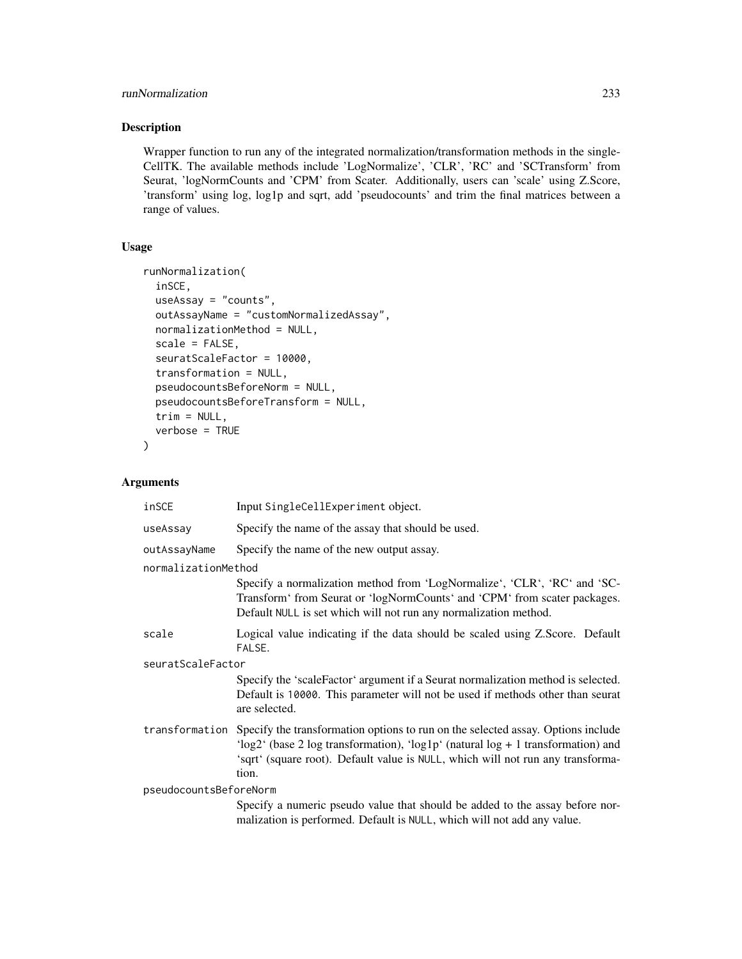## runNormalization 233

# Description

Wrapper function to run any of the integrated normalization/transformation methods in the single-CellTK. The available methods include 'LogNormalize', 'CLR', 'RC' and 'SCTransform' from Seurat, 'logNormCounts and 'CPM' from Scater. Additionally, users can 'scale' using Z.Score, 'transform' using log, log1p and sqrt, add 'pseudocounts' and trim the final matrices between a range of values.

# Usage

```
runNormalization(
  inSCE,
  useAssay = "counts",
  outAssayName = "customNormalizedAssay",
 normalizationMethod = NULL,
  scale = FALSE,
  seuratScaleFactor = 10000,
  transformation = NULL,
 pseudocountsBeforeNorm = NULL,
 pseudocountsBeforeTransform = NULL,
  trim = NULL,verbose = TRUE
)
```

| inSCE                  | Input SingleCellExperiment object.                                                                                                                                                                                                                                              |  |  |  |
|------------------------|---------------------------------------------------------------------------------------------------------------------------------------------------------------------------------------------------------------------------------------------------------------------------------|--|--|--|
| useAssay               | Specify the name of the assay that should be used.                                                                                                                                                                                                                              |  |  |  |
| outAssayName           | Specify the name of the new output assay.                                                                                                                                                                                                                                       |  |  |  |
| normalizationMethod    |                                                                                                                                                                                                                                                                                 |  |  |  |
|                        | Specify a normalization method from 'LogNormalize', 'CLR', 'RC' and 'SC-<br>Transform' from Seurat or 'logNormCounts' and 'CPM' from scater packages.<br>Default NULL is set which will not run any normalization method.                                                       |  |  |  |
| scale                  | Logical value indicating if the data should be scaled using Z.Score. Default<br>FALSE.                                                                                                                                                                                          |  |  |  |
| seuratScaleFactor      |                                                                                                                                                                                                                                                                                 |  |  |  |
|                        | Specify the 'scaleFactor' argument if a Seurat normalization method is selected.<br>Default is 10000. This parameter will not be used if methods other than seurat<br>are selected.                                                                                             |  |  |  |
|                        | transformation Specify the transformation options to run on the selected assay. Options include<br>'log2' (base 2 log transformation), 'log1p' (natural log + 1 transformation) and<br>'sqrt' (square root). Default value is NULL, which will not run any transforma-<br>tion. |  |  |  |
| pseudocountsBeforeNorm |                                                                                                                                                                                                                                                                                 |  |  |  |
|                        | Specify a numeric pseudo value that should be added to the assay before nor-<br>malization is performed. Default is NULL, which will not add any value.                                                                                                                         |  |  |  |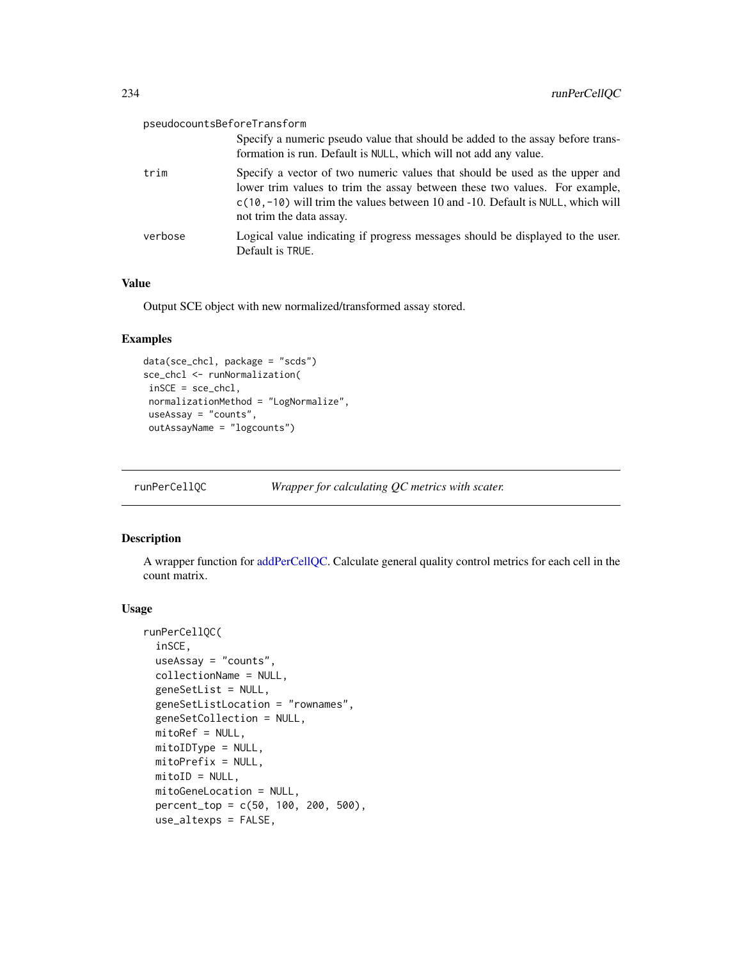| pseudocountsBeforeTransform |                                                                                                                                                                                                                                                                           |
|-----------------------------|---------------------------------------------------------------------------------------------------------------------------------------------------------------------------------------------------------------------------------------------------------------------------|
|                             | Specify a numeric pseudo value that should be added to the assay before trans-<br>formation is run. Default is NULL, which will not add any value.                                                                                                                        |
| trim                        | Specify a vector of two numeric values that should be used as the upper and<br>lower trim values to trim the assay between these two values. For example,<br>$c(10,-10)$ will trim the values between 10 and -10. Default is NULL, which will<br>not trim the data assay. |
| verbose                     | Logical value indicating if progress messages should be displayed to the user.<br>Default is TRUE.                                                                                                                                                                        |

#### Value

Output SCE object with new normalized/transformed assay stored.

## Examples

```
data(sce_chcl, package = "scds")
sce_chcl <- runNormalization(
inSCE = sce_chcl,
 normalizationMethod = "LogNormalize",
useAssay = "counts",
 outAssayName = "logcounts")
```
runPerCellQC *Wrapper for calculating QC metrics with scater.*

# Description

A wrapper function for [addPerCellQC.](#page-0-0) Calculate general quality control metrics for each cell in the count matrix.

```
runPerCellQC(
  inSCE,
 useAssay = "counts",
 collectionName = NULL,
  geneSetList = NULL,
 geneSetListLocation = "rownames",
  geneSetCollection = NULL,
 mitoRef = NULL,
 mitoIDType = NULL,
 mitoPrefix = NULL,
 mitoID = NULL,mitoGeneLocation = NULL,
 percent_top = c(50, 100, 200, 500),
 use_altexps = FALSE,
```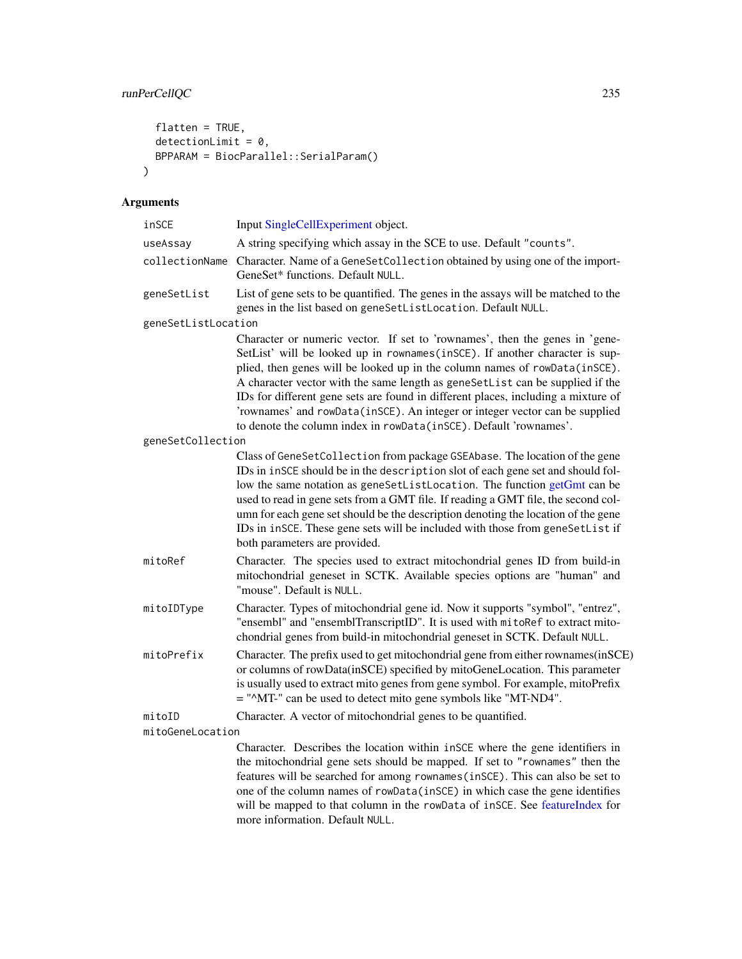# runPerCellQC 235

```
flatten = TRUE,detectionLimit = 0,BPPARAM = BiocParallel::SerialParam()
\mathcal{L}
```
# Arguments

| inSCE               | Input SingleCellExperiment object.                                                                                                                                                                                                                                                                                                                                                                                                                                                                                                                                  |
|---------------------|---------------------------------------------------------------------------------------------------------------------------------------------------------------------------------------------------------------------------------------------------------------------------------------------------------------------------------------------------------------------------------------------------------------------------------------------------------------------------------------------------------------------------------------------------------------------|
| useAssay            | A string specifying which assay in the SCE to use. Default "counts".                                                                                                                                                                                                                                                                                                                                                                                                                                                                                                |
| collectionName      | Character. Name of a GeneSetCollection obtained by using one of the import-<br>GeneSet* functions. Default NULL.                                                                                                                                                                                                                                                                                                                                                                                                                                                    |
| geneSetList         | List of gene sets to be quantified. The genes in the assays will be matched to the<br>genes in the list based on geneSetListLocation. Default NULL.                                                                                                                                                                                                                                                                                                                                                                                                                 |
| geneSetListLocation |                                                                                                                                                                                                                                                                                                                                                                                                                                                                                                                                                                     |
|                     | Character or numeric vector. If set to 'rownames', then the genes in 'gene-<br>SetList' will be looked up in rownames (inSCE). If another character is sup-<br>plied, then genes will be looked up in the column names of rowData(inSCE).<br>A character vector with the same length as geneSetList can be supplied if the<br>IDs for different gene sets are found in different places, including a mixture of<br>'rownames' and rowData(inSCE). An integer or integer vector can be supplied<br>to denote the column index in rowData(inSCE). Default 'rownames'. |
| geneSetCollection   |                                                                                                                                                                                                                                                                                                                                                                                                                                                                                                                                                                     |
|                     | Class of GeneSetCollection from package GSEAbase. The location of the gene<br>IDs in inSCE should be in the description slot of each gene set and should fol-<br>low the same notation as geneSetListLocation. The function getGmt can be<br>used to read in gene sets from a GMT file. If reading a GMT file, the second col-<br>umn for each gene set should be the description denoting the location of the gene<br>IDs in inSCE. These gene sets will be included with those from geneSetList if<br>both parameters are provided.                               |
| mitoRef             | Character. The species used to extract mitochondrial genes ID from build-in<br>mitochondrial geneset in SCTK. Available species options are "human" and<br>"mouse". Default is NULL.                                                                                                                                                                                                                                                                                                                                                                                |
| mitoIDType          | Character. Types of mitochondrial gene id. Now it supports "symbol", "entrez",<br>"ensembl" and "ensemblTranscriptID". It is used with mitoRef to extract mito-<br>chondrial genes from build-in mitochondrial geneset in SCTK. Default NULL.                                                                                                                                                                                                                                                                                                                       |
| mitoPrefix          | Character. The prefix used to get mitochondrial gene from either rownames(inSCE)<br>or columns of rowData(inSCE) specified by mitoGeneLocation. This parameter<br>is usually used to extract mito genes from gene symbol. For example, mitoPrefix<br>= "^MT-" can be used to detect mito gene symbols like "MT-ND4".                                                                                                                                                                                                                                                |
| mitoID              | Character. A vector of mitochondrial genes to be quantified.                                                                                                                                                                                                                                                                                                                                                                                                                                                                                                        |
| mitoGeneLocation    |                                                                                                                                                                                                                                                                                                                                                                                                                                                                                                                                                                     |
|                     | Character. Describes the location within inSCE where the gene identifiers in<br>the mitochondrial gene sets should be manned. If set to "rownames" then the                                                                                                                                                                                                                                                                                                                                                                                                         |

the mitochondrial gene sets should be mapped. If set to "rownames" then the features will be searched for among rownames(inSCE). This can also be set to one of the column names of rowData(inSCE) in which case the gene identifies will be mapped to that column in the rowData of inSCE. See [featureIndex](#page-44-0) for more information. Default NULL.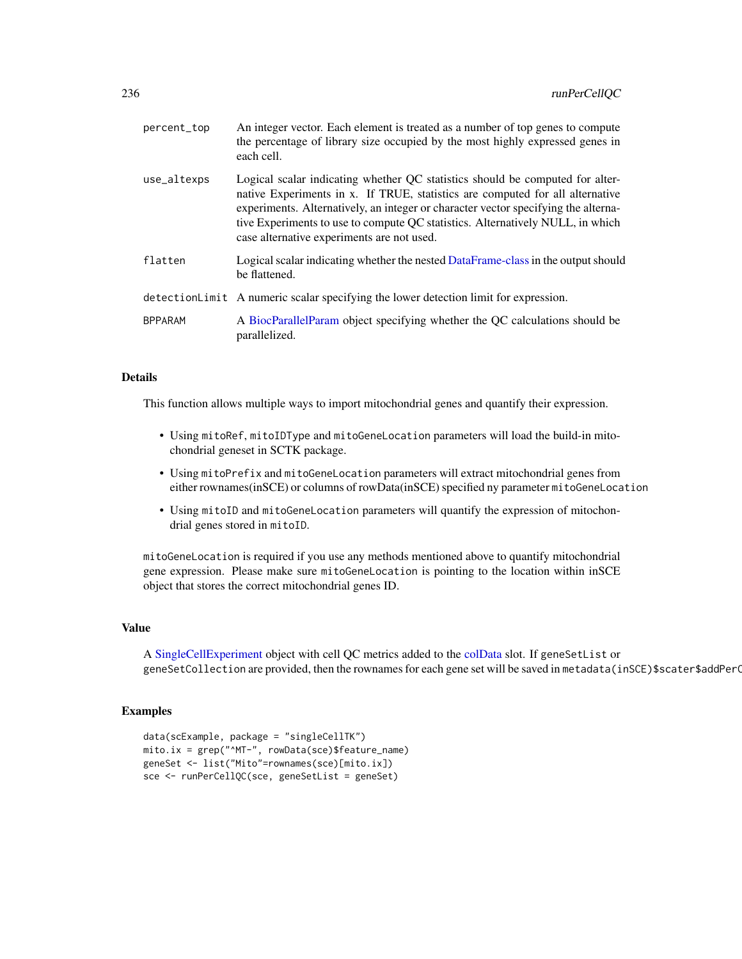| percent_top    | An integer vector. Each element is treated as a number of top genes to compute<br>the percentage of library size occupied by the most highly expressed genes in<br>each cell.                                                                                                                                                                                                        |
|----------------|--------------------------------------------------------------------------------------------------------------------------------------------------------------------------------------------------------------------------------------------------------------------------------------------------------------------------------------------------------------------------------------|
| use_altexps    | Logical scalar indicating whether QC statistics should be computed for alter-<br>native Experiments in x. If TRUE, statistics are computed for all alternative<br>experiments. Alternatively, an integer or character vector specifying the alterna-<br>tive Experiments to use to compute QC statistics. Alternatively NULL, in which<br>case alternative experiments are not used. |
| flatten        | Logical scalar indicating whether the nested DataFrame-class in the output should<br>be flattened.                                                                                                                                                                                                                                                                                   |
|                | detectionLimit A numeric scalar specifying the lower detection limit for expression.                                                                                                                                                                                                                                                                                                 |
| <b>BPPARAM</b> | A BiocParallelParam object specifying whether the QC calculations should be<br>parallelized.                                                                                                                                                                                                                                                                                         |

#### Details

This function allows multiple ways to import mitochondrial genes and quantify their expression.

- Using mitoRef, mitoIDType and mitoGeneLocation parameters will load the build-in mitochondrial geneset in SCTK package.
- Using mitoPrefix and mitoGeneLocation parameters will extract mitochondrial genes from either rownames(inSCE) or columns of rowData(inSCE) specified ny parameter mitoGeneLocation
- Using mitoID and mitoGeneLocation parameters will quantify the expression of mitochondrial genes stored in mitoID.

mitoGeneLocation is required if you use any methods mentioned above to quantify mitochondrial gene expression. Please make sure mitoGeneLocation is pointing to the location within inSCE object that stores the correct mitochondrial genes ID.

#### Value

A [SingleCellExperiment](#page-0-0) object with cell QC metrics added to the [colData](#page-0-0) slot. If geneSetList or geneSetCollection are provided, then the rownames for each gene set will be saved in metadata(inSCE)\$scater\$addPerO

#### Examples

```
data(scExample, package = "singleCellTK")
mito.ix = grep("^MT-", rowData(sce)$feature_name)
geneSet <- list("Mito"=rownames(sce)[mito.ix])
sce <- runPerCellQC(sce, geneSetList = geneSet)
```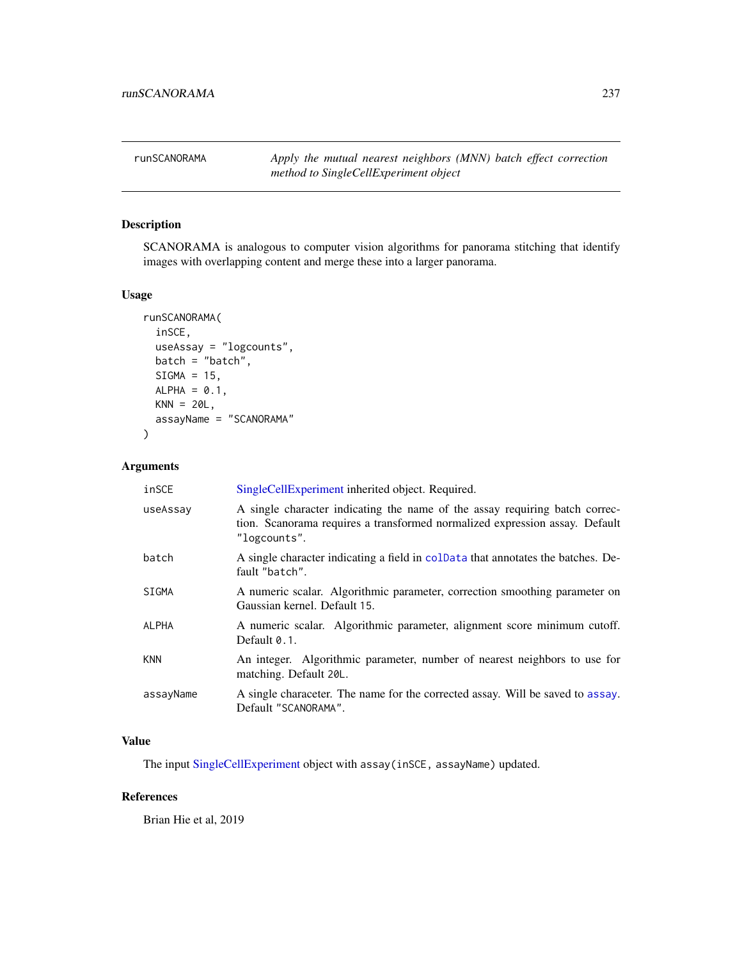runSCANORAMA *Apply the mutual nearest neighbors (MNN) batch effect correction method to SingleCellExperiment object*

# Description

SCANORAMA is analogous to computer vision algorithms for panorama stitching that identify images with overlapping content and merge these into a larger panorama.

#### Usage

```
runSCANORAMA(
  inSCE,
 useAssay = "logcounts",
 batch = "batch",SIGMA = 15,
 ALPHA = 0.1,
 KNN = 20L,assayName = "SCANORAMA"
)
```
#### Arguments

| inSCE        | SingleCellExperiment inherited object. Required.                                                                                                                           |
|--------------|----------------------------------------------------------------------------------------------------------------------------------------------------------------------------|
| useAssay     | A single character indicating the name of the assay requiring batch correc-<br>tion. Scanorama requires a transformed normalized expression assay. Default<br>"logcounts". |
| batch        | A single character indicating a field in coldata that annotates the batches. De-<br>fault "batch".                                                                         |
| <b>SIGMA</b> | A numeric scalar. Algorithmic parameter, correction smoothing parameter on<br>Gaussian kernel. Default 15.                                                                 |
| ALPHA        | A numeric scalar. Algorithmic parameter, alignment score minimum cutoff.<br>Default 0.1.                                                                                   |
| <b>KNN</b>   | An integer. Algorithmic parameter, number of nearest neighbors to use for<br>matching. Default 20L.                                                                        |
| assayName    | A single characeter. The name for the corrected assay. Will be saved to assay.<br>Default "SCANORAMA".                                                                     |

#### Value

The input [SingleCellExperiment](#page-0-0) object with assay(inSCE, assayName) updated.

## References

Brian Hie et al, 2019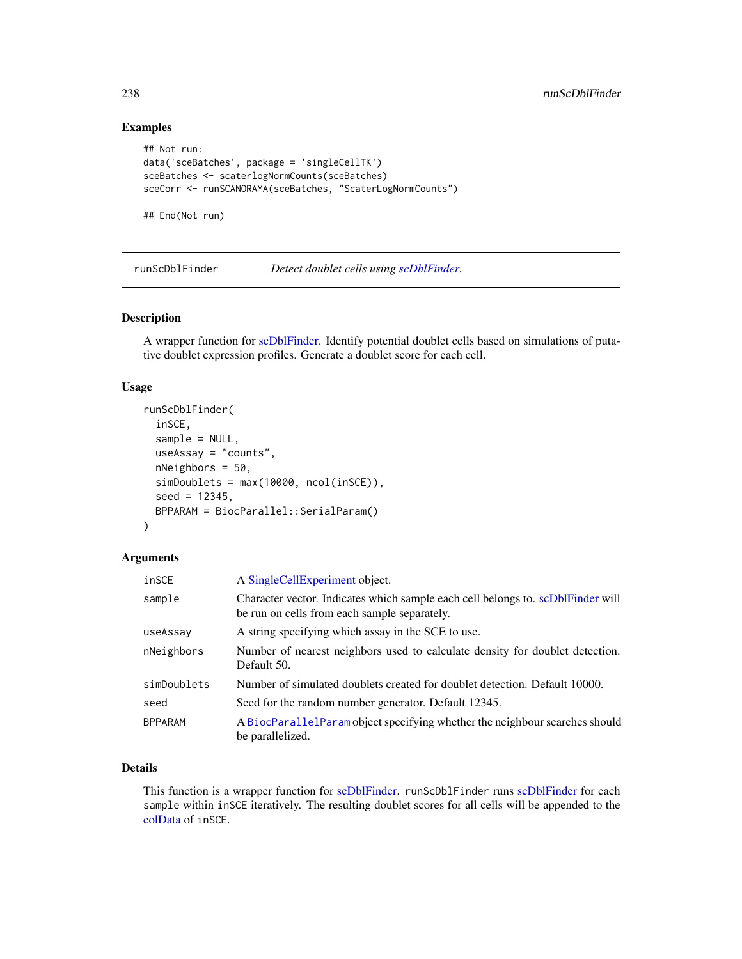# Examples

```
## Not run:
data('sceBatches', package = 'singleCellTK')
sceBatches <- scaterlogNormCounts(sceBatches)
sceCorr <- runSCANORAMA(sceBatches, "ScaterLogNormCounts")
```
## End(Not run)

runScDblFinder *Detect doublet cells using [scDblFinder.](#page-0-0)*

#### Description

A wrapper function for [scDblFinder.](#page-0-0) Identify potential doublet cells based on simulations of putative doublet expression profiles. Generate a doublet score for each cell.

#### Usage

```
runScDblFinder(
 inSCE,
 sample = NULL,
 useAssay = "counts",
 nNeighbors = 50,
 simDoublets = max(10000, ncol(inSCE)),seed = 12345,BPPARAM = BiocParallel::SerialParam()
)
```
#### Arguments

| inSCE          | A SingleCellExperiment object.                                                                                                  |
|----------------|---------------------------------------------------------------------------------------------------------------------------------|
| sample         | Character vector. Indicates which sample each cell belongs to. scDblFinder will<br>be run on cells from each sample separately. |
| useAssay       | A string specifying which assay in the SCE to use.                                                                              |
| nNeighbors     | Number of nearest neighbors used to calculate density for doublet detection.<br>Default 50.                                     |
| simDoublets    | Number of simulated doublets created for doublet detection. Default 10000.                                                      |
| seed           | Seed for the random number generator. Default 12345.                                                                            |
| <b>BPPARAM</b> | A BiocParallelParam object specifying whether the neighbour searches should<br>be parallelized.                                 |

## Details

This function is a wrapper function for [scDblFinder.](#page-0-0) runScDblFinder runs [scDblFinder](#page-0-0) for each sample within inSCE iteratively. The resulting doublet scores for all cells will be appended to the [colData](#page-0-0) of inSCE.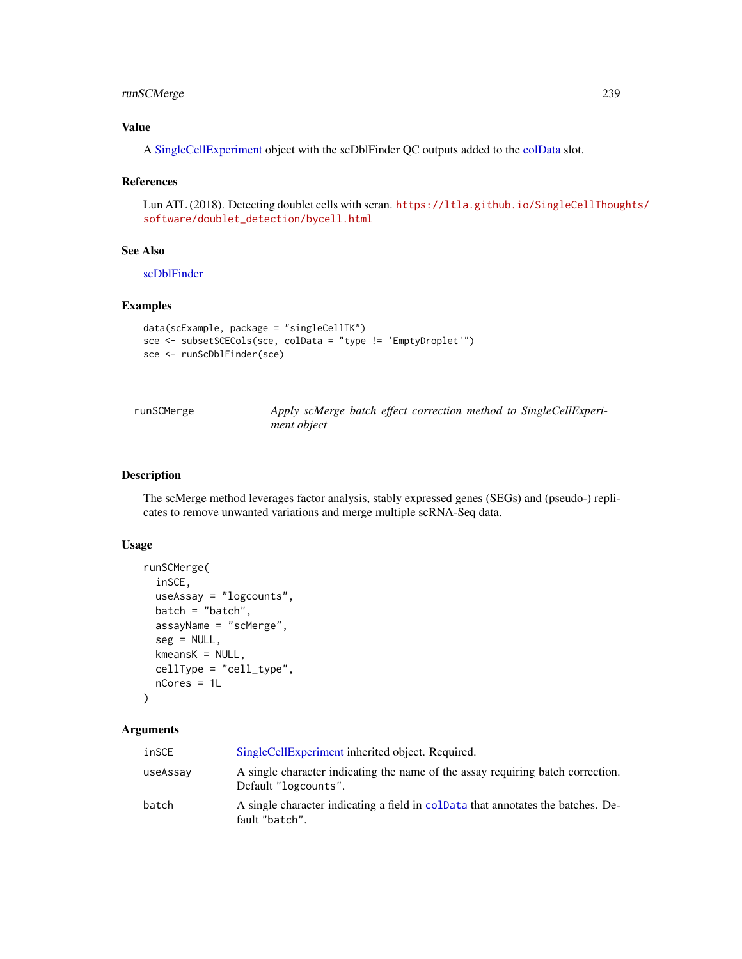# runSCMerge 239

## Value

A [SingleCellExperiment](#page-0-0) object with the scDblFinder QC outputs added to the [colData](#page-0-0) slot.

#### References

Lun ATL (2018). Detecting doublet cells with scran. [https://ltla.github.io/SingleCellThoug](https://ltla.github.io/SingleCellThoughts/software/doublet_detection/bycell.html)hts/ [software/doublet\\_detection/bycell.html](https://ltla.github.io/SingleCellThoughts/software/doublet_detection/bycell.html)

#### See Also

[scDblFinder](#page-0-0)

# Examples

```
data(scExample, package = "singleCellTK")
sce <- subsetSCECols(sce, colData = "type != 'EmptyDroplet'")
sce <- runScDblFinder(sce)
```
runSCMerge *Apply scMerge batch effect correction method to SingleCellExperiment object*

#### Description

The scMerge method leverages factor analysis, stably expressed genes (SEGs) and (pseudo-) replicates to remove unwanted variations and merge multiple scRNA-Seq data.

#### Usage

```
runSCMerge(
  inSCE,
 useAssay = "logcounts",
 batch = "batch",assayName = "scMerge",
  seg = NULL,
 kmeansK = NULL,cellType = "cell_type",
 nCores = 1L
)
```

| inSCE    | SingleCellExperiment inherited object. Required.                                                        |
|----------|---------------------------------------------------------------------------------------------------------|
| useAssay | A single character indicating the name of the assay requiring batch correction.<br>Default "logcounts". |
| batch    | A single character indicating a field in coldariate that annotates the batches. De-<br>fault "batch".   |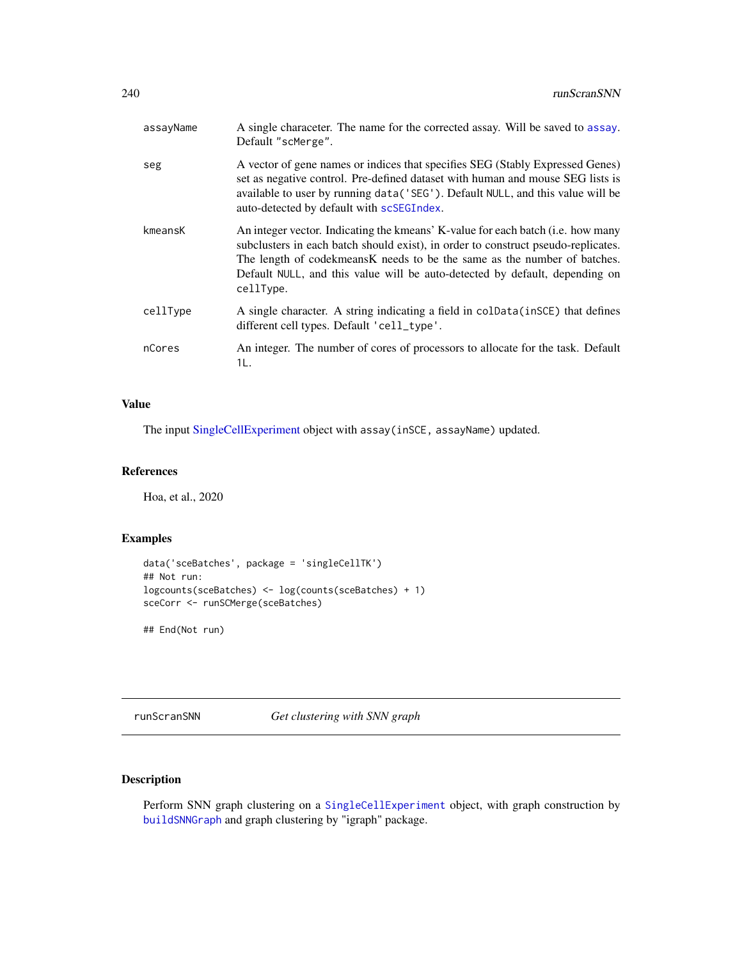| assayName | A single characeter. The name for the corrected assay. Will be saved to assay.<br>Default "scMerge".                                                                                                                                                                                                                                          |
|-----------|-----------------------------------------------------------------------------------------------------------------------------------------------------------------------------------------------------------------------------------------------------------------------------------------------------------------------------------------------|
| seg       | A vector of gene names or indices that specifies SEG (Stably Expressed Genes)<br>set as negative control. Pre-defined dataset with human and mouse SEG lists is<br>available to user by running data('SEG'). Default NULL, and this value will be<br>auto-detected by default with scSEGIndex.                                                |
| kmeansK   | An integer vector. Indicating the kmeans' K-value for each batch (i.e. how many<br>subclusters in each batch should exist), in order to construct pseudo-replicates.<br>The length of codekmeans K needs to be the same as the number of batches.<br>Default NULL, and this value will be auto-detected by default, depending on<br>cellType. |
| cellType  | A single character. A string indicating a field in colData(inSCE) that defines<br>different cell types. Default 'cell_type'.                                                                                                                                                                                                                  |
| nCores    | An integer. The number of cores of processors to allocate for the task. Default<br>1L.                                                                                                                                                                                                                                                        |

# Value

The input [SingleCellExperiment](#page-0-0) object with assay(inSCE, assayName) updated.

## References

Hoa, et al., 2020

# Examples

```
data('sceBatches', package = 'singleCellTK')
## Not run:
logcounts(sceBatches) <- log(counts(sceBatches) + 1)
sceCorr <- runSCMerge(sceBatches)
```
## End(Not run)

runScranSNN *Get clustering with SNN graph*

# Description

Perform SNN graph clustering on a [SingleCellExperiment](#page-0-0) object, with graph construction by [buildSNNGraph](#page-0-0) and graph clustering by "igraph" package.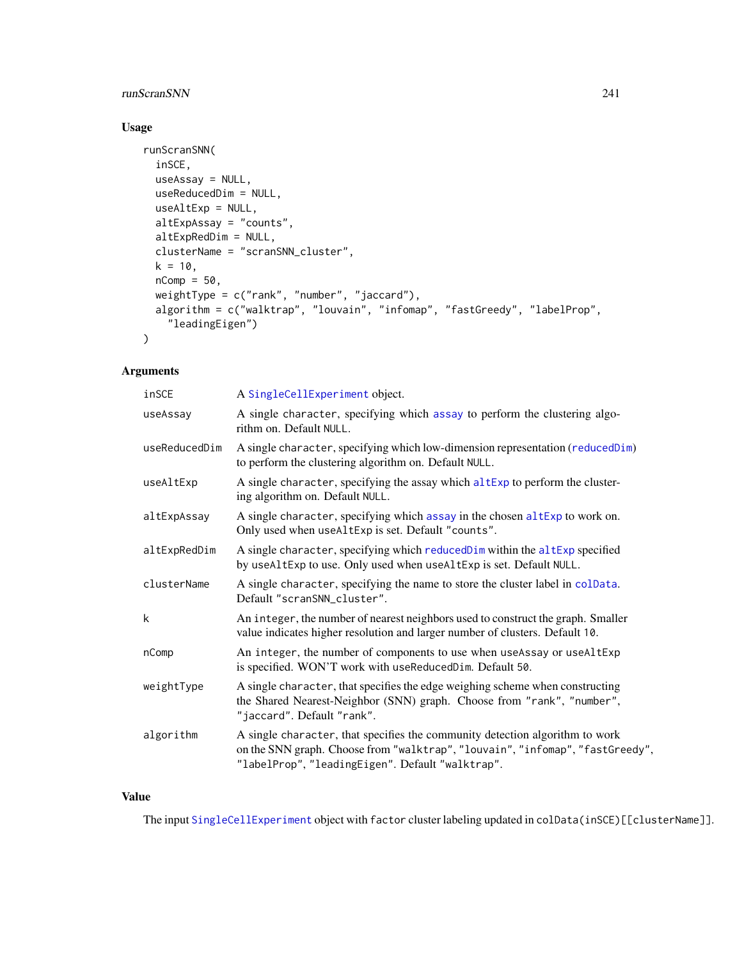#### runScranSNN 241

# Usage

```
runScranSNN(
  inSCE,
 useAssay = NULL,
 useReducedDim = NULL,
 useAltExp = NULL,
 altExpAssay = "counts",
  altExpRedDim = NULL,
  clusterName = "scranSNN_cluster",
 k = 10,
  nComp = 50,
 weightType = c("rank", "number", "jaccard"),
  algorithm = c("walktrap", "louvain", "infomap", "fastGreedy", "labelProp",
    "leadingEigen")
\mathcal{L}
```
# Arguments

| inSCE         | A SingleCellExperiment object.                                                                                                                                                                                    |
|---------------|-------------------------------------------------------------------------------------------------------------------------------------------------------------------------------------------------------------------|
| useAssay      | A single character, specifying which assay to perform the clustering algo-<br>rithm on. Default NULL.                                                                                                             |
| useReducedDim | A single character, specifying which low-dimension representation (reducedDim)<br>to perform the clustering algorithm on. Default NULL.                                                                           |
| useAltExp     | A single character, specifying the assay which altExp to perform the cluster-<br>ing algorithm on. Default NULL.                                                                                                  |
| altExpAssay   | A single character, specifying which assay in the chosen altExp to work on.<br>Only used when useAltExp is set. Default "counts".                                                                                 |
| altExpRedDim  | A single character, specifying which reducedDim within the altExp specified<br>by useAltExp to use. Only used when useAltExp is set. Default NULL.                                                                |
| clusterName   | A single character, specifying the name to store the cluster label in colData.<br>Default "scranSNN_cluster".                                                                                                     |
| k             | An integer, the number of nearest neighbors used to construct the graph. Smaller<br>value indicates higher resolution and larger number of clusters. Default 10.                                                  |
| nComp         | An integer, the number of components to use when useAssay or useAltExp<br>is specified. WON'T work with useReducedDim. Default 50.                                                                                |
| weightType    | A single character, that specifies the edge weighing scheme when constructing<br>the Shared Nearest-Neighbor (SNN) graph. Choose from "rank", "number",<br>"jaccard". Default "rank".                             |
| algorithm     | A single character, that specifies the community detection algorithm to work<br>on the SNN graph. Choose from "walktrap", "louvain", "infomap", "fastGreedy",<br>"labelProp", "leadingEigen". Default "walktrap". |

## Value

The input [SingleCellExperiment](#page-0-0) object with factor cluster labeling updated in colData(inSCE)[[clusterName]].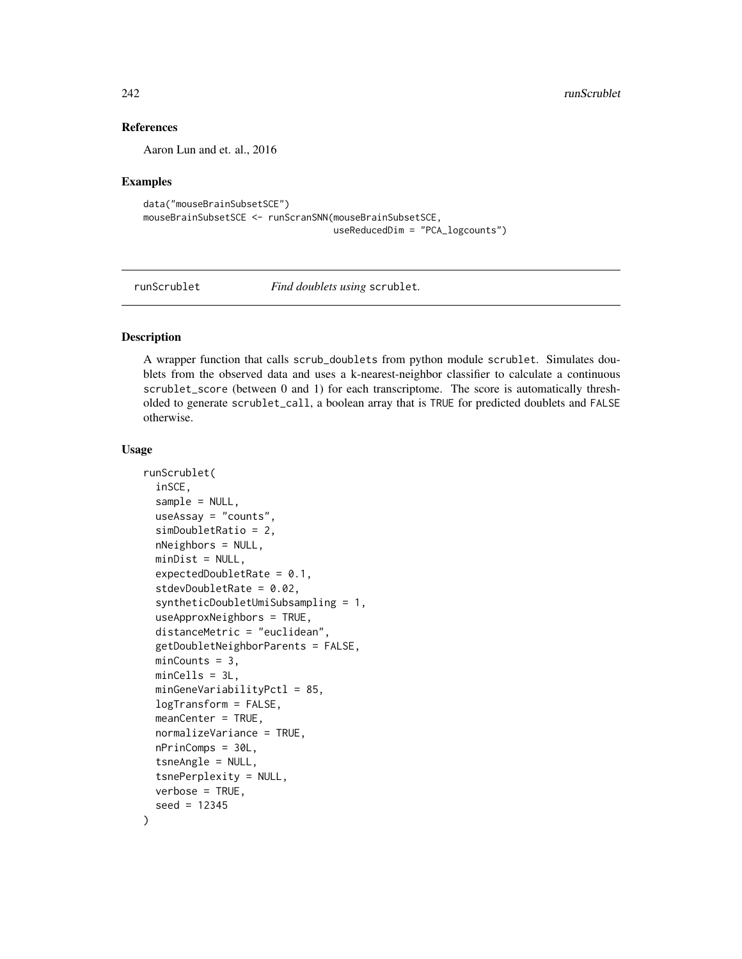#### References

Aaron Lun and et. al., 2016

#### Examples

```
data("mouseBrainSubsetSCE")
mouseBrainSubsetSCE <- runScranSNN(mouseBrainSubsetSCE,
                                   useReducedDim = "PCA_logcounts")
```
runScrublet *Find doublets using* scrublet*.*

#### Description

A wrapper function that calls scrub\_doublets from python module scrublet. Simulates doublets from the observed data and uses a k-nearest-neighbor classifier to calculate a continuous scrublet\_score (between 0 and 1) for each transcriptome. The score is automatically thresholded to generate scrublet\_call, a boolean array that is TRUE for predicted doublets and FALSE otherwise.

```
runScrublet(
  inSCE,
  sample = NULL,
  useAssay = "counts",
  simDoubletRatio = 2,
  nNeighbors = NULL,
  minDist = NULL,
  expectedDoubletRate = 0.1,
  stdevDoubletRate = 0.02,
  syntheticDoubletUmiSubsampling = 1,
  useApproxNeighbors = TRUE,
  distanceMetric = "euclidean",
  getDoubletNeighborParents = FALSE,
 minCounts = 3,
 minCells = 3L,
  minGeneVariabilityPctl = 85,
  logTransform = FALSE,
  meanCenter = TRUE,
  normalizeVariance = TRUE,
  nPrinComps = 30L,
  tsneAngle = NULL,
  tsnePerplexity = NULL,
  verbose = TRUE,
  seed = 12345
)
```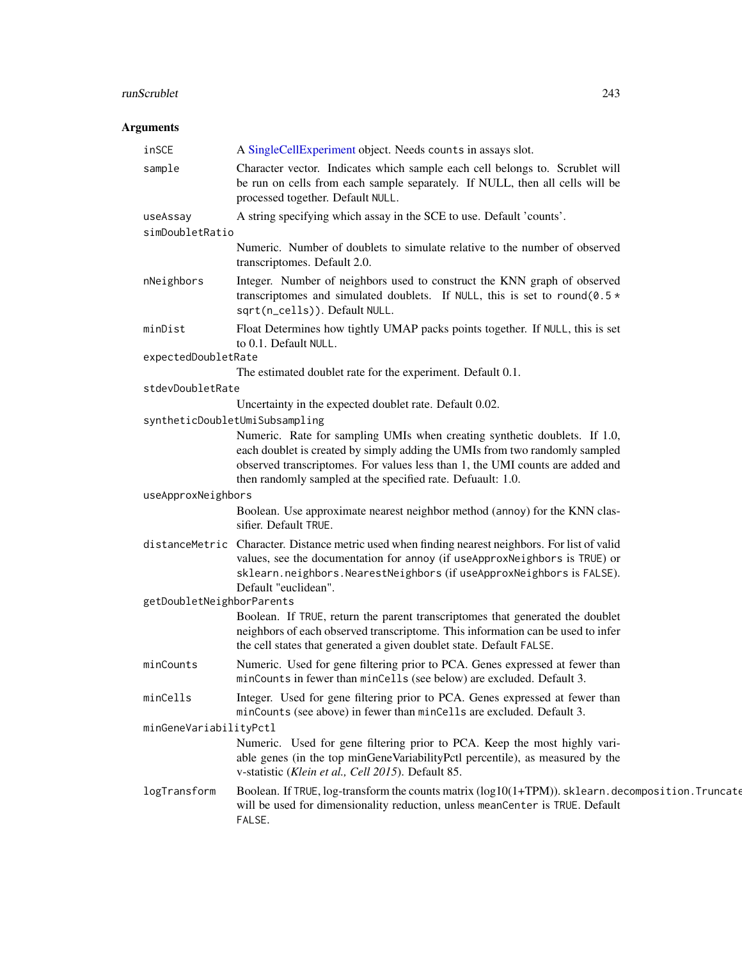# runScrublet 243

| inSCE                       | A SingleCellExperiment object. Needs counts in assays slot.                                                                                                                                                                                                                    |
|-----------------------------|--------------------------------------------------------------------------------------------------------------------------------------------------------------------------------------------------------------------------------------------------------------------------------|
| sample                      | Character vector. Indicates which sample each cell belongs to. Scrublet will<br>be run on cells from each sample separately. If NULL, then all cells will be<br>processed together. Default NULL.                                                                              |
| useAssay<br>simDoubletRatio | A string specifying which assay in the SCE to use. Default 'counts'.                                                                                                                                                                                                           |
|                             | Numeric. Number of doublets to simulate relative to the number of observed<br>transcriptomes. Default 2.0.                                                                                                                                                                     |
| nNeighbors                  | Integer. Number of neighbors used to construct the KNN graph of observed<br>transcriptomes and simulated doublets. If NULL, this is set to round (0.5 $\star$<br>sqrt(n_cells)). Default NULL.                                                                                 |
| minDist                     | Float Determines how tightly UMAP packs points together. If NULL, this is set<br>to 0.1. Default NULL.                                                                                                                                                                         |
| expectedDoubletRate         |                                                                                                                                                                                                                                                                                |
|                             | The estimated doublet rate for the experiment. Default 0.1.                                                                                                                                                                                                                    |
| stdevDoubletRate            |                                                                                                                                                                                                                                                                                |
|                             | Uncertainty in the expected doublet rate. Default 0.02.                                                                                                                                                                                                                        |
|                             | syntheticDoubletUmiSubsampling<br>Numeric. Rate for sampling UMIs when creating synthetic doublets. If 1.0,<br>each doublet is created by simply adding the UMIs from two randomly sampled<br>observed transcriptomes. For values less than 1, the UMI counts are added and    |
|                             | then randomly sampled at the specified rate. Defuault: 1.0.                                                                                                                                                                                                                    |
| useApproxNeighbors          |                                                                                                                                                                                                                                                                                |
|                             | Boolean. Use approximate nearest neighbor method (annoy) for the KNN clas-<br>sifier. Default TRUE.                                                                                                                                                                            |
|                             | distanceMetric Character. Distance metric used when finding nearest neighbors. For list of valid<br>values, see the documentation for annoy (if useApproxNeighbors is TRUE) or<br>sklearn.neighbors.NearestNeighbors (if useApproxNeighbors is FALSE).<br>Default "euclidean". |
| getDoubletNeighborParents   |                                                                                                                                                                                                                                                                                |
|                             | Boolean. If TRUE, return the parent transcriptomes that generated the doublet<br>neighbors of each observed transcriptome. This information can be used to infer<br>the cell states that generated a given doublet state. Default FALSE.                                       |
| minCounts                   | Numeric. Used for gene filtering prior to PCA. Genes expressed at fewer than<br>minCounts in fewer than minCells (see below) are excluded. Default 3.                                                                                                                          |
| minCells                    | Integer. Used for gene filtering prior to PCA. Genes expressed at fewer than<br>minCounts (see above) in fewer than minCells are excluded. Default 3.                                                                                                                          |
| minGeneVariabilityPctl      |                                                                                                                                                                                                                                                                                |
|                             | Numeric. Used for gene filtering prior to PCA. Keep the most highly vari-<br>able genes (in the top minGeneVariabilityPctl percentile), as measured by the<br>v-statistic (Klein et al., Cell 2015). Default 85.                                                               |
| logTransform                | Boolean. If TRUE, log-transform the counts matrix (log10(1+TPM)). sklearn. decomposition. Truncate<br>will be used for dimensionality reduction, unless meanCenter is TRUE. Default<br>FALSE.                                                                                  |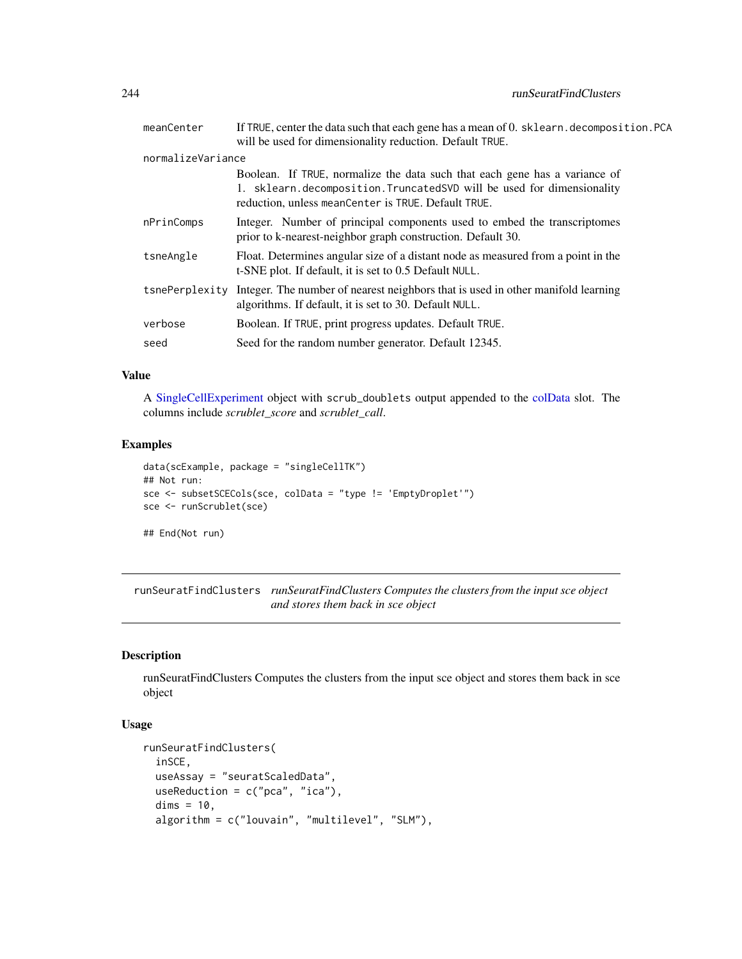| meanCenter        | If TRUE, center the data such that each gene has a mean of 0. sklearn. decomposition. PCA<br>will be used for dimensionality reduction. Default TRUE.                                                      |
|-------------------|------------------------------------------------------------------------------------------------------------------------------------------------------------------------------------------------------------|
| normalizeVariance |                                                                                                                                                                                                            |
|                   | Boolean. If TRUE, normalize the data such that each gene has a variance of<br>1. sklearn.decomposition.TruncatedSVD will be used for dimensionality<br>reduction, unless meanCenter is TRUE. Default TRUE. |
| nPrinComps        | Integer. Number of principal components used to embed the transcriptomes<br>prior to k-nearest-neighbor graph construction. Default 30.                                                                    |
| tsneAngle         | Float. Determines angular size of a distant node as measured from a point in the<br>t-SNE plot. If default, it is set to 0.5 Default NULL.                                                                 |
|                   | tsnePerplexity Integer. The number of nearest neighbors that is used in other manifold learning<br>algorithms. If default, it is set to 30. Default NULL.                                                  |
| verbose           | Boolean. If TRUE, print progress updates. Default TRUE.                                                                                                                                                    |
| seed              | Seed for the random number generator. Default 12345.                                                                                                                                                       |
|                   |                                                                                                                                                                                                            |

#### Value

A [SingleCellExperiment](#page-0-0) object with scrub\_doublets output appended to the [colData](#page-0-0) slot. The columns include *scrublet\_score* and *scrublet\_call*.

#### Examples

```
data(scExample, package = "singleCellTK")
## Not run:
sce <- subsetSCECols(sce, colData = "type != 'EmptyDroplet'")
sce <- runScrublet(sce)
## End(Not run)
```
runSeuratFindClusters *runSeuratFindClusters Computes the clusters from the input sce object and stores them back in sce object*

#### Description

runSeuratFindClusters Computes the clusters from the input sce object and stores them back in sce object

```
runSeuratFindClusters(
  inSCE,
 useAssay = "seuratScaledData",
 useReduction = c("pca", "ica"),
  dims = 10,
  algorithm = c("louvain", "multilevel", "SLM"),
```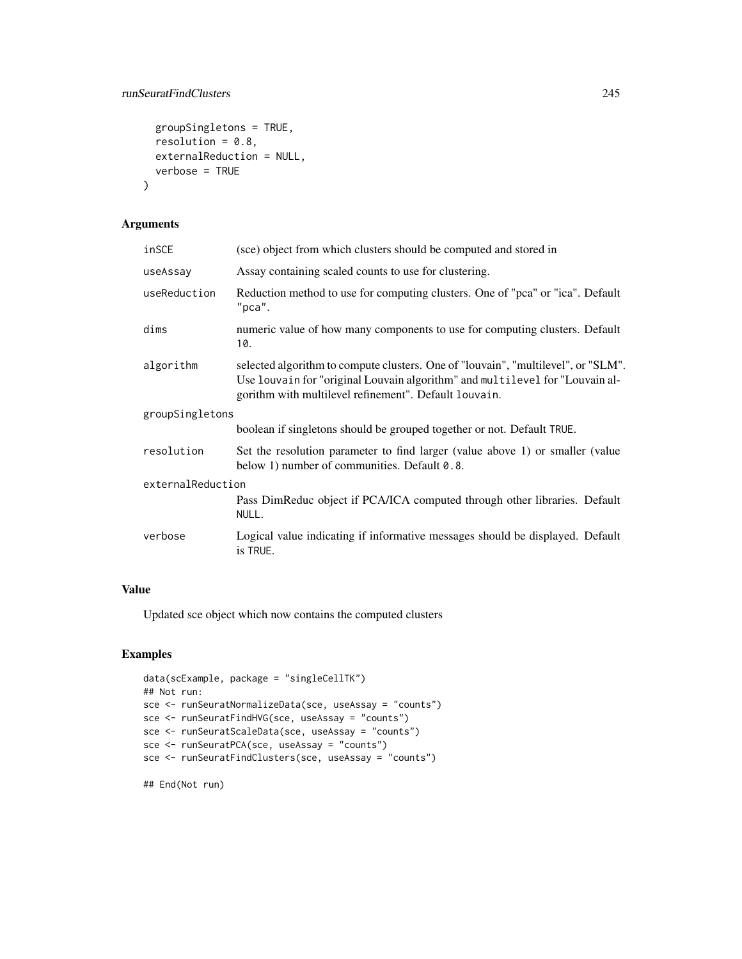#### runSeuratFindClusters 245

```
groupSingletons = TRUE,
 resolution = 0.8,
 externalReduction = NULL,
 verbose = TRUE
)
```
# Arguments

| inSCE             | (sce) object from which clusters should be computed and stored in                                                                                                                                                          |
|-------------------|----------------------------------------------------------------------------------------------------------------------------------------------------------------------------------------------------------------------------|
| useAssay          | Assay containing scaled counts to use for clustering.                                                                                                                                                                      |
| useReduction      | Reduction method to use for computing clusters. One of "pca" or "ica". Default<br>$"$ pca".                                                                                                                                |
| dims              | numeric value of how many components to use for computing clusters. Default<br>10.                                                                                                                                         |
| algorithm         | selected algorithm to compute clusters. One of "louvain", "multilevel", or "SLM".<br>Use louvain for "original Louvain algorithm" and multilevel for "Louvain al-<br>gorithm with multilevel refinement". Default louvain. |
| groupSingletons   |                                                                                                                                                                                                                            |
|                   | boolean if singletons should be grouped together or not. Default TRUE.                                                                                                                                                     |
| resolution        | Set the resolution parameter to find larger (value above 1) or smaller (value<br>below 1) number of communities. Default 0.8.                                                                                              |
| externalReduction |                                                                                                                                                                                                                            |
|                   | Pass DimReduc object if PCA/ICA computed through other libraries. Default<br>NULL.                                                                                                                                         |
| verbose           | Logical value indicating if informative messages should be displayed. Default<br>is TRUE.                                                                                                                                  |

#### Value

Updated sce object which now contains the computed clusters

# Examples

```
data(scExample, package = "singleCellTK")
## Not run:
sce <- runSeuratNormalizeData(sce, useAssay = "counts")
sce <- runSeuratFindHVG(sce, useAssay = "counts")
sce <- runSeuratScaleData(sce, useAssay = "counts")
sce <- runSeuratPCA(sce, useAssay = "counts")
sce <- runSeuratFindClusters(sce, useAssay = "counts")
```
## End(Not run)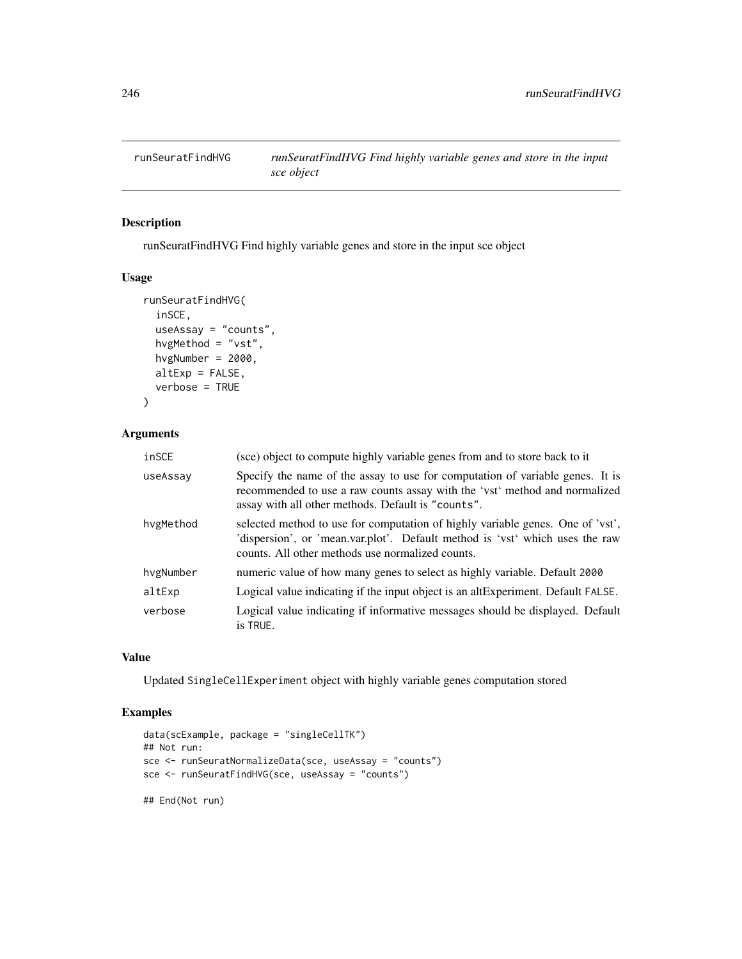# Description

runSeuratFindHVG Find highly variable genes and store in the input sce object

#### Usage

```
runSeuratFindHVG(
  inSCE,
 useAssay = "counts",
 hvgMethod = "vst",
 hvgNumber = 2000,
 altExp = FALSE,verbose = TRUE
)
```
#### Arguments

| inSCE     | (sce) object to compute highly variable genes from and to store back to it                                                                                                                                         |
|-----------|--------------------------------------------------------------------------------------------------------------------------------------------------------------------------------------------------------------------|
| useAssay  | Specify the name of the assay to use for computation of variable genes. It is<br>recommended to use a raw counts assay with the 'vst' method and normalized<br>assay with all other methods. Default is "counts".  |
| hvgMethod | selected method to use for computation of highly variable genes. One of 'vst',<br>'dispersion', or 'mean.var.plot'. Default method is 'vst' which uses the raw<br>counts. All other methods use normalized counts. |
| hvgNumber | numeric value of how many genes to select as highly variable. Default 2000                                                                                                                                         |
| altExp    | Logical value indicating if the input object is an altExperiment. Default FALSE.                                                                                                                                   |
| verbose   | Logical value indicating if informative messages should be displayed. Default<br>is TRUE.                                                                                                                          |

### Value

Updated SingleCellExperiment object with highly variable genes computation stored

# Examples

```
data(scExample, package = "singleCellTK")
## Not run:
sce <- runSeuratNormalizeData(sce, useAssay = "counts")
sce <- runSeuratFindHVG(sce, useAssay = "counts")
## End(Not run)
```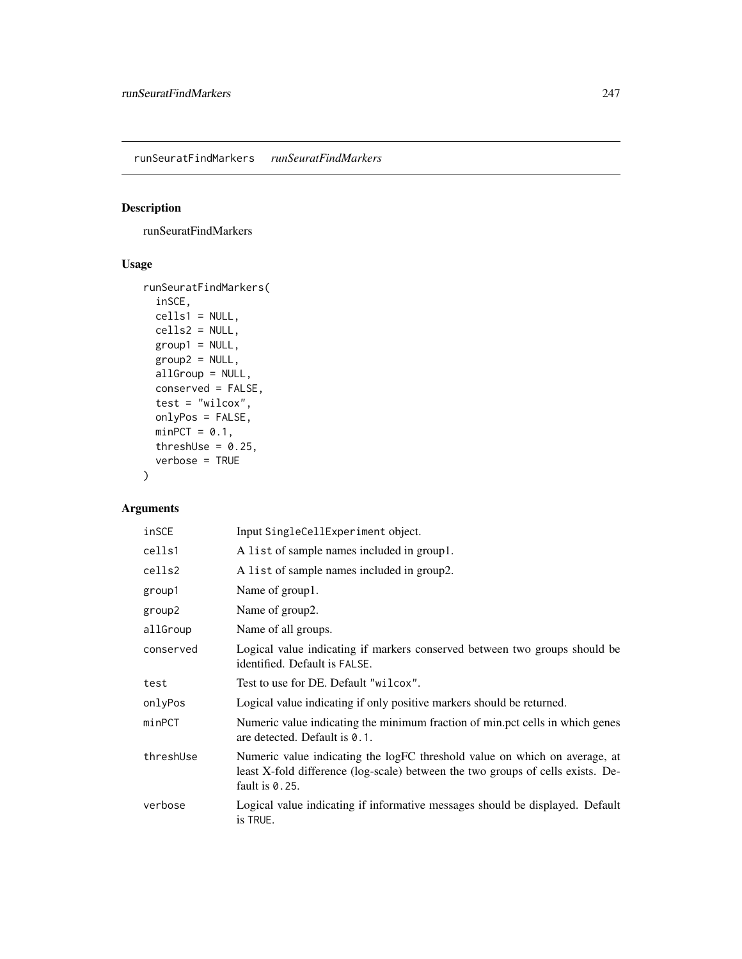# Description

runSeuratFindMarkers

# Usage

```
runSeuratFindMarkers(
  inSCE,
 cells1 = NULL,
 cells2 = NULL,
 group1 = NULL,group2 = NULL,
 allGroup = NULL,
 conserved = FALSE,
  test = "wilcox",
 onlyPos = FALSE,
 minPCT = 0.1,
  threshUse = 0.25,
  verbose = TRUE
\mathcal{L}
```

| inSCE     | Input SingleCellExperiment object.                                                                                                                                                 |
|-----------|------------------------------------------------------------------------------------------------------------------------------------------------------------------------------------|
| cells1    | A list of sample names included in group1.                                                                                                                                         |
| cells2    | A list of sample names included in group2.                                                                                                                                         |
| group1    | Name of group1.                                                                                                                                                                    |
| group2    | Name of group2.                                                                                                                                                                    |
| allGroup  | Name of all groups.                                                                                                                                                                |
| conserved | Logical value indicating if markers conserved between two groups should be<br>identified. Default is FALSE.                                                                        |
| test      | Test to use for DE. Default "wilcox".                                                                                                                                              |
| onlyPos   | Logical value indicating if only positive markers should be returned.                                                                                                              |
| minPCT    | Numeric value indicating the minimum fraction of min.pct cells in which genes<br>are detected. Default is 0.1.                                                                     |
| threshUse | Numeric value indicating the logFC threshold value on which on average, at<br>least X-fold difference (log-scale) between the two groups of cells exists. De-<br>fault is $0.25$ . |
| verbose   | Logical value indicating if informative messages should be displayed. Default<br>is TRUE.                                                                                          |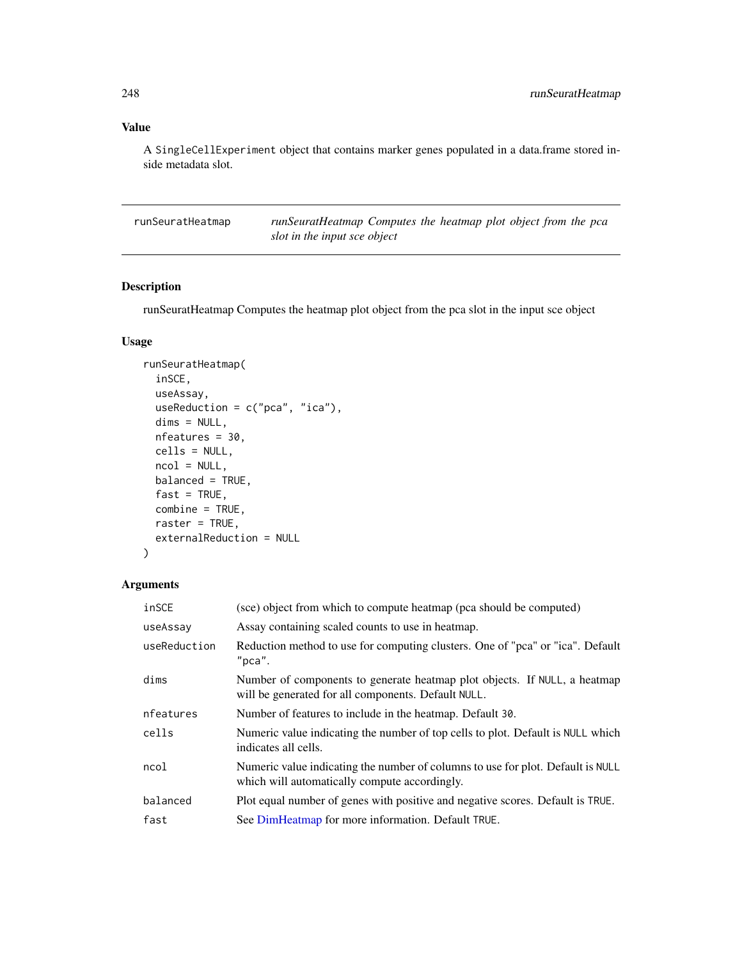# Value

A SingleCellExperiment object that contains marker genes populated in a data.frame stored inside metadata slot.

runSeuratHeatmap *runSeuratHeatmap Computes the heatmap plot object from the pca slot in the input sce object*

# Description

runSeuratHeatmap Computes the heatmap plot object from the pca slot in the input sce object

# Usage

```
runSeuratHeatmap(
  inSCE,
 useAssay,
 useReduction = c("pca", "ica"),
 dims = NULL,
 nfeatures = 30,
 cells = NULL,
 ncol = NULL,
 balanced = TRUE,
 fast = TRUE,combine = TRUE,
 raster = TRUE,
 externalReduction = NULL
\mathcal{L}
```

| inSCE        | (sce) object from which to compute heatmap (pca should be computed)                                                              |
|--------------|----------------------------------------------------------------------------------------------------------------------------------|
| useAssay     | Assay containing scaled counts to use in heatmap.                                                                                |
| useReduction | Reduction method to use for computing clusters. One of "pca" or "ica". Default<br>$"$ pca".                                      |
| dims         | Number of components to generate heatmap plot objects. If NULL, a heatmap<br>will be generated for all components. Default NULL. |
| nfeatures    | Number of features to include in the heatmap. Default 30.                                                                        |
| cells        | Numeric value indicating the number of top cells to plot. Default is NULL which<br>indicates all cells.                          |
| ncol         | Numeric value indicating the number of columns to use for plot. Default is NULL<br>which will automatically compute accordingly. |
| balanced     | Plot equal number of genes with positive and negative scores. Default is TRUE.                                                   |
| fast         | See DimHeatmap for more information. Default TRUE.                                                                               |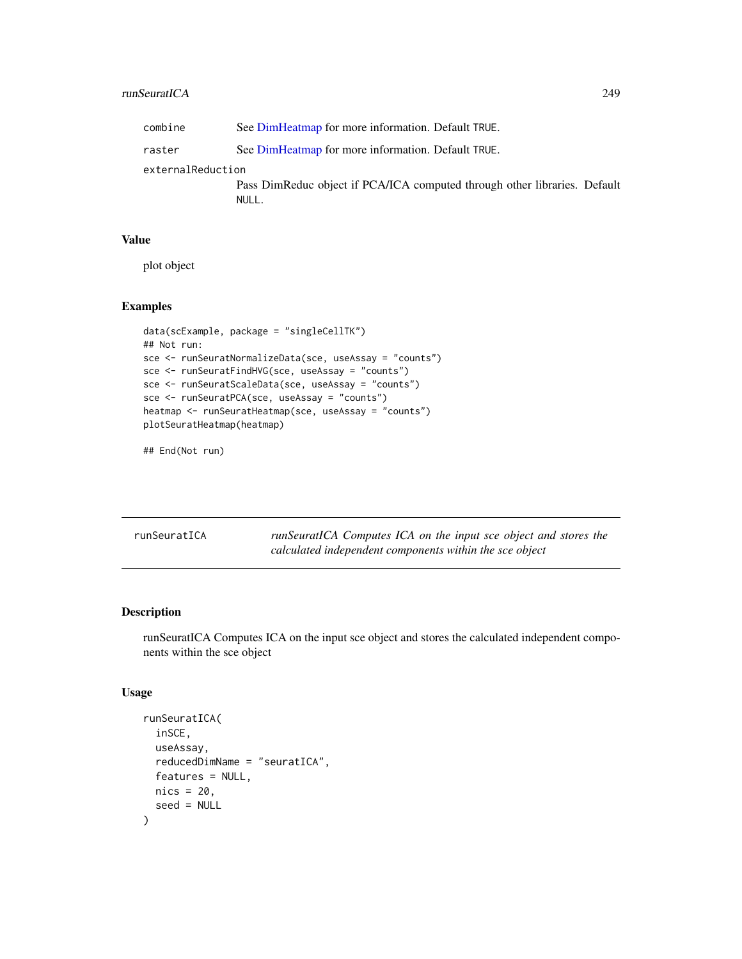#### runSeuratICA 249

| combine           | See DimHeatmap for more information. Default TRUE.                                 |
|-------------------|------------------------------------------------------------------------------------|
| raster            | See DimHeatmap for more information. Default TRUE.                                 |
| externalReduction |                                                                                    |
|                   | Pass DimReduc object if PCA/ICA computed through other libraries. Default<br>NULL. |

## Value

plot object

# Examples

```
data(scExample, package = "singleCellTK")
## Not run:
sce <- runSeuratNormalizeData(sce, useAssay = "counts")
sce <- runSeuratFindHVG(sce, useAssay = "counts")
sce <- runSeuratScaleData(sce, useAssay = "counts")
sce <- runSeuratPCA(sce, useAssay = "counts")
heatmap <- runSeuratHeatmap(sce, useAssay = "counts")
plotSeuratHeatmap(heatmap)
```
## End(Not run)

<span id="page-248-0"></span>runSeuratICA *runSeuratICA Computes ICA on the input sce object and stores the calculated independent components within the sce object*

# Description

runSeuratICA Computes ICA on the input sce object and stores the calculated independent components within the sce object

```
runSeuratICA(
  inSCE,
  useAssay,
  reducedDimName = "seuratICA",
  features = NULL,
 nics = 20,
  seed = NULL
)
```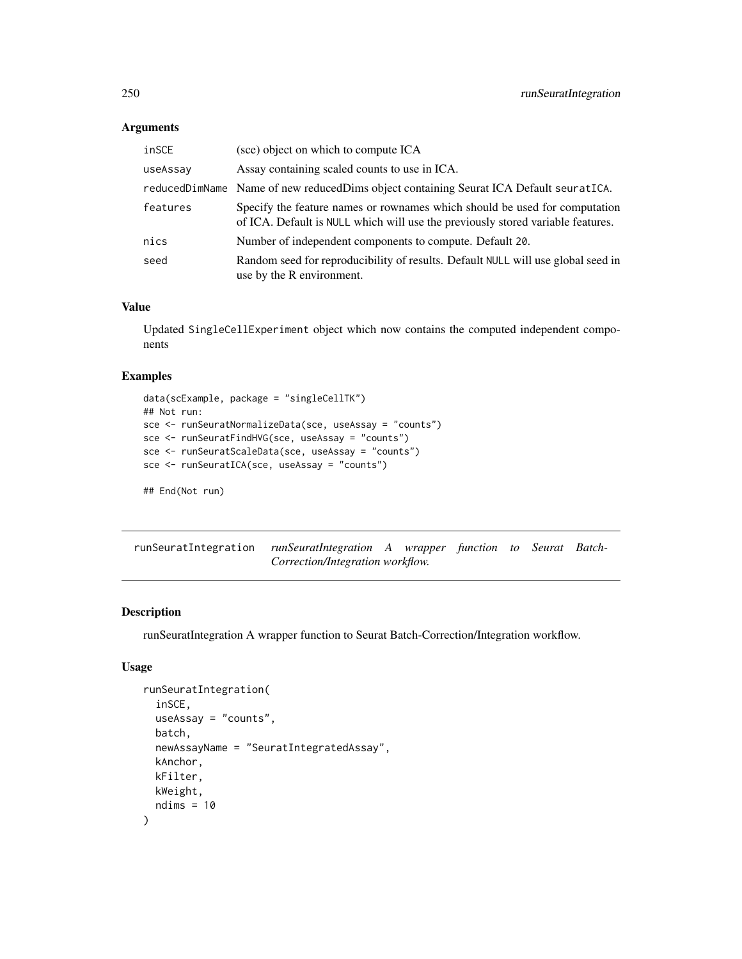# Arguments

| inSCE    | (sce) object on which to compute ICA                                                                                                                          |
|----------|---------------------------------------------------------------------------------------------------------------------------------------------------------------|
| useAssay | Assay containing scaled counts to use in ICA.                                                                                                                 |
|          | reducedDimName Name of new reducedDims object containing Seurat ICA Default seuratICA.                                                                        |
| features | Specify the feature names or rownames which should be used for computation<br>of ICA. Default is NULL which will use the previously stored variable features. |
| nics     | Number of independent components to compute. Default 20.                                                                                                      |
| seed     | Random seed for reproducibility of results. Default NULL will use global seed in<br>use by the R environment.                                                 |

## Value

Updated SingleCellExperiment object which now contains the computed independent components

#### Examples

```
data(scExample, package = "singleCellTK")
## Not run:
sce <- runSeuratNormalizeData(sce, useAssay = "counts")
sce <- runSeuratFindHVG(sce, useAssay = "counts")
sce <- runSeuratScaleData(sce, useAssay = "counts")
sce <- runSeuratICA(sce, useAssay = "counts")
```
## End(Not run)

runSeuratIntegration *runSeuratIntegration A wrapper function to Seurat Batch-Correction/Integration workflow.*

# Description

runSeuratIntegration A wrapper function to Seurat Batch-Correction/Integration workflow.

```
runSeuratIntegration(
  inSCE,
 useAssay = "counts",
 batch,
 newAssayName = "SeuratIntegratedAssay",
 kAnchor,
 kFilter,
 kWeight,
 ndims = 10)
```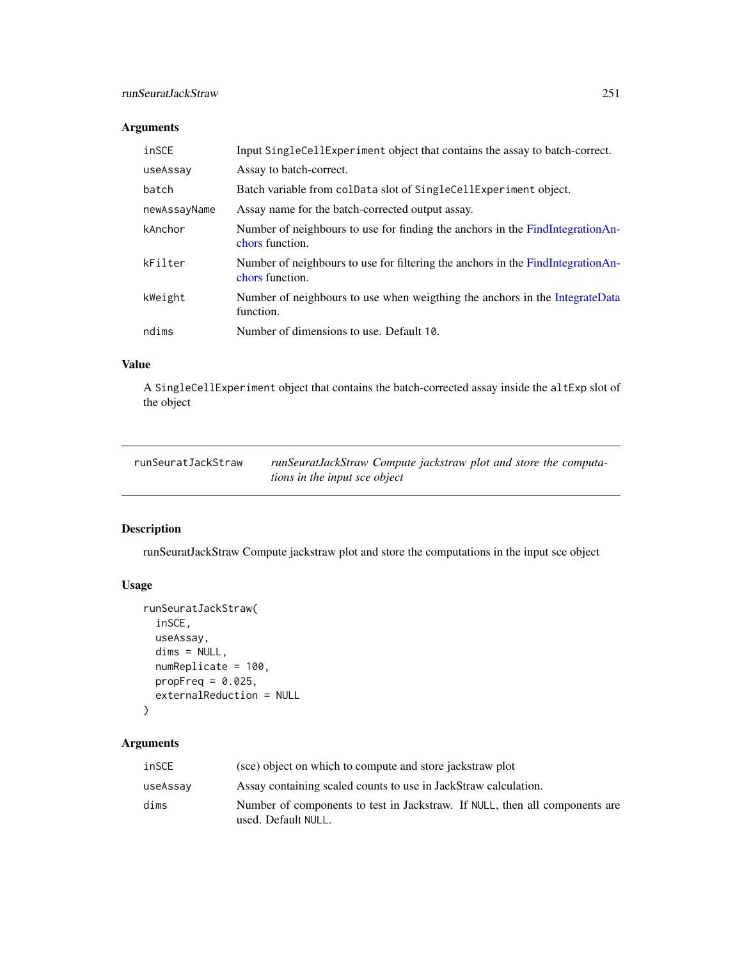# Arguments

| inSCE        | Input SingleCellExperiment object that contains the assay to batch-correct.                        |
|--------------|----------------------------------------------------------------------------------------------------|
| useAssay     | Assay to batch-correct.                                                                            |
| batch        | Batch variable from colData slot of SingleCellExperiment object.                                   |
| newAssayName | Assay name for the batch-corrected output assay.                                                   |
| kAnchor      | Number of neighbours to use for finding the anchors in the FindIntegrationAn-<br>chors function.   |
| kFilter      | Number of neighbours to use for filtering the anchors in the FindIntegrationAn-<br>chors function. |
| kWeight      | Number of neighbours to use when weigthing the anchors in the IntegrateData<br>function.           |
| ndims        | Number of dimensions to use. Default 10.                                                           |

# Value

A SingleCellExperiment object that contains the batch-corrected assay inside the altExp slot of the object

| runSeuratJackStraw | runSeuratJackStraw Compute jackstraw plot and store the computa- |
|--------------------|------------------------------------------------------------------|
|                    | <i>tions in the input sce object</i>                             |

# Description

runSeuratJackStraw Compute jackstraw plot and store the computations in the input sce object

# Usage

```
runSeuratJackStraw(
  inSCE,
 useAssay,
 dims = NULL,
  numReplicate = 100,
 propFreq = 0.025,
  externalReduction = NULL
)
```

| inSCE    | (sce) object on which to compute and store jackstraw plot                                          |
|----------|----------------------------------------------------------------------------------------------------|
| useAssay | Assay containing scaled counts to use in JackStraw calculation.                                    |
| dims     | Number of components to test in Jackstraw. If NULL, then all components are<br>used. Default NULL. |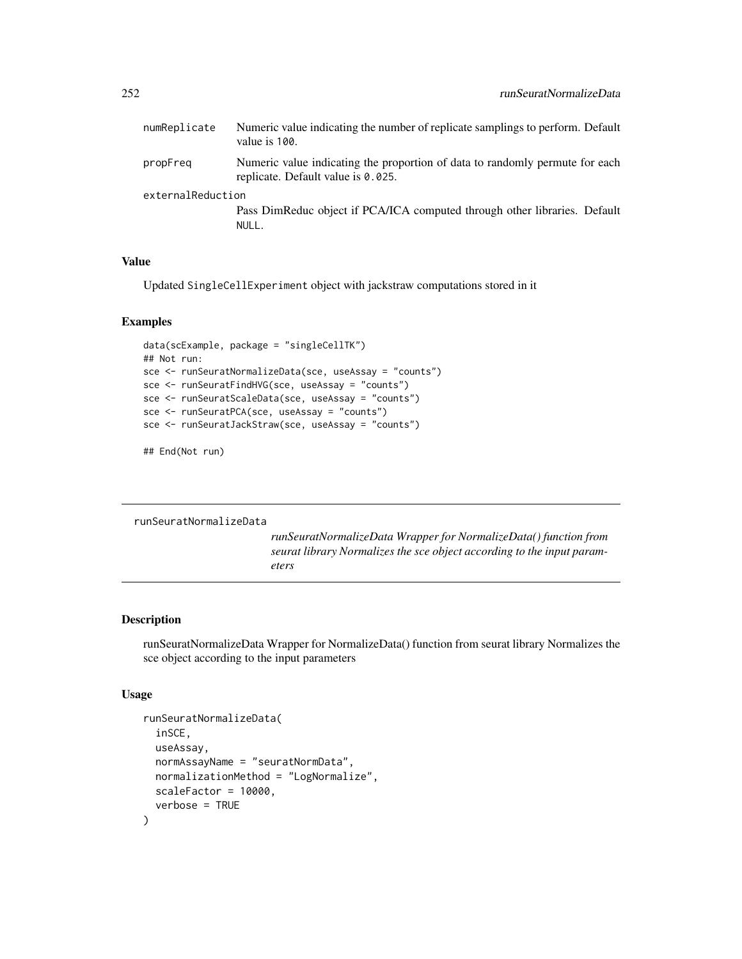| numReplicate      | Numeric value indicating the number of replicate samplings to perform. Default<br>value is 100.                    |
|-------------------|--------------------------------------------------------------------------------------------------------------------|
| propFreg          | Numeric value indicating the proportion of data to randomly permute for each<br>replicate. Default value is 0.025. |
| externalReduction | Pass DimReduc object if PCA/ICA computed through other libraries. Default<br>NULL.                                 |
|                   |                                                                                                                    |

## Value

Updated SingleCellExperiment object with jackstraw computations stored in it

#### Examples

```
data(scExample, package = "singleCellTK")
## Not run:
sce <- runSeuratNormalizeData(sce, useAssay = "counts")
sce <- runSeuratFindHVG(sce, useAssay = "counts")
sce <- runSeuratScaleData(sce, useAssay = "counts")
sce <- runSeuratPCA(sce, useAssay = "counts")
sce <- runSeuratJackStraw(sce, useAssay = "counts")
```
## End(Not run)

runSeuratNormalizeData

*runSeuratNormalizeData Wrapper for NormalizeData() function from seurat library Normalizes the sce object according to the input parameters*

# Description

runSeuratNormalizeData Wrapper for NormalizeData() function from seurat library Normalizes the sce object according to the input parameters

```
runSeuratNormalizeData(
  inSCE,
  useAssay,
 normAssayName = "seuratNormData",
 normalizationMethod = "LogNormalize",
  scaleFactor = 10000,
  verbose = TRUE
)
```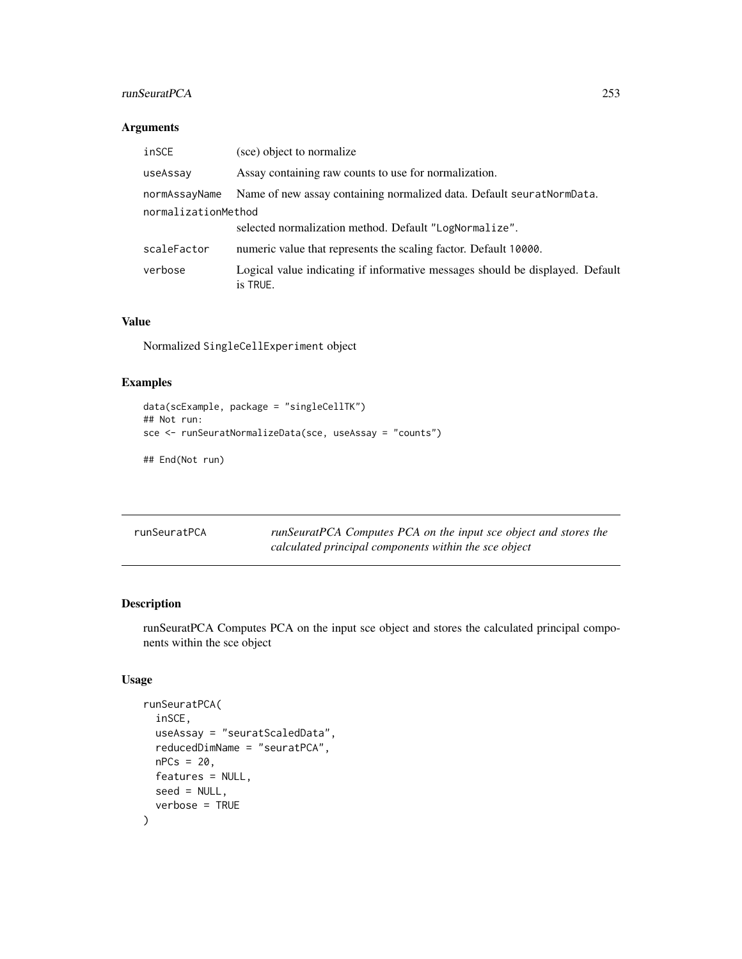## runSeuratPCA 253

## Arguments

| inSCE               | (sce) object to normalize                                                                 |
|---------------------|-------------------------------------------------------------------------------------------|
| useAssay            | Assay containing raw counts to use for normalization.                                     |
| normAssayName       | Name of new assay containing normalized data. Default seurat Norm Data.                   |
| normalizationMethod |                                                                                           |
|                     | selected normalization method. Default "LogNormalize".                                    |
| scaleFactor         | numeric value that represents the scaling factor. Default 10000.                          |
| verbose             | Logical value indicating if informative messages should be displayed. Default<br>is TRUE. |

## Value

Normalized SingleCellExperiment object

## Examples

```
data(scExample, package = "singleCellTK")
## Not run:
sce <- runSeuratNormalizeData(sce, useAssay = "counts")
```
## End(Not run)

| runSeuratPCA | runSeuratPCA Computes PCA on the input sce object and stores the |
|--------------|------------------------------------------------------------------|
|              | calculated principal components within the sce object            |

## Description

runSeuratPCA Computes PCA on the input sce object and stores the calculated principal components within the sce object

```
runSeuratPCA(
  inSCE,
 useAssay = "seuratScaledData",
  reducedDimName = "seuratPCA",
 nPCs = 20,
 features = NULL,
 seed = NULL,
  verbose = TRUE
\mathcal{E}
```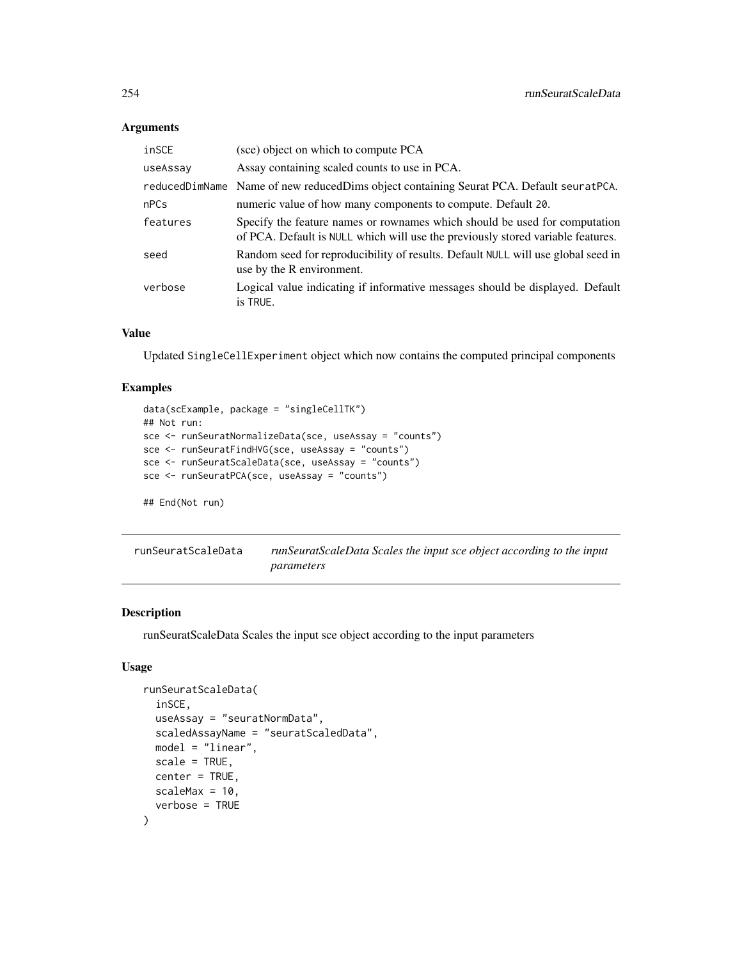## Arguments

| inSCE    | (sce) object on which to compute PCA                                                                                                                          |
|----------|---------------------------------------------------------------------------------------------------------------------------------------------------------------|
| useAssay | Assay containing scaled counts to use in PCA.                                                                                                                 |
|          | reducedDimName Name of new reducedDims object containing Seurat PCA. Default seuratPCA.                                                                       |
| nPCs     | numeric value of how many components to compute. Default 20.                                                                                                  |
| features | Specify the feature names or rownames which should be used for computation<br>of PCA. Default is NULL which will use the previously stored variable features. |
| seed     | Random seed for reproducibility of results. Default NULL will use global seed in<br>use by the R environment.                                                 |
| verbose  | Logical value indicating if informative messages should be displayed. Default<br>is TRUE.                                                                     |

## Value

Updated SingleCellExperiment object which now contains the computed principal components

## Examples

```
data(scExample, package = "singleCellTK")
## Not run:
sce <- runSeuratNormalizeData(sce, useAssay = "counts")
sce <- runSeuratFindHVG(sce, useAssay = "counts")
sce <- runSeuratScaleData(sce, useAssay = "counts")
sce <- runSeuratPCA(sce, useAssay = "counts")
## End(Not run)
```
runSeuratScaleData *runSeuratScaleData Scales the input sce object according to the input parameters*

## Description

runSeuratScaleData Scales the input sce object according to the input parameters

```
runSeuratScaleData(
  inSCE,
 useAssay = "seuratNormData",
  scaledAssayName = "seuratScaledData",
 model = "linear",
 scale = TRUE,
 center = TRUE,
 scaleMax = 10,verbose = TRUE
)
```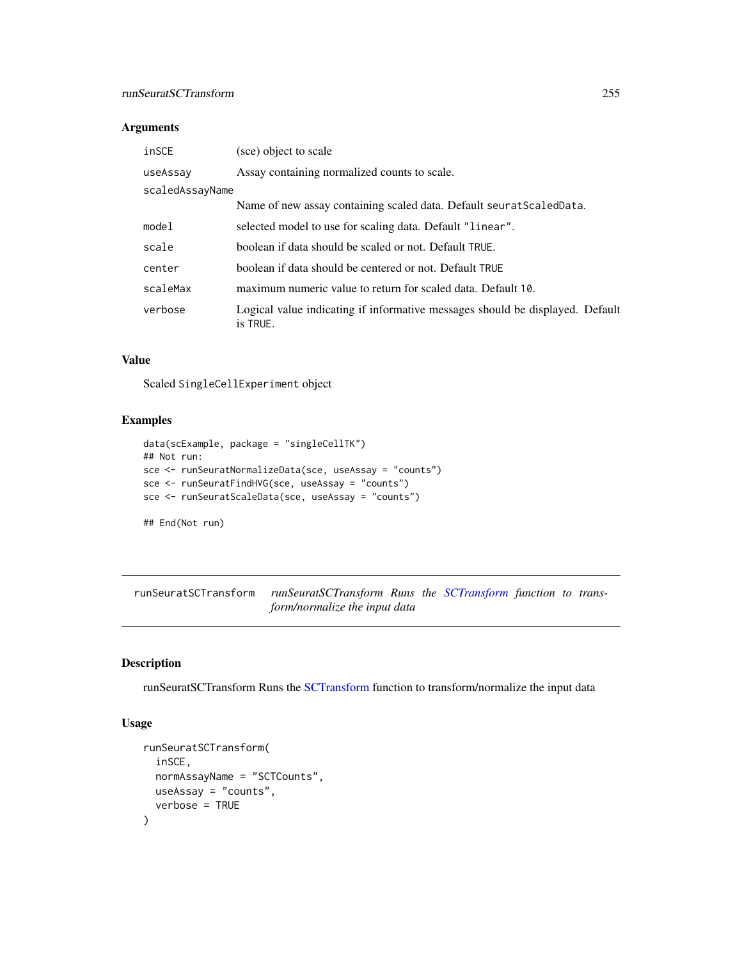## runSeuratSCTransform 255

## Arguments

| inSCE           | (sce) object to scale                                                                     |
|-----------------|-------------------------------------------------------------------------------------------|
| useAssay        | Assay containing normalized counts to scale.                                              |
| scaledAssayName |                                                                                           |
|                 | Name of new assay containing scaled data. Default seurat Scaled Data.                     |
| model           | selected model to use for scaling data. Default "linear".                                 |
| scale           | boolean if data should be scaled or not. Default TRUE.                                    |
| center          | boolean if data should be centered or not. Default TRUE                                   |
| scaleMax        | maximum numeric value to return for scaled data. Default 10.                              |
| verbose         | Logical value indicating if informative messages should be displayed. Default<br>is TRUE. |

#### Value

Scaled SingleCellExperiment object

## Examples

```
data(scExample, package = "singleCellTK")
## Not run:
sce <- runSeuratNormalizeData(sce, useAssay = "counts")
sce <- runSeuratFindHVG(sce, useAssay = "counts")
sce <- runSeuratScaleData(sce, useAssay = "counts")
```
## End(Not run)

runSeuratSCTransform *runSeuratSCTransform Runs the [SCTransform](#page-0-0) function to transform/normalize the input data*

## Description

runSeuratSCTransform Runs the [SCTransform](#page-0-0) function to transform/normalize the input data

```
runSeuratSCTransform(
  inSCE,
  normAssayName = "SCTCounts",
 useAssay = "counts",
  verbose = TRUE
\mathcal{E}
```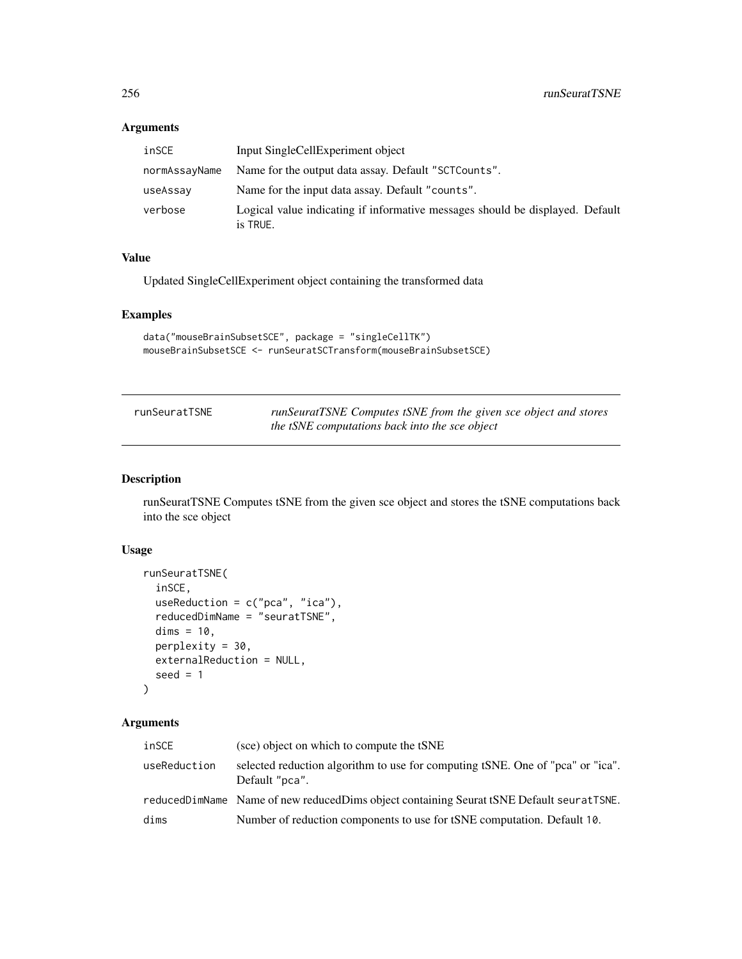## Arguments

| inSCE         | Input SingleCellExperiment object                                                         |
|---------------|-------------------------------------------------------------------------------------------|
| normAssayName | Name for the output data assay. Default "SCTCounts".                                      |
| useAssay      | Name for the input data assay. Default "counts".                                          |
| verbose       | Logical value indicating if informative messages should be displayed. Default<br>is TRUE. |

## Value

Updated SingleCellExperiment object containing the transformed data

## Examples

```
data("mouseBrainSubsetSCE", package = "singleCellTK")
mouseBrainSubsetSCE <- runSeuratSCTransform(mouseBrainSubsetSCE)
```

| runSeuratTSNE | runSeuratTSNE Computes tSNE from the given sce object and stores |
|---------------|------------------------------------------------------------------|
|               | the tSNE computations back into the sce object                   |

## Description

runSeuratTSNE Computes tSNE from the given sce object and stores the tSNE computations back into the sce object

## Usage

```
runSeuratTSNE(
  inSCE,
  useReduction = c("pca", "ica"),
  reducedDimName = "seuratTSNE",
 dims = 10,
 perplexity = 30,
 externalReduction = NULL,
  seed = 1\mathcal{E}
```
## Arguments

| inSCE        | (sce) object on which to compute the tSNE                                                        |
|--------------|--------------------------------------------------------------------------------------------------|
| useReduction | selected reduction algorithm to use for computing tSNE. One of "pca" or "ica".<br>Default "pca". |
|              | reducedDimName Name of new reducedDims object containing Seurat tSNE Default seuratTSNE.         |
| dims         | Number of reduction components to use for tSNE computation. Default 10.                          |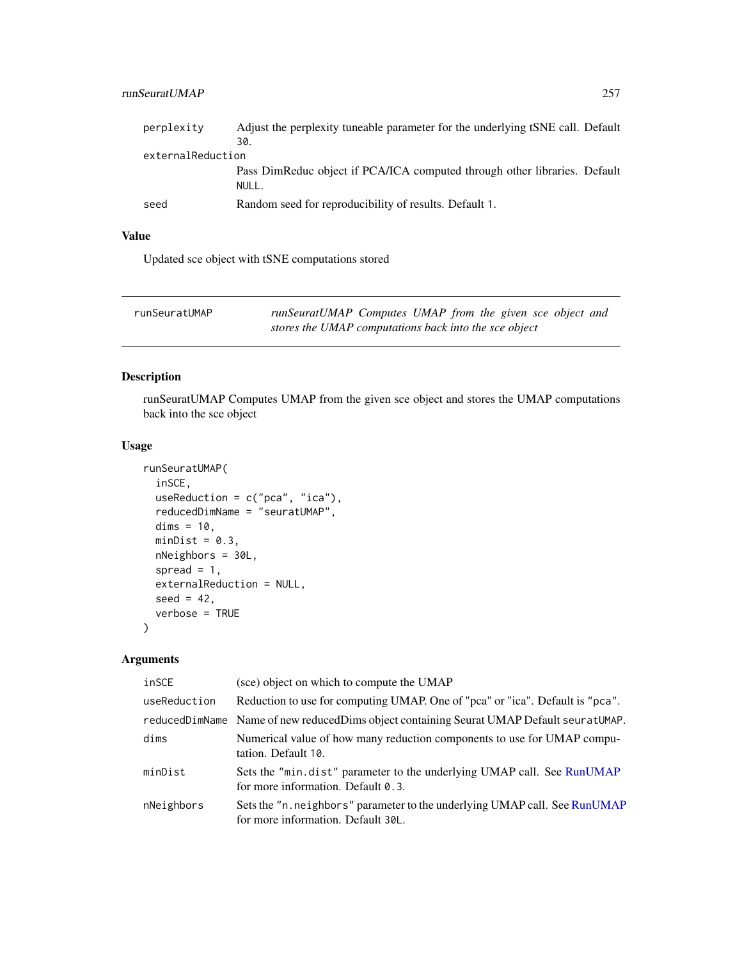## runSeuratUMAP 257

| perplexity        | Adjust the perplexity tuneable parameter for the underlying tSNE call. Default |  |
|-------------------|--------------------------------------------------------------------------------|--|
|                   | 30.                                                                            |  |
| externalReduction |                                                                                |  |
|                   | Pass DimReduc object if PCA/ICA computed through other libraries. Default      |  |
|                   | NULL.                                                                          |  |
| seed              | Random seed for reproducibility of results. Default 1.                         |  |

## Value

Updated sce object with tSNE computations stored

| runSeuratUMAP | runSeuratUMAP Computes UMAP from the given sce object and |  |
|---------------|-----------------------------------------------------------|--|
|               | stores the UMAP computations back into the sce object     |  |

## Description

runSeuratUMAP Computes UMAP from the given sce object and stores the UMAP computations back into the sce object

## Usage

```
runSeuratUMAP(
  inSCE,
 useReduction = c("pca", "ica"),
  reducedDimName = "seuratUMAP",
 dims = 10,
 minDist = 0.3,
 nNeighbors = 30L,
  spread = 1,
  externalReduction = NULL,
  seed = 42,verbose = TRUE
\mathcal{L}
```
## Arguments

| inSCE        | (sce) object on which to compute the UMAP                                                                        |
|--------------|------------------------------------------------------------------------------------------------------------------|
| useReduction | Reduction to use for computing UMAP. One of "pca" or "ica". Default is "pca".                                    |
|              | reducedDimName Name of new reducedDims object containing Seurat UMAP Default seuratUMAP.                         |
| dims         | Numerical value of how many reduction components to use for UMAP compu-<br>tation. Default 10.                   |
| minDist      | Sets the "min.dist" parameter to the underlying UMAP call. See RunUMAP<br>for more information. Default 0.3.     |
| nNeighbors   | Sets the "n. neighbors" parameter to the underlying UMAP call. See RunUMAP<br>for more information. Default 30L. |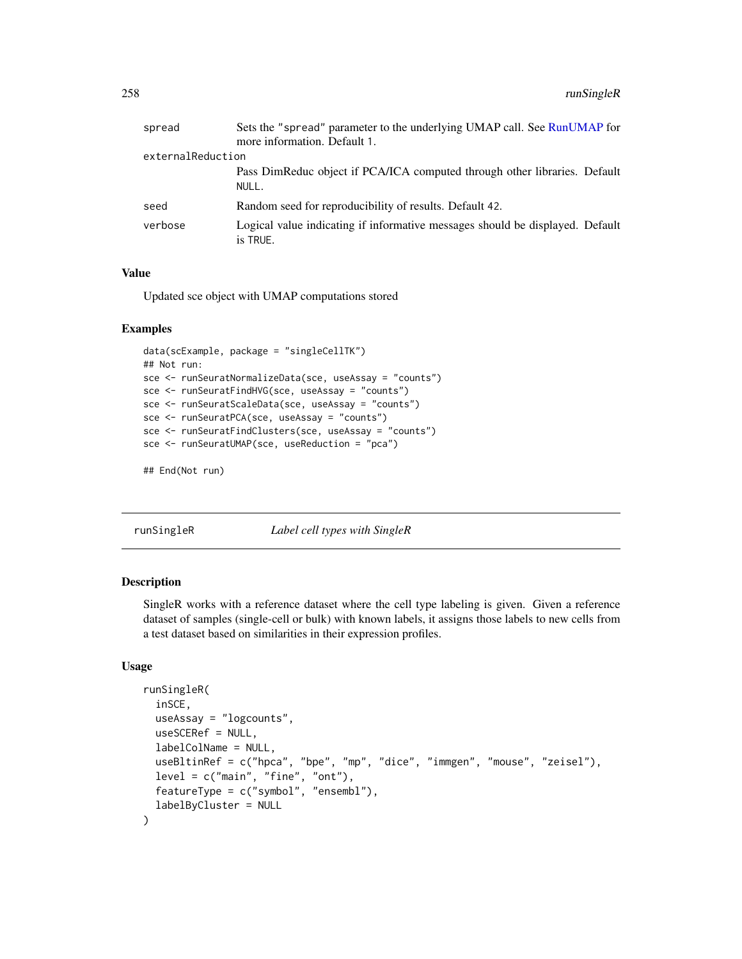| spread            | Sets the "spread" parameter to the underlying UMAP call. See RunUMAP for<br>more information. Default 1. |
|-------------------|----------------------------------------------------------------------------------------------------------|
|                   |                                                                                                          |
| externalReduction |                                                                                                          |
|                   | Pass DimReduc object if PCA/ICA computed through other libraries. Default<br>NULL.                       |
| seed              | Random seed for reproducibility of results. Default 42.                                                  |
| verbose           | Logical value indicating if informative messages should be displayed. Default<br>is TRUE.                |

## Value

Updated sce object with UMAP computations stored

#### Examples

```
data(scExample, package = "singleCellTK")
## Not run:
sce <- runSeuratNormalizeData(sce, useAssay = "counts")
sce <- runSeuratFindHVG(sce, useAssay = "counts")
sce <- runSeuratScaleData(sce, useAssay = "counts")
sce <- runSeuratPCA(sce, useAssay = "counts")
sce <- runSeuratFindClusters(sce, useAssay = "counts")
sce <- runSeuratUMAP(sce, useReduction = "pca")
```

```
## End(Not run)
```
runSingleR *Label cell types with SingleR*

#### Description

SingleR works with a reference dataset where the cell type labeling is given. Given a reference dataset of samples (single-cell or bulk) with known labels, it assigns those labels to new cells from a test dataset based on similarities in their expression profiles.

```
runSingleR(
  inSCE,
  useAssay = "logcounts",
 useSCERef = NULL,
  labelColName = NULL,
  useBltinRef = c("hpca", "bpe", "mp", "dice", "immgen", "mouse", "zeisel"),
  level = c("main", "fine", "ont"),featureType = c("symbol", "ensembl"),
  labelByCluster = NULL
)
```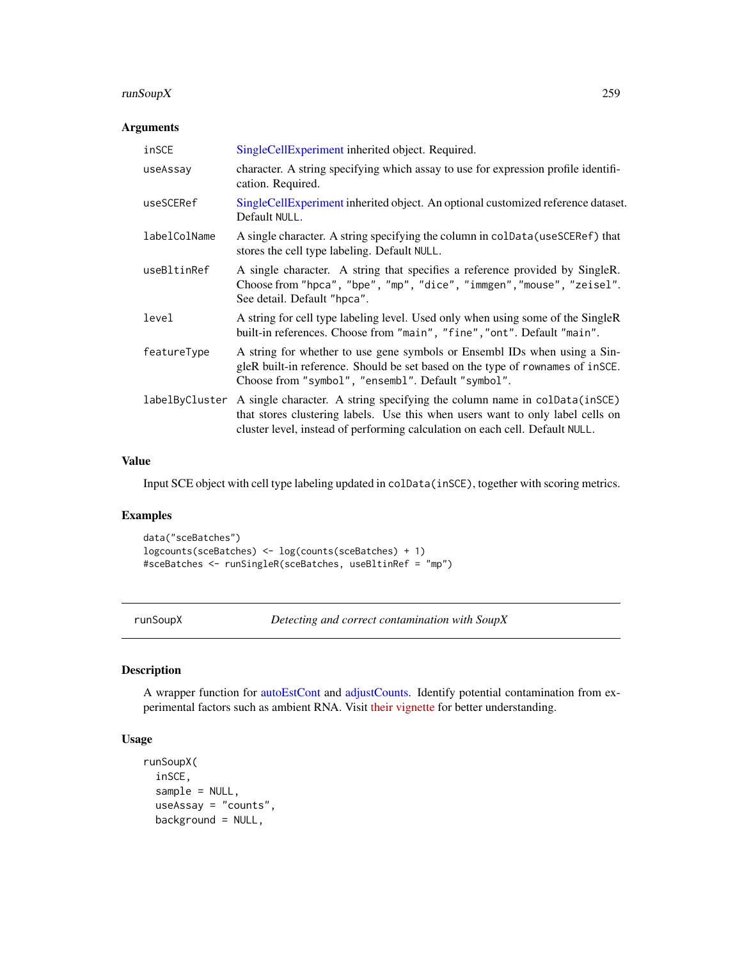## <span id="page-258-0"></span>runSoupX 259

## Arguments

| inSCE          | SingleCellExperiment inherited object. Required.                                                                                                                                                                                            |
|----------------|---------------------------------------------------------------------------------------------------------------------------------------------------------------------------------------------------------------------------------------------|
| useAssay       | character. A string specifying which assay to use for expression profile identifi-<br>cation. Required.                                                                                                                                     |
| useSCERef      | SingleCellExperiment inherited object. An optional customized reference dataset.<br>Default NULL.                                                                                                                                           |
| labelColName   | A single character. A string specifying the column in colData (useSCERef) that<br>stores the cell type labeling. Default NULL.                                                                                                              |
| useBltinRef    | A single character. A string that specifies a reference provided by SingleR.<br>Choose from "hpca", "bpe", "mp", "dice", "immgen", "mouse", "zeisel".<br>See detail. Default "hpca".                                                        |
| level          | A string for cell type labeling level. Used only when using some of the SingleR<br>built-in references. Choose from "main", "fine", "ont". Default "main".                                                                                  |
| featureType    | A string for whether to use gene symbols or Ensembl IDs when using a Sin-<br>gleR built-in reference. Should be set based on the type of rownames of insce.<br>Choose from "symbol", "ensembl". Default "symbol".                           |
| labelByCluster | A single character. A string specifying the column name in colData(inSCE)<br>that stores clustering labels. Use this when users want to only label cells on<br>cluster level, instead of performing calculation on each cell. Default NULL. |

## Value

Input SCE object with cell type labeling updated in colData(inSCE), together with scoring metrics.

## Examples

```
data("sceBatches")
logcounts(sceBatches) <- log(counts(sceBatches) + 1)
#sceBatches <- runSingleR(sceBatches, useBltinRef = "mp")
```
runSoupX *Detecting and correct contamination with SoupX*

## Description

A wrapper function for [autoEstCont](#page-0-0) and [adjustCounts.](#page-0-0) Identify potential contamination from experimental factors such as ambient RNA. Visit [their vignette](https://rawcdn.githack.com/constantAmateur/SoupX/204b602418df12e9fdb4b68775a8b486c6504fe4/inst/doc/pbmcTutorial.html) for better understanding.

```
runSoupX(
  inSCE,
  sample = NULL,
  useAssay = "counts",
 background = NULL,
```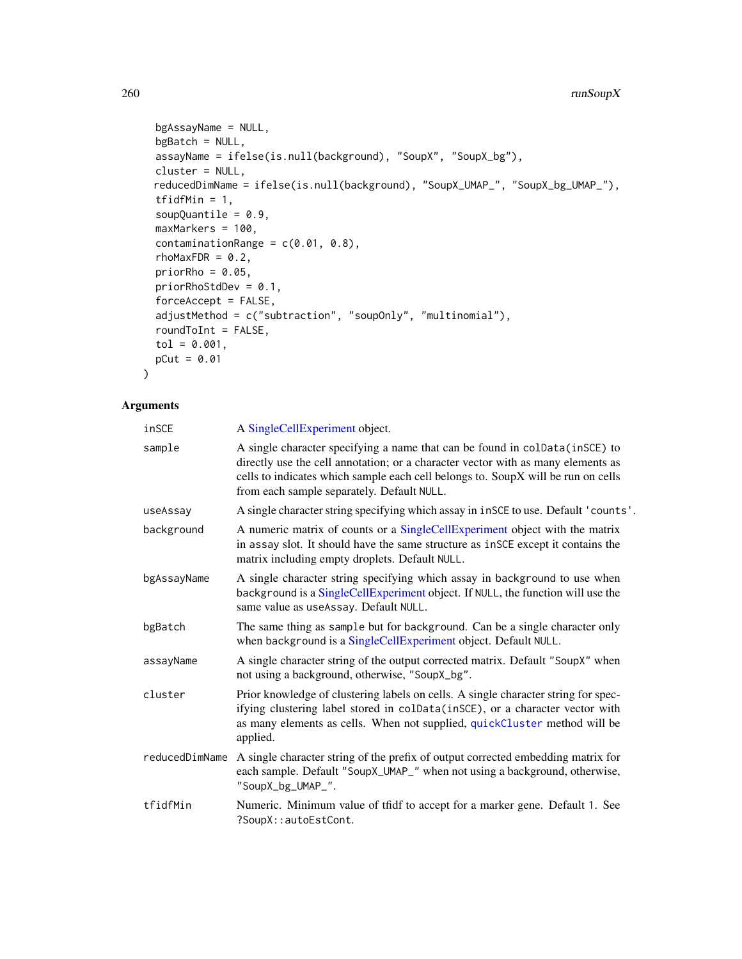```
bgAssayName = NULL,
bgBatch = NULL,assayName = ifelse(is.null(background), "SoupX", "SoupX_bg"),
cluster = NULL,
reducedDimName = ifelse(is.null(background), "SoupX_UMAP_", "SoupX_bg_UMAP_"),
tfidfMin = 1,
soupQuantile = 0.9,
maxMarkers = 100,
contaminationRange = c(0.01, 0.8),
rhoMaxFDR = 0.2,
priorRho = 0.05,
priorRhostdDev = 0.1,
forceAccept = FALSE,
adjustMethod = c("subtraction", "soupOnly", "multinomial"),
roundToInt = FALSE,
tol = 0.001,pCut = 0.01
```
## Arguments

 $\mathcal{L}$ 

| inSCE          | A SingleCellExperiment object.                                                                                                                                                                                                                                                                    |
|----------------|---------------------------------------------------------------------------------------------------------------------------------------------------------------------------------------------------------------------------------------------------------------------------------------------------|
| sample         | A single character specifying a name that can be found in colData(inSCE) to<br>directly use the cell annotation; or a character vector with as many elements as<br>cells to indicates which sample each cell belongs to. SoupX will be run on cells<br>from each sample separately. Default NULL. |
| useAssay       | A single character string specifying which assay in inSCE to use. Default 'counts'.                                                                                                                                                                                                               |
| background     | A numeric matrix of counts or a SingleCellExperiment object with the matrix<br>in assay slot. It should have the same structure as inSCE except it contains the<br>matrix including empty droplets. Default NULL.                                                                                 |
| bgAssayName    | A single character string specifying which assay in background to use when<br>background is a SingleCellExperiment object. If NULL, the function will use the<br>same value as useAssay. Default NULL.                                                                                            |
| bgBatch        | The same thing as sample but for background. Can be a single character only<br>when background is a SingleCellExperiment object. Default NULL.                                                                                                                                                    |
| assayName      | A single character string of the output corrected matrix. Default "SoupX" when<br>not using a background, otherwise, "SoupX_bg".                                                                                                                                                                  |
| cluster        | Prior knowledge of clustering labels on cells. A single character string for spec-<br>ifying clustering label stored in colData(inSCE), or a character vector with<br>as many elements as cells. When not supplied, quickCluster method will be<br>applied.                                       |
| reducedDimName | A single character string of the prefix of output corrected embedding matrix for<br>each sample. Default "SoupX_UMAP_" when not using a background, otherwise,<br>"SoupX_bg_UMAP_".                                                                                                               |
| tfidfMin       | Numeric. Minimum value of tfidf to accept for a marker gene. Default 1. See<br>?SoupX::autoEstCont.                                                                                                                                                                                               |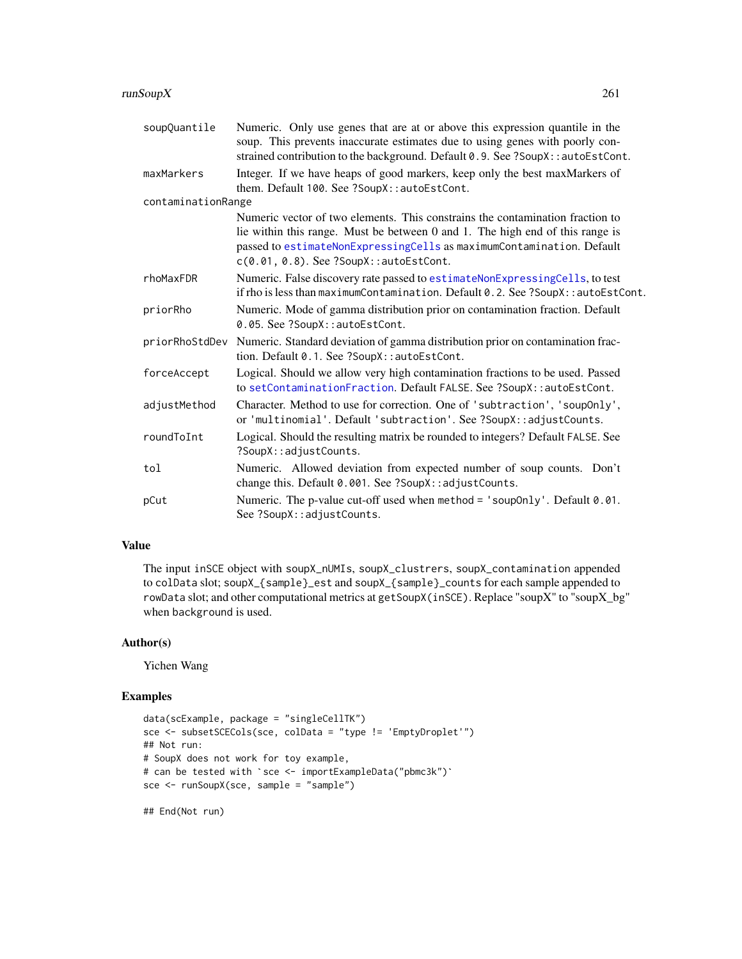## <span id="page-260-0"></span>runSoupX 261

| soupQuantile       | Numeric. Only use genes that are at or above this expression quantile in the<br>soup. This prevents inaccurate estimates due to using genes with poorly con-<br>strained contribution to the background. Default 0.9. See ?SoupX::autoEstCont.                                       |
|--------------------|--------------------------------------------------------------------------------------------------------------------------------------------------------------------------------------------------------------------------------------------------------------------------------------|
| maxMarkers         | Integer. If we have heaps of good markers, keep only the best maxMarkers of<br>them. Default 100. See ?SoupX::autoEstCont.                                                                                                                                                           |
| contaminationRange |                                                                                                                                                                                                                                                                                      |
|                    | Numeric vector of two elements. This constrains the contamination fraction to<br>lie within this range. Must be between 0 and 1. The high end of this range is<br>passed to estimateNonExpressingCells as maximumContamination. Default<br>$c(0.01, 0.8)$ . See ?SoupX::autoEstCont. |
| rhoMaxFDR          | Numeric. False discovery rate passed to estimateNonExpressingCells, to test<br>if rho is less than maximumContamination. Default 0.2. See ?SoupX::autoEstCont.                                                                                                                       |
| priorRho           | Numeric. Mode of gamma distribution prior on contamination fraction. Default<br>0.05. See ?SoupX::autoEstCont.                                                                                                                                                                       |
| priorRhoStdDev     | Numeric. Standard deviation of gamma distribution prior on contamination frac-<br>tion. Default 0.1. See ?SoupX::autoEstCont.                                                                                                                                                        |
| forceAccept        | Logical. Should we allow very high contamination fractions to be used. Passed<br>to setContaminationFraction. Default FALSE. See ?SoupX::autoEstCont.                                                                                                                                |
| adjustMethod       | Character. Method to use for correction. One of 'subtraction', 'soupOnly',<br>or 'multinomial'. Default 'subtraction'. See ?SoupX::adjustCounts.                                                                                                                                     |
| roundToInt         | Logical. Should the resulting matrix be rounded to integers? Default FALSE. See<br>?SoupX::adjustCounts.                                                                                                                                                                             |
| tol                | Numeric. Allowed deviation from expected number of soup counts. Don't<br>change this. Default 0.001. See ?SoupX:: adjustCounts.                                                                                                                                                      |
| pCut               | Numeric. The p-value cut-off used when method = 'soupOnly'. Default 0.01.<br>See ?SoupX::adjustCounts.                                                                                                                                                                               |

## Value

The input inSCE object with soupX\_nUMIs, soupX\_clustrers, soupX\_contamination appended to colData slot; soupX\_{sample}\_est and soupX\_{sample}\_counts for each sample appended to rowData slot; and other computational metrics at getSoupX(inSCE). Replace "soupX" to "soupX\_bg" when background is used.

#### Author(s)

Yichen Wang

```
data(scExample, package = "singleCellTK")
sce <- subsetSCECols(sce, colData = "type != 'EmptyDroplet'")
## Not run:
# SoupX does not work for toy example,
# can be tested with `sce <- importExampleData("pbmc3k")`
sce <- runSoupX(sce, sample = "sample")
```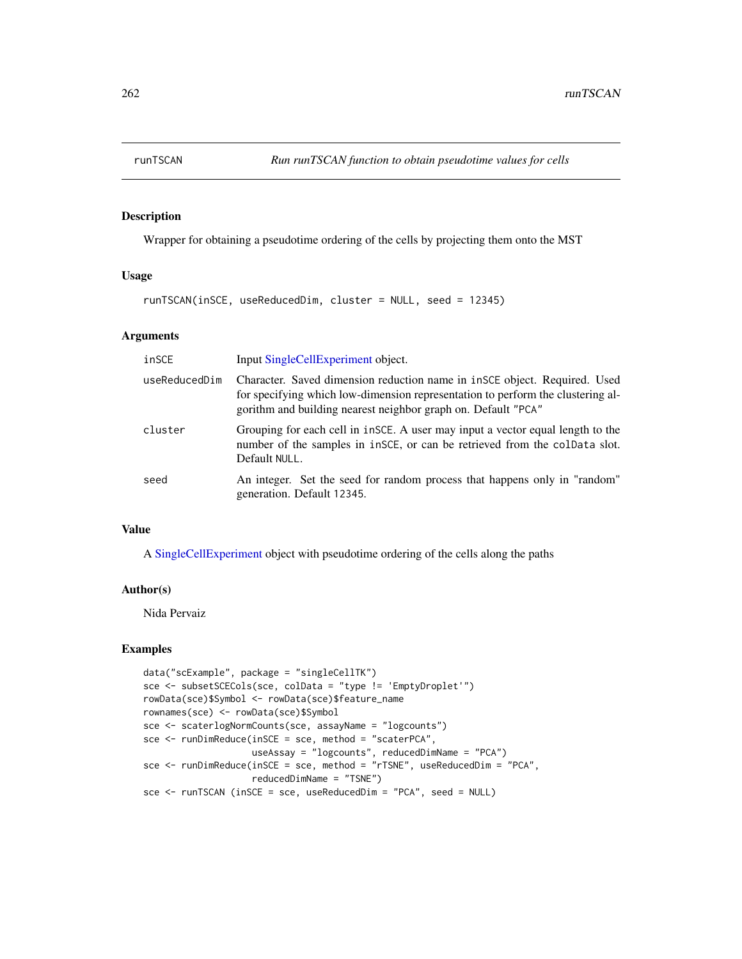## Description

Wrapper for obtaining a pseudotime ordering of the cells by projecting them onto the MST

## Usage

runTSCAN(inSCE, useReducedDim, cluster = NULL, seed = 12345)

#### Arguments

| inSCE         | Input SingleCellExperiment object.                                                                                                                                                                                               |
|---------------|----------------------------------------------------------------------------------------------------------------------------------------------------------------------------------------------------------------------------------|
| useReducedDim | Character. Saved dimension reduction name in $in$ SCE object. Required. Used<br>for specifying which low-dimension representation to perform the clustering al-<br>gorithm and building nearest neighbor graph on. Default "PCA" |
| cluster       | Grouping for each cell in insce. A user may input a vector equal length to the<br>number of the samples in inSCE, or can be retrieved from the colData slot.<br>Default NULL.                                                    |
| seed          | An integer. Set the seed for random process that happens only in "random"<br>generation. Default 12345.                                                                                                                          |

#### Value

A [SingleCellExperiment](#page-0-0) object with pseudotime ordering of the cells along the paths

#### Author(s)

Nida Pervaiz

```
data("scExample", package = "singleCellTK")
sce <- subsetSCECols(sce, colData = "type != 'EmptyDroplet'")
rowData(sce)$Symbol <- rowData(sce)$feature_name
rownames(sce) <- rowData(sce)$Symbol
sce <- scaterlogNormCounts(sce, assayName = "logcounts")
sce <- runDimReduce(inSCE = sce, method = "scaterPCA",
                   useAssay = "logcounts", reducedDimName = "PCA")
sce <- runDimReduce(inSCE = sce, method = "rTSNE", useReducedDim = "PCA",
                    reducedDimName = "TSNE")
sce <- runTSCAN (inSCE = sce, useReducedDim = "PCA", seed = NULL)
```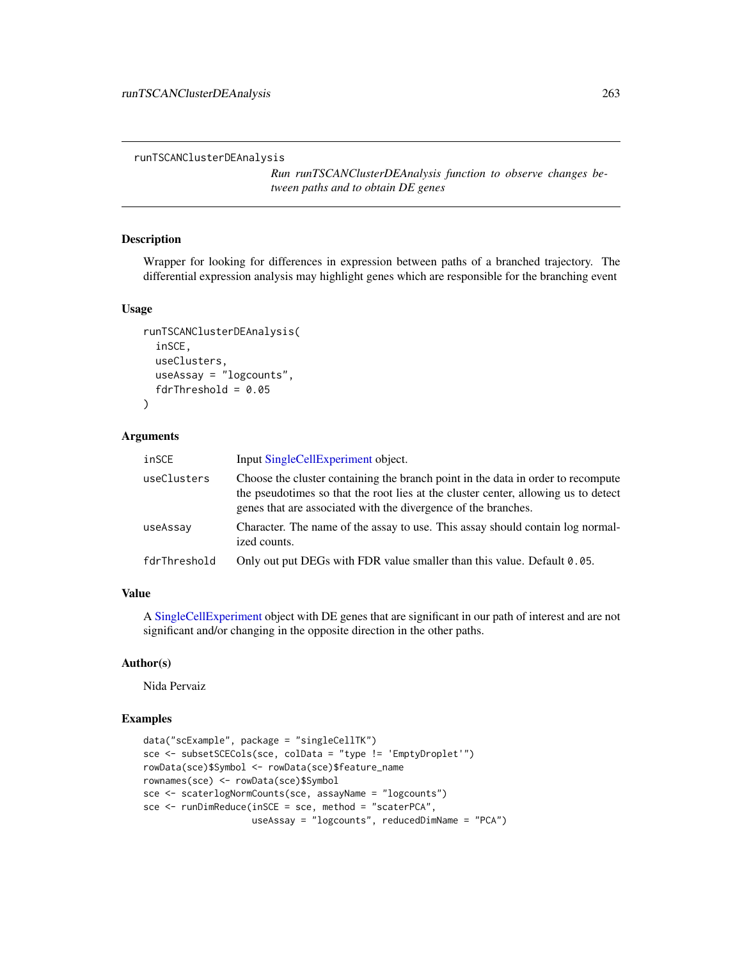runTSCANClusterDEAnalysis

*Run runTSCANClusterDEAnalysis function to observe changes between paths and to obtain DE genes*

## Description

Wrapper for looking for differences in expression between paths of a branched trajectory. The differential expression analysis may highlight genes which are responsible for the branching event

#### Usage

```
runTSCANClusterDEAnalysis(
  inSCE,
  useClusters,
 useAssay = "logcounts",
  fdrThreshold = 0.05)
```
#### Arguments

| inSCE        | Input SingleCellExperiment object.                                                                                                                                                                                                       |
|--------------|------------------------------------------------------------------------------------------------------------------------------------------------------------------------------------------------------------------------------------------|
| useClusters  | Choose the cluster containing the branch point in the data in order to recompute<br>the pseudotimes so that the root lies at the cluster center, allowing us to detect<br>genes that are associated with the divergence of the branches. |
| useAssay     | Character. The name of the assay to use. This assay should contain log normal-<br>ized counts.                                                                                                                                           |
| fdrThreshold | Only out put DEGs with FDR value smaller than this value. Default $0.05$ .                                                                                                                                                               |

## Value

A [SingleCellExperiment](#page-0-0) object with DE genes that are significant in our path of interest and are not significant and/or changing in the opposite direction in the other paths.

## Author(s)

Nida Pervaiz

```
data("scExample", package = "singleCellTK")
sce <- subsetSCECols(sce, colData = "type != 'EmptyDroplet'")
rowData(sce)$Symbol <- rowData(sce)$feature_name
rownames(sce) <- rowData(sce)$Symbol
sce <- scaterlogNormCounts(sce, assayName = "logcounts")
sce <- runDimReduce(inSCE = sce, method = "scaterPCA",
                   useAssay = "logcounts", reducedDimName = "PCA")
```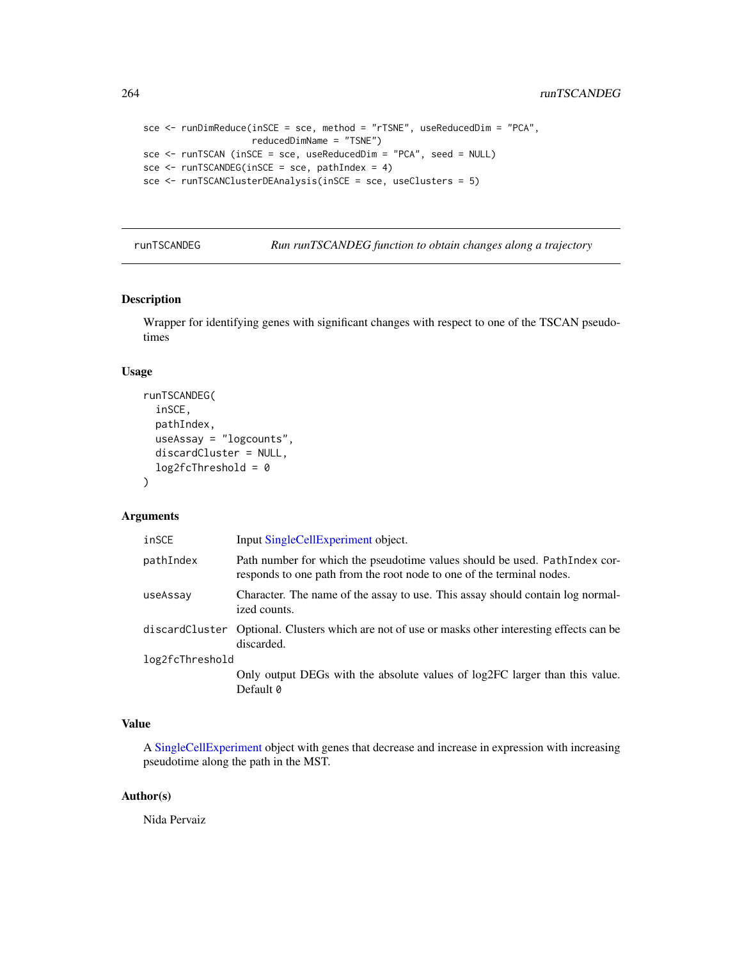```
sce <- runDimReduce(inSCE = sce, method = "rTSNE", useReducedDim = "PCA",
                    reducedDimName = "TSNE")
sce <- runTSCAN (inSCE = sce, useReducedDim = "PCA", seed = NULL)
sce \leq runTSCANDEG(inSCE = sce, pathIndex = 4)
sce <- runTSCANClusterDEAnalysis(inSCE = sce, useClusters = 5)
```
runTSCANDEG *Run runTSCANDEG function to obtain changes along a trajectory*

## Description

Wrapper for identifying genes with significant changes with respect to one of the TSCAN pseudotimes

## Usage

```
runTSCANDEG(
  inSCE,
 pathIndex,
 useAssay = "logcounts",
 discardCluster = NULL,
 log2fcThreshold = 0\lambda
```
#### Arguments

| inSCE           | Input SingleCellExperiment object.                                                                                                                   |
|-----------------|------------------------------------------------------------------------------------------------------------------------------------------------------|
| pathIndex       | Path number for which the pseudotime values should be used. Path Index cor-<br>responds to one path from the root node to one of the terminal nodes. |
| useAssay        | Character. The name of the assay to use. This assay should contain log normal-<br>ized counts.                                                       |
|                 | discardCluster Optional. Clusters which are not of use or masks other interesting effects can be<br>discarded.                                       |
| log2fcThreshold |                                                                                                                                                      |
|                 | Only output DEGs with the absolute values of log2FC larger than this value.                                                                          |
|                 | Default 0                                                                                                                                            |

## Value

A [SingleCellExperiment](#page-0-0) object with genes that decrease and increase in expression with increasing pseudotime along the path in the MST.

## Author(s)

Nida Pervaiz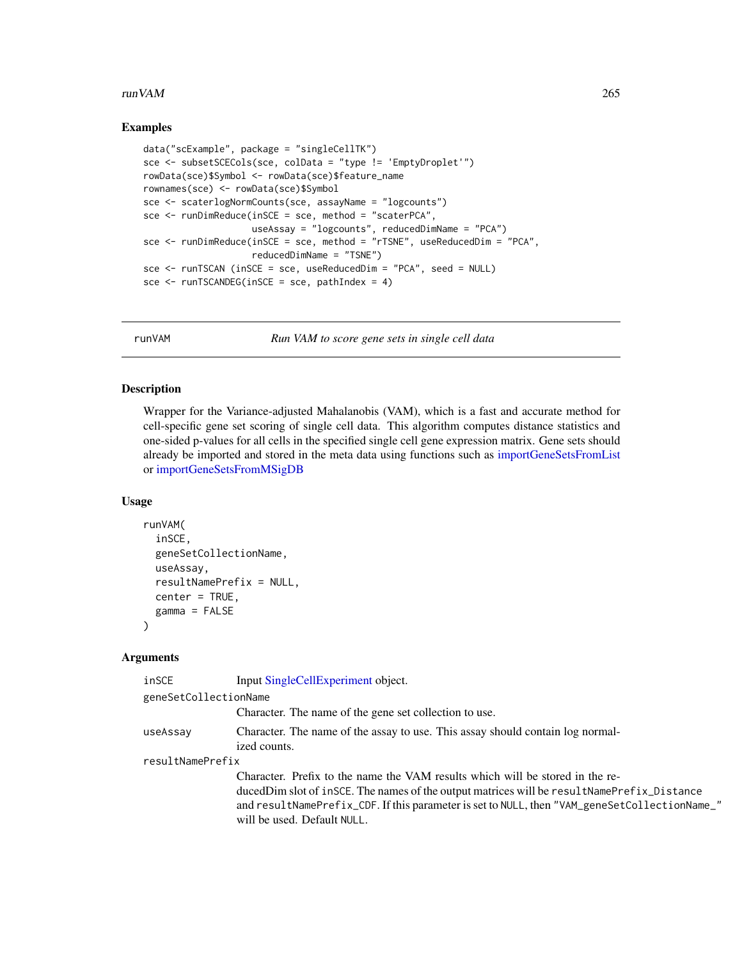#### $r_{\rm U}$  run VAM 265

#### Examples

```
data("scExample", package = "singleCellTK")
sce <- subsetSCECols(sce, colData = "type != 'EmptyDroplet'")
rowData(sce)$Symbol <- rowData(sce)$feature_name
rownames(sce) <- rowData(sce)$Symbol
sce <- scaterlogNormCounts(sce, assayName = "logcounts")
sce <- runDimReduce(inSCE = sce, method = "scaterPCA",
                    useAssay = "logcounts", reducedDimName = "PCA")
sce <- runDimReduce(inSCE = sce, method = "rTSNE", useReducedDim = "PCA",
                    reducedDimName = "TSNE")
sce <- runTSCAN (inSCE = sce, useReducedDim = "PCA", seed = NULL)
sce \le runTSCANDEG(inSCE = sce, pathIndex = 4)
```
runVAM *Run VAM to score gene sets in single cell data*

#### Description

Wrapper for the Variance-adjusted Mahalanobis (VAM), which is a fast and accurate method for cell-specific gene set scoring of single cell data. This algorithm computes distance statistics and one-sided p-values for all cells in the specified single cell gene expression matrix. Gene sets should already be imported and stored in the meta data using functions such as [importGeneSetsFromList](#page-81-0) or [importGeneSetsFromMSigDB](#page-82-0)

#### Usage

```
runVAM(
  inSCE,
  geneSetCollectionName,
 useAssay,
  resultNamePrefix = NULL,
  center = TRUE,
  gamma = FALSE
)
```
#### Arguments

| inSCE                 | Input SingleCellExperiment object.                                                                                                                                                                                                                                                                          |
|-----------------------|-------------------------------------------------------------------------------------------------------------------------------------------------------------------------------------------------------------------------------------------------------------------------------------------------------------|
| geneSetCollectionName |                                                                                                                                                                                                                                                                                                             |
|                       | Character. The name of the gene set collection to use.                                                                                                                                                                                                                                                      |
| useAssay              | Character. The name of the assay to use. This assay should contain log normal-<br>ized counts.                                                                                                                                                                                                              |
| resultNamePrefix      |                                                                                                                                                                                                                                                                                                             |
|                       | Character. Prefix to the name the VAM results which will be stored in the re-<br>ducedDim slot of inSCE. The names of the output matrices will be resultNamePrefix_Distance<br>and resultNamePrefix_CDF. If this parameter is set to NULL, then "VAM_geneSetCollectionName_"<br>will be used. Default NULL. |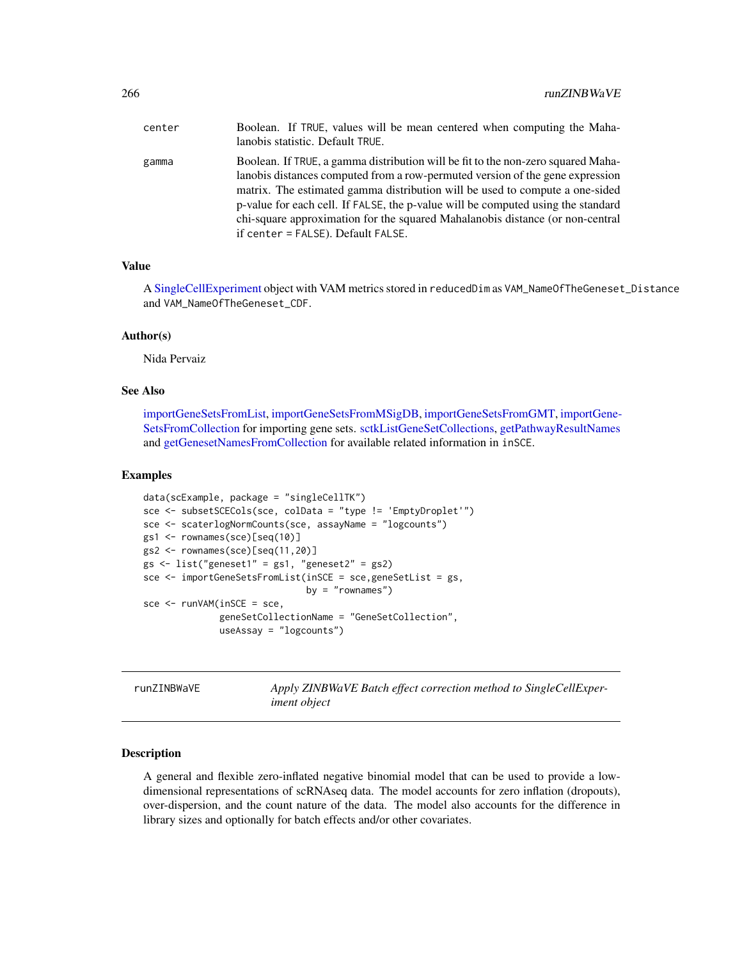| center | Boolean. If TRUE, values will be mean centered when computing the Maha-<br>lanobis statistic. Default TRUE.                                                                                                                                                                                                                                                                                                                                                  |
|--------|--------------------------------------------------------------------------------------------------------------------------------------------------------------------------------------------------------------------------------------------------------------------------------------------------------------------------------------------------------------------------------------------------------------------------------------------------------------|
| gamma  | Boolean. If TRUE, a gamma distribution will be fit to the non-zero squared Maha-<br>lanobis distances computed from a row-permuted version of the gene expression<br>matrix. The estimated gamma distribution will be used to compute a one-sided<br>p-value for each cell. If FALSE, the p-value will be computed using the standard<br>chi-square approximation for the squared Mahalanobis distance (or non-central<br>if center = FALSE). Default FALSE. |

## Value

A [SingleCellExperiment](#page-0-0) object with VAM metrics stored in reducedDim as VAM\_NameOfTheGeneset\_Distance and VAM\_NameOfTheGeneset\_CDF.

#### Author(s)

Nida Pervaiz

#### See Also

[importGeneSetsFromList,](#page-81-0) [importGeneSetsFromMSigDB,](#page-82-0) [importGeneSetsFromGMT,](#page-79-0) [importGene-](#page-78-0)[SetsFromCollection](#page-78-0) for importing gene sets. [sctkListGeneSetCollections,](#page-272-0) [getPathwayResultNames](#page-56-0) and [getGenesetNamesFromCollection](#page-55-0) for available related information in inSCE.

#### Examples

```
data(scExample, package = "singleCellTK")
sce <- subsetSCECols(sce, colData = "type != 'EmptyDroplet'")
sce <- scaterlogNormCounts(sce, assayName = "logcounts")
gs1 <- rownames(sce)[seq(10)]
gs2 <- rownames(sce)[seq(11,20)]
gs <- list("geneset1" = gs1, "geneset2" = gs2)
sce <- importGeneSetsFromList(inSCE = sce,geneSetList = gs,
                              by = "romames")sec < -runVAM(inSCE =sce,
              geneSetCollectionName = "GeneSetCollection",
              useAssay = "logcounts")
```
runZINBWaVE *Apply ZINBWaVE Batch effect correction method to SingleCellExperiment object*

#### Description

A general and flexible zero-inflated negative binomial model that can be used to provide a lowdimensional representations of scRNAseq data. The model accounts for zero inflation (dropouts), over-dispersion, and the count nature of the data. The model also accounts for the difference in library sizes and optionally for batch effects and/or other covariates.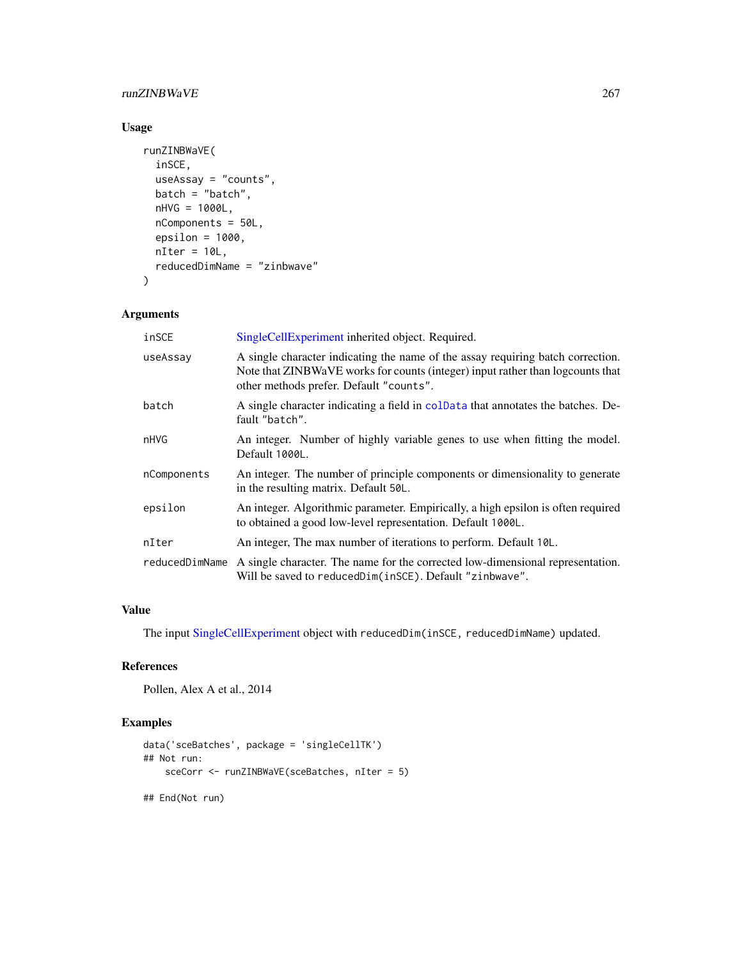## <span id="page-266-0"></span>runZINBWaVE 267

## Usage

```
runZINBWaVE(
  inSCE,
 useAssay = "counts",
 batch = "batch",
 nHVG = 1000L,
 nComponents = 50L,
 epsilon = 1000,
 nIter = 10L,reducedDimName = "zinbwave"
\mathcal{L}
```
## Arguments

| inSCE          | SingleCellExperiment inherited object. Required.                                                                                                                                                             |
|----------------|--------------------------------------------------------------------------------------------------------------------------------------------------------------------------------------------------------------|
| useAssay       | A single character indicating the name of the assay requiring batch correction.<br>Note that ZINBWaVE works for counts (integer) input rather than logcounts that<br>other methods prefer. Default "counts". |
| batch          | A single character indicating a field in coldata that annotates the batches. De-<br>fault "batch".                                                                                                           |
| nHVG           | An integer. Number of highly variable genes to use when fitting the model.<br>Default 1000L.                                                                                                                 |
| nComponents    | An integer. The number of principle components or dimensionality to generate<br>in the resulting matrix. Default 50L.                                                                                        |
| epsilon        | An integer. Algorithmic parameter. Empirically, a high epsilon is often required<br>to obtained a good low-level representation. Default 1000L.                                                              |
| nIter          | An integer, The max number of iterations to perform. Default 10L.                                                                                                                                            |
| reducedDimName | A single character. The name for the corrected low-dimensional representation.<br>Will be saved to reduced Dim(in SCE). Default "zinbwave".                                                                  |

#### Value

The input [SingleCellExperiment](#page-0-0) object with reducedDim(inSCE, reducedDimName) updated.

## References

Pollen, Alex A et al., 2014

```
data('sceBatches', package = 'singleCellTK')
## Not run:
   sceCorr <- runZINBWaVE(sceBatches, nIter = 5)
## End(Not run)
```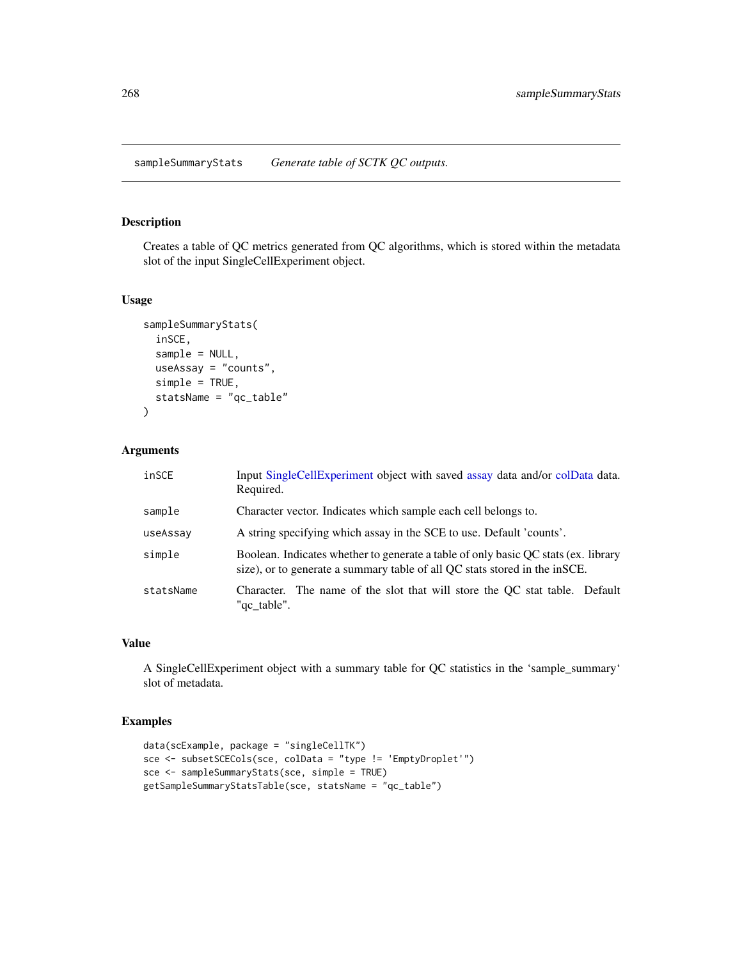## <span id="page-267-0"></span>Description

Creates a table of QC metrics generated from QC algorithms, which is stored within the metadata slot of the input SingleCellExperiment object.

## Usage

```
sampleSummaryStats(
  inSCE,
  sample = NULL,
 useAssay = "counts",
  simple = TRUE,
  statsName = "qc_table"
)
```
#### Arguments

| inSCE     | Input SingleCellExperiment object with saved assay data and/or colData data.<br>Required.                                                                        |
|-----------|------------------------------------------------------------------------------------------------------------------------------------------------------------------|
| sample    | Character vector. Indicates which sample each cell belongs to.                                                                                                   |
| useAssay  | A string specifying which assay in the SCE to use. Default 'counts'.                                                                                             |
| simple    | Boolean. Indicates whether to generate a table of only basic QC stats (ex. library<br>size), or to generate a summary table of all QC stats stored in the inSCE. |
| statsName | Character. The name of the slot that will store the OC stat table. Default<br>"qc_table".                                                                        |

## Value

A SingleCellExperiment object with a summary table for QC statistics in the 'sample\_summary' slot of metadata.

```
data(scExample, package = "singleCellTK")
sce <- subsetSCECols(sce, colData = "type != 'EmptyDroplet'")
sce <- sampleSummaryStats(sce, simple = TRUE)
getSampleSummaryStatsTable(sce, statsName = "qc_table")
```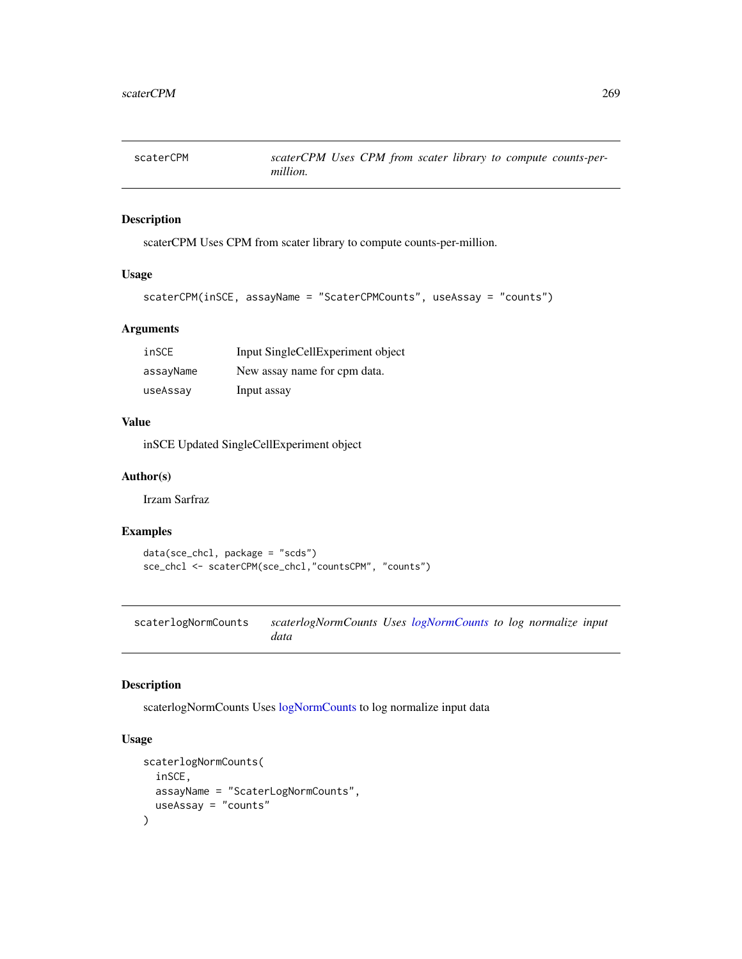scaterCPM *scaterCPM Uses CPM from scater library to compute counts-permillion.*

## Description

scaterCPM Uses CPM from scater library to compute counts-per-million.

#### Usage

```
scaterCPM(inSCE, assayName = "ScaterCPMCounts", useAssay = "counts")
```
## Arguments

| inSCE     | Input SingleCellExperiment object |
|-----------|-----------------------------------|
| assayName | New assay name for cpm data.      |
| useAssay  | Input assay                       |

### Value

inSCE Updated SingleCellExperiment object

#### Author(s)

Irzam Sarfraz

## Examples

```
data(sce_chcl, package = "scds")
sce_chcl <- scaterCPM(sce_chcl,"countsCPM", "counts")
```
scaterlogNormCounts *scaterlogNormCounts Uses [logNormCounts](#page-0-0) to log normalize input data*

#### Description

scaterlogNormCounts Uses [logNormCounts](#page-0-0) to log normalize input data

```
scaterlogNormCounts(
  inSCE,
  assayName = "ScaterLogNormCounts",
  useAssay = "counts"
\mathcal{E}
```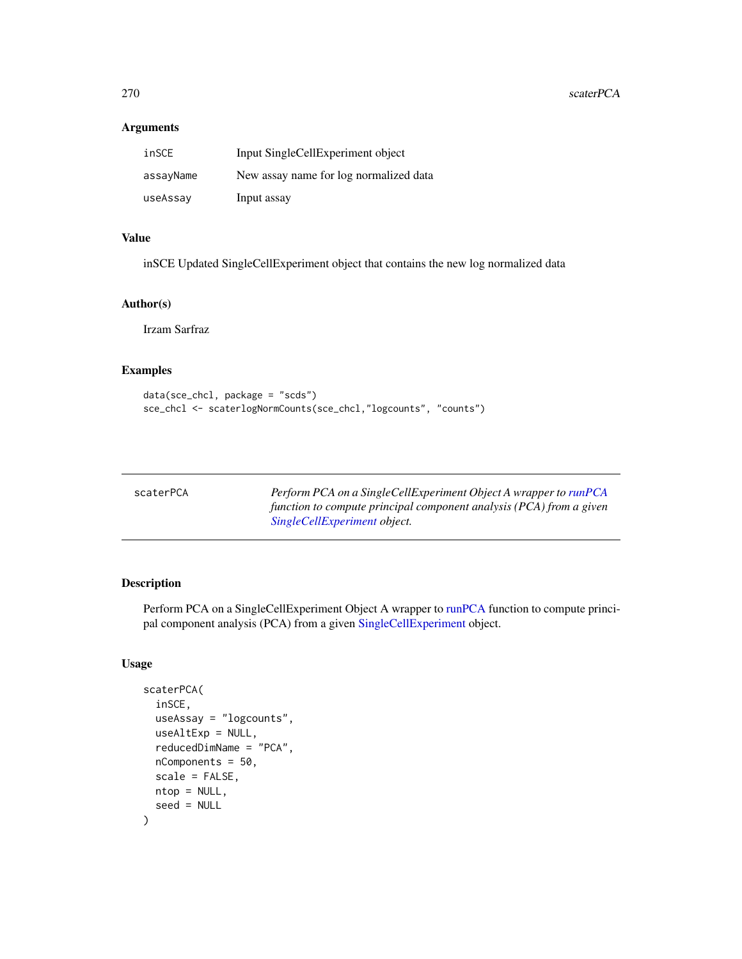## Arguments

| inSCE     | Input SingleCellExperiment object      |
|-----------|----------------------------------------|
| assayName | New assay name for log normalized data |
| useAssay  | Input assay                            |

## Value

inSCE Updated SingleCellExperiment object that contains the new log normalized data

## Author(s)

Irzam Sarfraz

## Examples

```
data(sce_chcl, package = "scds")
sce_chcl <- scaterlogNormCounts(sce_chcl,"logcounts", "counts")
```

| scaterPCA | Perform PCA on a SingleCellExperiment Object A wrapper to runPCA    |
|-----------|---------------------------------------------------------------------|
|           | function to compute principal component analysis (PCA) from a given |
|           | SingleCellExperiment object.                                        |

## Description

Perform PCA on a SingleCellExperiment Object A wrapper to [runPCA](#page-0-0) function to compute principal component analysis (PCA) from a given [SingleCellExperiment](#page-0-0) object.

```
scaterPCA(
  inSCE,
  useAssay = "logcounts",
  useAltExp = NULL,
  reducedDimName = "PCA",
  nComponents = 50,
  scale = FALSE,
  ntop = NULL,
  seed = NULL
\mathcal{E}
```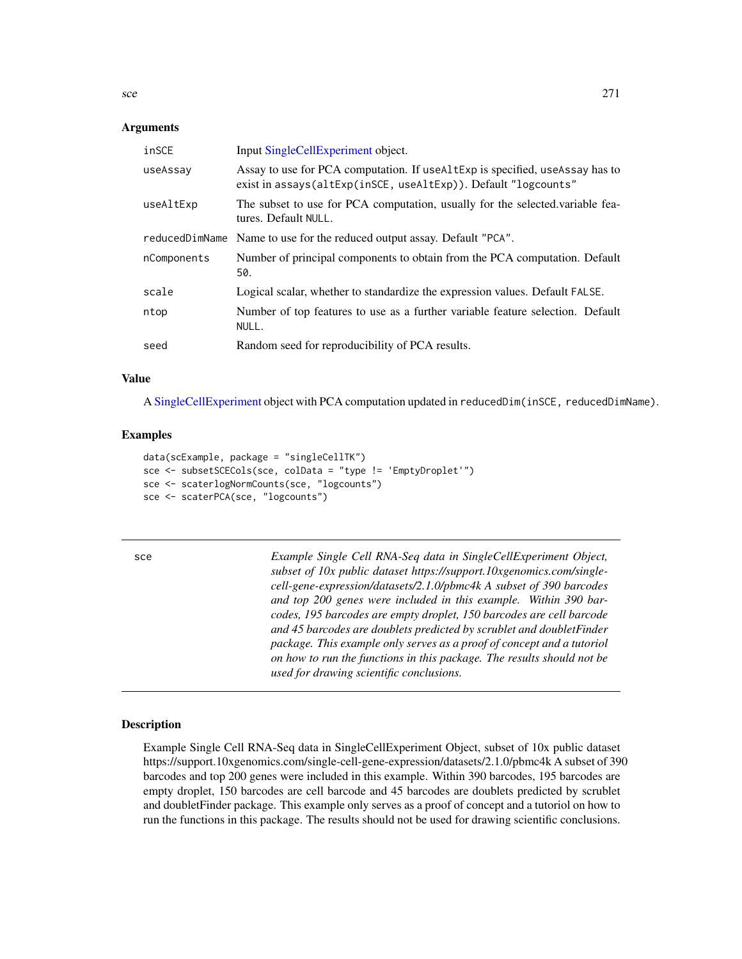#### Arguments

| inSCE          | Input SingleCellExperiment object.                                                                                                               |
|----------------|--------------------------------------------------------------------------------------------------------------------------------------------------|
| useAssay       | Assay to use for PCA computation. If useal texp is specified, use Assay has to<br>exist in assays(altExp(inSCE, useAltExp)). Default "logcounts" |
| useAltExp      | The subset to use for PCA computation, usually for the selected variable fea-<br>tures. Default NULL.                                            |
| reducedDimName | Name to use for the reduced output assay. Default "PCA".                                                                                         |
| nComponents    | Number of principal components to obtain from the PCA computation. Default<br>50.                                                                |
| scale          | Logical scalar, whether to standardize the expression values. Default FALSE.                                                                     |
| ntop           | Number of top features to use as a further variable feature selection. Default<br>NULL.                                                          |
| seed           | Random seed for reproducibility of PCA results.                                                                                                  |

#### Value

A [SingleCellExperiment](#page-0-0) object with PCA computation updated in reducedDim(inSCE, reducedDimName).

#### Examples

```
data(scExample, package = "singleCellTK")
sce <- subsetSCECols(sce, colData = "type != 'EmptyDroplet'")
sce <- scaterlogNormCounts(sce, "logcounts")
sce <- scaterPCA(sce, "logcounts")
```
sce *Example Single Cell RNA-Seq data in SingleCellExperiment Object, subset of 10x public dataset https://support.10xgenomics.com/singlecell-gene-expression/datasets/2.1.0/pbmc4k A subset of 390 barcodes and top 200 genes were included in this example. Within 390 barcodes, 195 barcodes are empty droplet, 150 barcodes are cell barcode and 45 barcodes are doublets predicted by scrublet and doubletFinder package. This example only serves as a proof of concept and a tutoriol on how to run the functions in this package. The results should not be used for drawing scientific conclusions.*

## **Description**

Example Single Cell RNA-Seq data in SingleCellExperiment Object, subset of 10x public dataset https://support.10xgenomics.com/single-cell-gene-expression/datasets/2.1.0/pbmc4k A subset of 390 barcodes and top 200 genes were included in this example. Within 390 barcodes, 195 barcodes are empty droplet, 150 barcodes are cell barcode and 45 barcodes are doublets predicted by scrublet and doubletFinder package. This example only serves as a proof of concept and a tutoriol on how to run the functions in this package. The results should not be used for drawing scientific conclusions.

<span id="page-270-0"></span> $\sec$  271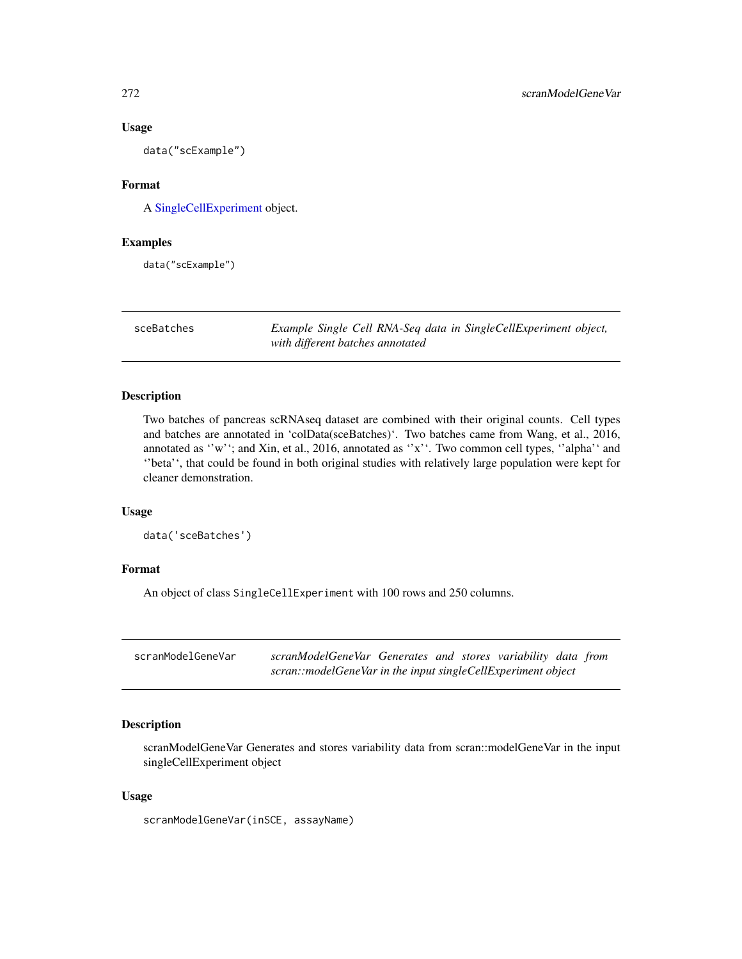#### Usage

data("scExample")

### Format

A [SingleCellExperiment](#page-0-0) object.

#### Examples

data("scExample")

sceBatches *Example Single Cell RNA-Seq data in SingleCellExperiment object, with different batches annotated*

## Description

Two batches of pancreas scRNAseq dataset are combined with their original counts. Cell types and batches are annotated in 'colData(sceBatches)'. Two batches came from Wang, et al., 2016, annotated as "w"; and Xin, et al., 2016, annotated as "x". Two common cell types, "alpha" and ''beta'', that could be found in both original studies with relatively large population were kept for cleaner demonstration.

## Usage

data('sceBatches')

#### Format

An object of class SingleCellExperiment with 100 rows and 250 columns.

| scranModelGeneVar | scranModelGeneVar Generates and stores variability data from |  |  |  |
|-------------------|--------------------------------------------------------------|--|--|--|
|                   | scran::modelGeneVar in the input singleCellExperiment object |  |  |  |

## Description

scranModelGeneVar Generates and stores variability data from scran::modelGeneVar in the input singleCellExperiment object

#### Usage

scranModelGeneVar(inSCE, assayName)

<span id="page-271-0"></span>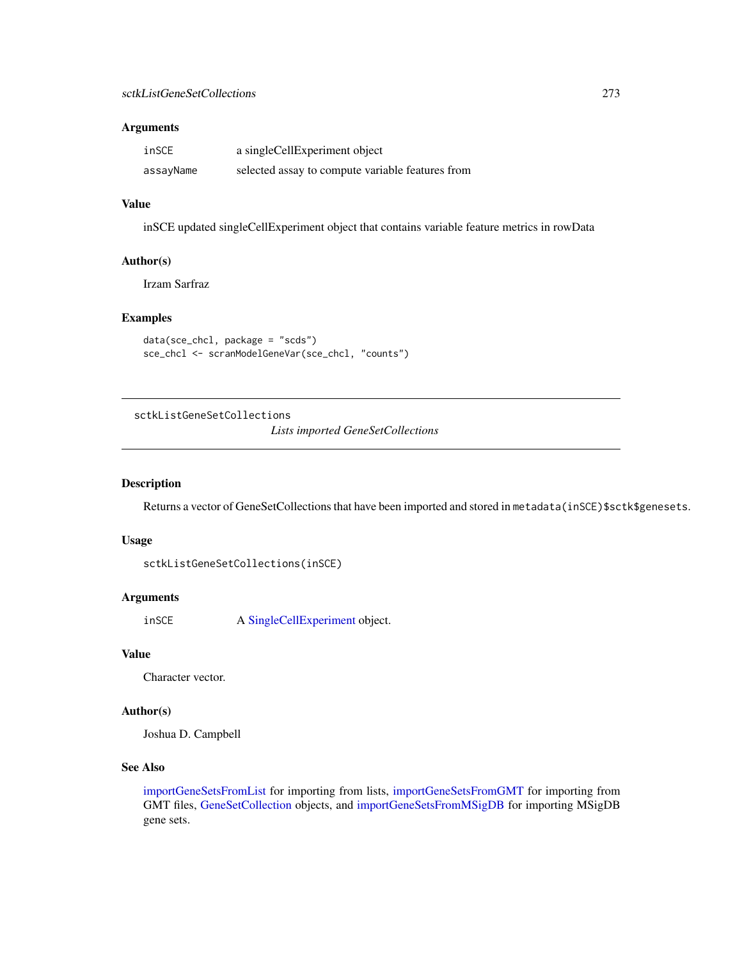#### Arguments

| inSCE     | a singleCellExperiment object                    |
|-----------|--------------------------------------------------|
| assayName | selected assay to compute variable features from |

## Value

inSCE updated singleCellExperiment object that contains variable feature metrics in rowData

#### Author(s)

Irzam Sarfraz

## Examples

```
data(sce_chcl, package = "scds")
sce_chcl <- scranModelGeneVar(sce_chcl, "counts")
```
<span id="page-272-0"></span>sctkListGeneSetCollections

*Lists imported GeneSetCollections*

#### Description

Returns a vector of GeneSetCollections that have been imported and stored in metadata(inSCE)\$sctk\$genesets.

#### Usage

sctkListGeneSetCollections(inSCE)

#### Arguments

inSCE A [SingleCellExperiment](#page-0-0) object.

## Value

Character vector.

#### Author(s)

Joshua D. Campbell

## See Also

[importGeneSetsFromList](#page-81-0) for importing from lists, [importGeneSetsFromGMT](#page-79-0) for importing from GMT files, [GeneSetCollection](#page-0-0) objects, and [importGeneSetsFromMSigDB](#page-82-0) for importing MSigDB gene sets.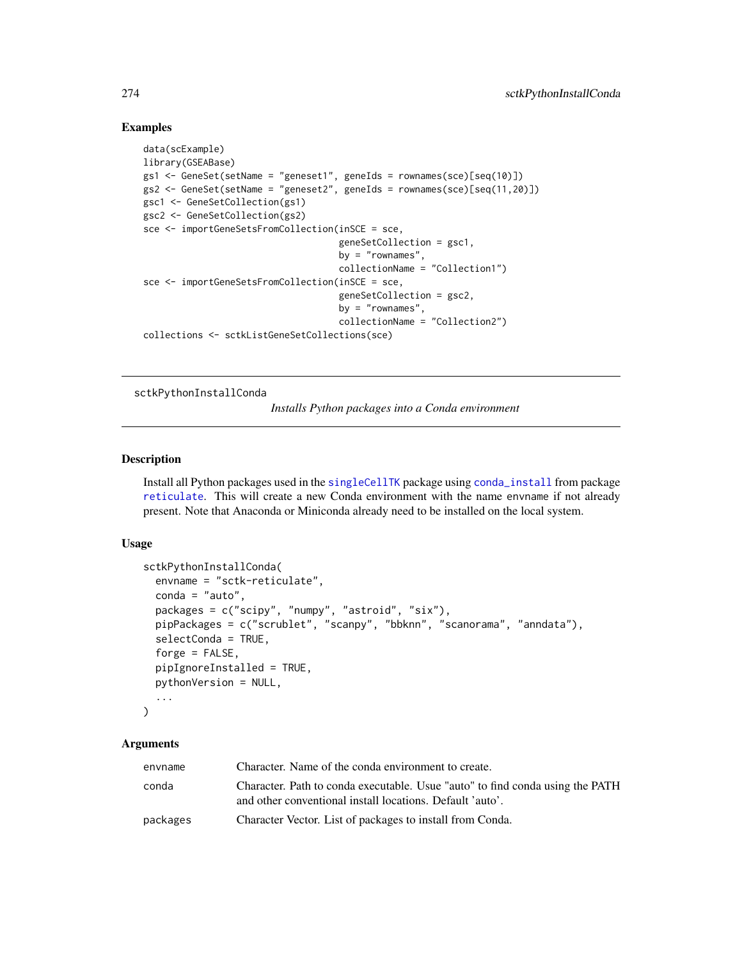## Examples

```
data(scExample)
library(GSEABase)
gs1 <- GeneSet(setName = "geneset1", geneIds = rownames(sce)[seq(10)])
gs2 <- GeneSet(setName = "geneset2", geneIds = rownames(sce)[seq(11,20)])
gsc1 <- GeneSetCollection(gs1)
gsc2 <- GeneSetCollection(gs2)
sce <- importGeneSetsFromCollection(inSCE = sce,
                                    geneSetCollection = gsc1,
                                    by = "rownames",
                                    collectionName = "Collection1")
sce <- importGeneSetsFromCollection(inSCE = sce,
                                    geneSetCollection = gsc2,
                                    by = "rownames",
                                    collectionName = "Collection2")
collections <- sctkListGeneSetCollections(sce)
```
<span id="page-273-0"></span>sctkPythonInstallConda

*Installs Python packages into a Conda environment*

## Description

Install all Python packages used in the [singleCellTK](#page-280-0) package using [conda\\_install](#page-0-0) from package [reticulate](#page-0-0). This will create a new Conda environment with the name envname if not already present. Note that Anaconda or Miniconda already need to be installed on the local system.

#### Usage

```
sctkPythonInstallConda(
  envname = "sctk-reticulate",
  conda = "auto",
 packages = c("scipy", "numpy", "astroid", "six"),
 pipPackages = c("scrublet", "scanpy", "bbknn", "scanorama", "anndata"),
  selectConda = TRUE,
  forge = FALSE,pipIgnoreInstalled = TRUE,
 pythonVersion = NULL,
  ...
)
```
## Arguments

| envname  | Character. Name of the conda environment to create.                                                                                        |
|----------|--------------------------------------------------------------------------------------------------------------------------------------------|
| conda    | Character. Path to conda executable. Usue "auto" to find conda using the PATH<br>and other conventional install locations. Default 'auto'. |
| packages | Character Vector. List of packages to install from Conda.                                                                                  |

<span id="page-273-1"></span>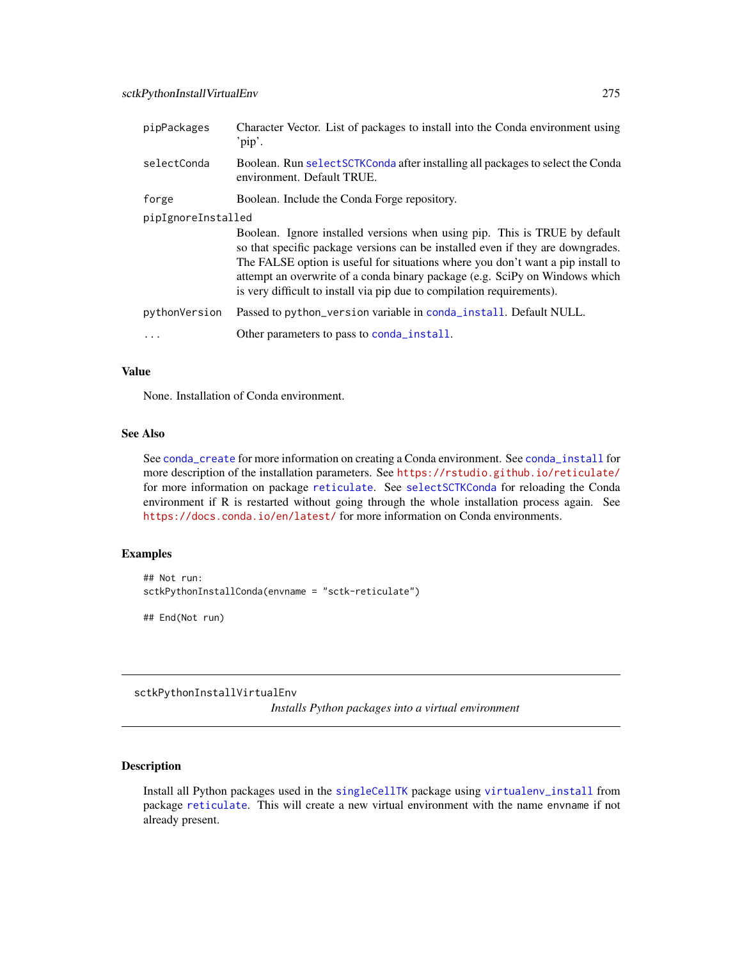<span id="page-274-1"></span>

| pipPackages        | Character Vector. List of packages to install into the Conda environment using<br>'pip'.                                                                                                                                                                                                                                                                                                                  |  |  |
|--------------------|-----------------------------------------------------------------------------------------------------------------------------------------------------------------------------------------------------------------------------------------------------------------------------------------------------------------------------------------------------------------------------------------------------------|--|--|
| selectConda        | Boolean. Run selectSCTKConda after installing all packages to select the Conda<br>environment. Default TRUE.                                                                                                                                                                                                                                                                                              |  |  |
| forge              | Boolean. Include the Conda Forge repository.                                                                                                                                                                                                                                                                                                                                                              |  |  |
| pipIgnoreInstalled |                                                                                                                                                                                                                                                                                                                                                                                                           |  |  |
|                    | Boolean. Ignore installed versions when using pip. This is TRUE by default<br>so that specific package versions can be installed even if they are downgrades.<br>The FALSE option is useful for situations where you don't want a pip install to<br>attempt an overwrite of a conda binary package (e.g. SciPy on Windows which<br>is very difficult to install via pip due to compilation requirements). |  |  |
| pythonVersion      | Passed to python_version variable in conda_install. Default NULL.                                                                                                                                                                                                                                                                                                                                         |  |  |
|                    | Other parameters to pass to conda_install.                                                                                                                                                                                                                                                                                                                                                                |  |  |

#### Value

None. Installation of Conda environment.

## See Also

See [conda\\_create](#page-0-0) for more information on creating a Conda environment. See [conda\\_install](#page-0-0) for more description of the installation parameters. See <https://rstudio.github.io/reticulate/> for more information on package [reticulate](#page-0-0). See [selectSCTKConda](#page-276-0) for reloading the Conda environment if R is restarted without going through the whole installation process again. See <https://docs.conda.io/en/latest/> for more information on Conda environments.

## Examples

```
## Not run:
sctkPythonInstallConda(envname = "sctk-reticulate")
```
## End(Not run)

<span id="page-274-0"></span>sctkPythonInstallVirtualEnv

*Installs Python packages into a virtual environment*

#### Description

Install all Python packages used in the [singleCellTK](#page-280-0) package using [virtualenv\\_install](#page-0-0) from package [reticulate](#page-0-0). This will create a new virtual environment with the name envname if not already present.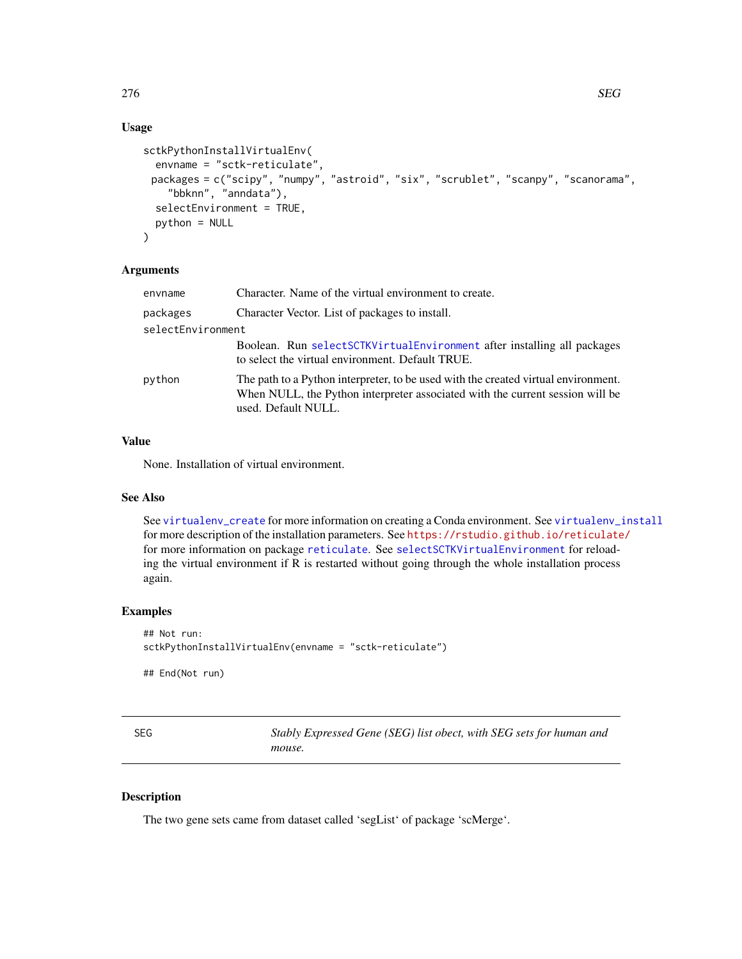## Usage

```
sctkPythonInstallVirtualEnv(
 envname = "sctk-reticulate",
 packages = c("scipy", "numpy", "astroid", "six", "scrublet", "scanpy", "scanorama",
    "bbknn", "anndata"),
  selectEnvironment = TRUE,
 python = NULL
)
```
## Arguments

| envname           | Character. Name of the virtual environment to create.                                                                                                                                      |  |
|-------------------|--------------------------------------------------------------------------------------------------------------------------------------------------------------------------------------------|--|
| packages          | Character Vector. List of packages to install.                                                                                                                                             |  |
| selectEnvironment |                                                                                                                                                                                            |  |
|                   | Boolean. Run selectSCTKVirtualEnvironment after installing all packages<br>to select the virtual environment. Default TRUE.                                                                |  |
| python            | The path to a Python interpreter, to be used with the created virtual environment.<br>When NULL, the Python interpreter associated with the current session will be<br>used. Default NULL. |  |

## Value

None. Installation of virtual environment.

## See Also

See [virtualenv\\_create](#page-0-0) for more information on creating a Conda environment. See [virtualenv\\_install](#page-0-0) for more description of the installation parameters. See <https://rstudio.github.io/reticulate/> for more information on package [reticulate](#page-0-0). See [selectSCTKVirtualEnvironment](#page-277-0) for reloading the virtual environment if R is restarted without going through the whole installation process again.

## Examples

```
## Not run:
sctkPythonInstallVirtualEnv(envname = "sctk-reticulate")
```
## End(Not run)

| SEG | Stably Expressed Gene (SEG) list obect, with SEG sets for human and |
|-----|---------------------------------------------------------------------|
|     | mouse.                                                              |

## Description

The two gene sets came from dataset called 'segList' of package 'scMerge'.

<span id="page-275-0"></span>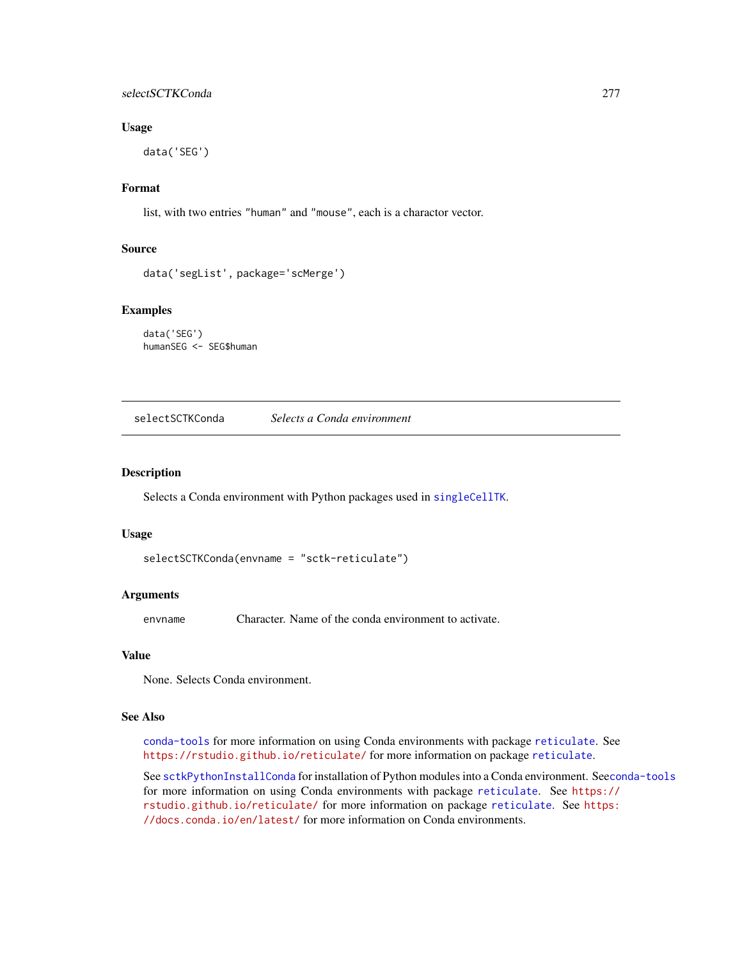## selectSCTKConda 277

#### Usage

data('SEG')

### Format

list, with two entries "human" and "mouse", each is a charactor vector.

#### Source

```
data('segList', package='scMerge')
```
#### Examples

data('SEG') humanSEG <- SEG\$human

<span id="page-276-0"></span>selectSCTKConda *Selects a Conda environment*

## Description

Selects a Conda environment with Python packages used in [singleCellTK](#page-280-0).

#### Usage

```
selectSCTKConda(envname = "sctk-reticulate")
```
#### Arguments

envname Character. Name of the conda environment to activate.

#### Value

None. Selects Conda environment.

#### See Also

[conda-tools](#page-0-0) for more information on using Conda environments with package [reticulate](#page-0-0). See <https://rstudio.github.io/reticulate/> for more information on package [reticulate](#page-0-0).

See [sctkPythonInstallConda](#page-273-0) for installation of Python modules into a Conda environment. See[conda-tools](#page-0-0) for more information on using Conda environments with package [reticulate](#page-0-0). See [https://](https://rstudio.github.io/reticulate/) [rstudio.github.io/reticulate/](https://rstudio.github.io/reticulate/) for more information on package [reticulate](#page-0-0). See [https:](https://docs.conda.io/en/latest/) [//docs.conda.io/en/latest/](https://docs.conda.io/en/latest/) for more information on Conda environments.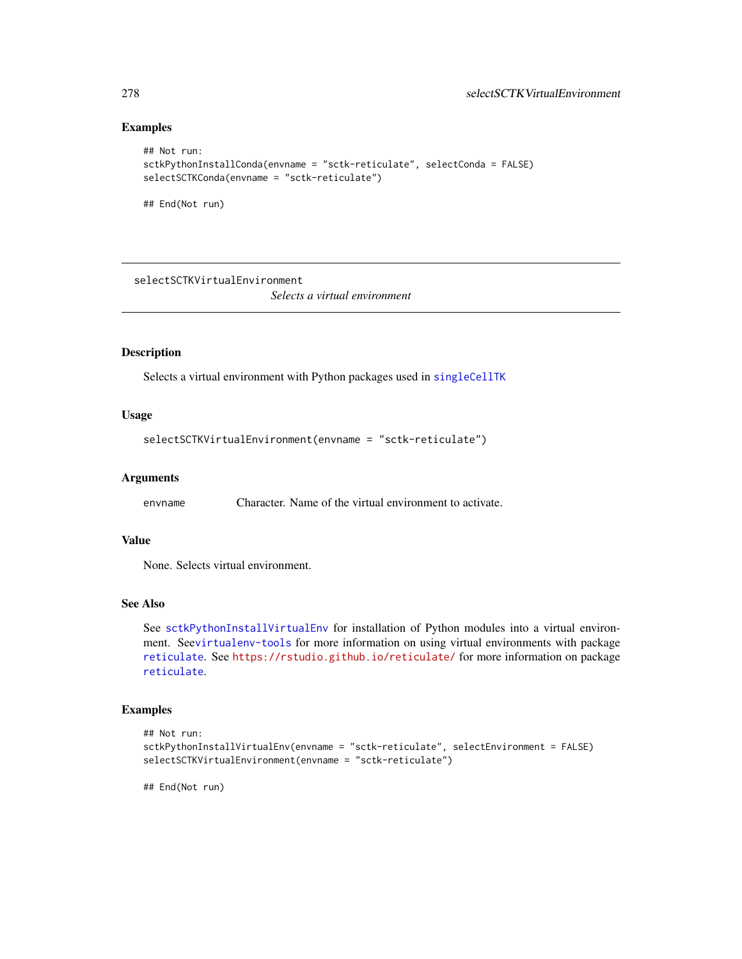#### Examples

```
## Not run:
sctkPythonInstallConda(envname = "sctk-reticulate", selectConda = FALSE)
selectSCTKConda(envname = "sctk-reticulate")
## End(Not run)
```
<span id="page-277-0"></span>selectSCTKVirtualEnvironment

*Selects a virtual environment*

## Description

Selects a virtual environment with Python packages used in [singleCellTK](#page-280-0)

## Usage

selectSCTKVirtualEnvironment(envname = "sctk-reticulate")

#### Arguments

envname Character. Name of the virtual environment to activate.

## Value

None. Selects virtual environment.

#### See Also

See [sctkPythonInstallVirtualEnv](#page-274-0) for installation of Python modules into a virtual environment. See[virtualenv-tools](#page-0-0) for more information on using virtual environments with package [reticulate](#page-0-0). See <https://rstudio.github.io/reticulate/> for more information on package [reticulate](#page-0-0).

#### Examples

```
## Not run:
sctkPythonInstallVirtualEnv(envname = "sctk-reticulate", selectEnvironment = FALSE)
selectSCTKVirtualEnvironment(envname = "sctk-reticulate")
```
## End(Not run)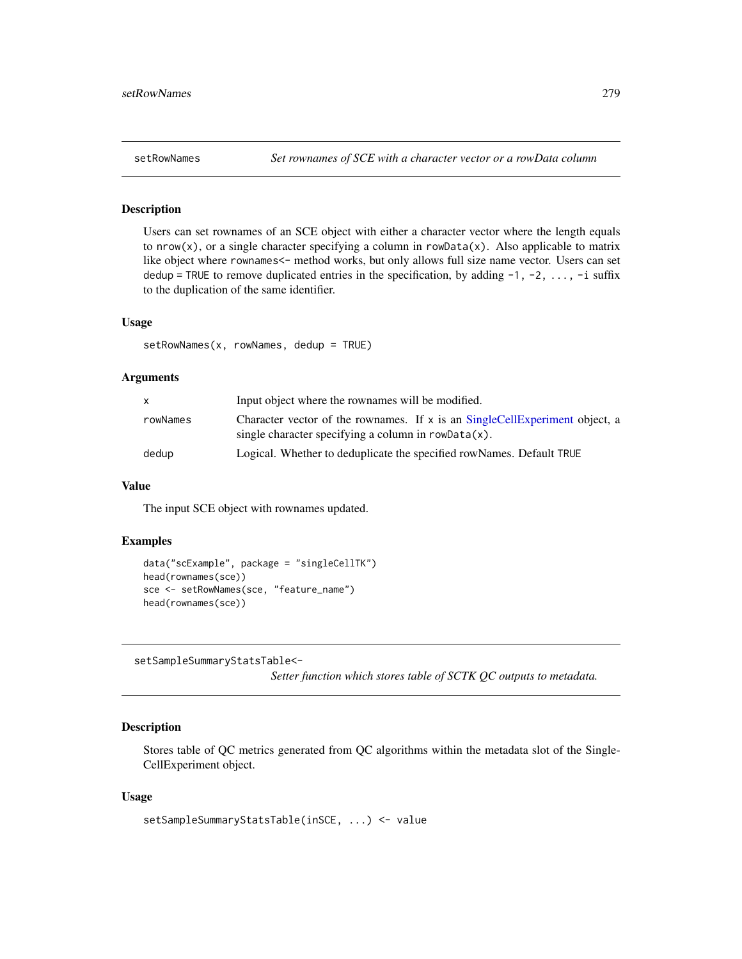#### Description

Users can set rownames of an SCE object with either a character vector where the length equals to  $nrow(x)$ , or a single character specifying a column in rowData(x). Also applicable to matrix like object where rownames<- method works, but only allows full size name vector. Users can set dedup = TRUE to remove duplicated entries in the specification, by adding  $-1$ ,  $-2$ , ...,  $-i$  suffix to the duplication of the same identifier.

#### Usage

setRowNames(x, rowNames, dedup = TRUE)

#### Arguments

| x        | Input object where the rownames will be modified.                                                                                     |
|----------|---------------------------------------------------------------------------------------------------------------------------------------|
| rowNames | Character vector of the rownames. If x is an SingleCellExperiment object, a<br>single character specifying a column in $rowData(x)$ . |
| dedup    | Logical. Whether to deduplicate the specified rowNames. Default TRUE                                                                  |

#### Value

The input SCE object with rownames updated.

## Examples

```
data("scExample", package = "singleCellTK")
head(rownames(sce))
sce <- setRowNames(sce, "feature_name")
head(rownames(sce))
```
setSampleSummaryStatsTable<-

*Setter function which stores table of SCTK QC outputs to metadata.*

## Description

Stores table of QC metrics generated from QC algorithms within the metadata slot of the Single-CellExperiment object.

```
setSampleSummaryStatsTable(inSCE, ...) <- value
```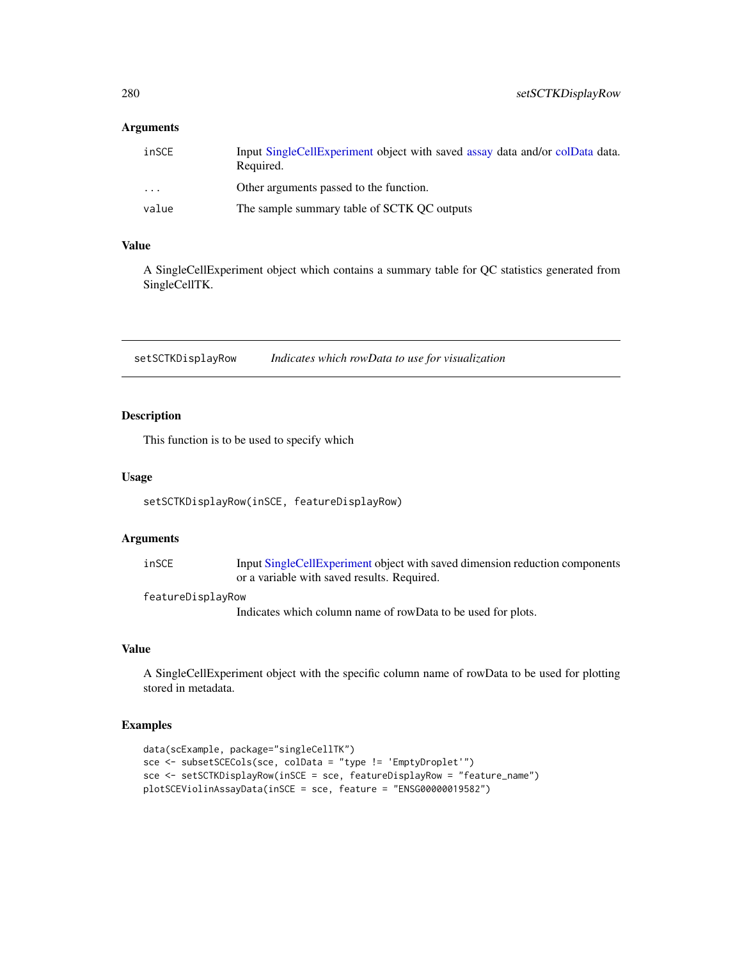#### <span id="page-279-0"></span>Arguments

| inSCE    | Input SingleCellExperiment object with saved assay data and/or colData data.<br>Required. |
|----------|-------------------------------------------------------------------------------------------|
| $\cdots$ | Other arguments passed to the function.                                                   |
| value    | The sample summary table of SCTK OC outputs                                               |

## Value

A SingleCellExperiment object which contains a summary table for QC statistics generated from SingleCellTK.

setSCTKDisplayRow *Indicates which rowData to use for visualization*

## Description

This function is to be used to specify which

#### Usage

setSCTKDisplayRow(inSCE, featureDisplayRow)

## Arguments

| inSCE | Input SingleCellExperiment object with saved dimension reduction components |
|-------|-----------------------------------------------------------------------------|
|       | or a variable with saved results. Required.                                 |

#### featureDisplayRow

Indicates which column name of rowData to be used for plots.

## Value

A SingleCellExperiment object with the specific column name of rowData to be used for plotting stored in metadata.

```
data(scExample, package="singleCellTK")
sce <- subsetSCECols(sce, colData = "type != 'EmptyDroplet'")
sce <- setSCTKDisplayRow(inSCE = sce, featureDisplayRow = "feature_name")
plotSCEViolinAssayData(inSCE = sce, feature = "ENSG00000019582")
```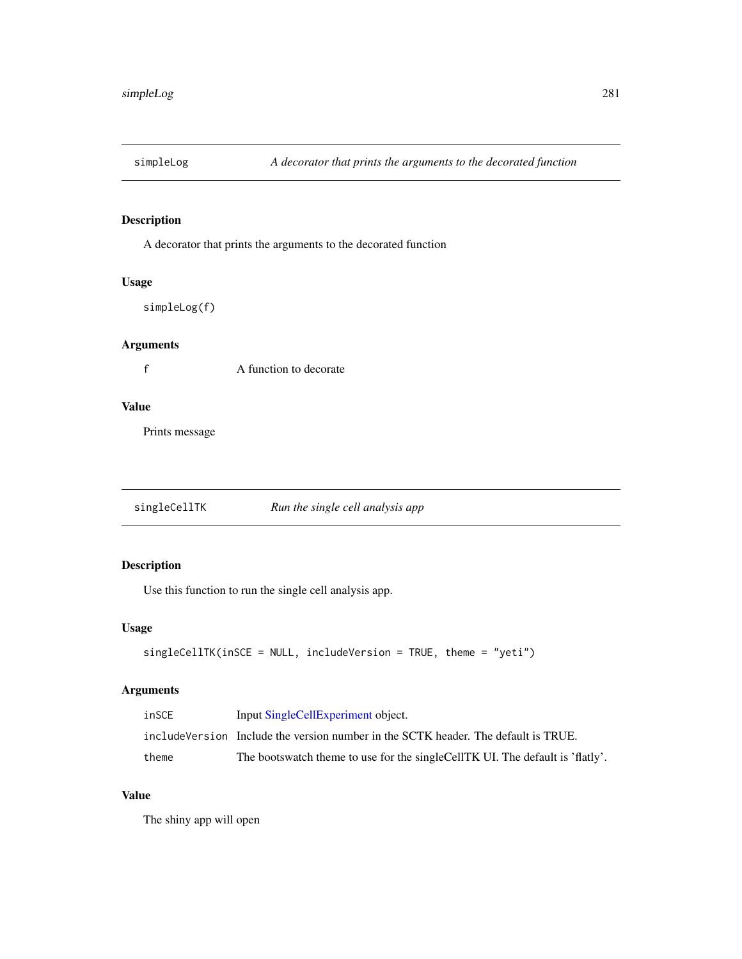## Description

A decorator that prints the arguments to the decorated function

## Usage

simpleLog(f)

## Arguments

f A function to decorate

## Value

Prints message

<span id="page-280-0"></span>singleCellTK *Run the single cell analysis app*

## Description

Use this function to run the single cell analysis app.

#### Usage

```
singleCellTK(inSCE = NULL, includeVersion = TRUE, theme = "yeti")
```
## Arguments

| inSCE | Input SingleCellExperiment object.                                                 |
|-------|------------------------------------------------------------------------------------|
|       | includeVersion Include the version number in the SCTK header. The default is TRUE. |
| theme | The bootswatch theme to use for the single Cell TK UI. The default is 'flatly'.    |

## Value

The shiny app will open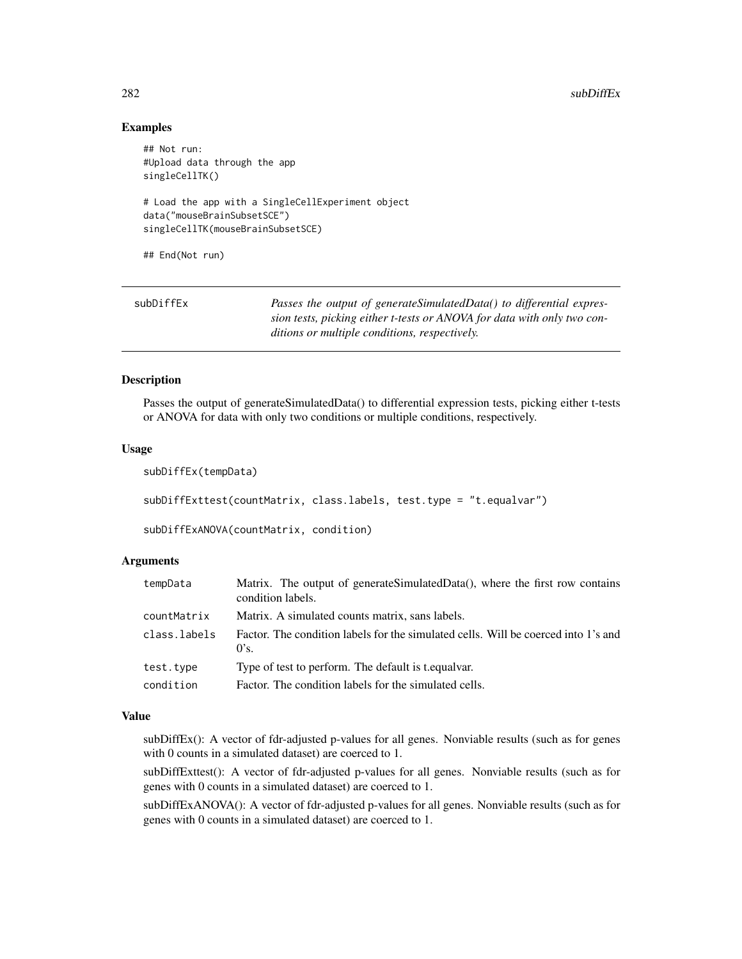#### $282$  subDiffEx

#### Examples

```
## Not run:
#Upload data through the app
singleCellTK()
# Load the app with a SingleCellExperiment object
data("mouseBrainSubsetSCE")
singleCellTK(mouseBrainSubsetSCE)
## End(Not run)
```

| subDiffEx | Passes the output of generateSimulatedData() to differential expres-    |
|-----------|-------------------------------------------------------------------------|
|           | sion tests, picking either t-tests or ANOVA for data with only two con- |
|           | ditions or multiple conditions, respectively.                           |

#### Description

Passes the output of generateSimulatedData() to differential expression tests, picking either t-tests or ANOVA for data with only two conditions or multiple conditions, respectively.

#### Usage

```
subDiffEx(tempData)
subDiffExttest(countMatrix, class.labels, test.type = "t.equalvar")
subDiffExANOVA(countMatrix, condition)
```
#### Arguments

| tempData     | Matrix. The output of generateSimulatedData(), where the first row contains<br>condition labels. |
|--------------|--------------------------------------------------------------------------------------------------|
| countMatrix  | Matrix. A simulated counts matrix, sans labels.                                                  |
| class.labels | Factor. The condition labels for the simulated cells. Will be coerced into 1's and<br>0's.       |
| test.type    | Type of test to perform. The default is t.equalvar.                                              |
| condition    | Factor. The condition labels for the simulated cells.                                            |

#### Value

subDiffEx(): A vector of fdr-adjusted p-values for all genes. Nonviable results (such as for genes with 0 counts in a simulated dataset) are coerced to 1.

subDiffExttest(): A vector of fdr-adjusted p-values for all genes. Nonviable results (such as for genes with 0 counts in a simulated dataset) are coerced to 1.

subDiffExANOVA(): A vector of fdr-adjusted p-values for all genes. Nonviable results (such as for genes with 0 counts in a simulated dataset) are coerced to 1.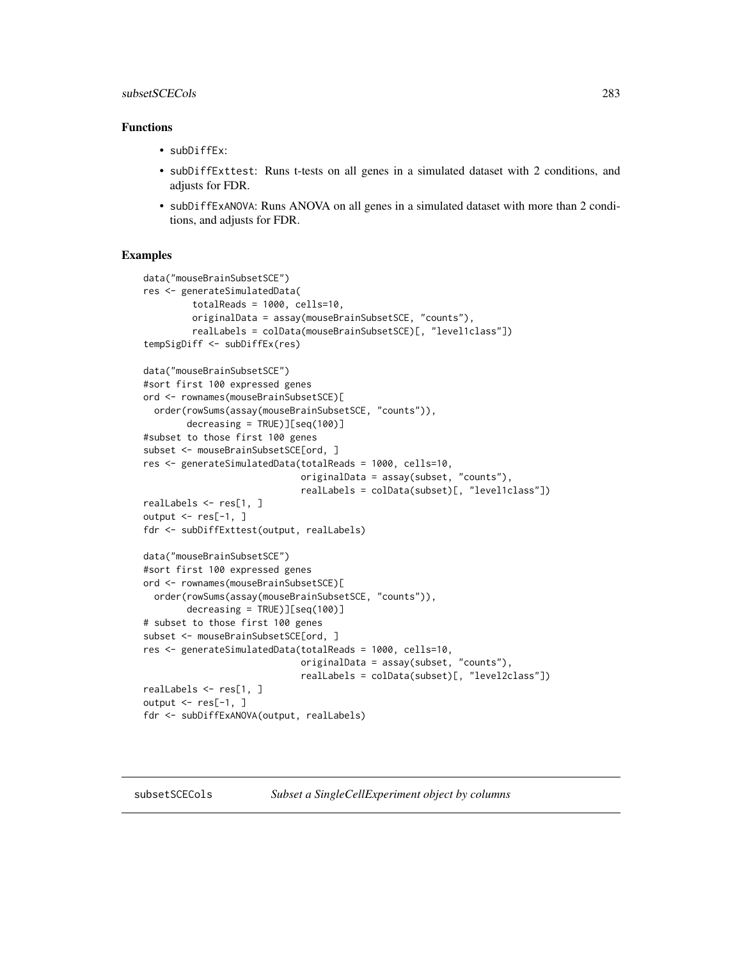#### subsetSCECols 283

## Functions

- subDiffEx:
- subDiffExttest: Runs t-tests on all genes in a simulated dataset with 2 conditions, and adjusts for FDR.
- subDiffExANOVA: Runs ANOVA on all genes in a simulated dataset with more than 2 conditions, and adjusts for FDR.

```
data("mouseBrainSubsetSCE")
res <- generateSimulatedData(
         totalReads = 1000, cells=10,
         originalData = assay(mouseBrainSubsetSCE, "counts"),
         realLabels = colData(mouseBrainSubsetSCE)[, "level1class"])
tempSigDiff <- subDiffEx(res)
data("mouseBrainSubsetSCE")
#sort first 100 expressed genes
ord <- rownames(mouseBrainSubsetSCE)[
  order(rowSums(assay(mouseBrainSubsetSCE, "counts")),
        decreasing = TRUE)][seq(100)]
#subset to those first 100 genes
subset <- mouseBrainSubsetSCE[ord, ]
res <- generateSimulatedData(totalReads = 1000, cells=10,
                             originalData = assay(subset, "counts"),
                             realLabels = colData(subset)[, "level1class"])
realLabels <- res[1, ]
output \leq - res[-1, ]
fdr <- subDiffExttest(output, realLabels)
data("mouseBrainSubsetSCE")
#sort first 100 expressed genes
ord <- rownames(mouseBrainSubsetSCE)[
  order(rowSums(assay(mouseBrainSubsetSCE, "counts")),
        decreasing = TRUE)][seq(100)]
# subset to those first 100 genes
subset <- mouseBrainSubsetSCE[ord, ]
res <- generateSimulatedData(totalReads = 1000, cells=10,
                             originalData = assay(subset, "counts"),
                             realLabels = colData(subset)[, "level2class"])
realLabels <- res[1, ]
output \leq res[-1, ]
fdr <- subDiffExANOVA(output, realLabels)
```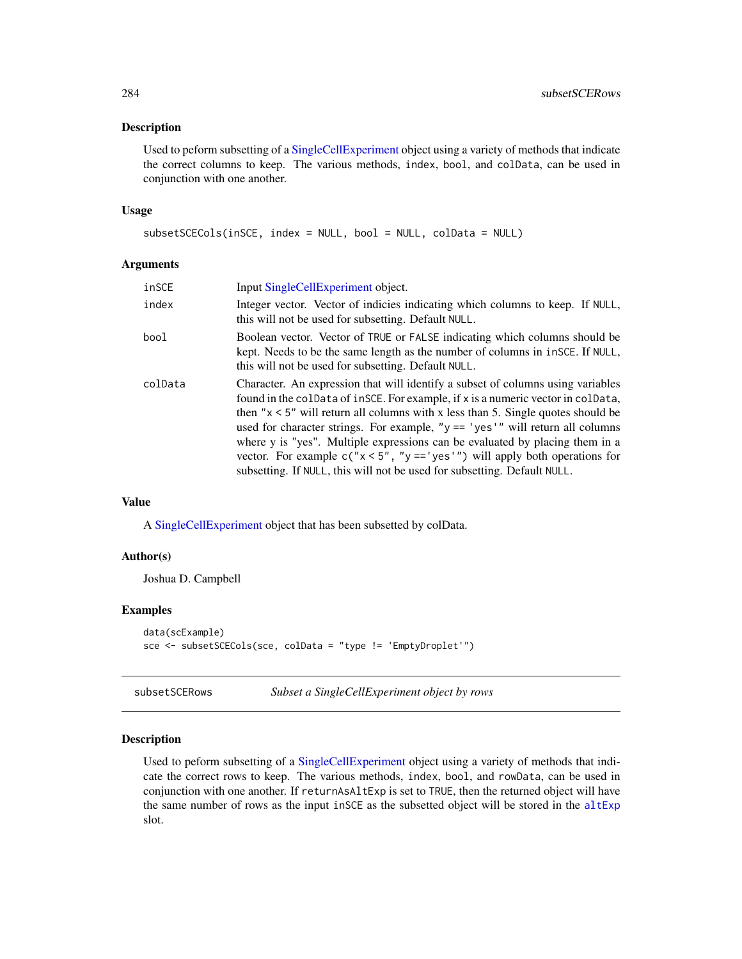#### <span id="page-283-0"></span>Description

Used to peform subsetting of a [SingleCellExperiment](#page-0-0) object using a variety of methods that indicate the correct columns to keep. The various methods, index, bool, and colData, can be used in conjunction with one another.

#### Usage

```
subsetSCECols(inSCE, index = NULL, bool = NULL, colData = NULL)
```
### Arguments

| inSCE   | Input SingleCellExperiment object.                                                                                                                                                                                                                                                                                                                                                                                                                                                                                                                                                            |
|---------|-----------------------------------------------------------------------------------------------------------------------------------------------------------------------------------------------------------------------------------------------------------------------------------------------------------------------------------------------------------------------------------------------------------------------------------------------------------------------------------------------------------------------------------------------------------------------------------------------|
| index   | Integer vector. Vector of indicies indicating which columns to keep. If NULL,<br>this will not be used for subsetting. Default NULL.                                                                                                                                                                                                                                                                                                                                                                                                                                                          |
| bool    | Boolean vector. Vector of TRUE or FALSE indicating which columns should be<br>kept. Needs to be the same length as the number of columns in $i$ nsce. If NULL,<br>this will not be used for subsetting. Default NULL.                                                                                                                                                                                                                                                                                                                                                                         |
| colData | Character. An expression that will identify a subset of columns using variables<br>found in the colData of inSCE. For example, if x is a numeric vector in colData,<br>then " $x < 5$ " will return all columns with x less than 5. Single quotes should be<br>used for character strings. For example, " $y == 'yes'$ " will return all columns<br>where y is "yes". Multiple expressions can be evaluated by placing them in a<br>vector. For example $c("x < 5", "y == 'yes'")$ will apply both operations for<br>subsetting. If NULL, this will not be used for subsetting. Default NULL. |

#### Value

A [SingleCellExperiment](#page-0-0) object that has been subsetted by colData.

#### Author(s)

Joshua D. Campbell

#### Examples

```
data(scExample)
sce <- subsetSCECols(sce, colData = "type != 'EmptyDroplet'")
```
## Description

Used to peform subsetting of a [SingleCellExperiment](#page-0-0) object using a variety of methods that indicate the correct rows to keep. The various methods, index, bool, and rowData, can be used in conjunction with one another. If returnAsAltExp is set to TRUE, then the returned object will have the same number of rows as the input inSCE as the subsetted object will be stored in the [altExp](#page-0-0) slot.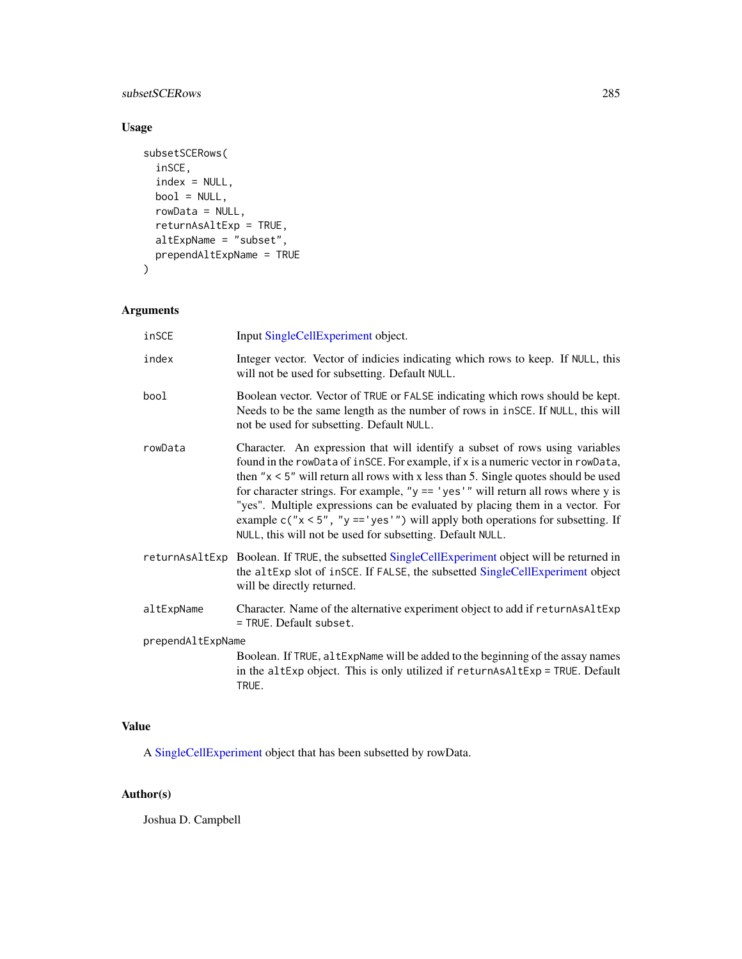subsetSCERows 285

## Usage

```
subsetSCERows(
 inSCE,
 index = NULL,
 bool = NULL,rowData = NULL,
 returnAsAltExp = TRUE,
  altExpName = "subset",
  prependAltExpName = TRUE
)
```
## Arguments

| inSCE             | Input SingleCellExperiment object.                                                                                                                                                                                                                                                                                                                                                                                                                                                                                                                                                   |
|-------------------|--------------------------------------------------------------------------------------------------------------------------------------------------------------------------------------------------------------------------------------------------------------------------------------------------------------------------------------------------------------------------------------------------------------------------------------------------------------------------------------------------------------------------------------------------------------------------------------|
| index             | Integer vector. Vector of indicies indicating which rows to keep. If NULL, this<br>will not be used for subsetting. Default NULL.                                                                                                                                                                                                                                                                                                                                                                                                                                                    |
| bool              | Boolean vector. Vector of TRUE or FALSE indicating which rows should be kept.<br>Needs to be the same length as the number of rows in inSCE. If NULL, this will<br>not be used for subsetting. Default NULL.                                                                                                                                                                                                                                                                                                                                                                         |
| rowData           | Character. An expression that will identify a subset of rows using variables<br>found in the rowData of inSCE. For example, if x is a numeric vector in rowData,<br>then " $x < 5$ " will return all rows with x less than 5. Single quotes should be used<br>for character strings. For example, " $y == 'yes'$ " will return all rows where y is<br>"yes". Multiple expressions can be evaluated by placing them in a vector. For<br>example $c("x < 5", "y == 'yes'")$ will apply both operations for subsetting. If<br>NULL, this will not be used for subsetting. Default NULL. |
|                   | returnAsA1tExp Boolean. If TRUE, the subsetted SingleCellExperiment object will be returned in<br>the altExp slot of inSCE. If FALSE, the subsetted SingleCellExperiment object<br>will be directly returned.                                                                                                                                                                                                                                                                                                                                                                        |
| altExpName        | Character. Name of the alternative experiment object to add if returnAsAltExp<br>= TRUE. Default subset.                                                                                                                                                                                                                                                                                                                                                                                                                                                                             |
| prependAltExpName |                                                                                                                                                                                                                                                                                                                                                                                                                                                                                                                                                                                      |
|                   | Boolean. If TRUE, altExpName will be added to the beginning of the assay names<br>in the altExp object. This is only utilized if returnAsAltExp = TRUE. Default<br>TRUE.                                                                                                                                                                                                                                                                                                                                                                                                             |

## Value

A [SingleCellExperiment](#page-0-0) object that has been subsetted by rowData.

## Author(s)

Joshua D. Campbell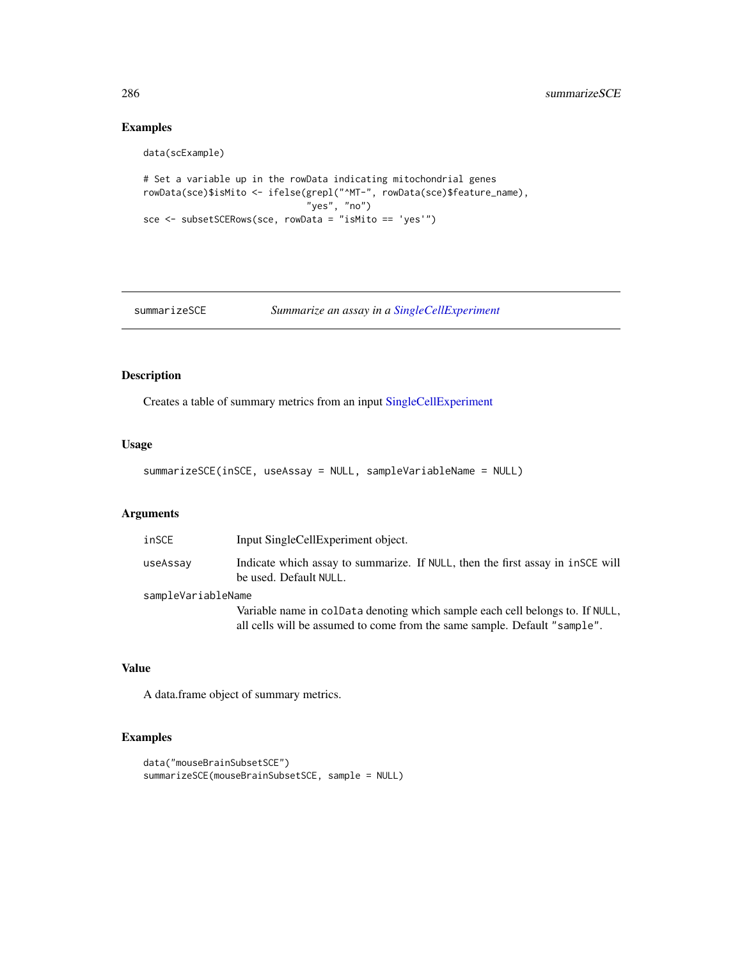## Examples

```
data(scExample)
```

```
# Set a variable up in the rowData indicating mitochondrial genes
rowData(sce)$isMito <- ifelse(grepl("^MT-", rowData(sce)$feature_name),
                              "yes", "no")
sce <- subsetSCERows(sce, rowData = "isMito == 'yes'")
```
summarizeSCE *Summarize an assay in a [SingleCellExperiment](#page-0-0)*

## Description

Creates a table of summary metrics from an input [SingleCellExperiment](#page-0-0)

#### Usage

```
summarizeSCE(inSCE, useAssay = NULL, sampleVariableName = NULL)
```
## Arguments

| inSCE              | Input SingleCellExperiment object.                                                                                                                         |  |
|--------------------|------------------------------------------------------------------------------------------------------------------------------------------------------------|--|
| useAssay           | Indicate which assay to summarize. If NULL, then the first assay in insce will<br>be used. Default NULL.                                                   |  |
| sampleVariableName |                                                                                                                                                            |  |
|                    | Variable name in coldata denoting which sample each cell belongs to. If NULL,<br>all cells will be assumed to come from the same sample. Default "sample". |  |

## Value

A data.frame object of summary metrics.

```
data("mouseBrainSubsetSCE")
summarizeSCE(mouseBrainSubsetSCE, sample = NULL)
```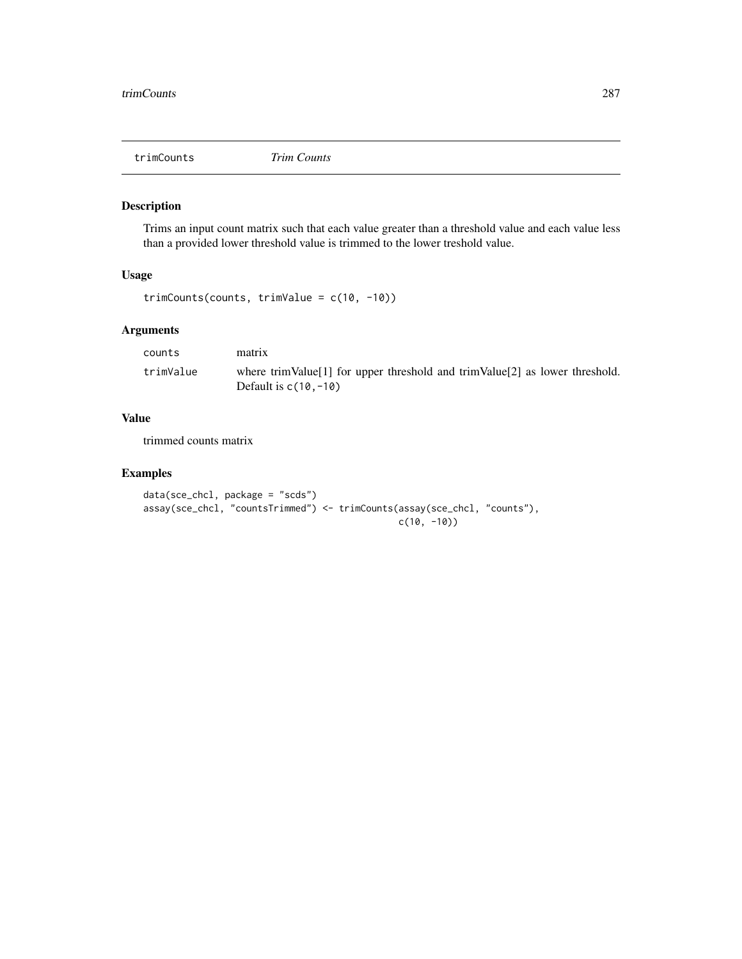## Description

Trims an input count matrix such that each value greater than a threshold value and each value less than a provided lower threshold value is trimmed to the lower treshold value.

## Usage

```
trimCounts(counts, trimValue = c(10, -10))
```
## Arguments

| counts    | matrix                                                                                                 |
|-----------|--------------------------------------------------------------------------------------------------------|
| trimValue | where trimValue[1] for upper threshold and trimValue[2] as lower threshold.<br>Default is $c(10, -10)$ |

## Value

trimmed counts matrix

```
data(sce_chcl, package = "scds")
assay(sce_chcl, "countsTrimmed") <- trimCounts(assay(sce_chcl, "counts"),
                                              c(10, -10)
```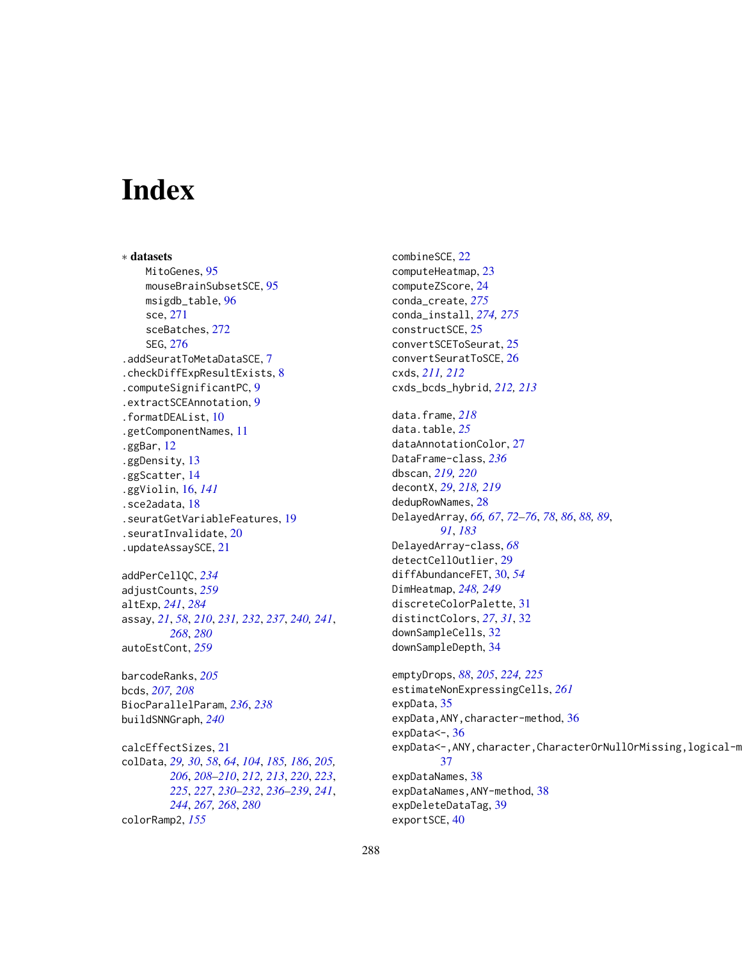# Index

∗ datasets MitoGenes, [95](#page-94-0) mouseBrainSubsetSCE, [95](#page-94-0) msigdb\_table, [96](#page-95-0) sce, [271](#page-270-0) sceBatches, [272](#page-271-0) SEG, [276](#page-275-0) .addSeuratToMetaDataSCE, [7](#page-6-0) .checkDiffExpResultExists, [8](#page-7-0) .computeSignificantPC, [9](#page-8-0) .extractSCEAnnotation, [9](#page-8-0) .formatDEAList, [10](#page-9-0) .getComponentNames, [11](#page-10-0) .ggBar, [12](#page-11-0) .ggDensity, [13](#page-12-0) .ggScatter, [14](#page-13-0) .ggViolin, [16,](#page-15-0) *[141](#page-140-0)* .sce2adata, [18](#page-17-0) .seuratGetVariableFeatures, [19](#page-18-0) .seuratInvalidate, [20](#page-19-0) .updateAssaySCE, [21](#page-20-0) addPerCellQC, *[234](#page-233-0)* adjustCounts, *[259](#page-258-0)* altExp, *[241](#page-240-0)*, *[284](#page-283-0)* assay, *[21](#page-20-0)*, *[58](#page-57-0)*, *[210](#page-209-0)*, *[231,](#page-230-0) [232](#page-231-0)*, *[237](#page-236-0)*, *[240,](#page-239-0) [241](#page-240-0)*, *[268](#page-267-0)*, *[280](#page-279-0)* autoEstCont, *[259](#page-258-0)*

barcodeRanks, *[205](#page-204-0)* bcds, *[207,](#page-206-0) [208](#page-207-0)* BiocParallelParam, *[236](#page-235-0)*, *[238](#page-237-0)* buildSNNGraph, *[240](#page-239-0)*

calcEffectSizes, [21](#page-20-0) colData, *[29,](#page-28-0) [30](#page-29-0)*, *[58](#page-57-0)*, *[64](#page-63-0)*, *[104](#page-103-0)*, *[185,](#page-184-0) [186](#page-185-0)*, *[205,](#page-204-0) [206](#page-205-0)*, *[208](#page-207-0)[–210](#page-209-0)*, *[212,](#page-211-0) [213](#page-212-0)*, *[220](#page-219-0)*, *[223](#page-222-0)*, *[225](#page-224-0)*, *[227](#page-226-0)*, *[230–](#page-229-0)[232](#page-231-0)*, *[236–](#page-235-0)[239](#page-238-0)*, *[241](#page-240-0)*, *[244](#page-243-0)*, *[267,](#page-266-0) [268](#page-267-0)*, *[280](#page-279-0)* colorRamp2, *[155](#page-154-0)*

combineSCE, [22](#page-21-0) computeHeatmap, [23](#page-22-0) computeZScore, [24](#page-23-0) conda\_create, *[275](#page-274-1)* conda\_install, *[274,](#page-273-1) [275](#page-274-1)* constructSCE, [25](#page-24-0) convertSCEToSeurat, [25](#page-24-0) convertSeuratToSCE, [26](#page-25-0) cxds, *[211,](#page-210-0) [212](#page-211-0)* cxds\_bcds\_hybrid, *[212,](#page-211-0) [213](#page-212-0)* data.frame, *[218](#page-217-0)* data.table, *[25](#page-24-0)* dataAnnotationColor, [27](#page-26-0) DataFrame-class, *[236](#page-235-0)* dbscan, *[219,](#page-218-0) [220](#page-219-0)* decontX, *[29](#page-28-0)*, *[218,](#page-217-0) [219](#page-218-0)* dedupRowNames, [28](#page-27-0) DelayedArray, *[66,](#page-65-0) [67](#page-66-0)*, *[72](#page-71-0)[–76](#page-75-0)*, *[78](#page-77-0)*, *[86](#page-85-0)*, *[88,](#page-87-0) [89](#page-88-0)*, *[91](#page-90-0)*, *[183](#page-182-0)* DelayedArray-class, *[68](#page-67-0)* detectCellOutlier, [29](#page-28-0) diffAbundanceFET, [30,](#page-29-0) *[54](#page-53-0)* DimHeatmap, *[248,](#page-247-0) [249](#page-248-0)* discreteColorPalette, [31](#page-30-0) distinctColors, *[27](#page-26-0)*, *[31](#page-30-0)*, [32](#page-31-0) downSampleCells, [32](#page-31-0) downSampleDepth, [34](#page-33-0) emptyDrops, *[88](#page-87-0)*, *[205](#page-204-0)*, *[224,](#page-223-0) [225](#page-224-0)* estimateNonExpressingCells, *[261](#page-260-0)* expData, [35](#page-34-0) expData,ANY,character-method, [36](#page-35-0) expData <-, [36](#page-35-0) expData<-,ANY, character, CharacterOrNullOrMissing, logical-m [37](#page-36-0) expDataNames, [38](#page-37-0) expDataNames,ANY-method, [38](#page-37-0) expDeleteDataTag, [39](#page-38-0)

exportSCE, [40](#page-39-0)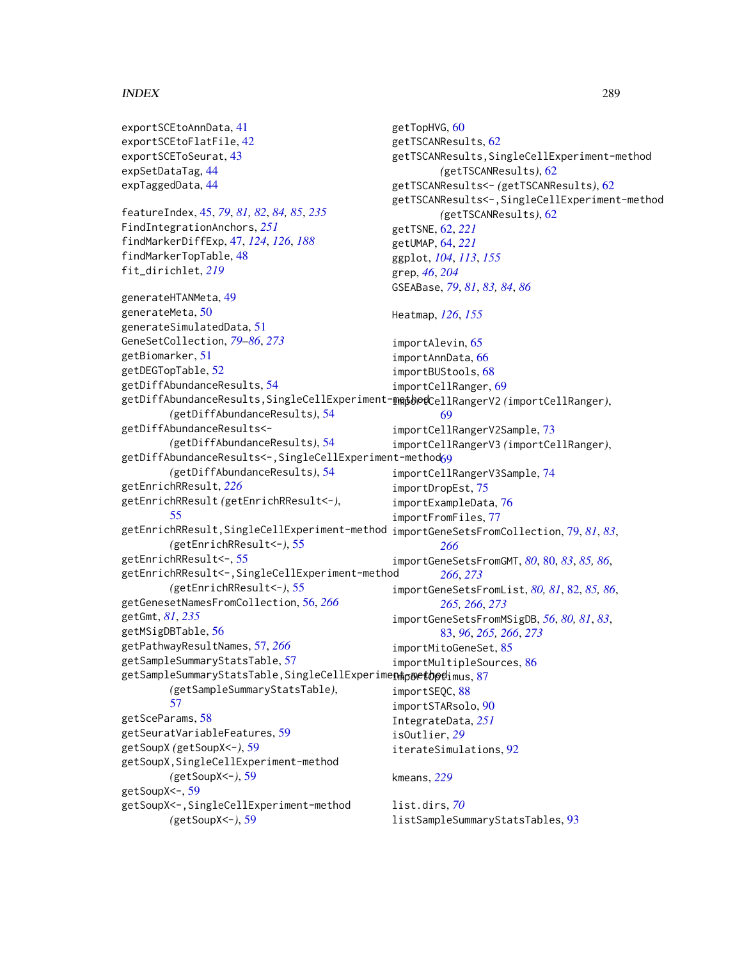## INDEX 289

exportSCEtoAnnData, [41](#page-40-0) exportSCEtoFlatFile, [42](#page-41-0) exportSCEToSeurat, [43](#page-42-0) expSetDataTag, [44](#page-43-0) expTaggedData, [44](#page-43-0) featureIndex, [45,](#page-44-0) *[79](#page-78-0)*, *[81,](#page-80-0) [82](#page-81-0)*, *[84,](#page-83-0) [85](#page-84-0)*, *[235](#page-234-0)* FindIntegrationAnchors, *[251](#page-250-0)* findMarkerDiffExp, [47,](#page-46-0) *[124](#page-123-0)*, *[126](#page-125-0)*, *[188](#page-187-0)* findMarkerTopTable, [48](#page-47-0) fit\_dirichlet, *[219](#page-218-0)* generateHTANMeta, [49](#page-48-0) generateMeta, [50](#page-49-0) generateSimulatedData, [51](#page-50-0) GeneSetCollection, *[79–](#page-78-0)[86](#page-85-0)*, *[273](#page-272-0)* getBiomarker, [51](#page-50-0) getDEGTopTable, [52](#page-51-0) getDiffAbundanceResults, [54](#page-53-0) getDiffAbundanceResults,SingleCellExperiment-method importCellRangerV2 *(*importCellRanger*)*, *(*getDiffAbundanceResults*)*, [54](#page-53-0) getDiffAbundanceResults<- *(*getDiffAbundanceResults*)*, [54](#page-53-0) getDiffAbundanceResults<-,SingleCellExperiment-method<mark>[69](#page-68-0)</mark> *(*getDiffAbundanceResults*)*, [54](#page-53-0) getEnrichRResult, *[226](#page-225-0)* getEnrichRResult *(*getEnrichRResult<-*)*, [55](#page-54-0) getEnrichRResult,SingleCellExperiment-method importGeneSetsFromCollection, [79,](#page-78-0) *[81](#page-80-0)*, *[83](#page-82-0)*, *(*getEnrichRResult<-*)*, [55](#page-54-0) getEnrichRResult<-, [55](#page-54-0) getEnrichRResult<-,SingleCellExperiment-method *(*getEnrichRResult<-*)*, [55](#page-54-0) getGenesetNamesFromCollection, [56,](#page-55-0) *[266](#page-265-0)* getGmt, *[81](#page-80-0)*, *[235](#page-234-0)* getMSigDBTable, [56](#page-55-0) getPathwayResultNames, [57,](#page-56-0) *[266](#page-265-0)* getSampleSummaryStatsTable, [57](#page-56-0) getSampleSummaryStatsTable,SingleCellExperime**n#poetopd**imus,[87](#page-86-0) *(*getSampleSummaryStatsTable*)*, [57](#page-56-0) getSceParams, [58](#page-57-0) getSeuratVariableFeatures, [59](#page-58-0) getSoupX *(*getSoupX<-*)*, [59](#page-58-0) getSoupX,SingleCellExperiment-method *(*getSoupX<-*)*, [59](#page-58-0) getSoupX<-, [59](#page-58-0) getSoupX<-,SingleCellExperiment-method *(*getSoupX<-*)*, [59](#page-58-0) getTopHVG, [60](#page-59-0) getTSCANResults, [62](#page-61-0) getTSCANResults,SingleCellExperiment-method *(*getTSCANResults*)*, [62](#page-61-0) getTSCANResults<- *(*getTSCANResults*)*, [62](#page-61-0) getTSCANResults<-,SingleCellExperiment-method *(*getTSCANResults*)*, [62](#page-61-0) getTSNE, [62,](#page-61-0) *[221](#page-220-0)* getUMAP, [64,](#page-63-0) *[221](#page-220-0)* ggplot, *[104](#page-103-0)*, *[113](#page-112-0)*, *[155](#page-154-0)* grep, *[46](#page-45-0)*, *[204](#page-203-0)* GSEABase, *[79](#page-78-0)*, *[81](#page-80-0)*, *[83,](#page-82-0) [84](#page-83-0)*, *[86](#page-85-0)* Heatmap, *[126](#page-125-0)*, *[155](#page-154-0)* importAlevin, [65](#page-64-0) importAnnData, [66](#page-65-0) importBUStools, [68](#page-67-0) importCellRanger, [69](#page-68-0) [69](#page-68-0) importCellRangerV2Sample, [73](#page-72-0) importCellRangerV3 *(*importCellRanger*)*, importCellRangerV3Sample, [74](#page-73-0) importDropEst, [75](#page-74-0) importExampleData, [76](#page-75-0) importFromFiles, [77](#page-76-0) *[266](#page-265-0)* importGeneSetsFromGMT, *[80](#page-79-0)*, [80,](#page-79-0) *[83](#page-82-0)*, *[85,](#page-84-0) [86](#page-85-0)*, *[266](#page-265-0)*, *[273](#page-272-0)* importGeneSetsFromList, *[80,](#page-79-0) [81](#page-80-0)*, [82,](#page-81-0) *[85,](#page-84-0) [86](#page-85-0)*, *[265,](#page-264-0) [266](#page-265-0)*, *[273](#page-272-0)* importGeneSetsFromMSigDB, *[56](#page-55-0)*, *[80,](#page-79-0) [81](#page-80-0)*, *[83](#page-82-0)*, [83,](#page-82-0) *[96](#page-95-0)*, *[265,](#page-264-0) [266](#page-265-0)*, *[273](#page-272-0)* importMitoGeneSet, [85](#page-84-0) importMultipleSources, [86](#page-85-0) importSEQC, [88](#page-87-0) importSTARsolo, [90](#page-89-0) IntegrateData, *[251](#page-250-0)* isOutlier, *[29](#page-28-0)* iterateSimulations, [92](#page-91-0) kmeans, *[229](#page-228-0)* list.dirs, *[70](#page-69-0)* listSampleSummaryStatsTables, [93](#page-92-0)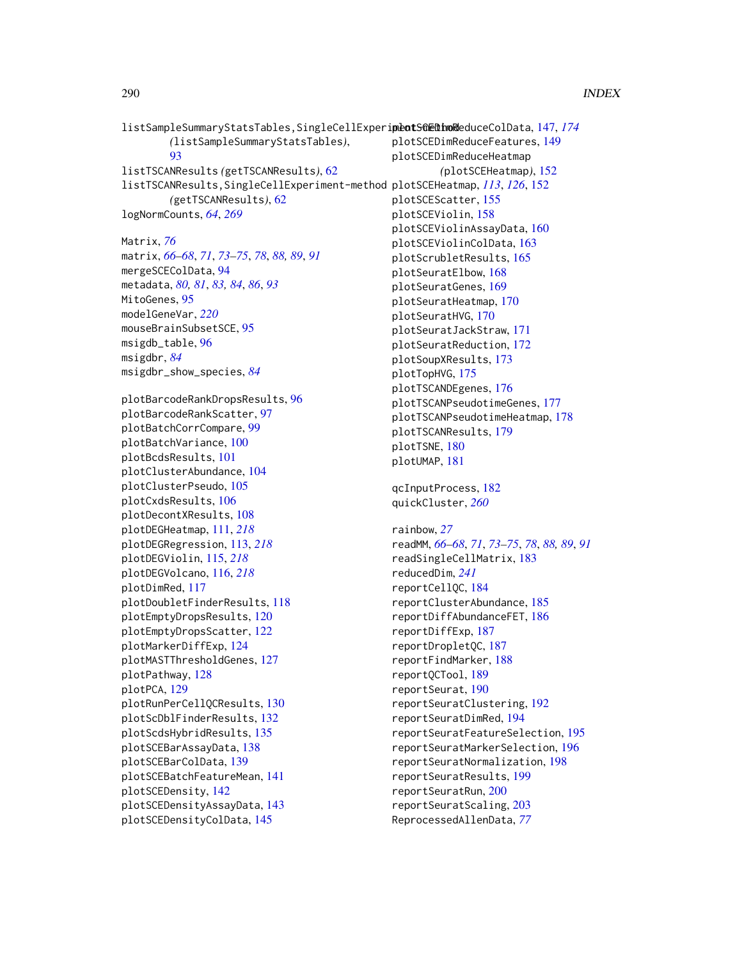```
listSampleSummaryStatsTables,SingleCellExperipeotSGEDinoR147,174
        (listSampleSummaryStatsTables),
        93
listTSCANResults (getTSCANResults), 62
listTSCANResults,SingleCellExperiment-method
plotSCEHeatmap, 113, 126, 152
        (getTSCANResults), 62
logNormCounts, 64, 269
Matrix, 76
matrix, 66–68, 71, 73–75, 78, 88, 89, 91
mergeSCEColData, 94
metadata, 80, 81, 83, 84, 86, 93
MitoGenes, 95
modelGeneVar, 220
mouseBrainSubsetSCE, 95
msigdb_table, 96
msigdbr, 84
msigdbr_show_species, 84
plotBarcodeRankDropsResults, 96
plotBarcodeRankScatter, 97
plotBatchCorrCompare, 99
plotBatchVariance, 100
plotBcdsResults, 101
plotClusterAbundance, 104
plotClusterPseudo, 105
plotCxdsResults, 106
plotDecontXResults, 108
plotDEGHeatmap, 111, 218
plotDEGRegression, 113, 218
plotDEGViolin, 115, 218
plotDEGVolcano, 116, 218
plotDimRed, 117
plotDoubletFinderResults, 118
plotEmptyDropsResults, 120
plotEmptyDropsScatter, 122
plotMarkerDiffExp, 124
plotMASTThresholdGenes, 127
plotPathway, 128
plotPCA, 129
plotRunPerCellQCResults, 130
plotScDblFinderResults, 132
plotScdsHybridResults, 135
plotSCEBarAssayData, 138
plotSCEBarColData, 139
plotSCEBatchFeatureMean, 141
plotSCEDensity, 142
plotSCEDensityAssayData, 143
                                               plotSCEDimReduceFeatures, 149
                                               plotSCEDimReduceHeatmap
                                                        (plotSCEHeatmap), 152
                                               plotSCEScatter, 155
                                               plotSCEViolin, 158
                                               plotSCEViolinAssayData, 160
                                               plotSCEViolinColData, 163
                                               plotScrubletResults, 165
                                               plotSeuratElbow, 168
                                               plotSeuratGenes, 169
                                               plotSeuratHeatmap, 170
                                               plotSeuratHVG, 170
                                               plotSeuratJackStraw, 171
                                               plotSeuratReduction, 172
                                               plotSoupXResults, 173
                                               plotTopHVG, 175
                                               plotTSCANDEgenes, 176
                                               plotTSCANPseudotimeGenes, 177
                                               plotTSCANPseudotimeHeatmap, 178
                                               plotTSCANResults, 179
                                               plotTSNE, 180
                                               plotUMAP, 181
                                               qcInputProcess, 182
                                               quickCluster, 260
                                               rainbow, 27
                                               readMM, 66–68, 71, 73–75, 78, 88, 89, 91
                                               readSingleCellMatrix, 183
                                               reducedDim, 241
                                                reportCellQC, 184
                                               reportClusterAbundance, 185
                                                reportDiffAbundanceFET, 186
                                                reportDiffExp, 187
                                                reportDropletQC, 187
                                               reportFindMarker, 188
                                               reportQCTool, 189
                                               reportSeurat, 190
                                                reportSeuratClustering, 192
                                               reportSeuratDimRed, 194
                                               reportSeuratFeatureSelection, 195
                                                reportSeuratMarkerSelection, 196
                                               reportSeuratNormalization, 198
                                                reportSeuratResults, 199
                                                reportSeuratRun, 200
                                                reportSeuratScaling, 203
                                               ReprocessedAllenData, 77
```

```
plotSCEDensityColData, 145
```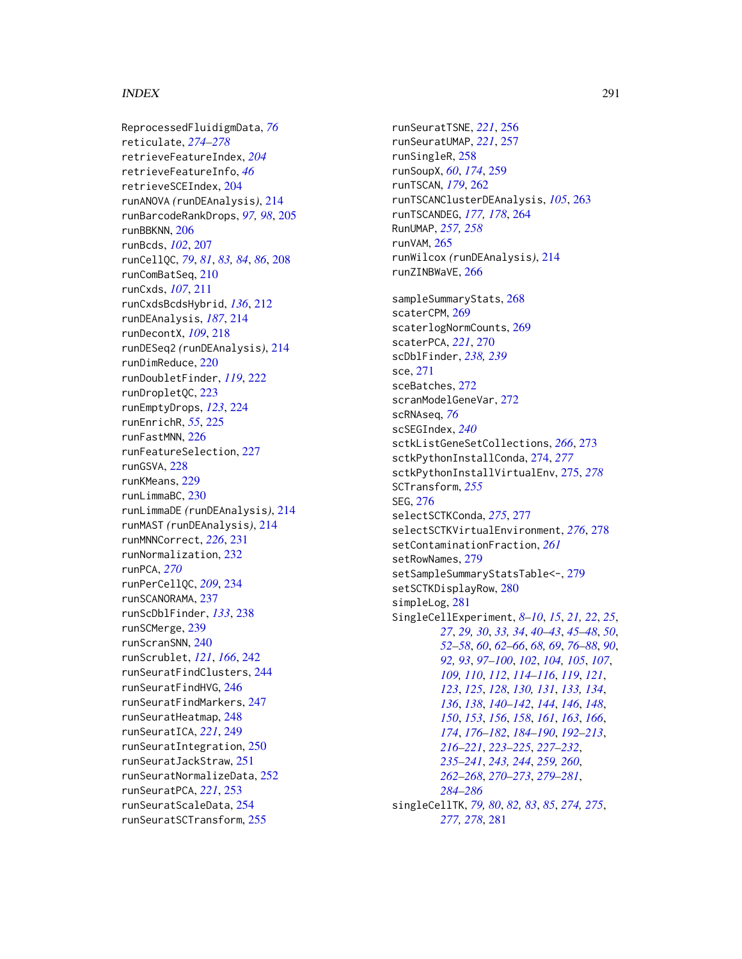## $I$ NDEX 291

ReprocessedFluidigmData, *[76](#page-75-0)* reticulate, *[274](#page-273-0)[–278](#page-277-0)* retrieveFeatureIndex, *[204](#page-203-0)* retrieveFeatureInfo, *[46](#page-45-0)* retrieveSCEIndex, [204](#page-203-0) runANOVA *(*runDEAnalysis*)*, [214](#page-213-0) runBarcodeRankDrops, *[97,](#page-96-0) [98](#page-97-0)*, [205](#page-204-0) runBBKNN, [206](#page-205-0) runBcds, *[102](#page-101-0)*, [207](#page-206-0) runCellQC, *[79](#page-78-0)*, *[81](#page-80-0)*, *[83,](#page-82-0) [84](#page-83-0)*, *[86](#page-85-0)*, [208](#page-207-0) runComBatSeq, [210](#page-209-0) runCxds, *[107](#page-106-0)*, [211](#page-210-0) runCxdsBcdsHybrid, *[136](#page-135-0)*, [212](#page-211-0) runDEAnalysis, *[187](#page-186-0)*, [214](#page-213-0) runDecontX, *[109](#page-108-0)*, [218](#page-217-0) runDESeq2 *(*runDEAnalysis*)*, [214](#page-213-0) runDimReduce, [220](#page-219-0) runDoubletFinder, *[119](#page-118-0)*, [222](#page-221-0) runDropletQC, [223](#page-222-0) runEmptyDrops, *[123](#page-122-0)*, [224](#page-223-0) runEnrichR, *[55](#page-54-0)*, [225](#page-224-0) runFastMNN, [226](#page-225-0) runFeatureSelection, [227](#page-226-0) runGSVA, [228](#page-227-0) runKMeans, [229](#page-228-0) runLimmaBC, [230](#page-229-0) runLimmaDE *(*runDEAnalysis*)*, [214](#page-213-0) runMAST *(*runDEAnalysis*)*, [214](#page-213-0) runMNNCorrect, *[226](#page-225-0)*, [231](#page-230-0) runNormalization, [232](#page-231-0) runPCA, *[270](#page-269-0)* runPerCellQC, *[209](#page-208-0)*, [234](#page-233-0) runSCANORAMA, [237](#page-236-0) runScDblFinder, *[133](#page-132-0)*, [238](#page-237-0) runSCMerge, [239](#page-238-0) runScranSNN, [240](#page-239-0) runScrublet, *[121](#page-120-0)*, *[166](#page-165-0)*, [242](#page-241-0) runSeuratFindClusters, [244](#page-243-0) runSeuratFindHVG, [246](#page-245-0) runSeuratFindMarkers, [247](#page-246-0) runSeuratHeatmap, [248](#page-247-0) runSeuratICA, *[221](#page-220-0)*, [249](#page-248-0) runSeuratIntegration, [250](#page-249-0) runSeuratJackStraw, [251](#page-250-0) runSeuratNormalizeData, [252](#page-251-0) runSeuratPCA, *[221](#page-220-0)*, [253](#page-252-0) runSeuratScaleData, [254](#page-253-0) runSeuratSCTransform, [255](#page-254-0)

runSeuratTSNE, *[221](#page-220-0)*, [256](#page-255-0) runSeuratUMAP, *[221](#page-220-0)*, [257](#page-256-0) runSingleR, [258](#page-257-0) runSoupX, *[60](#page-59-0)*, *[174](#page-173-0)*, [259](#page-258-0) runTSCAN, *[179](#page-178-0)*, [262](#page-261-0) runTSCANClusterDEAnalysis, *[105](#page-104-0)*, [263](#page-262-0) runTSCANDEG, *[177,](#page-176-0) [178](#page-177-0)*, [264](#page-263-0) RunUMAP, *[257,](#page-256-0) [258](#page-257-0)* runVAM, [265](#page-264-0) runWilcox *(*runDEAnalysis*)*, [214](#page-213-0) runZINBWaVE, [266](#page-265-0) sampleSummaryStats, [268](#page-267-0) scaterCPM, [269](#page-268-0) scaterlogNormCounts, [269](#page-268-0) scaterPCA, *[221](#page-220-0)*, [270](#page-269-0) scDblFinder, *[238,](#page-237-0) [239](#page-238-0)* sce, [271](#page-270-0) sceBatches, [272](#page-271-0) scranModelGeneVar, [272](#page-271-0) scRNAseq, *[76](#page-75-0)* scSEGIndex, *[240](#page-239-0)* sctkListGeneSetCollections, *[266](#page-265-0)*, [273](#page-272-0) sctkPythonInstallConda, [274,](#page-273-0) *[277](#page-276-0)* sctkPythonInstallVirtualEnv, [275,](#page-274-0) *[278](#page-277-0)* SCTransform, *[255](#page-254-0)* SEG, [276](#page-275-0) selectSCTKConda, *[275](#page-274-0)*, [277](#page-276-0) selectSCTKVirtualEnvironment, *[276](#page-275-0)*, [278](#page-277-0) setContaminationFraction, *[261](#page-260-0)* setRowNames, [279](#page-278-0) setSampleSummaryStatsTable<-, [279](#page-278-0) setSCTKDisplayRow, [280](#page-279-0) simpleLog, [281](#page-280-0) SingleCellExperiment, *[8](#page-7-0)[–10](#page-9-0)*, *[15](#page-14-0)*, *[21,](#page-20-0) [22](#page-21-0)*, *[25](#page-24-0)*, *[27](#page-26-0)*, *[29,](#page-28-0) [30](#page-29-0)*, *[33,](#page-32-0) [34](#page-33-0)*, *[40](#page-39-0)[–43](#page-42-0)*, *[45](#page-44-0)[–48](#page-47-0)*, *[50](#page-49-0)*, *[52](#page-51-0)[–58](#page-57-0)*, *[60](#page-59-0)*, *[62](#page-61-0)[–66](#page-65-0)*, *[68,](#page-67-0) [69](#page-68-0)*, *[76](#page-75-0)[–88](#page-87-0)*, *[90](#page-89-0)*, *[92,](#page-91-0) [93](#page-92-0)*, *[97](#page-96-0)[–100](#page-99-0)*, *[102](#page-101-0)*, *[104,](#page-103-0) [105](#page-104-0)*, *[107](#page-106-0)*, *[109,](#page-108-0) [110](#page-109-0)*, *[112](#page-111-0)*, *[114](#page-113-0)[–116](#page-115-0)*, *[119](#page-118-0)*, *[121](#page-120-0)*, *[123](#page-122-0)*, *[125](#page-124-0)*, *[128](#page-127-0)*, *[130,](#page-129-0) [131](#page-130-0)*, *[133,](#page-132-0) [134](#page-133-0)*, *[136](#page-135-0)*, *[138](#page-137-0)*, *[140](#page-139-0)[–142](#page-141-0)*, *[144](#page-143-0)*, *[146](#page-145-0)*, *[148](#page-147-0)*, *[150](#page-149-0)*, *[153](#page-152-0)*, *[156](#page-155-0)*, *[158](#page-157-0)*, *[161](#page-160-0)*, *[163](#page-162-0)*, *[166](#page-165-0)*, *[174](#page-173-0)*, *[176](#page-175-0)[–182](#page-181-0)*, *[184](#page-183-0)[–190](#page-189-0)*, *[192](#page-191-0)[–213](#page-212-0)*, *[216](#page-215-0)[–221](#page-220-0)*, *[223](#page-222-0)[–225](#page-224-0)*, *[227](#page-226-0)[–232](#page-231-0)*, *[235](#page-234-0)[–241](#page-240-0)*, *[243,](#page-242-0) [244](#page-243-0)*, *[259,](#page-258-0) [260](#page-259-0)*, *[262](#page-261-0)[–268](#page-267-0)*, *[270](#page-269-0)[–273](#page-272-0)*, *[279](#page-278-0)[–281](#page-280-0)*, *[284](#page-283-0)[–286](#page-285-0)* singleCellTK, *[79,](#page-78-0) [80](#page-79-0)*, *[82,](#page-81-0) [83](#page-82-0)*, *[85](#page-84-0)*, *[274,](#page-273-0) [275](#page-274-0)*, *[277,](#page-276-0) [278](#page-277-0)*, [281](#page-280-0)